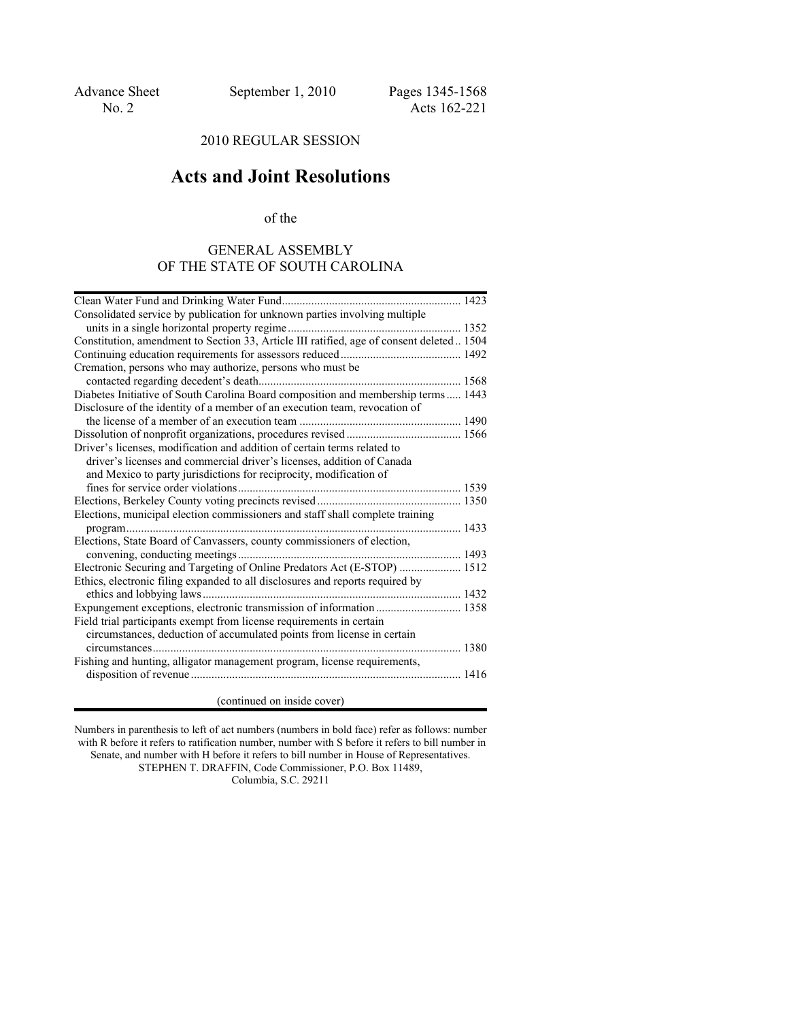## 2010 REGULAR SESSION

# **Acts and Joint Resolutions**

of the

## GENERAL ASSEMBLY OF THE STATE OF SOUTH CAROLINA

| Consolidated service by publication for unknown parties involving multiple                |
|-------------------------------------------------------------------------------------------|
|                                                                                           |
| Constitution, amendment to Section 33, Article III ratified, age of consent deleted  1504 |
|                                                                                           |
| Cremation, persons who may authorize, persons who must be                                 |
|                                                                                           |
| Diabetes Initiative of South Carolina Board composition and membership terms  1443        |
| Disclosure of the identity of a member of an execution team, revocation of                |
|                                                                                           |
|                                                                                           |
| Driver's licenses, modification and addition of certain terms related to                  |
| driver's licenses and commercial driver's licenses, addition of Canada                    |
| and Mexico to party jurisdictions for reciprocity, modification of                        |
|                                                                                           |
|                                                                                           |
| Elections, municipal election commissioners and staff shall complete training             |
|                                                                                           |
| Elections, State Board of Canvassers, county commissioners of election,                   |
|                                                                                           |
| Electronic Securing and Targeting of Online Predators Act (E-STOP)  1512                  |
| Ethics, electronic filing expanded to all disclosures and reports required by             |
|                                                                                           |
| Expungement exceptions, electronic transmission of information  1358                      |
| Field trial participants exempt from license requirements in certain                      |
| circumstances, deduction of accumulated points from license in certain                    |
|                                                                                           |
| Fishing and hunting, alligator management program, license requirements,                  |
|                                                                                           |
| (continued on inside cover)                                                               |
|                                                                                           |

Numbers in parenthesis to left of act numbers (numbers in bold face) refer as follows: number with R before it refers to ratification number, number with S before it refers to bill number in Senate, and number with H before it refers to bill number in House of Representatives.

STEPHEN T. DRAFFIN, Code Commissioner, P.O. Box 11489, Columbia, S.C. 29211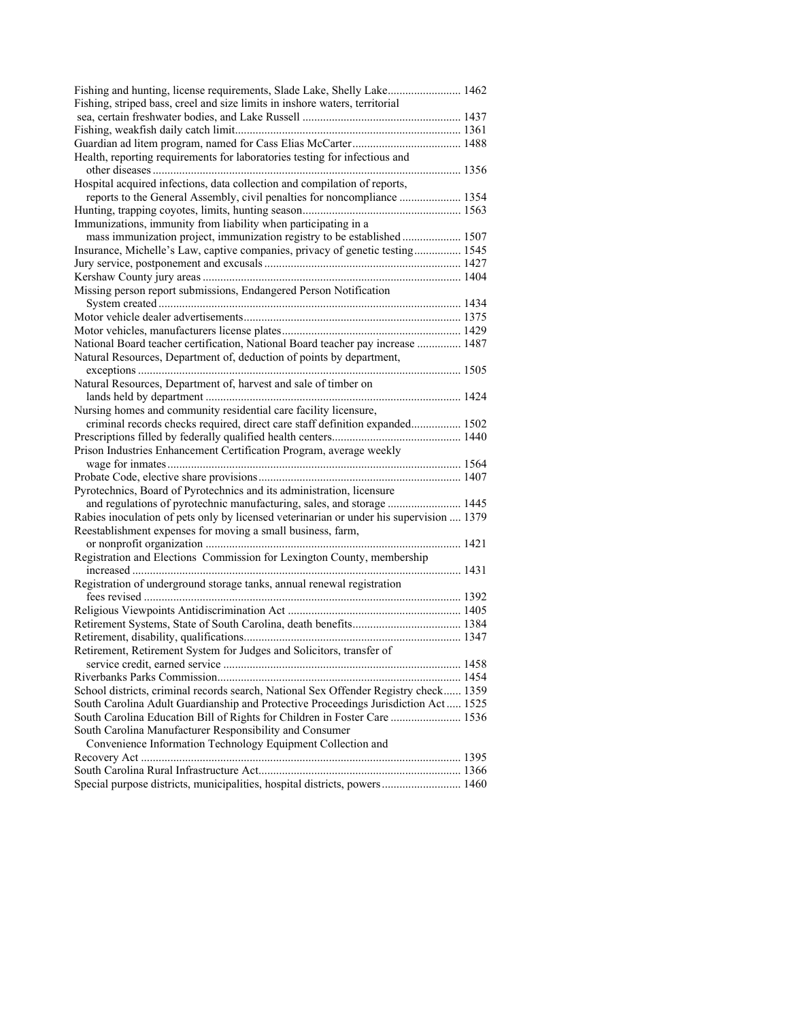| Fishing and hunting, license requirements, Slade Lake, Shelly Lake 1462<br>Fishing, striped bass, creel and size limits in inshore waters, territorial |  |
|--------------------------------------------------------------------------------------------------------------------------------------------------------|--|
|                                                                                                                                                        |  |
|                                                                                                                                                        |  |
|                                                                                                                                                        |  |
| Health, reporting requirements for laboratories testing for infectious and                                                                             |  |
|                                                                                                                                                        |  |
| Hospital acquired infections, data collection and compilation of reports,                                                                              |  |
| reports to the General Assembly, civil penalties for noncompliance  1354                                                                               |  |
|                                                                                                                                                        |  |
| Immunizations, immunity from liability when participating in a                                                                                         |  |
| mass immunization project, immunization registry to be established  1507                                                                               |  |
| Insurance, Michelle's Law, captive companies, privacy of genetic testing 1545                                                                          |  |
|                                                                                                                                                        |  |
|                                                                                                                                                        |  |
| Missing person report submissions, Endangered Person Notification                                                                                      |  |
|                                                                                                                                                        |  |
|                                                                                                                                                        |  |
|                                                                                                                                                        |  |
| National Board teacher certification, National Board teacher pay increase  1487                                                                        |  |
| Natural Resources, Department of, deduction of points by department,                                                                                   |  |
|                                                                                                                                                        |  |
| Natural Resources, Department of, harvest and sale of timber on                                                                                        |  |
| Nursing homes and community residential care facility licensure,                                                                                       |  |
| criminal records checks required, direct care staff definition expanded 1502                                                                           |  |
|                                                                                                                                                        |  |
| Prison Industries Enhancement Certification Program, average weekly                                                                                    |  |
|                                                                                                                                                        |  |
|                                                                                                                                                        |  |
| Pyrotechnics, Board of Pyrotechnics and its administration, licensure                                                                                  |  |
| and regulations of pyrotechnic manufacturing, sales, and storage  1445                                                                                 |  |
| Rabies inoculation of pets only by licensed veterinarian or under his supervision  1379                                                                |  |
| Reestablishment expenses for moving a small business, farm,                                                                                            |  |
|                                                                                                                                                        |  |
| Registration and Elections Commission for Lexington County, membership                                                                                 |  |
|                                                                                                                                                        |  |
| Registration of underground storage tanks, annual renewal registration                                                                                 |  |
|                                                                                                                                                        |  |
|                                                                                                                                                        |  |
|                                                                                                                                                        |  |
|                                                                                                                                                        |  |
| Retirement, Retirement System for Judges and Solicitors, transfer of                                                                                   |  |
|                                                                                                                                                        |  |
| School districts, criminal records search, National Sex Offender Registry check 1359                                                                   |  |
|                                                                                                                                                        |  |
| South Carolina Adult Guardianship and Protective Proceedings Jurisdiction Act 1525                                                                     |  |
| South Carolina Education Bill of Rights for Children in Foster Care  1536                                                                              |  |
| South Carolina Manufacturer Responsibility and Consumer                                                                                                |  |
| Convenience Information Technology Equipment Collection and                                                                                            |  |
|                                                                                                                                                        |  |
|                                                                                                                                                        |  |
| Special purpose districts, municipalities, hospital districts, powers 1460                                                                             |  |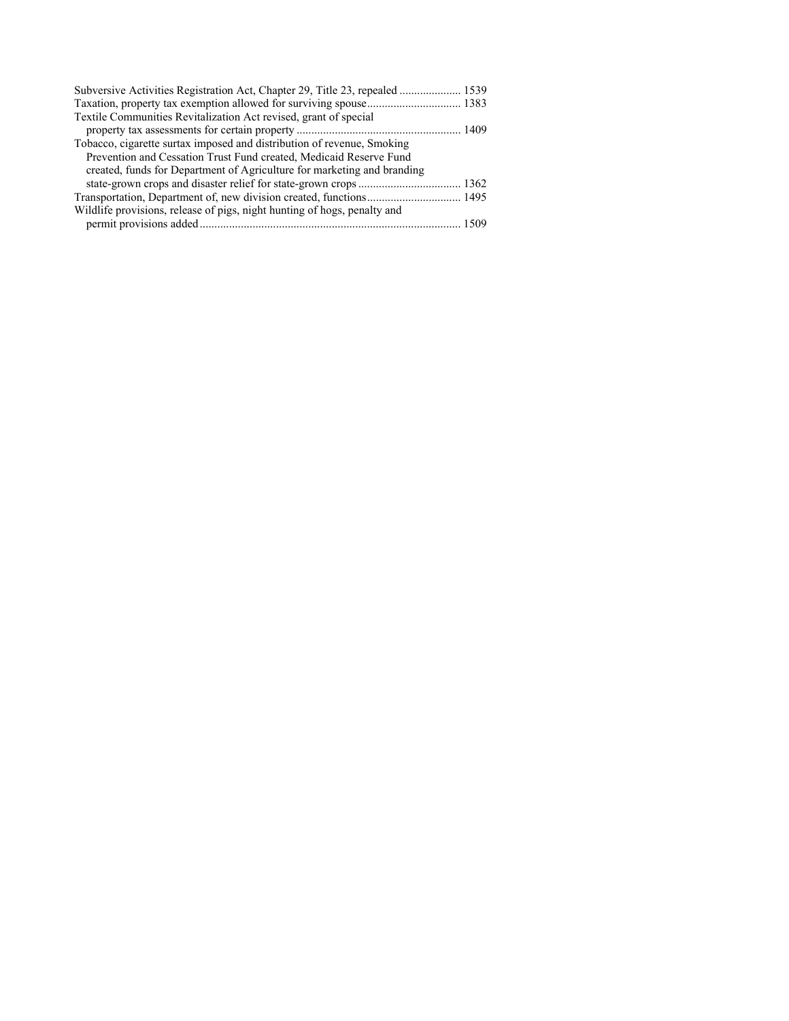| Subversive Activities Registration Act, Chapter 29, Title 23, repealed  1539 |  |
|------------------------------------------------------------------------------|--|
|                                                                              |  |
| Textile Communities Revitalization Act revised, grant of special             |  |
|                                                                              |  |
| Tobacco, cigarette surtax imposed and distribution of revenue, Smoking       |  |
| Prevention and Cessation Trust Fund created, Medicaid Reserve Fund           |  |
| created, funds for Department of Agriculture for marketing and branding      |  |
|                                                                              |  |
|                                                                              |  |
| Wildlife provisions, release of pigs, night hunting of hogs, penalty and     |  |
|                                                                              |  |
|                                                                              |  |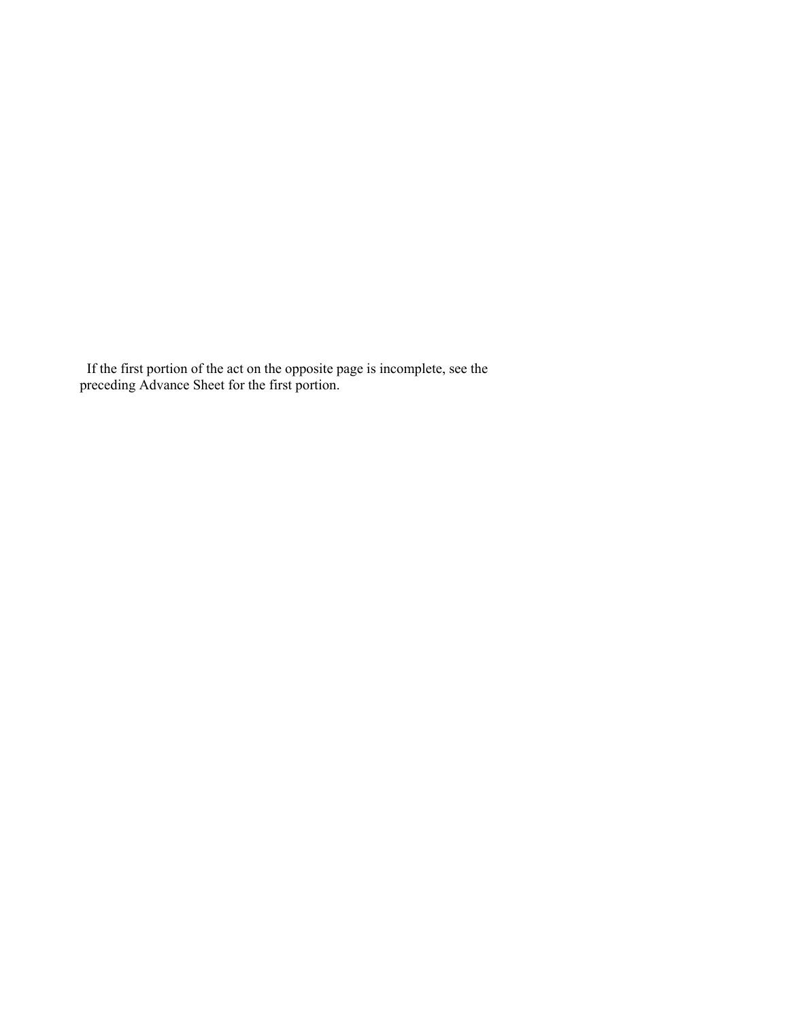If the first portion of the act on the opposite page is incomplete, see the preceding Advance Sheet for the first portion.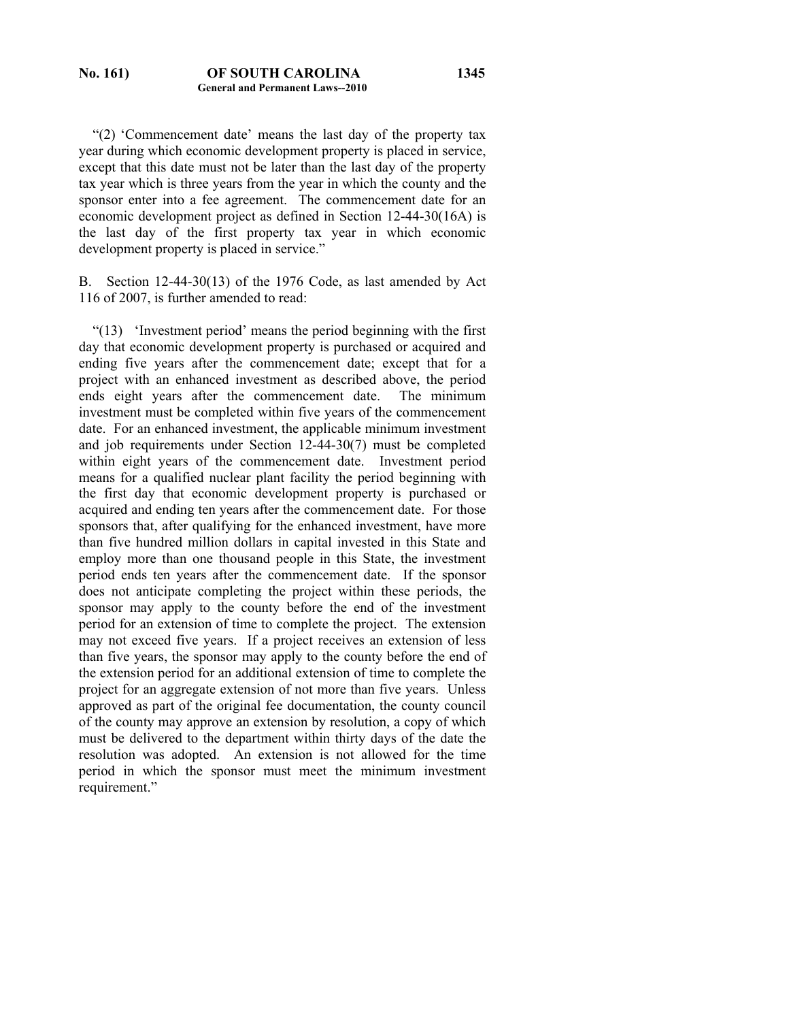"(2) 'Commencement date' means the last day of the property tax year during which economic development property is placed in service, except that this date must not be later than the last day of the property tax year which is three years from the year in which the county and the sponsor enter into a fee agreement. The commencement date for an economic development project as defined in Section 12-44-30(16A) is the last day of the first property tax year in which economic development property is placed in service."

B. Section 12-44-30(13) of the 1976 Code, as last amended by Act 116 of 2007, is further amended to read:

 "(13) 'Investment period' means the period beginning with the first day that economic development property is purchased or acquired and ending five years after the commencement date; except that for a project with an enhanced investment as described above, the period ends eight years after the commencement date. The minimum investment must be completed within five years of the commencement date. For an enhanced investment, the applicable minimum investment and job requirements under Section 12-44-30(7) must be completed within eight years of the commencement date. Investment period means for a qualified nuclear plant facility the period beginning with the first day that economic development property is purchased or acquired and ending ten years after the commencement date. For those sponsors that, after qualifying for the enhanced investment, have more than five hundred million dollars in capital invested in this State and employ more than one thousand people in this State, the investment period ends ten years after the commencement date. If the sponsor does not anticipate completing the project within these periods, the sponsor may apply to the county before the end of the investment period for an extension of time to complete the project. The extension may not exceed five years. If a project receives an extension of less than five years, the sponsor may apply to the county before the end of the extension period for an additional extension of time to complete the project for an aggregate extension of not more than five years. Unless approved as part of the original fee documentation, the county council of the county may approve an extension by resolution, a copy of which must be delivered to the department within thirty days of the date the resolution was adopted. An extension is not allowed for the time period in which the sponsor must meet the minimum investment requirement."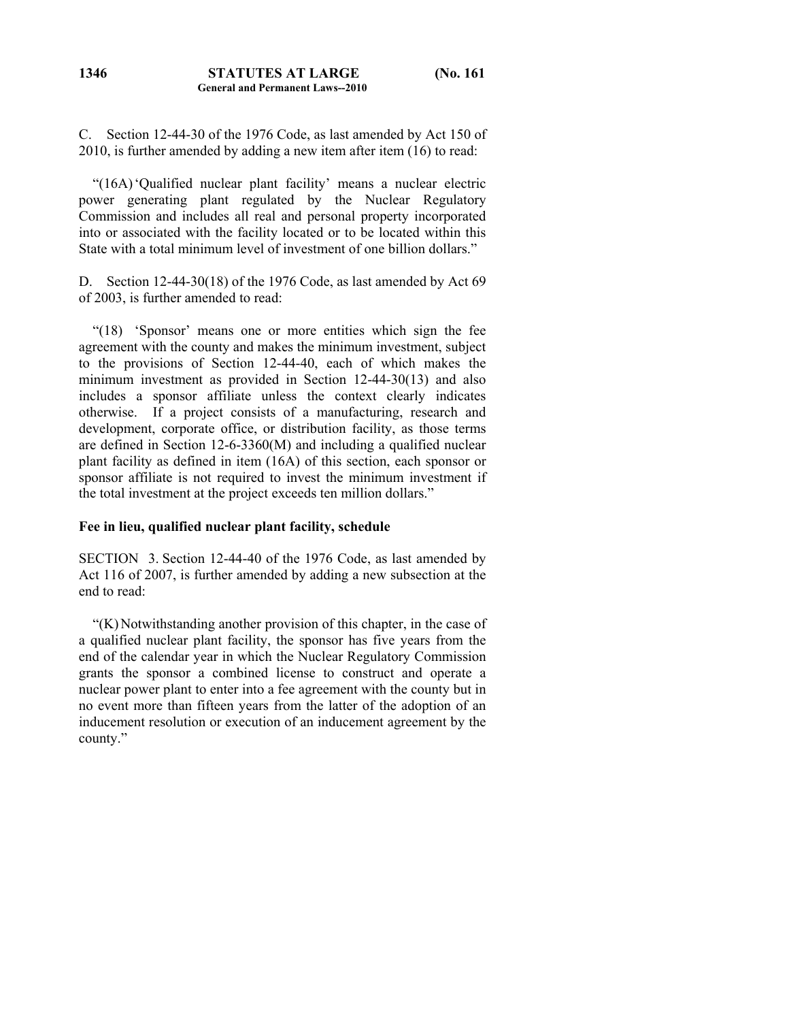C. Section 12-44-30 of the 1976 Code, as last amended by Act 150 of 2010, is further amended by adding a new item after item (16) to read:

 "(16A) 'Qualified nuclear plant facility' means a nuclear electric power generating plant regulated by the Nuclear Regulatory Commission and includes all real and personal property incorporated into or associated with the facility located or to be located within this State with a total minimum level of investment of one billion dollars."

D. Section 12-44-30(18) of the 1976 Code, as last amended by Act 69 of 2003, is further amended to read:

 "(18) 'Sponsor' means one or more entities which sign the fee agreement with the county and makes the minimum investment, subject to the provisions of Section 12-44-40, each of which makes the minimum investment as provided in Section 12-44-30(13) and also includes a sponsor affiliate unless the context clearly indicates otherwise. If a project consists of a manufacturing, research and development, corporate office, or distribution facility, as those terms are defined in Section 12-6-3360(M) and including a qualified nuclear plant facility as defined in item (16A) of this section, each sponsor or sponsor affiliate is not required to invest the minimum investment if the total investment at the project exceeds ten million dollars."

#### **Fee in lieu, qualified nuclear plant facility, schedule**

SECTION 3. Section 12-44-40 of the 1976 Code, as last amended by Act 116 of 2007, is further amended by adding a new subsection at the end to read:

 "(K) Notwithstanding another provision of this chapter, in the case of a qualified nuclear plant facility, the sponsor has five years from the end of the calendar year in which the Nuclear Regulatory Commission grants the sponsor a combined license to construct and operate a nuclear power plant to enter into a fee agreement with the county but in no event more than fifteen years from the latter of the adoption of an inducement resolution or execution of an inducement agreement by the county."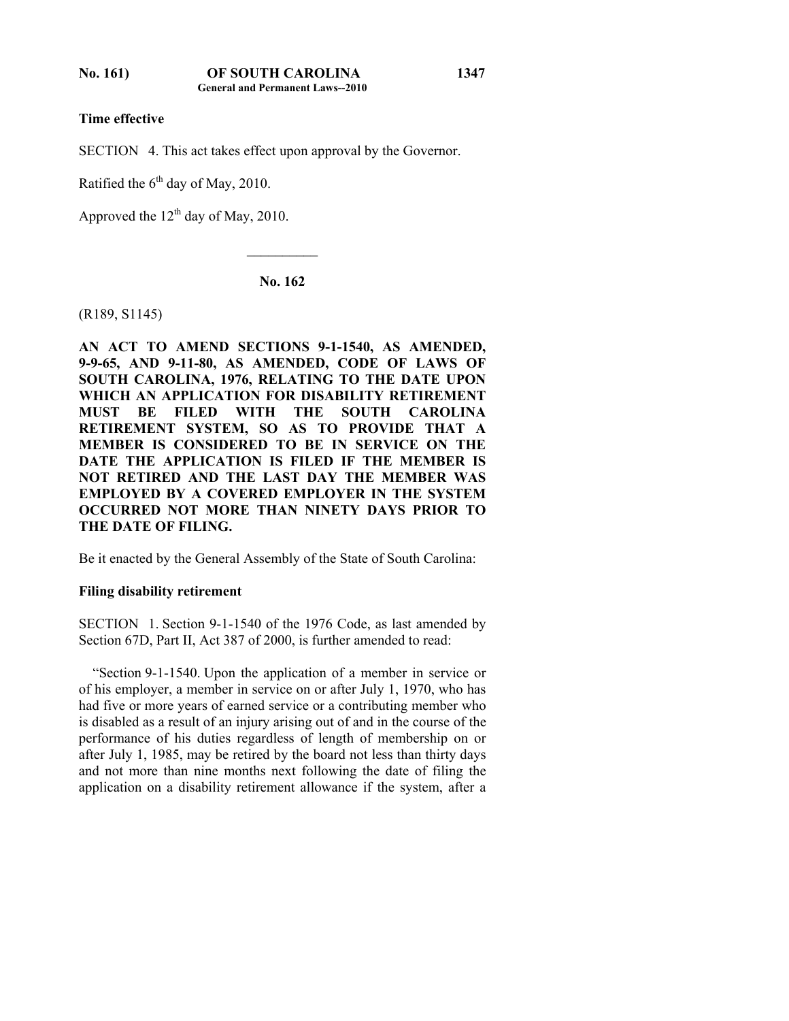**Time effective** 

SECTION 4. This act takes effect upon approval by the Governor.

Ratified the  $6<sup>th</sup>$  day of May, 2010.

Approved the  $12<sup>th</sup>$  day of May, 2010.

**No. 162** 

 $\mathcal{L}_\text{max}$ 

(R189, S1145)

**AN ACT TO AMEND SECTIONS 9-1-1540, AS AMENDED, 9-9-65, AND 9-11-80, AS AMENDED, CODE OF LAWS OF SOUTH CAROLINA, 1976, RELATING TO THE DATE UPON WHICH AN APPLICATION FOR DISABILITY RETIREMENT MUST BE FILED WITH THE SOUTH CAROLINA RETIREMENT SYSTEM, SO AS TO PROVIDE THAT A MEMBER IS CONSIDERED TO BE IN SERVICE ON THE DATE THE APPLICATION IS FILED IF THE MEMBER IS NOT RETIRED AND THE LAST DAY THE MEMBER WAS EMPLOYED BY A COVERED EMPLOYER IN THE SYSTEM OCCURRED NOT MORE THAN NINETY DAYS PRIOR TO THE DATE OF FILING.** 

Be it enacted by the General Assembly of the State of South Carolina:

#### **Filing disability retirement**

SECTION 1. Section 9-1-1540 of the 1976 Code, as last amended by Section 67D, Part II, Act 387 of 2000, is further amended to read:

 "Section 9-1-1540. Upon the application of a member in service or of his employer, a member in service on or after July 1, 1970, who has had five or more years of earned service or a contributing member who is disabled as a result of an injury arising out of and in the course of the performance of his duties regardless of length of membership on or after July 1, 1985, may be retired by the board not less than thirty days and not more than nine months next following the date of filing the application on a disability retirement allowance if the system, after a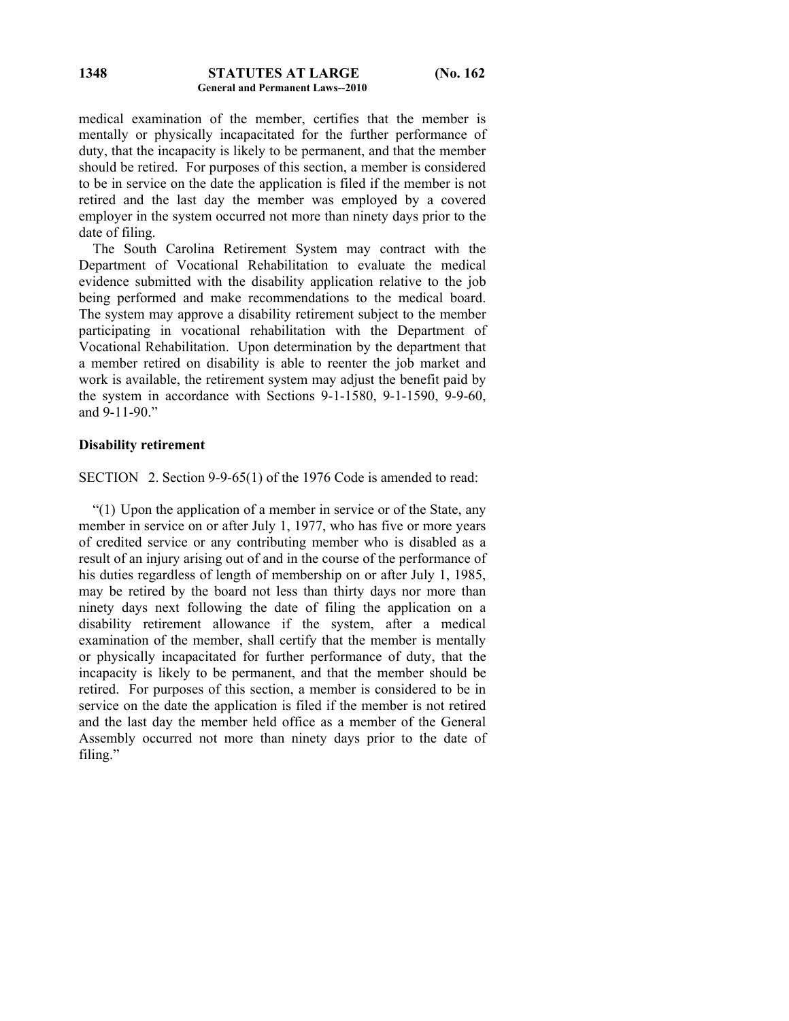medical examination of the member, certifies that the member is mentally or physically incapacitated for the further performance of duty, that the incapacity is likely to be permanent, and that the member should be retired. For purposes of this section, a member is considered to be in service on the date the application is filed if the member is not retired and the last day the member was employed by a covered employer in the system occurred not more than ninety days prior to the date of filing.

 The South Carolina Retirement System may contract with the Department of Vocational Rehabilitation to evaluate the medical evidence submitted with the disability application relative to the job being performed and make recommendations to the medical board. The system may approve a disability retirement subject to the member participating in vocational rehabilitation with the Department of Vocational Rehabilitation. Upon determination by the department that a member retired on disability is able to reenter the job market and work is available, the retirement system may adjust the benefit paid by the system in accordance with Sections 9-1-1580, 9-1-1590, 9-9-60, and 9-11-90."

### **Disability retirement**

SECTION 2. Section 9-9-65(1) of the 1976 Code is amended to read:

 "(1) Upon the application of a member in service or of the State, any member in service on or after July 1, 1977, who has five or more years of credited service or any contributing member who is disabled as a result of an injury arising out of and in the course of the performance of his duties regardless of length of membership on or after July 1, 1985, may be retired by the board not less than thirty days nor more than ninety days next following the date of filing the application on a disability retirement allowance if the system, after a medical examination of the member, shall certify that the member is mentally or physically incapacitated for further performance of duty, that the incapacity is likely to be permanent, and that the member should be retired. For purposes of this section, a member is considered to be in service on the date the application is filed if the member is not retired and the last day the member held office as a member of the General Assembly occurred not more than ninety days prior to the date of filing."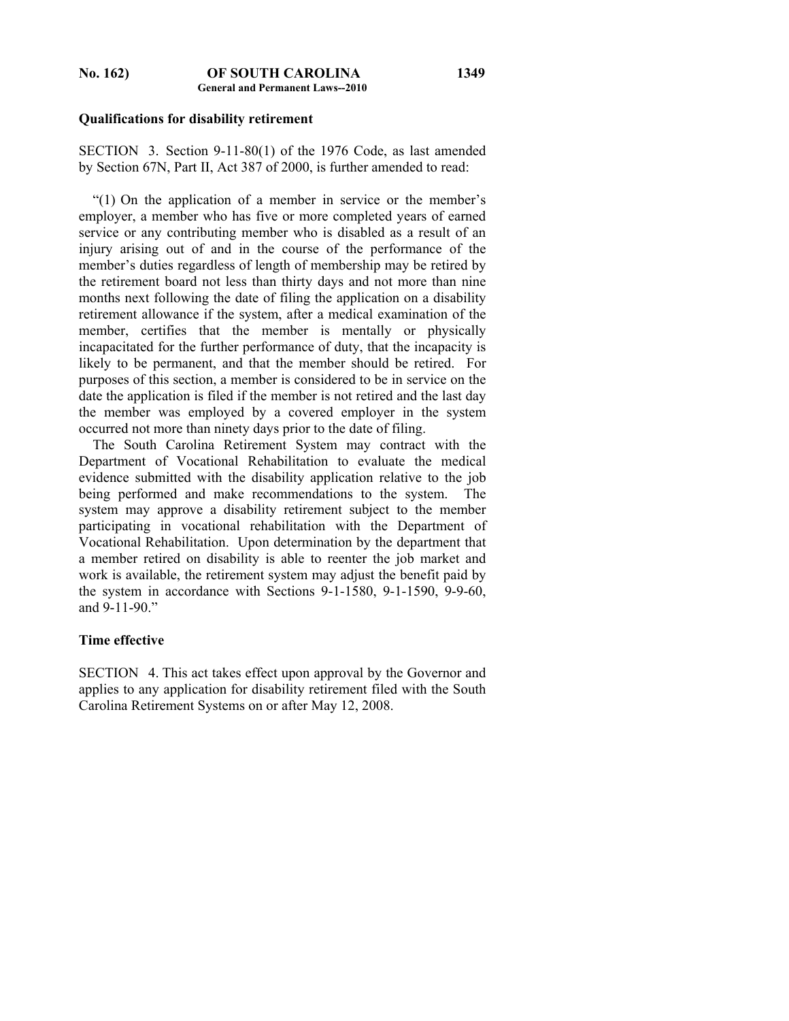### **Qualifications for disability retirement**

SECTION 3. Section 9-11-80(1) of the 1976 Code, as last amended by Section 67N, Part II, Act 387 of 2000, is further amended to read:

 "(1) On the application of a member in service or the member's employer, a member who has five or more completed years of earned service or any contributing member who is disabled as a result of an injury arising out of and in the course of the performance of the member's duties regardless of length of membership may be retired by the retirement board not less than thirty days and not more than nine months next following the date of filing the application on a disability retirement allowance if the system, after a medical examination of the member, certifies that the member is mentally or physically incapacitated for the further performance of duty, that the incapacity is likely to be permanent, and that the member should be retired. For purposes of this section, a member is considered to be in service on the date the application is filed if the member is not retired and the last day the member was employed by a covered employer in the system occurred not more than ninety days prior to the date of filing.

 The South Carolina Retirement System may contract with the Department of Vocational Rehabilitation to evaluate the medical evidence submitted with the disability application relative to the job being performed and make recommendations to the system. The system may approve a disability retirement subject to the member participating in vocational rehabilitation with the Department of Vocational Rehabilitation. Upon determination by the department that a member retired on disability is able to reenter the job market and work is available, the retirement system may adjust the benefit paid by the system in accordance with Sections 9-1-1580, 9-1-1590, 9-9-60, and 9-11-90."

#### **Time effective**

SECTION 4. This act takes effect upon approval by the Governor and applies to any application for disability retirement filed with the South Carolina Retirement Systems on or after May 12, 2008.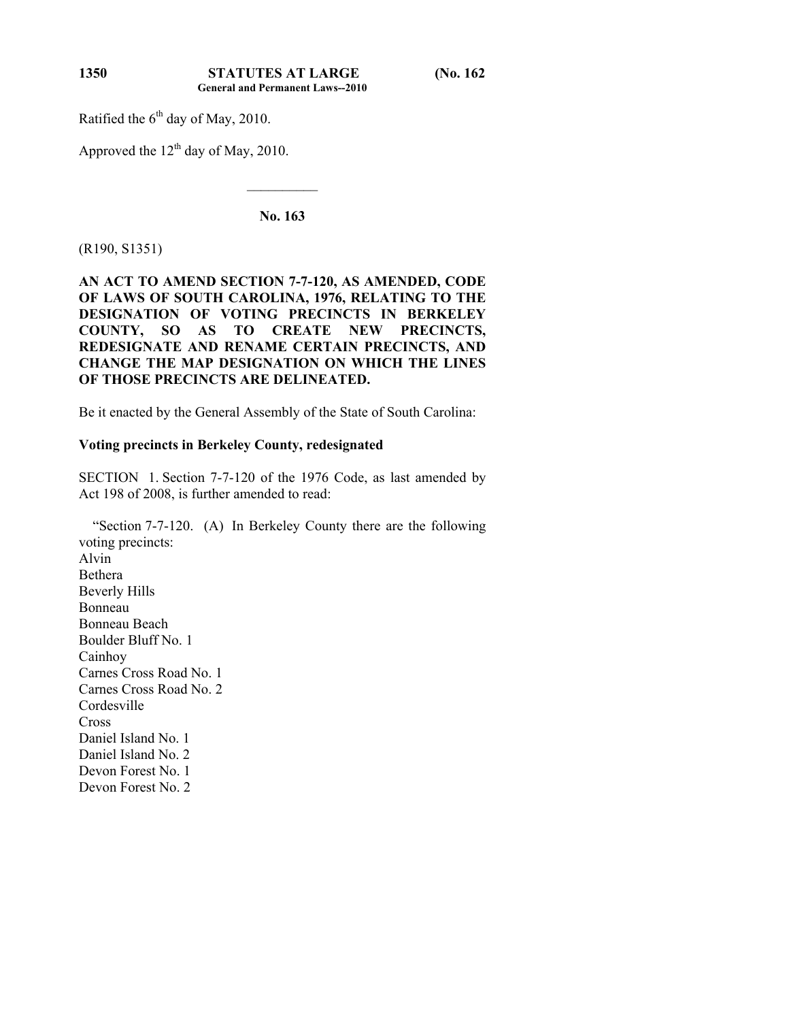Ratified the  $6<sup>th</sup>$  day of May, 2010.

Approved the  $12<sup>th</sup>$  day of May, 2010.

**No. 163** 

 $\mathcal{L}_\text{max}$ 

(R190, S1351)

## **AN ACT TO AMEND SECTION 7-7-120, AS AMENDED, CODE OF LAWS OF SOUTH CAROLINA, 1976, RELATING TO THE DESIGNATION OF VOTING PRECINCTS IN BERKELEY COUNTY, SO AS TO CREATE NEW PRECINCTS, REDESIGNATE AND RENAME CERTAIN PRECINCTS, AND CHANGE THE MAP DESIGNATION ON WHICH THE LINES OF THOSE PRECINCTS ARE DELINEATED.**

Be it enacted by the General Assembly of the State of South Carolina:

## **Voting precincts in Berkeley County, redesignated**

SECTION 1. Section 7-7-120 of the 1976 Code, as last amended by Act 198 of 2008, is further amended to read:

 "Section 7-7-120. (A) In Berkeley County there are the following voting precincts: Alvin Bethera Beverly Hills Bonneau Bonneau Beach Boulder Bluff No. 1 Cainhoy Carnes Cross Road No. 1 Carnes Cross Road No. 2 Cordesville **Cross** Daniel Island No. 1 Daniel Island No. 2 Devon Forest No. 1 Devon Forest No. 2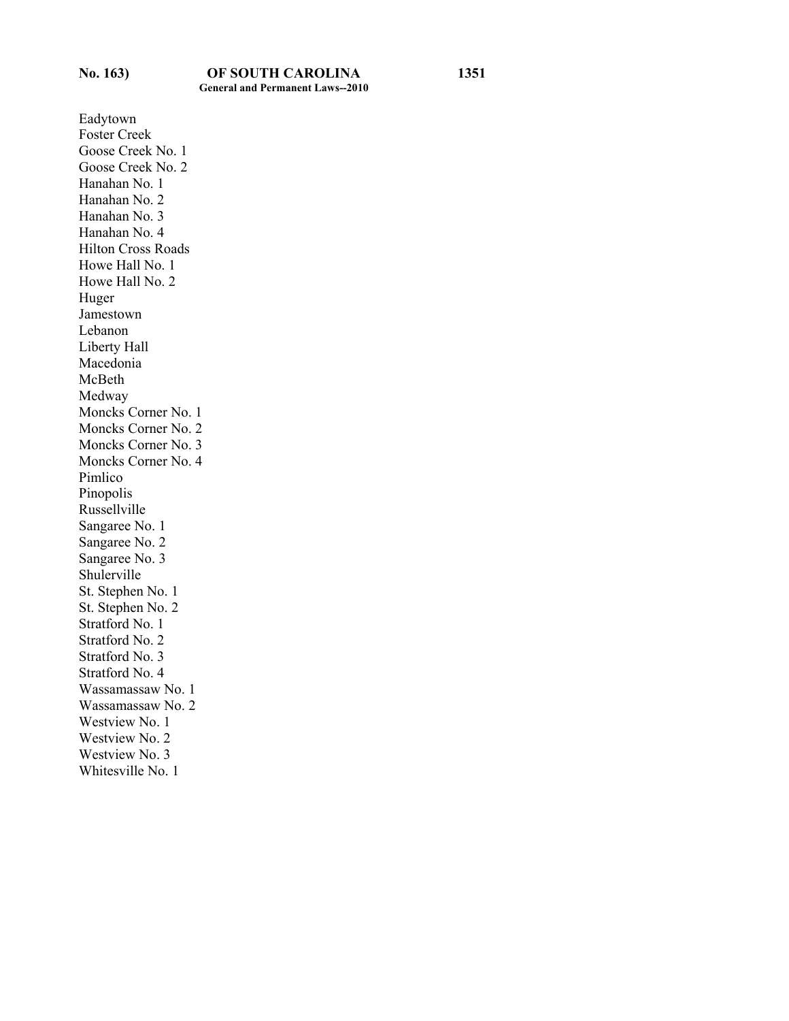Eadytown Foster Creek Goose Creek No. 1 Goose Creek No. 2 Hanahan No. 1 Hanahan No. 2 Hanahan No. 3 Hanahan No. 4 Hilton Cross Roads Howe Hall No. 1 Howe Hall No. 2 Huger Jamestown Lebanon Liberty Hall Macedonia McBeth Medway Moncks Corner No. 1 Moncks Corner No. 2 Moncks Corner No. 3 Moncks Corner No. 4 Pimlico Pinopolis Russellville Sangaree No. 1 Sangaree No. 2 Sangaree No. 3 Shulerville St. Stephen No. 1 St. Stephen No. 2 Stratford No. 1 Stratford No. 2 Stratford No. 3 Stratford No. 4 Wassamassaw No. 1 Wassamassaw No. 2 Westview No. 1 Westview No. 2 Westview No. 3 Whitesville No. 1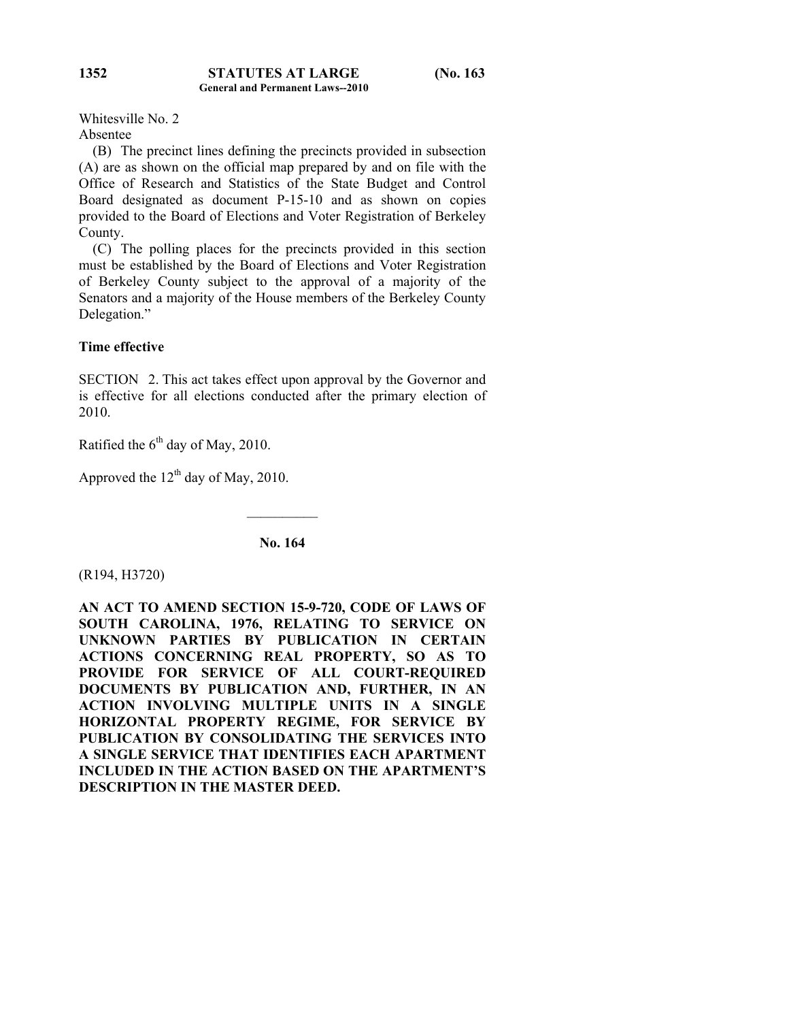Whitesville No. 2 Absentee

 (B) The precinct lines defining the precincts provided in subsection (A) are as shown on the official map prepared by and on file with the Office of Research and Statistics of the State Budget and Control Board designated as document P-15-10 and as shown on copies provided to the Board of Elections and Voter Registration of Berkeley County.

 (C) The polling places for the precincts provided in this section must be established by the Board of Elections and Voter Registration of Berkeley County subject to the approval of a majority of the Senators and a majority of the House members of the Berkeley County Delegation."

## **Time effective**

SECTION 2. This act takes effect upon approval by the Governor and is effective for all elections conducted after the primary election of 2010.

Ratified the  $6<sup>th</sup>$  day of May, 2010.

Approved the  $12<sup>th</sup>$  day of May, 2010.

**No. 164** 

 $\frac{1}{2}$ 

(R194, H3720)

**AN ACT TO AMEND SECTION 15-9-720, CODE OF LAWS OF SOUTH CAROLINA, 1976, RELATING TO SERVICE ON UNKNOWN PARTIES BY PUBLICATION IN CERTAIN ACTIONS CONCERNING REAL PROPERTY, SO AS TO PROVIDE FOR SERVICE OF ALL COURT-REQUIRED DOCUMENTS BY PUBLICATION AND, FURTHER, IN AN ACTION INVOLVING MULTIPLE UNITS IN A SINGLE HORIZONTAL PROPERTY REGIME, FOR SERVICE BY PUBLICATION BY CONSOLIDATING THE SERVICES INTO A SINGLE SERVICE THAT IDENTIFIES EACH APARTMENT INCLUDED IN THE ACTION BASED ON THE APARTMENT'S DESCRIPTION IN THE MASTER DEED.**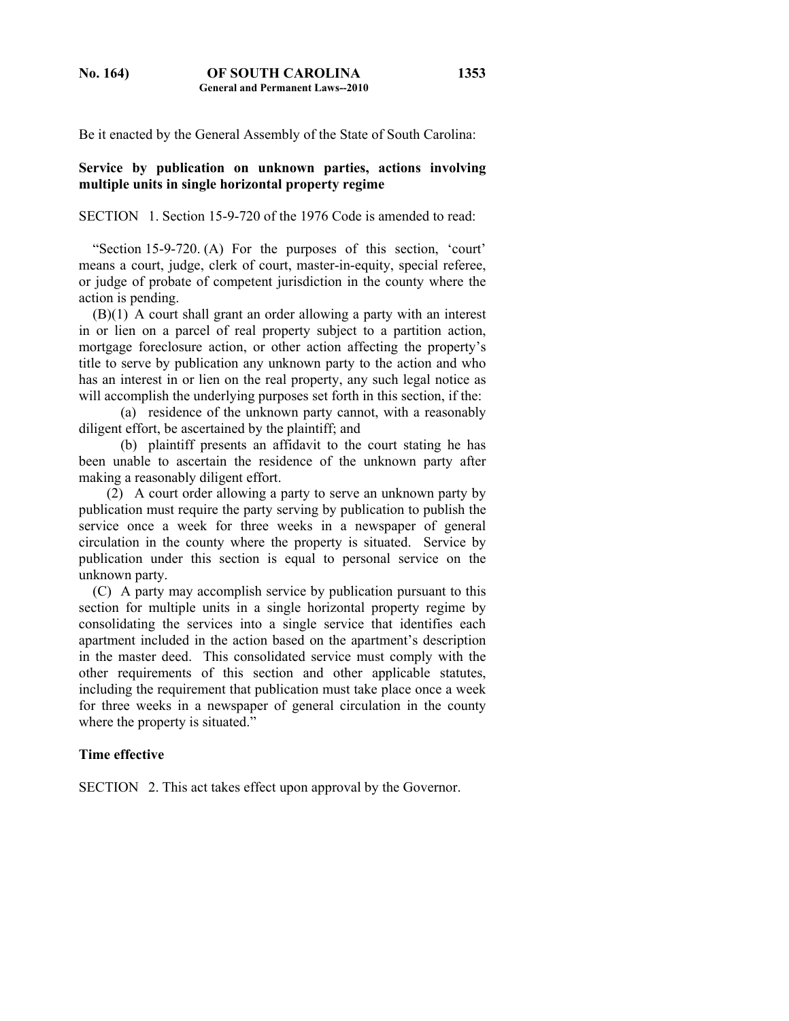**1353**

Be it enacted by the General Assembly of the State of South Carolina:

## **Service by publication on unknown parties, actions involving multiple units in single horizontal property regime**

SECTION 1. Section 15-9-720 of the 1976 Code is amended to read:

 "Section 15-9-720. (A) For the purposes of this section, 'court' means a court, judge, clerk of court, master-in-equity, special referee, or judge of probate of competent jurisdiction in the county where the action is pending.

 (B)(1) A court shall grant an order allowing a party with an interest in or lien on a parcel of real property subject to a partition action, mortgage foreclosure action, or other action affecting the property's title to serve by publication any unknown party to the action and who has an interest in or lien on the real property, any such legal notice as will accomplish the underlying purposes set forth in this section, if the:

 (a) residence of the unknown party cannot, with a reasonably diligent effort, be ascertained by the plaintiff; and

 (b) plaintiff presents an affidavit to the court stating he has been unable to ascertain the residence of the unknown party after making a reasonably diligent effort.

 (2) A court order allowing a party to serve an unknown party by publication must require the party serving by publication to publish the service once a week for three weeks in a newspaper of general circulation in the county where the property is situated. Service by publication under this section is equal to personal service on the unknown party.

 (C) A party may accomplish service by publication pursuant to this section for multiple units in a single horizontal property regime by consolidating the services into a single service that identifies each apartment included in the action based on the apartment's description in the master deed. This consolidated service must comply with the other requirements of this section and other applicable statutes, including the requirement that publication must take place once a week for three weeks in a newspaper of general circulation in the county where the property is situated."

#### **Time effective**

SECTION 2. This act takes effect upon approval by the Governor.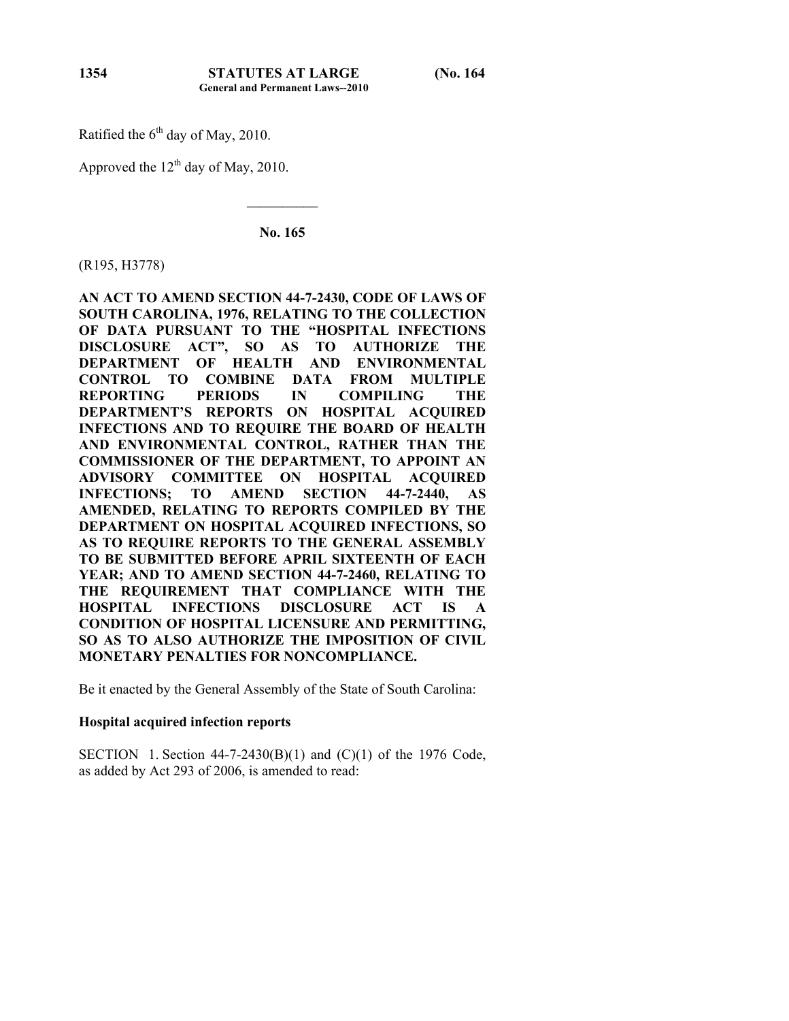Ratified the  $6<sup>th</sup>$  day of May, 2010.

Approved the  $12<sup>th</sup>$  day of May, 2010.

**No. 165** 

 $\mathcal{L}_\text{max}$ 

(R195, H3778)

**AN ACT TO AMEND SECTION 44-7-2430, CODE OF LAWS OF SOUTH CAROLINA, 1976, RELATING TO THE COLLECTION OF DATA PURSUANT TO THE "HOSPITAL INFECTIONS DISCLOSURE ACT", SO AS TO AUTHORIZE THE DEPARTMENT OF HEALTH AND ENVIRONMENTAL CONTROL TO COMBINE DATA FROM MULTIPLE REPORTING PERIODS IN COMPILING THE DEPARTMENT'S REPORTS ON HOSPITAL ACQUIRED INFECTIONS AND TO REQUIRE THE BOARD OF HEALTH AND ENVIRONMENTAL CONTROL, RATHER THAN THE COMMISSIONER OF THE DEPARTMENT, TO APPOINT AN ADVISORY COMMITTEE ON HOSPITAL ACQUIRED INFECTIONS; TO AMEND SECTION 44-7-2440, AS AMENDED, RELATING TO REPORTS COMPILED BY THE DEPARTMENT ON HOSPITAL ACQUIRED INFECTIONS, SO AS TO REQUIRE REPORTS TO THE GENERAL ASSEMBLY TO BE SUBMITTED BEFORE APRIL SIXTEENTH OF EACH YEAR; AND TO AMEND SECTION 44-7-2460, RELATING TO THE REQUIREMENT THAT COMPLIANCE WITH THE HOSPITAL INFECTIONS DISCLOSURE ACT IS A CONDITION OF HOSPITAL LICENSURE AND PERMITTING, SO AS TO ALSO AUTHORIZE THE IMPOSITION OF CIVIL MONETARY PENALTIES FOR NONCOMPLIANCE.** 

Be it enacted by the General Assembly of the State of South Carolina:

## **Hospital acquired infection reports**

SECTION 1. Section 44-7-2430(B)(1) and (C)(1) of the 1976 Code, as added by Act 293 of 2006, is amended to read:

**1354**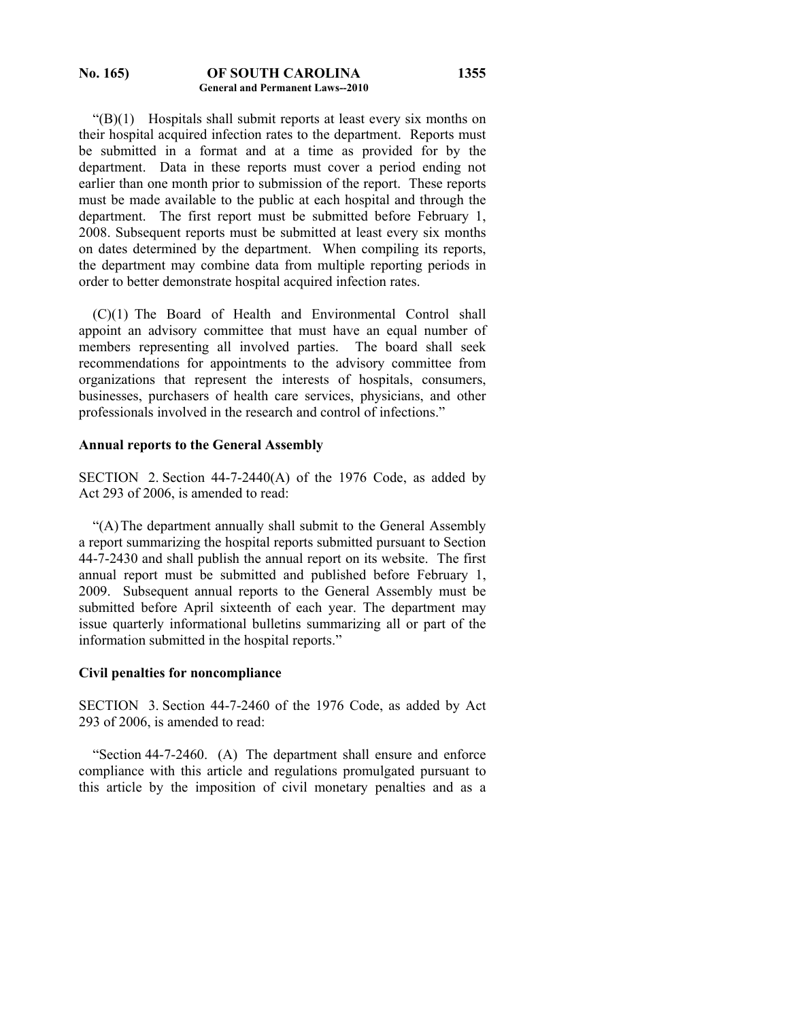#### **No. 165) OF SOUTH CAROLINA General and Permanent Laws--2010**

 $\mathcal{L}(B)(1)$  Hospitals shall submit reports at least every six months on their hospital acquired infection rates to the department. Reports must be submitted in a format and at a time as provided for by the department. Data in these reports must cover a period ending not earlier than one month prior to submission of the report. These reports must be made available to the public at each hospital and through the department. The first report must be submitted before February 1, 2008. Subsequent reports must be submitted at least every six months on dates determined by the department. When compiling its reports, the department may combine data from multiple reporting periods in order to better demonstrate hospital acquired infection rates.

 (C)(1) The Board of Health and Environmental Control shall appoint an advisory committee that must have an equal number of members representing all involved parties. The board shall seek recommendations for appointments to the advisory committee from organizations that represent the interests of hospitals, consumers, businesses, purchasers of health care services, physicians, and other professionals involved in the research and control of infections."

### **Annual reports to the General Assembly**

SECTION 2. Section 44-7-2440(A) of the 1976 Code, as added by Act 293 of 2006, is amended to read:

 "(A) The department annually shall submit to the General Assembly a report summarizing the hospital reports submitted pursuant to Section 44-7-2430 and shall publish the annual report on its website. The first annual report must be submitted and published before February 1, 2009. Subsequent annual reports to the General Assembly must be submitted before April sixteenth of each year. The department may issue quarterly informational bulletins summarizing all or part of the information submitted in the hospital reports."

#### **Civil penalties for noncompliance**

SECTION 3. Section 44-7-2460 of the 1976 Code, as added by Act 293 of 2006, is amended to read:

 "Section 44-7-2460. (A) The department shall ensure and enforce compliance with this article and regulations promulgated pursuant to this article by the imposition of civil monetary penalties and as a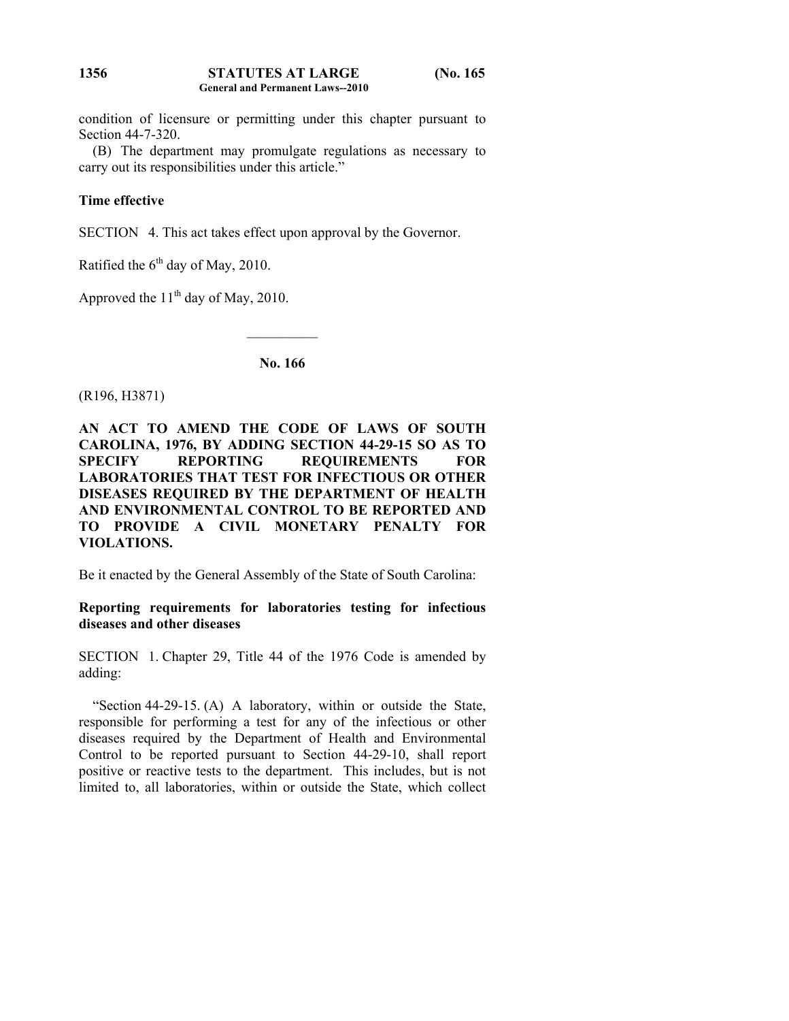#### **STATUTES AT LARGE (No. 165 General and Permanent Laws--2010 1356**

condition of licensure or permitting under this chapter pursuant to Section 44-7-320.

 (B) The department may promulgate regulations as necessary to carry out its responsibilities under this article."

## **Time effective**

SECTION 4. This act takes effect upon approval by the Governor.

Ratified the  $6<sup>th</sup>$  day of May, 2010.

Approved the  $11<sup>th</sup>$  day of May, 2010.

**No. 166** 

 $\frac{1}{2}$ 

(R196, H3871)

## **AN ACT TO AMEND THE CODE OF LAWS OF SOUTH CAROLINA, 1976, BY ADDING SECTION 44-29-15 SO AS TO SPECIFY REPORTING REQUIREMENTS FOR LABORATORIES THAT TEST FOR INFECTIOUS OR OTHER DISEASES REQUIRED BY THE DEPARTMENT OF HEALTH AND ENVIRONMENTAL CONTROL TO BE REPORTED AND TO PROVIDE A CIVIL MONETARY PENALTY FOR VIOLATIONS.**

Be it enacted by the General Assembly of the State of South Carolina:

## **Reporting requirements for laboratories testing for infectious diseases and other diseases**

SECTION 1. Chapter 29, Title 44 of the 1976 Code is amended by adding:

 "Section 44-29-15. (A) A laboratory, within or outside the State, responsible for performing a test for any of the infectious or other diseases required by the Department of Health and Environmental Control to be reported pursuant to Section 44-29-10, shall report positive or reactive tests to the department. This includes, but is not limited to, all laboratories, within or outside the State, which collect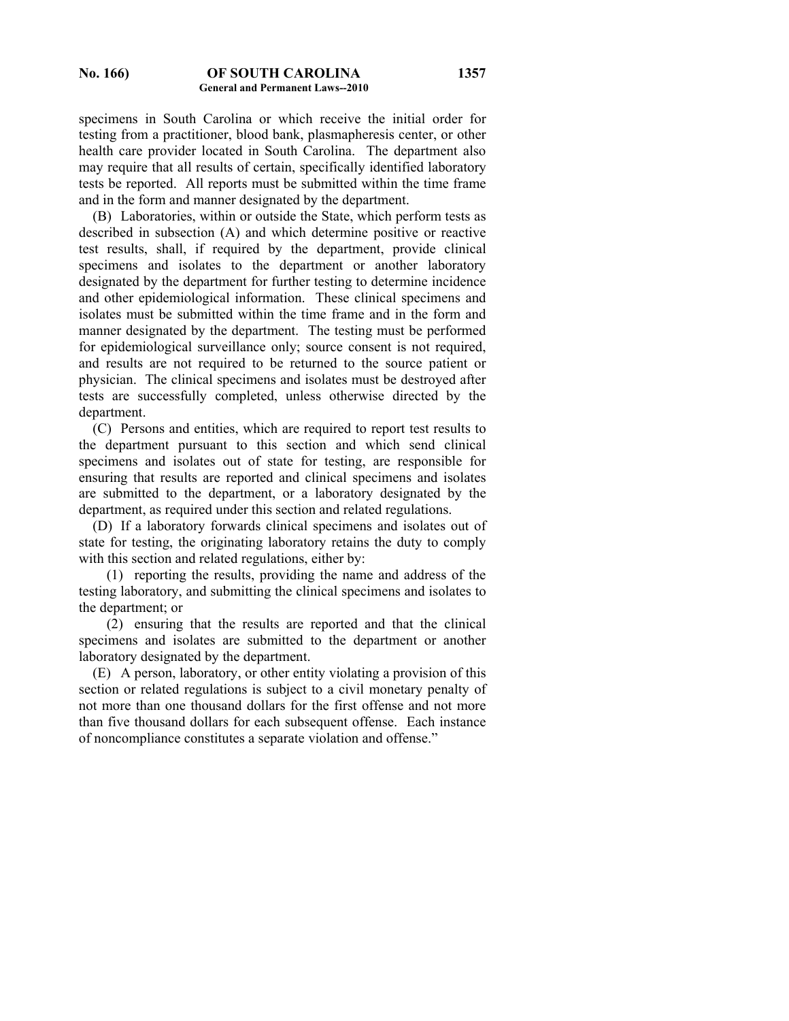specimens in South Carolina or which receive the initial order for testing from a practitioner, blood bank, plasmapheresis center, or other health care provider located in South Carolina. The department also may require that all results of certain, specifically identified laboratory tests be reported. All reports must be submitted within the time frame and in the form and manner designated by the department.

 (B) Laboratories, within or outside the State, which perform tests as described in subsection (A) and which determine positive or reactive test results, shall, if required by the department, provide clinical specimens and isolates to the department or another laboratory designated by the department for further testing to determine incidence and other epidemiological information. These clinical specimens and isolates must be submitted within the time frame and in the form and manner designated by the department. The testing must be performed for epidemiological surveillance only; source consent is not required, and results are not required to be returned to the source patient or physician. The clinical specimens and isolates must be destroyed after tests are successfully completed, unless otherwise directed by the department.

 (C) Persons and entities, which are required to report test results to the department pursuant to this section and which send clinical specimens and isolates out of state for testing, are responsible for ensuring that results are reported and clinical specimens and isolates are submitted to the department, or a laboratory designated by the department, as required under this section and related regulations.

 (D) If a laboratory forwards clinical specimens and isolates out of state for testing, the originating laboratory retains the duty to comply with this section and related regulations, either by:

 (1) reporting the results, providing the name and address of the testing laboratory, and submitting the clinical specimens and isolates to the department; or

 (2) ensuring that the results are reported and that the clinical specimens and isolates are submitted to the department or another laboratory designated by the department.

 (E) A person, laboratory, or other entity violating a provision of this section or related regulations is subject to a civil monetary penalty of not more than one thousand dollars for the first offense and not more than five thousand dollars for each subsequent offense. Each instance of noncompliance constitutes a separate violation and offense."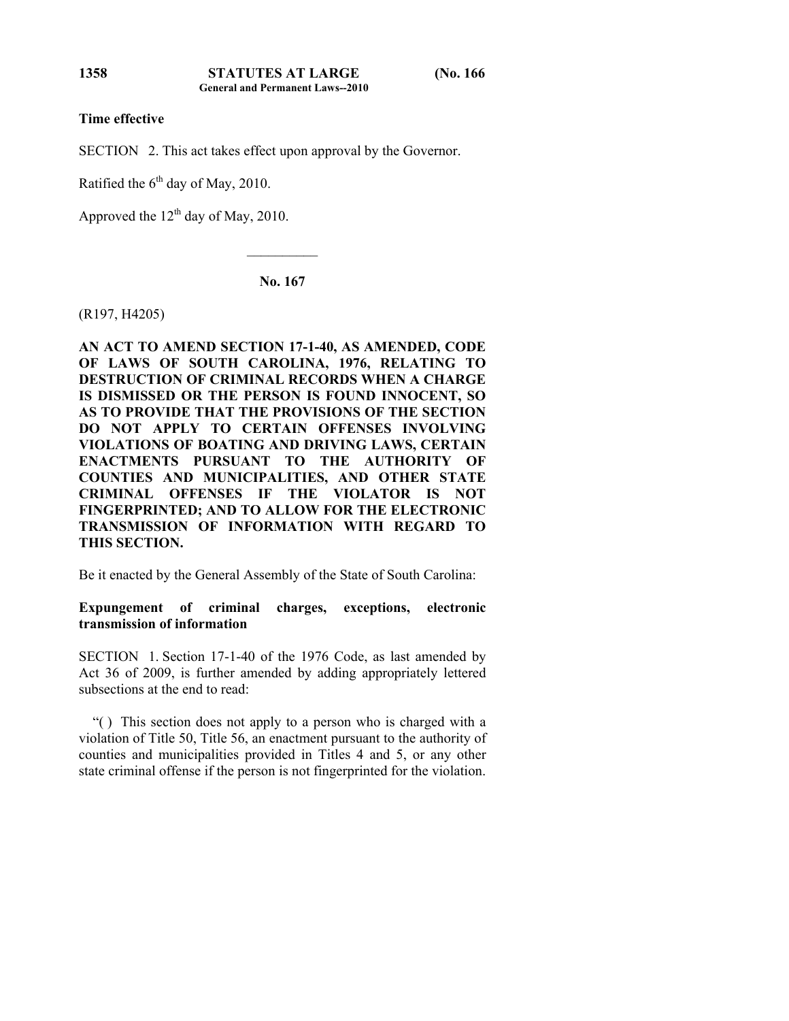## **Time effective**

SECTION 2. This act takes effect upon approval by the Governor.

Ratified the  $6<sup>th</sup>$  day of May, 2010.

Approved the  $12<sup>th</sup>$  day of May, 2010.

**No. 167** 

 $\mathcal{L}_\text{max}$ 

(R197, H4205)

**AN ACT TO AMEND SECTION 17-1-40, AS AMENDED, CODE OF LAWS OF SOUTH CAROLINA, 1976, RELATING TO DESTRUCTION OF CRIMINAL RECORDS WHEN A CHARGE IS DISMISSED OR THE PERSON IS FOUND INNOCENT, SO AS TO PROVIDE THAT THE PROVISIONS OF THE SECTION DO NOT APPLY TO CERTAIN OFFENSES INVOLVING VIOLATIONS OF BOATING AND DRIVING LAWS, CERTAIN ENACTMENTS PURSUANT TO THE AUTHORITY OF COUNTIES AND MUNICIPALITIES, AND OTHER STATE CRIMINAL OFFENSES IF THE VIOLATOR IS NOT FINGERPRINTED; AND TO ALLOW FOR THE ELECTRONIC TRANSMISSION OF INFORMATION WITH REGARD TO THIS SECTION.** 

Be it enacted by the General Assembly of the State of South Carolina:

**Expungement of criminal charges, exceptions, electronic transmission of information** 

SECTION 1. Section 17-1-40 of the 1976 Code, as last amended by Act 36 of 2009, is further amended by adding appropriately lettered subsections at the end to read:

 "( ) This section does not apply to a person who is charged with a violation of Title 50, Title 56, an enactment pursuant to the authority of counties and municipalities provided in Titles 4 and 5, or any other state criminal offense if the person is not fingerprinted for the violation.

**1358**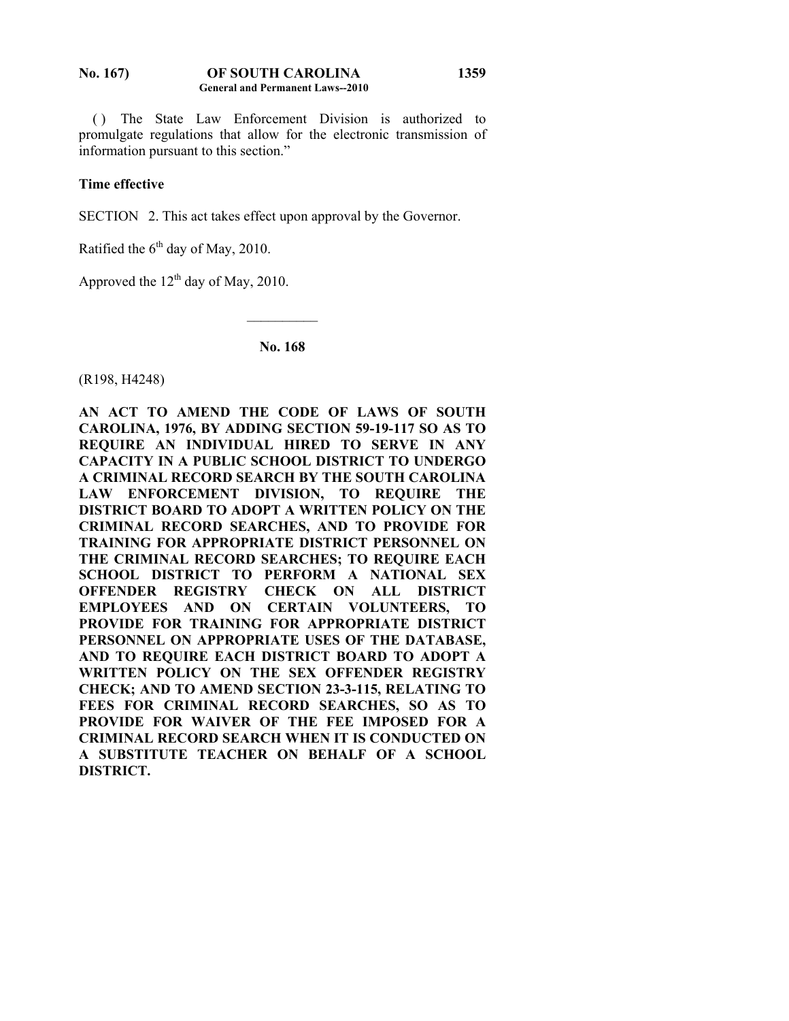#### **No. 167) OF SOUTH CAROLINA General and Permanent Laws--2010 1359**

 ( ) The State Law Enforcement Division is authorized to promulgate regulations that allow for the electronic transmission of information pursuant to this section."

## **Time effective**

SECTION 2. This act takes effect upon approval by the Governor.

Ratified the  $6<sup>th</sup>$  day of May, 2010.

Approved the  $12<sup>th</sup>$  day of May, 2010.

## **No. 168**

 $\mathcal{L}_\text{max}$ 

(R198, H4248)

**AN ACT TO AMEND THE CODE OF LAWS OF SOUTH CAROLINA, 1976, BY ADDING SECTION 59-19-117 SO AS TO REQUIRE AN INDIVIDUAL HIRED TO SERVE IN ANY CAPACITY IN A PUBLIC SCHOOL DISTRICT TO UNDERGO A CRIMINAL RECORD SEARCH BY THE SOUTH CAROLINA LAW ENFORCEMENT DIVISION, TO REQUIRE THE DISTRICT BOARD TO ADOPT A WRITTEN POLICY ON THE CRIMINAL RECORD SEARCHES, AND TO PROVIDE FOR TRAINING FOR APPROPRIATE DISTRICT PERSONNEL ON THE CRIMINAL RECORD SEARCHES; TO REQUIRE EACH SCHOOL DISTRICT TO PERFORM A NATIONAL SEX OFFENDER REGISTRY CHECK ON ALL DISTRICT EMPLOYEES AND ON CERTAIN VOLUNTEERS, TO PROVIDE FOR TRAINING FOR APPROPRIATE DISTRICT PERSONNEL ON APPROPRIATE USES OF THE DATABASE, AND TO REQUIRE EACH DISTRICT BOARD TO ADOPT A WRITTEN POLICY ON THE SEX OFFENDER REGISTRY CHECK; AND TO AMEND SECTION 23-3-115, RELATING TO FEES FOR CRIMINAL RECORD SEARCHES, SO AS TO PROVIDE FOR WAIVER OF THE FEE IMPOSED FOR A CRIMINAL RECORD SEARCH WHEN IT IS CONDUCTED ON A SUBSTITUTE TEACHER ON BEHALF OF A SCHOOL DISTRICT.**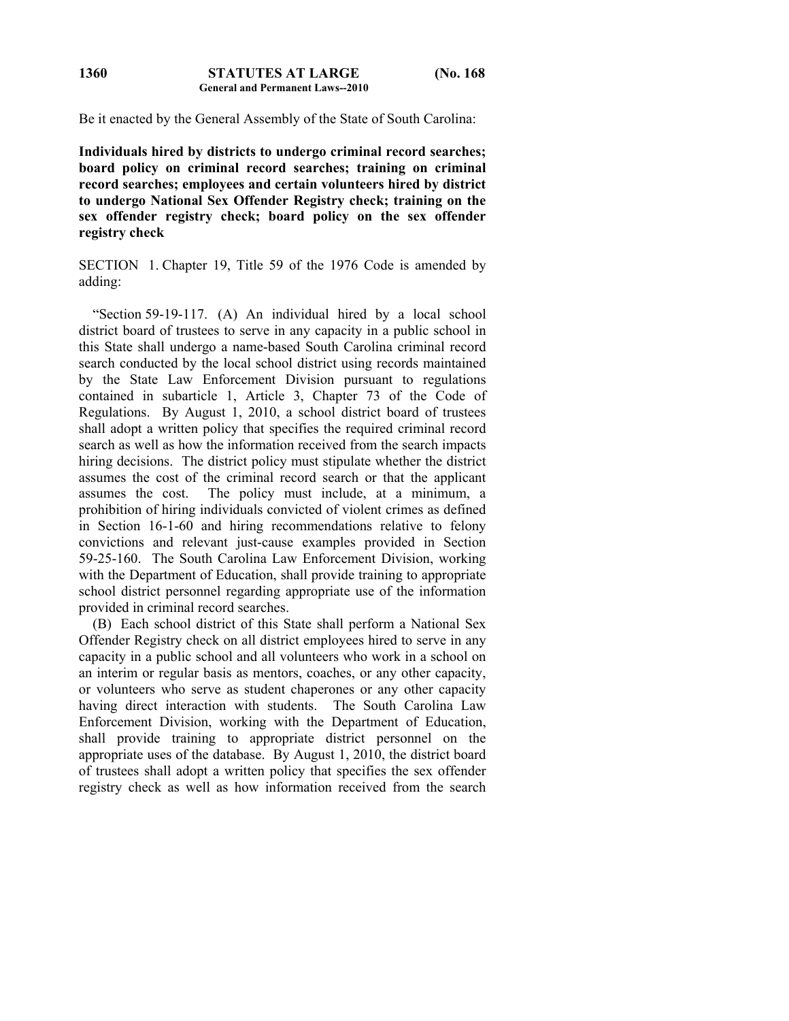Be it enacted by the General Assembly of the State of South Carolina:

**Individuals hired by districts to undergo criminal record searches; board policy on criminal record searches; training on criminal record searches; employees and certain volunteers hired by district to undergo National Sex Offender Registry check; training on the sex offender registry check; board policy on the sex offender registry check** 

SECTION 1. Chapter 19, Title 59 of the 1976 Code is amended by adding:

 "Section 59-19-117. (A) An individual hired by a local school district board of trustees to serve in any capacity in a public school in this State shall undergo a name-based South Carolina criminal record search conducted by the local school district using records maintained by the State Law Enforcement Division pursuant to regulations contained in subarticle 1, Article 3, Chapter 73 of the Code of Regulations. By August 1, 2010, a school district board of trustees shall adopt a written policy that specifies the required criminal record search as well as how the information received from the search impacts hiring decisions. The district policy must stipulate whether the district assumes the cost of the criminal record search or that the applicant assumes the cost. The policy must include, at a minimum, a prohibition of hiring individuals convicted of violent crimes as defined in Section 16-1-60 and hiring recommendations relative to felony convictions and relevant just-cause examples provided in Section 59-25-160. The South Carolina Law Enforcement Division, working with the Department of Education, shall provide training to appropriate school district personnel regarding appropriate use of the information provided in criminal record searches.

 (B) Each school district of this State shall perform a National Sex Offender Registry check on all district employees hired to serve in any capacity in a public school and all volunteers who work in a school on an interim or regular basis as mentors, coaches, or any other capacity, or volunteers who serve as student chaperones or any other capacity having direct interaction with students. The South Carolina Law Enforcement Division, working with the Department of Education, shall provide training to appropriate district personnel on the appropriate uses of the database. By August 1, 2010, the district board of trustees shall adopt a written policy that specifies the sex offender registry check as well as how information received from the search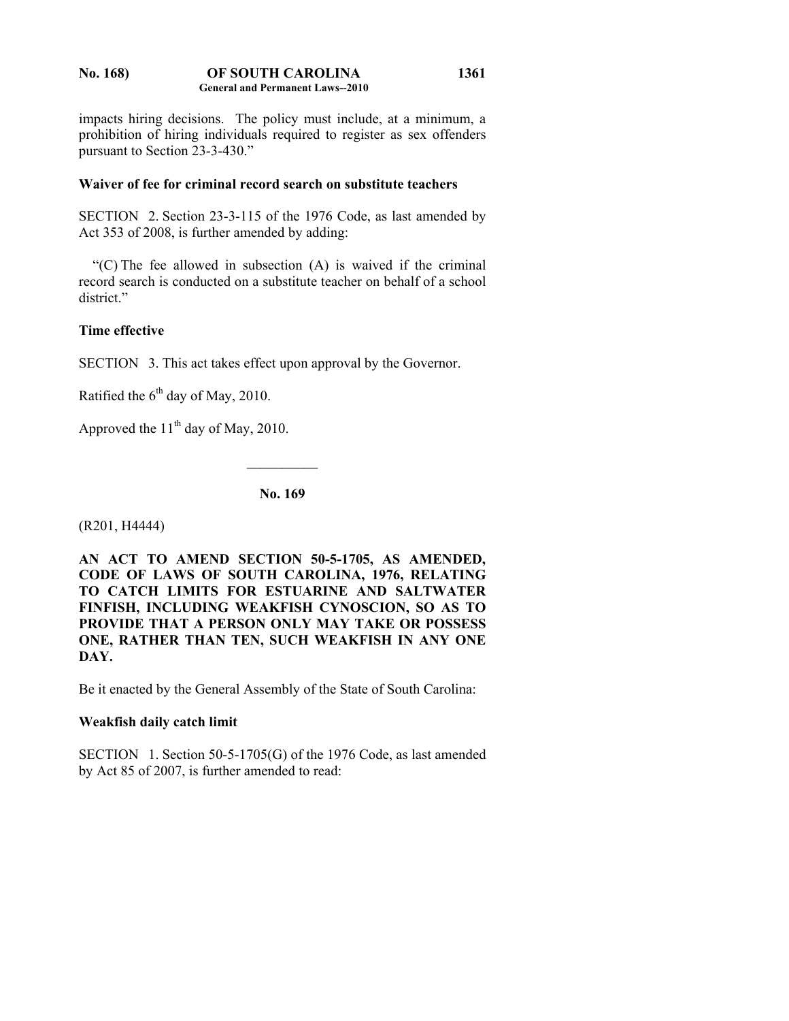#### **No. 168) OF SOUTH CAROLINA General and Permanent Laws--2010 1361**

impacts hiring decisions. The policy must include, at a minimum, a prohibition of hiring individuals required to register as sex offenders pursuant to Section 23-3-430."

## **Waiver of fee for criminal record search on substitute teachers**

SECTION 2. Section 23-3-115 of the 1976 Code, as last amended by Act 353 of 2008, is further amended by adding:

 "(C) The fee allowed in subsection (A) is waived if the criminal record search is conducted on a substitute teacher on behalf of a school district."

## **Time effective**

SECTION 3. This act takes effect upon approval by the Governor.

Ratified the  $6<sup>th</sup>$  day of May, 2010.

Approved the  $11<sup>th</sup>$  day of May, 2010.

**No. 169** 

 $\frac{1}{2}$ 

(R201, H4444)

**AN ACT TO AMEND SECTION 50-5-1705, AS AMENDED, CODE OF LAWS OF SOUTH CAROLINA, 1976, RELATING TO CATCH LIMITS FOR ESTUARINE AND SALTWATER FINFISH, INCLUDING WEAKFISH CYNOSCION, SO AS TO PROVIDE THAT A PERSON ONLY MAY TAKE OR POSSESS ONE, RATHER THAN TEN, SUCH WEAKFISH IN ANY ONE DAY.** 

Be it enacted by the General Assembly of the State of South Carolina:

## **Weakfish daily catch limit**

SECTION 1. Section 50-5-1705(G) of the 1976 Code, as last amended by Act 85 of 2007, is further amended to read: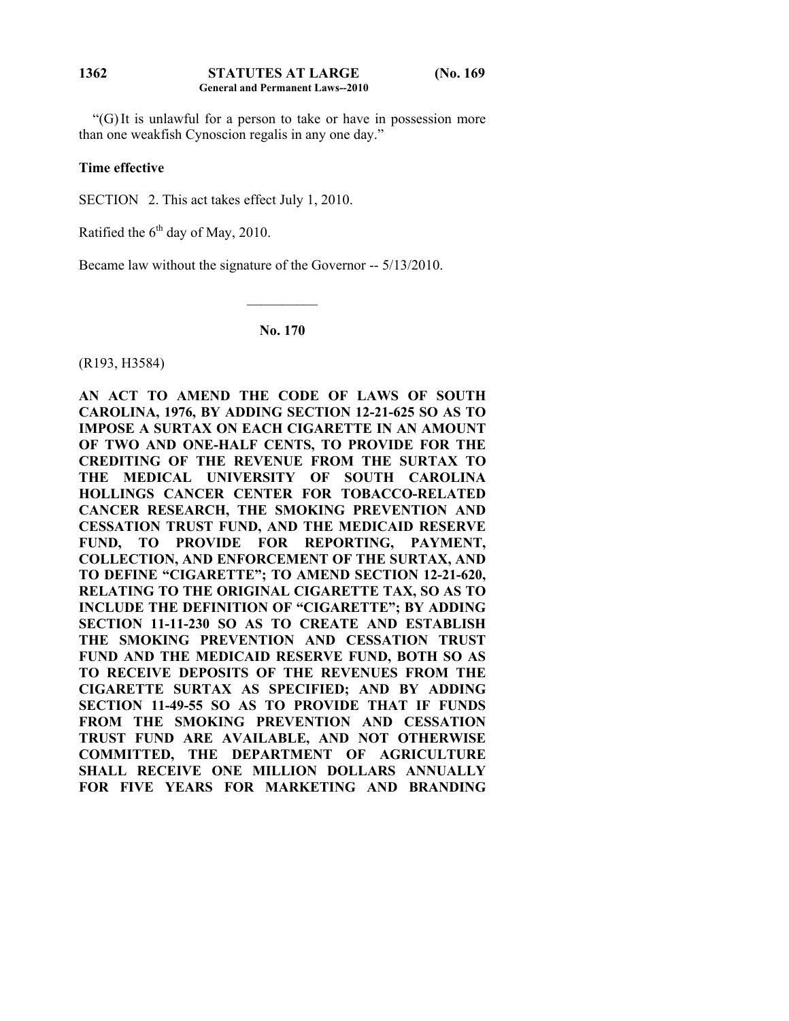#### **STATUTES AT LARGE (No. 169 General and Permanent Laws--2010 1362**

 "(G) It is unlawful for a person to take or have in possession more than one weakfish Cynoscion regalis in any one day."

### **Time effective**

SECTION 2. This act takes effect July 1, 2010.

Ratified the  $6<sup>th</sup>$  day of May, 2010.

Became law without the signature of the Governor -- 5/13/2010.

**No. 170** 

 $\mathcal{L}_\text{max}$ 

(R193, H3584)

**AN ACT TO AMEND THE CODE OF LAWS OF SOUTH CAROLINA, 1976, BY ADDING SECTION 12-21-625 SO AS TO IMPOSE A SURTAX ON EACH CIGARETTE IN AN AMOUNT OF TWO AND ONE-HALF CENTS, TO PROVIDE FOR THE CREDITING OF THE REVENUE FROM THE SURTAX TO THE MEDICAL UNIVERSITY OF SOUTH CAROLINA HOLLINGS CANCER CENTER FOR TOBACCO-RELATED CANCER RESEARCH, THE SMOKING PREVENTION AND CESSATION TRUST FUND, AND THE MEDICAID RESERVE FUND, TO PROVIDE FOR REPORTING, PAYMENT, COLLECTION, AND ENFORCEMENT OF THE SURTAX, AND TO DEFINE "CIGARETTE"; TO AMEND SECTION 12-21-620, RELATING TO THE ORIGINAL CIGARETTE TAX, SO AS TO INCLUDE THE DEFINITION OF "CIGARETTE"; BY ADDING SECTION 11-11-230 SO AS TO CREATE AND ESTABLISH THE SMOKING PREVENTION AND CESSATION TRUST FUND AND THE MEDICAID RESERVE FUND, BOTH SO AS TO RECEIVE DEPOSITS OF THE REVENUES FROM THE CIGARETTE SURTAX AS SPECIFIED; AND BY ADDING SECTION 11-49-55 SO AS TO PROVIDE THAT IF FUNDS FROM THE SMOKING PREVENTION AND CESSATION TRUST FUND ARE AVAILABLE, AND NOT OTHERWISE COMMITTED, THE DEPARTMENT OF AGRICULTURE SHALL RECEIVE ONE MILLION DOLLARS ANNUALLY FOR FIVE YEARS FOR MARKETING AND BRANDING**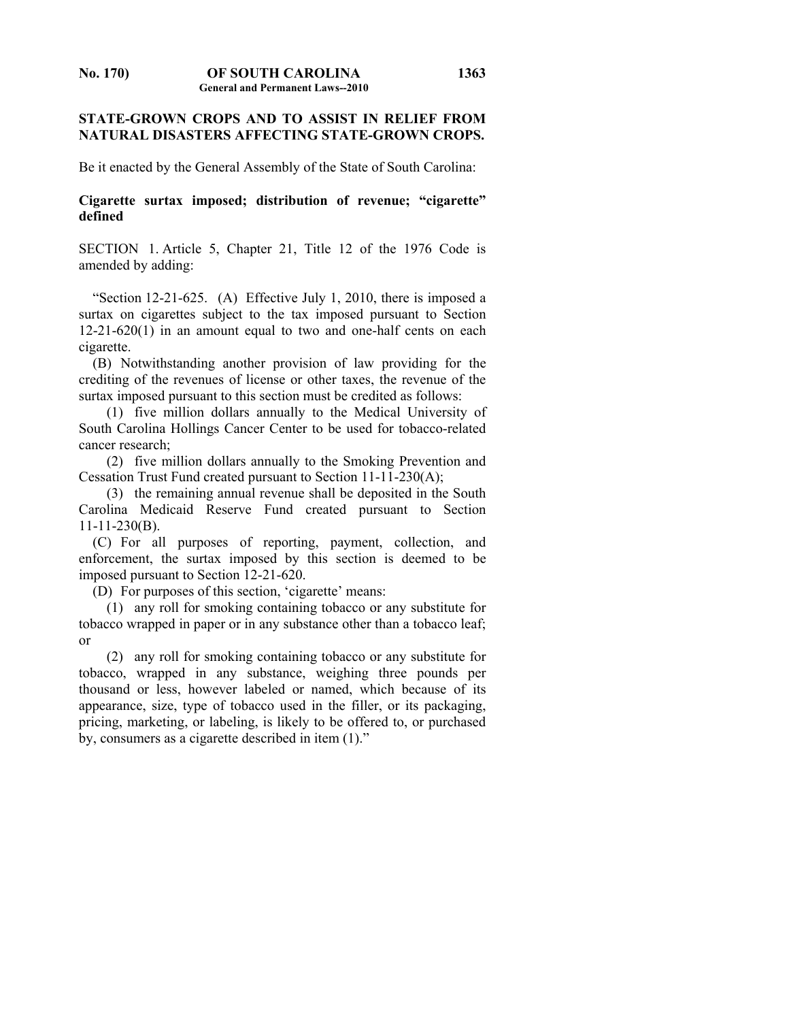## **STATE-GROWN CROPS AND TO ASSIST IN RELIEF FROM NATURAL DISASTERS AFFECTING STATE-GROWN CROPS.**

Be it enacted by the General Assembly of the State of South Carolina:

## **Cigarette surtax imposed; distribution of revenue; "cigarette" defined**

SECTION 1. Article 5, Chapter 21, Title 12 of the 1976 Code is amended by adding:

 "Section 12-21-625. (A) Effective July 1, 2010, there is imposed a surtax on cigarettes subject to the tax imposed pursuant to Section 12-21-620(1) in an amount equal to two and one-half cents on each cigarette.

 (B) Notwithstanding another provision of law providing for the crediting of the revenues of license or other taxes, the revenue of the surtax imposed pursuant to this section must be credited as follows:

 (1) five million dollars annually to the Medical University of South Carolina Hollings Cancer Center to be used for tobacco-related cancer research;

 (2) five million dollars annually to the Smoking Prevention and Cessation Trust Fund created pursuant to Section 11-11-230(A);

 (3) the remaining annual revenue shall be deposited in the South Carolina Medicaid Reserve Fund created pursuant to Section 11-11-230(B).

 (C) For all purposes of reporting, payment, collection, and enforcement, the surtax imposed by this section is deemed to be imposed pursuant to Section 12-21-620.

(D) For purposes of this section, 'cigarette' means:

 (1) any roll for smoking containing tobacco or any substitute for tobacco wrapped in paper or in any substance other than a tobacco leaf; or

 (2) any roll for smoking containing tobacco or any substitute for tobacco, wrapped in any substance, weighing three pounds per thousand or less, however labeled or named, which because of its appearance, size, type of tobacco used in the filler, or its packaging, pricing, marketing, or labeling, is likely to be offered to, or purchased by, consumers as a cigarette described in item (1)."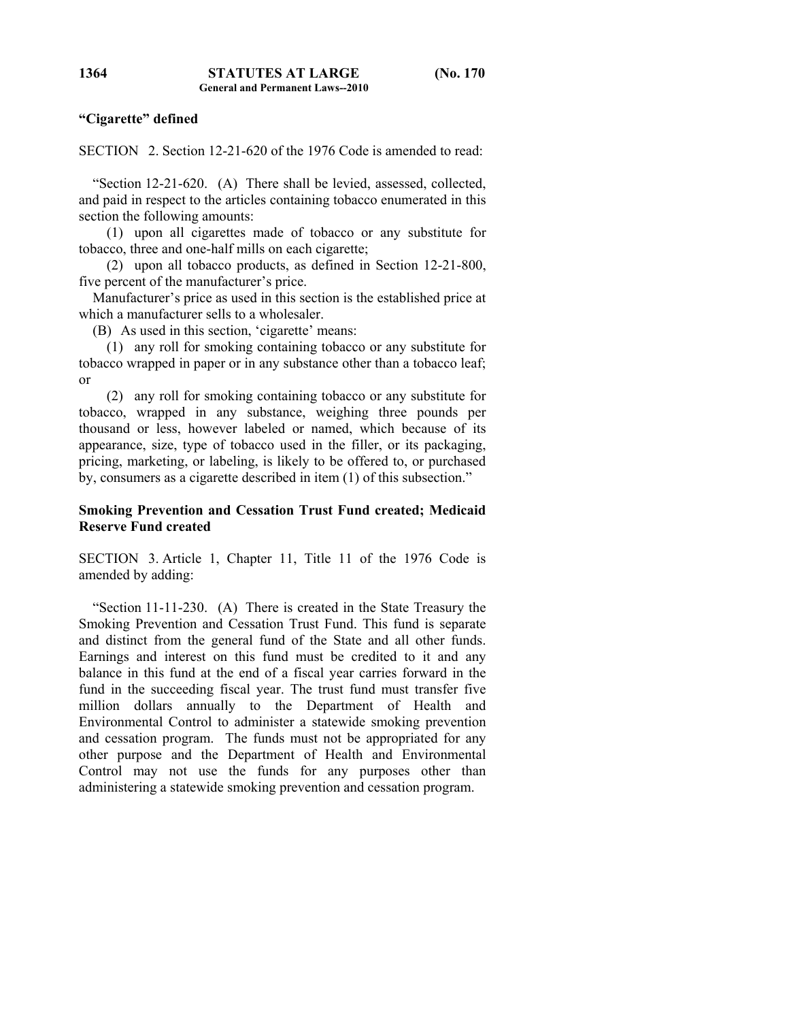## **"Cigarette" defined**

SECTION 2. Section 12-21-620 of the 1976 Code is amended to read:

 "Section 12-21-620. (A) There shall be levied, assessed, collected, and paid in respect to the articles containing tobacco enumerated in this section the following amounts:

 (1) upon all cigarettes made of tobacco or any substitute for tobacco, three and one-half mills on each cigarette;

 (2) upon all tobacco products, as defined in Section 12-21-800, five percent of the manufacturer's price.

 Manufacturer's price as used in this section is the established price at which a manufacturer sells to a wholesaler.

(B) As used in this section, 'cigarette' means:

 (1) any roll for smoking containing tobacco or any substitute for tobacco wrapped in paper or in any substance other than a tobacco leaf; or

 (2) any roll for smoking containing tobacco or any substitute for tobacco, wrapped in any substance, weighing three pounds per thousand or less, however labeled or named, which because of its appearance, size, type of tobacco used in the filler, or its packaging, pricing, marketing, or labeling, is likely to be offered to, or purchased by, consumers as a cigarette described in item (1) of this subsection."

## **Smoking Prevention and Cessation Trust Fund created; Medicaid Reserve Fund created**

SECTION 3. Article 1, Chapter 11, Title 11 of the 1976 Code is amended by adding:

 "Section 11-11-230. (A) There is created in the State Treasury the Smoking Prevention and Cessation Trust Fund. This fund is separate and distinct from the general fund of the State and all other funds. Earnings and interest on this fund must be credited to it and any balance in this fund at the end of a fiscal year carries forward in the fund in the succeeding fiscal year. The trust fund must transfer five million dollars annually to the Department of Health and Environmental Control to administer a statewide smoking prevention and cessation program. The funds must not be appropriated for any other purpose and the Department of Health and Environmental Control may not use the funds for any purposes other than administering a statewide smoking prevention and cessation program.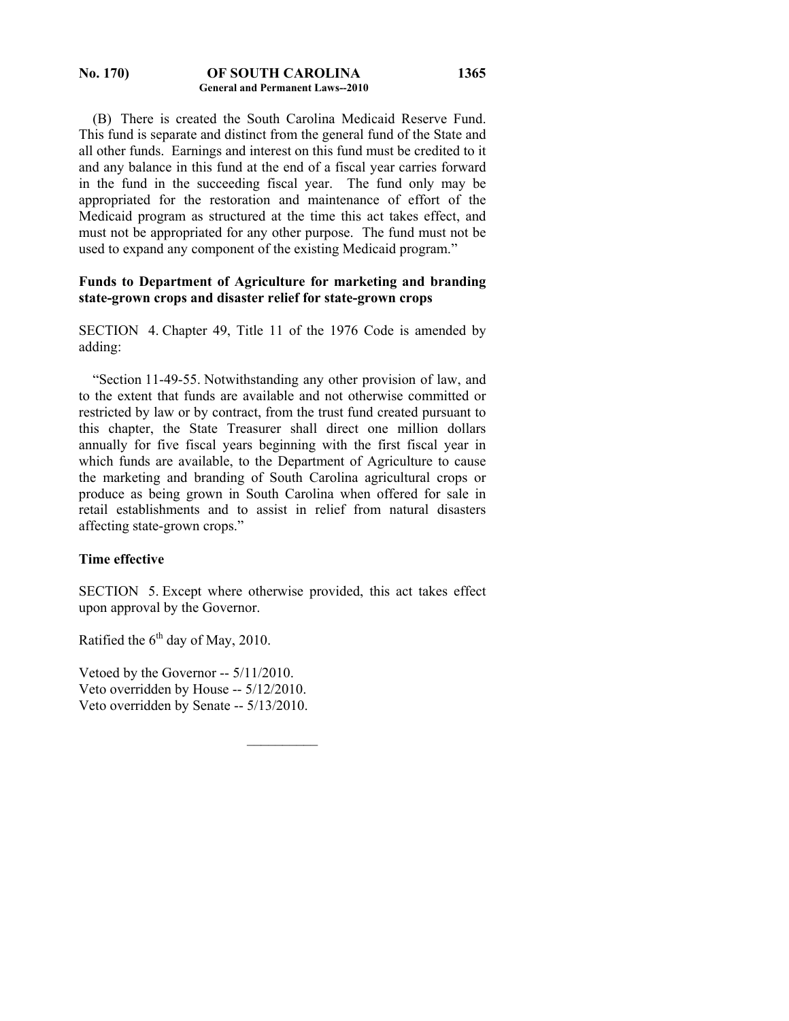#### **No. 170) OF SOUTH CAROLINA General and Permanent Laws--2010**

 (B) There is created the South Carolina Medicaid Reserve Fund. This fund is separate and distinct from the general fund of the State and all other funds. Earnings and interest on this fund must be credited to it and any balance in this fund at the end of a fiscal year carries forward in the fund in the succeeding fiscal year. The fund only may be appropriated for the restoration and maintenance of effort of the Medicaid program as structured at the time this act takes effect, and must not be appropriated for any other purpose. The fund must not be used to expand any component of the existing Medicaid program."

## **Funds to Department of Agriculture for marketing and branding state-grown crops and disaster relief for state-grown crops**

SECTION 4. Chapter 49, Title 11 of the 1976 Code is amended by adding:

 "Section 11-49-55. Notwithstanding any other provision of law, and to the extent that funds are available and not otherwise committed or restricted by law or by contract, from the trust fund created pursuant to this chapter, the State Treasurer shall direct one million dollars annually for five fiscal years beginning with the first fiscal year in which funds are available, to the Department of Agriculture to cause the marketing and branding of South Carolina agricultural crops or produce as being grown in South Carolina when offered for sale in retail establishments and to assist in relief from natural disasters affecting state-grown crops."

## **Time effective**

SECTION 5. Except where otherwise provided, this act takes effect upon approval by the Governor.

 $\mathcal{L}_\text{max}$ 

Ratified the  $6<sup>th</sup>$  day of May, 2010.

Vetoed by the Governor -- 5/11/2010. Veto overridden by House -- 5/12/2010. Veto overridden by Senate -- 5/13/2010.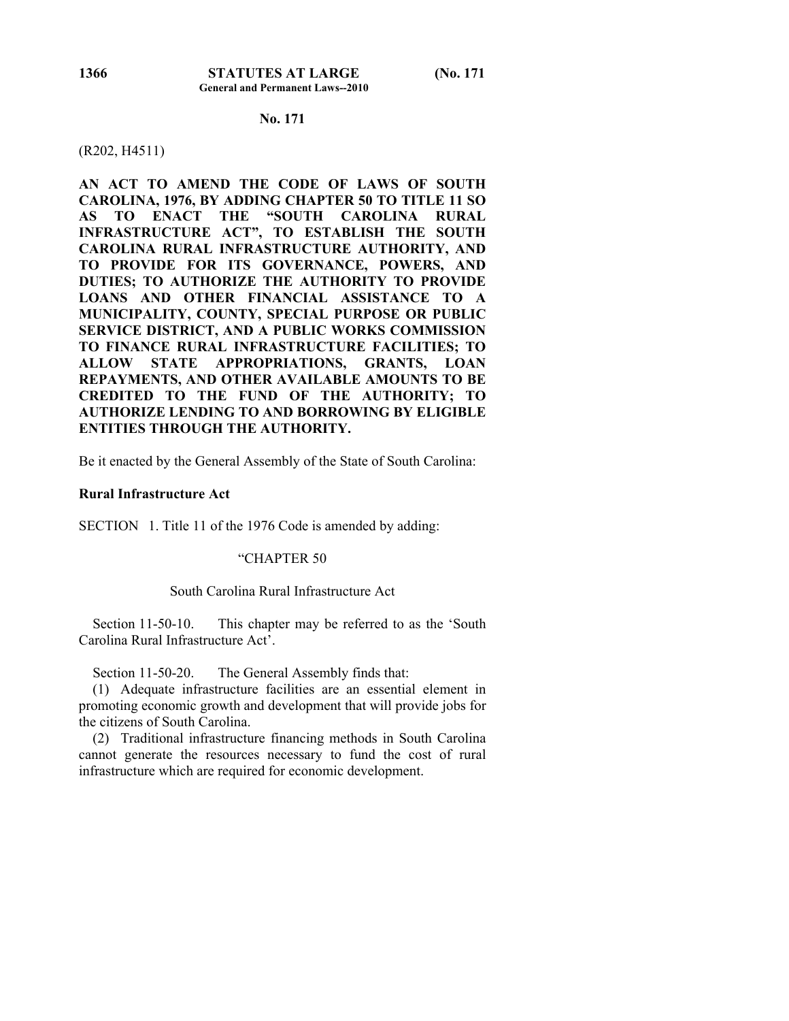### **No. 171**

#### (R202, H4511)

**AN ACT TO AMEND THE CODE OF LAWS OF SOUTH CAROLINA, 1976, BY ADDING CHAPTER 50 TO TITLE 11 SO AS TO ENACT THE "SOUTH CAROLINA RURAL INFRASTRUCTURE ACT", TO ESTABLISH THE SOUTH CAROLINA RURAL INFRASTRUCTURE AUTHORITY, AND TO PROVIDE FOR ITS GOVERNANCE, POWERS, AND DUTIES; TO AUTHORIZE THE AUTHORITY TO PROVIDE LOANS AND OTHER FINANCIAL ASSISTANCE TO A MUNICIPALITY, COUNTY, SPECIAL PURPOSE OR PUBLIC SERVICE DISTRICT, AND A PUBLIC WORKS COMMISSION TO FINANCE RURAL INFRASTRUCTURE FACILITIES; TO ALLOW STATE APPROPRIATIONS, GRANTS, LOAN REPAYMENTS, AND OTHER AVAILABLE AMOUNTS TO BE CREDITED TO THE FUND OF THE AUTHORITY; TO AUTHORIZE LENDING TO AND BORROWING BY ELIGIBLE ENTITIES THROUGH THE AUTHORITY.** 

Be it enacted by the General Assembly of the State of South Carolina:

### **Rural Infrastructure Act**

SECTION 1. Title 11 of the 1976 Code is amended by adding:

#### "CHAPTER 50

#### South Carolina Rural Infrastructure Act

Section 11-50-10. This chapter may be referred to as the 'South Carolina Rural Infrastructure Act'.

Section 11-50-20. The General Assembly finds that:

 (1) Adequate infrastructure facilities are an essential element in promoting economic growth and development that will provide jobs for the citizens of South Carolina.

 (2) Traditional infrastructure financing methods in South Carolina cannot generate the resources necessary to fund the cost of rural infrastructure which are required for economic development.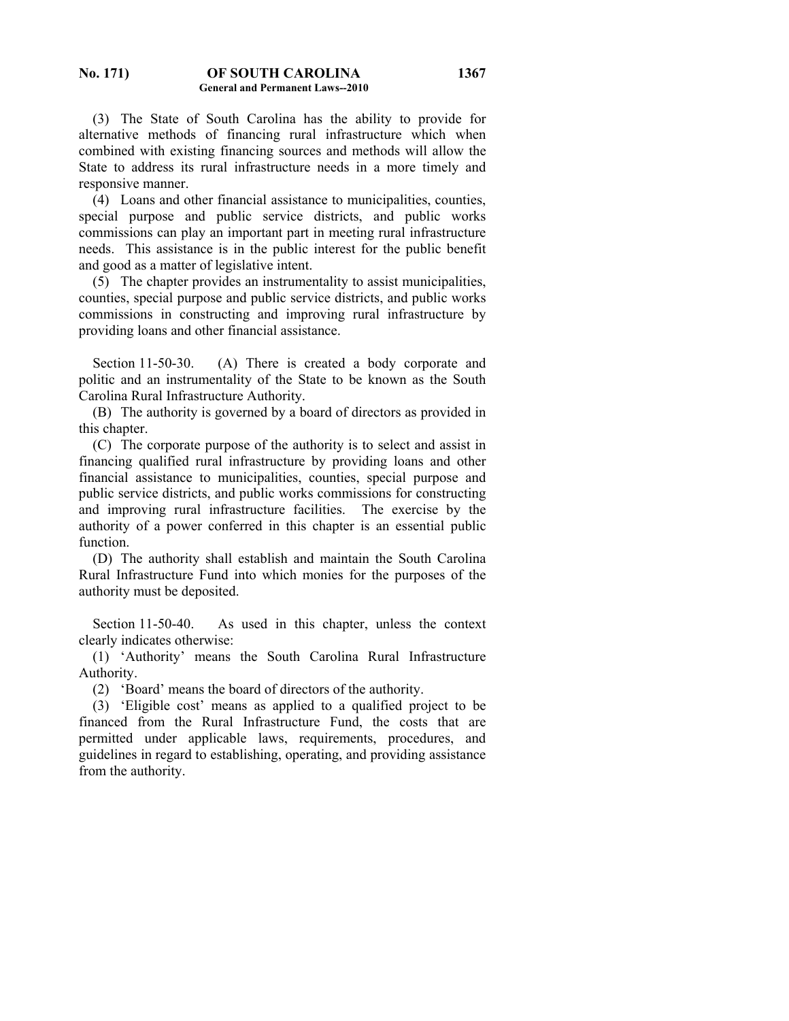(3) The State of South Carolina has the ability to provide for alternative methods of financing rural infrastructure which when combined with existing financing sources and methods will allow the State to address its rural infrastructure needs in a more timely and responsive manner.

 (4) Loans and other financial assistance to municipalities, counties, special purpose and public service districts, and public works commissions can play an important part in meeting rural infrastructure needs. This assistance is in the public interest for the public benefit and good as a matter of legislative intent.

 (5) The chapter provides an instrumentality to assist municipalities, counties, special purpose and public service districts, and public works commissions in constructing and improving rural infrastructure by providing loans and other financial assistance.

Section 11-50-30. (A) There is created a body corporate and politic and an instrumentality of the State to be known as the South Carolina Rural Infrastructure Authority.

 (B) The authority is governed by a board of directors as provided in this chapter.

 (C) The corporate purpose of the authority is to select and assist in financing qualified rural infrastructure by providing loans and other financial assistance to municipalities, counties, special purpose and public service districts, and public works commissions for constructing and improving rural infrastructure facilities. The exercise by the authority of a power conferred in this chapter is an essential public function.

 (D) The authority shall establish and maintain the South Carolina Rural Infrastructure Fund into which monies for the purposes of the authority must be deposited.

Section 11-50-40. As used in this chapter, unless the context clearly indicates otherwise:

 (1) 'Authority' means the South Carolina Rural Infrastructure Authority.

(2) 'Board' means the board of directors of the authority.

 (3) 'Eligible cost' means as applied to a qualified project to be financed from the Rural Infrastructure Fund, the costs that are permitted under applicable laws, requirements, procedures, and guidelines in regard to establishing, operating, and providing assistance from the authority.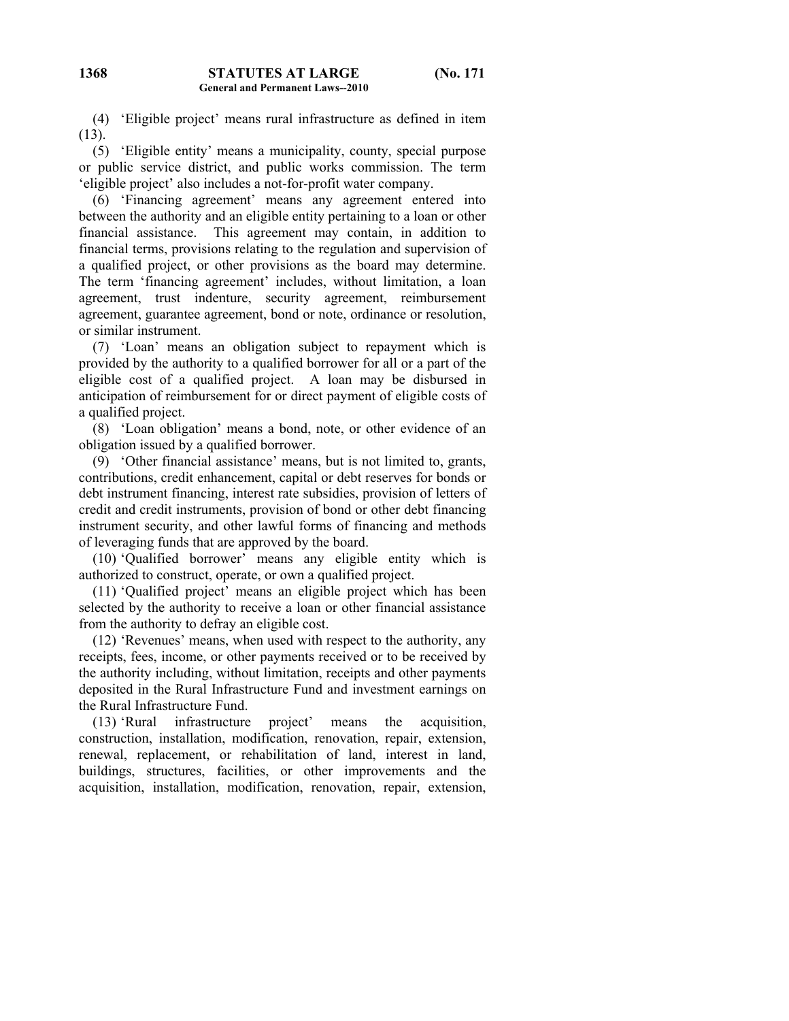(4) 'Eligible project' means rural infrastructure as defined in item (13).

 (5) 'Eligible entity' means a municipality, county, special purpose or public service district, and public works commission. The term 'eligible project' also includes a not-for-profit water company.

 (6) 'Financing agreement' means any agreement entered into between the authority and an eligible entity pertaining to a loan or other financial assistance. This agreement may contain, in addition to financial terms, provisions relating to the regulation and supervision of a qualified project, or other provisions as the board may determine. The term 'financing agreement' includes, without limitation, a loan agreement, trust indenture, security agreement, reimbursement agreement, guarantee agreement, bond or note, ordinance or resolution, or similar instrument.

 (7) 'Loan' means an obligation subject to repayment which is provided by the authority to a qualified borrower for all or a part of the eligible cost of a qualified project. A loan may be disbursed in anticipation of reimbursement for or direct payment of eligible costs of a qualified project.

 (8) 'Loan obligation' means a bond, note, or other evidence of an obligation issued by a qualified borrower.

 (9) 'Other financial assistance' means, but is not limited to, grants, contributions, credit enhancement, capital or debt reserves for bonds or debt instrument financing, interest rate subsidies, provision of letters of credit and credit instruments, provision of bond or other debt financing instrument security, and other lawful forms of financing and methods of leveraging funds that are approved by the board.

 (10) 'Qualified borrower' means any eligible entity which is authorized to construct, operate, or own a qualified project.

 (11) 'Qualified project' means an eligible project which has been selected by the authority to receive a loan or other financial assistance from the authority to defray an eligible cost.

 (12) 'Revenues' means, when used with respect to the authority, any receipts, fees, income, or other payments received or to be received by the authority including, without limitation, receipts and other payments deposited in the Rural Infrastructure Fund and investment earnings on the Rural Infrastructure Fund.

 (13) 'Rural infrastructure project' means the acquisition, construction, installation, modification, renovation, repair, extension, renewal, replacement, or rehabilitation of land, interest in land, buildings, structures, facilities, or other improvements and the acquisition, installation, modification, renovation, repair, extension,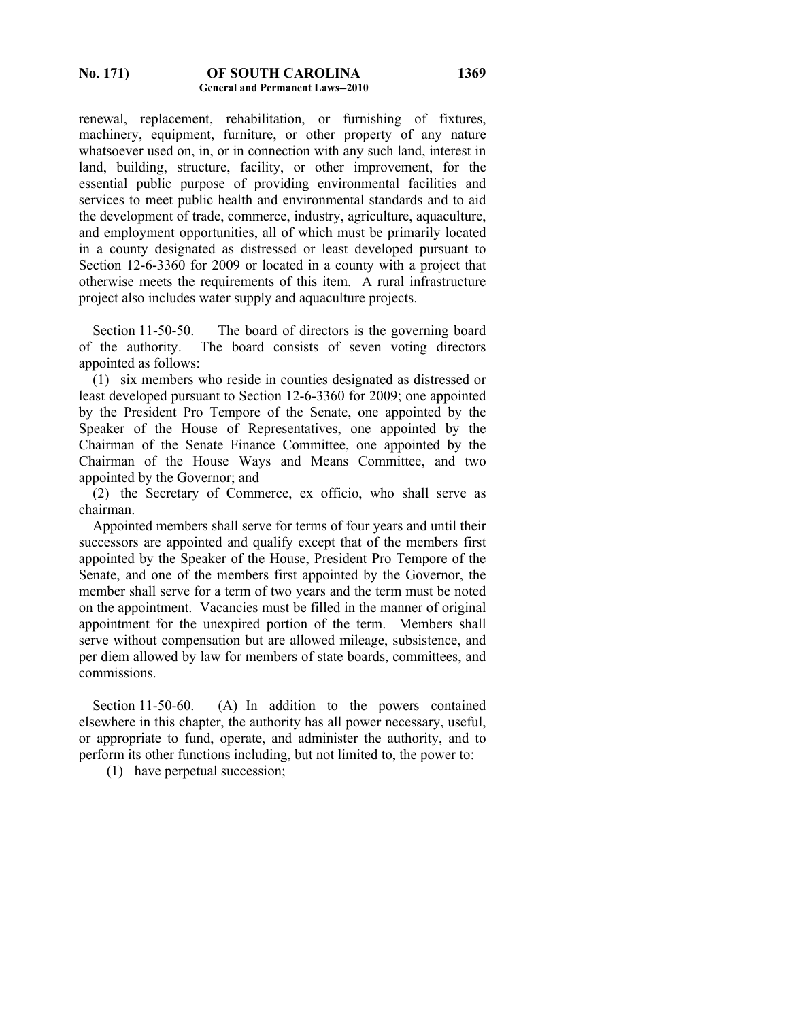#### **No. 171) OF SOUTH CAROLINA General and Permanent Laws--2010**

renewal, replacement, rehabilitation, or furnishing of fixtures, machinery, equipment, furniture, or other property of any nature whatsoever used on, in, or in connection with any such land, interest in land, building, structure, facility, or other improvement, for the essential public purpose of providing environmental facilities and services to meet public health and environmental standards and to aid the development of trade, commerce, industry, agriculture, aquaculture, and employment opportunities, all of which must be primarily located in a county designated as distressed or least developed pursuant to Section 12-6-3360 for 2009 or located in a county with a project that otherwise meets the requirements of this item. A rural infrastructure project also includes water supply and aquaculture projects.

 Section 11-50-50. The board of directors is the governing board of the authority. The board consists of seven voting directors appointed as follows:

 (1) six members who reside in counties designated as distressed or least developed pursuant to Section 12-6-3360 for 2009; one appointed by the President Pro Tempore of the Senate, one appointed by the Speaker of the House of Representatives, one appointed by the Chairman of the Senate Finance Committee, one appointed by the Chairman of the House Ways and Means Committee, and two appointed by the Governor; and

 (2) the Secretary of Commerce, ex officio, who shall serve as chairman.

 Appointed members shall serve for terms of four years and until their successors are appointed and qualify except that of the members first appointed by the Speaker of the House, President Pro Tempore of the Senate, and one of the members first appointed by the Governor, the member shall serve for a term of two years and the term must be noted on the appointment. Vacancies must be filled in the manner of original appointment for the unexpired portion of the term. Members shall serve without compensation but are allowed mileage, subsistence, and per diem allowed by law for members of state boards, committees, and commissions.

Section 11-50-60. (A) In addition to the powers contained elsewhere in this chapter, the authority has all power necessary, useful, or appropriate to fund, operate, and administer the authority, and to perform its other functions including, but not limited to, the power to:

(1) have perpetual succession;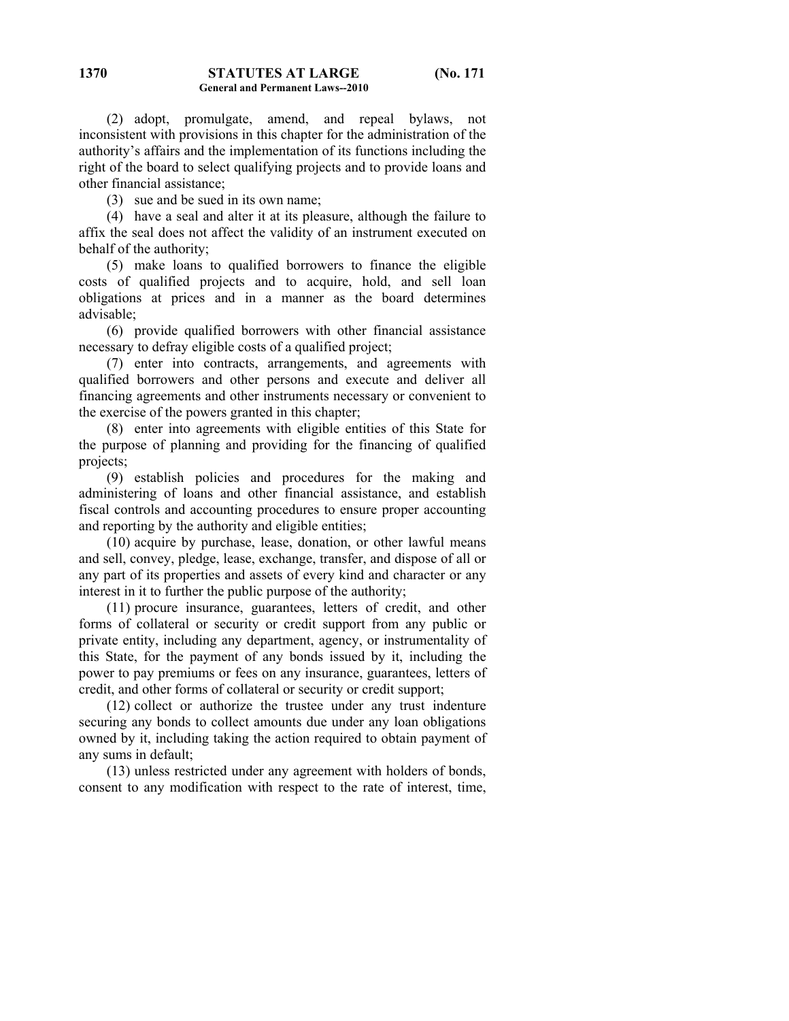(2) adopt, promulgate, amend, and repeal bylaws, not inconsistent with provisions in this chapter for the administration of the authority's affairs and the implementation of its functions including the right of the board to select qualifying projects and to provide loans and other financial assistance;

(3) sue and be sued in its own name;

 (4) have a seal and alter it at its pleasure, although the failure to affix the seal does not affect the validity of an instrument executed on behalf of the authority;

 (5) make loans to qualified borrowers to finance the eligible costs of qualified projects and to acquire, hold, and sell loan obligations at prices and in a manner as the board determines advisable;

 (6) provide qualified borrowers with other financial assistance necessary to defray eligible costs of a qualified project;

 (7) enter into contracts, arrangements, and agreements with qualified borrowers and other persons and execute and deliver all financing agreements and other instruments necessary or convenient to the exercise of the powers granted in this chapter;

 (8) enter into agreements with eligible entities of this State for the purpose of planning and providing for the financing of qualified projects;

 (9) establish policies and procedures for the making and administering of loans and other financial assistance, and establish fiscal controls and accounting procedures to ensure proper accounting and reporting by the authority and eligible entities;

 (10) acquire by purchase, lease, donation, or other lawful means and sell, convey, pledge, lease, exchange, transfer, and dispose of all or any part of its properties and assets of every kind and character or any interest in it to further the public purpose of the authority;

 (11) procure insurance, guarantees, letters of credit, and other forms of collateral or security or credit support from any public or private entity, including any department, agency, or instrumentality of this State, for the payment of any bonds issued by it, including the power to pay premiums or fees on any insurance, guarantees, letters of credit, and other forms of collateral or security or credit support;

 (12) collect or authorize the trustee under any trust indenture securing any bonds to collect amounts due under any loan obligations owned by it, including taking the action required to obtain payment of any sums in default;

 (13) unless restricted under any agreement with holders of bonds, consent to any modification with respect to the rate of interest, time,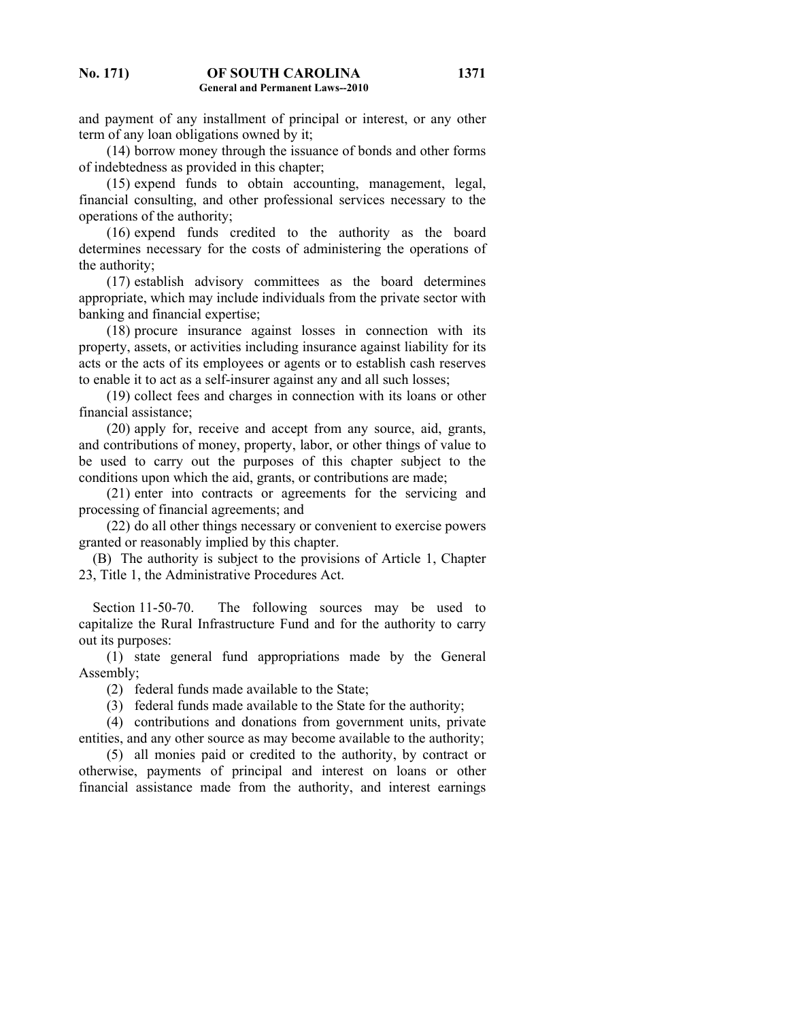and payment of any installment of principal or interest, or any other term of any loan obligations owned by it;

 (14) borrow money through the issuance of bonds and other forms of indebtedness as provided in this chapter;

 (15) expend funds to obtain accounting, management, legal, financial consulting, and other professional services necessary to the operations of the authority;

 (16) expend funds credited to the authority as the board determines necessary for the costs of administering the operations of the authority;

 (17) establish advisory committees as the board determines appropriate, which may include individuals from the private sector with banking and financial expertise;

 (18) procure insurance against losses in connection with its property, assets, or activities including insurance against liability for its acts or the acts of its employees or agents or to establish cash reserves to enable it to act as a self-insurer against any and all such losses;

 (19) collect fees and charges in connection with its loans or other financial assistance;

 (20) apply for, receive and accept from any source, aid, grants, and contributions of money, property, labor, or other things of value to be used to carry out the purposes of this chapter subject to the conditions upon which the aid, grants, or contributions are made;

 (21) enter into contracts or agreements for the servicing and processing of financial agreements; and

 (22) do all other things necessary or convenient to exercise powers granted or reasonably implied by this chapter.

 (B) The authority is subject to the provisions of Article 1, Chapter 23, Title 1, the Administrative Procedures Act.

Section 11-50-70. The following sources may be used to capitalize the Rural Infrastructure Fund and for the authority to carry out its purposes:

 (1) state general fund appropriations made by the General Assembly;

(2) federal funds made available to the State;

(3) federal funds made available to the State for the authority;

 (4) contributions and donations from government units, private entities, and any other source as may become available to the authority;

 (5) all monies paid or credited to the authority, by contract or otherwise, payments of principal and interest on loans or other financial assistance made from the authority, and interest earnings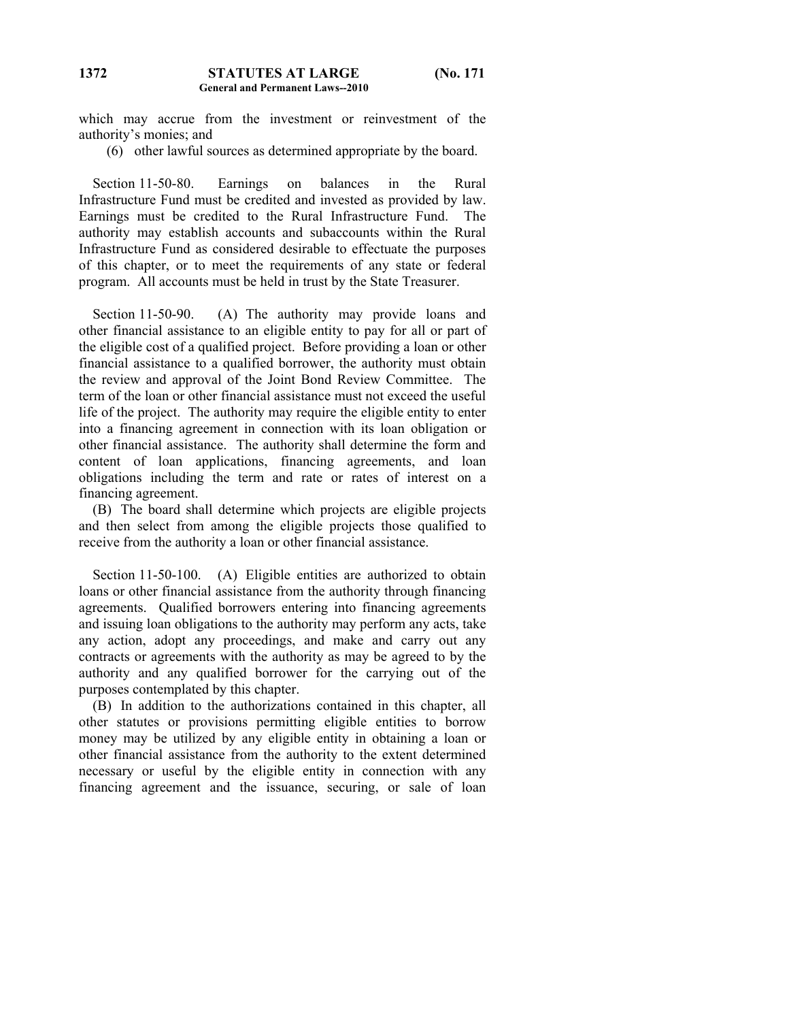which may accrue from the investment or reinvestment of the authority's monies; and

(6) other lawful sources as determined appropriate by the board.

 Section 11-50-80. Earnings on balances in the Rural Infrastructure Fund must be credited and invested as provided by law. Earnings must be credited to the Rural Infrastructure Fund. The authority may establish accounts and subaccounts within the Rural Infrastructure Fund as considered desirable to effectuate the purposes of this chapter, or to meet the requirements of any state or federal program. All accounts must be held in trust by the State Treasurer.

Section 11-50-90. (A) The authority may provide loans and other financial assistance to an eligible entity to pay for all or part of the eligible cost of a qualified project. Before providing a loan or other financial assistance to a qualified borrower, the authority must obtain the review and approval of the Joint Bond Review Committee. The term of the loan or other financial assistance must not exceed the useful life of the project. The authority may require the eligible entity to enter into a financing agreement in connection with its loan obligation or other financial assistance. The authority shall determine the form and content of loan applications, financing agreements, and loan obligations including the term and rate or rates of interest on a financing agreement.

 (B) The board shall determine which projects are eligible projects and then select from among the eligible projects those qualified to receive from the authority a loan or other financial assistance.

Section 11-50-100. (A) Eligible entities are authorized to obtain loans or other financial assistance from the authority through financing agreements. Qualified borrowers entering into financing agreements and issuing loan obligations to the authority may perform any acts, take any action, adopt any proceedings, and make and carry out any contracts or agreements with the authority as may be agreed to by the authority and any qualified borrower for the carrying out of the purposes contemplated by this chapter.

 (B) In addition to the authorizations contained in this chapter, all other statutes or provisions permitting eligible entities to borrow money may be utilized by any eligible entity in obtaining a loan or other financial assistance from the authority to the extent determined necessary or useful by the eligible entity in connection with any financing agreement and the issuance, securing, or sale of loan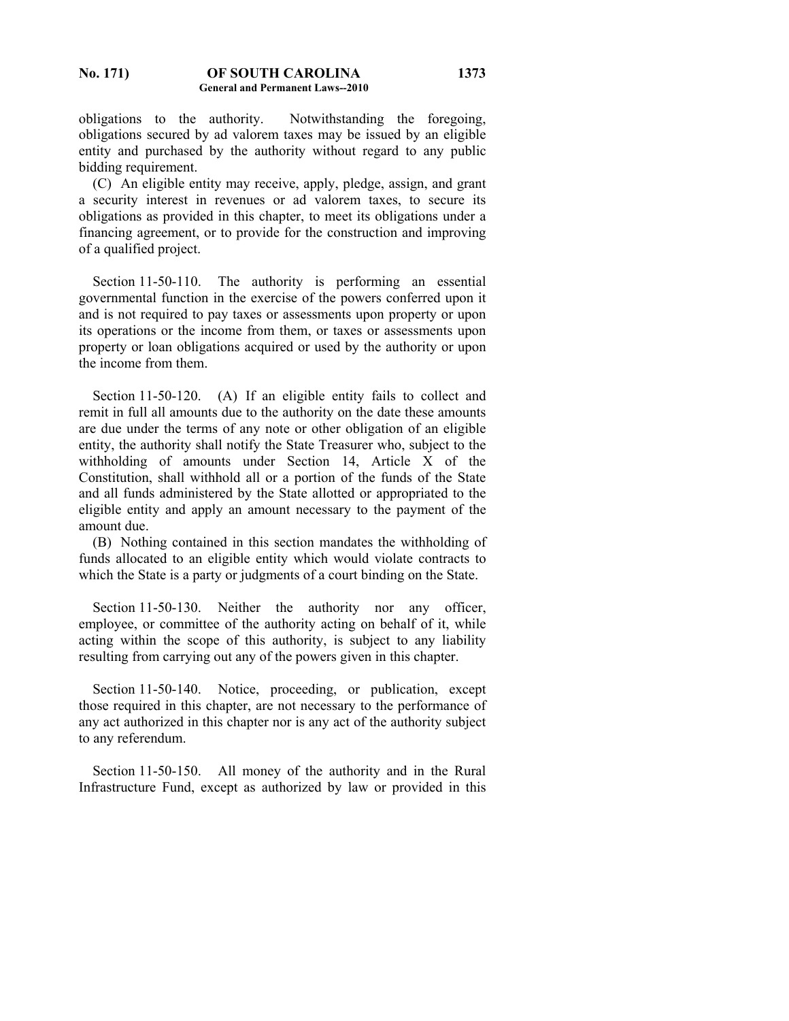obligations to the authority. Notwithstanding the foregoing, obligations secured by ad valorem taxes may be issued by an eligible entity and purchased by the authority without regard to any public bidding requirement.

 (C) An eligible entity may receive, apply, pledge, assign, and grant a security interest in revenues or ad valorem taxes, to secure its obligations as provided in this chapter, to meet its obligations under a financing agreement, or to provide for the construction and improving of a qualified project.

Section 11-50-110. The authority is performing an essential governmental function in the exercise of the powers conferred upon it and is not required to pay taxes or assessments upon property or upon its operations or the income from them, or taxes or assessments upon property or loan obligations acquired or used by the authority or upon the income from them.

Section 11-50-120. (A) If an eligible entity fails to collect and remit in full all amounts due to the authority on the date these amounts are due under the terms of any note or other obligation of an eligible entity, the authority shall notify the State Treasurer who, subject to the withholding of amounts under Section 14, Article X of the Constitution, shall withhold all or a portion of the funds of the State and all funds administered by the State allotted or appropriated to the eligible entity and apply an amount necessary to the payment of the amount due.

 (B) Nothing contained in this section mandates the withholding of funds allocated to an eligible entity which would violate contracts to which the State is a party or judgments of a court binding on the State.

Section 11-50-130. Neither the authority nor any officer, employee, or committee of the authority acting on behalf of it, while acting within the scope of this authority, is subject to any liability resulting from carrying out any of the powers given in this chapter.

Section 11-50-140. Notice, proceeding, or publication, except those required in this chapter, are not necessary to the performance of any act authorized in this chapter nor is any act of the authority subject to any referendum.

 Section 11-50-150. All money of the authority and in the Rural Infrastructure Fund, except as authorized by law or provided in this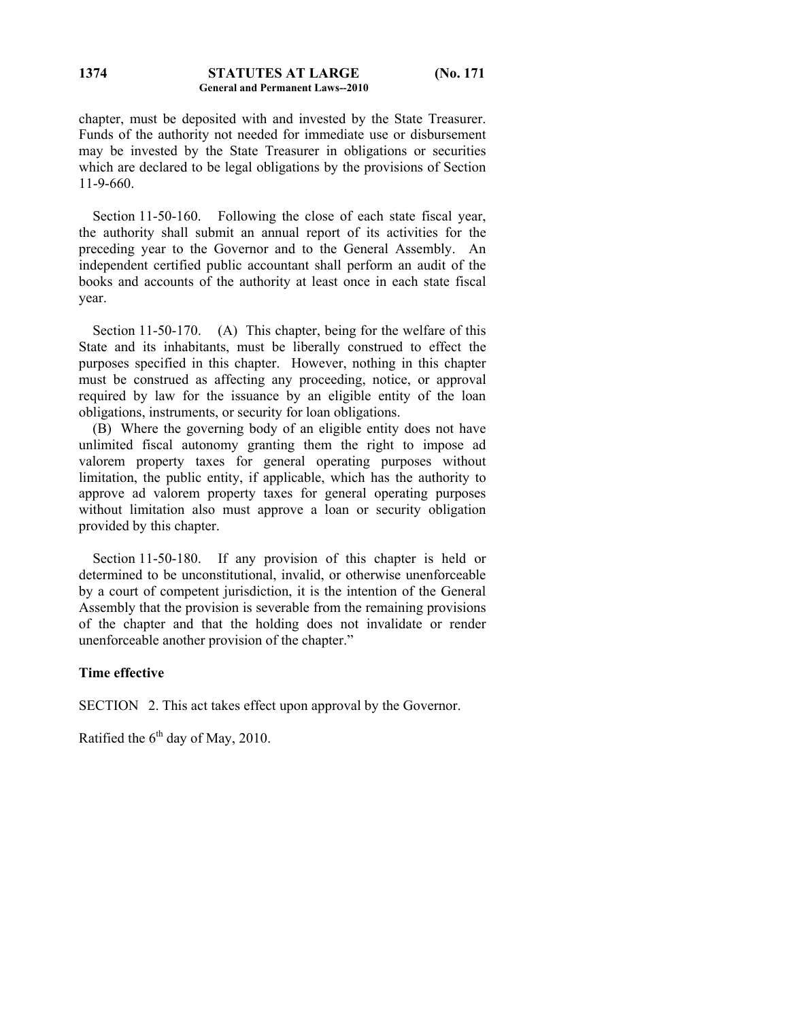#### **STATUTES AT LARGE (No. 171 General and Permanent Laws--2010 1374**

chapter, must be deposited with and invested by the State Treasurer. Funds of the authority not needed for immediate use or disbursement may be invested by the State Treasurer in obligations or securities which are declared to be legal obligations by the provisions of Section 11-9-660.

Section 11-50-160. Following the close of each state fiscal year, the authority shall submit an annual report of its activities for the preceding year to the Governor and to the General Assembly. An independent certified public accountant shall perform an audit of the books and accounts of the authority at least once in each state fiscal year.

Section 11-50-170. (A) This chapter, being for the welfare of this State and its inhabitants, must be liberally construed to effect the purposes specified in this chapter. However, nothing in this chapter must be construed as affecting any proceeding, notice, or approval required by law for the issuance by an eligible entity of the loan obligations, instruments, or security for loan obligations.

 (B) Where the governing body of an eligible entity does not have unlimited fiscal autonomy granting them the right to impose ad valorem property taxes for general operating purposes without limitation, the public entity, if applicable, which has the authority to approve ad valorem property taxes for general operating purposes without limitation also must approve a loan or security obligation provided by this chapter.

 Section 11-50-180. If any provision of this chapter is held or determined to be unconstitutional, invalid, or otherwise unenforceable by a court of competent jurisdiction, it is the intention of the General Assembly that the provision is severable from the remaining provisions of the chapter and that the holding does not invalidate or render unenforceable another provision of the chapter."

## **Time effective**

SECTION 2. This act takes effect upon approval by the Governor.

Ratified the  $6<sup>th</sup>$  day of May, 2010.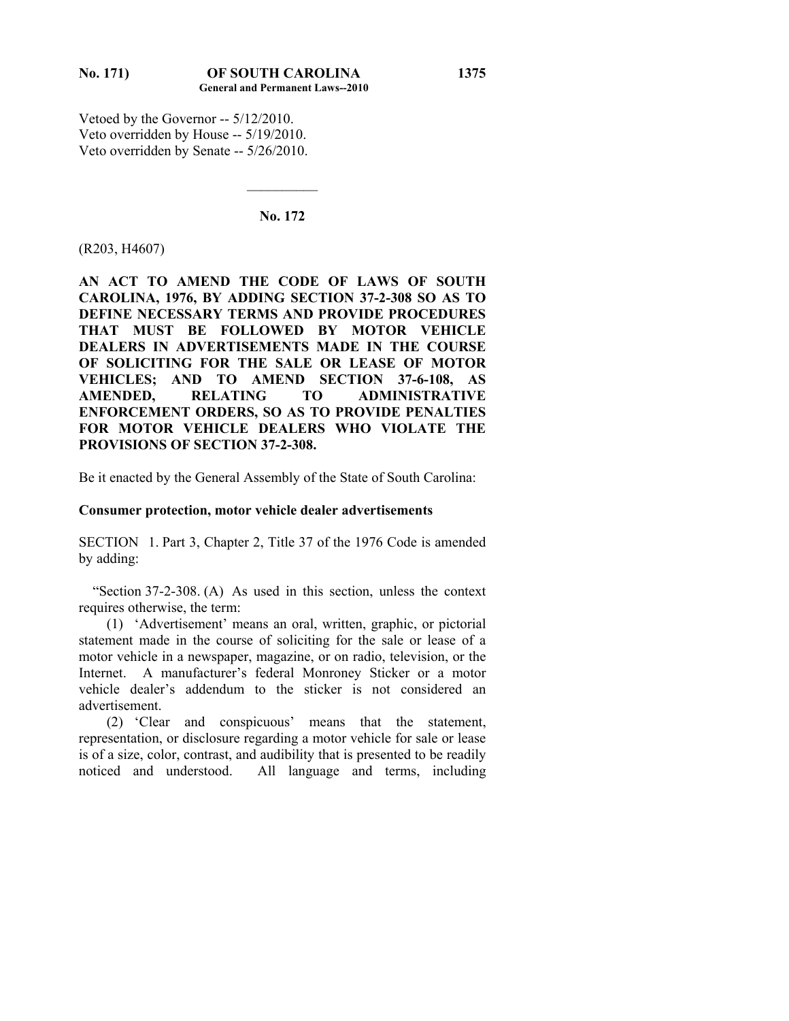Vetoed by the Governor -- 5/12/2010. Veto overridden by House -- 5/19/2010. Veto overridden by Senate -- 5/26/2010.

#### **No. 172**

 $\mathcal{L}_\text{max}$ 

#### (R203, H4607)

**AN ACT TO AMEND THE CODE OF LAWS OF SOUTH CAROLINA, 1976, BY ADDING SECTION 37-2-308 SO AS TO DEFINE NECESSARY TERMS AND PROVIDE PROCEDURES THAT MUST BE FOLLOWED BY MOTOR VEHICLE DEALERS IN ADVERTISEMENTS MADE IN THE COURSE OF SOLICITING FOR THE SALE OR LEASE OF MOTOR VEHICLES; AND TO AMEND SECTION 37-6-108, AS AMENDED, RELATING TO ADMINISTRATIVE ENFORCEMENT ORDERS, SO AS TO PROVIDE PENALTIES FOR MOTOR VEHICLE DEALERS WHO VIOLATE THE PROVISIONS OF SECTION 37-2-308.** 

Be it enacted by the General Assembly of the State of South Carolina:

#### **Consumer protection, motor vehicle dealer advertisements**

SECTION 1. Part 3, Chapter 2, Title 37 of the 1976 Code is amended by adding:

 "Section 37-2-308. (A) As used in this section, unless the context requires otherwise, the term:

 (1) 'Advertisement' means an oral, written, graphic, or pictorial statement made in the course of soliciting for the sale or lease of a motor vehicle in a newspaper, magazine, or on radio, television, or the Internet. A manufacturer's federal Monroney Sticker or a motor vehicle dealer's addendum to the sticker is not considered an advertisement.

 (2) 'Clear and conspicuous' means that the statement, representation, or disclosure regarding a motor vehicle for sale or lease is of a size, color, contrast, and audibility that is presented to be readily noticed and understood. All language and terms, including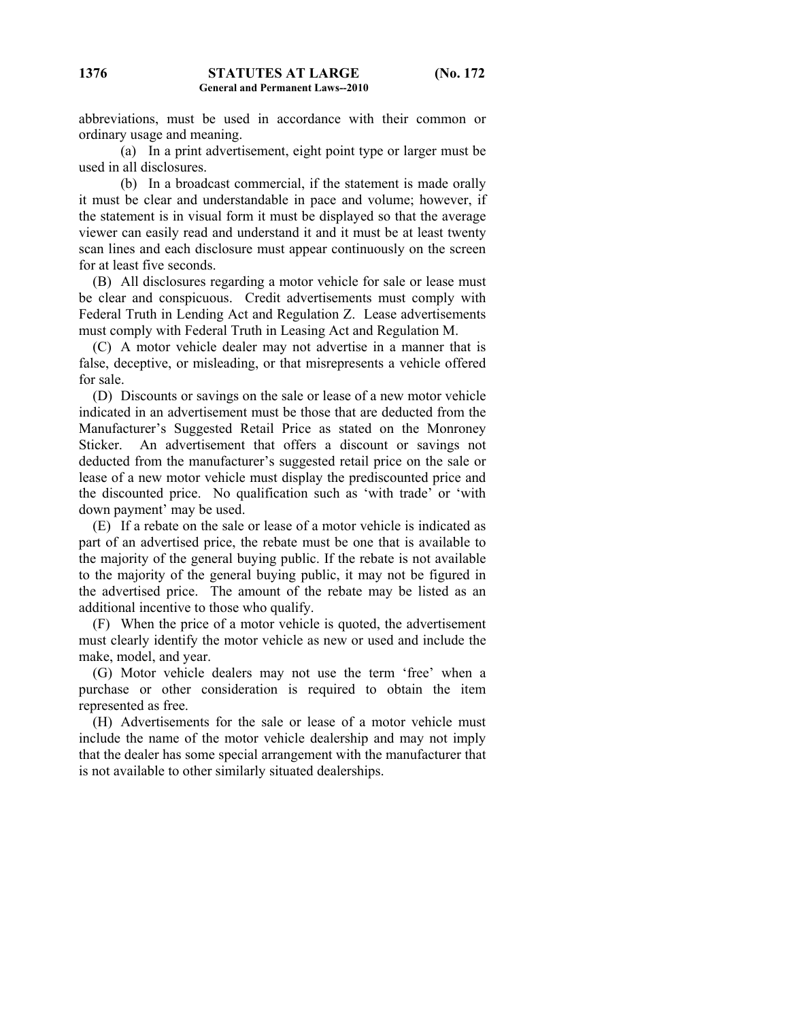abbreviations, must be used in accordance with their common or ordinary usage and meaning.

 (a) In a print advertisement, eight point type or larger must be used in all disclosures.

 (b) In a broadcast commercial, if the statement is made orally it must be clear and understandable in pace and volume; however, if the statement is in visual form it must be displayed so that the average viewer can easily read and understand it and it must be at least twenty scan lines and each disclosure must appear continuously on the screen for at least five seconds.

 (B) All disclosures regarding a motor vehicle for sale or lease must be clear and conspicuous. Credit advertisements must comply with Federal Truth in Lending Act and Regulation Z. Lease advertisements must comply with Federal Truth in Leasing Act and Regulation M.

 (C) A motor vehicle dealer may not advertise in a manner that is false, deceptive, or misleading, or that misrepresents a vehicle offered for sale.

 (D) Discounts or savings on the sale or lease of a new motor vehicle indicated in an advertisement must be those that are deducted from the Manufacturer's Suggested Retail Price as stated on the Monroney Sticker. An advertisement that offers a discount or savings not deducted from the manufacturer's suggested retail price on the sale or lease of a new motor vehicle must display the prediscounted price and the discounted price. No qualification such as 'with trade' or 'with down payment' may be used.

 (E) If a rebate on the sale or lease of a motor vehicle is indicated as part of an advertised price, the rebate must be one that is available to the majority of the general buying public. If the rebate is not available to the majority of the general buying public, it may not be figured in the advertised price. The amount of the rebate may be listed as an additional incentive to those who qualify.

 (F) When the price of a motor vehicle is quoted, the advertisement must clearly identify the motor vehicle as new or used and include the make, model, and year.

 (G) Motor vehicle dealers may not use the term 'free' when a purchase or other consideration is required to obtain the item represented as free.

 (H) Advertisements for the sale or lease of a motor vehicle must include the name of the motor vehicle dealership and may not imply that the dealer has some special arrangement with the manufacturer that is not available to other similarly situated dealerships.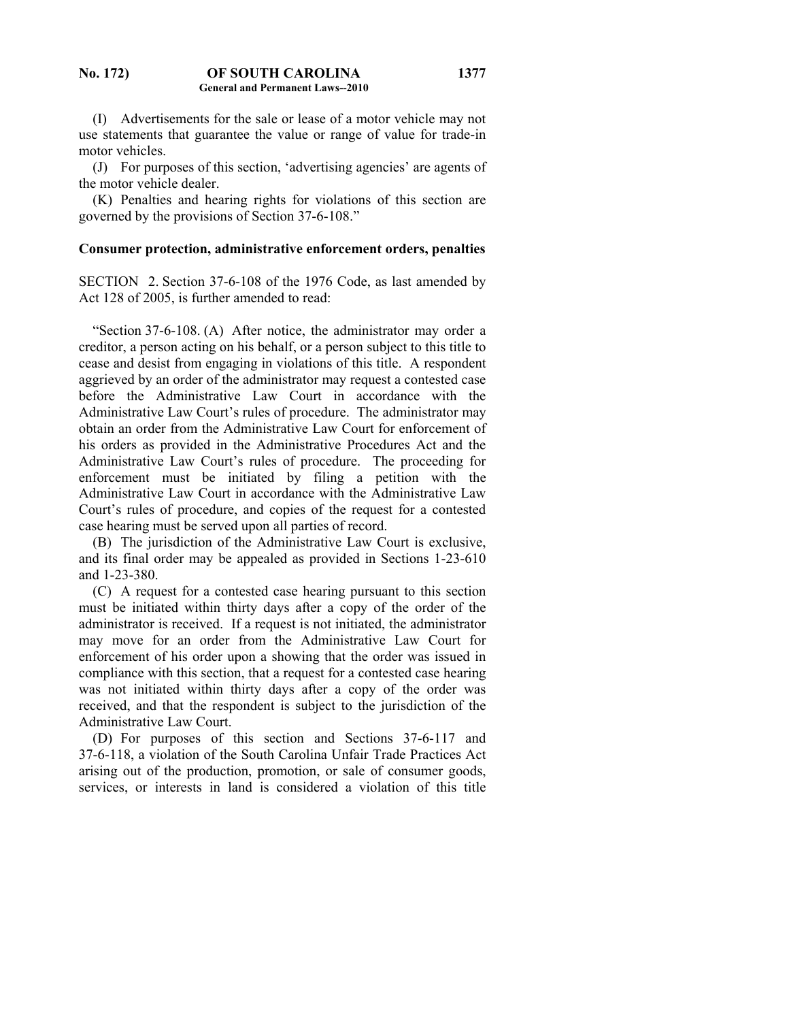(I) Advertisements for the sale or lease of a motor vehicle may not use statements that guarantee the value or range of value for trade-in motor vehicles.

 (J) For purposes of this section, 'advertising agencies' are agents of the motor vehicle dealer.

 (K) Penalties and hearing rights for violations of this section are governed by the provisions of Section 37-6-108."

#### **Consumer protection, administrative enforcement orders, penalties**

SECTION 2. Section 37-6-108 of the 1976 Code, as last amended by Act 128 of 2005, is further amended to read:

 "Section 37-6-108. (A) After notice, the administrator may order a creditor, a person acting on his behalf, or a person subject to this title to cease and desist from engaging in violations of this title. A respondent aggrieved by an order of the administrator may request a contested case before the Administrative Law Court in accordance with the Administrative Law Court's rules of procedure. The administrator may obtain an order from the Administrative Law Court for enforcement of his orders as provided in the Administrative Procedures Act and the Administrative Law Court's rules of procedure. The proceeding for enforcement must be initiated by filing a petition with the Administrative Law Court in accordance with the Administrative Law Court's rules of procedure, and copies of the request for a contested case hearing must be served upon all parties of record.

 (B) The jurisdiction of the Administrative Law Court is exclusive, and its final order may be appealed as provided in Sections 1-23-610 and 1-23-380.

 (C) A request for a contested case hearing pursuant to this section must be initiated within thirty days after a copy of the order of the administrator is received. If a request is not initiated, the administrator may move for an order from the Administrative Law Court for enforcement of his order upon a showing that the order was issued in compliance with this section, that a request for a contested case hearing was not initiated within thirty days after a copy of the order was received, and that the respondent is subject to the jurisdiction of the Administrative Law Court.

 (D) For purposes of this section and Sections 37-6-117 and 37-6-118, a violation of the South Carolina Unfair Trade Practices Act arising out of the production, promotion, or sale of consumer goods, services, or interests in land is considered a violation of this title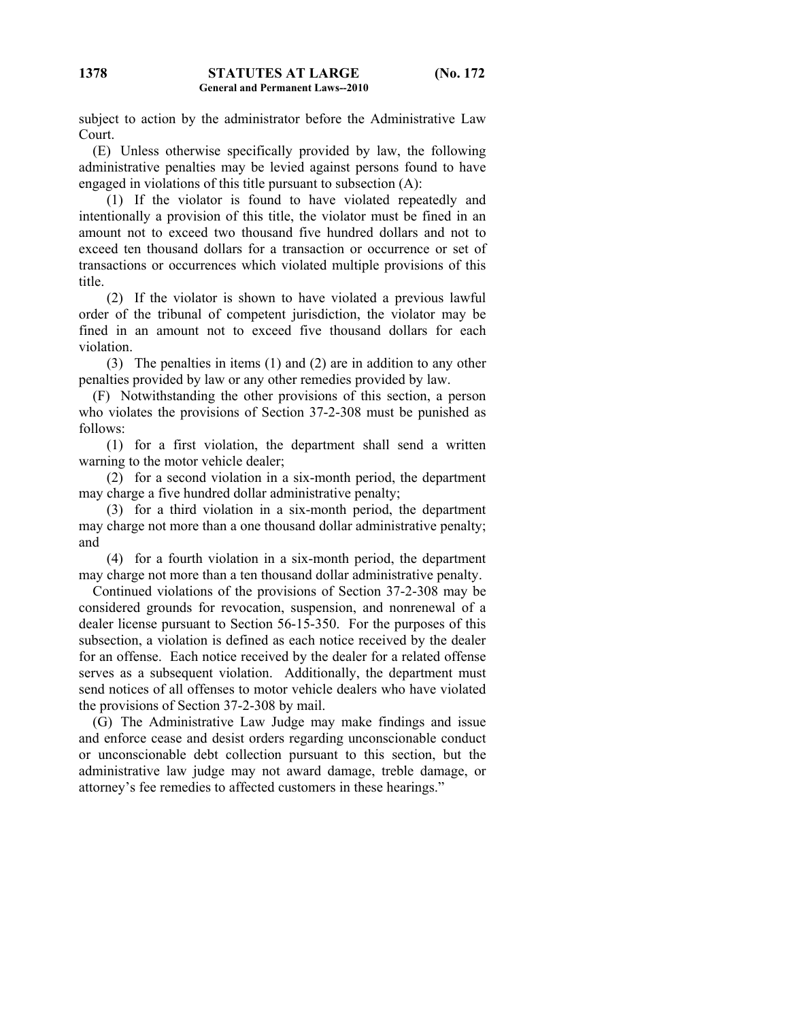subject to action by the administrator before the Administrative Law Court.

 (E) Unless otherwise specifically provided by law, the following administrative penalties may be levied against persons found to have engaged in violations of this title pursuant to subsection (A):

 (1) If the violator is found to have violated repeatedly and intentionally a provision of this title, the violator must be fined in an amount not to exceed two thousand five hundred dollars and not to exceed ten thousand dollars for a transaction or occurrence or set of transactions or occurrences which violated multiple provisions of this title.

 (2) If the violator is shown to have violated a previous lawful order of the tribunal of competent jurisdiction, the violator may be fined in an amount not to exceed five thousand dollars for each violation.

 (3) The penalties in items (1) and (2) are in addition to any other penalties provided by law or any other remedies provided by law.

 (F) Notwithstanding the other provisions of this section, a person who violates the provisions of Section 37-2-308 must be punished as follows:

 (1) for a first violation, the department shall send a written warning to the motor vehicle dealer;

 (2) for a second violation in a six-month period, the department may charge a five hundred dollar administrative penalty;

 (3) for a third violation in a six-month period, the department may charge not more than a one thousand dollar administrative penalty; and

 (4) for a fourth violation in a six-month period, the department may charge not more than a ten thousand dollar administrative penalty.

 Continued violations of the provisions of Section 37-2-308 may be considered grounds for revocation, suspension, and nonrenewal of a dealer license pursuant to Section 56-15-350. For the purposes of this subsection, a violation is defined as each notice received by the dealer for an offense. Each notice received by the dealer for a related offense serves as a subsequent violation. Additionally, the department must send notices of all offenses to motor vehicle dealers who have violated the provisions of Section 37-2-308 by mail.

 (G) The Administrative Law Judge may make findings and issue and enforce cease and desist orders regarding unconscionable conduct or unconscionable debt collection pursuant to this section, but the administrative law judge may not award damage, treble damage, or attorney's fee remedies to affected customers in these hearings."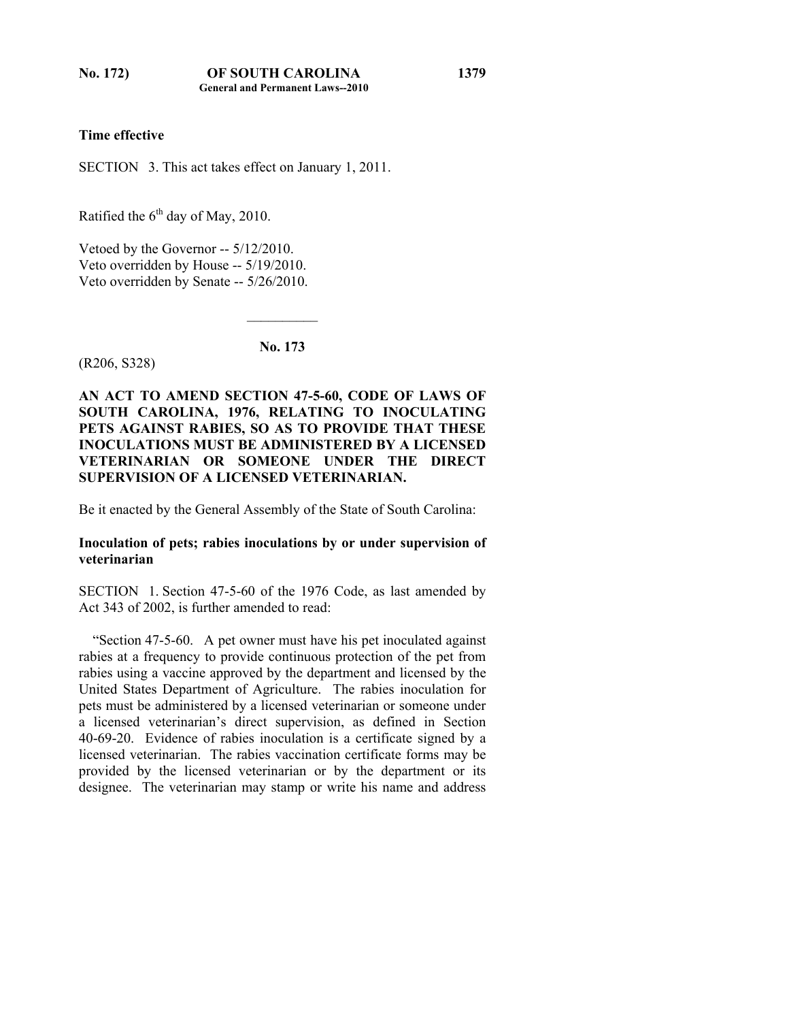# **Time effective**

SECTION 3. This act takes effect on January 1, 2011.

Ratified the  $6<sup>th</sup>$  day of May, 2010.

Vetoed by the Governor -- 5/12/2010. Veto overridden by House -- 5/19/2010. Veto overridden by Senate -- 5/26/2010.

**No. 173** 

 $\mathcal{L}_\text{max}$ 

(R206, S328)

**AN ACT TO AMEND SECTION 47-5-60, CODE OF LAWS OF SOUTH CAROLINA, 1976, RELATING TO INOCULATING PETS AGAINST RABIES, SO AS TO PROVIDE THAT THESE INOCULATIONS MUST BE ADMINISTERED BY A LICENSED VETERINARIAN OR SOMEONE UNDER THE DIRECT SUPERVISION OF A LICENSED VETERINARIAN.** 

Be it enacted by the General Assembly of the State of South Carolina:

# **Inoculation of pets; rabies inoculations by or under supervision of veterinarian**

SECTION 1. Section 47-5-60 of the 1976 Code, as last amended by Act 343 of 2002, is further amended to read:

 "Section 47-5-60. A pet owner must have his pet inoculated against rabies at a frequency to provide continuous protection of the pet from rabies using a vaccine approved by the department and licensed by the United States Department of Agriculture. The rabies inoculation for pets must be administered by a licensed veterinarian or someone under a licensed veterinarian's direct supervision, as defined in Section 40-69-20. Evidence of rabies inoculation is a certificate signed by a licensed veterinarian. The rabies vaccination certificate forms may be provided by the licensed veterinarian or by the department or its designee. The veterinarian may stamp or write his name and address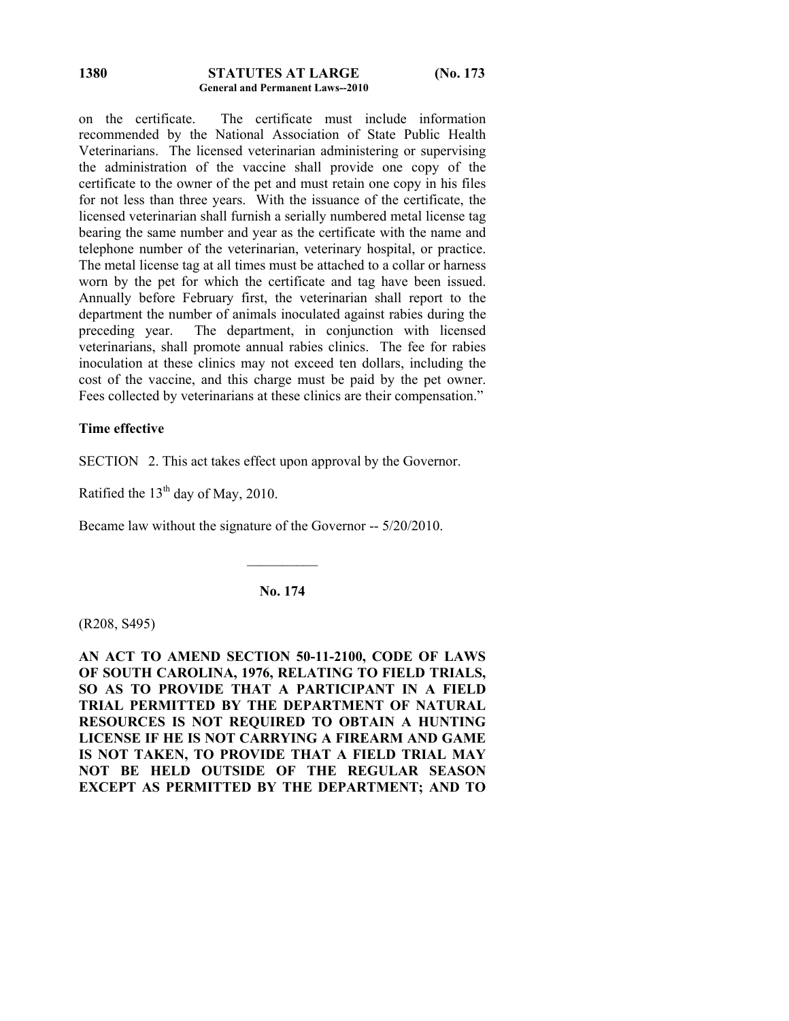#### **STATUTES AT LARGE (No. 173 General and Permanent Laws--2010 1380**

on the certificate. The certificate must include information recommended by the National Association of State Public Health Veterinarians. The licensed veterinarian administering or supervising the administration of the vaccine shall provide one copy of the certificate to the owner of the pet and must retain one copy in his files for not less than three years. With the issuance of the certificate, the licensed veterinarian shall furnish a serially numbered metal license tag bearing the same number and year as the certificate with the name and telephone number of the veterinarian, veterinary hospital, or practice. The metal license tag at all times must be attached to a collar or harness worn by the pet for which the certificate and tag have been issued. Annually before February first, the veterinarian shall report to the department the number of animals inoculated against rabies during the preceding year. The department, in conjunction with licensed veterinarians, shall promote annual rabies clinics. The fee for rabies inoculation at these clinics may not exceed ten dollars, including the cost of the vaccine, and this charge must be paid by the pet owner. Fees collected by veterinarians at these clinics are their compensation."

## **Time effective**

SECTION 2. This act takes effect upon approval by the Governor.

Ratified the  $13<sup>th</sup>$  day of May, 2010.

Became law without the signature of the Governor -- 5/20/2010.

**No. 174** 

 $\mathcal{L}_\text{max}$ 

(R208, S495)

**AN ACT TO AMEND SECTION 50-11-2100, CODE OF LAWS OF SOUTH CAROLINA, 1976, RELATING TO FIELD TRIALS, SO AS TO PROVIDE THAT A PARTICIPANT IN A FIELD TRIAL PERMITTED BY THE DEPARTMENT OF NATURAL RESOURCES IS NOT REQUIRED TO OBTAIN A HUNTING LICENSE IF HE IS NOT CARRYING A FIREARM AND GAME IS NOT TAKEN, TO PROVIDE THAT A FIELD TRIAL MAY NOT BE HELD OUTSIDE OF THE REGULAR SEASON EXCEPT AS PERMITTED BY THE DEPARTMENT; AND TO**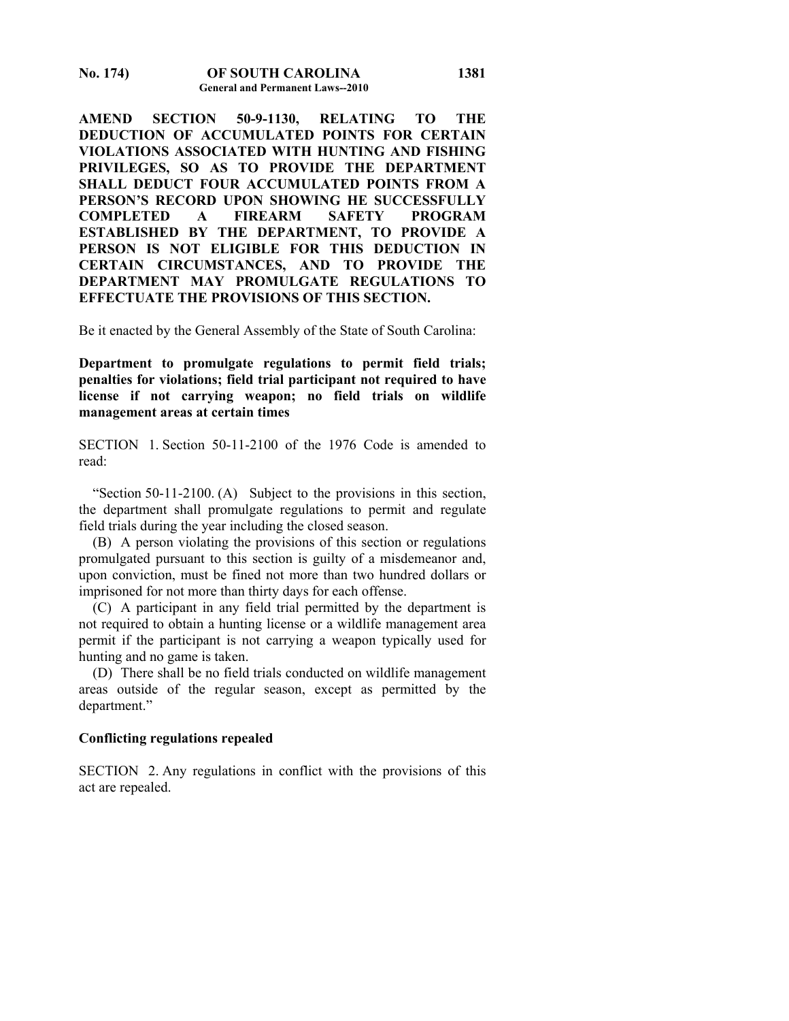**AMEND SECTION 50-9-1130, RELATING TO THE DEDUCTION OF ACCUMULATED POINTS FOR CERTAIN VIOLATIONS ASSOCIATED WITH HUNTING AND FISHING PRIVILEGES, SO AS TO PROVIDE THE DEPARTMENT SHALL DEDUCT FOUR ACCUMULATED POINTS FROM A PERSON'S RECORD UPON SHOWING HE SUCCESSFULLY COMPLETED A FIREARM SAFETY PROGRAM ESTABLISHED BY THE DEPARTMENT, TO PROVIDE A PERSON IS NOT ELIGIBLE FOR THIS DEDUCTION IN CERTAIN CIRCUMSTANCES, AND TO PROVIDE THE DEPARTMENT MAY PROMULGATE REGULATIONS TO EFFECTUATE THE PROVISIONS OF THIS SECTION.** 

Be it enacted by the General Assembly of the State of South Carolina:

**Department to promulgate regulations to permit field trials; penalties for violations; field trial participant not required to have license if not carrying weapon; no field trials on wildlife management areas at certain times** 

SECTION 1. Section 50-11-2100 of the 1976 Code is amended to read:

 "Section 50-11-2100. (A) Subject to the provisions in this section, the department shall promulgate regulations to permit and regulate field trials during the year including the closed season.

 (B) A person violating the provisions of this section or regulations promulgated pursuant to this section is guilty of a misdemeanor and, upon conviction, must be fined not more than two hundred dollars or imprisoned for not more than thirty days for each offense.

 (C) A participant in any field trial permitted by the department is not required to obtain a hunting license or a wildlife management area permit if the participant is not carrying a weapon typically used for hunting and no game is taken.

 (D) There shall be no field trials conducted on wildlife management areas outside of the regular season, except as permitted by the department."

#### **Conflicting regulations repealed**

SECTION 2. Any regulations in conflict with the provisions of this act are repealed.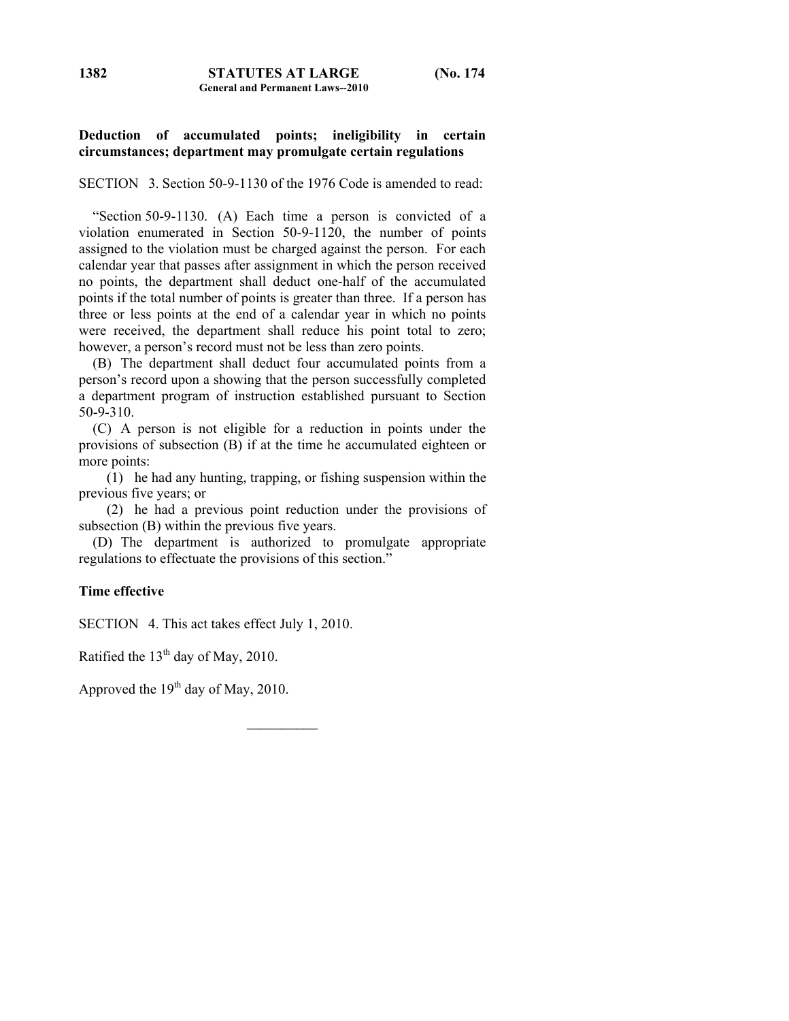# **Deduction of accumulated points; ineligibility in certain circumstances; department may promulgate certain regulations**

SECTION 3. Section 50-9-1130 of the 1976 Code is amended to read:

 "Section 50-9-1130. (A) Each time a person is convicted of a violation enumerated in Section 50-9-1120, the number of points assigned to the violation must be charged against the person. For each calendar year that passes after assignment in which the person received no points, the department shall deduct one-half of the accumulated points if the total number of points is greater than three. If a person has three or less points at the end of a calendar year in which no points were received, the department shall reduce his point total to zero; however, a person's record must not be less than zero points.

 (B) The department shall deduct four accumulated points from a person's record upon a showing that the person successfully completed a department program of instruction established pursuant to Section 50-9-310.

 (C) A person is not eligible for a reduction in points under the provisions of subsection (B) if at the time he accumulated eighteen or more points:

 (1) he had any hunting, trapping, or fishing suspension within the previous five years; or

 (2) he had a previous point reduction under the provisions of subsection (B) within the previous five years.

 (D) The department is authorized to promulgate appropriate regulations to effectuate the provisions of this section."

# **Time effective**

SECTION 4. This act takes effect July 1, 2010.

Ratified the  $13<sup>th</sup>$  day of May, 2010.

Approved the  $19<sup>th</sup>$  day of May, 2010.

**1382**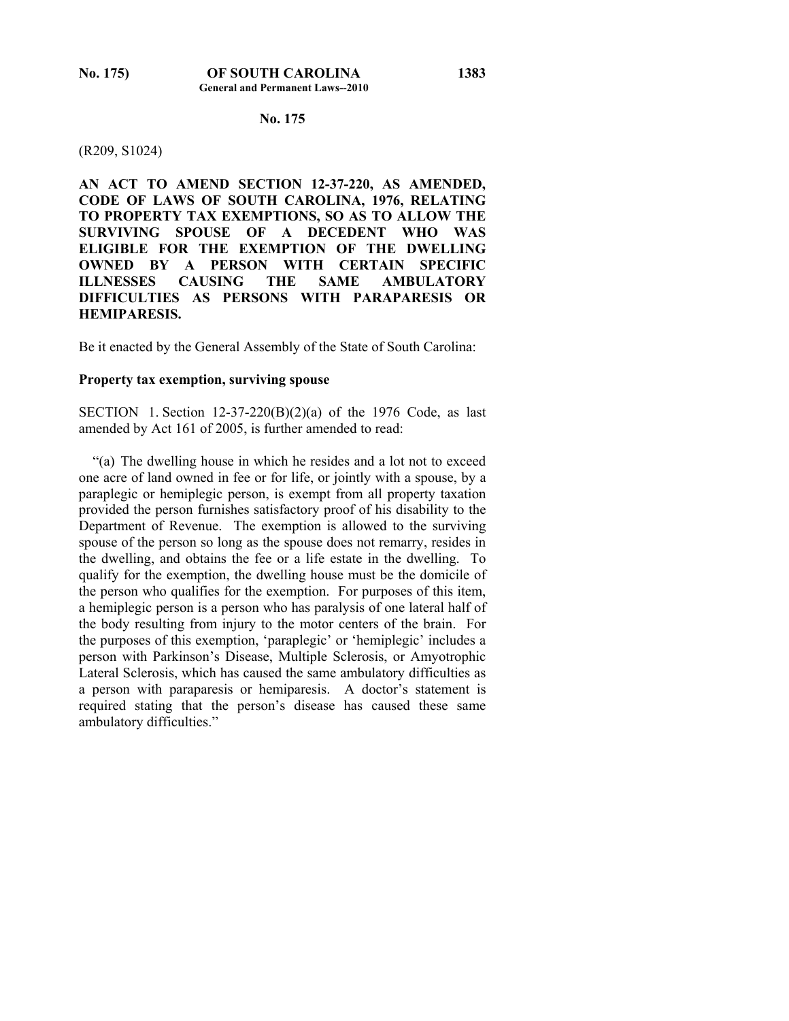# **No. 175**

#### (R209, S1024)

**AN ACT TO AMEND SECTION 12-37-220, AS AMENDED, CODE OF LAWS OF SOUTH CAROLINA, 1976, RELATING TO PROPERTY TAX EXEMPTIONS, SO AS TO ALLOW THE SURVIVING SPOUSE OF A DECEDENT WHO WAS ELIGIBLE FOR THE EXEMPTION OF THE DWELLING OWNED BY A PERSON WITH CERTAIN SPECIFIC ILLNESSES CAUSING THE SAME AMBULATORY DIFFICULTIES AS PERSONS WITH PARAPARESIS OR HEMIPARESIS.** 

Be it enacted by the General Assembly of the State of South Carolina:

### **Property tax exemption, surviving spouse**

SECTION 1. Section 12-37-220(B)(2)(a) of the 1976 Code, as last amended by Act 161 of 2005, is further amended to read:

 "(a) The dwelling house in which he resides and a lot not to exceed one acre of land owned in fee or for life, or jointly with a spouse, by a paraplegic or hemiplegic person, is exempt from all property taxation provided the person furnishes satisfactory proof of his disability to the Department of Revenue. The exemption is allowed to the surviving spouse of the person so long as the spouse does not remarry, resides in the dwelling, and obtains the fee or a life estate in the dwelling. To qualify for the exemption, the dwelling house must be the domicile of the person who qualifies for the exemption. For purposes of this item, a hemiplegic person is a person who has paralysis of one lateral half of the body resulting from injury to the motor centers of the brain. For the purposes of this exemption, 'paraplegic' or 'hemiplegic' includes a person with Parkinson's Disease, Multiple Sclerosis, or Amyotrophic Lateral Sclerosis, which has caused the same ambulatory difficulties as a person with paraparesis or hemiparesis. A doctor's statement is required stating that the person's disease has caused these same ambulatory difficulties."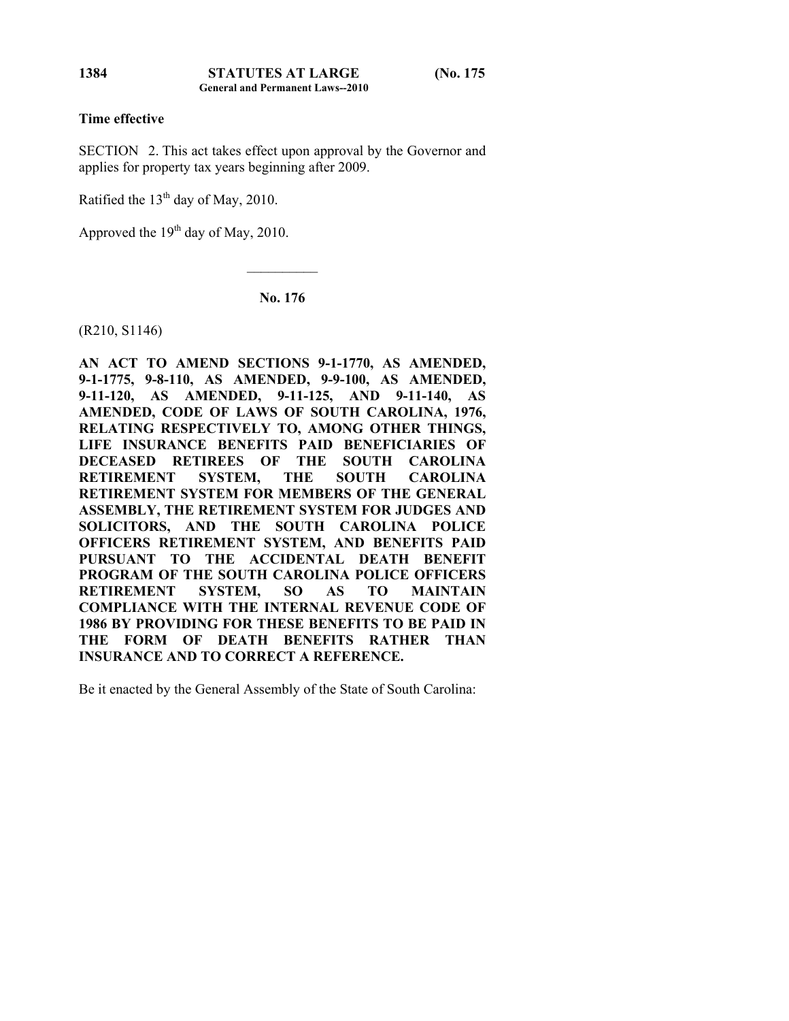### **Time effective**

SECTION 2. This act takes effect upon approval by the Governor and applies for property tax years beginning after 2009.

Ratified the  $13<sup>th</sup>$  day of May, 2010.

Approved the  $19<sup>th</sup>$  day of May, 2010.

**No. 176** 

 $\mathcal{L}_\text{max}$ 

(R210, S1146)

**AN ACT TO AMEND SECTIONS 9-1-1770, AS AMENDED, 9-1-1775, 9-8-110, AS AMENDED, 9-9-100, AS AMENDED, 9-11-120, AS AMENDED, 9-11-125, AND 9-11-140, AS AMENDED, CODE OF LAWS OF SOUTH CAROLINA, 1976, RELATING RESPECTIVELY TO, AMONG OTHER THINGS, LIFE INSURANCE BENEFITS PAID BENEFICIARIES OF DECEASED RETIREES OF THE SOUTH CAROLINA RETIREMENT SYSTEM, THE SOUTH CAROLINA RETIREMENT SYSTEM FOR MEMBERS OF THE GENERAL ASSEMBLY, THE RETIREMENT SYSTEM FOR JUDGES AND SOLICITORS, AND THE SOUTH CAROLINA POLICE OFFICERS RETIREMENT SYSTEM, AND BENEFITS PAID PURSUANT TO THE ACCIDENTAL DEATH BENEFIT PROGRAM OF THE SOUTH CAROLINA POLICE OFFICERS RETIREMENT SYSTEM, SO AS TO MAINTAIN COMPLIANCE WITH THE INTERNAL REVENUE CODE OF 1986 BY PROVIDING FOR THESE BENEFITS TO BE PAID IN THE FORM OF DEATH BENEFITS RATHER THAN INSURANCE AND TO CORRECT A REFERENCE.** 

Be it enacted by the General Assembly of the State of South Carolina:

**1384**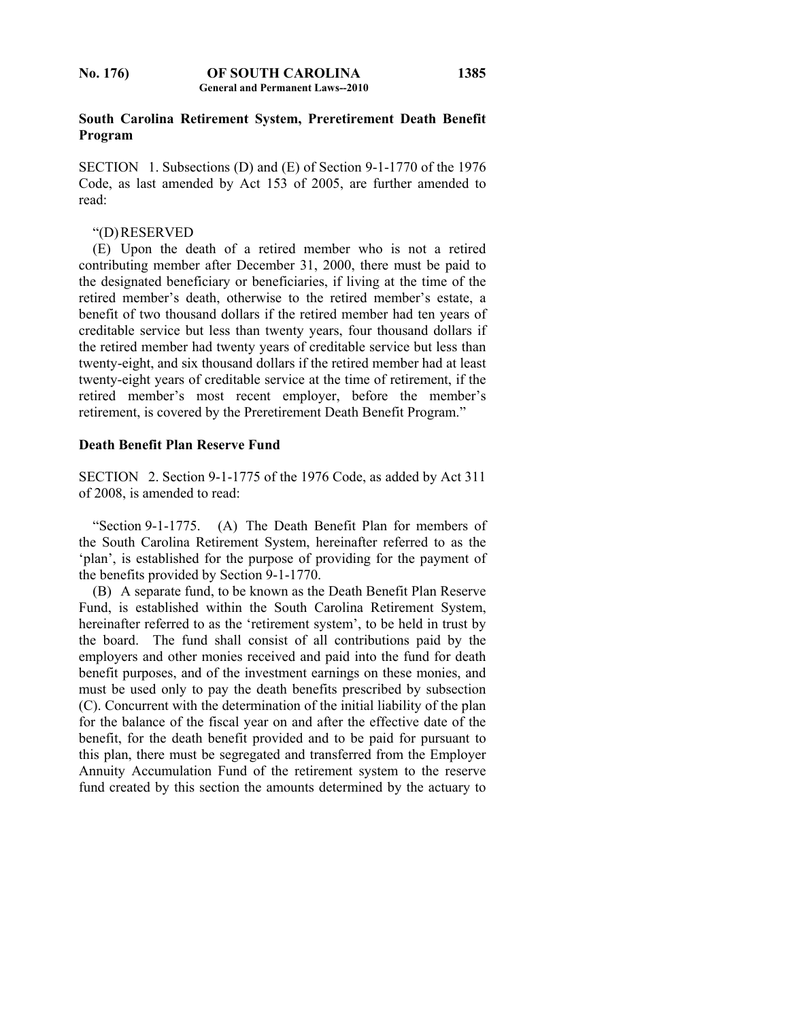## **South Carolina Retirement System, Preretirement Death Benefit Program**

SECTION 1. Subsections (D) and (E) of Section 9-1-1770 of the 1976 Code, as last amended by Act 153 of 2005, are further amended to read:

# "(D) RESERVED

 (E) Upon the death of a retired member who is not a retired contributing member after December 31, 2000, there must be paid to the designated beneficiary or beneficiaries, if living at the time of the retired member's death, otherwise to the retired member's estate, a benefit of two thousand dollars if the retired member had ten years of creditable service but less than twenty years, four thousand dollars if the retired member had twenty years of creditable service but less than twenty-eight, and six thousand dollars if the retired member had at least twenty-eight years of creditable service at the time of retirement, if the retired member's most recent employer, before the member's retirement, is covered by the Preretirement Death Benefit Program."

# **Death Benefit Plan Reserve Fund**

SECTION 2. Section 9-1-1775 of the 1976 Code, as added by Act 311 of 2008, is amended to read:

 "Section 9-1-1775. (A) The Death Benefit Plan for members of the South Carolina Retirement System, hereinafter referred to as the 'plan', is established for the purpose of providing for the payment of the benefits provided by Section 9-1-1770.

 (B) A separate fund, to be known as the Death Benefit Plan Reserve Fund, is established within the South Carolina Retirement System, hereinafter referred to as the 'retirement system', to be held in trust by the board. The fund shall consist of all contributions paid by the employers and other monies received and paid into the fund for death benefit purposes, and of the investment earnings on these monies, and must be used only to pay the death benefits prescribed by subsection (C). Concurrent with the determination of the initial liability of the plan for the balance of the fiscal year on and after the effective date of the benefit, for the death benefit provided and to be paid for pursuant to this plan, there must be segregated and transferred from the Employer Annuity Accumulation Fund of the retirement system to the reserve fund created by this section the amounts determined by the actuary to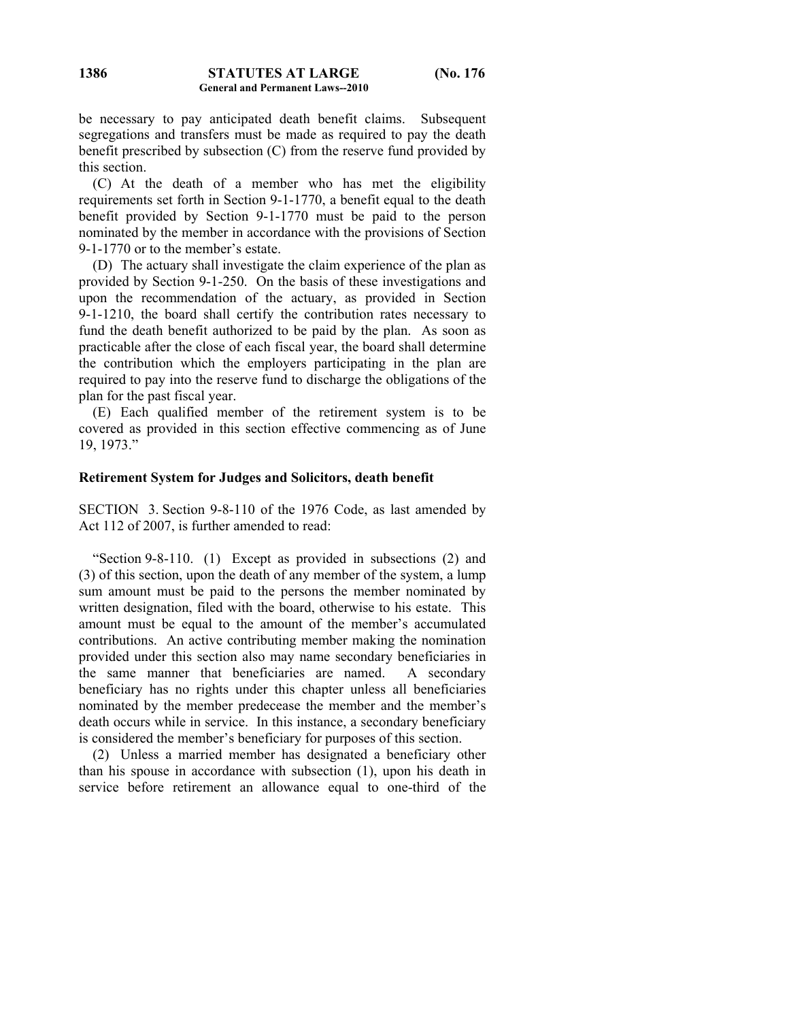be necessary to pay anticipated death benefit claims. Subsequent segregations and transfers must be made as required to pay the death benefit prescribed by subsection (C) from the reserve fund provided by this section.

 (C) At the death of a member who has met the eligibility requirements set forth in Section 9-1-1770, a benefit equal to the death benefit provided by Section 9-1-1770 must be paid to the person nominated by the member in accordance with the provisions of Section 9-1-1770 or to the member's estate.

 (D) The actuary shall investigate the claim experience of the plan as provided by Section 9-1-250. On the basis of these investigations and upon the recommendation of the actuary, as provided in Section 9-1-1210, the board shall certify the contribution rates necessary to fund the death benefit authorized to be paid by the plan. As soon as practicable after the close of each fiscal year, the board shall determine the contribution which the employers participating in the plan are required to pay into the reserve fund to discharge the obligations of the plan for the past fiscal year.

 (E) Each qualified member of the retirement system is to be covered as provided in this section effective commencing as of June 19, 1973."

### **Retirement System for Judges and Solicitors, death benefit**

SECTION 3. Section 9-8-110 of the 1976 Code, as last amended by Act 112 of 2007, is further amended to read:

 "Section 9-8-110. (1) Except as provided in subsections (2) and (3) of this section, upon the death of any member of the system, a lump sum amount must be paid to the persons the member nominated by written designation, filed with the board, otherwise to his estate. This amount must be equal to the amount of the member's accumulated contributions. An active contributing member making the nomination provided under this section also may name secondary beneficiaries in the same manner that beneficiaries are named. A secondary beneficiary has no rights under this chapter unless all beneficiaries nominated by the member predecease the member and the member's death occurs while in service. In this instance, a secondary beneficiary is considered the member's beneficiary for purposes of this section.

 (2) Unless a married member has designated a beneficiary other than his spouse in accordance with subsection (1), upon his death in service before retirement an allowance equal to one-third of the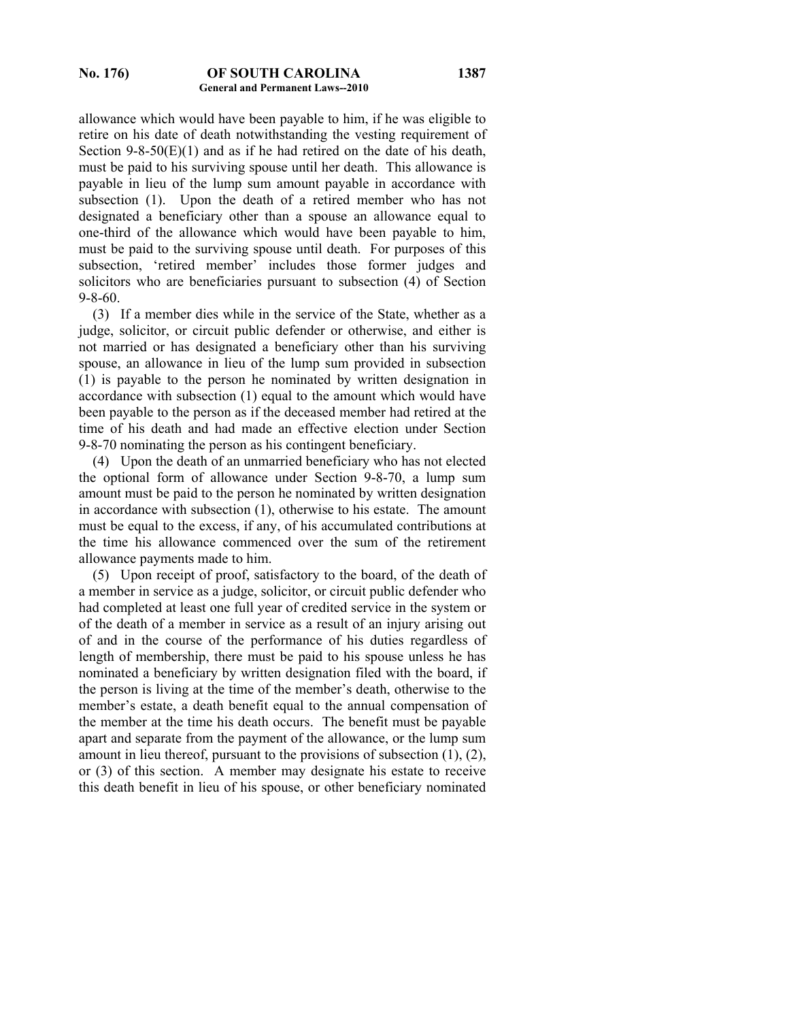allowance which would have been payable to him, if he was eligible to retire on his date of death notwithstanding the vesting requirement of Section 9-8-50 $(E)(1)$  and as if he had retired on the date of his death, must be paid to his surviving spouse until her death. This allowance is payable in lieu of the lump sum amount payable in accordance with subsection (1). Upon the death of a retired member who has not designated a beneficiary other than a spouse an allowance equal to one-third of the allowance which would have been payable to him, must be paid to the surviving spouse until death. For purposes of this subsection, 'retired member' includes those former judges and solicitors who are beneficiaries pursuant to subsection (4) of Section 9-8-60.

 (3) If a member dies while in the service of the State, whether as a judge, solicitor, or circuit public defender or otherwise, and either is not married or has designated a beneficiary other than his surviving spouse, an allowance in lieu of the lump sum provided in subsection (1) is payable to the person he nominated by written designation in accordance with subsection (1) equal to the amount which would have been payable to the person as if the deceased member had retired at the time of his death and had made an effective election under Section 9-8-70 nominating the person as his contingent beneficiary.

 (4) Upon the death of an unmarried beneficiary who has not elected the optional form of allowance under Section 9-8-70, a lump sum amount must be paid to the person he nominated by written designation in accordance with subsection (1), otherwise to his estate. The amount must be equal to the excess, if any, of his accumulated contributions at the time his allowance commenced over the sum of the retirement allowance payments made to him.

 (5) Upon receipt of proof, satisfactory to the board, of the death of a member in service as a judge, solicitor, or circuit public defender who had completed at least one full year of credited service in the system or of the death of a member in service as a result of an injury arising out of and in the course of the performance of his duties regardless of length of membership, there must be paid to his spouse unless he has nominated a beneficiary by written designation filed with the board, if the person is living at the time of the member's death, otherwise to the member's estate, a death benefit equal to the annual compensation of the member at the time his death occurs. The benefit must be payable apart and separate from the payment of the allowance, or the lump sum amount in lieu thereof, pursuant to the provisions of subsection (1), (2), or (3) of this section. A member may designate his estate to receive this death benefit in lieu of his spouse, or other beneficiary nominated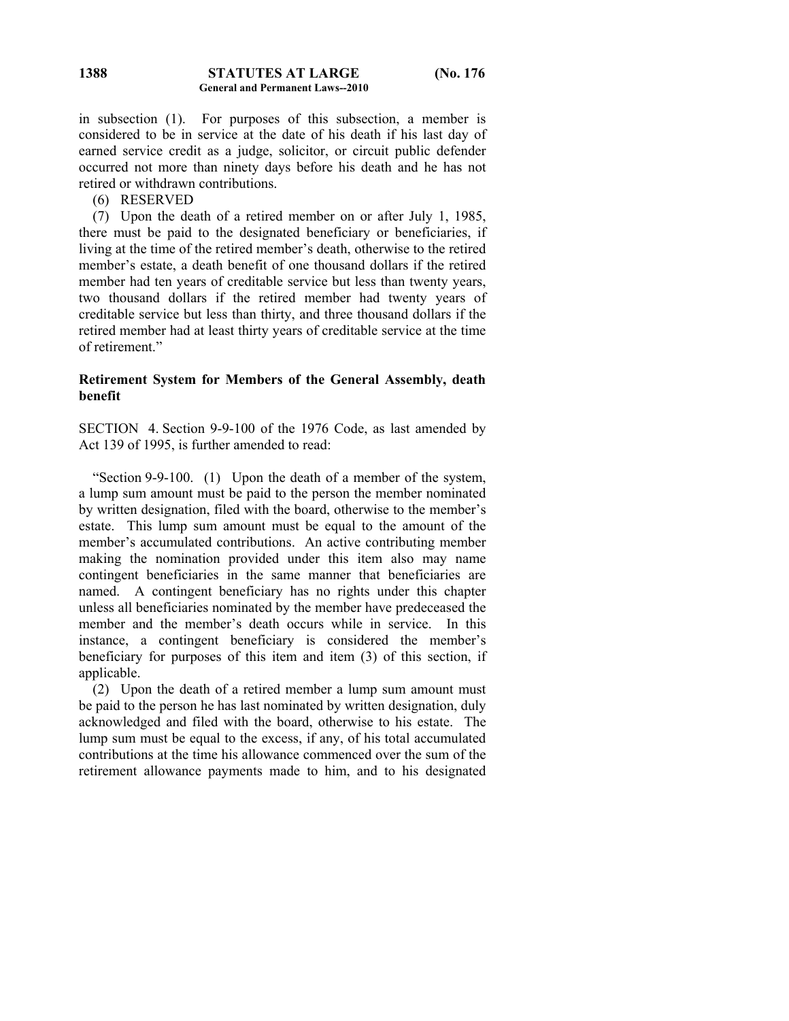in subsection (1). For purposes of this subsection, a member is considered to be in service at the date of his death if his last day of earned service credit as a judge, solicitor, or circuit public defender occurred not more than ninety days before his death and he has not retired or withdrawn contributions.

(6) RESERVED

 (7) Upon the death of a retired member on or after July 1, 1985, there must be paid to the designated beneficiary or beneficiaries, if living at the time of the retired member's death, otherwise to the retired member's estate, a death benefit of one thousand dollars if the retired member had ten years of creditable service but less than twenty years, two thousand dollars if the retired member had twenty years of creditable service but less than thirty, and three thousand dollars if the retired member had at least thirty years of creditable service at the time of retirement."

# **Retirement System for Members of the General Assembly, death benefit**

SECTION 4. Section 9-9-100 of the 1976 Code, as last amended by Act 139 of 1995, is further amended to read:

 "Section 9-9-100. (1) Upon the death of a member of the system, a lump sum amount must be paid to the person the member nominated by written designation, filed with the board, otherwise to the member's estate. This lump sum amount must be equal to the amount of the member's accumulated contributions. An active contributing member making the nomination provided under this item also may name contingent beneficiaries in the same manner that beneficiaries are named. A contingent beneficiary has no rights under this chapter unless all beneficiaries nominated by the member have predeceased the member and the member's death occurs while in service. In this instance, a contingent beneficiary is considered the member's beneficiary for purposes of this item and item (3) of this section, if applicable.

 (2) Upon the death of a retired member a lump sum amount must be paid to the person he has last nominated by written designation, duly acknowledged and filed with the board, otherwise to his estate. The lump sum must be equal to the excess, if any, of his total accumulated contributions at the time his allowance commenced over the sum of the retirement allowance payments made to him, and to his designated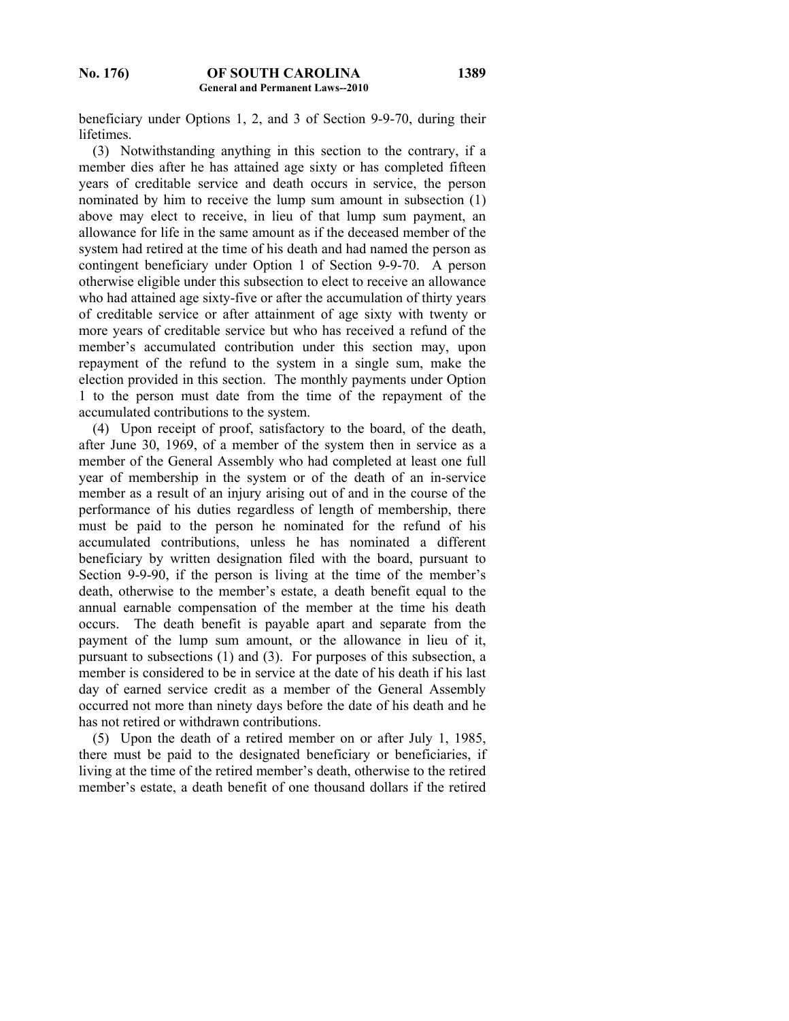beneficiary under Options 1, 2, and 3 of Section 9-9-70, during their lifetimes.

 (3) Notwithstanding anything in this section to the contrary, if a member dies after he has attained age sixty or has completed fifteen years of creditable service and death occurs in service, the person nominated by him to receive the lump sum amount in subsection (1) above may elect to receive, in lieu of that lump sum payment, an allowance for life in the same amount as if the deceased member of the system had retired at the time of his death and had named the person as contingent beneficiary under Option 1 of Section 9-9-70. A person otherwise eligible under this subsection to elect to receive an allowance who had attained age sixty-five or after the accumulation of thirty years of creditable service or after attainment of age sixty with twenty or more years of creditable service but who has received a refund of the member's accumulated contribution under this section may, upon repayment of the refund to the system in a single sum, make the election provided in this section. The monthly payments under Option 1 to the person must date from the time of the repayment of the accumulated contributions to the system.

 (4) Upon receipt of proof, satisfactory to the board, of the death, after June 30, 1969, of a member of the system then in service as a member of the General Assembly who had completed at least one full year of membership in the system or of the death of an in-service member as a result of an injury arising out of and in the course of the performance of his duties regardless of length of membership, there must be paid to the person he nominated for the refund of his accumulated contributions, unless he has nominated a different beneficiary by written designation filed with the board, pursuant to Section 9-9-90, if the person is living at the time of the member's death, otherwise to the member's estate, a death benefit equal to the annual earnable compensation of the member at the time his death occurs. The death benefit is payable apart and separate from the payment of the lump sum amount, or the allowance in lieu of it, pursuant to subsections (1) and (3). For purposes of this subsection, a member is considered to be in service at the date of his death if his last day of earned service credit as a member of the General Assembly occurred not more than ninety days before the date of his death and he has not retired or withdrawn contributions.

 (5) Upon the death of a retired member on or after July 1, 1985, there must be paid to the designated beneficiary or beneficiaries, if living at the time of the retired member's death, otherwise to the retired member's estate, a death benefit of one thousand dollars if the retired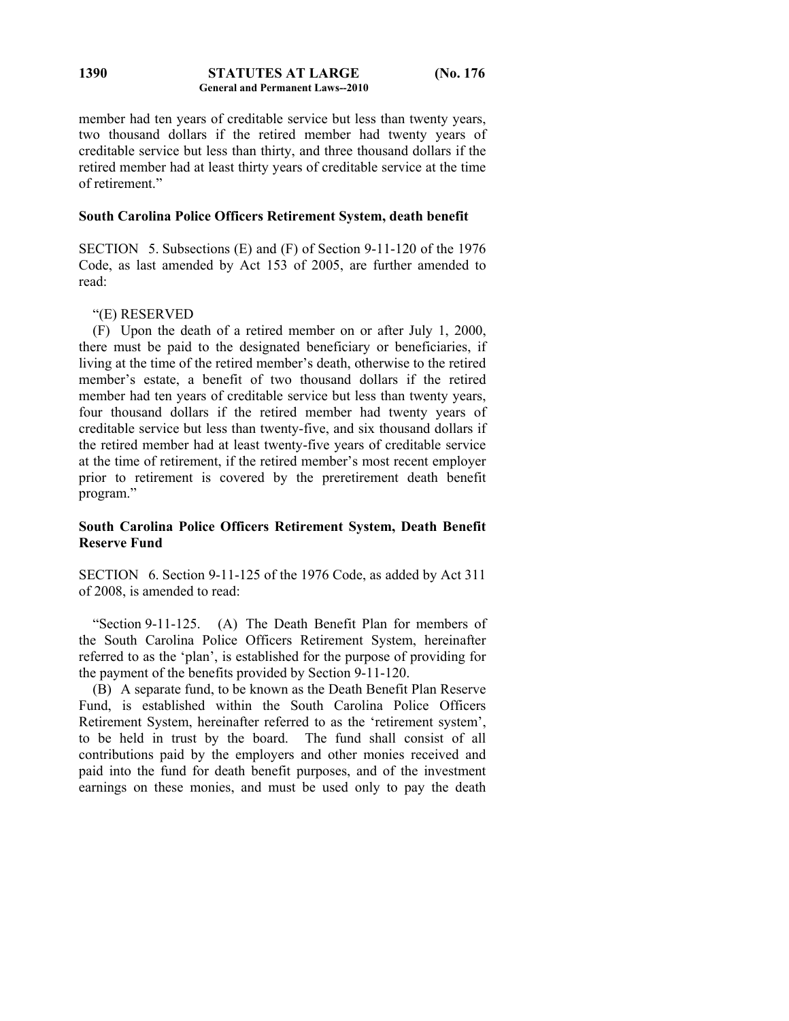#### **STATUTES AT LARGE (No. 176 General and Permanent Laws--2010 1390**

member had ten years of creditable service but less than twenty years, two thousand dollars if the retired member had twenty years of creditable service but less than thirty, and three thousand dollars if the retired member had at least thirty years of creditable service at the time of retirement."

# **South Carolina Police Officers Retirement System, death benefit**

SECTION 5. Subsections (E) and (F) of Section 9-11-120 of the 1976 Code, as last amended by Act 153 of 2005, are further amended to read:

# "(E) RESERVED

 (F) Upon the death of a retired member on or after July 1, 2000, there must be paid to the designated beneficiary or beneficiaries, if living at the time of the retired member's death, otherwise to the retired member's estate, a benefit of two thousand dollars if the retired member had ten years of creditable service but less than twenty years, four thousand dollars if the retired member had twenty years of creditable service but less than twenty-five, and six thousand dollars if the retired member had at least twenty-five years of creditable service at the time of retirement, if the retired member's most recent employer prior to retirement is covered by the preretirement death benefit program."

# **South Carolina Police Officers Retirement System, Death Benefit Reserve Fund**

SECTION 6. Section 9-11-125 of the 1976 Code, as added by Act 311 of 2008, is amended to read:

 "Section 9-11-125. (A) The Death Benefit Plan for members of the South Carolina Police Officers Retirement System, hereinafter referred to as the 'plan', is established for the purpose of providing for the payment of the benefits provided by Section 9-11-120.

 (B) A separate fund, to be known as the Death Benefit Plan Reserve Fund, is established within the South Carolina Police Officers Retirement System, hereinafter referred to as the 'retirement system', to be held in trust by the board. The fund shall consist of all contributions paid by the employers and other monies received and paid into the fund for death benefit purposes, and of the investment earnings on these monies, and must be used only to pay the death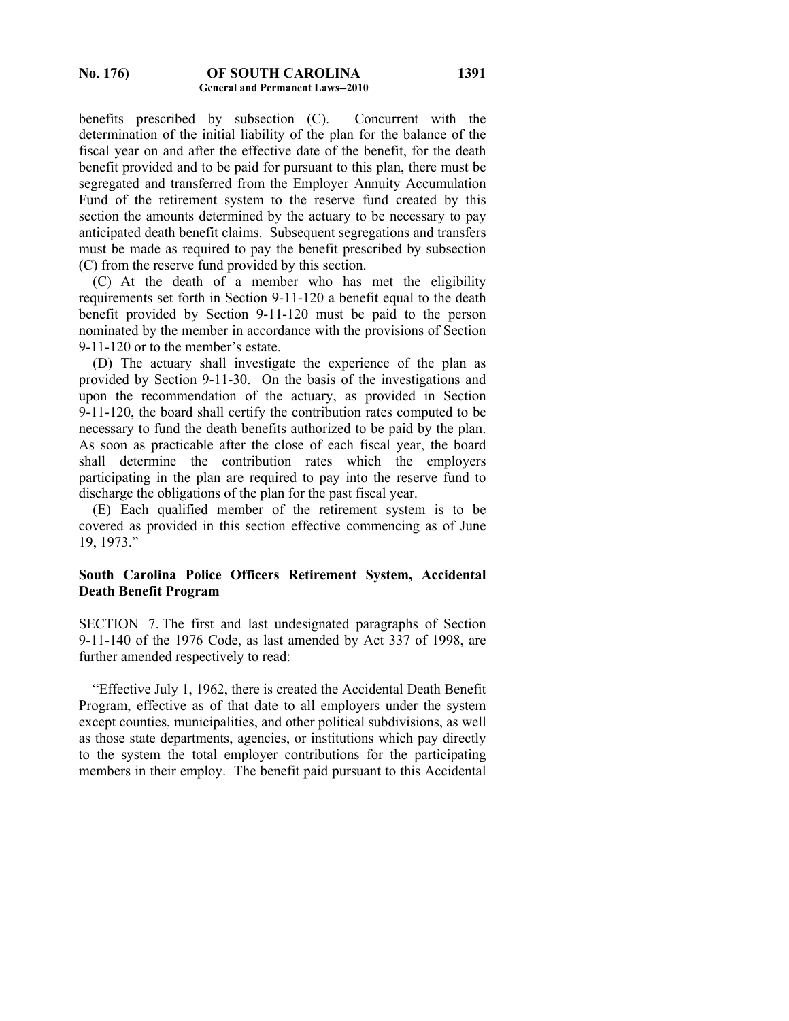benefits prescribed by subsection (C). Concurrent with the determination of the initial liability of the plan for the balance of the fiscal year on and after the effective date of the benefit, for the death benefit provided and to be paid for pursuant to this plan, there must be segregated and transferred from the Employer Annuity Accumulation Fund of the retirement system to the reserve fund created by this section the amounts determined by the actuary to be necessary to pay anticipated death benefit claims. Subsequent segregations and transfers must be made as required to pay the benefit prescribed by subsection (C) from the reserve fund provided by this section.

 (C) At the death of a member who has met the eligibility requirements set forth in Section 9-11-120 a benefit equal to the death benefit provided by Section 9-11-120 must be paid to the person nominated by the member in accordance with the provisions of Section 9-11-120 or to the member's estate.

 (D) The actuary shall investigate the experience of the plan as provided by Section 9-11-30. On the basis of the investigations and upon the recommendation of the actuary, as provided in Section 9-11-120, the board shall certify the contribution rates computed to be necessary to fund the death benefits authorized to be paid by the plan. As soon as practicable after the close of each fiscal year, the board shall determine the contribution rates which the employers participating in the plan are required to pay into the reserve fund to discharge the obligations of the plan for the past fiscal year.

 (E) Each qualified member of the retirement system is to be covered as provided in this section effective commencing as of June 19, 1973."

# **South Carolina Police Officers Retirement System, Accidental Death Benefit Program**

SECTION 7. The first and last undesignated paragraphs of Section 9-11-140 of the 1976 Code, as last amended by Act 337 of 1998, are further amended respectively to read:

 "Effective July 1, 1962, there is created the Accidental Death Benefit Program, effective as of that date to all employers under the system except counties, municipalities, and other political subdivisions, as well as those state departments, agencies, or institutions which pay directly to the system the total employer contributions for the participating members in their employ. The benefit paid pursuant to this Accidental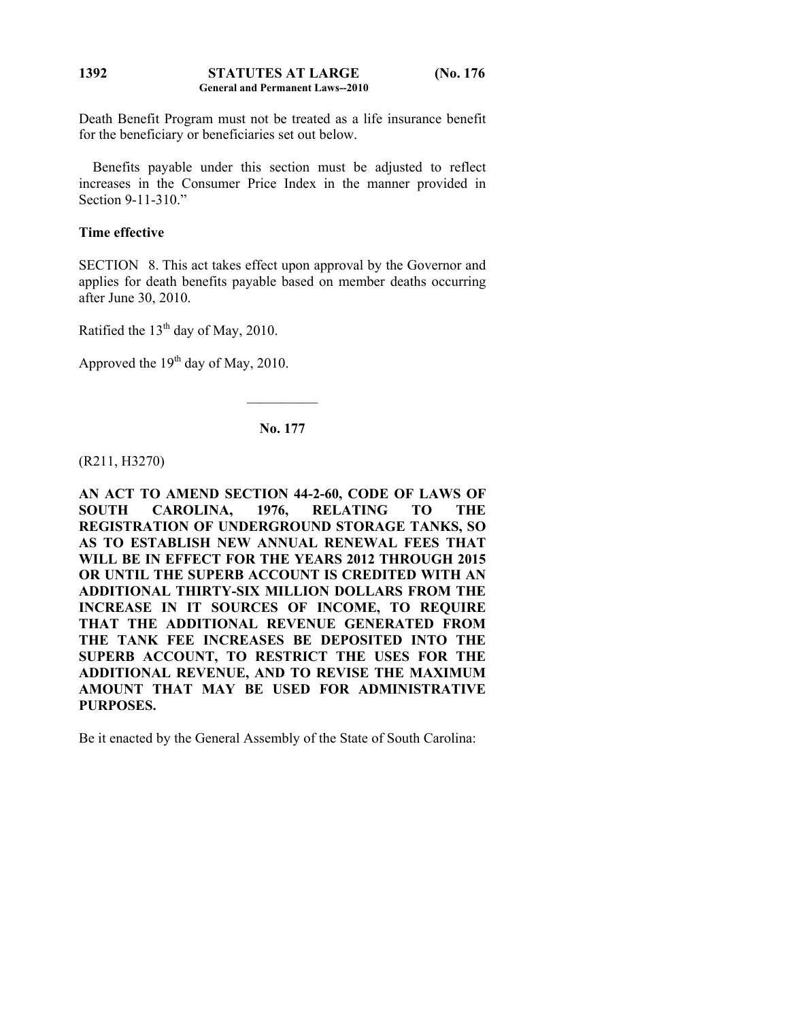#### **STATUTES AT LARGE (No. 176 General and Permanent Laws--2010 1392**

Death Benefit Program must not be treated as a life insurance benefit for the beneficiary or beneficiaries set out below.

 Benefits payable under this section must be adjusted to reflect increases in the Consumer Price Index in the manner provided in Section 9-11-310."

# **Time effective**

SECTION 8. This act takes effect upon approval by the Governor and applies for death benefits payable based on member deaths occurring after June 30, 2010.

Ratified the  $13<sup>th</sup>$  day of May, 2010.

Approved the  $19<sup>th</sup>$  day of May, 2010.

## **No. 177**

 $\frac{1}{2}$ 

(R211, H3270)

**AN ACT TO AMEND SECTION 44-2-60, CODE OF LAWS OF SOUTH CAROLINA, 1976, RELATING TO THE REGISTRATION OF UNDERGROUND STORAGE TANKS, SO AS TO ESTABLISH NEW ANNUAL RENEWAL FEES THAT WILL BE IN EFFECT FOR THE YEARS 2012 THROUGH 2015 OR UNTIL THE SUPERB ACCOUNT IS CREDITED WITH AN ADDITIONAL THIRTY-SIX MILLION DOLLARS FROM THE INCREASE IN IT SOURCES OF INCOME, TO REQUIRE THAT THE ADDITIONAL REVENUE GENERATED FROM THE TANK FEE INCREASES BE DEPOSITED INTO THE SUPERB ACCOUNT, TO RESTRICT THE USES FOR THE ADDITIONAL REVENUE, AND TO REVISE THE MAXIMUM AMOUNT THAT MAY BE USED FOR ADMINISTRATIVE PURPOSES.** 

Be it enacted by the General Assembly of the State of South Carolina: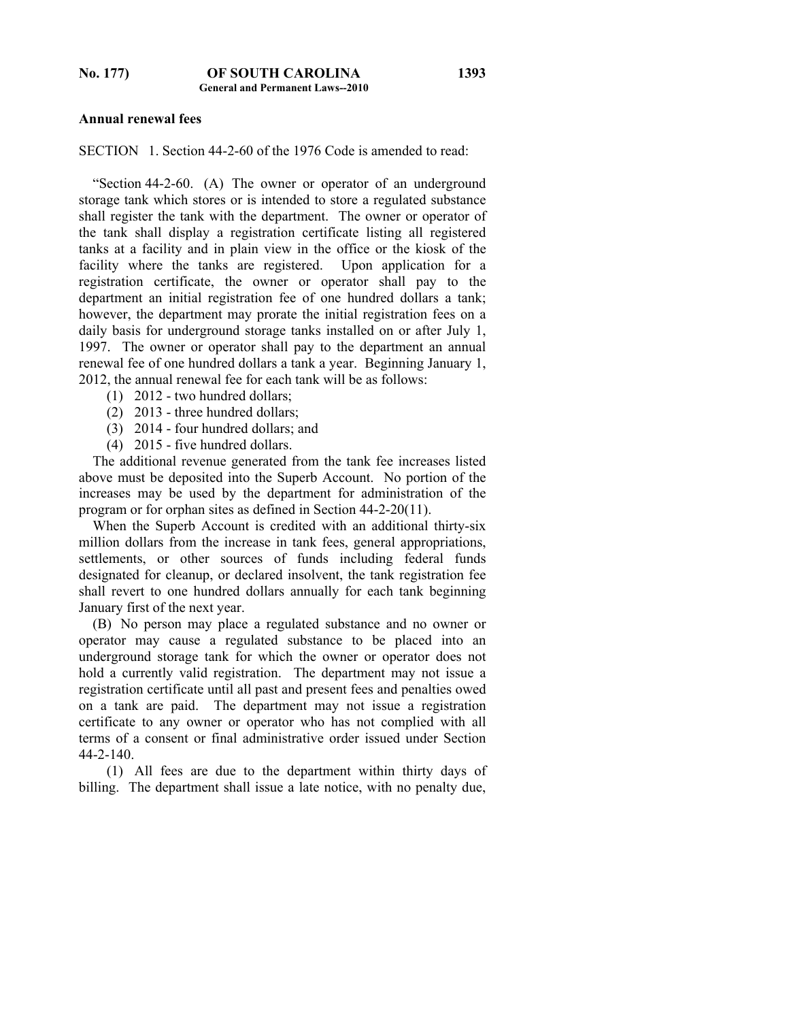### **Annual renewal fees**

SECTION 1. Section 44-2-60 of the 1976 Code is amended to read:

 "Section 44-2-60. (A) The owner or operator of an underground storage tank which stores or is intended to store a regulated substance shall register the tank with the department. The owner or operator of the tank shall display a registration certificate listing all registered tanks at a facility and in plain view in the office or the kiosk of the facility where the tanks are registered. Upon application for a registration certificate, the owner or operator shall pay to the department an initial registration fee of one hundred dollars a tank; however, the department may prorate the initial registration fees on a daily basis for underground storage tanks installed on or after July 1, 1997. The owner or operator shall pay to the department an annual renewal fee of one hundred dollars a tank a year. Beginning January 1, 2012, the annual renewal fee for each tank will be as follows:

- (1) 2012 two hundred dollars;
- (2) 2013 three hundred dollars;
- (3) 2014 four hundred dollars; and
- (4) 2015 five hundred dollars.

 The additional revenue generated from the tank fee increases listed above must be deposited into the Superb Account. No portion of the increases may be used by the department for administration of the program or for orphan sites as defined in Section 44-2-20(11).

 When the Superb Account is credited with an additional thirty-six million dollars from the increase in tank fees, general appropriations, settlements, or other sources of funds including federal funds designated for cleanup, or declared insolvent, the tank registration fee shall revert to one hundred dollars annually for each tank beginning January first of the next year.

 (B) No person may place a regulated substance and no owner or operator may cause a regulated substance to be placed into an underground storage tank for which the owner or operator does not hold a currently valid registration. The department may not issue a registration certificate until all past and present fees and penalties owed on a tank are paid. The department may not issue a registration certificate to any owner or operator who has not complied with all terms of a consent or final administrative order issued under Section 44-2-140.

 (1) All fees are due to the department within thirty days of billing. The department shall issue a late notice, with no penalty due,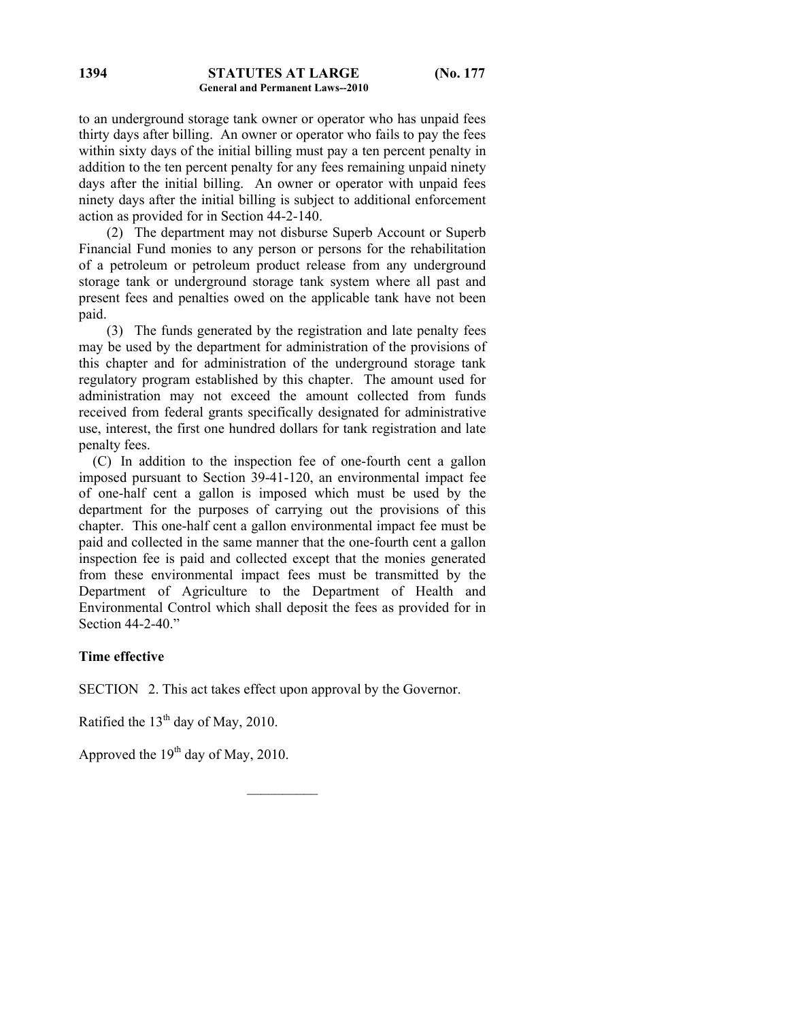to an underground storage tank owner or operator who has unpaid fees thirty days after billing. An owner or operator who fails to pay the fees within sixty days of the initial billing must pay a ten percent penalty in addition to the ten percent penalty for any fees remaining unpaid ninety days after the initial billing. An owner or operator with unpaid fees ninety days after the initial billing is subject to additional enforcement action as provided for in Section 44-2-140.

 (2) The department may not disburse Superb Account or Superb Financial Fund monies to any person or persons for the rehabilitation of a petroleum or petroleum product release from any underground storage tank or underground storage tank system where all past and present fees and penalties owed on the applicable tank have not been paid.

 (3) The funds generated by the registration and late penalty fees may be used by the department for administration of the provisions of this chapter and for administration of the underground storage tank regulatory program established by this chapter. The amount used for administration may not exceed the amount collected from funds received from federal grants specifically designated for administrative use, interest, the first one hundred dollars for tank registration and late penalty fees.

 (C) In addition to the inspection fee of one-fourth cent a gallon imposed pursuant to Section 39-41-120, an environmental impact fee of one-half cent a gallon is imposed which must be used by the department for the purposes of carrying out the provisions of this chapter. This one-half cent a gallon environmental impact fee must be paid and collected in the same manner that the one-fourth cent a gallon inspection fee is paid and collected except that the monies generated from these environmental impact fees must be transmitted by the Department of Agriculture to the Department of Health and Environmental Control which shall deposit the fees as provided for in Section 44-2-40."

## **Time effective**

SECTION 2. This act takes effect upon approval by the Governor.

 $\mathcal{L}_\text{max}$ 

Ratified the 13<sup>th</sup> day of May, 2010.

Approved the  $19<sup>th</sup>$  day of May, 2010.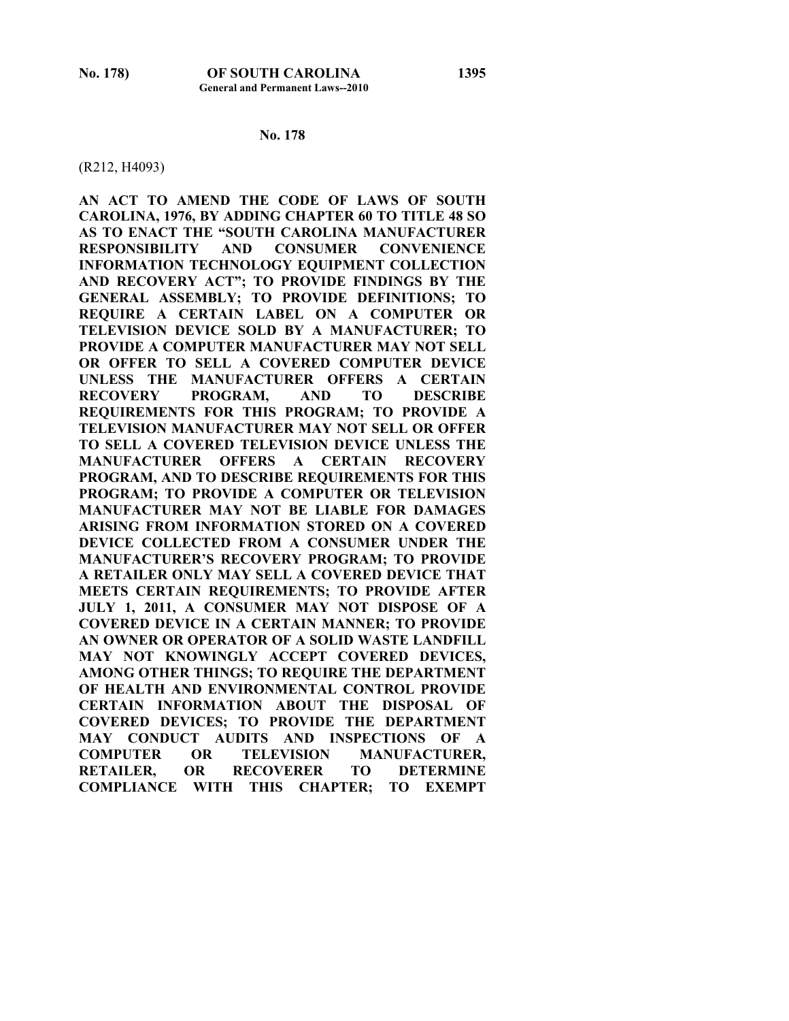#### **No. 178**

#### (R212, H4093)

**AN ACT TO AMEND THE CODE OF LAWS OF SOUTH CAROLINA, 1976, BY ADDING CHAPTER 60 TO TITLE 48 SO AS TO ENACT THE "SOUTH CAROLINA MANUFACTURER RESPONSIBILITY AND CONSUMER CONVENIENCE INFORMATION TECHNOLOGY EQUIPMENT COLLECTION AND RECOVERY ACT"; TO PROVIDE FINDINGS BY THE GENERAL ASSEMBLY; TO PROVIDE DEFINITIONS; TO REQUIRE A CERTAIN LABEL ON A COMPUTER OR TELEVISION DEVICE SOLD BY A MANUFACTURER; TO PROVIDE A COMPUTER MANUFACTURER MAY NOT SELL OR OFFER TO SELL A COVERED COMPUTER DEVICE UNLESS THE MANUFACTURER OFFERS A CERTAIN RECOVERY PROGRAM, AND TO DESCRIBE REQUIREMENTS FOR THIS PROGRAM; TO PROVIDE A TELEVISION MANUFACTURER MAY NOT SELL OR OFFER TO SELL A COVERED TELEVISION DEVICE UNLESS THE MANUFACTURER OFFERS A CERTAIN RECOVERY PROGRAM, AND TO DESCRIBE REQUIREMENTS FOR THIS PROGRAM; TO PROVIDE A COMPUTER OR TELEVISION MANUFACTURER MAY NOT BE LIABLE FOR DAMAGES ARISING FROM INFORMATION STORED ON A COVERED DEVICE COLLECTED FROM A CONSUMER UNDER THE MANUFACTURER'S RECOVERY PROGRAM; TO PROVIDE A RETAILER ONLY MAY SELL A COVERED DEVICE THAT MEETS CERTAIN REQUIREMENTS; TO PROVIDE AFTER JULY 1, 2011, A CONSUMER MAY NOT DISPOSE OF A COVERED DEVICE IN A CERTAIN MANNER; TO PROVIDE AN OWNER OR OPERATOR OF A SOLID WASTE LANDFILL MAY NOT KNOWINGLY ACCEPT COVERED DEVICES, AMONG OTHER THINGS; TO REQUIRE THE DEPARTMENT OF HEALTH AND ENVIRONMENTAL CONTROL PROVIDE CERTAIN INFORMATION ABOUT THE DISPOSAL OF COVERED DEVICES; TO PROVIDE THE DEPARTMENT MAY CONDUCT AUDITS AND INSPECTIONS OF A COMPUTER OR TELEVISION MANUFACTURER, RETAILER, OR RECOVERER TO DETERMINE COMPLIANCE WITH THIS CHAPTER; TO EXEMPT**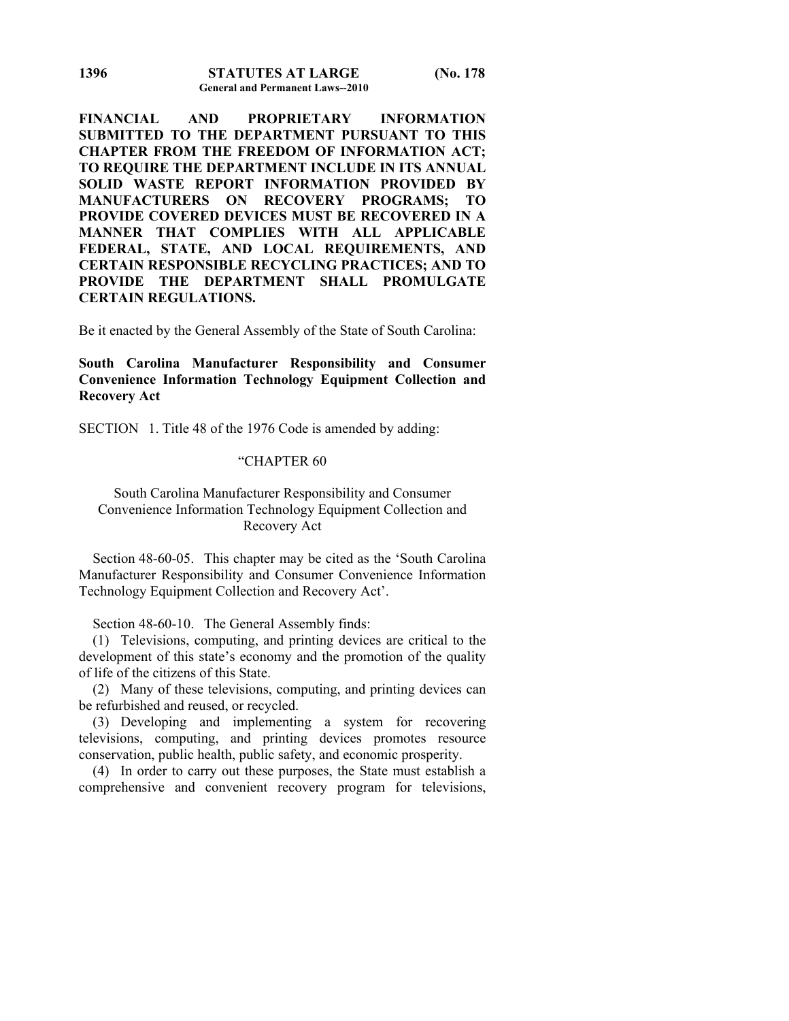**FINANCIAL AND PROPRIETARY INFORMATION SUBMITTED TO THE DEPARTMENT PURSUANT TO THIS CHAPTER FROM THE FREEDOM OF INFORMATION ACT; TO REQUIRE THE DEPARTMENT INCLUDE IN ITS ANNUAL SOLID WASTE REPORT INFORMATION PROVIDED BY MANUFACTURERS ON RECOVERY PROGRAMS; TO PROVIDE COVERED DEVICES MUST BE RECOVERED IN A MANNER THAT COMPLIES WITH ALL APPLICABLE FEDERAL, STATE, AND LOCAL REQUIREMENTS, AND CERTAIN RESPONSIBLE RECYCLING PRACTICES; AND TO PROVIDE THE DEPARTMENT SHALL PROMULGATE CERTAIN REGULATIONS.** 

Be it enacted by the General Assembly of the State of South Carolina:

# **South Carolina Manufacturer Responsibility and Consumer Convenience Information Technology Equipment Collection and Recovery Act**

SECTION 1. Title 48 of the 1976 Code is amended by adding:

# "CHAPTER 60

# South Carolina Manufacturer Responsibility and Consumer Convenience Information Technology Equipment Collection and Recovery Act

 Section 48-60-05. This chapter may be cited as the 'South Carolina Manufacturer Responsibility and Consumer Convenience Information Technology Equipment Collection and Recovery Act'.

Section 48-60-10. The General Assembly finds:

 (1) Televisions, computing, and printing devices are critical to the development of this state's economy and the promotion of the quality of life of the citizens of this State.

 (2) Many of these televisions, computing, and printing devices can be refurbished and reused, or recycled.

 (3) Developing and implementing a system for recovering televisions, computing, and printing devices promotes resource conservation, public health, public safety, and economic prosperity.

 (4) In order to carry out these purposes, the State must establish a comprehensive and convenient recovery program for televisions,

**1396**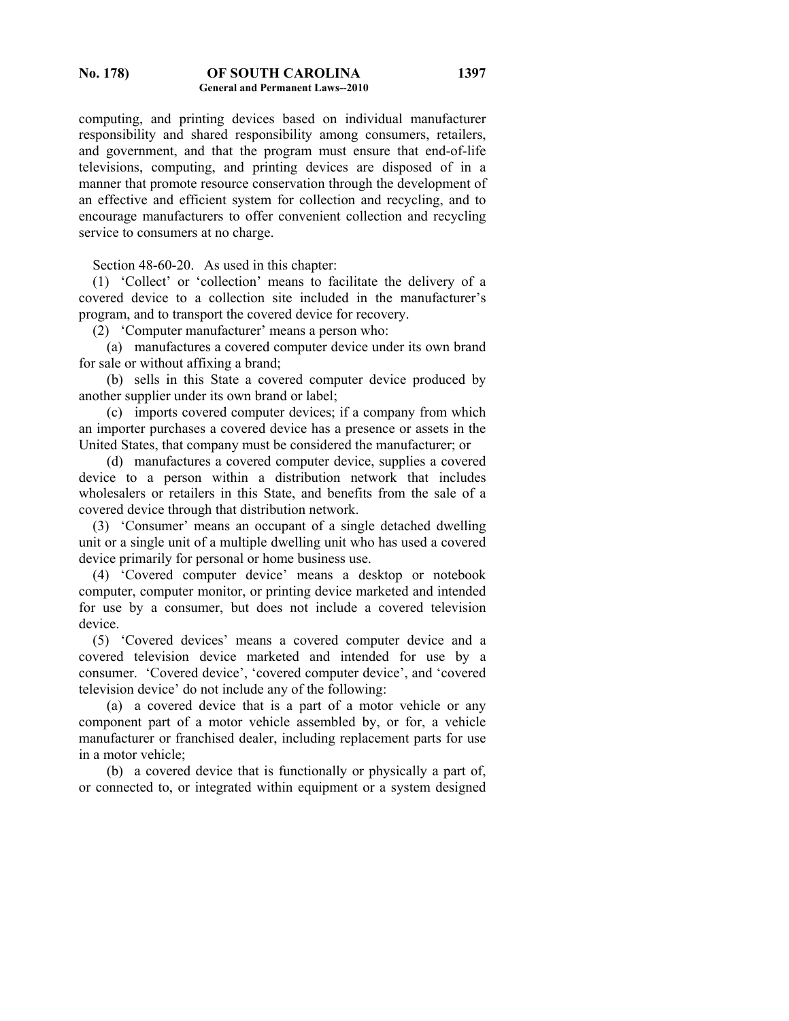computing, and printing devices based on individual manufacturer responsibility and shared responsibility among consumers, retailers, and government, and that the program must ensure that end-of-life televisions, computing, and printing devices are disposed of in a manner that promote resource conservation through the development of an effective and efficient system for collection and recycling, and to encourage manufacturers to offer convenient collection and recycling service to consumers at no charge.

Section 48-60-20. As used in this chapter:

 (1) 'Collect' or 'collection' means to facilitate the delivery of a covered device to a collection site included in the manufacturer's program, and to transport the covered device for recovery.

(2) 'Computer manufacturer' means a person who:

 (a) manufactures a covered computer device under its own brand for sale or without affixing a brand;

 (b) sells in this State a covered computer device produced by another supplier under its own brand or label;

 (c) imports covered computer devices; if a company from which an importer purchases a covered device has a presence or assets in the United States, that company must be considered the manufacturer; or

 (d) manufactures a covered computer device, supplies a covered device to a person within a distribution network that includes wholesalers or retailers in this State, and benefits from the sale of a covered device through that distribution network.

 (3) 'Consumer' means an occupant of a single detached dwelling unit or a single unit of a multiple dwelling unit who has used a covered device primarily for personal or home business use.

 (4) 'Covered computer device' means a desktop or notebook computer, computer monitor, or printing device marketed and intended for use by a consumer, but does not include a covered television device.

 (5) 'Covered devices' means a covered computer device and a covered television device marketed and intended for use by a consumer. 'Covered device', 'covered computer device', and 'covered television device' do not include any of the following:

 (a) a covered device that is a part of a motor vehicle or any component part of a motor vehicle assembled by, or for, a vehicle manufacturer or franchised dealer, including replacement parts for use in a motor vehicle;

 (b) a covered device that is functionally or physically a part of, or connected to, or integrated within equipment or a system designed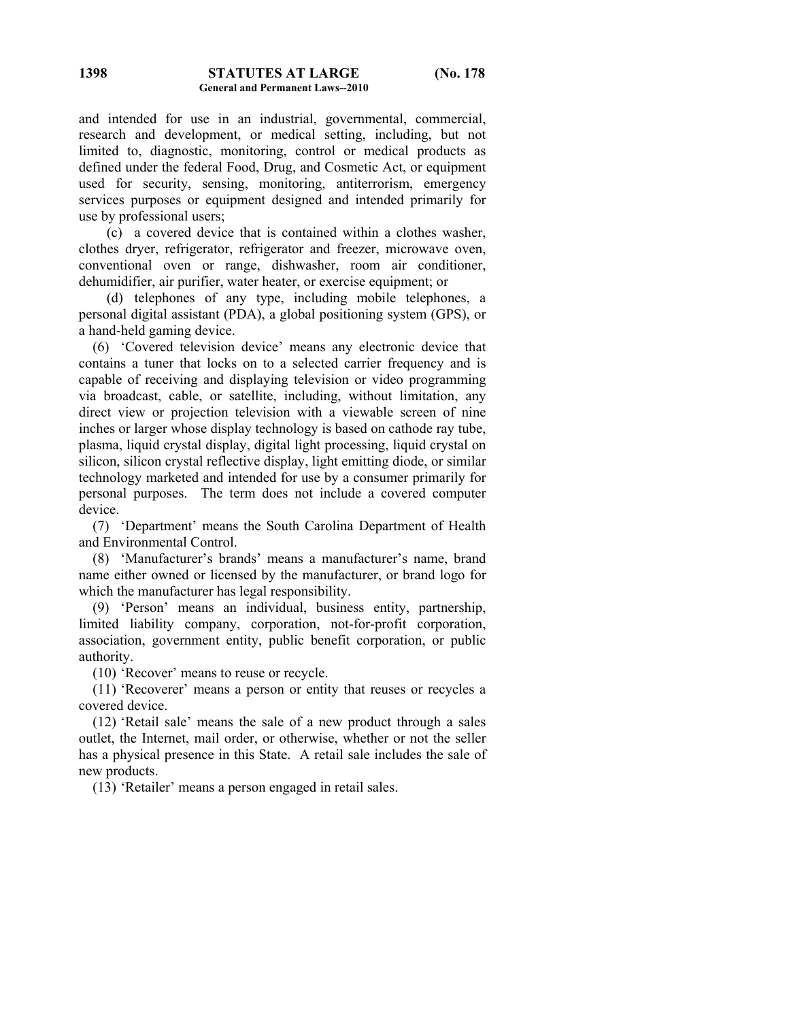and intended for use in an industrial, governmental, commercial, research and development, or medical setting, including, but not limited to, diagnostic, monitoring, control or medical products as defined under the federal Food, Drug, and Cosmetic Act, or equipment used for security, sensing, monitoring, antiterrorism, emergency services purposes or equipment designed and intended primarily for use by professional users;

 (c) a covered device that is contained within a clothes washer, clothes dryer, refrigerator, refrigerator and freezer, microwave oven, conventional oven or range, dishwasher, room air conditioner, dehumidifier, air purifier, water heater, or exercise equipment; or

 (d) telephones of any type, including mobile telephones, a personal digital assistant (PDA), a global positioning system (GPS), or a hand-held gaming device.

 (6) 'Covered television device' means any electronic device that contains a tuner that locks on to a selected carrier frequency and is capable of receiving and displaying television or video programming via broadcast, cable, or satellite, including, without limitation, any direct view or projection television with a viewable screen of nine inches or larger whose display technology is based on cathode ray tube, plasma, liquid crystal display, digital light processing, liquid crystal on silicon, silicon crystal reflective display, light emitting diode, or similar technology marketed and intended for use by a consumer primarily for personal purposes. The term does not include a covered computer device.

 (7) 'Department' means the South Carolina Department of Health and Environmental Control.

 (8) 'Manufacturer's brands' means a manufacturer's name, brand name either owned or licensed by the manufacturer, or brand logo for which the manufacturer has legal responsibility.

 (9) 'Person' means an individual, business entity, partnership, limited liability company, corporation, not-for-profit corporation, association, government entity, public benefit corporation, or public authority.

(10) 'Recover' means to reuse or recycle.

 (11) 'Recoverer' means a person or entity that reuses or recycles a covered device.

 (12) 'Retail sale' means the sale of a new product through a sales outlet, the Internet, mail order, or otherwise, whether or not the seller has a physical presence in this State. A retail sale includes the sale of new products.

(13) 'Retailer' means a person engaged in retail sales.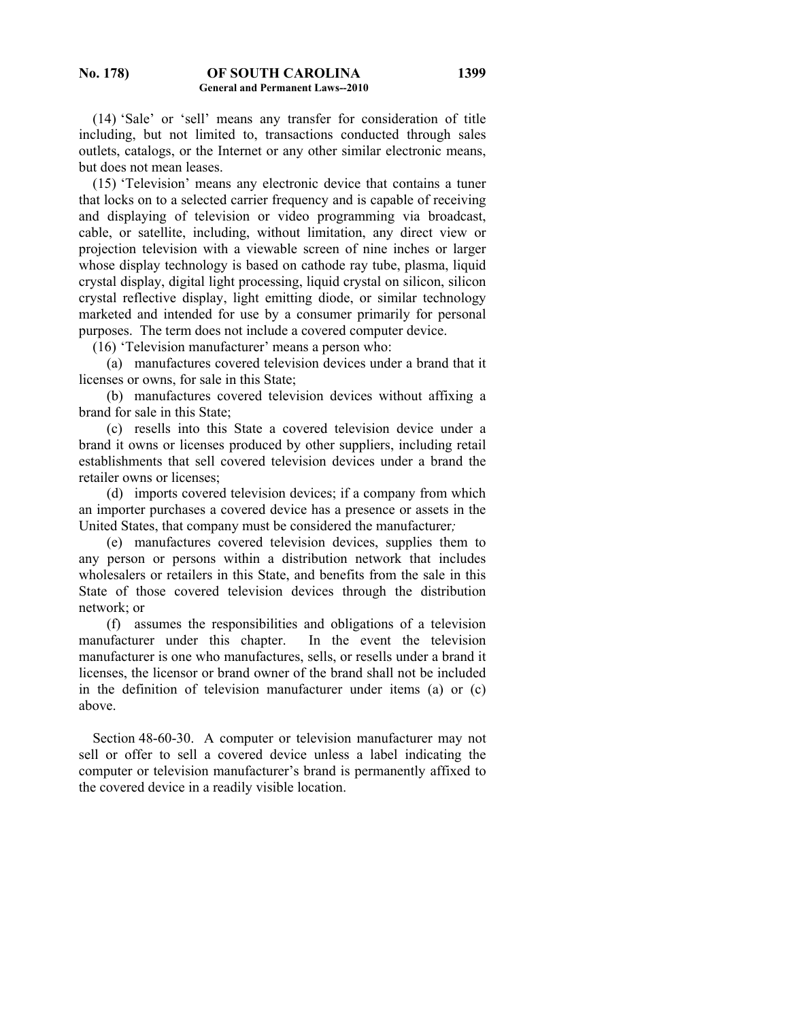(14) 'Sale' or 'sell' means any transfer for consideration of title including, but not limited to, transactions conducted through sales outlets, catalogs, or the Internet or any other similar electronic means, but does not mean leases.

 (15) 'Television' means any electronic device that contains a tuner that locks on to a selected carrier frequency and is capable of receiving and displaying of television or video programming via broadcast, cable, or satellite, including, without limitation, any direct view or projection television with a viewable screen of nine inches or larger whose display technology is based on cathode ray tube, plasma, liquid crystal display, digital light processing, liquid crystal on silicon, silicon crystal reflective display, light emitting diode, or similar technology marketed and intended for use by a consumer primarily for personal purposes. The term does not include a covered computer device.

(16) 'Television manufacturer' means a person who:

 (a) manufactures covered television devices under a brand that it licenses or owns, for sale in this State;

 (b) manufactures covered television devices without affixing a brand for sale in this State;

 (c) resells into this State a covered television device under a brand it owns or licenses produced by other suppliers, including retail establishments that sell covered television devices under a brand the retailer owns or licenses;

 (d) imports covered television devices; if a company from which an importer purchases a covered device has a presence or assets in the United States, that company must be considered the manufacturer*;*

 (e) manufactures covered television devices, supplies them to any person or persons within a distribution network that includes wholesalers or retailers in this State, and benefits from the sale in this State of those covered television devices through the distribution network; or

 (f) assumes the responsibilities and obligations of a television manufacturer under this chapter. In the event the television manufacturer is one who manufactures, sells, or resells under a brand it licenses, the licensor or brand owner of the brand shall not be included in the definition of television manufacturer under items (a) or (c) above.

 Section 48-60-30. A computer or television manufacturer may not sell or offer to sell a covered device unless a label indicating the computer or television manufacturer's brand is permanently affixed to the covered device in a readily visible location.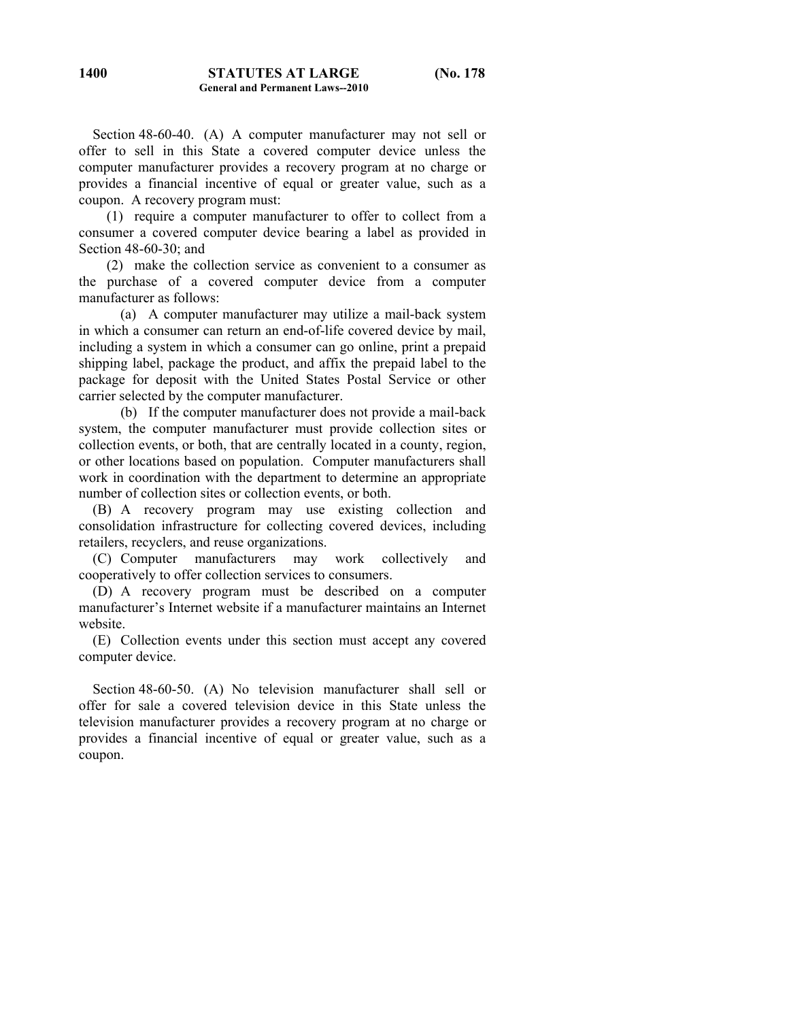Section 48-60-40. (A) A computer manufacturer may not sell or offer to sell in this State a covered computer device unless the computer manufacturer provides a recovery program at no charge or provides a financial incentive of equal or greater value, such as a coupon. A recovery program must:

 (1) require a computer manufacturer to offer to collect from a consumer a covered computer device bearing a label as provided in Section 48-60-30; and

 (2) make the collection service as convenient to a consumer as the purchase of a covered computer device from a computer manufacturer as follows:

 (a) A computer manufacturer may utilize a mail-back system in which a consumer can return an end-of-life covered device by mail, including a system in which a consumer can go online, print a prepaid shipping label, package the product, and affix the prepaid label to the package for deposit with the United States Postal Service or other carrier selected by the computer manufacturer.

 (b) If the computer manufacturer does not provide a mail-back system, the computer manufacturer must provide collection sites or collection events, or both, that are centrally located in a county, region, or other locations based on population. Computer manufacturers shall work in coordination with the department to determine an appropriate number of collection sites or collection events, or both.

 (B) A recovery program may use existing collection and consolidation infrastructure for collecting covered devices, including retailers, recyclers, and reuse organizations.

 (C) Computer manufacturers may work collectively and cooperatively to offer collection services to consumers.

 (D) A recovery program must be described on a computer manufacturer's Internet website if a manufacturer maintains an Internet website.

 (E) Collection events under this section must accept any covered computer device.

 Section 48-60-50. (A) No television manufacturer shall sell or offer for sale a covered television device in this State unless the television manufacturer provides a recovery program at no charge or provides a financial incentive of equal or greater value, such as a coupon.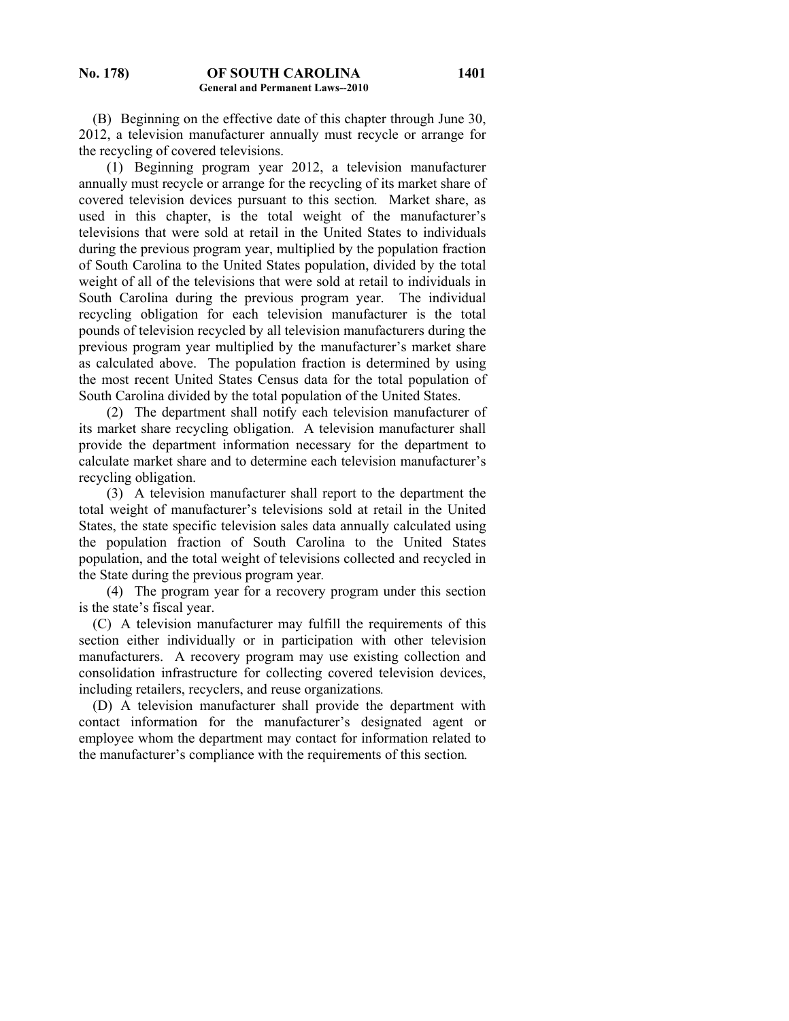(B) Beginning on the effective date of this chapter through June 30, 2012, a television manufacturer annually must recycle or arrange for the recycling of covered televisions.

 (1) Beginning program year 2012, a television manufacturer annually must recycle or arrange for the recycling of its market share of covered television devices pursuant to this section*.* Market share, as used in this chapter, is the total weight of the manufacturer's televisions that were sold at retail in the United States to individuals during the previous program year, multiplied by the population fraction of South Carolina to the United States population, divided by the total weight of all of the televisions that were sold at retail to individuals in South Carolina during the previous program year. The individual recycling obligation for each television manufacturer is the total pounds of television recycled by all television manufacturers during the previous program year multiplied by the manufacturer's market share as calculated above. The population fraction is determined by using the most recent United States Census data for the total population of South Carolina divided by the total population of the United States.

 (2) The department shall notify each television manufacturer of its market share recycling obligation. A television manufacturer shall provide the department information necessary for the department to calculate market share and to determine each television manufacturer's recycling obligation.

 (3) A television manufacturer shall report to the department the total weight of manufacturer's televisions sold at retail in the United States, the state specific television sales data annually calculated using the population fraction of South Carolina to the United States population, and the total weight of televisions collected and recycled in the State during the previous program year*.*

(4) The program year for a recovery program under this section is the state's fiscal year.

(C) A television manufacturer may fulfill the requirements of this section either individually or in participation with other television manufacturers. A recovery program may use existing collection and consolidation infrastructure for collecting covered television devices, including retailers, recyclers, and reuse organizations*.*

 (D) A television manufacturer shall provide the department with contact information for the manufacturer's designated agent or employee whom the department may contact for information related to the manufacturer's compliance with the requirements of this section*.*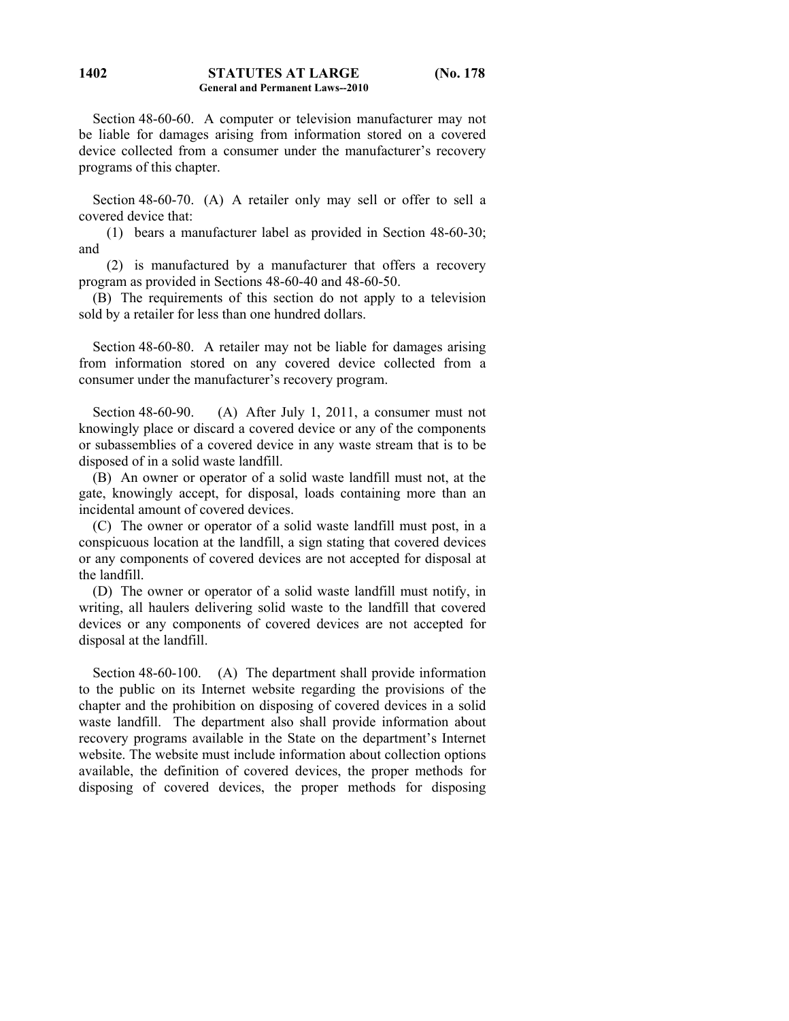Section 48-60-60. A computer or television manufacturer may not be liable for damages arising from information stored on a covered device collected from a consumer under the manufacturer's recovery programs of this chapter.

 Section 48-60-70. (A) A retailer only may sell or offer to sell a covered device that:

 (1) bears a manufacturer label as provided in Section 48-60-30; and

 (2) is manufactured by a manufacturer that offers a recovery program as provided in Sections 48-60-40 and 48-60-50.

 (B) The requirements of this section do not apply to a television sold by a retailer for less than one hundred dollars.

 Section 48-60-80. A retailer may not be liable for damages arising from information stored on any covered device collected from a consumer under the manufacturer's recovery program.

Section 48-60-90. (A) After July 1, 2011, a consumer must not knowingly place or discard a covered device or any of the components or subassemblies of a covered device in any waste stream that is to be disposed of in a solid waste landfill.

 (B) An owner or operator of a solid waste landfill must not, at the gate, knowingly accept, for disposal, loads containing more than an incidental amount of covered devices.

 (C) The owner or operator of a solid waste landfill must post, in a conspicuous location at the landfill, a sign stating that covered devices or any components of covered devices are not accepted for disposal at the landfill.

 (D) The owner or operator of a solid waste landfill must notify, in writing, all haulers delivering solid waste to the landfill that covered devices or any components of covered devices are not accepted for disposal at the landfill.

 Section 48-60-100. (A) The department shall provide information to the public on its Internet website regarding the provisions of the chapter and the prohibition on disposing of covered devices in a solid waste landfill. The department also shall provide information about recovery programs available in the State on the department's Internet website. The website must include information about collection options available, the definition of covered devices, the proper methods for disposing of covered devices, the proper methods for disposing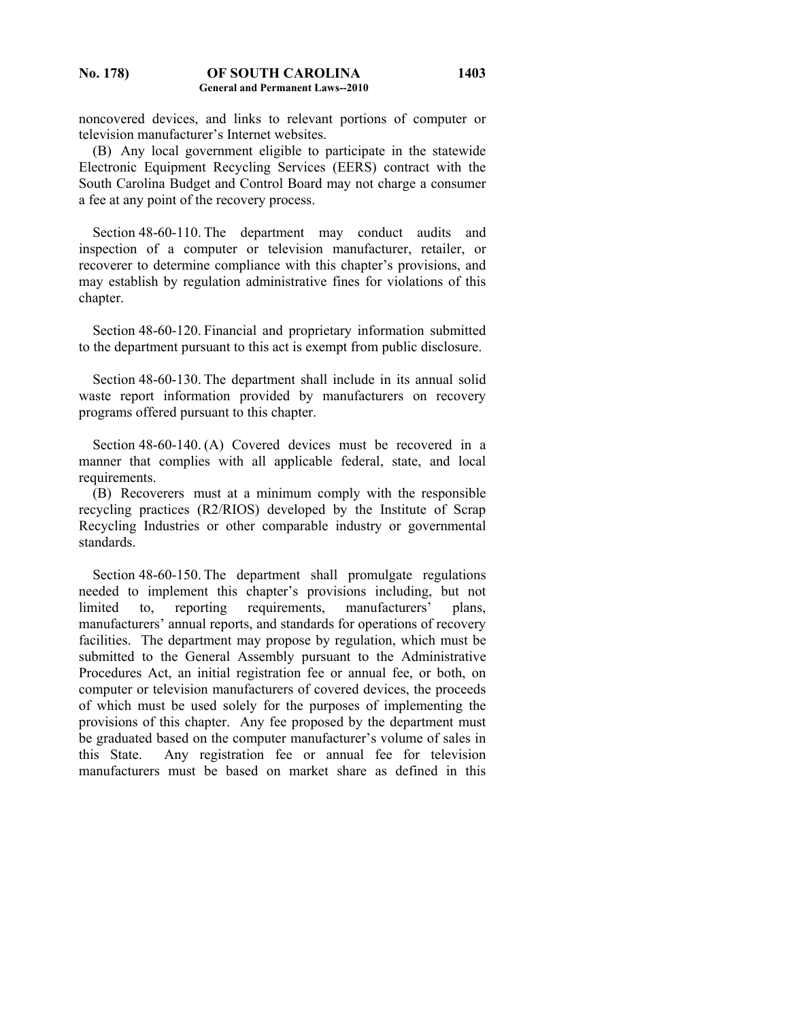noncovered devices, and links to relevant portions of computer or television manufacturer's Internet websites.

**1403**

 (B) Any local government eligible to participate in the statewide Electronic Equipment Recycling Services (EERS) contract with the South Carolina Budget and Control Board may not charge a consumer a fee at any point of the recovery process.

Section 48-60-110. The department may conduct audits and inspection of a computer or television manufacturer, retailer, or recoverer to determine compliance with this chapter's provisions, and may establish by regulation administrative fines for violations of this chapter.

 Section 48-60-120. Financial and proprietary information submitted to the department pursuant to this act is exempt from public disclosure.

 Section 48-60-130. The department shall include in its annual solid waste report information provided by manufacturers on recovery programs offered pursuant to this chapter.

 Section 48-60-140. (A) Covered devices must be recovered in a manner that complies with all applicable federal, state, and local requirements.

 (B) Recoverers must at a minimum comply with the responsible recycling practices (R2/RIOS) developed by the Institute of Scrap Recycling Industries or other comparable industry or governmental standards.

 Section 48-60-150. The department shall promulgate regulations needed to implement this chapter's provisions including, but not limited to, reporting requirements, manufacturers' plans, manufacturers' annual reports, and standards for operations of recovery facilities. The department may propose by regulation, which must be submitted to the General Assembly pursuant to the Administrative Procedures Act, an initial registration fee or annual fee, or both, on computer or television manufacturers of covered devices, the proceeds of which must be used solely for the purposes of implementing the provisions of this chapter. Any fee proposed by the department must be graduated based on the computer manufacturer's volume of sales in this State. Any registration fee or annual fee for television manufacturers must be based on market share as defined in this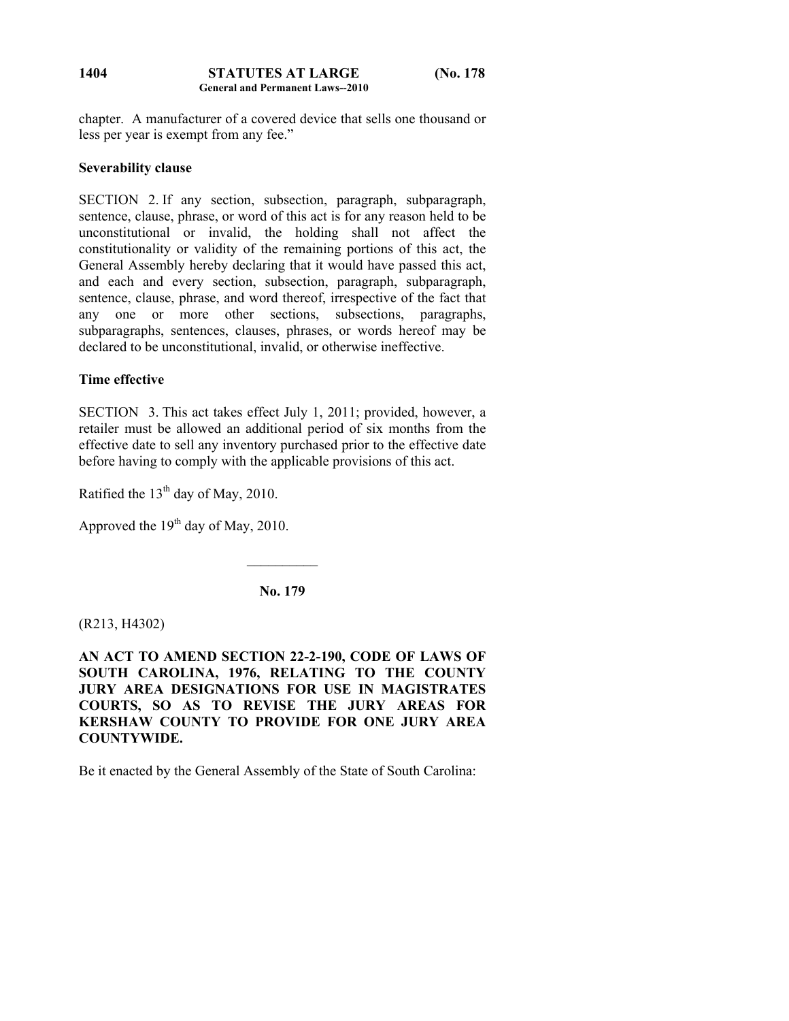#### **STATUTES AT LARGE (No. 178 General and Permanent Laws--2010 1404**

chapter. A manufacturer of a covered device that sells one thousand or less per year is exempt from any fee."

# **Severability clause**

SECTION 2. If any section, subsection, paragraph, subparagraph, sentence, clause, phrase, or word of this act is for any reason held to be unconstitutional or invalid, the holding shall not affect the constitutionality or validity of the remaining portions of this act, the General Assembly hereby declaring that it would have passed this act, and each and every section, subsection, paragraph, subparagraph, sentence, clause, phrase, and word thereof, irrespective of the fact that any one or more other sections, subsections, paragraphs, subparagraphs, sentences, clauses, phrases, or words hereof may be declared to be unconstitutional, invalid, or otherwise ineffective.

# **Time effective**

SECTION 3. This act takes effect July 1, 2011; provided, however, a retailer must be allowed an additional period of six months from the effective date to sell any inventory purchased prior to the effective date before having to comply with the applicable provisions of this act.

Ratified the  $13<sup>th</sup>$  day of May, 2010.

Approved the  $19<sup>th</sup>$  day of May, 2010.

**No. 179** 

 $\mathcal{L}_\text{max}$ 

(R213, H4302)

**AN ACT TO AMEND SECTION 22-2-190, CODE OF LAWS OF SOUTH CAROLINA, 1976, RELATING TO THE COUNTY JURY AREA DESIGNATIONS FOR USE IN MAGISTRATES COURTS, SO AS TO REVISE THE JURY AREAS FOR KERSHAW COUNTY TO PROVIDE FOR ONE JURY AREA COUNTYWIDE.** 

Be it enacted by the General Assembly of the State of South Carolina: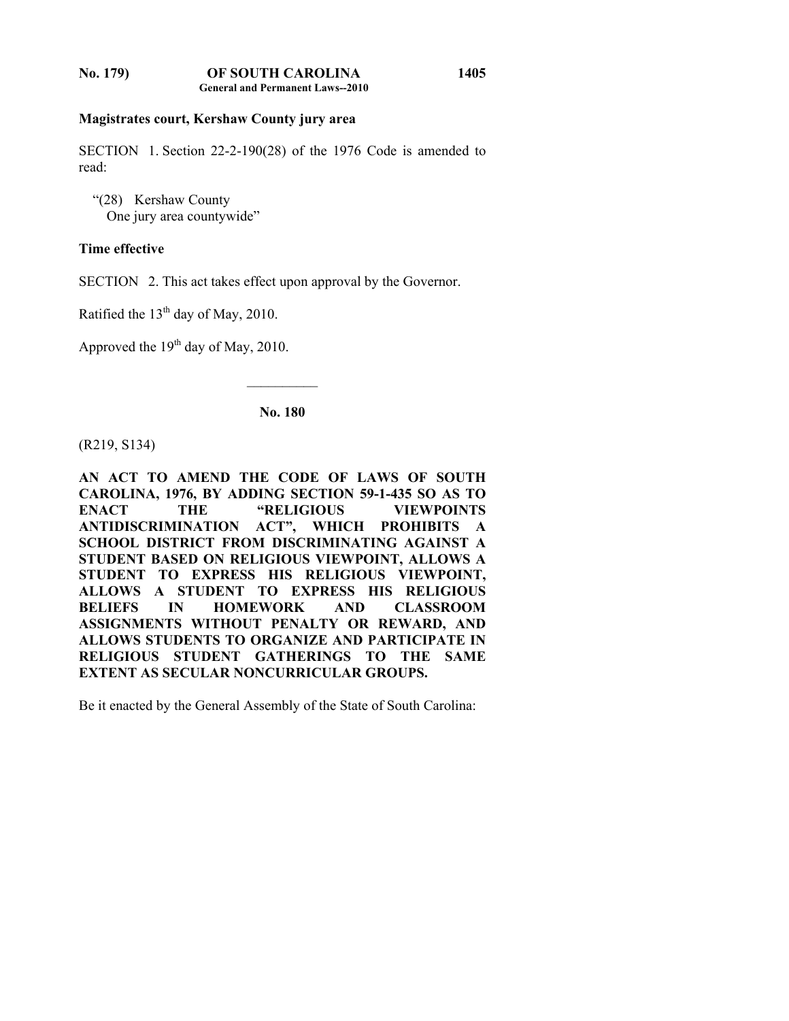## **Magistrates court, Kershaw County jury area**

SECTION 1. Section 22-2-190(28) of the 1976 Code is amended to read:

**1405**

 "(28) Kershaw County One jury area countywide"

## **Time effective**

SECTION 2. This act takes effect upon approval by the Governor.

Ratified the  $13<sup>th</sup>$  day of May, 2010.

Approved the  $19<sup>th</sup>$  day of May, 2010.

**No. 180** 

 $\mathcal{L}_\text{max}$ 

(R219, S134)

**AN ACT TO AMEND THE CODE OF LAWS OF SOUTH CAROLINA, 1976, BY ADDING SECTION 59-1-435 SO AS TO ENACT THE "RELIGIOUS VIEWPOINTS ANTIDISCRIMINATION ACT", WHICH PROHIBITS A SCHOOL DISTRICT FROM DISCRIMINATING AGAINST A STUDENT BASED ON RELIGIOUS VIEWPOINT, ALLOWS A STUDENT TO EXPRESS HIS RELIGIOUS VIEWPOINT, ALLOWS A STUDENT TO EXPRESS HIS RELIGIOUS BELIEFS IN HOMEWORK AND CLASSROOM ASSIGNMENTS WITHOUT PENALTY OR REWARD, AND ALLOWS STUDENTS TO ORGANIZE AND PARTICIPATE IN RELIGIOUS STUDENT GATHERINGS TO THE SAME EXTENT AS SECULAR NONCURRICULAR GROUPS.** 

Be it enacted by the General Assembly of the State of South Carolina: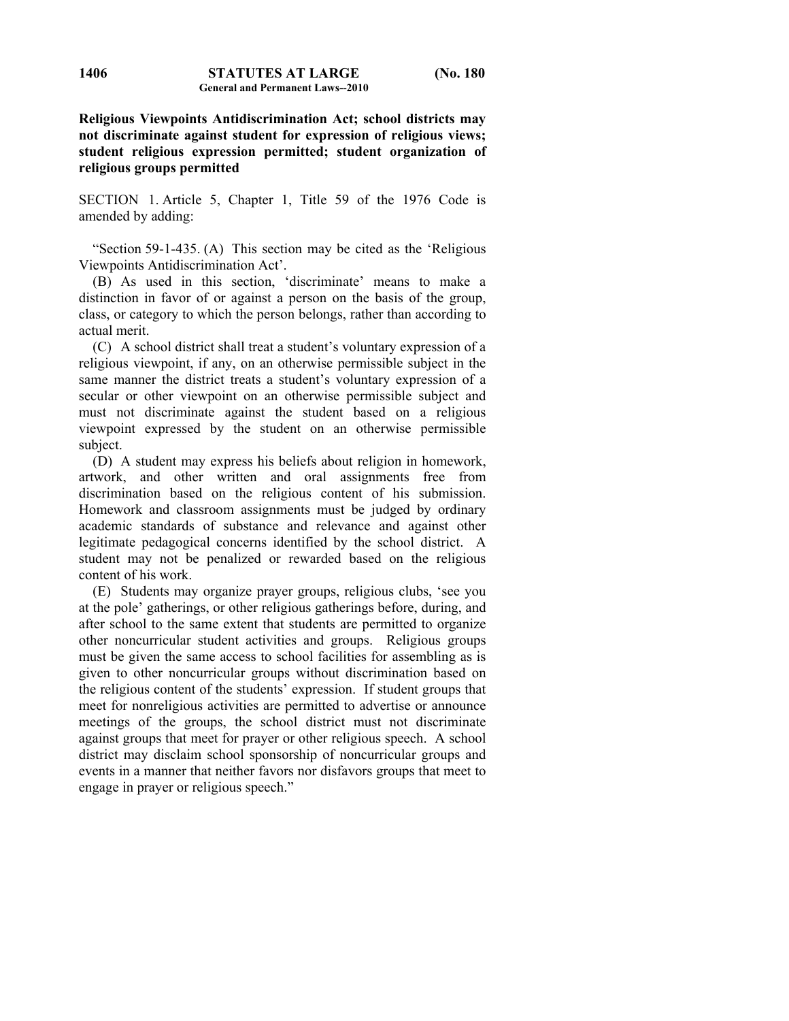**Religious Viewpoints Antidiscrimination Act; school districts may not discriminate against student for expression of religious views; student religious expression permitted; student organization of religious groups permitted** 

SECTION 1. Article 5, Chapter 1, Title 59 of the 1976 Code is amended by adding:

 "Section 59-1-435. (A) This section may be cited as the 'Religious Viewpoints Antidiscrimination Act'.

 (B) As used in this section, 'discriminate' means to make a distinction in favor of or against a person on the basis of the group, class, or category to which the person belongs, rather than according to actual merit.

 (C) A school district shall treat a student's voluntary expression of a religious viewpoint, if any, on an otherwise permissible subject in the same manner the district treats a student's voluntary expression of a secular or other viewpoint on an otherwise permissible subject and must not discriminate against the student based on a religious viewpoint expressed by the student on an otherwise permissible subject.

 (D) A student may express his beliefs about religion in homework, artwork, and other written and oral assignments free from discrimination based on the religious content of his submission. Homework and classroom assignments must be judged by ordinary academic standards of substance and relevance and against other legitimate pedagogical concerns identified by the school district. A student may not be penalized or rewarded based on the religious content of his work.

 (E) Students may organize prayer groups, religious clubs, 'see you at the pole' gatherings, or other religious gatherings before, during, and after school to the same extent that students are permitted to organize other noncurricular student activities and groups. Religious groups must be given the same access to school facilities for assembling as is given to other noncurricular groups without discrimination based on the religious content of the students' expression. If student groups that meet for nonreligious activities are permitted to advertise or announce meetings of the groups, the school district must not discriminate against groups that meet for prayer or other religious speech. A school district may disclaim school sponsorship of noncurricular groups and events in a manner that neither favors nor disfavors groups that meet to engage in prayer or religious speech."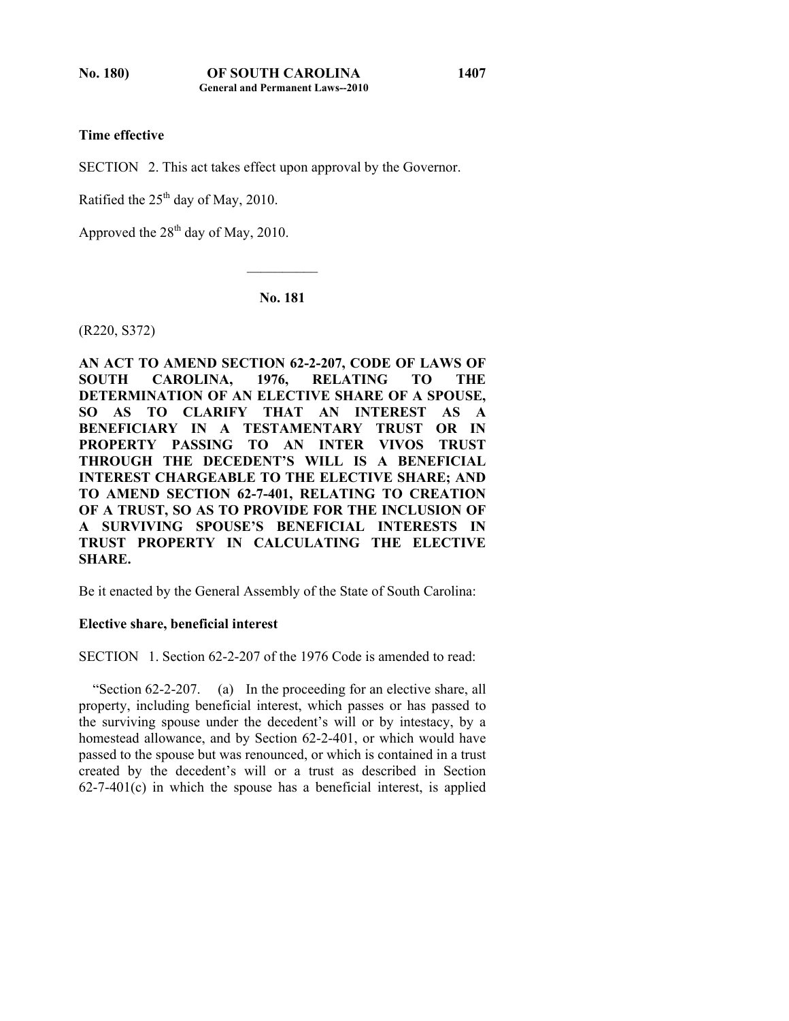# **Time effective**

SECTION 2. This act takes effect upon approval by the Governor.

Ratified the  $25<sup>th</sup>$  day of May, 2010.

Approved the 28<sup>th</sup> day of May, 2010.

**No. 181** 

 $\mathcal{L}_\text{max}$ 

(R220, S372)

**AN ACT TO AMEND SECTION 62-2-207, CODE OF LAWS OF SOUTH CAROLINA, 1976, RELATING TO THE DETERMINATION OF AN ELECTIVE SHARE OF A SPOUSE, SO AS TO CLARIFY THAT AN INTEREST AS A BENEFICIARY IN A TESTAMENTARY TRUST OR IN PROPERTY PASSING TO AN INTER VIVOS TRUST THROUGH THE DECEDENT'S WILL IS A BENEFICIAL INTEREST CHARGEABLE TO THE ELECTIVE SHARE; AND TO AMEND SECTION 62-7-401, RELATING TO CREATION OF A TRUST, SO AS TO PROVIDE FOR THE INCLUSION OF A SURVIVING SPOUSE'S BENEFICIAL INTERESTS IN TRUST PROPERTY IN CALCULATING THE ELECTIVE SHARE.** 

Be it enacted by the General Assembly of the State of South Carolina:

# **Elective share, beneficial interest**

SECTION 1. Section 62-2-207 of the 1976 Code is amended to read:

 "Section 62-2-207. (a) In the proceeding for an elective share, all property, including beneficial interest, which passes or has passed to the surviving spouse under the decedent's will or by intestacy, by a homestead allowance, and by Section 62-2-401, or which would have passed to the spouse but was renounced, or which is contained in a trust created by the decedent's will or a trust as described in Section  $62-7-401(c)$  in which the spouse has a beneficial interest, is applied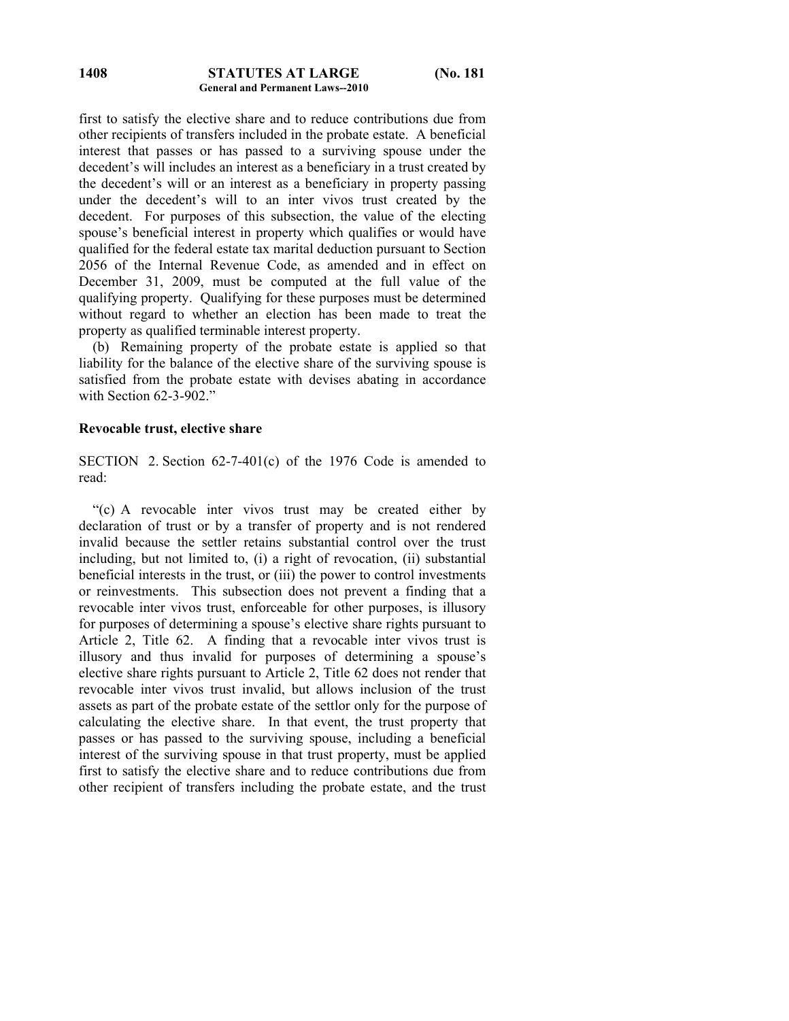first to satisfy the elective share and to reduce contributions due from other recipients of transfers included in the probate estate. A beneficial interest that passes or has passed to a surviving spouse under the decedent's will includes an interest as a beneficiary in a trust created by the decedent's will or an interest as a beneficiary in property passing under the decedent's will to an inter vivos trust created by the decedent. For purposes of this subsection, the value of the electing spouse's beneficial interest in property which qualifies or would have qualified for the federal estate tax marital deduction pursuant to Section 2056 of the Internal Revenue Code, as amended and in effect on December 31, 2009, must be computed at the full value of the qualifying property. Qualifying for these purposes must be determined without regard to whether an election has been made to treat the property as qualified terminable interest property.

 (b) Remaining property of the probate estate is applied so that liability for the balance of the elective share of the surviving spouse is satisfied from the probate estate with devises abating in accordance with Section 62-3-902."

#### **Revocable trust, elective share**

SECTION 2. Section 62-7-401(c) of the 1976 Code is amended to read:

 "(c) A revocable inter vivos trust may be created either by declaration of trust or by a transfer of property and is not rendered invalid because the settler retains substantial control over the trust including, but not limited to, (i) a right of revocation, (ii) substantial beneficial interests in the trust, or (iii) the power to control investments or reinvestments. This subsection does not prevent a finding that a revocable inter vivos trust, enforceable for other purposes, is illusory for purposes of determining a spouse's elective share rights pursuant to Article 2, Title 62. A finding that a revocable inter vivos trust is illusory and thus invalid for purposes of determining a spouse's elective share rights pursuant to Article 2, Title 62 does not render that revocable inter vivos trust invalid, but allows inclusion of the trust assets as part of the probate estate of the settlor only for the purpose of calculating the elective share. In that event, the trust property that passes or has passed to the surviving spouse, including a beneficial interest of the surviving spouse in that trust property, must be applied first to satisfy the elective share and to reduce contributions due from other recipient of transfers including the probate estate, and the trust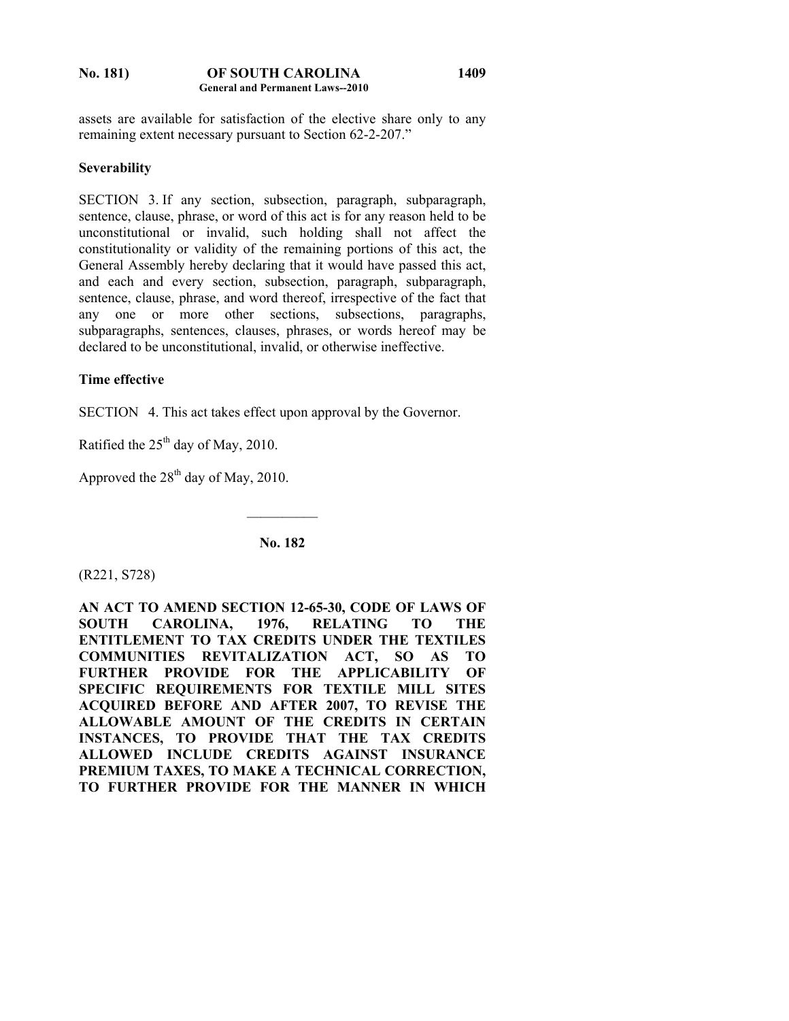#### **No. 181) OF SOUTH CAROLINA General and Permanent Laws--2010 1409**

assets are available for satisfaction of the elective share only to any remaining extent necessary pursuant to Section 62-2-207."

# **Severability**

SECTION 3. If any section, subsection, paragraph, subparagraph, sentence, clause, phrase, or word of this act is for any reason held to be unconstitutional or invalid, such holding shall not affect the constitutionality or validity of the remaining portions of this act, the General Assembly hereby declaring that it would have passed this act, and each and every section, subsection, paragraph, subparagraph, sentence, clause, phrase, and word thereof, irrespective of the fact that any one or more other sections, subsections, paragraphs, subparagraphs, sentences, clauses, phrases, or words hereof may be declared to be unconstitutional, invalid, or otherwise ineffective.

# **Time effective**

SECTION 4. This act takes effect upon approval by the Governor.

Ratified the  $25<sup>th</sup>$  day of May, 2010.

Approved the  $28<sup>th</sup>$  day of May, 2010.

**No. 182** 

 $\frac{1}{2}$ 

(R221, S728)

**AN ACT TO AMEND SECTION 12-65-30, CODE OF LAWS OF SOUTH CAROLINA, 1976, RELATING TO THE ENTITLEMENT TO TAX CREDITS UNDER THE TEXTILES COMMUNITIES REVITALIZATION ACT, SO AS TO FURTHER PROVIDE FOR THE APPLICABILITY OF SPECIFIC REQUIREMENTS FOR TEXTILE MILL SITES ACQUIRED BEFORE AND AFTER 2007, TO REVISE THE ALLOWABLE AMOUNT OF THE CREDITS IN CERTAIN INSTANCES, TO PROVIDE THAT THE TAX CREDITS ALLOWED INCLUDE CREDITS AGAINST INSURANCE PREMIUM TAXES, TO MAKE A TECHNICAL CORRECTION, TO FURTHER PROVIDE FOR THE MANNER IN WHICH**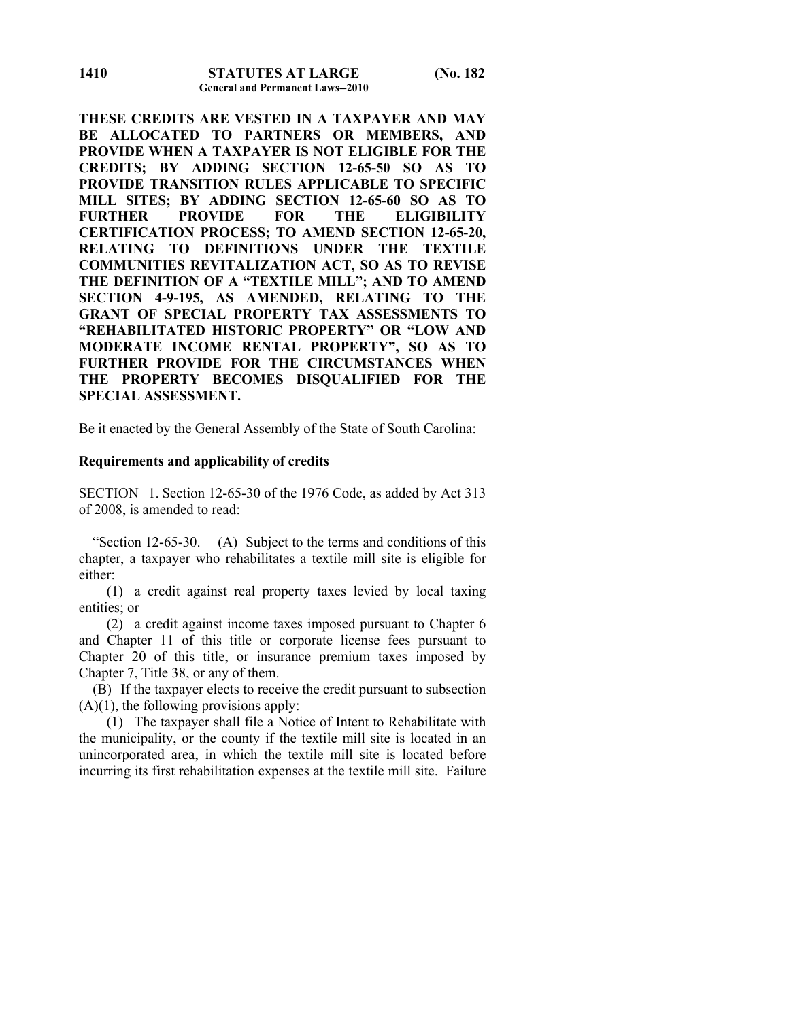**THESE CREDITS ARE VESTED IN A TAXPAYER AND MAY BE ALLOCATED TO PARTNERS OR MEMBERS, AND PROVIDE WHEN A TAXPAYER IS NOT ELIGIBLE FOR THE CREDITS; BY ADDING SECTION 12-65-50 SO AS TO PROVIDE TRANSITION RULES APPLICABLE TO SPECIFIC MILL SITES; BY ADDING SECTION 12-65-60 SO AS TO FURTHER PROVIDE FOR THE ELIGIBILITY CERTIFICATION PROCESS; TO AMEND SECTION 12-65-20, RELATING TO DEFINITIONS UNDER THE TEXTILE COMMUNITIES REVITALIZATION ACT, SO AS TO REVISE THE DEFINITION OF A "TEXTILE MILL"; AND TO AMEND SECTION 4-9-195, AS AMENDED, RELATING TO THE GRANT OF SPECIAL PROPERTY TAX ASSESSMENTS TO "REHABILITATED HISTORIC PROPERTY" OR "LOW AND MODERATE INCOME RENTAL PROPERTY", SO AS TO FURTHER PROVIDE FOR THE CIRCUMSTANCES WHEN THE PROPERTY BECOMES DISQUALIFIED FOR THE SPECIAL ASSESSMENT.** 

Be it enacted by the General Assembly of the State of South Carolina:

#### **Requirements and applicability of credits**

SECTION 1. Section 12-65-30 of the 1976 Code, as added by Act 313 of 2008, is amended to read:

 "Section 12-65-30. (A) Subject to the terms and conditions of this chapter, a taxpayer who rehabilitates a textile mill site is eligible for either:

 (1) a credit against real property taxes levied by local taxing entities; or

 (2) a credit against income taxes imposed pursuant to Chapter 6 and Chapter 11 of this title or corporate license fees pursuant to Chapter 20 of this title, or insurance premium taxes imposed by Chapter 7, Title 38, or any of them.

 (B) If the taxpayer elects to receive the credit pursuant to subsection  $(A)(1)$ , the following provisions apply:

 (1) The taxpayer shall file a Notice of Intent to Rehabilitate with the municipality, or the county if the textile mill site is located in an unincorporated area, in which the textile mill site is located before incurring its first rehabilitation expenses at the textile mill site. Failure

**1410**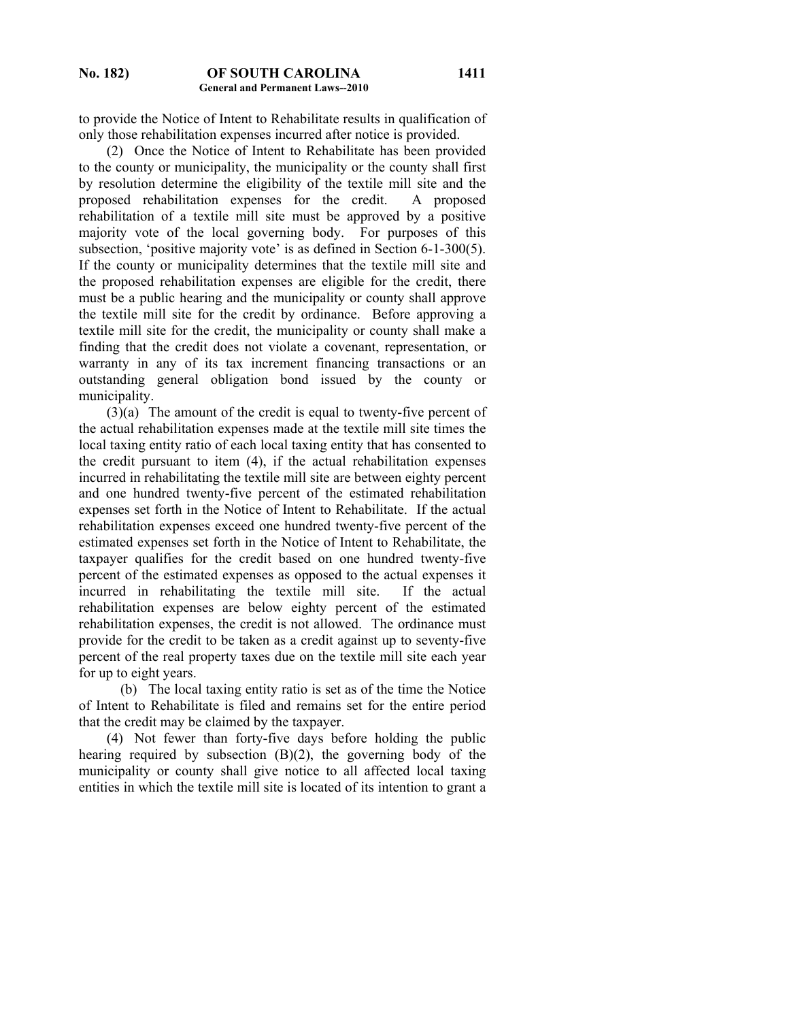to provide the Notice of Intent to Rehabilitate results in qualification of only those rehabilitation expenses incurred after notice is provided.

 (2) Once the Notice of Intent to Rehabilitate has been provided to the county or municipality, the municipality or the county shall first by resolution determine the eligibility of the textile mill site and the proposed rehabilitation expenses for the credit. A proposed rehabilitation of a textile mill site must be approved by a positive majority vote of the local governing body. For purposes of this subsection, 'positive majority vote' is as defined in Section 6-1-300(5). If the county or municipality determines that the textile mill site and the proposed rehabilitation expenses are eligible for the credit, there must be a public hearing and the municipality or county shall approve the textile mill site for the credit by ordinance. Before approving a textile mill site for the credit, the municipality or county shall make a finding that the credit does not violate a covenant, representation, or warranty in any of its tax increment financing transactions or an outstanding general obligation bond issued by the county or municipality.

 (3)(a) The amount of the credit is equal to twenty-five percent of the actual rehabilitation expenses made at the textile mill site times the local taxing entity ratio of each local taxing entity that has consented to the credit pursuant to item (4), if the actual rehabilitation expenses incurred in rehabilitating the textile mill site are between eighty percent and one hundred twenty-five percent of the estimated rehabilitation expenses set forth in the Notice of Intent to Rehabilitate. If the actual rehabilitation expenses exceed one hundred twenty-five percent of the estimated expenses set forth in the Notice of Intent to Rehabilitate, the taxpayer qualifies for the credit based on one hundred twenty-five percent of the estimated expenses as opposed to the actual expenses it incurred in rehabilitating the textile mill site. If the actual rehabilitation expenses are below eighty percent of the estimated rehabilitation expenses, the credit is not allowed. The ordinance must provide for the credit to be taken as a credit against up to seventy-five percent of the real property taxes due on the textile mill site each year for up to eight years.

 (b) The local taxing entity ratio is set as of the time the Notice of Intent to Rehabilitate is filed and remains set for the entire period that the credit may be claimed by the taxpayer.

 (4) Not fewer than forty-five days before holding the public hearing required by subsection (B)(2), the governing body of the municipality or county shall give notice to all affected local taxing entities in which the textile mill site is located of its intention to grant a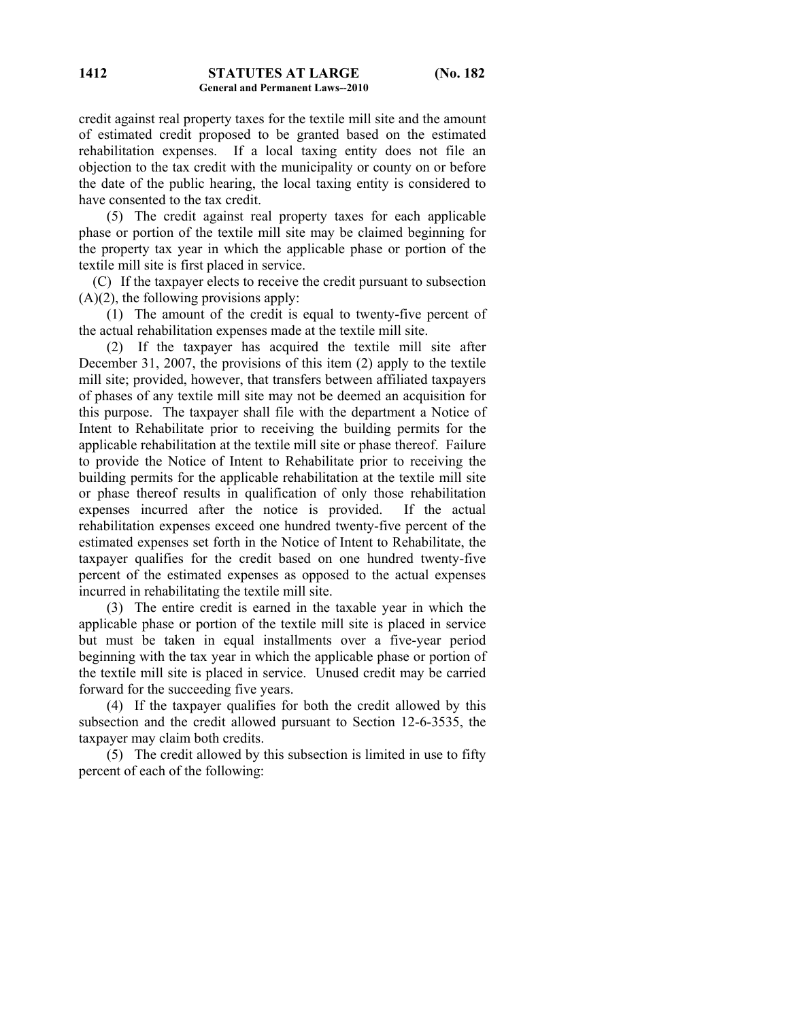credit against real property taxes for the textile mill site and the amount of estimated credit proposed to be granted based on the estimated rehabilitation expenses. If a local taxing entity does not file an objection to the tax credit with the municipality or county on or before the date of the public hearing, the local taxing entity is considered to have consented to the tax credit.

 (5) The credit against real property taxes for each applicable phase or portion of the textile mill site may be claimed beginning for the property tax year in which the applicable phase or portion of the textile mill site is first placed in service.

 (C) If the taxpayer elects to receive the credit pursuant to subsection  $(A)(2)$ , the following provisions apply:

 (1) The amount of the credit is equal to twenty-five percent of the actual rehabilitation expenses made at the textile mill site.

 (2) If the taxpayer has acquired the textile mill site after December 31, 2007, the provisions of this item (2) apply to the textile mill site; provided, however, that transfers between affiliated taxpayers of phases of any textile mill site may not be deemed an acquisition for this purpose. The taxpayer shall file with the department a Notice of Intent to Rehabilitate prior to receiving the building permits for the applicable rehabilitation at the textile mill site or phase thereof. Failure to provide the Notice of Intent to Rehabilitate prior to receiving the building permits for the applicable rehabilitation at the textile mill site or phase thereof results in qualification of only those rehabilitation expenses incurred after the notice is provided. If the actual rehabilitation expenses exceed one hundred twenty-five percent of the estimated expenses set forth in the Notice of Intent to Rehabilitate, the taxpayer qualifies for the credit based on one hundred twenty-five percent of the estimated expenses as opposed to the actual expenses incurred in rehabilitating the textile mill site.

 (3) The entire credit is earned in the taxable year in which the applicable phase or portion of the textile mill site is placed in service but must be taken in equal installments over a five-year period beginning with the tax year in which the applicable phase or portion of the textile mill site is placed in service. Unused credit may be carried forward for the succeeding five years.

 (4) If the taxpayer qualifies for both the credit allowed by this subsection and the credit allowed pursuant to Section 12-6-3535, the taxpayer may claim both credits.

 (5) The credit allowed by this subsection is limited in use to fifty percent of each of the following: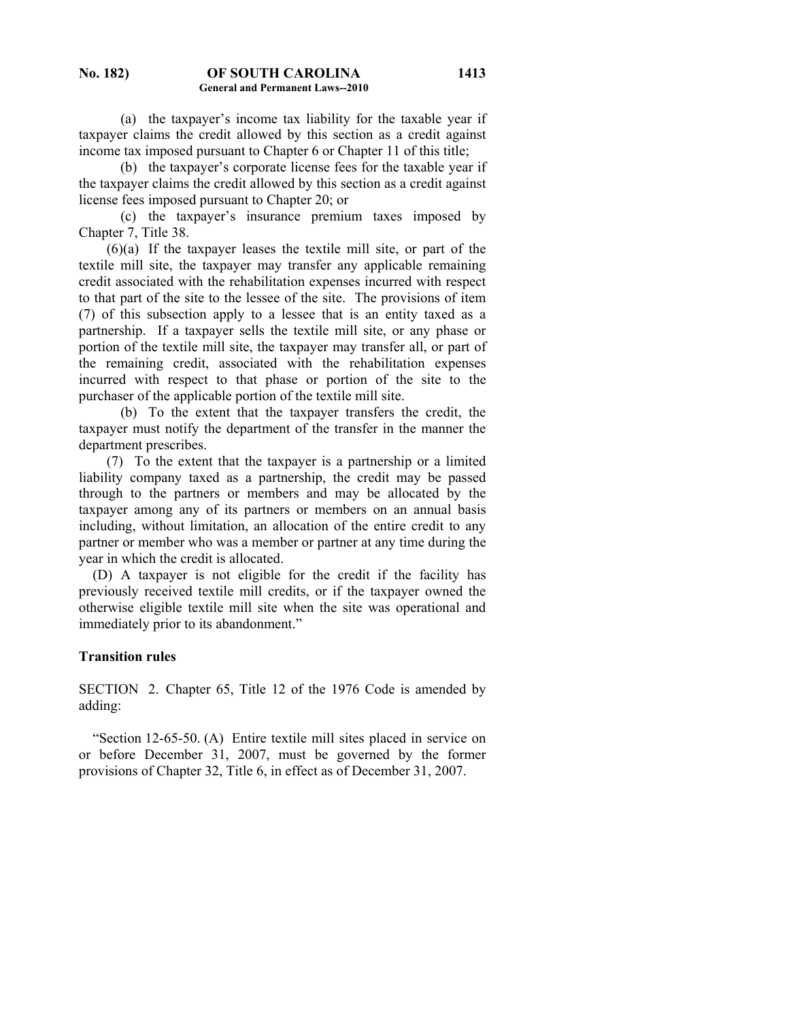(a) the taxpayer's income tax liability for the taxable year if taxpayer claims the credit allowed by this section as a credit against income tax imposed pursuant to Chapter 6 or Chapter 11 of this title;

 (b) the taxpayer's corporate license fees for the taxable year if the taxpayer claims the credit allowed by this section as a credit against license fees imposed pursuant to Chapter 20; or

 (c) the taxpayer's insurance premium taxes imposed by Chapter 7, Title 38.

 (6)(a) If the taxpayer leases the textile mill site, or part of the textile mill site, the taxpayer may transfer any applicable remaining credit associated with the rehabilitation expenses incurred with respect to that part of the site to the lessee of the site. The provisions of item (7) of this subsection apply to a lessee that is an entity taxed as a partnership. If a taxpayer sells the textile mill site, or any phase or portion of the textile mill site, the taxpayer may transfer all, or part of the remaining credit, associated with the rehabilitation expenses incurred with respect to that phase or portion of the site to the purchaser of the applicable portion of the textile mill site.

 (b) To the extent that the taxpayer transfers the credit, the taxpayer must notify the department of the transfer in the manner the department prescribes.

 (7) To the extent that the taxpayer is a partnership or a limited liability company taxed as a partnership, the credit may be passed through to the partners or members and may be allocated by the taxpayer among any of its partners or members on an annual basis including, without limitation, an allocation of the entire credit to any partner or member who was a member or partner at any time during the year in which the credit is allocated.

 (D) A taxpayer is not eligible for the credit if the facility has previously received textile mill credits, or if the taxpayer owned the otherwise eligible textile mill site when the site was operational and immediately prior to its abandonment."

## **Transition rules**

SECTION 2. Chapter 65, Title 12 of the 1976 Code is amended by adding:

 "Section 12-65-50. (A) Entire textile mill sites placed in service on or before December 31, 2007, must be governed by the former provisions of Chapter 32, Title 6, in effect as of December 31, 2007.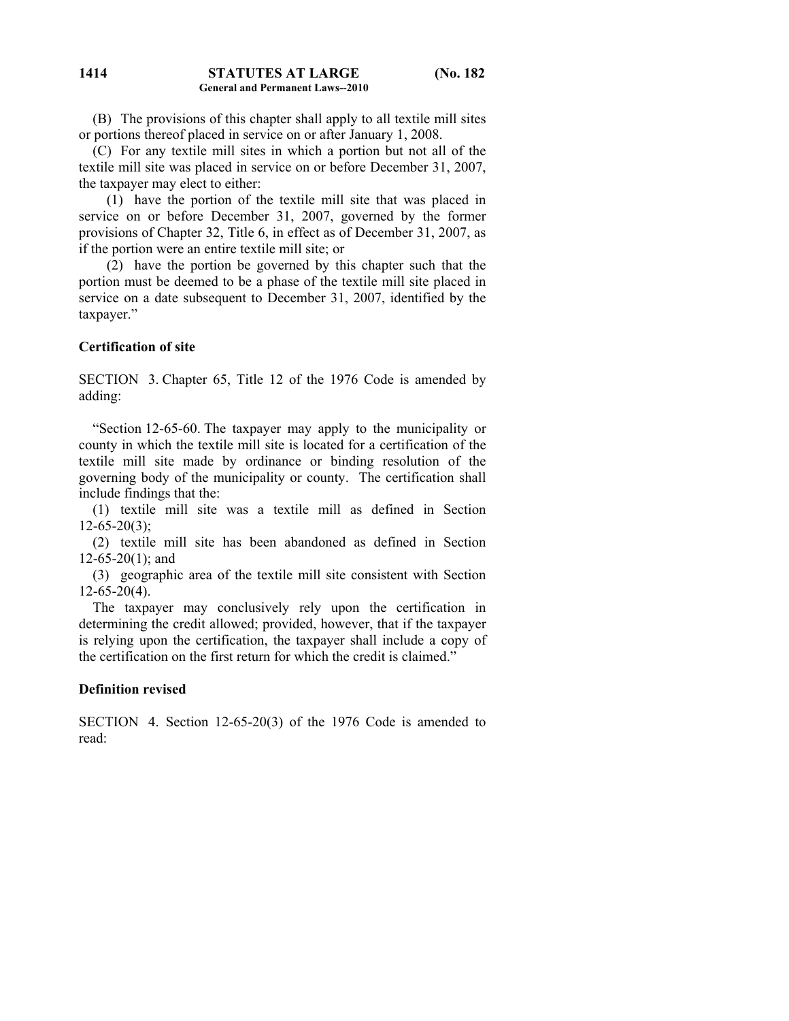#### **STATUTES AT LARGE (No. 182 General and Permanent Laws--2010 1414**

 (B) The provisions of this chapter shall apply to all textile mill sites or portions thereof placed in service on or after January 1, 2008.

 (C) For any textile mill sites in which a portion but not all of the textile mill site was placed in service on or before December 31, 2007, the taxpayer may elect to either:

 (1) have the portion of the textile mill site that was placed in service on or before December 31, 2007, governed by the former provisions of Chapter 32, Title 6, in effect as of December 31, 2007, as if the portion were an entire textile mill site; or

 (2) have the portion be governed by this chapter such that the portion must be deemed to be a phase of the textile mill site placed in service on a date subsequent to December 31, 2007, identified by the taxpayer."

### **Certification of site**

SECTION 3. Chapter 65, Title 12 of the 1976 Code is amended by adding:

 "Section 12-65-60. The taxpayer may apply to the municipality or county in which the textile mill site is located for a certification of the textile mill site made by ordinance or binding resolution of the governing body of the municipality or county. The certification shall include findings that the:

 (1) textile mill site was a textile mill as defined in Section  $12-65-20(3)$ ;

 (2) textile mill site has been abandoned as defined in Section  $12-65-20(1)$ ; and

 (3) geographic area of the textile mill site consistent with Section  $12-65-20(4)$ .

 The taxpayer may conclusively rely upon the certification in determining the credit allowed; provided, however, that if the taxpayer is relying upon the certification, the taxpayer shall include a copy of the certification on the first return for which the credit is claimed."

## **Definition revised**

SECTION 4. Section 12-65-20(3) of the 1976 Code is amended to read: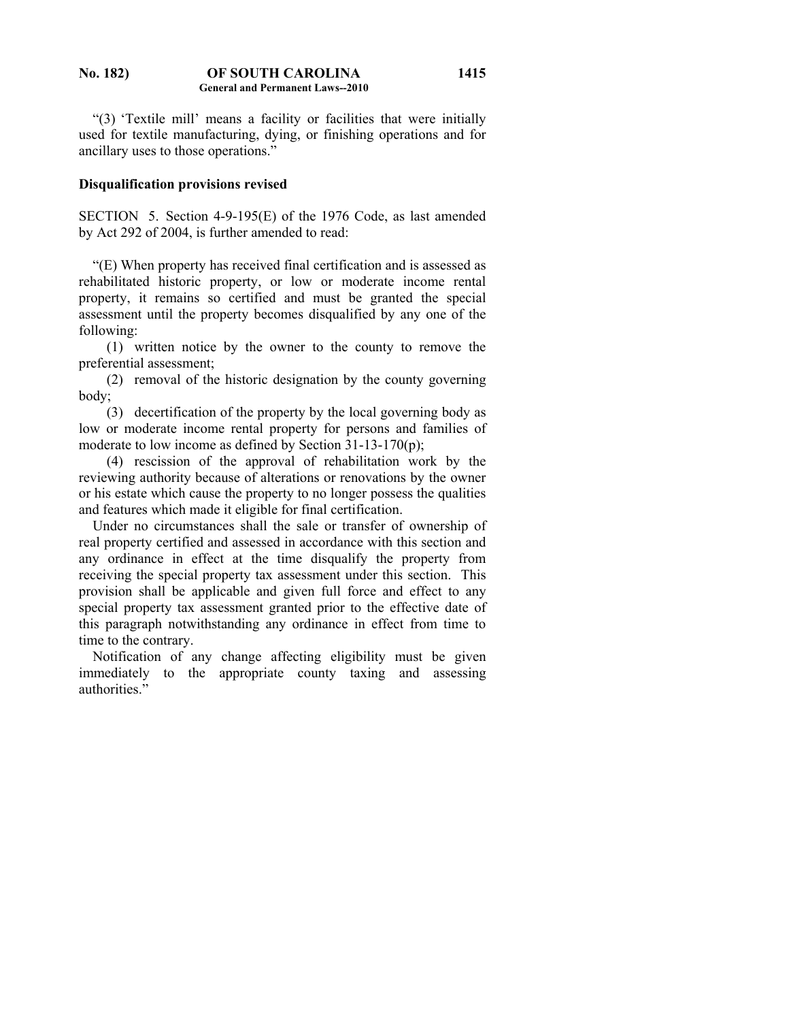### **No. 182) OF SOUTH CAROLINA General and Permanent Laws--2010 1415**

 "(3) 'Textile mill' means a facility or facilities that were initially used for textile manufacturing, dying, or finishing operations and for ancillary uses to those operations."

## **Disqualification provisions revised**

SECTION 5. Section 4-9-195(E) of the 1976 Code, as last amended by Act 292 of 2004, is further amended to read:

 "(E) When property has received final certification and is assessed as rehabilitated historic property, or low or moderate income rental property, it remains so certified and must be granted the special assessment until the property becomes disqualified by any one of the following:

 (1) written notice by the owner to the county to remove the preferential assessment;

 (2) removal of the historic designation by the county governing body;

 (3) decertification of the property by the local governing body as low or moderate income rental property for persons and families of moderate to low income as defined by Section 31-13-170(p);

 (4) rescission of the approval of rehabilitation work by the reviewing authority because of alterations or renovations by the owner or his estate which cause the property to no longer possess the qualities and features which made it eligible for final certification.

 Under no circumstances shall the sale or transfer of ownership of real property certified and assessed in accordance with this section and any ordinance in effect at the time disqualify the property from receiving the special property tax assessment under this section. This provision shall be applicable and given full force and effect to any special property tax assessment granted prior to the effective date of this paragraph notwithstanding any ordinance in effect from time to time to the contrary.

 Notification of any change affecting eligibility must be given immediately to the appropriate county taxing and assessing authorities."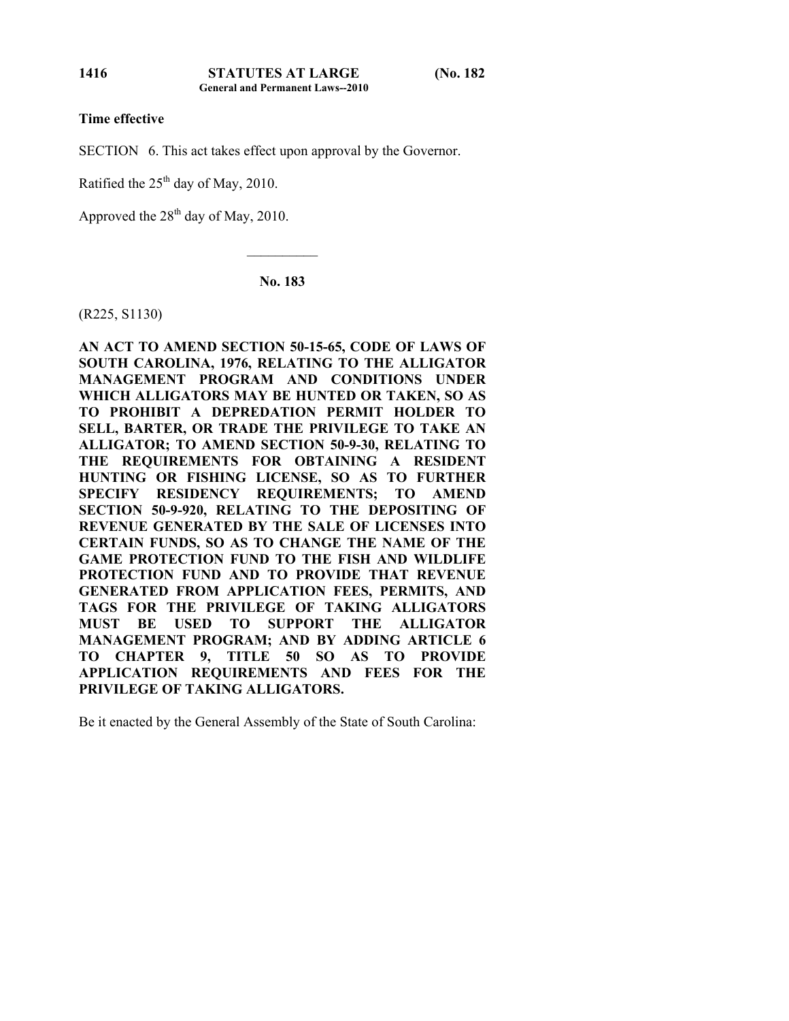**1416**

## **Time effective**

SECTION 6. This act takes effect upon approval by the Governor.

Ratified the  $25<sup>th</sup>$  day of May, 2010.

Approved the  $28<sup>th</sup>$  day of May, 2010.

**No. 183** 

 $\mathcal{L}_\text{max}$ 

(R225, S1130)

**AN ACT TO AMEND SECTION 50-15-65, CODE OF LAWS OF SOUTH CAROLINA, 1976, RELATING TO THE ALLIGATOR MANAGEMENT PROGRAM AND CONDITIONS UNDER WHICH ALLIGATORS MAY BE HUNTED OR TAKEN, SO AS TO PROHIBIT A DEPREDATION PERMIT HOLDER TO SELL, BARTER, OR TRADE THE PRIVILEGE TO TAKE AN ALLIGATOR; TO AMEND SECTION 50-9-30, RELATING TO THE REQUIREMENTS FOR OBTAINING A RESIDENT HUNTING OR FISHING LICENSE, SO AS TO FURTHER SPECIFY RESIDENCY REQUIREMENTS; TO AMEND SECTION 50-9-920, RELATING TO THE DEPOSITING OF REVENUE GENERATED BY THE SALE OF LICENSES INTO CERTAIN FUNDS, SO AS TO CHANGE THE NAME OF THE GAME PROTECTION FUND TO THE FISH AND WILDLIFE PROTECTION FUND AND TO PROVIDE THAT REVENUE GENERATED FROM APPLICATION FEES, PERMITS, AND TAGS FOR THE PRIVILEGE OF TAKING ALLIGATORS MUST BE USED TO SUPPORT THE ALLIGATOR MANAGEMENT PROGRAM; AND BY ADDING ARTICLE 6 TO CHAPTER 9, TITLE 50 SO AS TO PROVIDE APPLICATION REQUIREMENTS AND FEES FOR THE PRIVILEGE OF TAKING ALLIGATORS.** 

Be it enacted by the General Assembly of the State of South Carolina: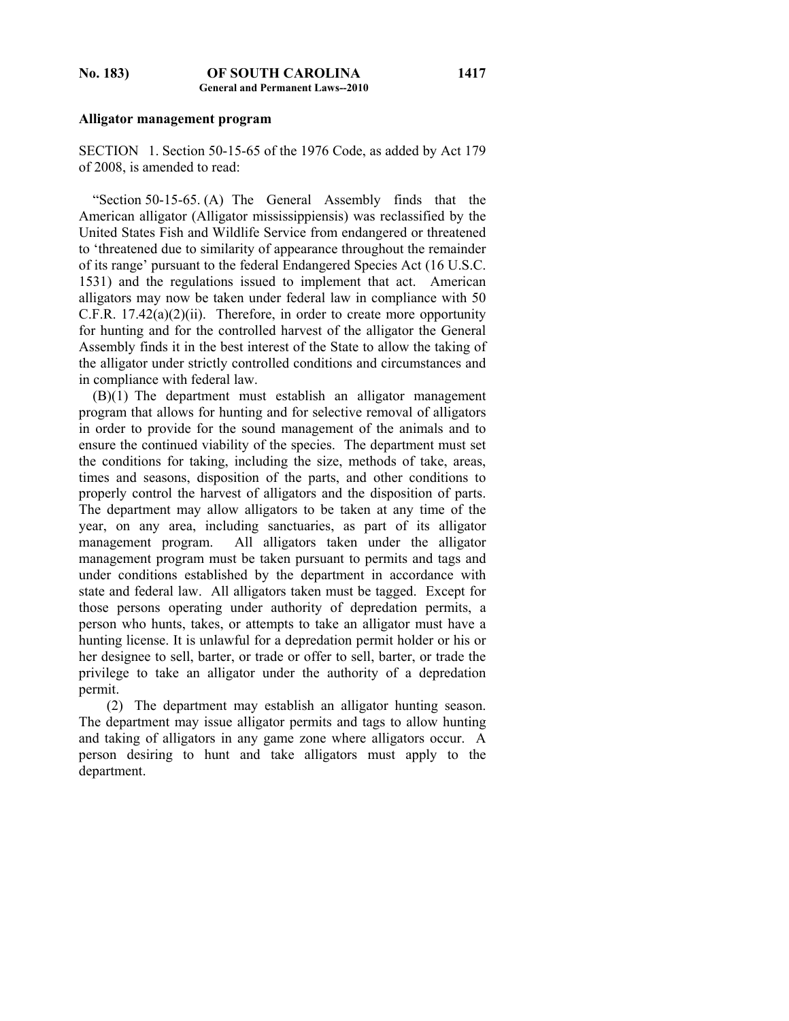## **Alligator management program**

SECTION 1. Section 50-15-65 of the 1976 Code, as added by Act 179 of 2008, is amended to read:

 "Section 50-15-65. (A) The General Assembly finds that the American alligator (Alligator mississippiensis) was reclassified by the United States Fish and Wildlife Service from endangered or threatened to 'threatened due to similarity of appearance throughout the remainder of its range' pursuant to the federal Endangered Species Act (16 U.S.C. 1531) and the regulations issued to implement that act. American alligators may now be taken under federal law in compliance with 50  $C.F.R. 17.42(a)(2)(ii)$ . Therefore, in order to create more opportunity for hunting and for the controlled harvest of the alligator the General Assembly finds it in the best interest of the State to allow the taking of the alligator under strictly controlled conditions and circumstances and in compliance with federal law.

 (B)(1) The department must establish an alligator management program that allows for hunting and for selective removal of alligators in order to provide for the sound management of the animals and to ensure the continued viability of the species. The department must set the conditions for taking, including the size, methods of take, areas, times and seasons, disposition of the parts, and other conditions to properly control the harvest of alligators and the disposition of parts. The department may allow alligators to be taken at any time of the year, on any area, including sanctuaries, as part of its alligator management program. All alligators taken under the alligator management program must be taken pursuant to permits and tags and under conditions established by the department in accordance with state and federal law. All alligators taken must be tagged. Except for those persons operating under authority of depredation permits, a person who hunts, takes, or attempts to take an alligator must have a hunting license. It is unlawful for a depredation permit holder or his or her designee to sell, barter, or trade or offer to sell, barter, or trade the privilege to take an alligator under the authority of a depredation permit.

 (2) The department may establish an alligator hunting season. The department may issue alligator permits and tags to allow hunting and taking of alligators in any game zone where alligators occur. A person desiring to hunt and take alligators must apply to the department.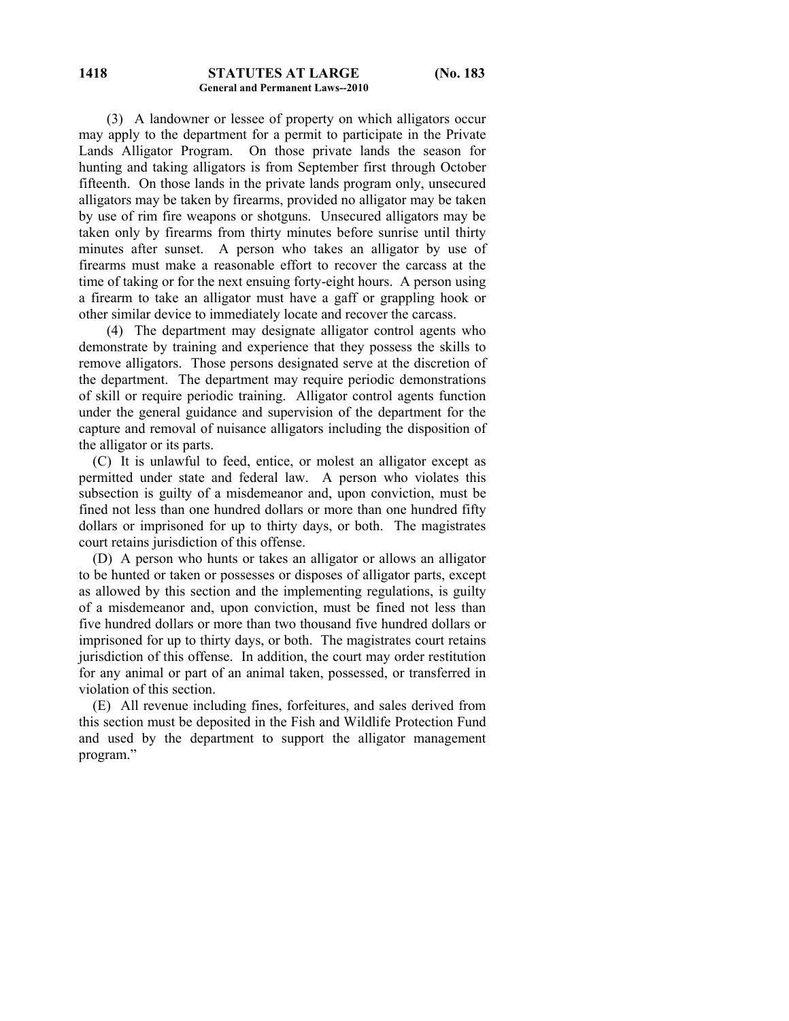(3) A landowner or lessee of property on which alligators occur may apply to the department for a permit to participate in the Private Lands Alligator Program. On those private lands the season for hunting and taking alligators is from September first through October fifteenth. On those lands in the private lands program only, unsecured alligators may be taken by firearms, provided no alligator may be taken by use of rim fire weapons or shotguns. Unsecured alligators may be taken only by firearms from thirty minutes before sunrise until thirty minutes after sunset. A person who takes an alligator by use of firearms must make a reasonable effort to recover the carcass at the time of taking or for the next ensuing forty-eight hours. A person using a firearm to take an alligator must have a gaff or grappling hook or other similar device to immediately locate and recover the carcass.

 (4) The department may designate alligator control agents who demonstrate by training and experience that they possess the skills to remove alligators. Those persons designated serve at the discretion of the department. The department may require periodic demonstrations of skill or require periodic training. Alligator control agents function under the general guidance and supervision of the department for the capture and removal of nuisance alligators including the disposition of the alligator or its parts.

 (C) It is unlawful to feed, entice, or molest an alligator except as permitted under state and federal law. A person who violates this subsection is guilty of a misdemeanor and, upon conviction, must be fined not less than one hundred dollars or more than one hundred fifty dollars or imprisoned for up to thirty days, or both. The magistrates court retains jurisdiction of this offense.

 (D) A person who hunts or takes an alligator or allows an alligator to be hunted or taken or possesses or disposes of alligator parts, except as allowed by this section and the implementing regulations, is guilty of a misdemeanor and, upon conviction, must be fined not less than five hundred dollars or more than two thousand five hundred dollars or imprisoned for up to thirty days, or both. The magistrates court retains jurisdiction of this offense. In addition, the court may order restitution for any animal or part of an animal taken, possessed, or transferred in violation of this section.

 (E) All revenue including fines, forfeitures, and sales derived from this section must be deposited in the Fish and Wildlife Protection Fund and used by the department to support the alligator management program."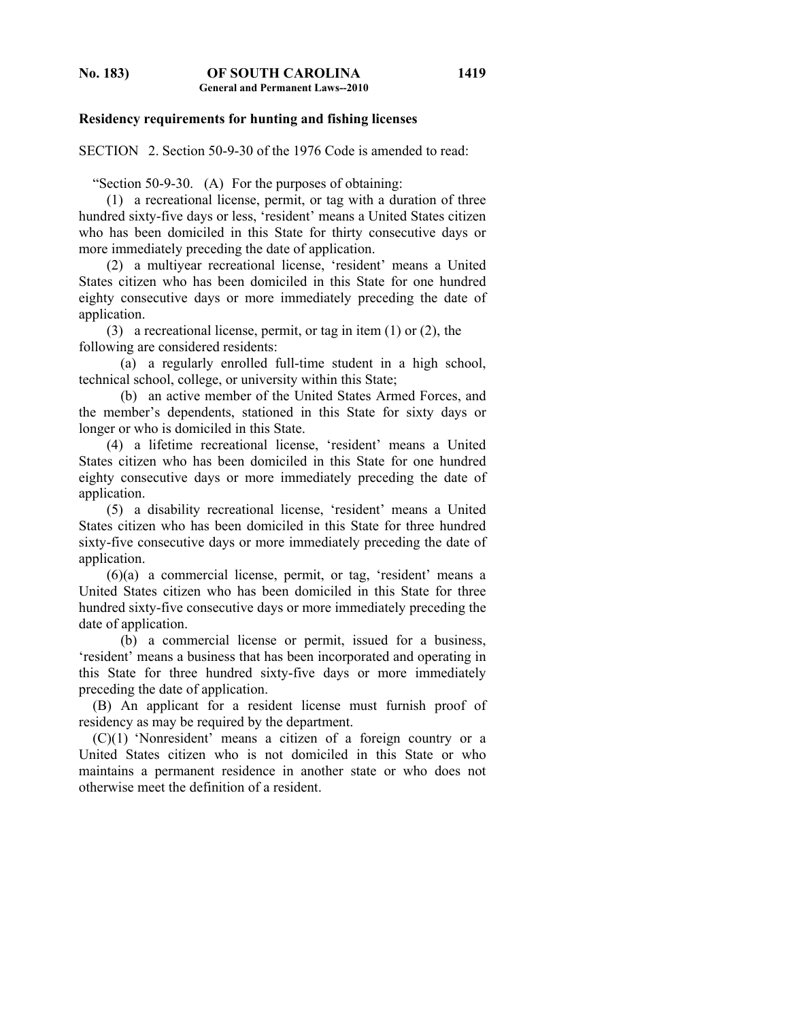**1419**

### **Residency requirements for hunting and fishing licenses**

SECTION 2. Section 50-9-30 of the 1976 Code is amended to read:

"Section 50-9-30. (A) For the purposes of obtaining:

 (1) a recreational license, permit, or tag with a duration of three hundred sixty-five days or less, 'resident' means a United States citizen who has been domiciled in this State for thirty consecutive days or more immediately preceding the date of application.

 (2) a multiyear recreational license, 'resident' means a United States citizen who has been domiciled in this State for one hundred eighty consecutive days or more immediately preceding the date of application.

 (3) a recreational license, permit, or tag in item (1) or (2), the following are considered residents:

 (a) a regularly enrolled full-time student in a high school, technical school, college, or university within this State;

 (b) an active member of the United States Armed Forces, and the member's dependents, stationed in this State for sixty days or longer or who is domiciled in this State.

 (4) a lifetime recreational license, 'resident' means a United States citizen who has been domiciled in this State for one hundred eighty consecutive days or more immediately preceding the date of application.

 (5) a disability recreational license, 'resident' means a United States citizen who has been domiciled in this State for three hundred sixty-five consecutive days or more immediately preceding the date of application.

 (6)(a) a commercial license, permit, or tag, 'resident' means a United States citizen who has been domiciled in this State for three hundred sixty-five consecutive days or more immediately preceding the date of application.

 (b) a commercial license or permit, issued for a business, 'resident' means a business that has been incorporated and operating in this State for three hundred sixty-five days or more immediately preceding the date of application.

 (B) An applicant for a resident license must furnish proof of residency as may be required by the department.

 (C)(1) 'Nonresident' means a citizen of a foreign country or a United States citizen who is not domiciled in this State or who maintains a permanent residence in another state or who does not otherwise meet the definition of a resident.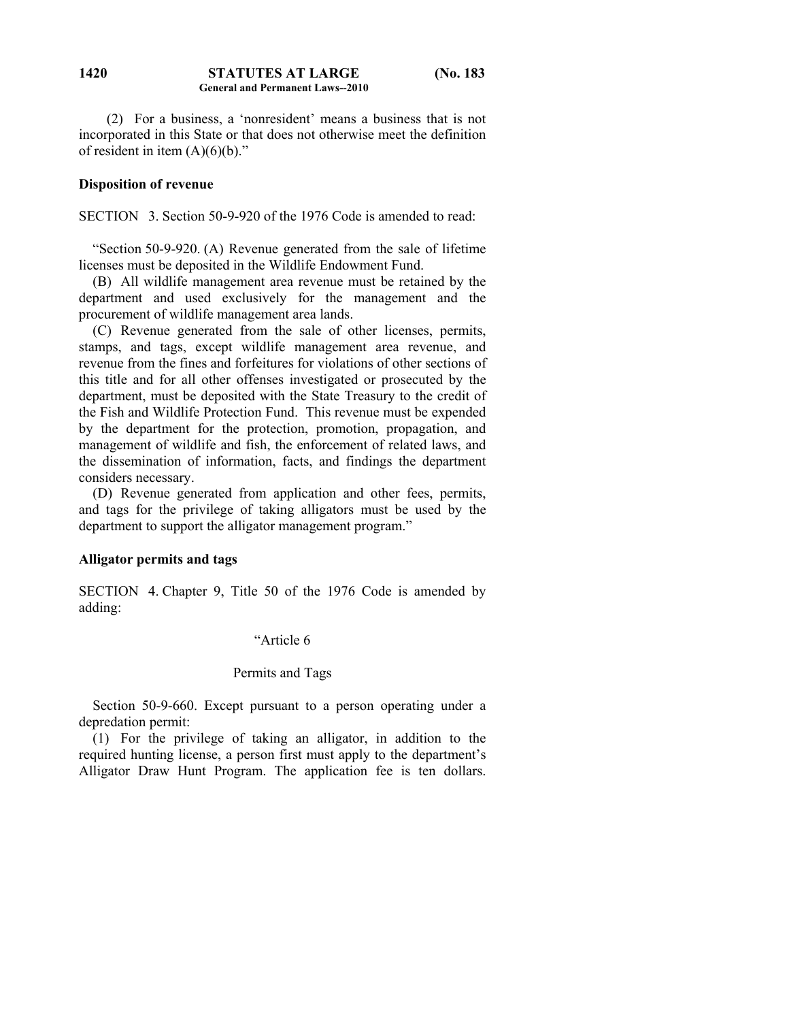### **STATUTES AT LARGE (No. 183 General and Permanent Laws--2010 1420**

 (2) For a business, a 'nonresident' means a business that is not incorporated in this State or that does not otherwise meet the definition of resident in item  $(A)(6)(b)$ ."

### **Disposition of revenue**

SECTION 3. Section 50-9-920 of the 1976 Code is amended to read:

 "Section 50-9-920. (A) Revenue generated from the sale of lifetime licenses must be deposited in the Wildlife Endowment Fund.

 (B) All wildlife management area revenue must be retained by the department and used exclusively for the management and the procurement of wildlife management area lands.

 (C) Revenue generated from the sale of other licenses, permits, stamps, and tags, except wildlife management area revenue, and revenue from the fines and forfeitures for violations of other sections of this title and for all other offenses investigated or prosecuted by the department, must be deposited with the State Treasury to the credit of the Fish and Wildlife Protection Fund. This revenue must be expended by the department for the protection, promotion, propagation, and management of wildlife and fish, the enforcement of related laws, and the dissemination of information, facts, and findings the department considers necessary.

 (D) Revenue generated from application and other fees, permits, and tags for the privilege of taking alligators must be used by the department to support the alligator management program."

### **Alligator permits and tags**

SECTION 4. Chapter 9, Title 50 of the 1976 Code is amended by adding:

### "Article 6

### Permits and Tags

 Section 50-9-660. Except pursuant to a person operating under a depredation permit:

 (1) For the privilege of taking an alligator, in addition to the required hunting license, a person first must apply to the department's Alligator Draw Hunt Program. The application fee is ten dollars.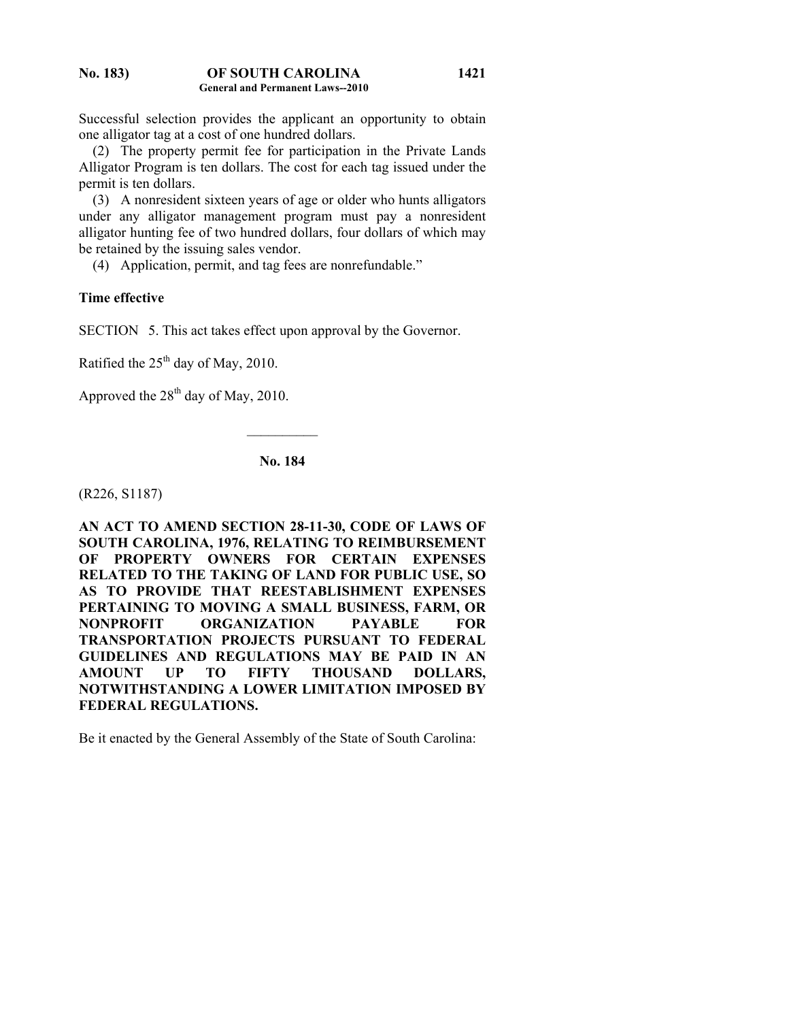Successful selection provides the applicant an opportunity to obtain one alligator tag at a cost of one hundred dollars.

 (2) The property permit fee for participation in the Private Lands Alligator Program is ten dollars. The cost for each tag issued under the permit is ten dollars.

 (3) A nonresident sixteen years of age or older who hunts alligators under any alligator management program must pay a nonresident alligator hunting fee of two hundred dollars, four dollars of which may be retained by the issuing sales vendor.

(4) Application, permit, and tag fees are nonrefundable."

## **Time effective**

SECTION 5. This act takes effect upon approval by the Governor.

Ratified the  $25<sup>th</sup>$  day of May, 2010.

Approved the  $28<sup>th</sup>$  day of May, 2010.

# **No. 184**

 $\mathcal{L}_\text{max}$ 

(R226, S1187)

**AN ACT TO AMEND SECTION 28-11-30, CODE OF LAWS OF SOUTH CAROLINA, 1976, RELATING TO REIMBURSEMENT OF PROPERTY OWNERS FOR CERTAIN EXPENSES RELATED TO THE TAKING OF LAND FOR PUBLIC USE, SO AS TO PROVIDE THAT REESTABLISHMENT EXPENSES PERTAINING TO MOVING A SMALL BUSINESS, FARM, OR NONPROFIT ORGANIZATION PAYABLE FOR TRANSPORTATION PROJECTS PURSUANT TO FEDERAL GUIDELINES AND REGULATIONS MAY BE PAID IN AN AMOUNT UP TO FIFTY THOUSAND DOLLARS, NOTWITHSTANDING A LOWER LIMITATION IMPOSED BY FEDERAL REGULATIONS.** 

Be it enacted by the General Assembly of the State of South Carolina: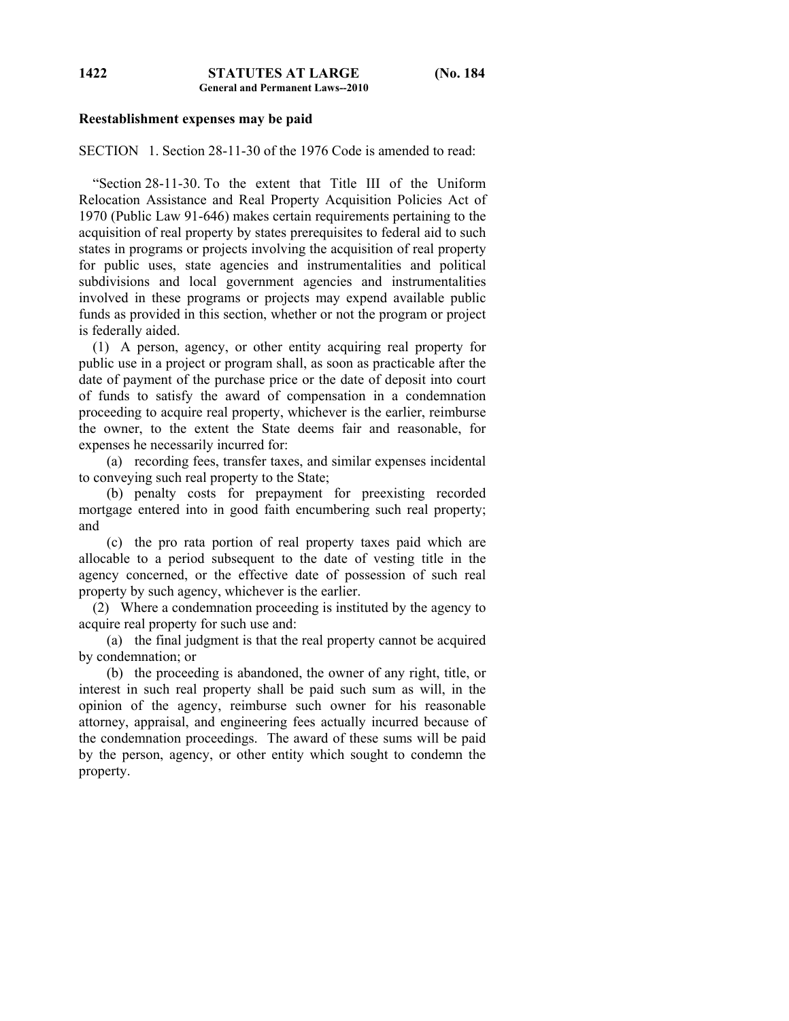## **Reestablishment expenses may be paid**

SECTION 1. Section 28-11-30 of the 1976 Code is amended to read:

 "Section 28-11-30. To the extent that Title III of the Uniform Relocation Assistance and Real Property Acquisition Policies Act of 1970 (Public Law 91-646) makes certain requirements pertaining to the acquisition of real property by states prerequisites to federal aid to such states in programs or projects involving the acquisition of real property for public uses, state agencies and instrumentalities and political subdivisions and local government agencies and instrumentalities involved in these programs or projects may expend available public funds as provided in this section, whether or not the program or project is federally aided.

 (1) A person, agency, or other entity acquiring real property for public use in a project or program shall, as soon as practicable after the date of payment of the purchase price or the date of deposit into court of funds to satisfy the award of compensation in a condemnation proceeding to acquire real property, whichever is the earlier, reimburse the owner, to the extent the State deems fair and reasonable, for expenses he necessarily incurred for:

 (a) recording fees, transfer taxes, and similar expenses incidental to conveying such real property to the State;

 (b) penalty costs for prepayment for preexisting recorded mortgage entered into in good faith encumbering such real property; and

 (c) the pro rata portion of real property taxes paid which are allocable to a period subsequent to the date of vesting title in the agency concerned, or the effective date of possession of such real property by such agency, whichever is the earlier.

 (2) Where a condemnation proceeding is instituted by the agency to acquire real property for such use and:

 (a) the final judgment is that the real property cannot be acquired by condemnation; or

 (b) the proceeding is abandoned, the owner of any right, title, or interest in such real property shall be paid such sum as will, in the opinion of the agency, reimburse such owner for his reasonable attorney, appraisal, and engineering fees actually incurred because of the condemnation proceedings. The award of these sums will be paid by the person, agency, or other entity which sought to condemn the property.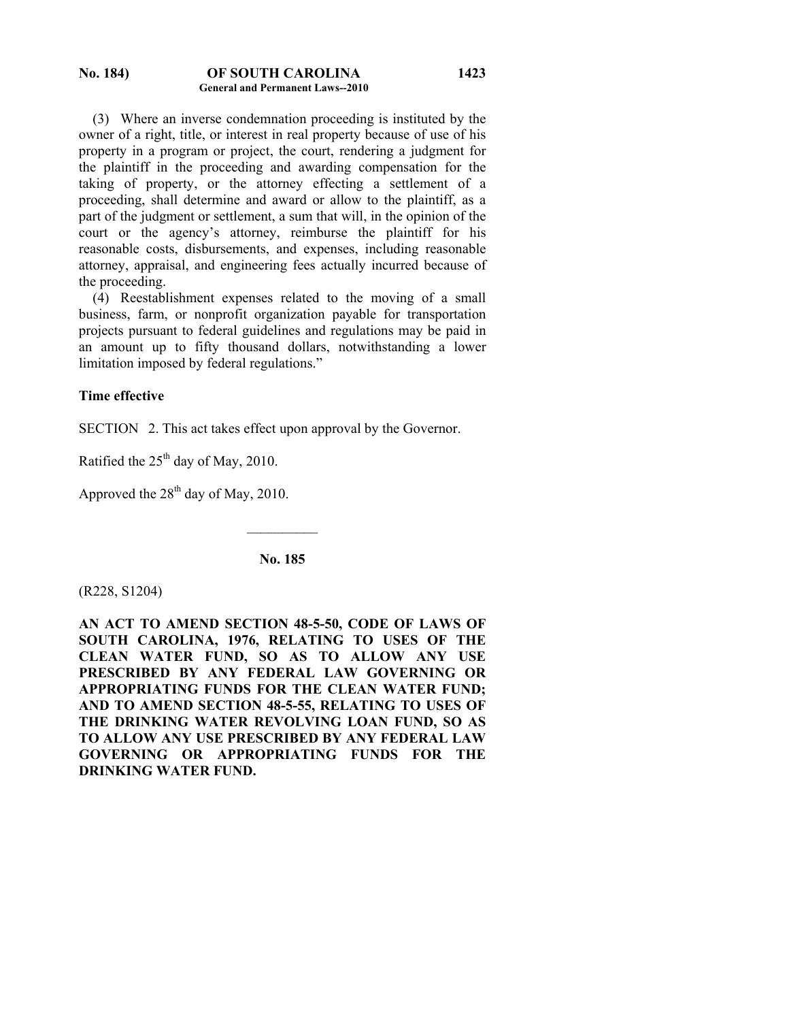(3) Where an inverse condemnation proceeding is instituted by the owner of a right, title, or interest in real property because of use of his property in a program or project, the court, rendering a judgment for the plaintiff in the proceeding and awarding compensation for the taking of property, or the attorney effecting a settlement of a proceeding, shall determine and award or allow to the plaintiff, as a part of the judgment or settlement, a sum that will, in the opinion of the court or the agency's attorney, reimburse the plaintiff for his reasonable costs, disbursements, and expenses, including reasonable attorney, appraisal, and engineering fees actually incurred because of the proceeding.

**1423**

 (4) Reestablishment expenses related to the moving of a small business, farm, or nonprofit organization payable for transportation projects pursuant to federal guidelines and regulations may be paid in an amount up to fifty thousand dollars, notwithstanding a lower limitation imposed by federal regulations."

## **Time effective**

SECTION 2. This act takes effect upon approval by the Governor.

Ratified the 25<sup>th</sup> day of May, 2010.

Approved the  $28<sup>th</sup>$  day of May, 2010.

**No. 185** 

 $\mathcal{L}_\text{max}$ 

(R228, S1204)

**AN ACT TO AMEND SECTION 48-5-50, CODE OF LAWS OF SOUTH CAROLINA, 1976, RELATING TO USES OF THE CLEAN WATER FUND, SO AS TO ALLOW ANY USE PRESCRIBED BY ANY FEDERAL LAW GOVERNING OR APPROPRIATING FUNDS FOR THE CLEAN WATER FUND; AND TO AMEND SECTION 48-5-55, RELATING TO USES OF THE DRINKING WATER REVOLVING LOAN FUND, SO AS TO ALLOW ANY USE PRESCRIBED BY ANY FEDERAL LAW GOVERNING OR APPROPRIATING FUNDS FOR THE DRINKING WATER FUND.**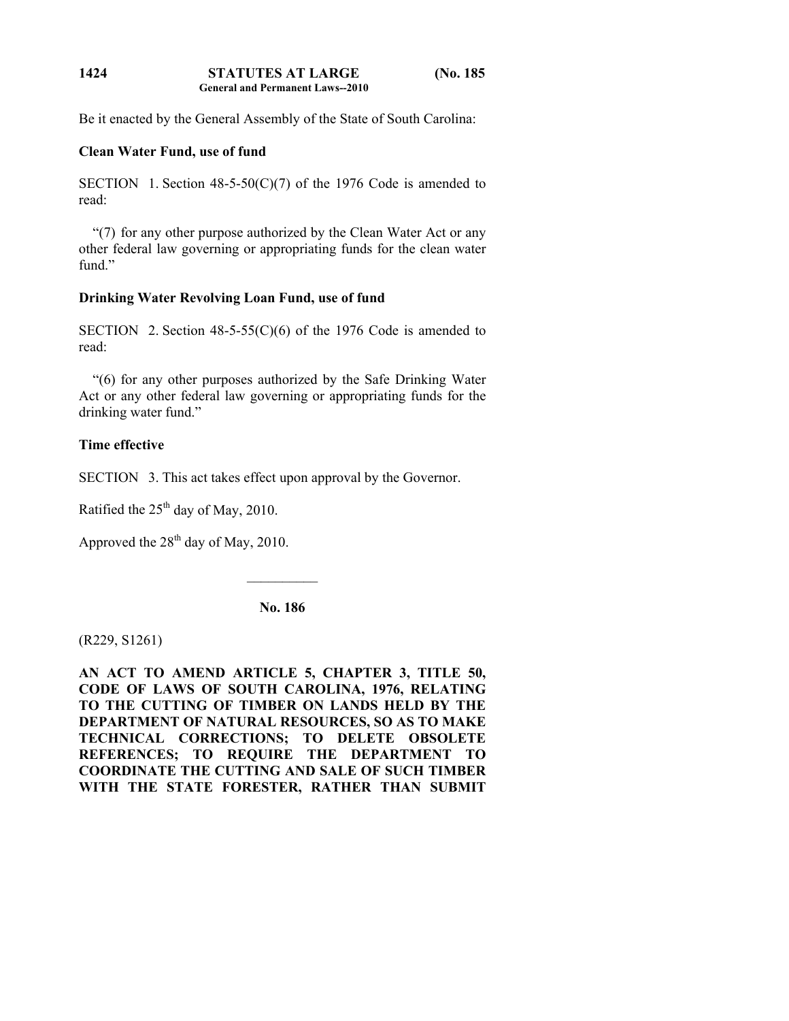Be it enacted by the General Assembly of the State of South Carolina:

## **Clean Water Fund, use of fund**

SECTION 1. Section  $48-5-50(C)(7)$  of the 1976 Code is amended to read:

 "(7) for any other purpose authorized by the Clean Water Act or any other federal law governing or appropriating funds for the clean water fund"

# **Drinking Water Revolving Loan Fund, use of fund**

SECTION 2. Section  $48-5-55(C)(6)$  of the 1976 Code is amended to read:

 "(6) for any other purposes authorized by the Safe Drinking Water Act or any other federal law governing or appropriating funds for the drinking water fund."

# **Time effective**

SECTION 3. This act takes effect upon approval by the Governor.

Ratified the  $25<sup>th</sup>$  day of May, 2010.

Approved the  $28<sup>th</sup>$  day of May, 2010.

**No. 186** 

 $\frac{1}{2}$ 

(R229, S1261)

**AN ACT TO AMEND ARTICLE 5, CHAPTER 3, TITLE 50, CODE OF LAWS OF SOUTH CAROLINA, 1976, RELATING TO THE CUTTING OF TIMBER ON LANDS HELD BY THE DEPARTMENT OF NATURAL RESOURCES, SO AS TO MAKE TECHNICAL CORRECTIONS; TO DELETE OBSOLETE REFERENCES; TO REQUIRE THE DEPARTMENT TO COORDINATE THE CUTTING AND SALE OF SUCH TIMBER WITH THE STATE FORESTER, RATHER THAN SUBMIT**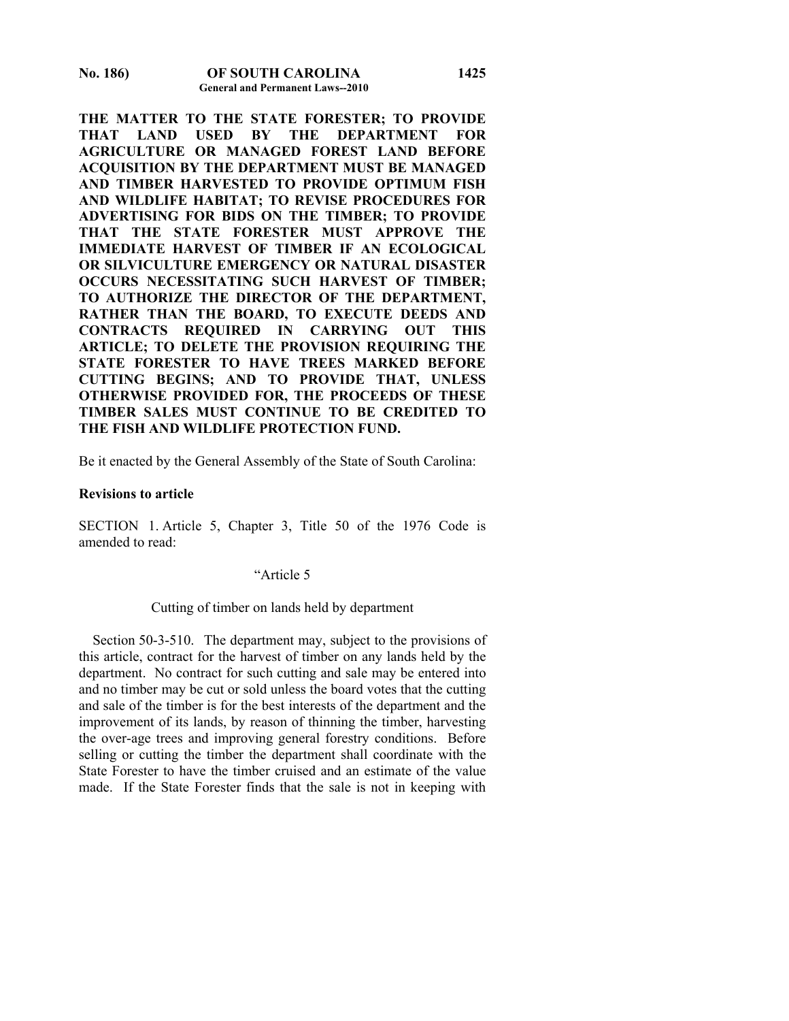**THE MATTER TO THE STATE FORESTER; TO PROVIDE THAT LAND USED BY THE DEPARTMENT FOR AGRICULTURE OR MANAGED FOREST LAND BEFORE ACQUISITION BY THE DEPARTMENT MUST BE MANAGED AND TIMBER HARVESTED TO PROVIDE OPTIMUM FISH AND WILDLIFE HABITAT; TO REVISE PROCEDURES FOR ADVERTISING FOR BIDS ON THE TIMBER; TO PROVIDE THAT THE STATE FORESTER MUST APPROVE THE IMMEDIATE HARVEST OF TIMBER IF AN ECOLOGICAL OR SILVICULTURE EMERGENCY OR NATURAL DISASTER OCCURS NECESSITATING SUCH HARVEST OF TIMBER; TO AUTHORIZE THE DIRECTOR OF THE DEPARTMENT, RATHER THAN THE BOARD, TO EXECUTE DEEDS AND CONTRACTS REQUIRED IN CARRYING OUT THIS ARTICLE; TO DELETE THE PROVISION REQUIRING THE STATE FORESTER TO HAVE TREES MARKED BEFORE CUTTING BEGINS; AND TO PROVIDE THAT, UNLESS OTHERWISE PROVIDED FOR, THE PROCEEDS OF THESE TIMBER SALES MUST CONTINUE TO BE CREDITED TO THE FISH AND WILDLIFE PROTECTION FUND.** 

Be it enacted by the General Assembly of the State of South Carolina:

### **Revisions to article**

SECTION 1. Article 5, Chapter 3, Title 50 of the 1976 Code is amended to read:

## "Article 5

### Cutting of timber on lands held by department

 Section 50-3-510. The department may, subject to the provisions of this article, contract for the harvest of timber on any lands held by the department. No contract for such cutting and sale may be entered into and no timber may be cut or sold unless the board votes that the cutting and sale of the timber is for the best interests of the department and the improvement of its lands, by reason of thinning the timber, harvesting the over-age trees and improving general forestry conditions. Before selling or cutting the timber the department shall coordinate with the State Forester to have the timber cruised and an estimate of the value made. If the State Forester finds that the sale is not in keeping with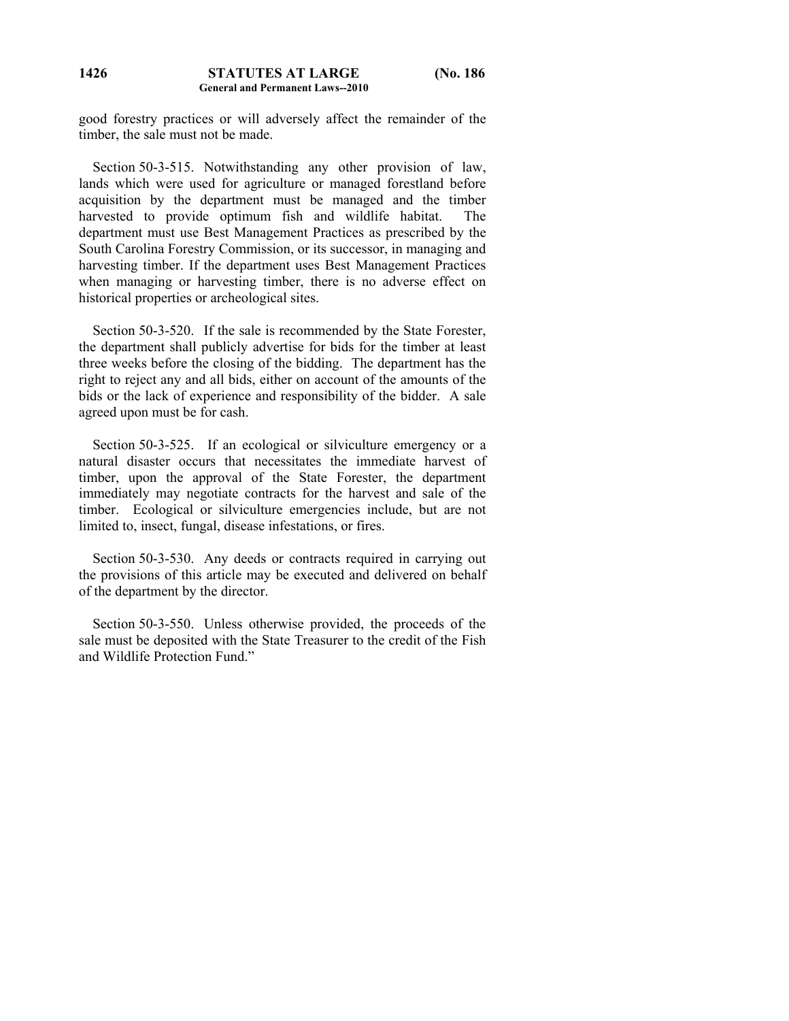good forestry practices or will adversely affect the remainder of the timber, the sale must not be made.

 Section 50-3-515. Notwithstanding any other provision of law, lands which were used for agriculture or managed forestland before acquisition by the department must be managed and the timber harvested to provide optimum fish and wildlife habitat. The department must use Best Management Practices as prescribed by the South Carolina Forestry Commission, or its successor, in managing and harvesting timber. If the department uses Best Management Practices when managing or harvesting timber, there is no adverse effect on historical properties or archeological sites.

 Section 50-3-520. If the sale is recommended by the State Forester, the department shall publicly advertise for bids for the timber at least three weeks before the closing of the bidding. The department has the right to reject any and all bids, either on account of the amounts of the bids or the lack of experience and responsibility of the bidder. A sale agreed upon must be for cash.

 Section 50-3-525. If an ecological or silviculture emergency or a natural disaster occurs that necessitates the immediate harvest of timber, upon the approval of the State Forester, the department immediately may negotiate contracts for the harvest and sale of the timber. Ecological or silviculture emergencies include, but are not limited to, insect, fungal, disease infestations, or fires.

 Section 50-3-530. Any deeds or contracts required in carrying out the provisions of this article may be executed and delivered on behalf of the department by the director.

 Section 50-3-550. Unless otherwise provided, the proceeds of the sale must be deposited with the State Treasurer to the credit of the Fish and Wildlife Protection Fund."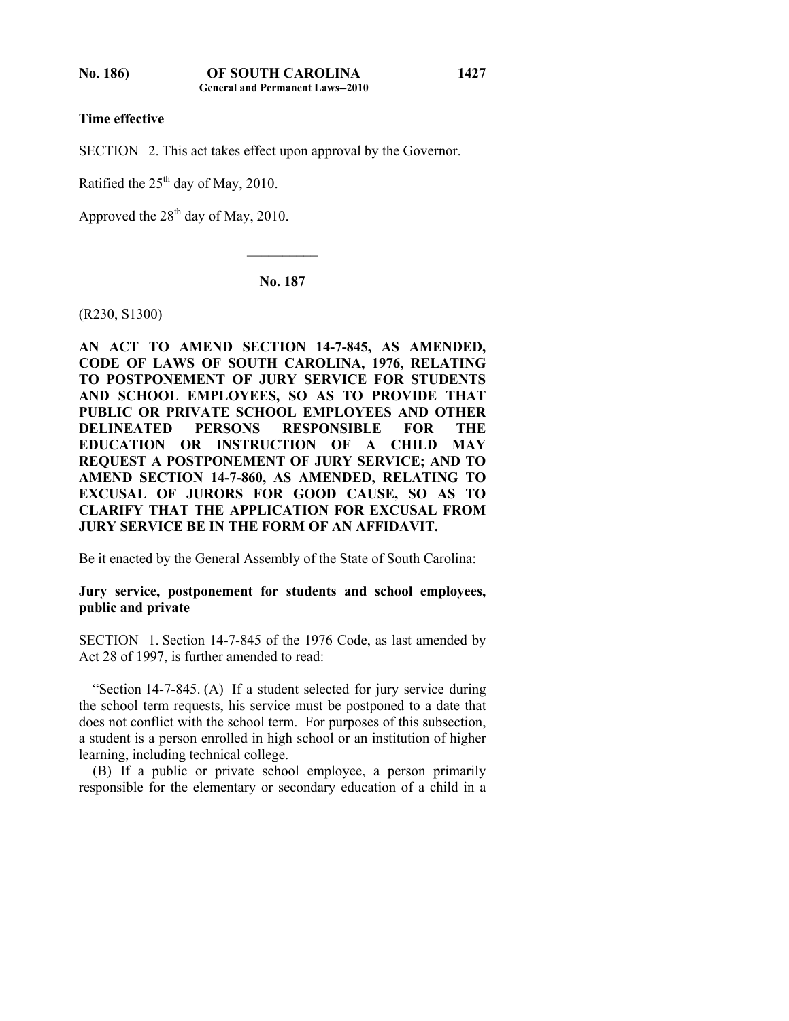**Time effective** 

SECTION 2. This act takes effect upon approval by the Governor.

Ratified the  $25<sup>th</sup>$  day of May, 2010.

Approved the  $28<sup>th</sup>$  day of May, 2010.

**No. 187** 

 $\mathcal{L}_\text{max}$ 

(R230, S1300)

**AN ACT TO AMEND SECTION 14-7-845, AS AMENDED, CODE OF LAWS OF SOUTH CAROLINA, 1976, RELATING TO POSTPONEMENT OF JURY SERVICE FOR STUDENTS AND SCHOOL EMPLOYEES, SO AS TO PROVIDE THAT PUBLIC OR PRIVATE SCHOOL EMPLOYEES AND OTHER DELINEATED PERSONS RESPONSIBLE FOR THE EDUCATION OR INSTRUCTION OF A CHILD MAY REQUEST A POSTPONEMENT OF JURY SERVICE; AND TO AMEND SECTION 14-7-860, AS AMENDED, RELATING TO EXCUSAL OF JURORS FOR GOOD CAUSE, SO AS TO CLARIFY THAT THE APPLICATION FOR EXCUSAL FROM JURY SERVICE BE IN THE FORM OF AN AFFIDAVIT.** 

Be it enacted by the General Assembly of the State of South Carolina:

## **Jury service, postponement for students and school employees, public and private**

SECTION 1. Section 14-7-845 of the 1976 Code, as last amended by Act 28 of 1997, is further amended to read:

 "Section 14-7-845. (A) If a student selected for jury service during the school term requests, his service must be postponed to a date that does not conflict with the school term. For purposes of this subsection, a student is a person enrolled in high school or an institution of higher learning, including technical college.

 (B) If a public or private school employee, a person primarily responsible for the elementary or secondary education of a child in a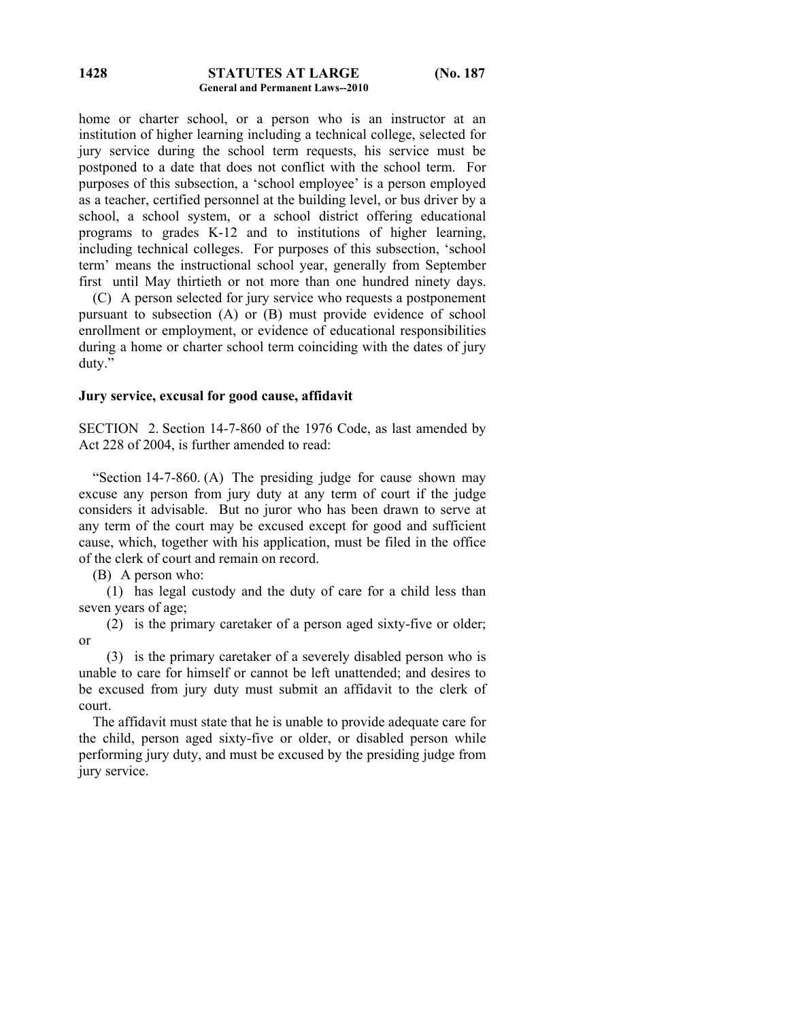### **STATUTES AT LARGE (No. 187 General and Permanent Laws--2010 1428**

home or charter school, or a person who is an instructor at an institution of higher learning including a technical college, selected for jury service during the school term requests, his service must be postponed to a date that does not conflict with the school term. For purposes of this subsection, a 'school employee' is a person employed as a teacher, certified personnel at the building level, or bus driver by a school, a school system, or a school district offering educational programs to grades K-12 and to institutions of higher learning, including technical colleges. For purposes of this subsection, 'school term' means the instructional school year, generally from September first until May thirtieth or not more than one hundred ninety days.

 (C) A person selected for jury service who requests a postponement pursuant to subsection (A) or (B) must provide evidence of school enrollment or employment, or evidence of educational responsibilities during a home or charter school term coinciding with the dates of jury duty."

## **Jury service, excusal for good cause, affidavit**

SECTION 2. Section 14-7-860 of the 1976 Code, as last amended by Act 228 of 2004, is further amended to read:

 "Section 14-7-860. (A) The presiding judge for cause shown may excuse any person from jury duty at any term of court if the judge considers it advisable. But no juror who has been drawn to serve at any term of the court may be excused except for good and sufficient cause, which, together with his application, must be filed in the office of the clerk of court and remain on record.

(B) A person who:

 (1) has legal custody and the duty of care for a child less than seven years of age;

 (2) is the primary caretaker of a person aged sixty-five or older; or

 (3) is the primary caretaker of a severely disabled person who is unable to care for himself or cannot be left unattended; and desires to be excused from jury duty must submit an affidavit to the clerk of court.

 The affidavit must state that he is unable to provide adequate care for the child, person aged sixty-five or older, or disabled person while performing jury duty, and must be excused by the presiding judge from jury service.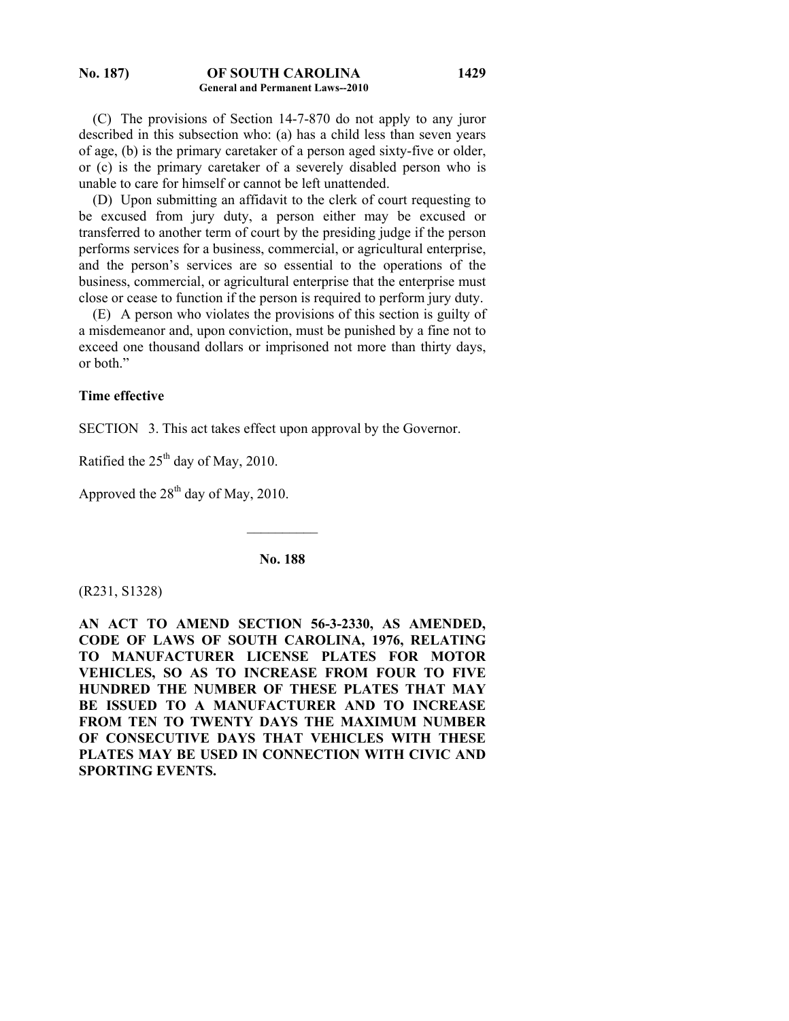### **No. 187) OF SOUTH CAROLINA General and Permanent Laws--2010**

 (C) The provisions of Section 14-7-870 do not apply to any juror described in this subsection who: (a) has a child less than seven years of age, (b) is the primary caretaker of a person aged sixty-five or older, or (c) is the primary caretaker of a severely disabled person who is unable to care for himself or cannot be left unattended.

 (D) Upon submitting an affidavit to the clerk of court requesting to be excused from jury duty, a person either may be excused or transferred to another term of court by the presiding judge if the person performs services for a business, commercial, or agricultural enterprise, and the person's services are so essential to the operations of the business, commercial, or agricultural enterprise that the enterprise must close or cease to function if the person is required to perform jury duty.

 (E) A person who violates the provisions of this section is guilty of a misdemeanor and, upon conviction, must be punished by a fine not to exceed one thousand dollars or imprisoned not more than thirty days, or both."

### **Time effective**

SECTION 3. This act takes effect upon approval by the Governor.

Ratified the 25<sup>th</sup> day of May, 2010.

Approved the  $28<sup>th</sup>$  day of May, 2010.

**No. 188** 

 $\mathcal{L}_\text{max}$ 

(R231, S1328)

**AN ACT TO AMEND SECTION 56-3-2330, AS AMENDED, CODE OF LAWS OF SOUTH CAROLINA, 1976, RELATING TO MANUFACTURER LICENSE PLATES FOR MOTOR VEHICLES, SO AS TO INCREASE FROM FOUR TO FIVE HUNDRED THE NUMBER OF THESE PLATES THAT MAY BE ISSUED TO A MANUFACTURER AND TO INCREASE FROM TEN TO TWENTY DAYS THE MAXIMUM NUMBER OF CONSECUTIVE DAYS THAT VEHICLES WITH THESE PLATES MAY BE USED IN CONNECTION WITH CIVIC AND SPORTING EVENTS.**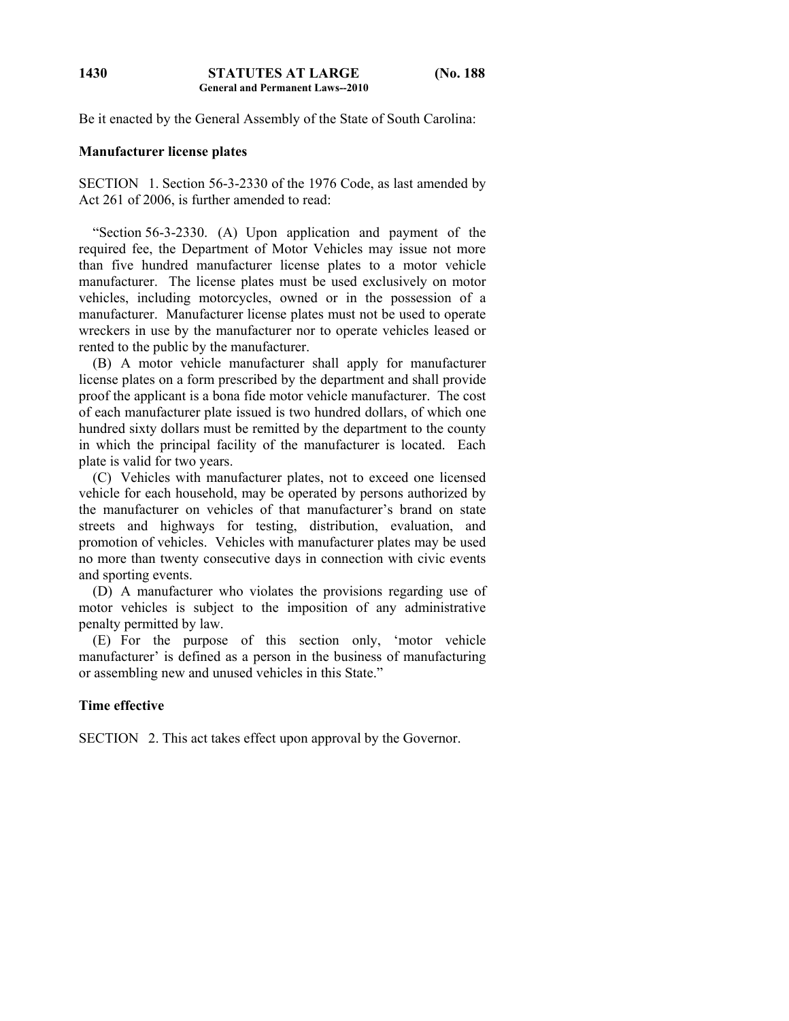Be it enacted by the General Assembly of the State of South Carolina:

### **Manufacturer license plates**

SECTION 1. Section 56-3-2330 of the 1976 Code, as last amended by Act 261 of 2006, is further amended to read:

 "Section 56-3-2330. (A) Upon application and payment of the required fee, the Department of Motor Vehicles may issue not more than five hundred manufacturer license plates to a motor vehicle manufacturer. The license plates must be used exclusively on motor vehicles, including motorcycles, owned or in the possession of a manufacturer. Manufacturer license plates must not be used to operate wreckers in use by the manufacturer nor to operate vehicles leased or rented to the public by the manufacturer.

 (B) A motor vehicle manufacturer shall apply for manufacturer license plates on a form prescribed by the department and shall provide proof the applicant is a bona fide motor vehicle manufacturer. The cost of each manufacturer plate issued is two hundred dollars, of which one hundred sixty dollars must be remitted by the department to the county in which the principal facility of the manufacturer is located. Each plate is valid for two years.

 (C) Vehicles with manufacturer plates, not to exceed one licensed vehicle for each household, may be operated by persons authorized by the manufacturer on vehicles of that manufacturer's brand on state streets and highways for testing, distribution, evaluation, and promotion of vehicles. Vehicles with manufacturer plates may be used no more than twenty consecutive days in connection with civic events and sporting events.

 (D) A manufacturer who violates the provisions regarding use of motor vehicles is subject to the imposition of any administrative penalty permitted by law.

 (E) For the purpose of this section only, 'motor vehicle manufacturer' is defined as a person in the business of manufacturing or assembling new and unused vehicles in this State."

## **Time effective**

SECTION 2. This act takes effect upon approval by the Governor.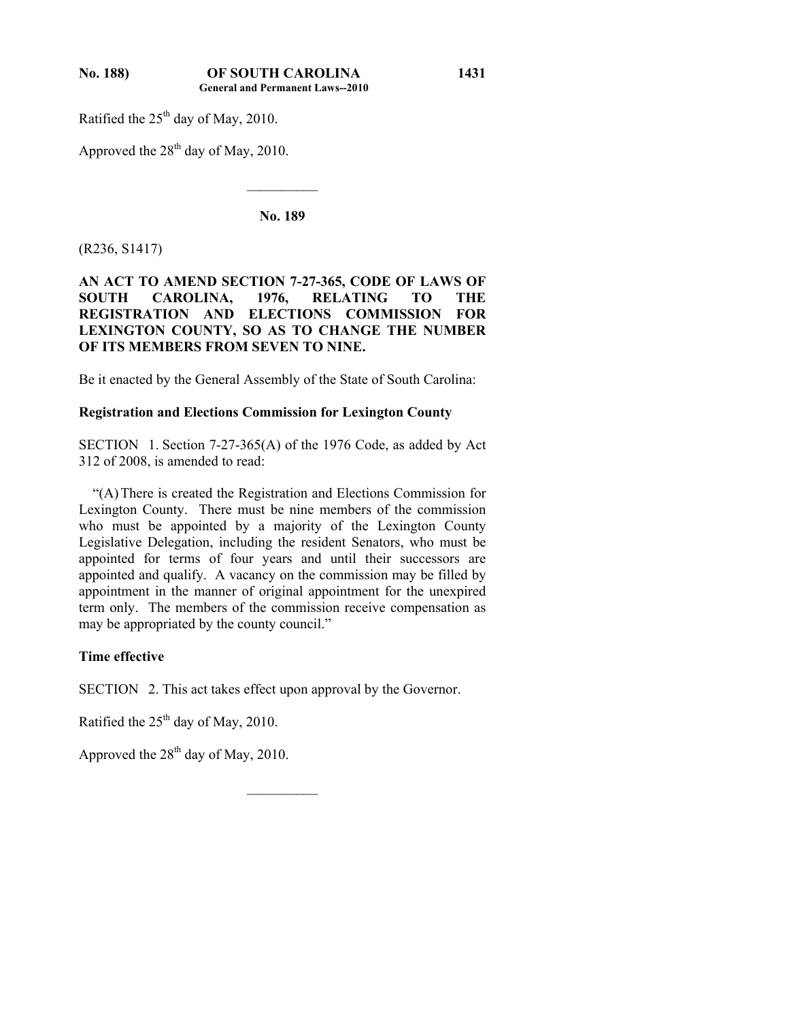Ratified the  $25<sup>th</sup>$  day of May, 2010.

Approved the  $28<sup>th</sup>$  day of May, 2010.

**No. 189** 

 $\mathcal{L}_\text{max}$ 

(R236, S1417)

## **AN ACT TO AMEND SECTION 7-27-365, CODE OF LAWS OF SOUTH CAROLINA, 1976, RELATING TO THE REGISTRATION AND ELECTIONS COMMISSION FOR LEXINGTON COUNTY, SO AS TO CHANGE THE NUMBER OF ITS MEMBERS FROM SEVEN TO NINE.**

Be it enacted by the General Assembly of the State of South Carolina:

# **Registration and Elections Commission for Lexington County**

SECTION 1. Section 7-27-365(A) of the 1976 Code, as added by Act 312 of 2008, is amended to read:

 "(A) There is created the Registration and Elections Commission for Lexington County. There must be nine members of the commission who must be appointed by a majority of the Lexington County Legislative Delegation, including the resident Senators, who must be appointed for terms of four years and until their successors are appointed and qualify. A vacancy on the commission may be filled by appointment in the manner of original appointment for the unexpired term only. The members of the commission receive compensation as may be appropriated by the county council."

## **Time effective**

SECTION 2. This act takes effect upon approval by the Governor.

 $\mathcal{L}_\text{max}$ 

Ratified the  $25<sup>th</sup>$  day of May, 2010.

Approved the  $28<sup>th</sup>$  day of May, 2010.

**1431**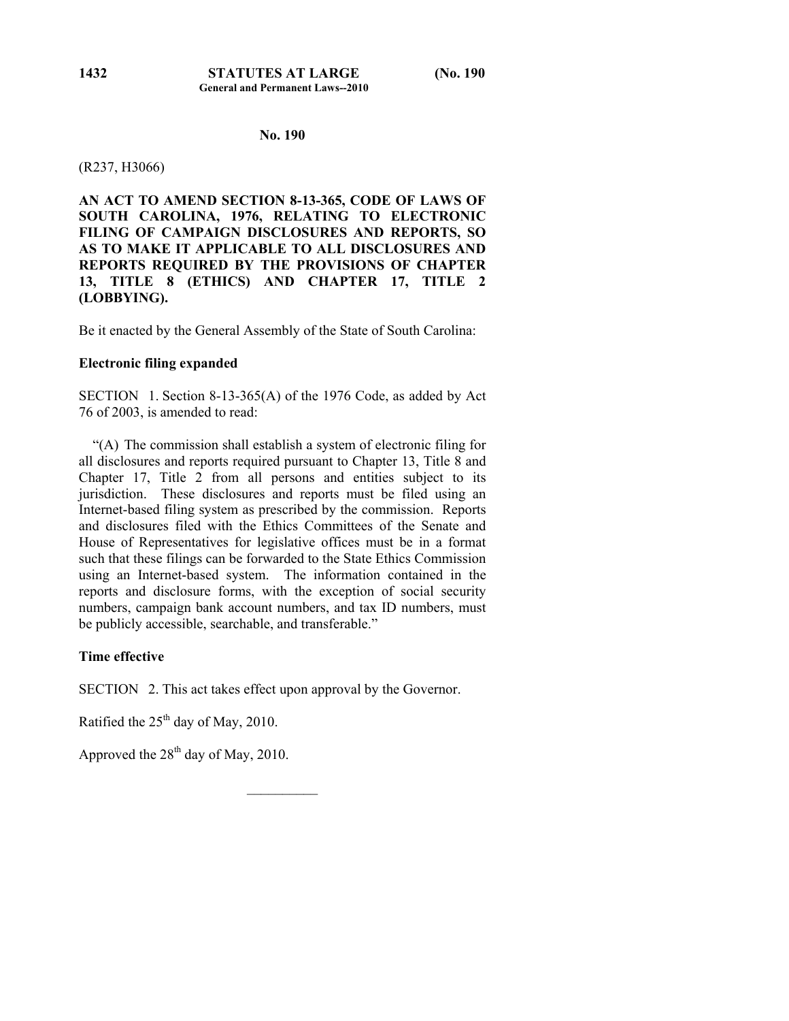# **General and Permanent Laws--2010**

## **No. 190**

### (R237, H3066)

**AN ACT TO AMEND SECTION 8-13-365, CODE OF LAWS OF SOUTH CAROLINA, 1976, RELATING TO ELECTRONIC FILING OF CAMPAIGN DISCLOSURES AND REPORTS, SO AS TO MAKE IT APPLICABLE TO ALL DISCLOSURES AND REPORTS REQUIRED BY THE PROVISIONS OF CHAPTER 13, TITLE 8 (ETHICS) AND CHAPTER 17, TITLE 2 (LOBBYING).** 

Be it enacted by the General Assembly of the State of South Carolina:

### **Electronic filing expanded**

SECTION 1. Section 8-13-365(A) of the 1976 Code, as added by Act 76 of 2003, is amended to read:

 "(A) The commission shall establish a system of electronic filing for all disclosures and reports required pursuant to Chapter 13, Title 8 and Chapter 17, Title 2 from all persons and entities subject to its jurisdiction. These disclosures and reports must be filed using an Internet-based filing system as prescribed by the commission. Reports and disclosures filed with the Ethics Committees of the Senate and House of Representatives for legislative offices must be in a format such that these filings can be forwarded to the State Ethics Commission using an Internet-based system. The information contained in the reports and disclosure forms, with the exception of social security numbers, campaign bank account numbers, and tax ID numbers, must be publicly accessible, searchable, and transferable."

## **Time effective**

SECTION 2. This act takes effect upon approval by the Governor.

Ratified the  $25<sup>th</sup>$  day of May, 2010.

Approved the  $28<sup>th</sup>$  day of May, 2010.

 $\mathcal{L}_\text{max}$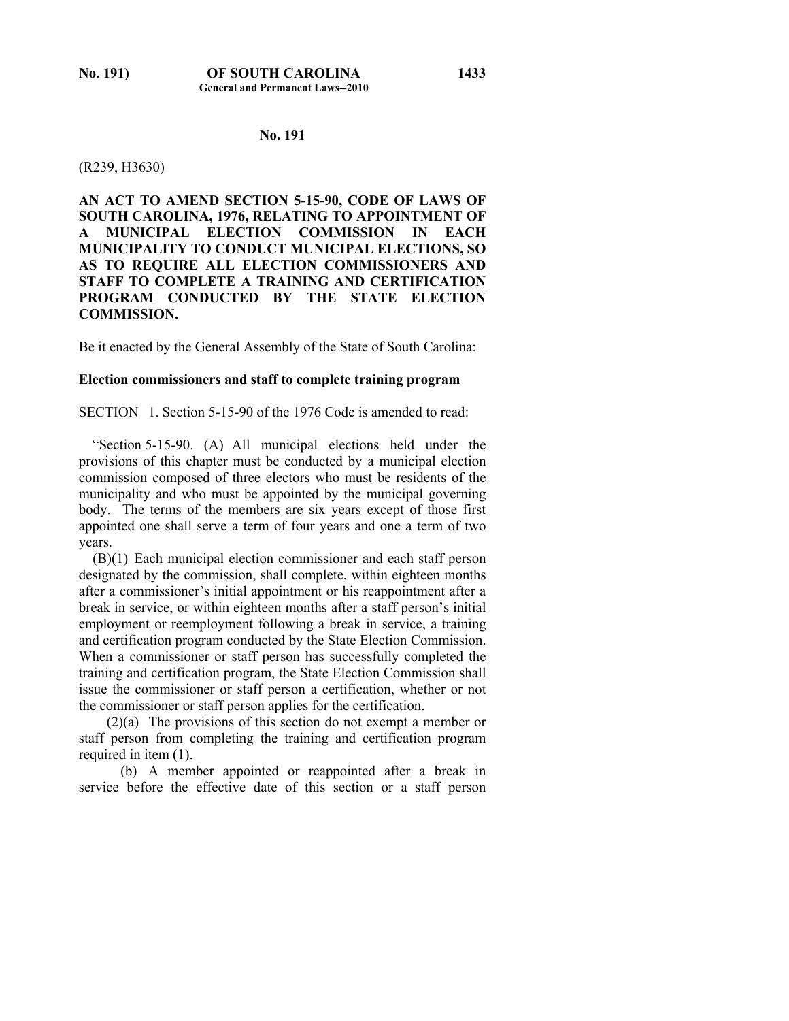## **No. 191**

### (R239, H3630)

**AN ACT TO AMEND SECTION 5-15-90, CODE OF LAWS OF SOUTH CAROLINA, 1976, RELATING TO APPOINTMENT OF A MUNICIPAL ELECTION COMMISSION IN EACH MUNICIPALITY TO CONDUCT MUNICIPAL ELECTIONS, SO AS TO REQUIRE ALL ELECTION COMMISSIONERS AND STAFF TO COMPLETE A TRAINING AND CERTIFICATION PROGRAM CONDUCTED BY THE STATE ELECTION COMMISSION.** 

Be it enacted by the General Assembly of the State of South Carolina:

## **Election commissioners and staff to complete training program**

SECTION 1. Section 5-15-90 of the 1976 Code is amended to read:

 "Section 5-15-90. (A) All municipal elections held under the provisions of this chapter must be conducted by a municipal election commission composed of three electors who must be residents of the municipality and who must be appointed by the municipal governing body. The terms of the members are six years except of those first appointed one shall serve a term of four years and one a term of two years.

 (B)(1) Each municipal election commissioner and each staff person designated by the commission, shall complete, within eighteen months after a commissioner's initial appointment or his reappointment after a break in service, or within eighteen months after a staff person's initial employment or reemployment following a break in service, a training and certification program conducted by the State Election Commission. When a commissioner or staff person has successfully completed the training and certification program, the State Election Commission shall issue the commissioner or staff person a certification, whether or not the commissioner or staff person applies for the certification.

 (2)(a) The provisions of this section do not exempt a member or staff person from completing the training and certification program required in item (1).

 (b) A member appointed or reappointed after a break in service before the effective date of this section or a staff person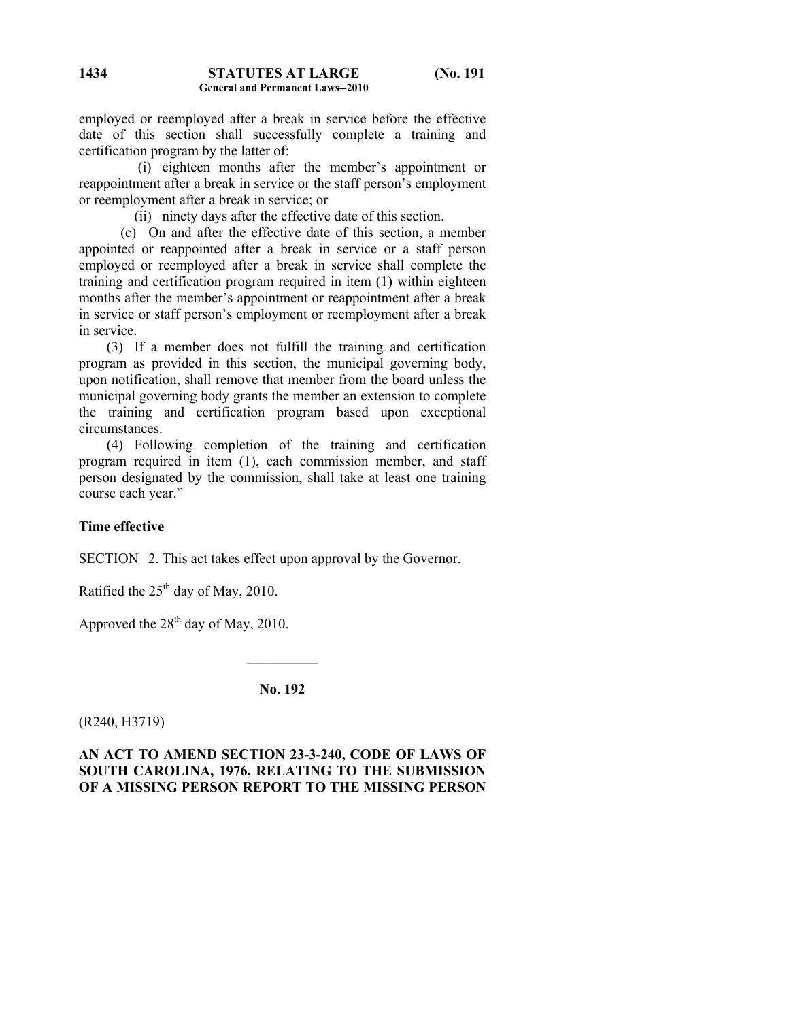employed or reemployed after a break in service before the effective date of this section shall successfully complete a training and certification program by the latter of:

 (i) eighteen months after the member's appointment or reappointment after a break in service or the staff person's employment or reemployment after a break in service; or

(ii) ninety days after the effective date of this section.

 (c) On and after the effective date of this section, a member appointed or reappointed after a break in service or a staff person employed or reemployed after a break in service shall complete the training and certification program required in item (1) within eighteen months after the member's appointment or reappointment after a break in service or staff person's employment or reemployment after a break in service.

 (3) If a member does not fulfill the training and certification program as provided in this section, the municipal governing body, upon notification, shall remove that member from the board unless the municipal governing body grants the member an extension to complete the training and certification program based upon exceptional circumstances.

 (4) Following completion of the training and certification program required in item (1), each commission member, and staff person designated by the commission, shall take at least one training course each year."

## **Time effective**

SECTION 2. This act takes effect upon approval by the Governor.

Ratified the  $25<sup>th</sup>$  day of May, 2010.

Approved the  $28<sup>th</sup>$  day of May, 2010.

**No. 192** 

 $\mathcal{L}_\text{max}$ 

(R240, H3719)

**AN ACT TO AMEND SECTION 23-3-240, CODE OF LAWS OF SOUTH CAROLINA, 1976, RELATING TO THE SUBMISSION OF A MISSING PERSON REPORT TO THE MISSING PERSON**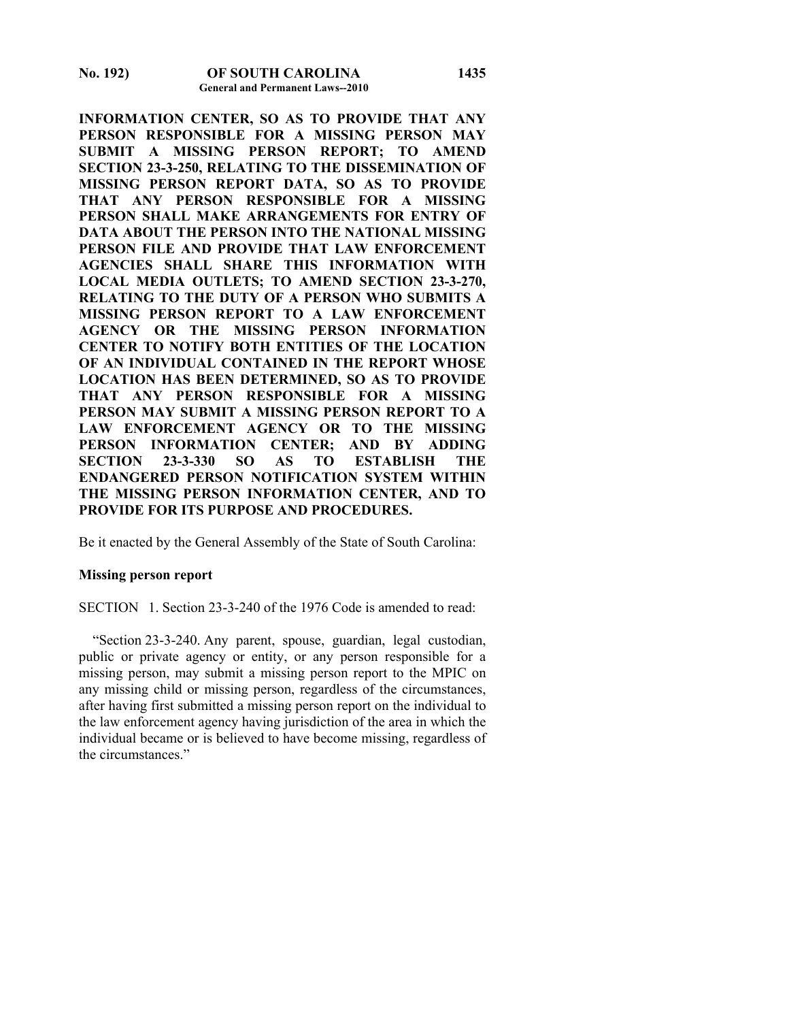**INFORMATION CENTER, SO AS TO PROVIDE THAT ANY PERSON RESPONSIBLE FOR A MISSING PERSON MAY SUBMIT A MISSING PERSON REPORT; TO AMEND SECTION 23-3-250, RELATING TO THE DISSEMINATION OF MISSING PERSON REPORT DATA, SO AS TO PROVIDE THAT ANY PERSON RESPONSIBLE FOR A MISSING PERSON SHALL MAKE ARRANGEMENTS FOR ENTRY OF DATA ABOUT THE PERSON INTO THE NATIONAL MISSING PERSON FILE AND PROVIDE THAT LAW ENFORCEMENT AGENCIES SHALL SHARE THIS INFORMATION WITH LOCAL MEDIA OUTLETS; TO AMEND SECTION 23-3-270, RELATING TO THE DUTY OF A PERSON WHO SUBMITS A MISSING PERSON REPORT TO A LAW ENFORCEMENT AGENCY OR THE MISSING PERSON INFORMATION CENTER TO NOTIFY BOTH ENTITIES OF THE LOCATION OF AN INDIVIDUAL CONTAINED IN THE REPORT WHOSE LOCATION HAS BEEN DETERMINED, SO AS TO PROVIDE THAT ANY PERSON RESPONSIBLE FOR A MISSING PERSON MAY SUBMIT A MISSING PERSON REPORT TO A LAW ENFORCEMENT AGENCY OR TO THE MISSING PERSON INFORMATION CENTER; AND BY ADDING SECTION 23-3-330 SO AS TO ESTABLISH THE ENDANGERED PERSON NOTIFICATION SYSTEM WITHIN THE MISSING PERSON INFORMATION CENTER, AND TO PROVIDE FOR ITS PURPOSE AND PROCEDURES.** 

Be it enacted by the General Assembly of the State of South Carolina:

### **Missing person report**

SECTION 1. Section 23-3-240 of the 1976 Code is amended to read:

 "Section 23-3-240. Any parent, spouse, guardian, legal custodian, public or private agency or entity, or any person responsible for a missing person, may submit a missing person report to the MPIC on any missing child or missing person, regardless of the circumstances, after having first submitted a missing person report on the individual to the law enforcement agency having jurisdiction of the area in which the individual became or is believed to have become missing, regardless of the circumstances."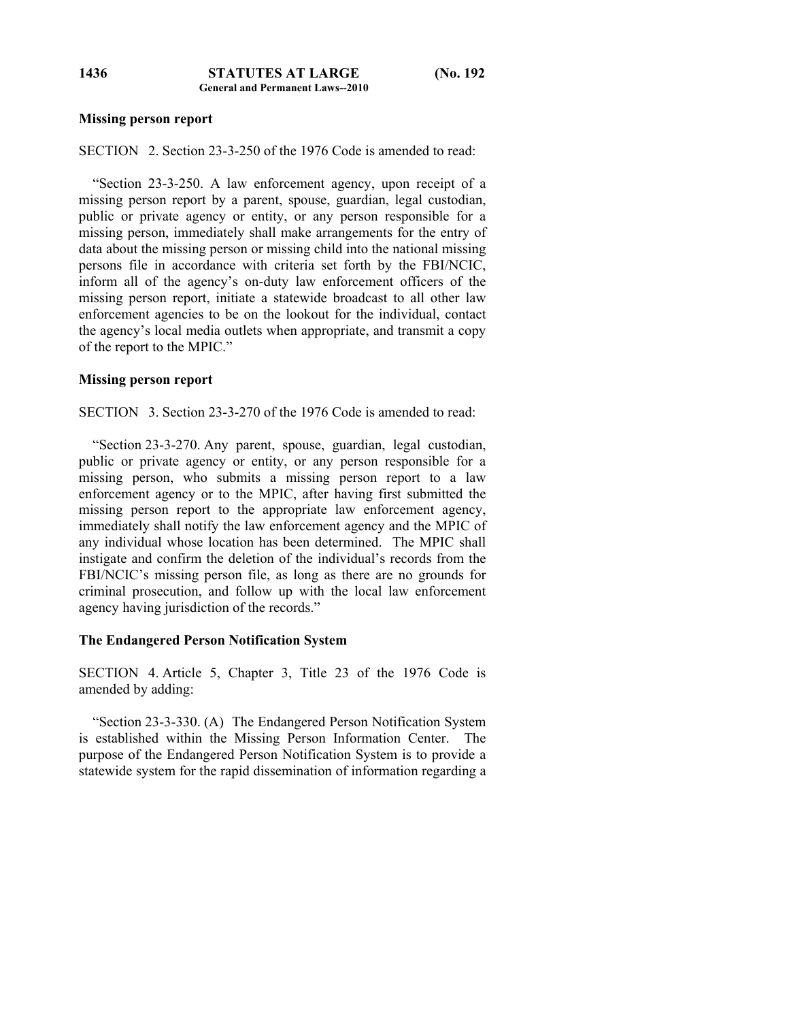## **Missing person report**

SECTION 2. Section 23-3-250 of the 1976 Code is amended to read:

 "Section 23-3-250. A law enforcement agency, upon receipt of a missing person report by a parent, spouse, guardian, legal custodian, public or private agency or entity, or any person responsible for a missing person, immediately shall make arrangements for the entry of data about the missing person or missing child into the national missing persons file in accordance with criteria set forth by the FBI/NCIC, inform all of the agency's on-duty law enforcement officers of the missing person report, initiate a statewide broadcast to all other law enforcement agencies to be on the lookout for the individual, contact the agency's local media outlets when appropriate, and transmit a copy of the report to the MPIC."

## **Missing person report**

SECTION 3. Section 23-3-270 of the 1976 Code is amended to read:

 "Section 23-3-270. Any parent, spouse, guardian, legal custodian, public or private agency or entity, or any person responsible for a missing person, who submits a missing person report to a law enforcement agency or to the MPIC, after having first submitted the missing person report to the appropriate law enforcement agency, immediately shall notify the law enforcement agency and the MPIC of any individual whose location has been determined. The MPIC shall instigate and confirm the deletion of the individual's records from the FBI/NCIC's missing person file, as long as there are no grounds for criminal prosecution, and follow up with the local law enforcement agency having jurisdiction of the records."

### **The Endangered Person Notification System**

SECTION 4. Article 5, Chapter 3, Title 23 of the 1976 Code is amended by adding:

 "Section 23-3-330. (A) The Endangered Person Notification System is established within the Missing Person Information Center. The purpose of the Endangered Person Notification System is to provide a statewide system for the rapid dissemination of information regarding a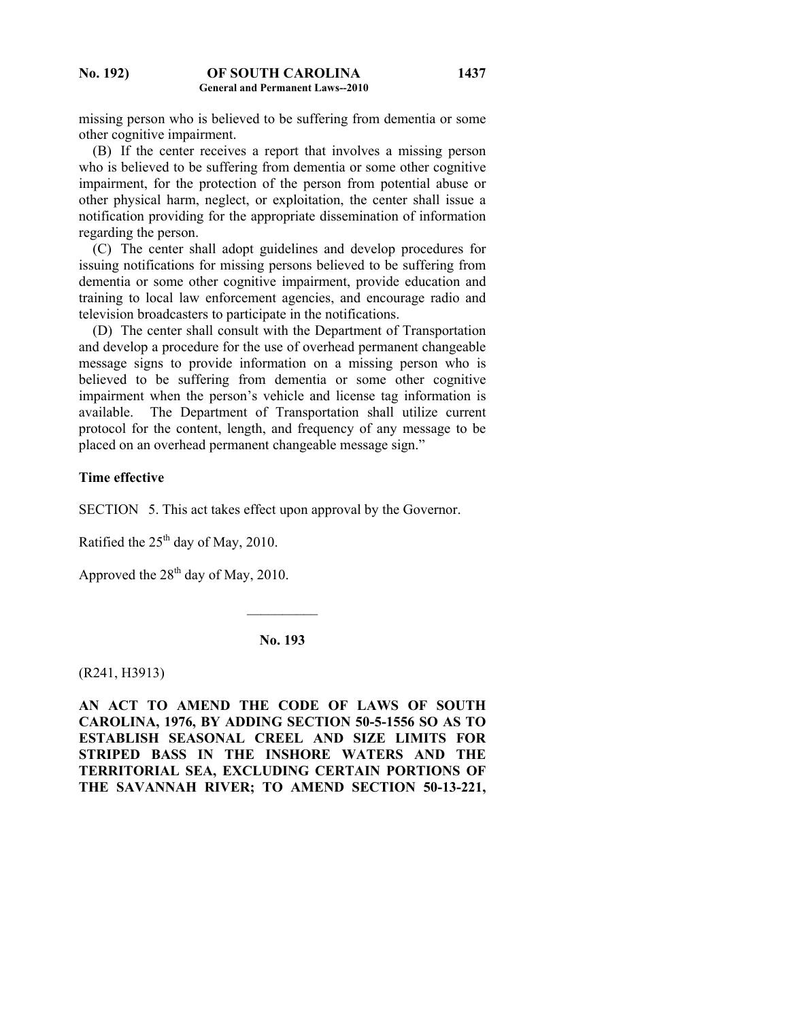missing person who is believed to be suffering from dementia or some other cognitive impairment.

 (B) If the center receives a report that involves a missing person who is believed to be suffering from dementia or some other cognitive impairment, for the protection of the person from potential abuse or other physical harm, neglect, or exploitation, the center shall issue a notification providing for the appropriate dissemination of information regarding the person.

 (C) The center shall adopt guidelines and develop procedures for issuing notifications for missing persons believed to be suffering from dementia or some other cognitive impairment, provide education and training to local law enforcement agencies, and encourage radio and television broadcasters to participate in the notifications.

 (D) The center shall consult with the Department of Transportation and develop a procedure for the use of overhead permanent changeable message signs to provide information on a missing person who is believed to be suffering from dementia or some other cognitive impairment when the person's vehicle and license tag information is available. The Department of Transportation shall utilize current protocol for the content, length, and frequency of any message to be placed on an overhead permanent changeable message sign."

## **Time effective**

SECTION 5. This act takes effect upon approval by the Governor.

Ratified the  $25<sup>th</sup>$  day of May, 2010.

Approved the  $28<sup>th</sup>$  day of May, 2010.

**No. 193** 

 $\mathcal{L}_\text{max}$ 

(R241, H3913)

**AN ACT TO AMEND THE CODE OF LAWS OF SOUTH CAROLINA, 1976, BY ADDING SECTION 50-5-1556 SO AS TO ESTABLISH SEASONAL CREEL AND SIZE LIMITS FOR STRIPED BASS IN THE INSHORE WATERS AND THE TERRITORIAL SEA, EXCLUDING CERTAIN PORTIONS OF THE SAVANNAH RIVER; TO AMEND SECTION 50-13-221,**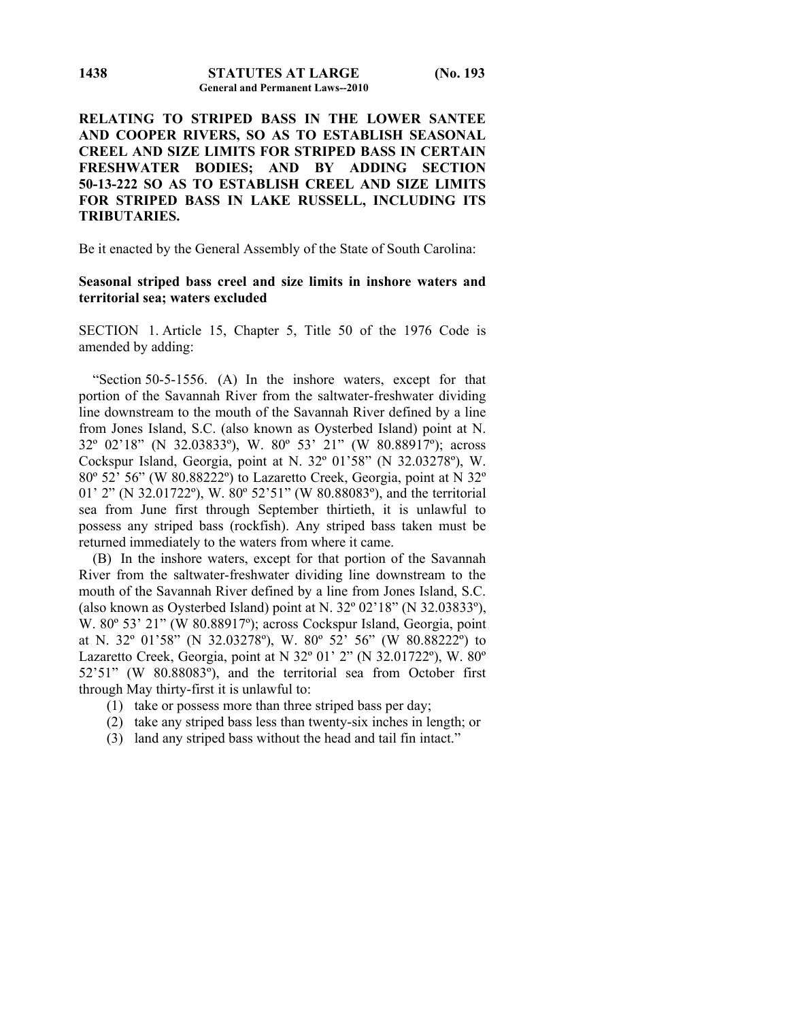**RELATING TO STRIPED BASS IN THE LOWER SANTEE AND COOPER RIVERS, SO AS TO ESTABLISH SEASONAL CREEL AND SIZE LIMITS FOR STRIPED BASS IN CERTAIN FRESHWATER BODIES; AND BY ADDING SECTION 50-13-222 SO AS TO ESTABLISH CREEL AND SIZE LIMITS FOR STRIPED BASS IN LAKE RUSSELL, INCLUDING ITS TRIBUTARIES.** 

Be it enacted by the General Assembly of the State of South Carolina:

## **Seasonal striped bass creel and size limits in inshore waters and territorial sea; waters excluded**

SECTION 1. Article 15, Chapter 5, Title 50 of the 1976 Code is amended by adding:

 "Section 50-5-1556. (A) In the inshore waters, except for that portion of the Savannah River from the saltwater-freshwater dividing line downstream to the mouth of the Savannah River defined by a line from Jones Island, S.C. (also known as Oysterbed Island) point at N. 32º 02'18" (N 32.03833º), W. 80º 53' 21" (W 80.88917º); across Cockspur Island, Georgia, point at N. 32º 01'58" (N 32.03278º), W. 80º 52' 56" (W 80.88222º) to Lazaretto Creek, Georgia, point at N 32º 01' 2" (N 32.01722º), W. 80º 52'51" (W 80.88083º), and the territorial sea from June first through September thirtieth, it is unlawful to possess any striped bass (rockfish). Any striped bass taken must be returned immediately to the waters from where it came.

 (B) In the inshore waters, except for that portion of the Savannah River from the saltwater-freshwater dividing line downstream to the mouth of the Savannah River defined by a line from Jones Island, S.C. (also known as Oysterbed Island) point at N. 32º 02'18" (N 32.03833º), W. 80º 53' 21" (W 80.88917º); across Cockspur Island, Georgia, point at N. 32º 01'58" (N 32.03278º), W. 80º 52' 56" (W 80.88222º) to Lazaretto Creek, Georgia, point at N 32º 01' 2" (N 32.01722º), W. 80º 52'51" (W 80.88083º), and the territorial sea from October first through May thirty-first it is unlawful to:

- (1) take or possess more than three striped bass per day;
- (2) take any striped bass less than twenty-six inches in length; or
- (3) land any striped bass without the head and tail fin intact."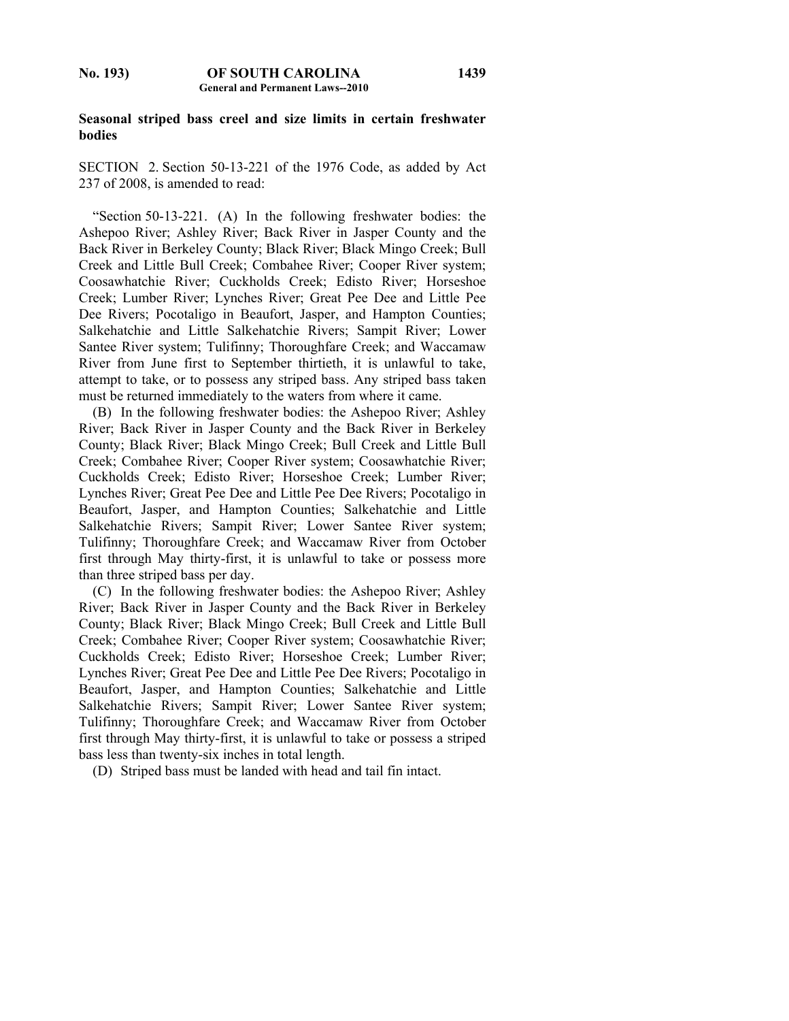### **Seasonal striped bass creel and size limits in certain freshwater bodies**

SECTION 2. Section 50-13-221 of the 1976 Code, as added by Act 237 of 2008, is amended to read:

 "Section 50-13-221. (A) In the following freshwater bodies: the Ashepoo River; Ashley River; Back River in Jasper County and the Back River in Berkeley County; Black River; Black Mingo Creek; Bull Creek and Little Bull Creek; Combahee River; Cooper River system; Coosawhatchie River; Cuckholds Creek; Edisto River; Horseshoe Creek; Lumber River; Lynches River; Great Pee Dee and Little Pee Dee Rivers; Pocotaligo in Beaufort, Jasper, and Hampton Counties; Salkehatchie and Little Salkehatchie Rivers; Sampit River; Lower Santee River system; Tulifinny; Thoroughfare Creek; and Waccamaw River from June first to September thirtieth, it is unlawful to take, attempt to take, or to possess any striped bass. Any striped bass taken must be returned immediately to the waters from where it came.

 (B) In the following freshwater bodies: the Ashepoo River; Ashley River; Back River in Jasper County and the Back River in Berkeley County; Black River; Black Mingo Creek; Bull Creek and Little Bull Creek; Combahee River; Cooper River system; Coosawhatchie River; Cuckholds Creek; Edisto River; Horseshoe Creek; Lumber River; Lynches River; Great Pee Dee and Little Pee Dee Rivers; Pocotaligo in Beaufort, Jasper, and Hampton Counties; Salkehatchie and Little Salkehatchie Rivers; Sampit River; Lower Santee River system; Tulifinny; Thoroughfare Creek; and Waccamaw River from October first through May thirty-first, it is unlawful to take or possess more than three striped bass per day.

 (C) In the following freshwater bodies: the Ashepoo River; Ashley River; Back River in Jasper County and the Back River in Berkeley County; Black River; Black Mingo Creek; Bull Creek and Little Bull Creek; Combahee River; Cooper River system; Coosawhatchie River; Cuckholds Creek; Edisto River; Horseshoe Creek; Lumber River; Lynches River; Great Pee Dee and Little Pee Dee Rivers; Pocotaligo in Beaufort, Jasper, and Hampton Counties; Salkehatchie and Little Salkehatchie Rivers; Sampit River; Lower Santee River system; Tulifinny; Thoroughfare Creek; and Waccamaw River from October first through May thirty-first, it is unlawful to take or possess a striped bass less than twenty-six inches in total length.

(D) Striped bass must be landed with head and tail fin intact.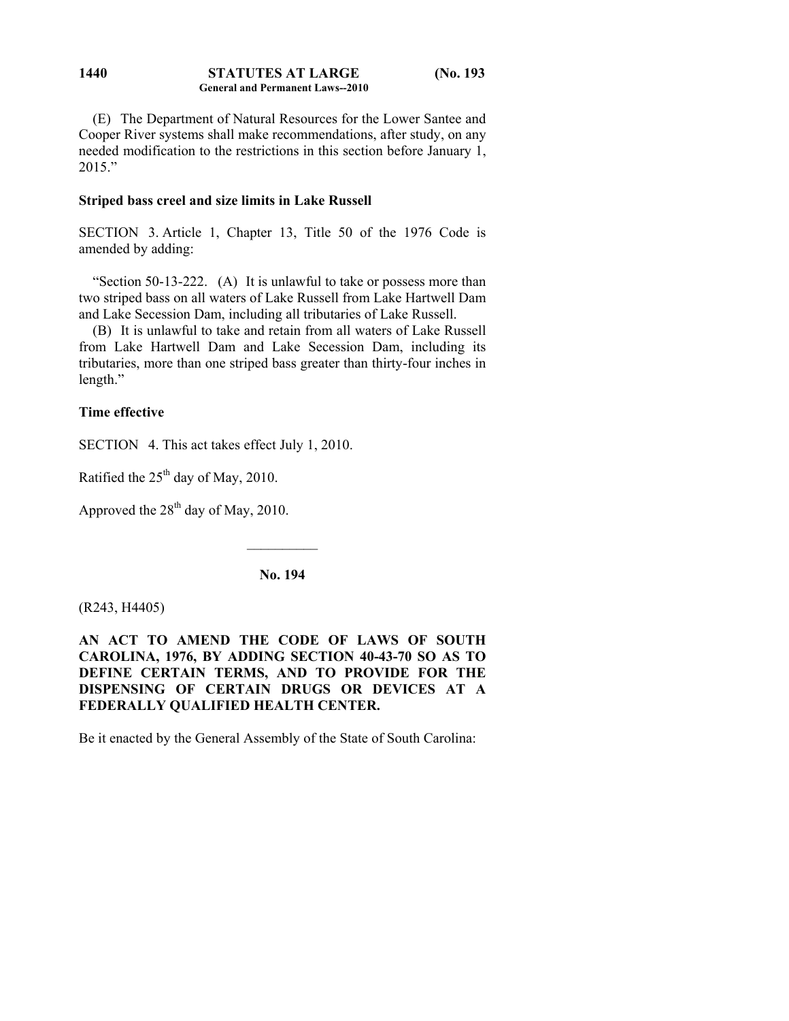### **STATUTES AT LARGE (No. 193 General and Permanent Laws--2010 1440**

 (E) The Department of Natural Resources for the Lower Santee and Cooper River systems shall make recommendations, after study, on any needed modification to the restrictions in this section before January 1,  $2015$ "

## **Striped bass creel and size limits in Lake Russell**

SECTION 3. Article 1, Chapter 13, Title 50 of the 1976 Code is amended by adding:

 "Section 50-13-222. (A) It is unlawful to take or possess more than two striped bass on all waters of Lake Russell from Lake Hartwell Dam and Lake Secession Dam, including all tributaries of Lake Russell.

 (B) It is unlawful to take and retain from all waters of Lake Russell from Lake Hartwell Dam and Lake Secession Dam, including its tributaries, more than one striped bass greater than thirty-four inches in length."

# **Time effective**

SECTION 4. This act takes effect July 1, 2010.

Ratified the  $25<sup>th</sup>$  day of May, 2010.

Approved the  $28<sup>th</sup>$  day of May, 2010.

**No. 194** 

 $\mathcal{L}_\text{max}$ 

(R243, H4405)

**AN ACT TO AMEND THE CODE OF LAWS OF SOUTH CAROLINA, 1976, BY ADDING SECTION 40-43-70 SO AS TO DEFINE CERTAIN TERMS, AND TO PROVIDE FOR THE DISPENSING OF CERTAIN DRUGS OR DEVICES AT A FEDERALLY QUALIFIED HEALTH CENTER.** 

Be it enacted by the General Assembly of the State of South Carolina: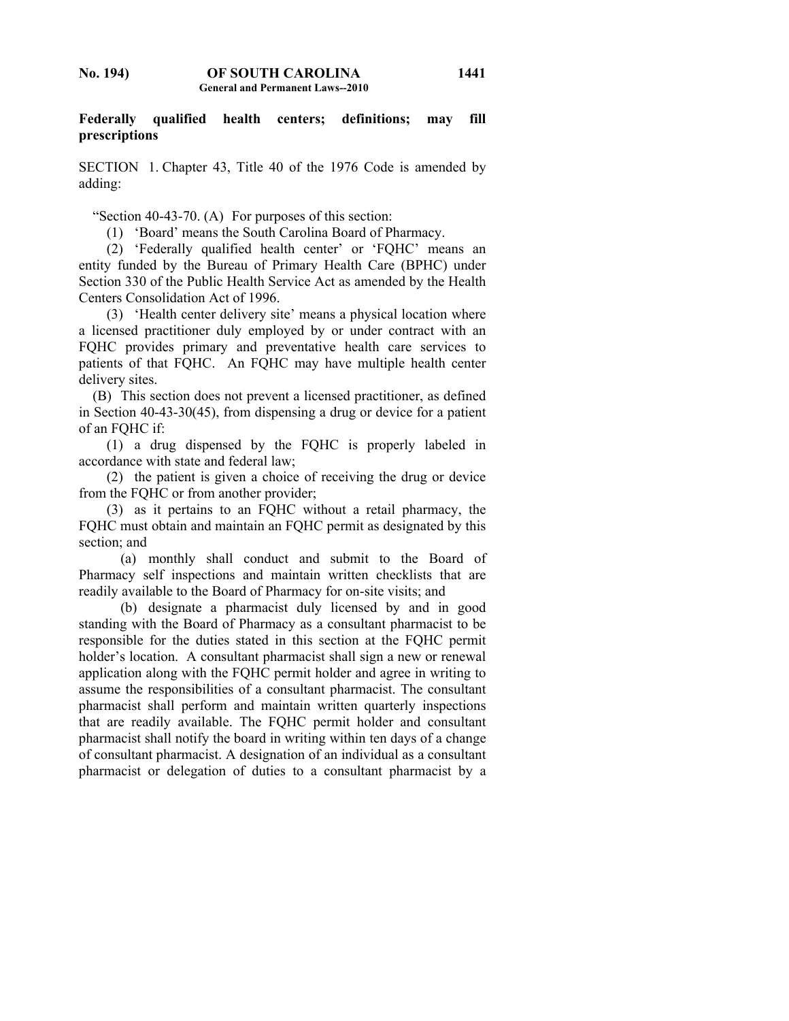**Federally qualified health centers; definitions; may fill prescriptions** 

SECTION 1. Chapter 43, Title 40 of the 1976 Code is amended by adding:

"Section 40-43-70. (A) For purposes of this section:

(1) 'Board' means the South Carolina Board of Pharmacy.

 (2) 'Federally qualified health center' or 'FQHC' means an entity funded by the Bureau of Primary Health Care (BPHC) under Section 330 of the Public Health Service Act as amended by the Health Centers Consolidation Act of 1996.

 (3) 'Health center delivery site' means a physical location where a licensed practitioner duly employed by or under contract with an FQHC provides primary and preventative health care services to patients of that FQHC. An FQHC may have multiple health center delivery sites.

 (B) This section does not prevent a licensed practitioner, as defined in Section 40-43-30(45), from dispensing a drug or device for a patient of an FQHC if:

 (1) a drug dispensed by the FQHC is properly labeled in accordance with state and federal law;

 (2) the patient is given a choice of receiving the drug or device from the FQHC or from another provider;

 (3) as it pertains to an FQHC without a retail pharmacy, the FQHC must obtain and maintain an FQHC permit as designated by this section; and

 (a) monthly shall conduct and submit to the Board of Pharmacy self inspections and maintain written checklists that are readily available to the Board of Pharmacy for on-site visits; and

 (b) designate a pharmacist duly licensed by and in good standing with the Board of Pharmacy as a consultant pharmacist to be responsible for the duties stated in this section at the FQHC permit holder's location. A consultant pharmacist shall sign a new or renewal application along with the FQHC permit holder and agree in writing to assume the responsibilities of a consultant pharmacist. The consultant pharmacist shall perform and maintain written quarterly inspections that are readily available. The FQHC permit holder and consultant pharmacist shall notify the board in writing within ten days of a change of consultant pharmacist. A designation of an individual as a consultant pharmacist or delegation of duties to a consultant pharmacist by a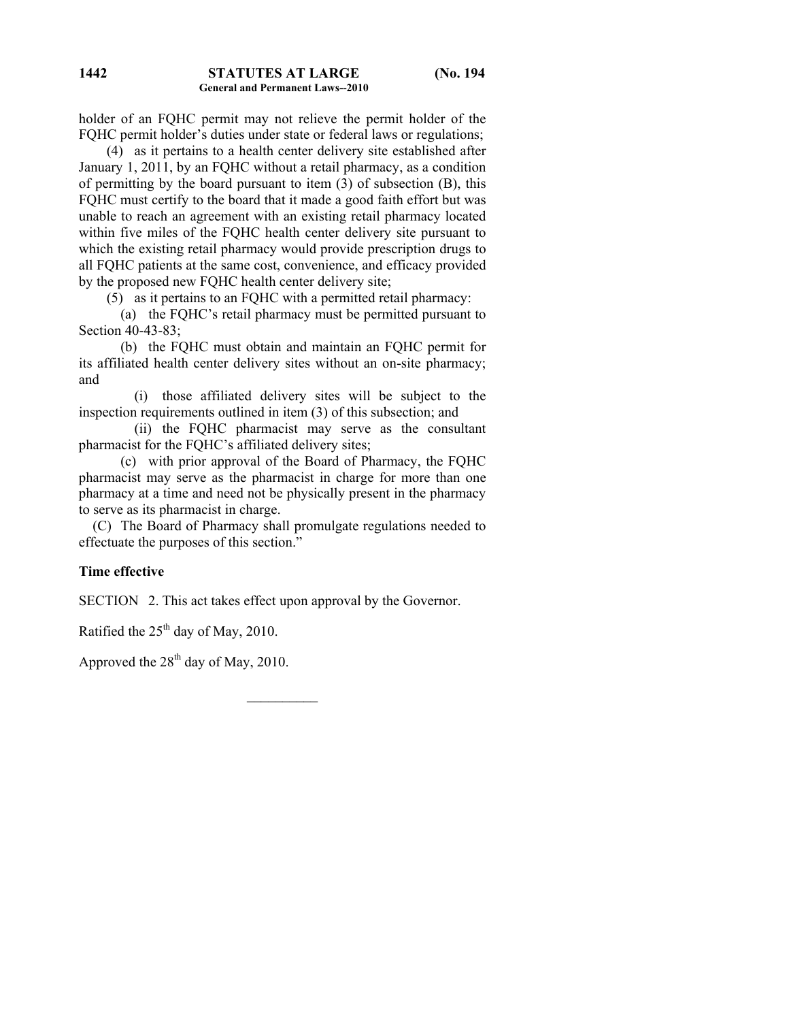holder of an FQHC permit may not relieve the permit holder of the FQHC permit holder's duties under state or federal laws or regulations;

 (4) as it pertains to a health center delivery site established after January 1, 2011, by an FQHC without a retail pharmacy, as a condition of permitting by the board pursuant to item (3) of subsection (B), this FQHC must certify to the board that it made a good faith effort but was unable to reach an agreement with an existing retail pharmacy located within five miles of the FQHC health center delivery site pursuant to which the existing retail pharmacy would provide prescription drugs to all FQHC patients at the same cost, convenience, and efficacy provided by the proposed new FQHC health center delivery site;

(5) as it pertains to an FQHC with a permitted retail pharmacy:

 (a) the FQHC's retail pharmacy must be permitted pursuant to Section 40-43-83;

 (b) the FQHC must obtain and maintain an FQHC permit for its affiliated health center delivery sites without an on-site pharmacy; and

 (i) those affiliated delivery sites will be subject to the inspection requirements outlined in item (3) of this subsection; and

 (ii) the FQHC pharmacist may serve as the consultant pharmacist for the FQHC's affiliated delivery sites;

 (c) with prior approval of the Board of Pharmacy, the FQHC pharmacist may serve as the pharmacist in charge for more than one pharmacy at a time and need not be physically present in the pharmacy to serve as its pharmacist in charge.

 (C) The Board of Pharmacy shall promulgate regulations needed to effectuate the purposes of this section."

 $\frac{1}{2}$ 

## **Time effective**

SECTION 2. This act takes effect upon approval by the Governor.

Ratified the  $25<sup>th</sup>$  day of May, 2010.

Approved the  $28<sup>th</sup>$  day of May, 2010.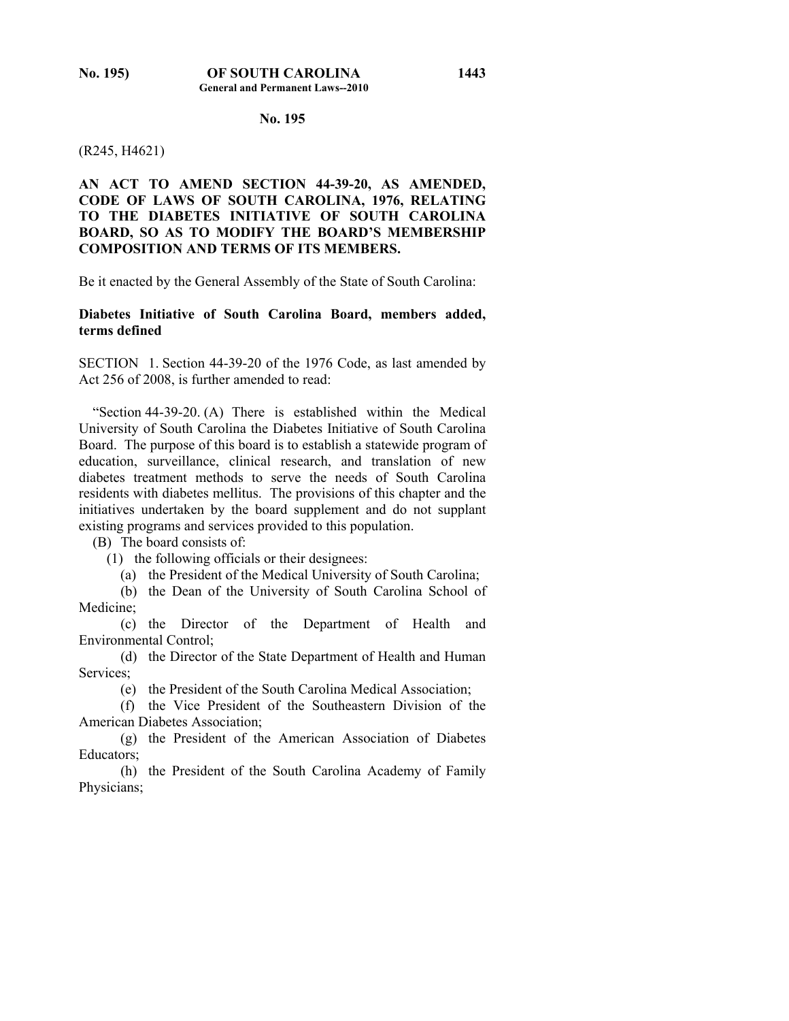## **No. 195**

### (R245, H4621)

## **AN ACT TO AMEND SECTION 44-39-20, AS AMENDED, CODE OF LAWS OF SOUTH CAROLINA, 1976, RELATING TO THE DIABETES INITIATIVE OF SOUTH CAROLINA BOARD, SO AS TO MODIFY THE BOARD'S MEMBERSHIP COMPOSITION AND TERMS OF ITS MEMBERS.**

Be it enacted by the General Assembly of the State of South Carolina:

## **Diabetes Initiative of South Carolina Board, members added, terms defined**

SECTION 1. Section 44-39-20 of the 1976 Code, as last amended by Act 256 of 2008, is further amended to read:

 "Section 44-39-20. (A) There is established within the Medical University of South Carolina the Diabetes Initiative of South Carolina Board. The purpose of this board is to establish a statewide program of education, surveillance, clinical research, and translation of new diabetes treatment methods to serve the needs of South Carolina residents with diabetes mellitus. The provisions of this chapter and the initiatives undertaken by the board supplement and do not supplant existing programs and services provided to this population.

(B) The board consists of:

(1) the following officials or their designees:

(a) the President of the Medical University of South Carolina;

 (b) the Dean of the University of South Carolina School of Medicine;

 (c) the Director of the Department of Health and Environmental Control;

 (d) the Director of the State Department of Health and Human Services;

(e) the President of the South Carolina Medical Association;

 (f) the Vice President of the Southeastern Division of the American Diabetes Association;

 (g) the President of the American Association of Diabetes Educators;

 (h) the President of the South Carolina Academy of Family Physicians;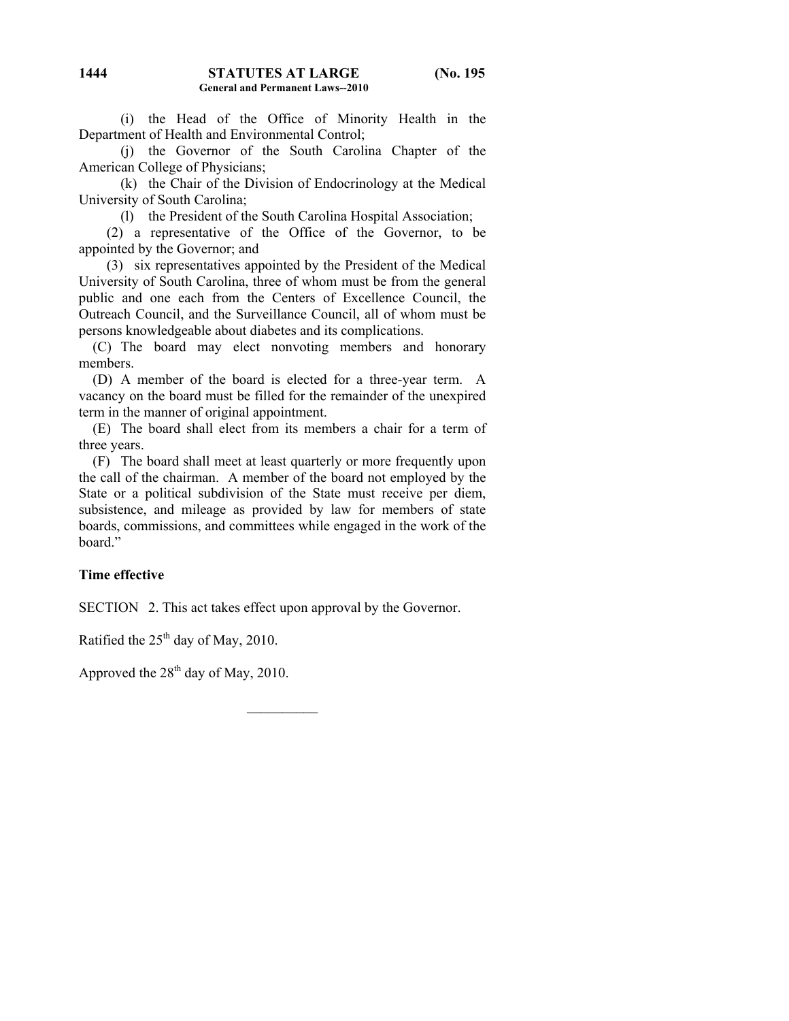(i) the Head of the Office of Minority Health in the Department of Health and Environmental Control;

 (j) the Governor of the South Carolina Chapter of the American College of Physicians;

 (k) the Chair of the Division of Endocrinology at the Medical University of South Carolina;

(l) the President of the South Carolina Hospital Association;

 (2) a representative of the Office of the Governor, to be appointed by the Governor; and

 (3) six representatives appointed by the President of the Medical University of South Carolina, three of whom must be from the general public and one each from the Centers of Excellence Council, the Outreach Council, and the Surveillance Council, all of whom must be persons knowledgeable about diabetes and its complications.

 (C) The board may elect nonvoting members and honorary members.

 (D) A member of the board is elected for a three-year term. A vacancy on the board must be filled for the remainder of the unexpired term in the manner of original appointment.

 (E) The board shall elect from its members a chair for a term of three years.

 (F) The board shall meet at least quarterly or more frequently upon the call of the chairman. A member of the board not employed by the State or a political subdivision of the State must receive per diem, subsistence, and mileage as provided by law for members of state boards, commissions, and committees while engaged in the work of the board"

## **Time effective**

SECTION 2. This act takes effect upon approval by the Governor.

Ratified the  $25<sup>th</sup>$  day of May, 2010.

Approved the  $28<sup>th</sup>$  day of May, 2010.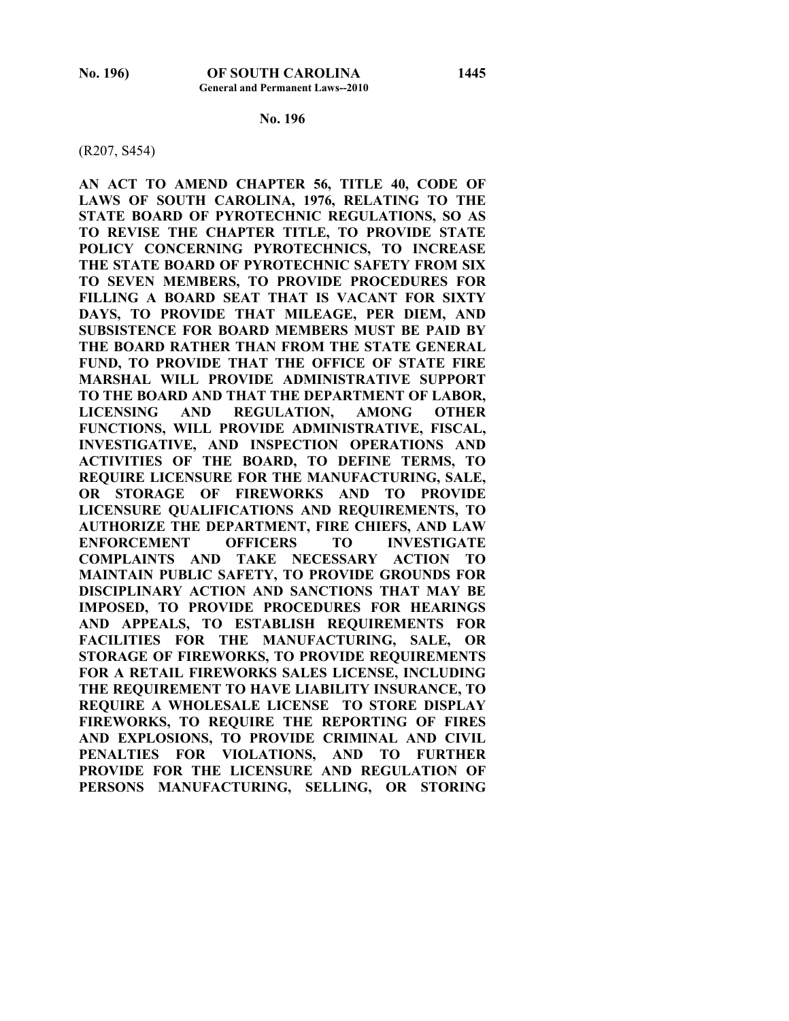### **No. 196**

(R207, S454)

**AN ACT TO AMEND CHAPTER 56, TITLE 40, CODE OF LAWS OF SOUTH CAROLINA, 1976, RELATING TO THE STATE BOARD OF PYROTECHNIC REGULATIONS, SO AS TO REVISE THE CHAPTER TITLE, TO PROVIDE STATE POLICY CONCERNING PYROTECHNICS, TO INCREASE THE STATE BOARD OF PYROTECHNIC SAFETY FROM SIX TO SEVEN MEMBERS, TO PROVIDE PROCEDURES FOR FILLING A BOARD SEAT THAT IS VACANT FOR SIXTY DAYS, TO PROVIDE THAT MILEAGE, PER DIEM, AND SUBSISTENCE FOR BOARD MEMBERS MUST BE PAID BY THE BOARD RATHER THAN FROM THE STATE GENERAL FUND, TO PROVIDE THAT THE OFFICE OF STATE FIRE MARSHAL WILL PROVIDE ADMINISTRATIVE SUPPORT TO THE BOARD AND THAT THE DEPARTMENT OF LABOR, LICENSING AND REGULATION, AMONG OTHER FUNCTIONS, WILL PROVIDE ADMINISTRATIVE, FISCAL, INVESTIGATIVE, AND INSPECTION OPERATIONS AND ACTIVITIES OF THE BOARD, TO DEFINE TERMS, TO REQUIRE LICENSURE FOR THE MANUFACTURING, SALE, OR STORAGE OF FIREWORKS AND TO PROVIDE LICENSURE QUALIFICATIONS AND REQUIREMENTS, TO AUTHORIZE THE DEPARTMENT, FIRE CHIEFS, AND LAW ENFORCEMENT OFFICERS TO INVESTIGATE COMPLAINTS AND TAKE NECESSARY ACTION TO MAINTAIN PUBLIC SAFETY, TO PROVIDE GROUNDS FOR DISCIPLINARY ACTION AND SANCTIONS THAT MAY BE IMPOSED, TO PROVIDE PROCEDURES FOR HEARINGS AND APPEALS, TO ESTABLISH REQUIREMENTS FOR FACILITIES FOR THE MANUFACTURING, SALE, OR STORAGE OF FIREWORKS, TO PROVIDE REQUIREMENTS FOR A RETAIL FIREWORKS SALES LICENSE, INCLUDING THE REQUIREMENT TO HAVE LIABILITY INSURANCE, TO REQUIRE A WHOLESALE LICENSE TO STORE DISPLAY FIREWORKS, TO REQUIRE THE REPORTING OF FIRES AND EXPLOSIONS, TO PROVIDE CRIMINAL AND CIVIL PENALTIES FOR VIOLATIONS, AND TO FURTHER PROVIDE FOR THE LICENSURE AND REGULATION OF PERSONS MANUFACTURING, SELLING, OR STORING**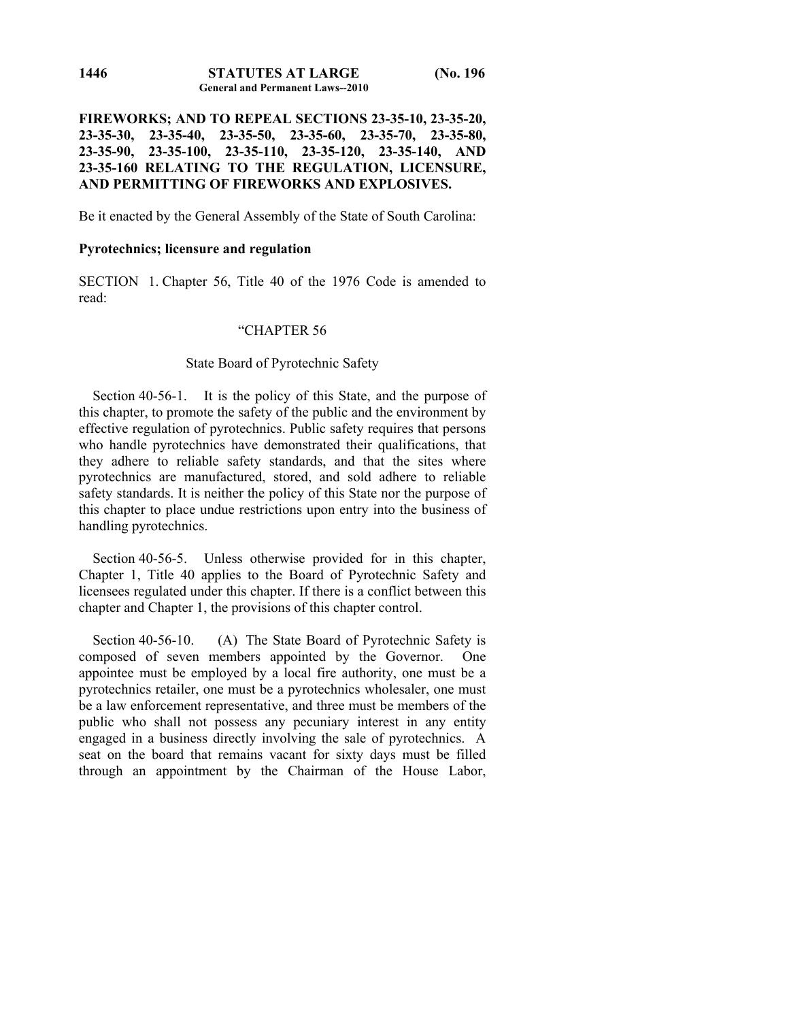**FIREWORKS; AND TO REPEAL SECTIONS 23-35-10, 23-35-20, 23-35-30, 23-35-40, 23-35-50, 23-35-60, 23-35-70, 23-35-80, 23-35-90, 23-35-100, 23-35-110, 23-35-120, 23-35-140, AND 23-35-160 RELATING TO THE REGULATION, LICENSURE, AND PERMITTING OF FIREWORKS AND EXPLOSIVES.** 

Be it enacted by the General Assembly of the State of South Carolina:

## **Pyrotechnics; licensure and regulation**

SECTION 1. Chapter 56, Title 40 of the 1976 Code is amended to read:

### "CHAPTER 56

## State Board of Pyrotechnic Safety

 Section 40-56-1. It is the policy of this State, and the purpose of this chapter, to promote the safety of the public and the environment by effective regulation of pyrotechnics. Public safety requires that persons who handle pyrotechnics have demonstrated their qualifications, that they adhere to reliable safety standards, and that the sites where pyrotechnics are manufactured, stored, and sold adhere to reliable safety standards. It is neither the policy of this State nor the purpose of this chapter to place undue restrictions upon entry into the business of handling pyrotechnics.

 Section 40-56-5. Unless otherwise provided for in this chapter, Chapter 1, Title 40 applies to the Board of Pyrotechnic Safety and licensees regulated under this chapter. If there is a conflict between this chapter and Chapter 1, the provisions of this chapter control.

Section 40-56-10. (A) The State Board of Pyrotechnic Safety is composed of seven members appointed by the Governor. One appointee must be employed by a local fire authority, one must be a pyrotechnics retailer, one must be a pyrotechnics wholesaler, one must be a law enforcement representative, and three must be members of the public who shall not possess any pecuniary interest in any entity engaged in a business directly involving the sale of pyrotechnics. A seat on the board that remains vacant for sixty days must be filled through an appointment by the Chairman of the House Labor,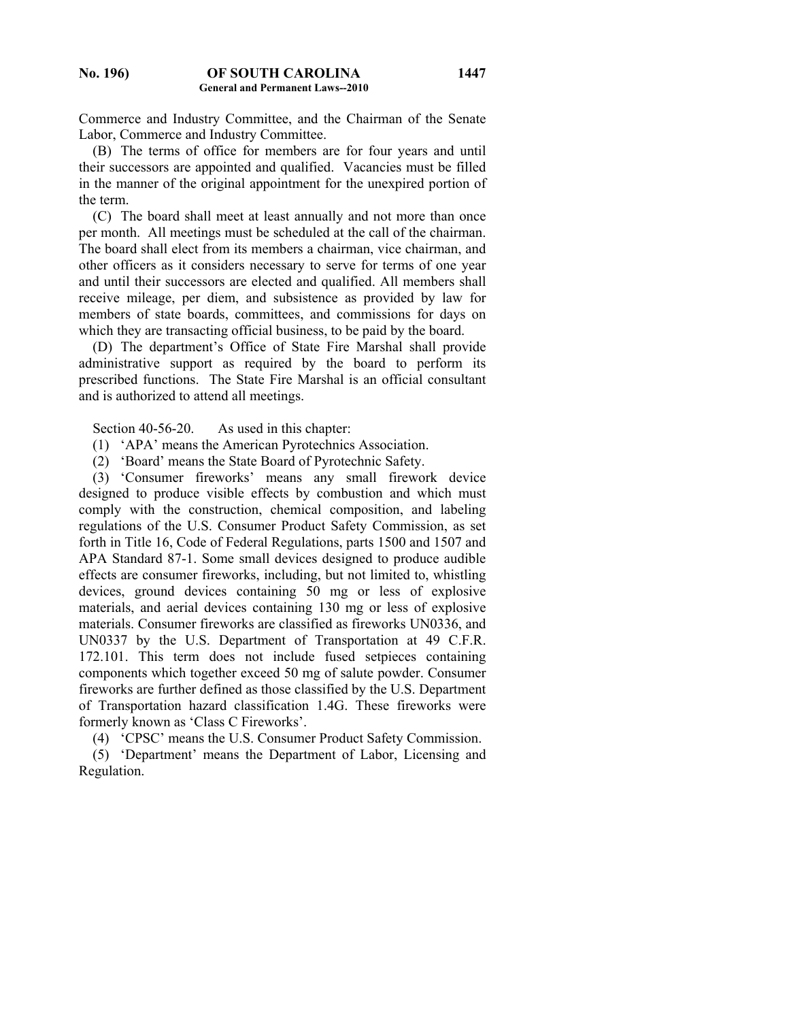Commerce and Industry Committee, and the Chairman of the Senate Labor, Commerce and Industry Committee.

 (B) The terms of office for members are for four years and until their successors are appointed and qualified. Vacancies must be filled in the manner of the original appointment for the unexpired portion of the term.

 (C) The board shall meet at least annually and not more than once per month. All meetings must be scheduled at the call of the chairman. The board shall elect from its members a chairman, vice chairman, and other officers as it considers necessary to serve for terms of one year and until their successors are elected and qualified. All members shall receive mileage, per diem, and subsistence as provided by law for members of state boards, committees, and commissions for days on which they are transacting official business, to be paid by the board.

 (D) The department's Office of State Fire Marshal shall provide administrative support as required by the board to perform its prescribed functions. The State Fire Marshal is an official consultant and is authorized to attend all meetings.

Section 40-56-20. As used in this chapter:

(1) 'APA' means the American Pyrotechnics Association.

(2) 'Board' means the State Board of Pyrotechnic Safety.

 (3) 'Consumer fireworks' means any small firework device designed to produce visible effects by combustion and which must comply with the construction, chemical composition, and labeling regulations of the U.S. Consumer Product Safety Commission, as set forth in Title 16, Code of Federal Regulations, parts 1500 and 1507 and APA Standard 87-1. Some small devices designed to produce audible effects are consumer fireworks, including, but not limited to, whistling devices, ground devices containing 50 mg or less of explosive materials, and aerial devices containing 130 mg or less of explosive materials. Consumer fireworks are classified as fireworks UN0336, and UN0337 by the U.S. Department of Transportation at 49 C.F.R. 172.101. This term does not include fused setpieces containing components which together exceed 50 mg of salute powder. Consumer fireworks are further defined as those classified by the U.S. Department of Transportation hazard classification 1.4G. These fireworks were formerly known as 'Class C Fireworks'.

(4) 'CPSC' means the U.S. Consumer Product Safety Commission.

 (5) 'Department' means the Department of Labor, Licensing and Regulation.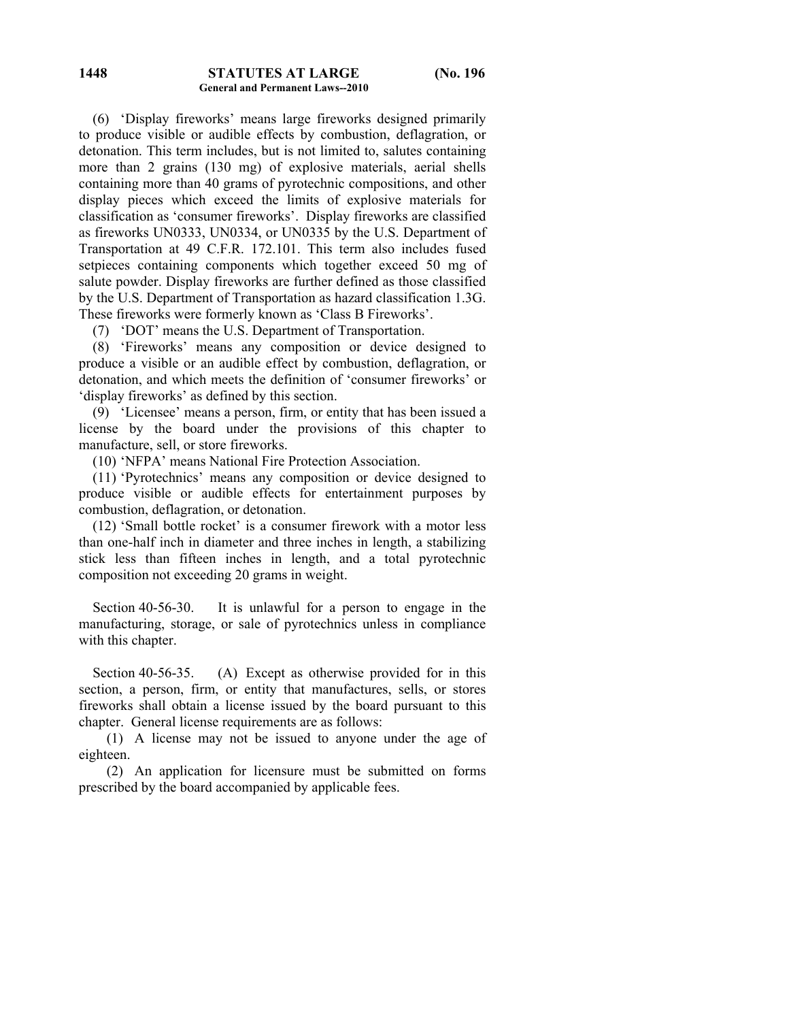(6) 'Display fireworks' means large fireworks designed primarily to produce visible or audible effects by combustion, deflagration, or detonation. This term includes, but is not limited to, salutes containing more than 2 grains (130 mg) of explosive materials, aerial shells containing more than 40 grams of pyrotechnic compositions, and other display pieces which exceed the limits of explosive materials for classification as 'consumer fireworks'. Display fireworks are classified as fireworks UN0333, UN0334, or UN0335 by the U.S. Department of Transportation at 49 C.F.R. 172.101. This term also includes fused setpieces containing components which together exceed 50 mg of salute powder. Display fireworks are further defined as those classified by the U.S. Department of Transportation as hazard classification 1.3G. These fireworks were formerly known as 'Class B Fireworks'.

(7) 'DOT' means the U.S. Department of Transportation.

 (8) 'Fireworks' means any composition or device designed to produce a visible or an audible effect by combustion, deflagration, or detonation, and which meets the definition of 'consumer fireworks' or 'display fireworks' as defined by this section.

 (9) 'Licensee' means a person, firm, or entity that has been issued a license by the board under the provisions of this chapter to manufacture, sell, or store fireworks.

(10) 'NFPA' means National Fire Protection Association.

 (11) 'Pyrotechnics' means any composition or device designed to produce visible or audible effects for entertainment purposes by combustion, deflagration, or detonation.

 (12) 'Small bottle rocket' is a consumer firework with a motor less than one-half inch in diameter and three inches in length, a stabilizing stick less than fifteen inches in length, and a total pyrotechnic composition not exceeding 20 grams in weight.

 Section 40-56-30. It is unlawful for a person to engage in the manufacturing, storage, or sale of pyrotechnics unless in compliance with this chapter.

Section 40-56-35. (A) Except as otherwise provided for in this section, a person, firm, or entity that manufactures, sells, or stores fireworks shall obtain a license issued by the board pursuant to this chapter. General license requirements are as follows:

 (1) A license may not be issued to anyone under the age of eighteen.

 (2) An application for licensure must be submitted on forms prescribed by the board accompanied by applicable fees.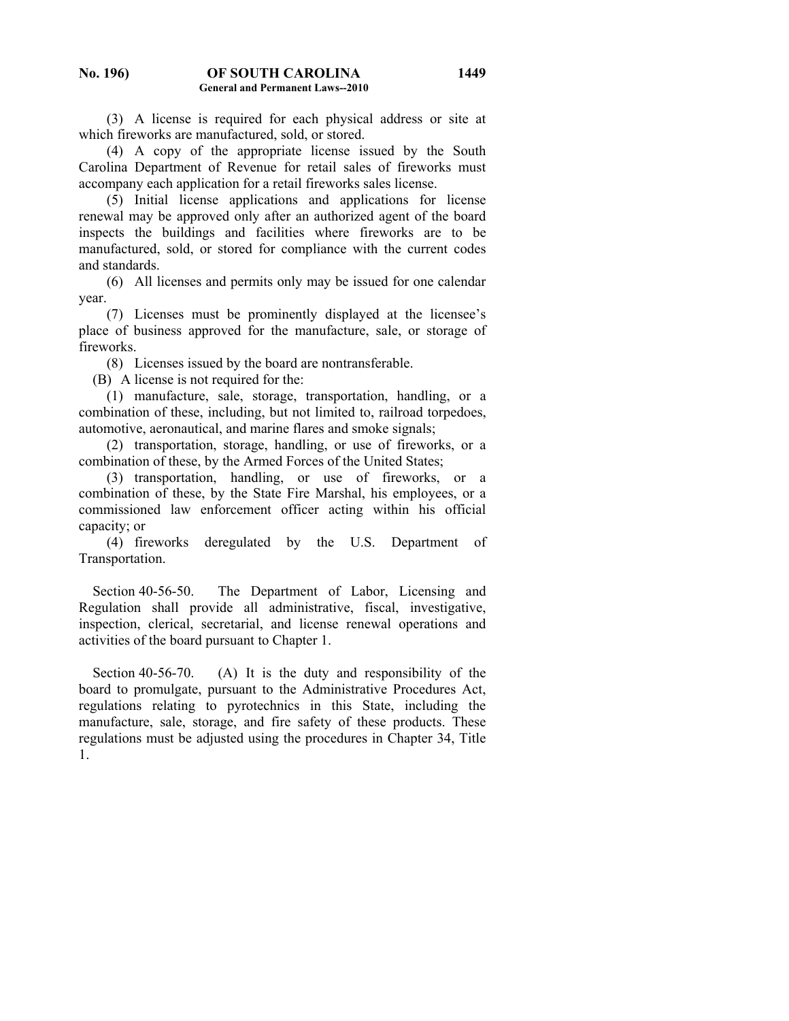(3) A license is required for each physical address or site at which fireworks are manufactured, sold, or stored.

 (4) A copy of the appropriate license issued by the South Carolina Department of Revenue for retail sales of fireworks must accompany each application for a retail fireworks sales license.

 (5) Initial license applications and applications for license renewal may be approved only after an authorized agent of the board inspects the buildings and facilities where fireworks are to be manufactured, sold, or stored for compliance with the current codes and standards.

 (6) All licenses and permits only may be issued for one calendar year.

 (7) Licenses must be prominently displayed at the licensee's place of business approved for the manufacture, sale, or storage of fireworks.

(8) Licenses issued by the board are nontransferable.

(B) A license is not required for the:

 (1) manufacture, sale, storage, transportation, handling, or a combination of these, including, but not limited to, railroad torpedoes, automotive, aeronautical, and marine flares and smoke signals;

 (2) transportation, storage, handling, or use of fireworks, or a combination of these, by the Armed Forces of the United States;

 (3) transportation, handling, or use of fireworks, or a combination of these, by the State Fire Marshal, his employees, or a commissioned law enforcement officer acting within his official capacity; or

 (4) fireworks deregulated by the U.S. Department of Transportation.

 Section 40-56-50. The Department of Labor, Licensing and Regulation shall provide all administrative, fiscal, investigative, inspection, clerical, secretarial, and license renewal operations and activities of the board pursuant to Chapter 1.

Section 40-56-70. (A) It is the duty and responsibility of the board to promulgate, pursuant to the Administrative Procedures Act, regulations relating to pyrotechnics in this State, including the manufacture, sale, storage, and fire safety of these products. These regulations must be adjusted using the procedures in Chapter 34, Title 1.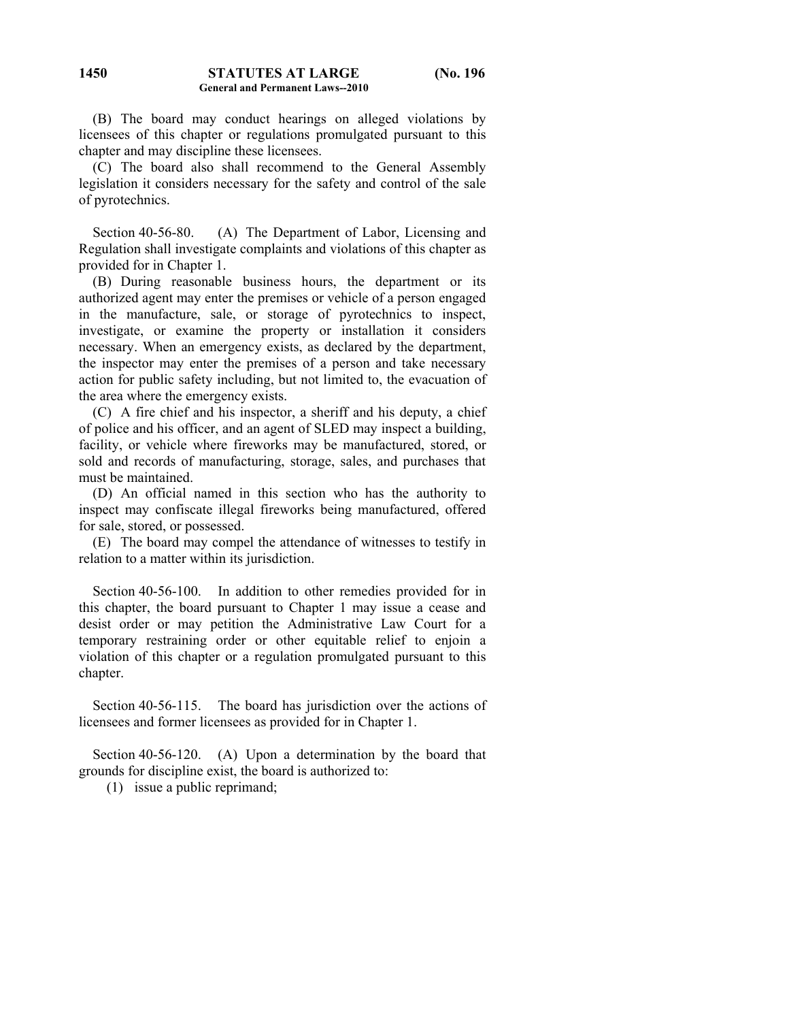(B) The board may conduct hearings on alleged violations by licensees of this chapter or regulations promulgated pursuant to this chapter and may discipline these licensees.

 (C) The board also shall recommend to the General Assembly legislation it considers necessary for the safety and control of the sale of pyrotechnics.

Section 40-56-80. (A) The Department of Labor, Licensing and Regulation shall investigate complaints and violations of this chapter as provided for in Chapter 1.

 (B) During reasonable business hours, the department or its authorized agent may enter the premises or vehicle of a person engaged in the manufacture, sale, or storage of pyrotechnics to inspect, investigate, or examine the property or installation it considers necessary. When an emergency exists, as declared by the department, the inspector may enter the premises of a person and take necessary action for public safety including, but not limited to, the evacuation of the area where the emergency exists.

 (C) A fire chief and his inspector, a sheriff and his deputy, a chief of police and his officer, and an agent of SLED may inspect a building, facility, or vehicle where fireworks may be manufactured, stored, or sold and records of manufacturing, storage, sales, and purchases that must be maintained.

 (D) An official named in this section who has the authority to inspect may confiscate illegal fireworks being manufactured, offered for sale, stored, or possessed.

 (E) The board may compel the attendance of witnesses to testify in relation to a matter within its jurisdiction.

 Section 40-56-100. In addition to other remedies provided for in this chapter, the board pursuant to Chapter 1 may issue a cease and desist order or may petition the Administrative Law Court for a temporary restraining order or other equitable relief to enjoin a violation of this chapter or a regulation promulgated pursuant to this chapter.

 Section 40-56-115. The board has jurisdiction over the actions of licensees and former licensees as provided for in Chapter 1.

 Section 40-56-120. (A) Upon a determination by the board that grounds for discipline exist, the board is authorized to:

(1) issue a public reprimand;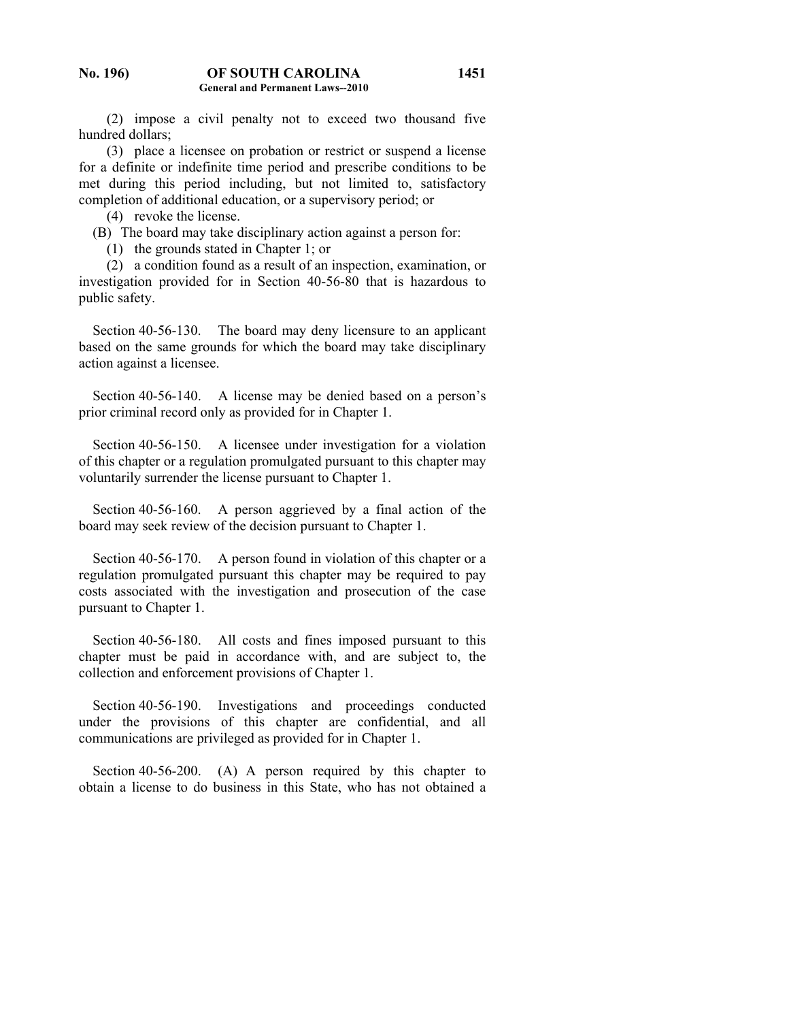(2) impose a civil penalty not to exceed two thousand five hundred dollars;

 (3) place a licensee on probation or restrict or suspend a license for a definite or indefinite time period and prescribe conditions to be met during this period including, but not limited to, satisfactory completion of additional education, or a supervisory period; or

(4) revoke the license.

(B) The board may take disciplinary action against a person for:

(1) the grounds stated in Chapter 1; or

 (2) a condition found as a result of an inspection, examination, or investigation provided for in Section 40-56-80 that is hazardous to public safety.

 Section 40-56-130. The board may deny licensure to an applicant based on the same grounds for which the board may take disciplinary action against a licensee.

 Section 40-56-140. A license may be denied based on a person's prior criminal record only as provided for in Chapter 1.

 Section 40-56-150. A licensee under investigation for a violation of this chapter or a regulation promulgated pursuant to this chapter may voluntarily surrender the license pursuant to Chapter 1.

 Section 40-56-160. A person aggrieved by a final action of the board may seek review of the decision pursuant to Chapter 1.

 Section 40-56-170. A person found in violation of this chapter or a regulation promulgated pursuant this chapter may be required to pay costs associated with the investigation and prosecution of the case pursuant to Chapter 1.

Section 40-56-180. All costs and fines imposed pursuant to this chapter must be paid in accordance with, and are subject to, the collection and enforcement provisions of Chapter 1.

 Section 40-56-190. Investigations and proceedings conducted under the provisions of this chapter are confidential, and all communications are privileged as provided for in Chapter 1.

Section 40-56-200. (A) A person required by this chapter to obtain a license to do business in this State, who has not obtained a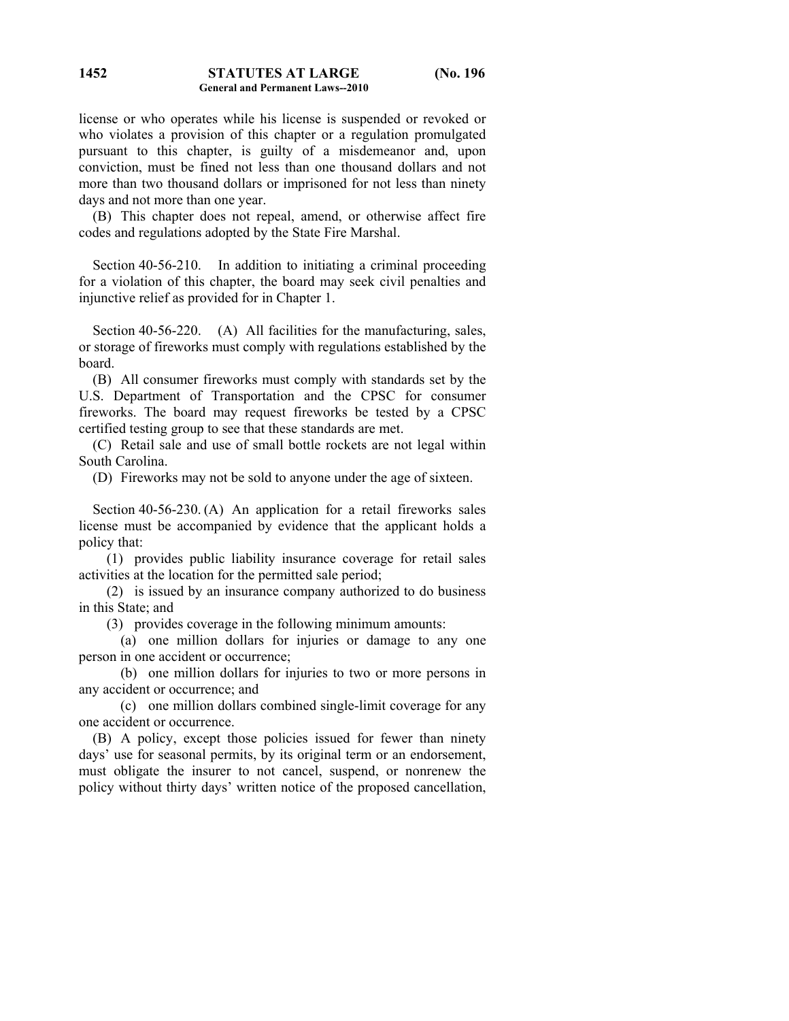license or who operates while his license is suspended or revoked or who violates a provision of this chapter or a regulation promulgated pursuant to this chapter, is guilty of a misdemeanor and, upon conviction, must be fined not less than one thousand dollars and not more than two thousand dollars or imprisoned for not less than ninety days and not more than one year.

 (B) This chapter does not repeal, amend, or otherwise affect fire codes and regulations adopted by the State Fire Marshal.

 Section 40-56-210. In addition to initiating a criminal proceeding for a violation of this chapter, the board may seek civil penalties and injunctive relief as provided for in Chapter 1.

Section 40-56-220. (A) All facilities for the manufacturing, sales, or storage of fireworks must comply with regulations established by the board.

 (B) All consumer fireworks must comply with standards set by the U.S. Department of Transportation and the CPSC for consumer fireworks. The board may request fireworks be tested by a CPSC certified testing group to see that these standards are met.

 (C) Retail sale and use of small bottle rockets are not legal within South Carolina.

(D) Fireworks may not be sold to anyone under the age of sixteen.

 Section 40-56-230. (A) An application for a retail fireworks sales license must be accompanied by evidence that the applicant holds a policy that:

 (1) provides public liability insurance coverage for retail sales activities at the location for the permitted sale period;

 (2) is issued by an insurance company authorized to do business in this State; and

(3) provides coverage in the following minimum amounts:

 (a) one million dollars for injuries or damage to any one person in one accident or occurrence;

 (b) one million dollars for injuries to two or more persons in any accident or occurrence; and

 (c) one million dollars combined single-limit coverage for any one accident or occurrence.

 (B) A policy, except those policies issued for fewer than ninety days' use for seasonal permits, by its original term or an endorsement, must obligate the insurer to not cancel, suspend, or nonrenew the policy without thirty days' written notice of the proposed cancellation,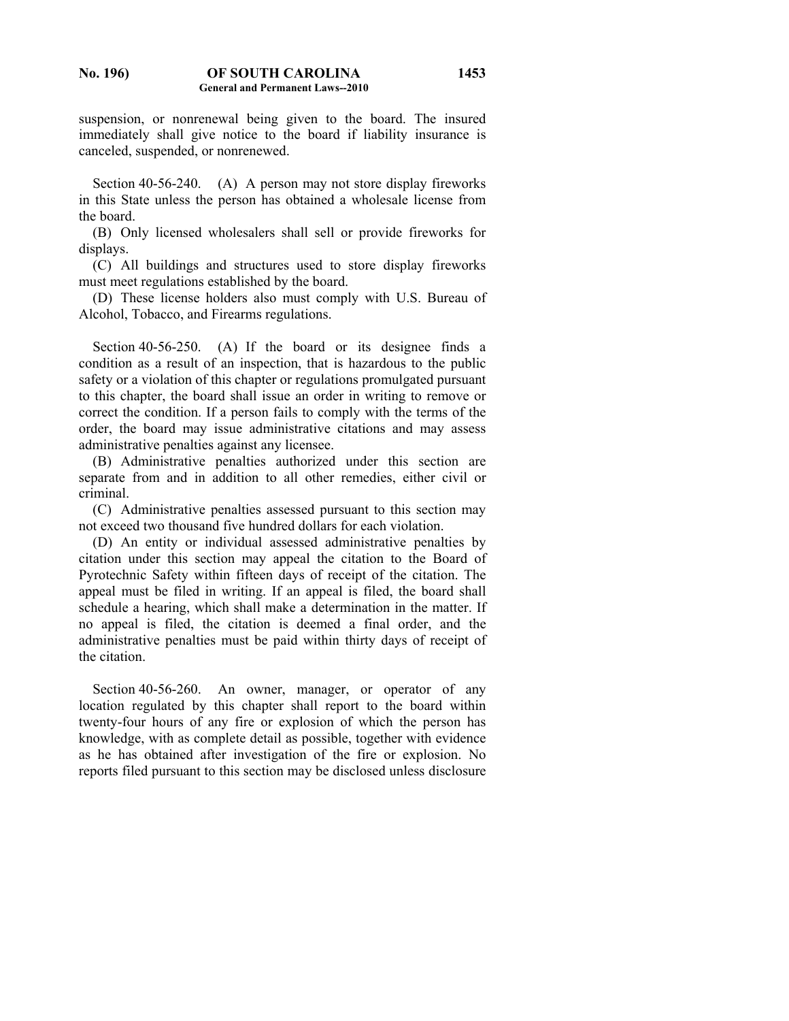suspension, or nonrenewal being given to the board. The insured immediately shall give notice to the board if liability insurance is canceled, suspended, or nonrenewed.

Section 40-56-240. (A) A person may not store display fireworks in this State unless the person has obtained a wholesale license from the board.

 (B) Only licensed wholesalers shall sell or provide fireworks for displays.

 (C) All buildings and structures used to store display fireworks must meet regulations established by the board.

 (D) These license holders also must comply with U.S. Bureau of Alcohol, Tobacco, and Firearms regulations.

 Section 40-56-250. (A) If the board or its designee finds a condition as a result of an inspection, that is hazardous to the public safety or a violation of this chapter or regulations promulgated pursuant to this chapter, the board shall issue an order in writing to remove or correct the condition. If a person fails to comply with the terms of the order, the board may issue administrative citations and may assess administrative penalties against any licensee.

 (B) Administrative penalties authorized under this section are separate from and in addition to all other remedies, either civil or criminal.

 (C) Administrative penalties assessed pursuant to this section may not exceed two thousand five hundred dollars for each violation.

 (D) An entity or individual assessed administrative penalties by citation under this section may appeal the citation to the Board of Pyrotechnic Safety within fifteen days of receipt of the citation. The appeal must be filed in writing. If an appeal is filed, the board shall schedule a hearing, which shall make a determination in the matter. If no appeal is filed, the citation is deemed a final order, and the administrative penalties must be paid within thirty days of receipt of the citation.

Section 40-56-260. An owner, manager, or operator of any location regulated by this chapter shall report to the board within twenty-four hours of any fire or explosion of which the person has knowledge, with as complete detail as possible, together with evidence as he has obtained after investigation of the fire or explosion. No reports filed pursuant to this section may be disclosed unless disclosure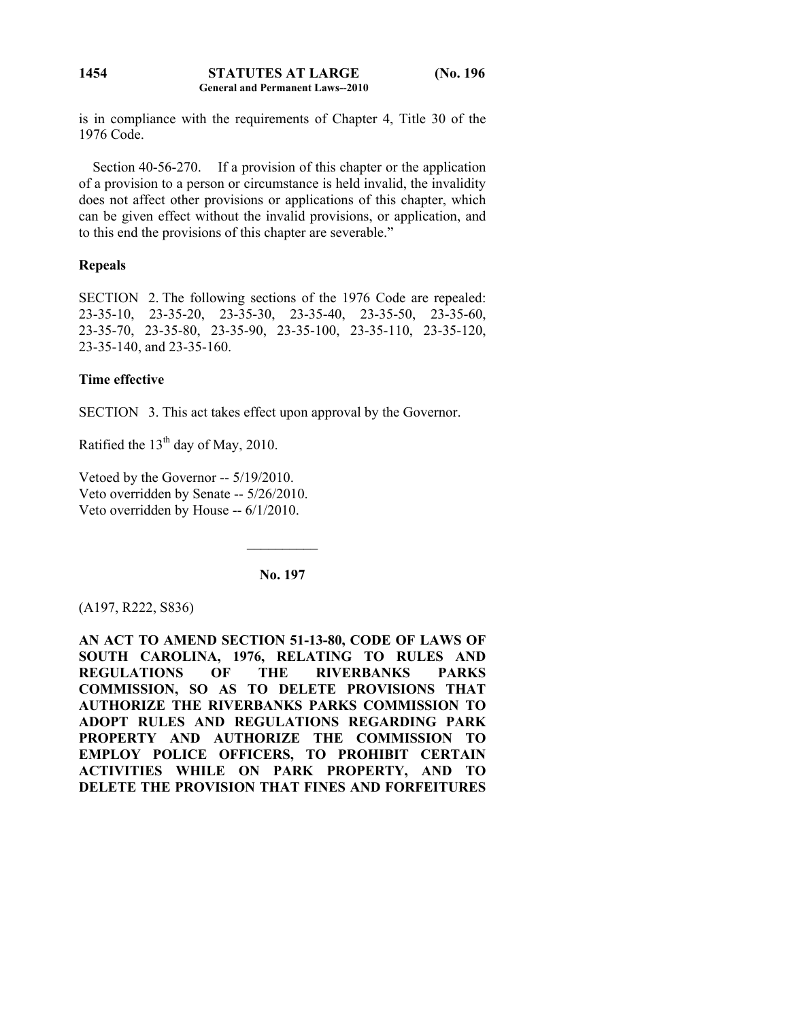is in compliance with the requirements of Chapter 4, Title 30 of the 1976 Code.

 Section 40-56-270. If a provision of this chapter or the application of a provision to a person or circumstance is held invalid, the invalidity does not affect other provisions or applications of this chapter, which can be given effect without the invalid provisions, or application, and to this end the provisions of this chapter are severable."

# **Repeals**

SECTION 2. The following sections of the 1976 Code are repealed: 23-35-10, 23-35-20, 23-35-30, 23-35-40, 23-35-50, 23-35-60, 23-35-70, 23-35-80, 23-35-90, 23-35-100, 23-35-110, 23-35-120, 23-35-140, and 23-35-160.

# **Time effective**

SECTION 3. This act takes effect upon approval by the Governor.

Ratified the  $13<sup>th</sup>$  day of May, 2010.

Vetoed by the Governor -- 5/19/2010. Veto overridden by Senate -- 5/26/2010. Veto overridden by House -- 6/1/2010.

**No. 197** 

 $\mathcal{L}_\text{max}$ 

(A197, R222, S836)

**AN ACT TO AMEND SECTION 51-13-80, CODE OF LAWS OF SOUTH CAROLINA, 1976, RELATING TO RULES AND REGULATIONS OF THE RIVERBANKS PARKS COMMISSION, SO AS TO DELETE PROVISIONS THAT AUTHORIZE THE RIVERBANKS PARKS COMMISSION TO ADOPT RULES AND REGULATIONS REGARDING PARK PROPERTY AND AUTHORIZE THE COMMISSION TO EMPLOY POLICE OFFICERS, TO PROHIBIT CERTAIN ACTIVITIES WHILE ON PARK PROPERTY, AND TO DELETE THE PROVISION THAT FINES AND FORFEITURES**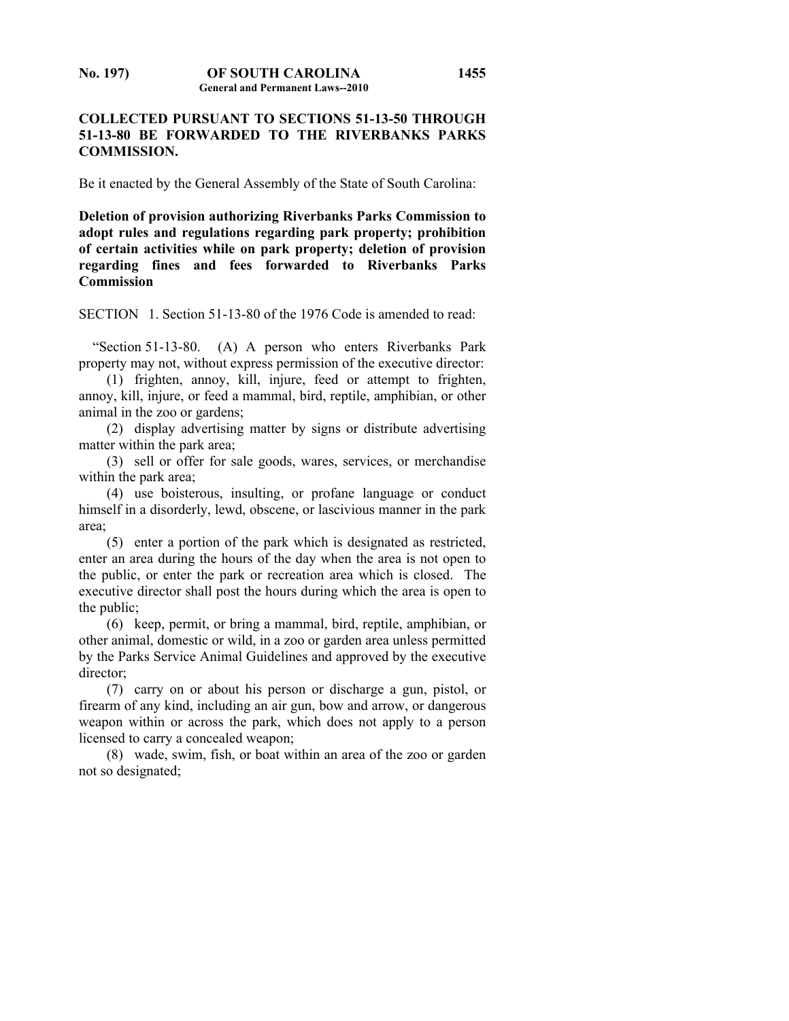## **1455**

## **COLLECTED PURSUANT TO SECTIONS 51-13-50 THROUGH 51-13-80 BE FORWARDED TO THE RIVERBANKS PARKS COMMISSION.**

Be it enacted by the General Assembly of the State of South Carolina:

**Deletion of provision authorizing Riverbanks Parks Commission to adopt rules and regulations regarding park property; prohibition of certain activities while on park property; deletion of provision regarding fines and fees forwarded to Riverbanks Parks Commission** 

SECTION 1. Section 51-13-80 of the 1976 Code is amended to read:

 "Section 51-13-80. (A) A person who enters Riverbanks Park property may not, without express permission of the executive director:

 (1) frighten, annoy, kill, injure, feed or attempt to frighten, annoy, kill, injure, or feed a mammal, bird, reptile, amphibian, or other animal in the zoo or gardens;

 (2) display advertising matter by signs or distribute advertising matter within the park area;

 (3) sell or offer for sale goods, wares, services, or merchandise within the park area;

 (4) use boisterous, insulting, or profane language or conduct himself in a disorderly, lewd, obscene, or lascivious manner in the park area;

 (5) enter a portion of the park which is designated as restricted, enter an area during the hours of the day when the area is not open to the public, or enter the park or recreation area which is closed. The executive director shall post the hours during which the area is open to the public;

 (6) keep, permit, or bring a mammal, bird, reptile, amphibian, or other animal, domestic or wild, in a zoo or garden area unless permitted by the Parks Service Animal Guidelines and approved by the executive director;

 (7) carry on or about his person or discharge a gun, pistol, or firearm of any kind, including an air gun, bow and arrow, or dangerous weapon within or across the park, which does not apply to a person licensed to carry a concealed weapon;

 (8) wade, swim, fish, or boat within an area of the zoo or garden not so designated;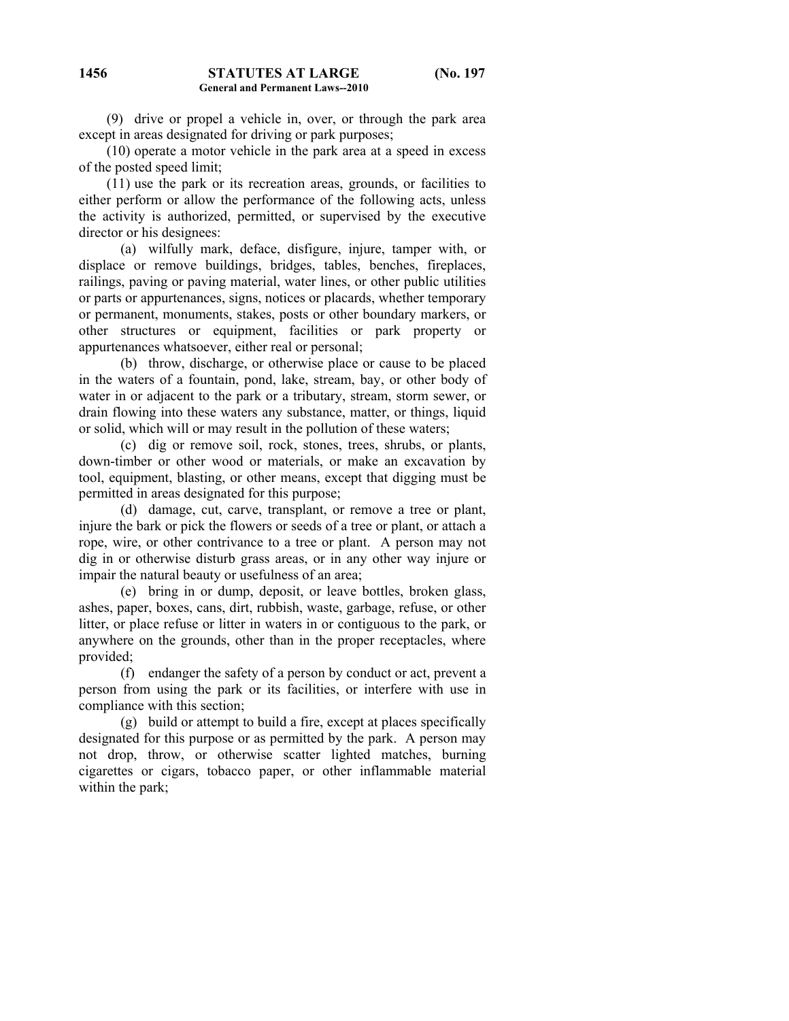(9) drive or propel a vehicle in, over, or through the park area except in areas designated for driving or park purposes;

**General and Permanent Laws--2010** 

 (10) operate a motor vehicle in the park area at a speed in excess of the posted speed limit;

 (11) use the park or its recreation areas, grounds, or facilities to either perform or allow the performance of the following acts, unless the activity is authorized, permitted, or supervised by the executive director or his designees:

 (a) wilfully mark, deface, disfigure, injure, tamper with, or displace or remove buildings, bridges, tables, benches, fireplaces, railings, paving or paving material, water lines, or other public utilities or parts or appurtenances, signs, notices or placards, whether temporary or permanent, monuments, stakes, posts or other boundary markers, or other structures or equipment, facilities or park property or appurtenances whatsoever, either real or personal;

 (b) throw, discharge, or otherwise place or cause to be placed in the waters of a fountain, pond, lake, stream, bay, or other body of water in or adjacent to the park or a tributary, stream, storm sewer, or drain flowing into these waters any substance, matter, or things, liquid or solid, which will or may result in the pollution of these waters;

 (c) dig or remove soil, rock, stones, trees, shrubs, or plants, down-timber or other wood or materials, or make an excavation by tool, equipment, blasting, or other means, except that digging must be permitted in areas designated for this purpose;

 (d) damage, cut, carve, transplant, or remove a tree or plant, injure the bark or pick the flowers or seeds of a tree or plant, or attach a rope, wire, or other contrivance to a tree or plant. A person may not dig in or otherwise disturb grass areas, or in any other way injure or impair the natural beauty or usefulness of an area;

 (e) bring in or dump, deposit, or leave bottles, broken glass, ashes, paper, boxes, cans, dirt, rubbish, waste, garbage, refuse, or other litter, or place refuse or litter in waters in or contiguous to the park, or anywhere on the grounds, other than in the proper receptacles, where provided;

 (f) endanger the safety of a person by conduct or act, prevent a person from using the park or its facilities, or interfere with use in compliance with this section;

 (g) build or attempt to build a fire, except at places specifically designated for this purpose or as permitted by the park. A person may not drop, throw, or otherwise scatter lighted matches, burning cigarettes or cigars, tobacco paper, or other inflammable material within the park;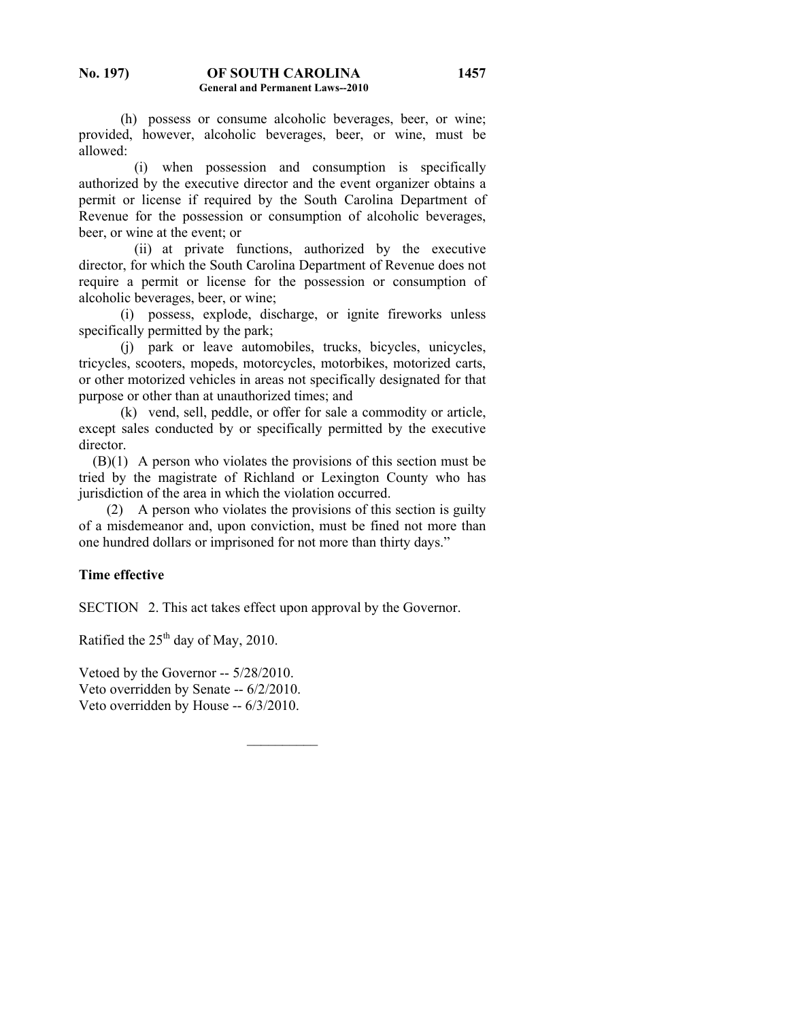(h) possess or consume alcoholic beverages, beer, or wine; provided, however, alcoholic beverages, beer, or wine, must be allowed:

 (i) when possession and consumption is specifically authorized by the executive director and the event organizer obtains a permit or license if required by the South Carolina Department of Revenue for the possession or consumption of alcoholic beverages, beer, or wine at the event; or

 (ii) at private functions, authorized by the executive director, for which the South Carolina Department of Revenue does not require a permit or license for the possession or consumption of alcoholic beverages, beer, or wine;

 (i) possess, explode, discharge, or ignite fireworks unless specifically permitted by the park;

 (j) park or leave automobiles, trucks, bicycles, unicycles, tricycles, scooters, mopeds, motorcycles, motorbikes, motorized carts, or other motorized vehicles in areas not specifically designated for that purpose or other than at unauthorized times; and

 (k) vend, sell, peddle, or offer for sale a commodity or article, except sales conducted by or specifically permitted by the executive director.

 (B)(1) A person who violates the provisions of this section must be tried by the magistrate of Richland or Lexington County who has jurisdiction of the area in which the violation occurred.

 (2) A person who violates the provisions of this section is guilty of a misdemeanor and, upon conviction, must be fined not more than one hundred dollars or imprisoned for not more than thirty days."

# **Time effective**

SECTION 2. This act takes effect upon approval by the Governor.

 $\mathcal{L}_\text{max}$ 

Ratified the  $25<sup>th</sup>$  day of May, 2010.

Vetoed by the Governor -- 5/28/2010. Veto overridden by Senate -- 6/2/2010. Veto overridden by House -- 6/3/2010.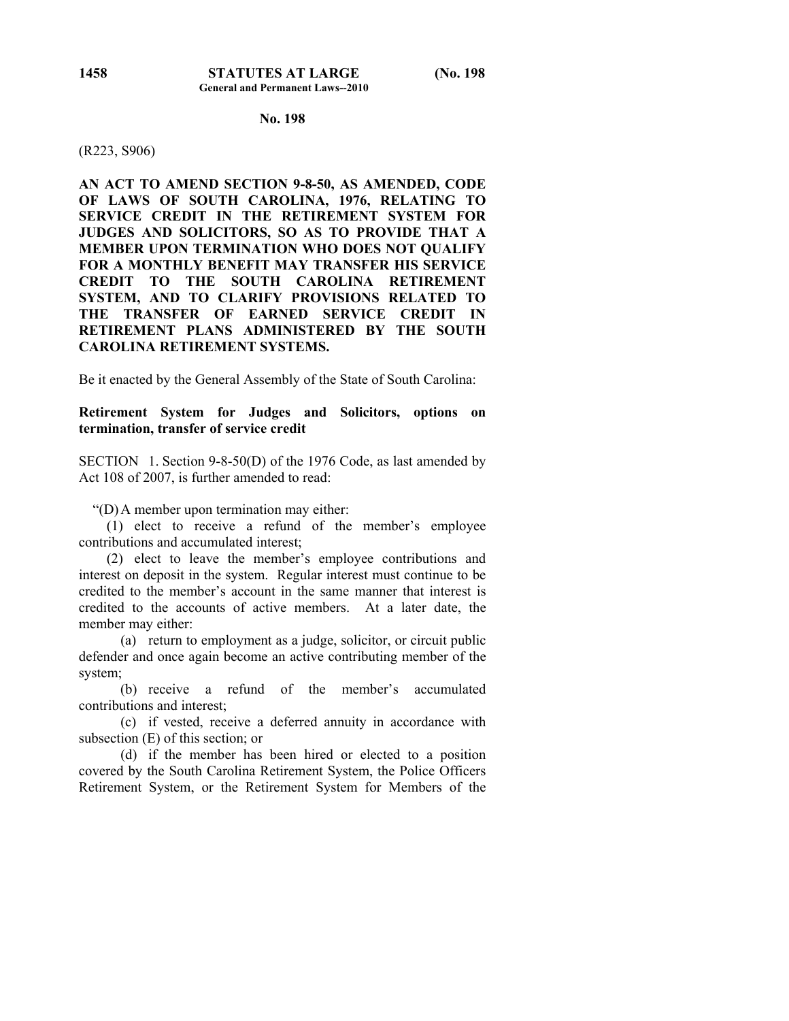#### (R223, S906)

**AN ACT TO AMEND SECTION 9-8-50, AS AMENDED, CODE OF LAWS OF SOUTH CAROLINA, 1976, RELATING TO SERVICE CREDIT IN THE RETIREMENT SYSTEM FOR JUDGES AND SOLICITORS, SO AS TO PROVIDE THAT A MEMBER UPON TERMINATION WHO DOES NOT QUALIFY FOR A MONTHLY BENEFIT MAY TRANSFER HIS SERVICE CREDIT TO THE SOUTH CAROLINA RETIREMENT SYSTEM, AND TO CLARIFY PROVISIONS RELATED TO THE TRANSFER OF EARNED SERVICE CREDIT IN RETIREMENT PLANS ADMINISTERED BY THE SOUTH CAROLINA RETIREMENT SYSTEMS.** 

Be it enacted by the General Assembly of the State of South Carolina:

## **Retirement System for Judges and Solicitors, options on termination, transfer of service credit**

SECTION 1. Section 9-8-50(D) of the 1976 Code, as last amended by Act 108 of 2007, is further amended to read:

"(D) A member upon termination may either:

 (1) elect to receive a refund of the member's employee contributions and accumulated interest;

 (2) elect to leave the member's employee contributions and interest on deposit in the system. Regular interest must continue to be credited to the member's account in the same manner that interest is credited to the accounts of active members. At a later date, the member may either:

 (a) return to employment as a judge, solicitor, or circuit public defender and once again become an active contributing member of the system;

 (b) receive a refund of the member's accumulated contributions and interest;

 (c) if vested, receive a deferred annuity in accordance with subsection (E) of this section; or

 (d) if the member has been hired or elected to a position covered by the South Carolina Retirement System, the Police Officers Retirement System, or the Retirement System for Members of the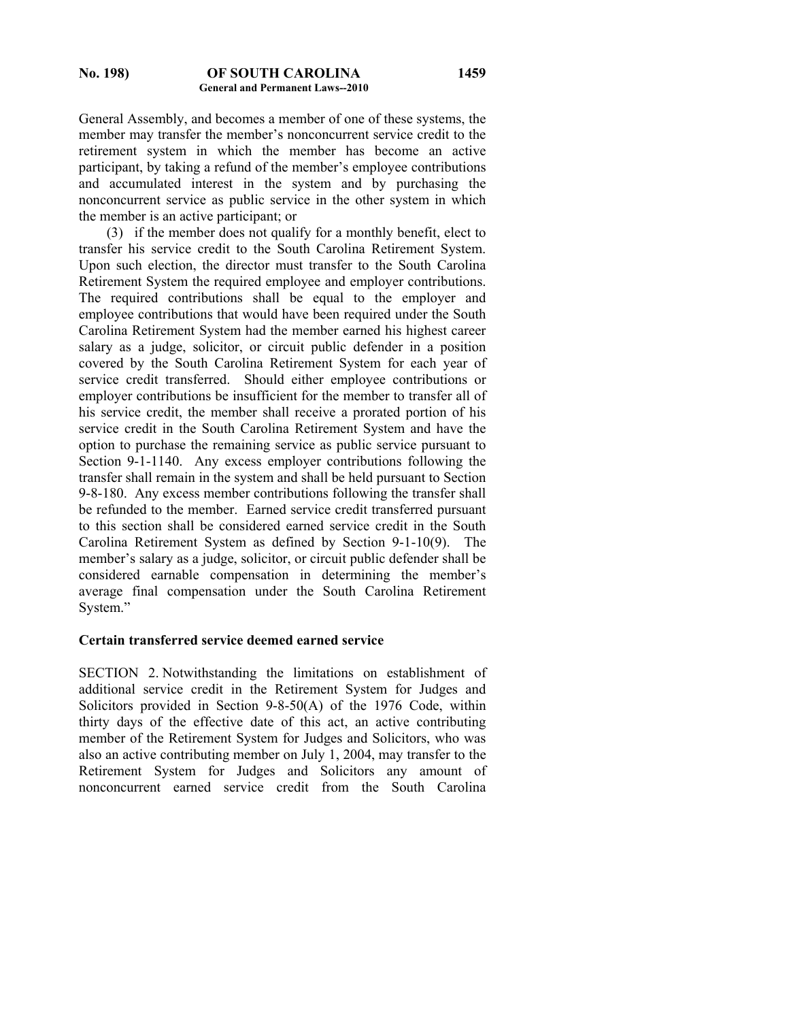#### **No. 198) OF SOUTH CAROLINA General and Permanent Laws--2010**

General Assembly, and becomes a member of one of these systems, the member may transfer the member's nonconcurrent service credit to the retirement system in which the member has become an active participant, by taking a refund of the member's employee contributions and accumulated interest in the system and by purchasing the nonconcurrent service as public service in the other system in which the member is an active participant; or

 (3) if the member does not qualify for a monthly benefit, elect to transfer his service credit to the South Carolina Retirement System. Upon such election, the director must transfer to the South Carolina Retirement System the required employee and employer contributions. The required contributions shall be equal to the employer and employee contributions that would have been required under the South Carolina Retirement System had the member earned his highest career salary as a judge, solicitor, or circuit public defender in a position covered by the South Carolina Retirement System for each year of service credit transferred. Should either employee contributions or employer contributions be insufficient for the member to transfer all of his service credit, the member shall receive a prorated portion of his service credit in the South Carolina Retirement System and have the option to purchase the remaining service as public service pursuant to Section 9-1-1140. Any excess employer contributions following the transfer shall remain in the system and shall be held pursuant to Section 9-8-180. Any excess member contributions following the transfer shall be refunded to the member. Earned service credit transferred pursuant to this section shall be considered earned service credit in the South Carolina Retirement System as defined by Section 9-1-10(9). The member's salary as a judge, solicitor, or circuit public defender shall be considered earnable compensation in determining the member's average final compensation under the South Carolina Retirement System."

#### **Certain transferred service deemed earned service**

SECTION 2. Notwithstanding the limitations on establishment of additional service credit in the Retirement System for Judges and Solicitors provided in Section 9-8-50(A) of the 1976 Code, within thirty days of the effective date of this act, an active contributing member of the Retirement System for Judges and Solicitors, who was also an active contributing member on July 1, 2004, may transfer to the Retirement System for Judges and Solicitors any amount of nonconcurrent earned service credit from the South Carolina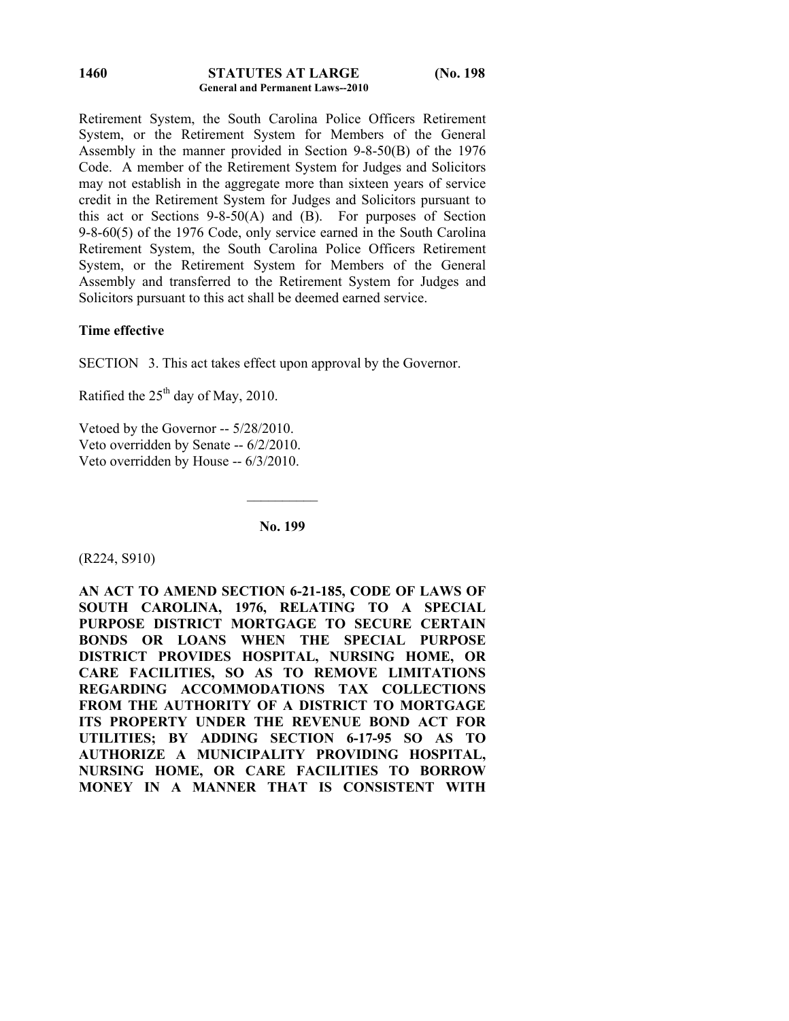#### **STATUTES AT LARGE (No. 198 General and Permanent Laws--2010 1460**

Retirement System, the South Carolina Police Officers Retirement System, or the Retirement System for Members of the General Assembly in the manner provided in Section 9-8-50(B) of the 1976 Code. A member of the Retirement System for Judges and Solicitors may not establish in the aggregate more than sixteen years of service credit in the Retirement System for Judges and Solicitors pursuant to this act or Sections  $9-8-50(A)$  and  $(B)$ . For purposes of Section 9-8-60(5) of the 1976 Code, only service earned in the South Carolina Retirement System, the South Carolina Police Officers Retirement System, or the Retirement System for Members of the General Assembly and transferred to the Retirement System for Judges and Solicitors pursuant to this act shall be deemed earned service.

# **Time effective**

SECTION 3. This act takes effect upon approval by the Governor.

Ratified the  $25<sup>th</sup>$  day of May, 2010.

Vetoed by the Governor -- 5/28/2010. Veto overridden by Senate -- 6/2/2010. Veto overridden by House -- 6/3/2010.

**No. 199** 

 $\mathcal{L}_\text{max}$ 

(R224, S910)

**AN ACT TO AMEND SECTION 6-21-185, CODE OF LAWS OF SOUTH CAROLINA, 1976, RELATING TO A SPECIAL PURPOSE DISTRICT MORTGAGE TO SECURE CERTAIN BONDS OR LOANS WHEN THE SPECIAL PURPOSE DISTRICT PROVIDES HOSPITAL, NURSING HOME, OR CARE FACILITIES, SO AS TO REMOVE LIMITATIONS REGARDING ACCOMMODATIONS TAX COLLECTIONS FROM THE AUTHORITY OF A DISTRICT TO MORTGAGE ITS PROPERTY UNDER THE REVENUE BOND ACT FOR UTILITIES; BY ADDING SECTION 6-17-95 SO AS TO AUTHORIZE A MUNICIPALITY PROVIDING HOSPITAL, NURSING HOME, OR CARE FACILITIES TO BORROW MONEY IN A MANNER THAT IS CONSISTENT WITH**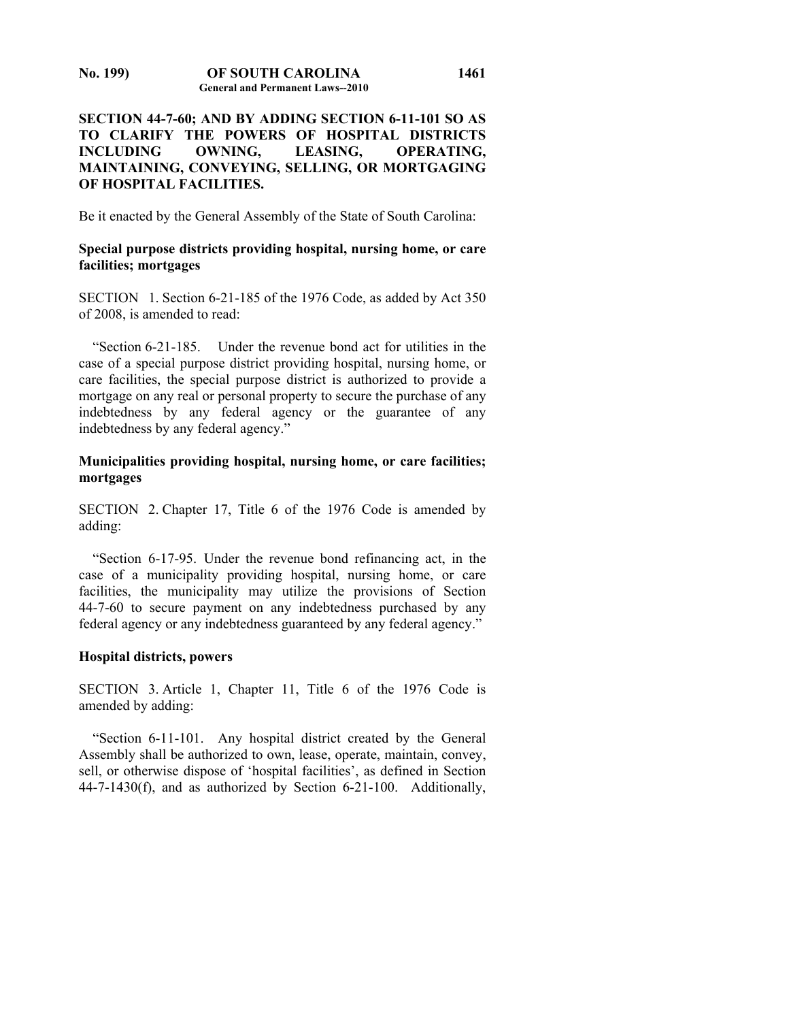# **SECTION 44-7-60; AND BY ADDING SECTION 6-11-101 SO AS TO CLARIFY THE POWERS OF HOSPITAL DISTRICTS INCLUDING OWNING, LEASING, OPERATING, MAINTAINING, CONVEYING, SELLING, OR MORTGAGING OF HOSPITAL FACILITIES.**

Be it enacted by the General Assembly of the State of South Carolina:

# **Special purpose districts providing hospital, nursing home, or care facilities; mortgages**

SECTION 1. Section 6-21-185 of the 1976 Code, as added by Act 350 of 2008, is amended to read:

 "Section 6-21-185. Under the revenue bond act for utilities in the case of a special purpose district providing hospital, nursing home, or care facilities, the special purpose district is authorized to provide a mortgage on any real or personal property to secure the purchase of any indebtedness by any federal agency or the guarantee of any indebtedness by any federal agency."

# **Municipalities providing hospital, nursing home, or care facilities; mortgages**

SECTION 2. Chapter 17, Title 6 of the 1976 Code is amended by adding:

 "Section 6-17-95. Under the revenue bond refinancing act, in the case of a municipality providing hospital, nursing home, or care facilities, the municipality may utilize the provisions of Section 44-7-60 to secure payment on any indebtedness purchased by any federal agency or any indebtedness guaranteed by any federal agency."

## **Hospital districts, powers**

SECTION 3. Article 1, Chapter 11, Title 6 of the 1976 Code is amended by adding:

 "Section 6-11-101. Any hospital district created by the General Assembly shall be authorized to own, lease, operate, maintain, convey, sell, or otherwise dispose of 'hospital facilities', as defined in Section 44-7-1430(f), and as authorized by Section 6-21-100. Additionally,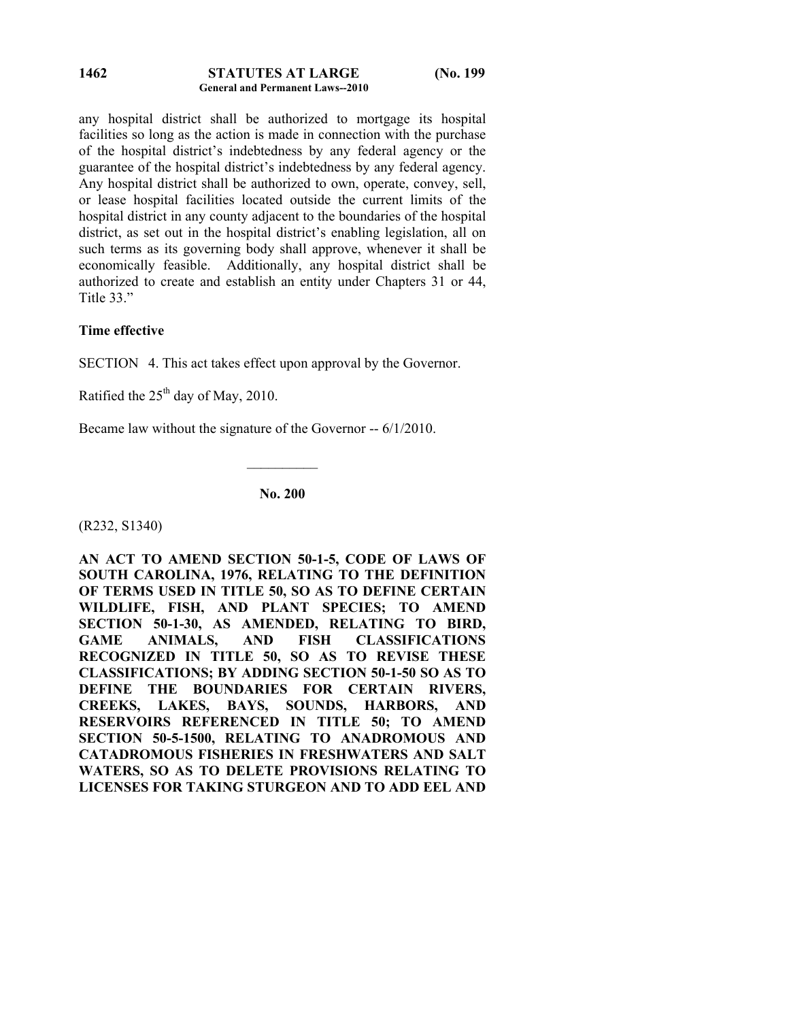#### **STATUTES AT LARGE (No. 199 General and Permanent Laws--2010 1462**

any hospital district shall be authorized to mortgage its hospital facilities so long as the action is made in connection with the purchase of the hospital district's indebtedness by any federal agency or the guarantee of the hospital district's indebtedness by any federal agency. Any hospital district shall be authorized to own, operate, convey, sell, or lease hospital facilities located outside the current limits of the hospital district in any county adjacent to the boundaries of the hospital district, as set out in the hospital district's enabling legislation, all on such terms as its governing body shall approve, whenever it shall be economically feasible. Additionally, any hospital district shall be authorized to create and establish an entity under Chapters 31 or 44, Title 33."

# **Time effective**

SECTION 4. This act takes effect upon approval by the Governor.

Ratified the  $25<sup>th</sup>$  day of May, 2010.

Became law without the signature of the Governor -- 6/1/2010.

**No. 200** 

 $\frac{1}{2}$ 

(R232, S1340)

**AN ACT TO AMEND SECTION 50-1-5, CODE OF LAWS OF SOUTH CAROLINA, 1976, RELATING TO THE DEFINITION OF TERMS USED IN TITLE 50, SO AS TO DEFINE CERTAIN WILDLIFE, FISH, AND PLANT SPECIES; TO AMEND SECTION 50-1-30, AS AMENDED, RELATING TO BIRD, GAME ANIMALS, AND FISH CLASSIFICATIONS RECOGNIZED IN TITLE 50, SO AS TO REVISE THESE CLASSIFICATIONS; BY ADDING SECTION 50-1-50 SO AS TO DEFINE THE BOUNDARIES FOR CERTAIN RIVERS, CREEKS, LAKES, BAYS, SOUNDS, HARBORS, AND RESERVOIRS REFERENCED IN TITLE 50; TO AMEND SECTION 50-5-1500, RELATING TO ANADROMOUS AND CATADROMOUS FISHERIES IN FRESHWATERS AND SALT WATERS, SO AS TO DELETE PROVISIONS RELATING TO LICENSES FOR TAKING STURGEON AND TO ADD EEL AND**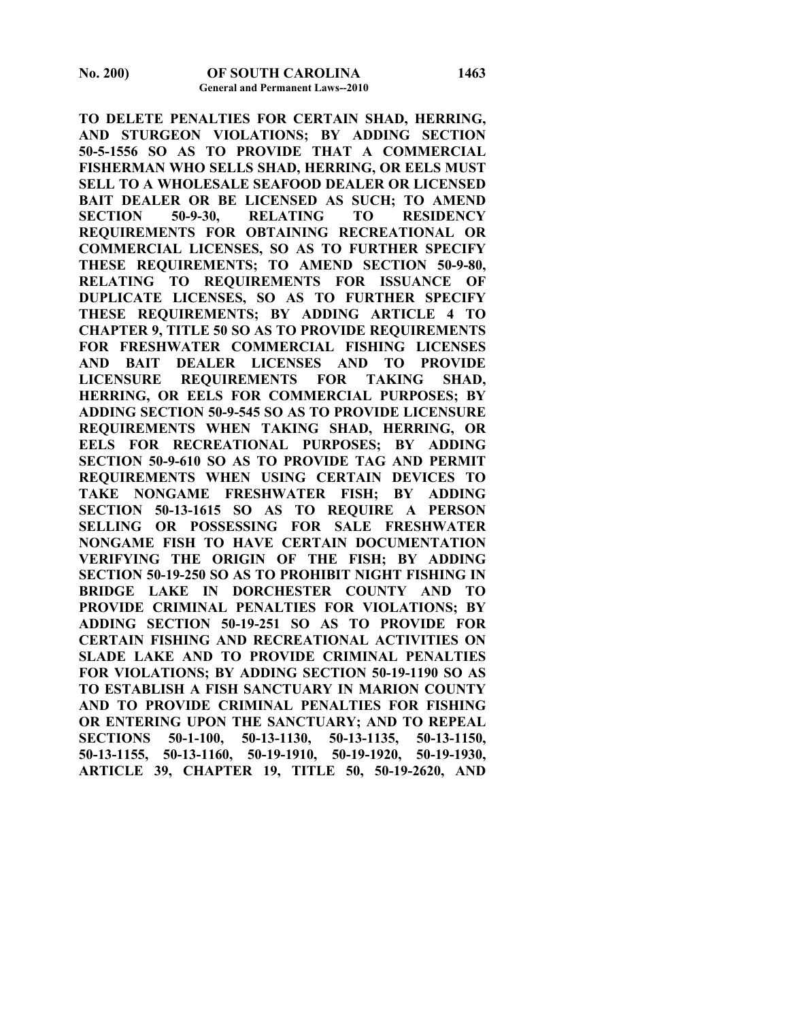**TO DELETE PENALTIES FOR CERTAIN SHAD, HERRING, AND STURGEON VIOLATIONS; BY ADDING SECTION 50-5-1556 SO AS TO PROVIDE THAT A COMMERCIAL FISHERMAN WHO SELLS SHAD, HERRING, OR EELS MUST SELL TO A WHOLESALE SEAFOOD DEALER OR LICENSED BAIT DEALER OR BE LICENSED AS SUCH; TO AMEND SECTION 50-9-30, RELATING TO RESIDENCY REQUIREMENTS FOR OBTAINING RECREATIONAL OR COMMERCIAL LICENSES, SO AS TO FURTHER SPECIFY THESE REQUIREMENTS; TO AMEND SECTION 50-9-80, RELATING TO REQUIREMENTS FOR ISSUANCE OF DUPLICATE LICENSES, SO AS TO FURTHER SPECIFY THESE REQUIREMENTS; BY ADDING ARTICLE 4 TO CHAPTER 9, TITLE 50 SO AS TO PROVIDE REQUIREMENTS FOR FRESHWATER COMMERCIAL FISHING LICENSES AND BAIT DEALER LICENSES AND TO PROVIDE LICENSURE REQUIREMENTS FOR TAKING SHAD, HERRING, OR EELS FOR COMMERCIAL PURPOSES; BY ADDING SECTION 50-9-545 SO AS TO PROVIDE LICENSURE REQUIREMENTS WHEN TAKING SHAD, HERRING, OR EELS FOR RECREATIONAL PURPOSES; BY ADDING SECTION 50-9-610 SO AS TO PROVIDE TAG AND PERMIT REQUIREMENTS WHEN USING CERTAIN DEVICES TO TAKE NONGAME FRESHWATER FISH; BY ADDING SECTION 50-13-1615 SO AS TO REQUIRE A PERSON SELLING OR POSSESSING FOR SALE FRESHWATER NONGAME FISH TO HAVE CERTAIN DOCUMENTATION VERIFYING THE ORIGIN OF THE FISH; BY ADDING SECTION 50-19-250 SO AS TO PROHIBIT NIGHT FISHING IN BRIDGE LAKE IN DORCHESTER COUNTY AND TO PROVIDE CRIMINAL PENALTIES FOR VIOLATIONS; BY ADDING SECTION 50-19-251 SO AS TO PROVIDE FOR CERTAIN FISHING AND RECREATIONAL ACTIVITIES ON SLADE LAKE AND TO PROVIDE CRIMINAL PENALTIES FOR VIOLATIONS; BY ADDING SECTION 50-19-1190 SO AS TO ESTABLISH A FISH SANCTUARY IN MARION COUNTY AND TO PROVIDE CRIMINAL PENALTIES FOR FISHING OR ENTERING UPON THE SANCTUARY; AND TO REPEAL SECTIONS 50-1-100, 50-13-1130, 50-13-1135, 50-13-1150, 50-13-1155, 50-13-1160, 50-19-1910, 50-19-1920, 50-19-1930, ARTICLE 39, CHAPTER 19, TITLE 50, 50-19-2620, AND**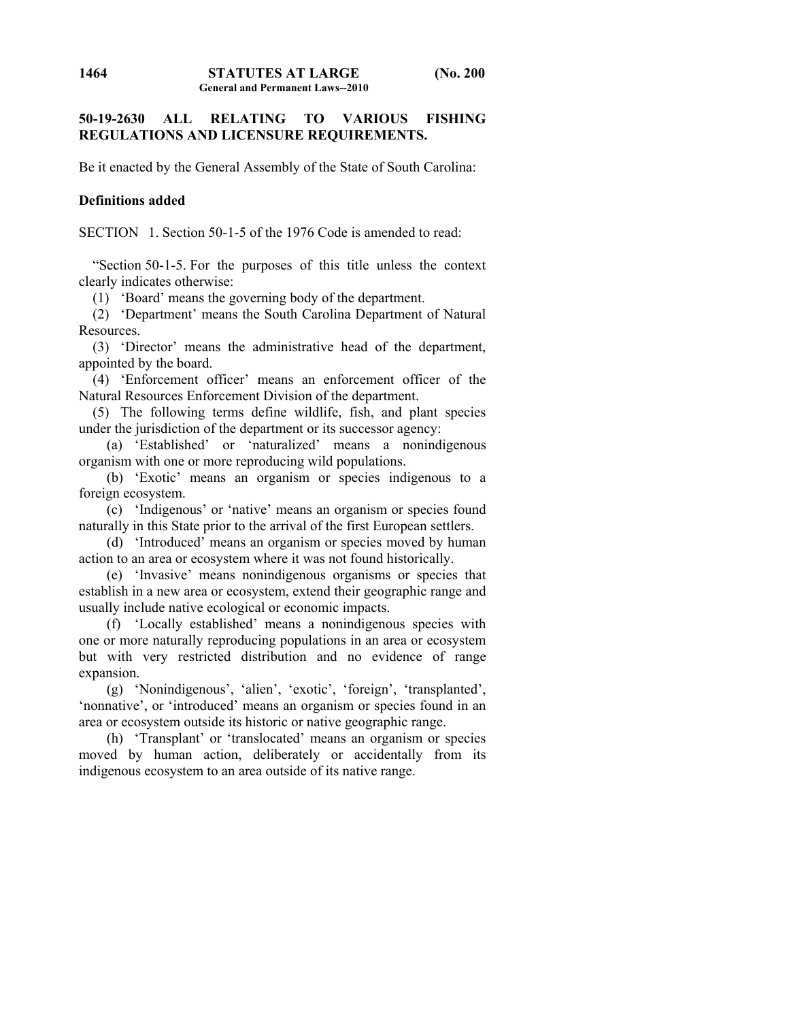# **50-19-2630 ALL RELATING TO VARIOUS FISHING REGULATIONS AND LICENSURE REQUIREMENTS.**

Be it enacted by the General Assembly of the State of South Carolina:

## **Definitions added**

SECTION 1. Section 50-1-5 of the 1976 Code is amended to read:

 "Section 50-1-5. For the purposes of this title unless the context clearly indicates otherwise:

(1) 'Board' means the governing body of the department.

 (2) 'Department' means the South Carolina Department of Natural Resources.

 (3) 'Director' means the administrative head of the department, appointed by the board.

 (4) 'Enforcement officer' means an enforcement officer of the Natural Resources Enforcement Division of the department.

 (5) The following terms define wildlife, fish, and plant species under the jurisdiction of the department or its successor agency:

 (a) 'Established' or 'naturalized' means a nonindigenous organism with one or more reproducing wild populations.

 (b) 'Exotic' means an organism or species indigenous to a foreign ecosystem.

 (c) 'Indigenous' or 'native' means an organism or species found naturally in this State prior to the arrival of the first European settlers.

 (d) 'Introduced' means an organism or species moved by human action to an area or ecosystem where it was not found historically.

 (e) 'Invasive' means nonindigenous organisms or species that establish in a new area or ecosystem, extend their geographic range and usually include native ecological or economic impacts.

 (f) 'Locally established' means a nonindigenous species with one or more naturally reproducing populations in an area or ecosystem but with very restricted distribution and no evidence of range expansion.

 (g) 'Nonindigenous', 'alien', 'exotic', 'foreign', 'transplanted', 'nonnative', or 'introduced' means an organism or species found in an area or ecosystem outside its historic or native geographic range.

 (h) 'Transplant' or 'translocated' means an organism or species moved by human action, deliberately or accidentally from its indigenous ecosystem to an area outside of its native range.

**1464**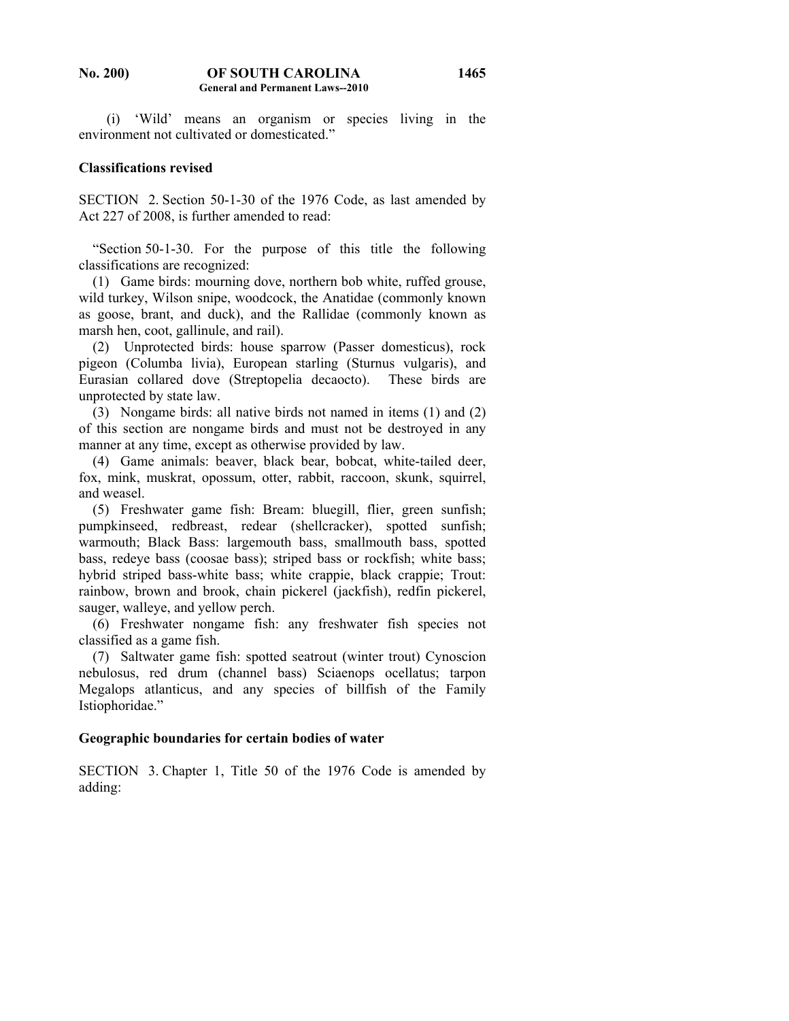#### **No. 200) OF SOUTH CAROLINA General and Permanent Laws--2010 1465**

 (i) 'Wild' means an organism or species living in the environment not cultivated or domesticated."

### **Classifications revised**

SECTION 2. Section 50-1-30 of the 1976 Code, as last amended by Act 227 of 2008, is further amended to read:

 "Section 50-1-30. For the purpose of this title the following classifications are recognized:

 (1) Game birds: mourning dove, northern bob white, ruffed grouse, wild turkey, Wilson snipe, woodcock, the Anatidae (commonly known as goose, brant, and duck), and the Rallidae (commonly known as marsh hen, coot, gallinule, and rail).

 (2) Unprotected birds: house sparrow (Passer domesticus), rock pigeon (Columba livia), European starling (Sturnus vulgaris), and Eurasian collared dove (Streptopelia decaocto). These birds are unprotected by state law.

 (3) Nongame birds: all native birds not named in items (1) and (2) of this section are nongame birds and must not be destroyed in any manner at any time, except as otherwise provided by law.

 (4) Game animals: beaver, black bear, bobcat, white-tailed deer, fox, mink, muskrat, opossum, otter, rabbit, raccoon, skunk, squirrel, and weasel.

 (5) Freshwater game fish: Bream: bluegill, flier, green sunfish; pumpkinseed, redbreast, redear (shellcracker), spotted sunfish; warmouth; Black Bass: largemouth bass, smallmouth bass, spotted bass, redeye bass (coosae bass); striped bass or rockfish; white bass; hybrid striped bass-white bass; white crappie, black crappie; Trout: rainbow, brown and brook, chain pickerel (jackfish), redfin pickerel, sauger, walleye, and yellow perch.

 (6) Freshwater nongame fish: any freshwater fish species not classified as a game fish.

 (7) Saltwater game fish: spotted seatrout (winter trout) Cynoscion nebulosus, red drum (channel bass) Sciaenops ocellatus; tarpon Megalops atlanticus, and any species of billfish of the Family Istiophoridae."

#### **Geographic boundaries for certain bodies of water**

SECTION 3. Chapter 1, Title 50 of the 1976 Code is amended by adding: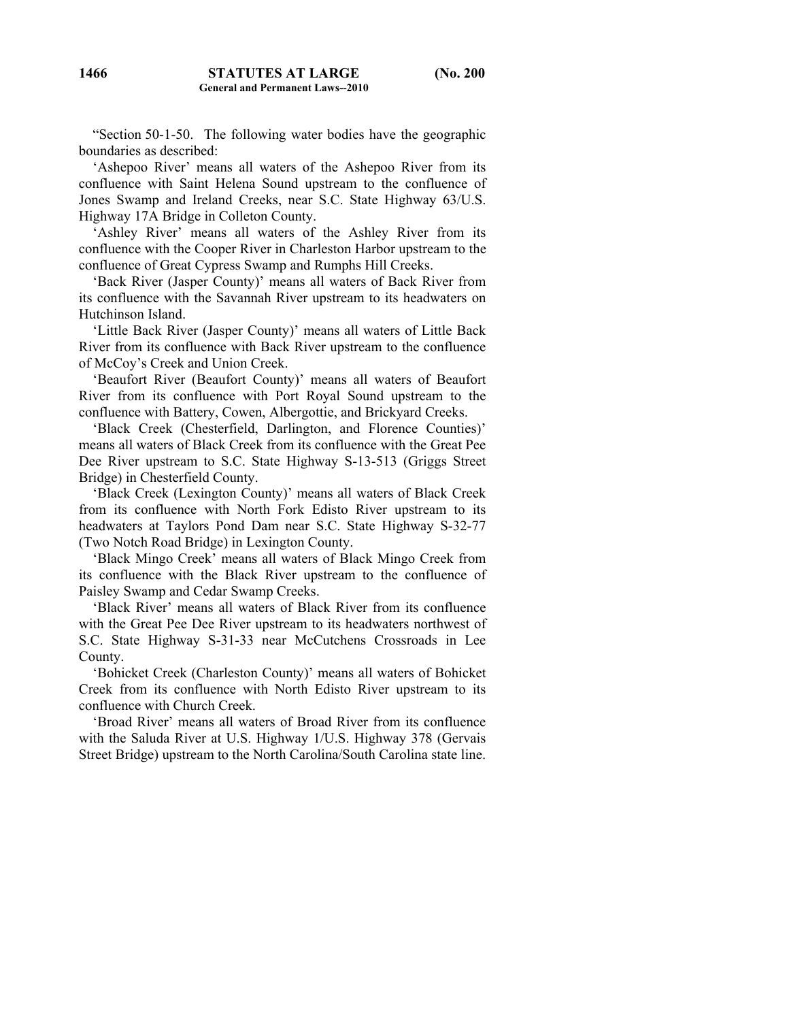"Section 50-1-50. The following water bodies have the geographic boundaries as described:

 'Ashepoo River' means all waters of the Ashepoo River from its confluence with Saint Helena Sound upstream to the confluence of Jones Swamp and Ireland Creeks, near S.C. State Highway 63/U.S. Highway 17A Bridge in Colleton County.

 'Ashley River' means all waters of the Ashley River from its confluence with the Cooper River in Charleston Harbor upstream to the confluence of Great Cypress Swamp and Rumphs Hill Creeks.

 'Back River (Jasper County)' means all waters of Back River from its confluence with the Savannah River upstream to its headwaters on Hutchinson Island.

 'Little Back River (Jasper County)' means all waters of Little Back River from its confluence with Back River upstream to the confluence of McCoy's Creek and Union Creek.

 'Beaufort River (Beaufort County)' means all waters of Beaufort River from its confluence with Port Royal Sound upstream to the confluence with Battery, Cowen, Albergottie, and Brickyard Creeks.

 'Black Creek (Chesterfield, Darlington, and Florence Counties)' means all waters of Black Creek from its confluence with the Great Pee Dee River upstream to S.C. State Highway S-13-513 (Griggs Street Bridge) in Chesterfield County.

 'Black Creek (Lexington County)' means all waters of Black Creek from its confluence with North Fork Edisto River upstream to its headwaters at Taylors Pond Dam near S.C. State Highway S-32-77 (Two Notch Road Bridge) in Lexington County.

 'Black Mingo Creek' means all waters of Black Mingo Creek from its confluence with the Black River upstream to the confluence of Paisley Swamp and Cedar Swamp Creeks.

 'Black River' means all waters of Black River from its confluence with the Great Pee Dee River upstream to its headwaters northwest of S.C. State Highway S-31-33 near McCutchens Crossroads in Lee County.

 'Bohicket Creek (Charleston County)' means all waters of Bohicket Creek from its confluence with North Edisto River upstream to its confluence with Church Creek.

 'Broad River' means all waters of Broad River from its confluence with the Saluda River at U.S. Highway 1/U.S. Highway 378 (Gervais Street Bridge) upstream to the North Carolina/South Carolina state line.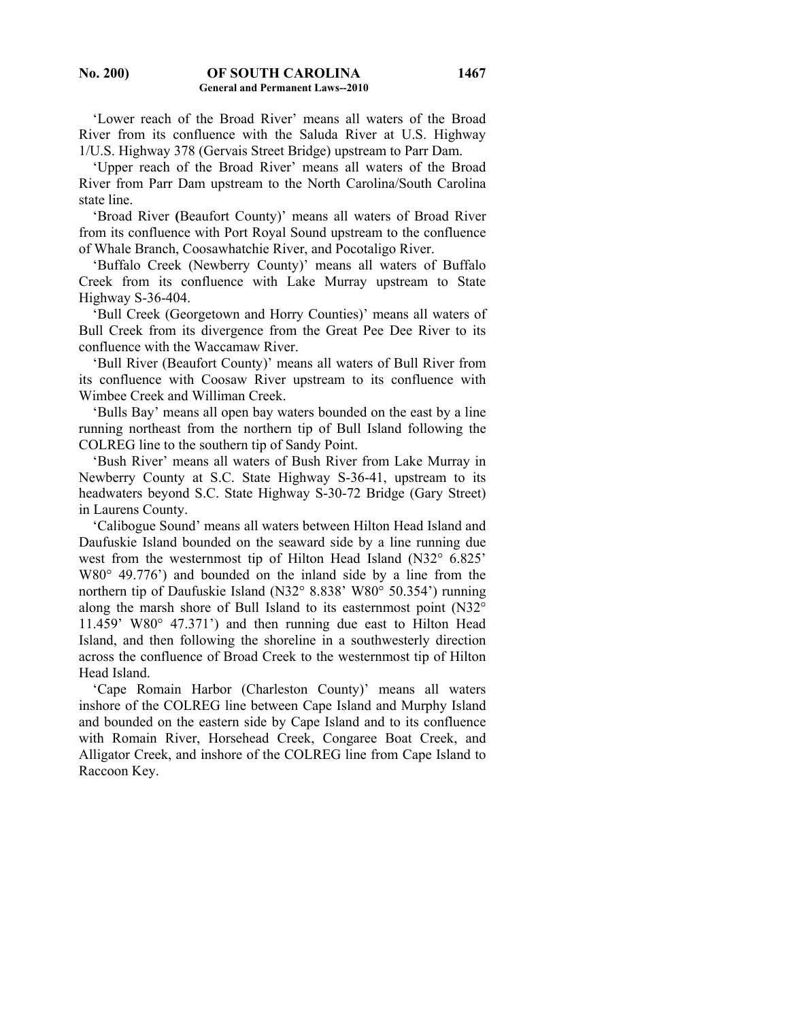'Lower reach of the Broad River' means all waters of the Broad River from its confluence with the Saluda River at U.S. Highway 1/U.S. Highway 378 (Gervais Street Bridge) upstream to Parr Dam.

 'Upper reach of the Broad River' means all waters of the Broad River from Parr Dam upstream to the North Carolina/South Carolina state line.

 'Broad River **(**Beaufort County)' means all waters of Broad River from its confluence with Port Royal Sound upstream to the confluence of Whale Branch, Coosawhatchie River, and Pocotaligo River.

 'Buffalo Creek (Newberry County)' means all waters of Buffalo Creek from its confluence with Lake Murray upstream to State Highway S-36-404.

 'Bull Creek (Georgetown and Horry Counties)' means all waters of Bull Creek from its divergence from the Great Pee Dee River to its confluence with the Waccamaw River.

 'Bull River (Beaufort County)' means all waters of Bull River from its confluence with Coosaw River upstream to its confluence with Wimbee Creek and Williman Creek.

 'Bulls Bay' means all open bay waters bounded on the east by a line running northeast from the northern tip of Bull Island following the COLREG line to the southern tip of Sandy Point.

 'Bush River' means all waters of Bush River from Lake Murray in Newberry County at S.C. State Highway S-36-41, upstream to its headwaters beyond S.C. State Highway S-30-72 Bridge (Gary Street) in Laurens County.

 'Calibogue Sound' means all waters between Hilton Head Island and Daufuskie Island bounded on the seaward side by a line running due west from the westernmost tip of Hilton Head Island (N32° 6.825' W80° 49.776') and bounded on the inland side by a line from the northern tip of Daufuskie Island (N32° 8.838' W80° 50.354') running along the marsh shore of Bull Island to its easternmost point (N32° 11.459' W80° 47.371') and then running due east to Hilton Head Island, and then following the shoreline in a southwesterly direction across the confluence of Broad Creek to the westernmost tip of Hilton Head Island.

 'Cape Romain Harbor (Charleston County)' means all waters inshore of the COLREG line between Cape Island and Murphy Island and bounded on the eastern side by Cape Island and to its confluence with Romain River, Horsehead Creek, Congaree Boat Creek, and Alligator Creek, and inshore of the COLREG line from Cape Island to Raccoon Key.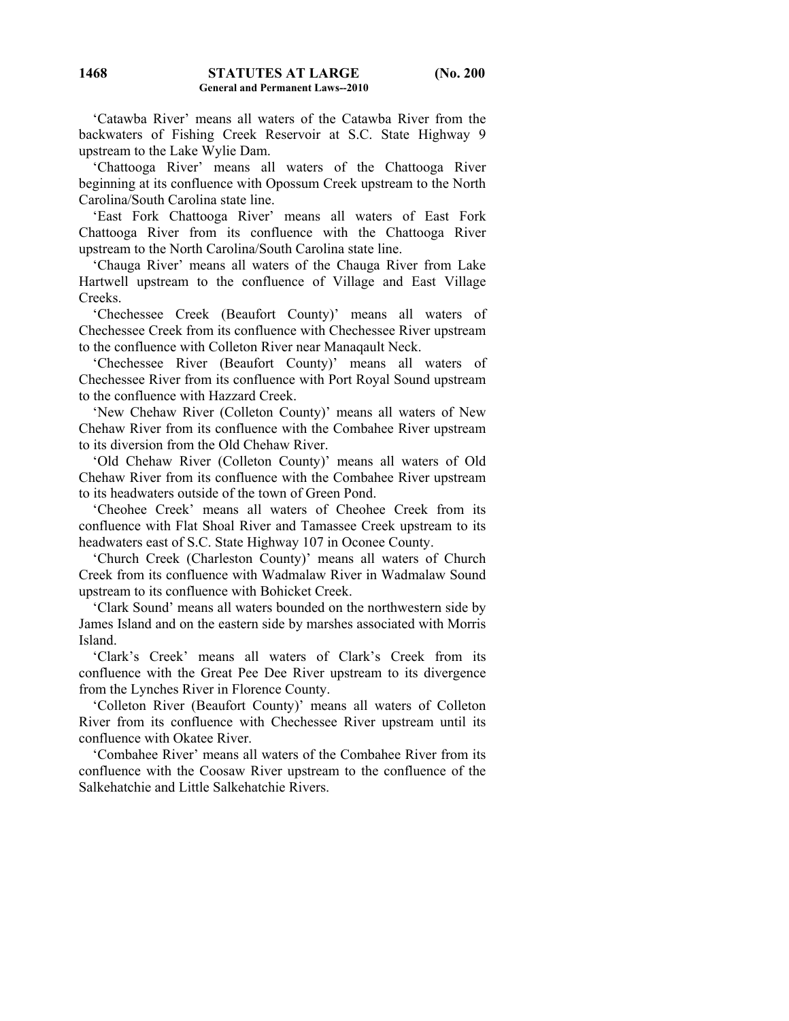'Catawba River' means all waters of the Catawba River from the backwaters of Fishing Creek Reservoir at S.C. State Highway 9 upstream to the Lake Wylie Dam.

 'Chattooga River' means all waters of the Chattooga River beginning at its confluence with Opossum Creek upstream to the North Carolina/South Carolina state line.

 'East Fork Chattooga River' means all waters of East Fork Chattooga River from its confluence with the Chattooga River upstream to the North Carolina/South Carolina state line.

 'Chauga River' means all waters of the Chauga River from Lake Hartwell upstream to the confluence of Village and East Village Creeks.

 'Chechessee Creek (Beaufort County)' means all waters of Chechessee Creek from its confluence with Chechessee River upstream to the confluence with Colleton River near Manaqault Neck.

 'Chechessee River (Beaufort County)' means all waters of Chechessee River from its confluence with Port Royal Sound upstream to the confluence with Hazzard Creek.

 'New Chehaw River (Colleton County)' means all waters of New Chehaw River from its confluence with the Combahee River upstream to its diversion from the Old Chehaw River.

 'Old Chehaw River (Colleton County)' means all waters of Old Chehaw River from its confluence with the Combahee River upstream to its headwaters outside of the town of Green Pond.

 'Cheohee Creek' means all waters of Cheohee Creek from its confluence with Flat Shoal River and Tamassee Creek upstream to its headwaters east of S.C. State Highway 107 in Oconee County.

 'Church Creek (Charleston County)' means all waters of Church Creek from its confluence with Wadmalaw River in Wadmalaw Sound upstream to its confluence with Bohicket Creek.

 'Clark Sound' means all waters bounded on the northwestern side by James Island and on the eastern side by marshes associated with Morris Island.

 'Clark's Creek' means all waters of Clark's Creek from its confluence with the Great Pee Dee River upstream to its divergence from the Lynches River in Florence County.

 'Colleton River (Beaufort County)' means all waters of Colleton River from its confluence with Chechessee River upstream until its confluence with Okatee River.

 'Combahee River' means all waters of the Combahee River from its confluence with the Coosaw River upstream to the confluence of the Salkehatchie and Little Salkehatchie Rivers.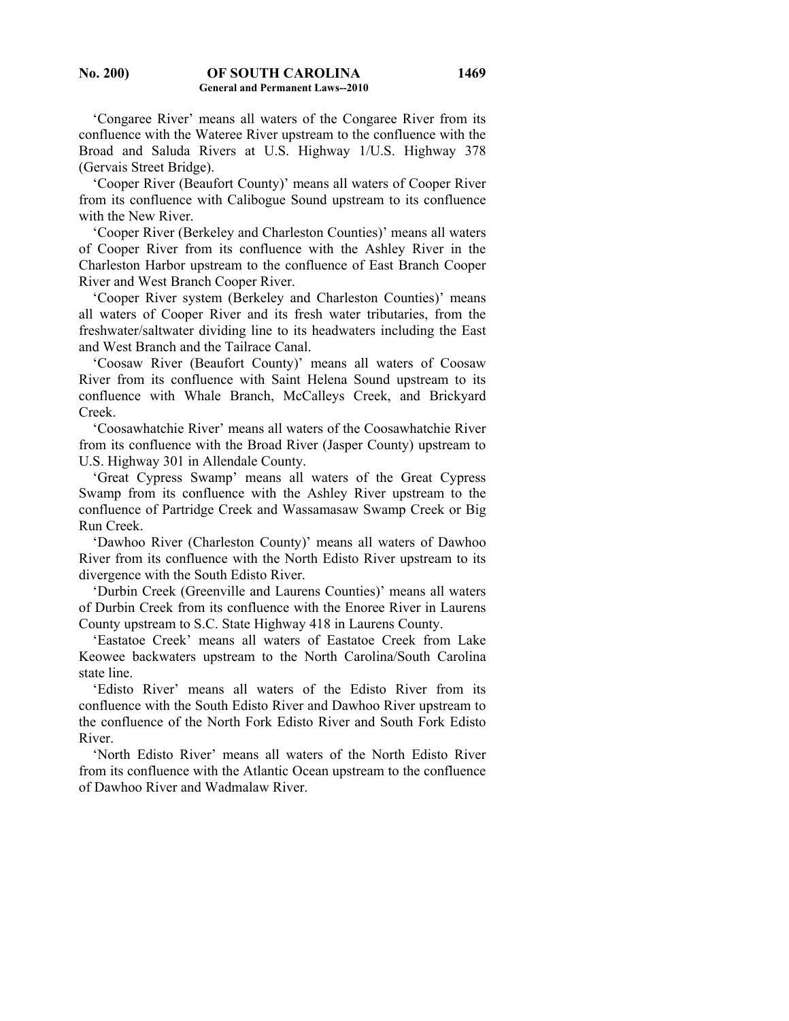'Congaree River' means all waters of the Congaree River from its confluence with the Wateree River upstream to the confluence with the Broad and Saluda Rivers at U.S. Highway 1/U.S. Highway 378 (Gervais Street Bridge).

 'Cooper River (Beaufort County)' means all waters of Cooper River from its confluence with Calibogue Sound upstream to its confluence with the New River.

 'Cooper River (Berkeley and Charleston Counties)' means all waters of Cooper River from its confluence with the Ashley River in the Charleston Harbor upstream to the confluence of East Branch Cooper River and West Branch Cooper River.

 'Cooper River system (Berkeley and Charleston Counties)' means all waters of Cooper River and its fresh water tributaries, from the freshwater/saltwater dividing line to its headwaters including the East and West Branch and the Tailrace Canal.

 'Coosaw River (Beaufort County)' means all waters of Coosaw River from its confluence with Saint Helena Sound upstream to its confluence with Whale Branch, McCalleys Creek, and Brickyard Creek.

 'Coosawhatchie River' means all waters of the Coosawhatchie River from its confluence with the Broad River (Jasper County) upstream to U.S. Highway 301 in Allendale County.

 'Great Cypress Swamp' means all waters of the Great Cypress Swamp from its confluence with the Ashley River upstream to the confluence of Partridge Creek and Wassamasaw Swamp Creek or Big Run Creek.

 'Dawhoo River (Charleston County)' means all waters of Dawhoo River from its confluence with the North Edisto River upstream to its divergence with the South Edisto River.

 'Durbin Creek (Greenville and Laurens Counties)' means all waters of Durbin Creek from its confluence with the Enoree River in Laurens County upstream to S.C. State Highway 418 in Laurens County.

 'Eastatoe Creek' means all waters of Eastatoe Creek from Lake Keowee backwaters upstream to the North Carolina/South Carolina state line.

 'Edisto River' means all waters of the Edisto River from its confluence with the South Edisto River and Dawhoo River upstream to the confluence of the North Fork Edisto River and South Fork Edisto River.

 'North Edisto River' means all waters of the North Edisto River from its confluence with the Atlantic Ocean upstream to the confluence of Dawhoo River and Wadmalaw River.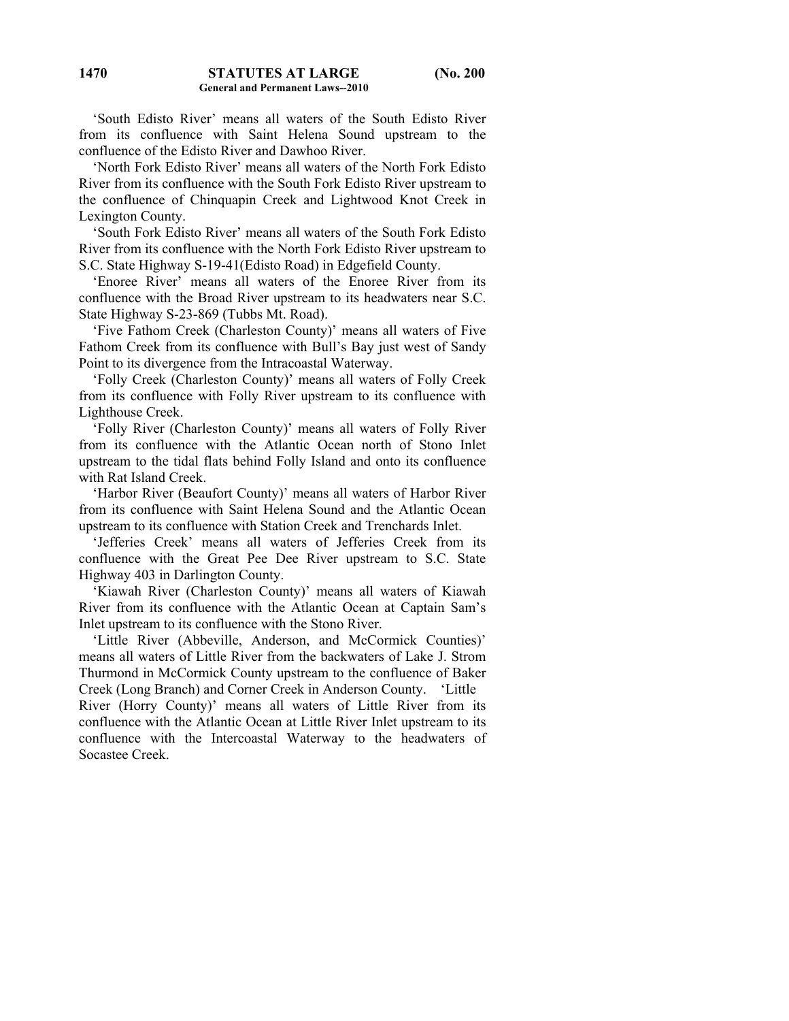'South Edisto River' means all waters of the South Edisto River from its confluence with Saint Helena Sound upstream to the confluence of the Edisto River and Dawhoo River.

 'North Fork Edisto River' means all waters of the North Fork Edisto River from its confluence with the South Fork Edisto River upstream to the confluence of Chinquapin Creek and Lightwood Knot Creek in Lexington County.

 'South Fork Edisto River' means all waters of the South Fork Edisto River from its confluence with the North Fork Edisto River upstream to S.C. State Highway S-19-41(Edisto Road) in Edgefield County.

 'Enoree River' means all waters of the Enoree River from its confluence with the Broad River upstream to its headwaters near S.C. State Highway S-23-869 (Tubbs Mt. Road).

 'Five Fathom Creek (Charleston County)' means all waters of Five Fathom Creek from its confluence with Bull's Bay just west of Sandy Point to its divergence from the Intracoastal Waterway.

 'Folly Creek (Charleston County)' means all waters of Folly Creek from its confluence with Folly River upstream to its confluence with Lighthouse Creek.

 'Folly River (Charleston County)' means all waters of Folly River from its confluence with the Atlantic Ocean north of Stono Inlet upstream to the tidal flats behind Folly Island and onto its confluence with Rat Island Creek.

 'Harbor River (Beaufort County)' means all waters of Harbor River from its confluence with Saint Helena Sound and the Atlantic Ocean upstream to its confluence with Station Creek and Trenchards Inlet.

 'Jefferies Creek' means all waters of Jefferies Creek from its confluence with the Great Pee Dee River upstream to S.C. State Highway 403 in Darlington County.

 'Kiawah River (Charleston County)' means all waters of Kiawah River from its confluence with the Atlantic Ocean at Captain Sam's Inlet upstream to its confluence with the Stono River.

 'Little River (Abbeville, Anderson, and McCormick Counties)' means all waters of Little River from the backwaters of Lake J. Strom Thurmond in McCormick County upstream to the confluence of Baker Creek (Long Branch) and Corner Creek in Anderson County. 'Little River (Horry County)' means all waters of Little River from its confluence with the Atlantic Ocean at Little River Inlet upstream to its confluence with the Intercoastal Waterway to the headwaters of Socastee Creek.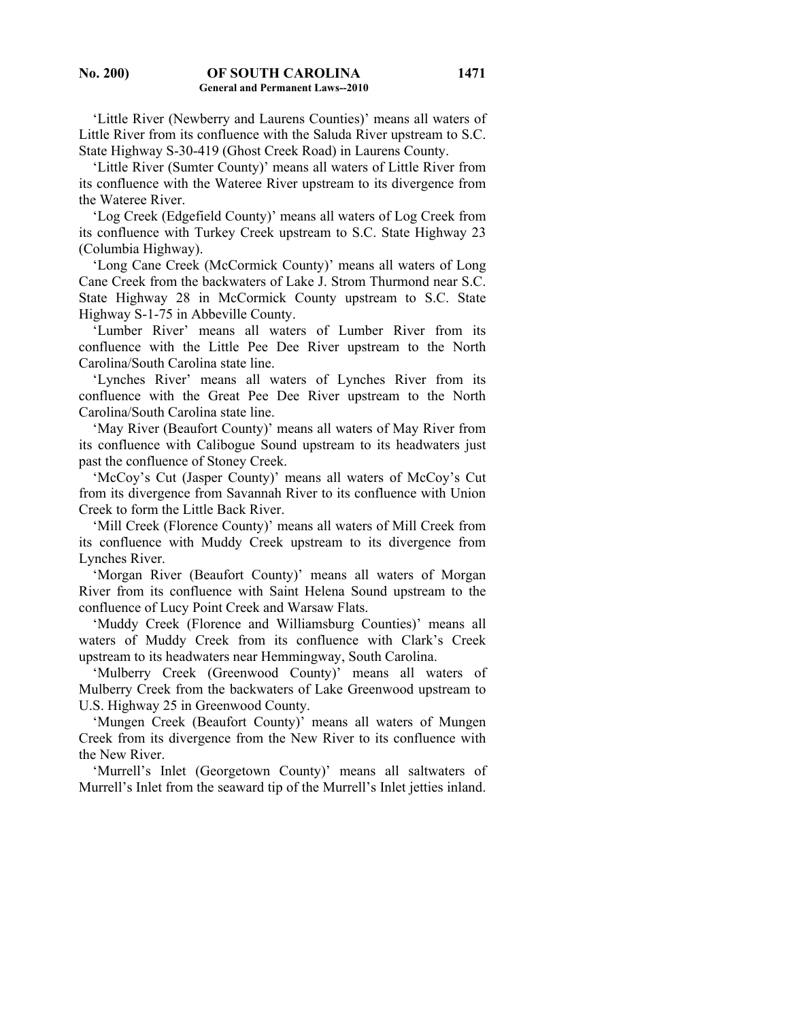'Little River (Newberry and Laurens Counties)' means all waters of Little River from its confluence with the Saluda River upstream to S.C. State Highway S-30-419 (Ghost Creek Road) in Laurens County.

 'Little River (Sumter County)' means all waters of Little River from its confluence with the Wateree River upstream to its divergence from the Wateree River.

 'Log Creek (Edgefield County)' means all waters of Log Creek from its confluence with Turkey Creek upstream to S.C. State Highway 23 (Columbia Highway).

 'Long Cane Creek (McCormick County)' means all waters of Long Cane Creek from the backwaters of Lake J. Strom Thurmond near S.C. State Highway 28 in McCormick County upstream to S.C. State Highway S-1-75 in Abbeville County.

 'Lumber River' means all waters of Lumber River from its confluence with the Little Pee Dee River upstream to the North Carolina/South Carolina state line.

 'Lynches River' means all waters of Lynches River from its confluence with the Great Pee Dee River upstream to the North Carolina/South Carolina state line.

 'May River (Beaufort County)' means all waters of May River from its confluence with Calibogue Sound upstream to its headwaters just past the confluence of Stoney Creek.

 'McCoy's Cut (Jasper County)' means all waters of McCoy's Cut from its divergence from Savannah River to its confluence with Union Creek to form the Little Back River.

 'Mill Creek (Florence County)' means all waters of Mill Creek from its confluence with Muddy Creek upstream to its divergence from Lynches River.

 'Morgan River (Beaufort County)' means all waters of Morgan River from its confluence with Saint Helena Sound upstream to the confluence of Lucy Point Creek and Warsaw Flats.

 'Muddy Creek (Florence and Williamsburg Counties)' means all waters of Muddy Creek from its confluence with Clark's Creek upstream to its headwaters near Hemmingway, South Carolina.

 'Mulberry Creek (Greenwood County)' means all waters of Mulberry Creek from the backwaters of Lake Greenwood upstream to U.S. Highway 25 in Greenwood County.

 'Mungen Creek (Beaufort County)' means all waters of Mungen Creek from its divergence from the New River to its confluence with the New River.

 'Murrell's Inlet (Georgetown County)' means all saltwaters of Murrell's Inlet from the seaward tip of the Murrell's Inlet jetties inland.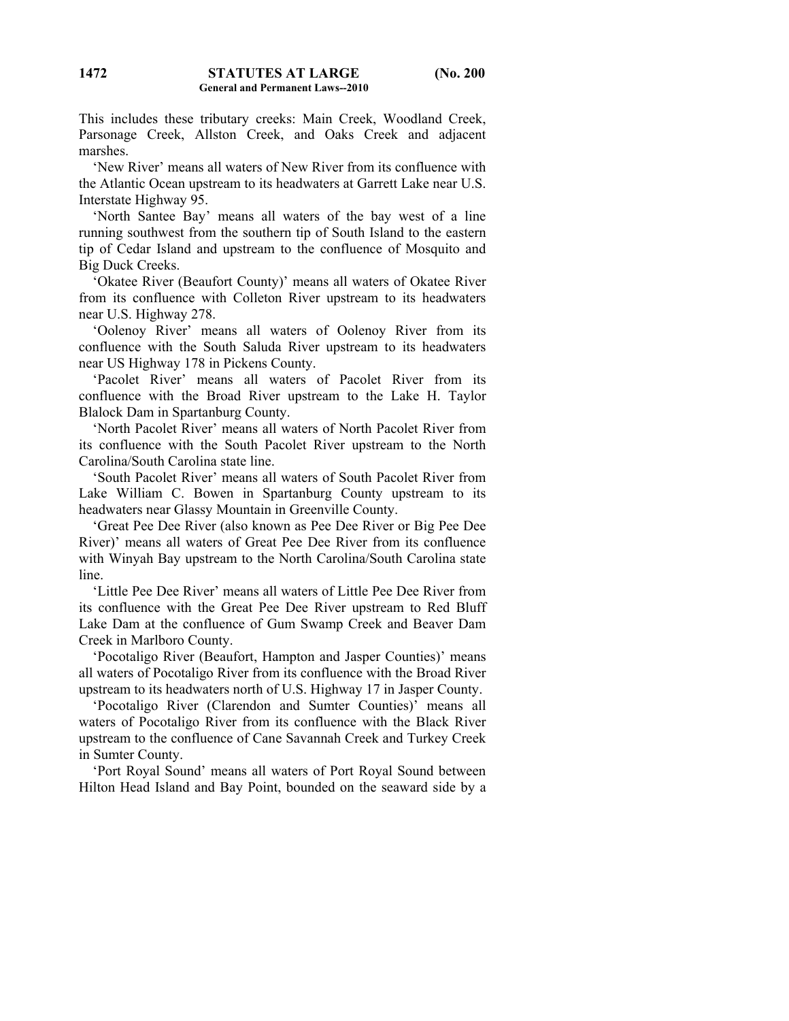This includes these tributary creeks: Main Creek, Woodland Creek, Parsonage Creek, Allston Creek, and Oaks Creek and adjacent marshes.

 'New River' means all waters of New River from its confluence with the Atlantic Ocean upstream to its headwaters at Garrett Lake near U.S. Interstate Highway 95.

 'North Santee Bay' means all waters of the bay west of a line running southwest from the southern tip of South Island to the eastern tip of Cedar Island and upstream to the confluence of Mosquito and Big Duck Creeks.

 'Okatee River (Beaufort County)' means all waters of Okatee River from its confluence with Colleton River upstream to its headwaters near U.S. Highway 278.

 'Oolenoy River' means all waters of Oolenoy River from its confluence with the South Saluda River upstream to its headwaters near US Highway 178 in Pickens County.

 'Pacolet River' means all waters of Pacolet River from its confluence with the Broad River upstream to the Lake H. Taylor Blalock Dam in Spartanburg County.

 'North Pacolet River' means all waters of North Pacolet River from its confluence with the South Pacolet River upstream to the North Carolina/South Carolina state line.

 'South Pacolet River' means all waters of South Pacolet River from Lake William C. Bowen in Spartanburg County upstream to its headwaters near Glassy Mountain in Greenville County.

 'Great Pee Dee River (also known as Pee Dee River or Big Pee Dee River)' means all waters of Great Pee Dee River from its confluence with Winyah Bay upstream to the North Carolina/South Carolina state line.

 'Little Pee Dee River' means all waters of Little Pee Dee River from its confluence with the Great Pee Dee River upstream to Red Bluff Lake Dam at the confluence of Gum Swamp Creek and Beaver Dam Creek in Marlboro County.

 'Pocotaligo River (Beaufort, Hampton and Jasper Counties)' means all waters of Pocotaligo River from its confluence with the Broad River upstream to its headwaters north of U.S. Highway 17 in Jasper County.

 'Pocotaligo River (Clarendon and Sumter Counties)' means all waters of Pocotaligo River from its confluence with the Black River upstream to the confluence of Cane Savannah Creek and Turkey Creek in Sumter County.

 'Port Royal Sound' means all waters of Port Royal Sound between Hilton Head Island and Bay Point, bounded on the seaward side by a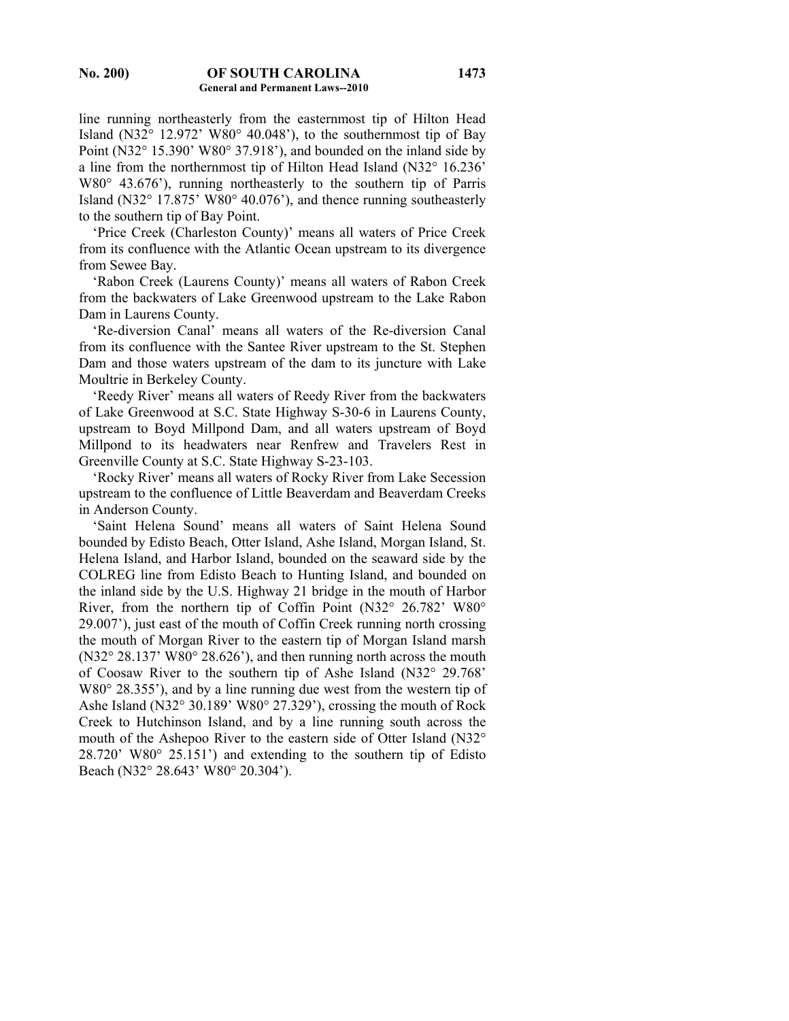line running northeasterly from the easternmost tip of Hilton Head Island (N32° 12.972' W80° 40.048'), to the southernmost tip of Bay Point (N32° 15.390' W80° 37.918'), and bounded on the inland side by a line from the northernmost tip of Hilton Head Island (N32° 16.236' W80° 43.676'), running northeasterly to the southern tip of Parris Island (N32° 17.875' W80° 40.076'), and thence running southeasterly to the southern tip of Bay Point.

 'Price Creek (Charleston County)' means all waters of Price Creek from its confluence with the Atlantic Ocean upstream to its divergence from Sewee Bay.

 'Rabon Creek (Laurens County)' means all waters of Rabon Creek from the backwaters of Lake Greenwood upstream to the Lake Rabon Dam in Laurens County.

 'Re-diversion Canal' means all waters of the Re-diversion Canal from its confluence with the Santee River upstream to the St. Stephen Dam and those waters upstream of the dam to its juncture with Lake Moultrie in Berkeley County.

 'Reedy River' means all waters of Reedy River from the backwaters of Lake Greenwood at S.C. State Highway S-30-6 in Laurens County, upstream to Boyd Millpond Dam, and all waters upstream of Boyd Millpond to its headwaters near Renfrew and Travelers Rest in Greenville County at S.C. State Highway S-23-103.

 'Rocky River' means all waters of Rocky River from Lake Secession upstream to the confluence of Little Beaverdam and Beaverdam Creeks in Anderson County.

 'Saint Helena Sound' means all waters of Saint Helena Sound bounded by Edisto Beach, Otter Island, Ashe Island, Morgan Island, St. Helena Island, and Harbor Island, bounded on the seaward side by the COLREG line from Edisto Beach to Hunting Island, and bounded on the inland side by the U.S. Highway 21 bridge in the mouth of Harbor River, from the northern tip of Coffin Point (N32° 26.782' W80° 29.007'), just east of the mouth of Coffin Creek running north crossing the mouth of Morgan River to the eastern tip of Morgan Island marsh (N32° 28.137' W80° 28.626'), and then running north across the mouth of Coosaw River to the southern tip of Ashe Island (N32° 29.768' W80° 28.355'), and by a line running due west from the western tip of Ashe Island (N32° 30.189' W80° 27.329'), crossing the mouth of Rock Creek to Hutchinson Island, and by a line running south across the mouth of the Ashepoo River to the eastern side of Otter Island (N32° 28.720' W80° 25.151') and extending to the southern tip of Edisto Beach (N32° 28.643' W80° 20.304').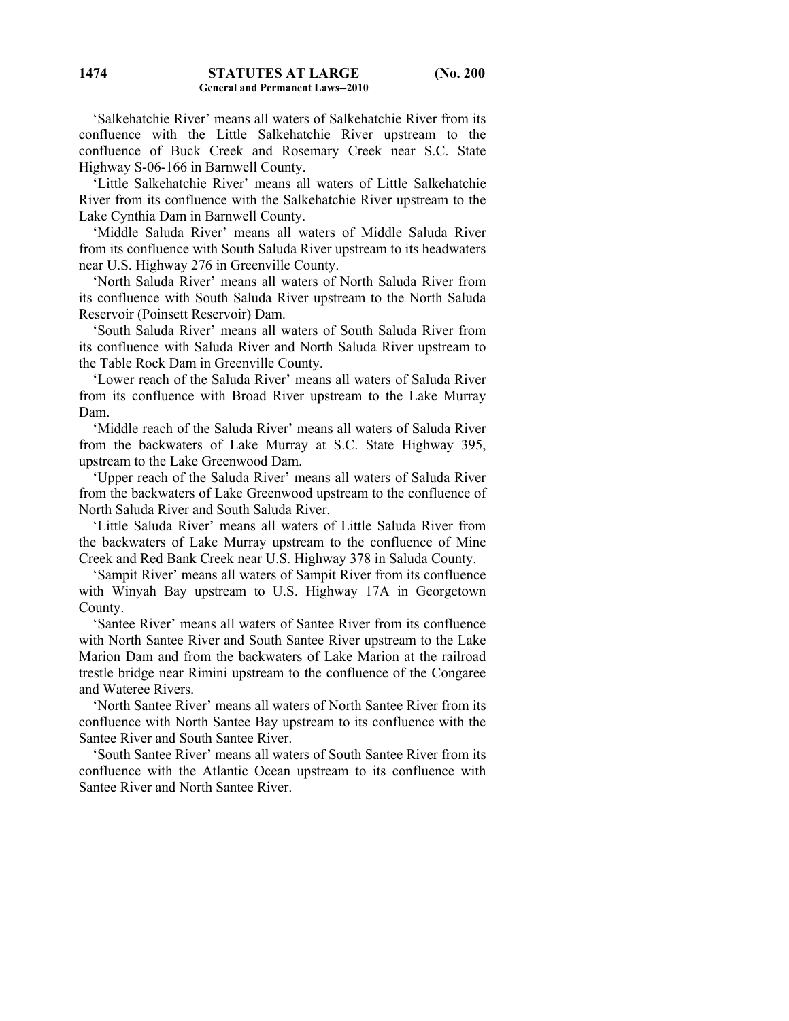'Salkehatchie River' means all waters of Salkehatchie River from its confluence with the Little Salkehatchie River upstream to the confluence of Buck Creek and Rosemary Creek near S.C. State Highway S-06-166 in Barnwell County.

 'Little Salkehatchie River' means all waters of Little Salkehatchie River from its confluence with the Salkehatchie River upstream to the Lake Cynthia Dam in Barnwell County.

 'Middle Saluda River' means all waters of Middle Saluda River from its confluence with South Saluda River upstream to its headwaters near U.S. Highway 276 in Greenville County.

 'North Saluda River' means all waters of North Saluda River from its confluence with South Saluda River upstream to the North Saluda Reservoir (Poinsett Reservoir) Dam.

 'South Saluda River' means all waters of South Saluda River from its confluence with Saluda River and North Saluda River upstream to the Table Rock Dam in Greenville County.

 'Lower reach of the Saluda River' means all waters of Saluda River from its confluence with Broad River upstream to the Lake Murray Dam.

 'Middle reach of the Saluda River' means all waters of Saluda River from the backwaters of Lake Murray at S.C. State Highway 395, upstream to the Lake Greenwood Dam.

 'Upper reach of the Saluda River' means all waters of Saluda River from the backwaters of Lake Greenwood upstream to the confluence of North Saluda River and South Saluda River.

 'Little Saluda River' means all waters of Little Saluda River from the backwaters of Lake Murray upstream to the confluence of Mine Creek and Red Bank Creek near U.S. Highway 378 in Saluda County.

 'Sampit River' means all waters of Sampit River from its confluence with Winyah Bay upstream to U.S. Highway 17A in Georgetown County.

 'Santee River' means all waters of Santee River from its confluence with North Santee River and South Santee River upstream to the Lake Marion Dam and from the backwaters of Lake Marion at the railroad trestle bridge near Rimini upstream to the confluence of the Congaree and Wateree Rivers.

 'North Santee River' means all waters of North Santee River from its confluence with North Santee Bay upstream to its confluence with the Santee River and South Santee River.

 'South Santee River' means all waters of South Santee River from its confluence with the Atlantic Ocean upstream to its confluence with Santee River and North Santee River.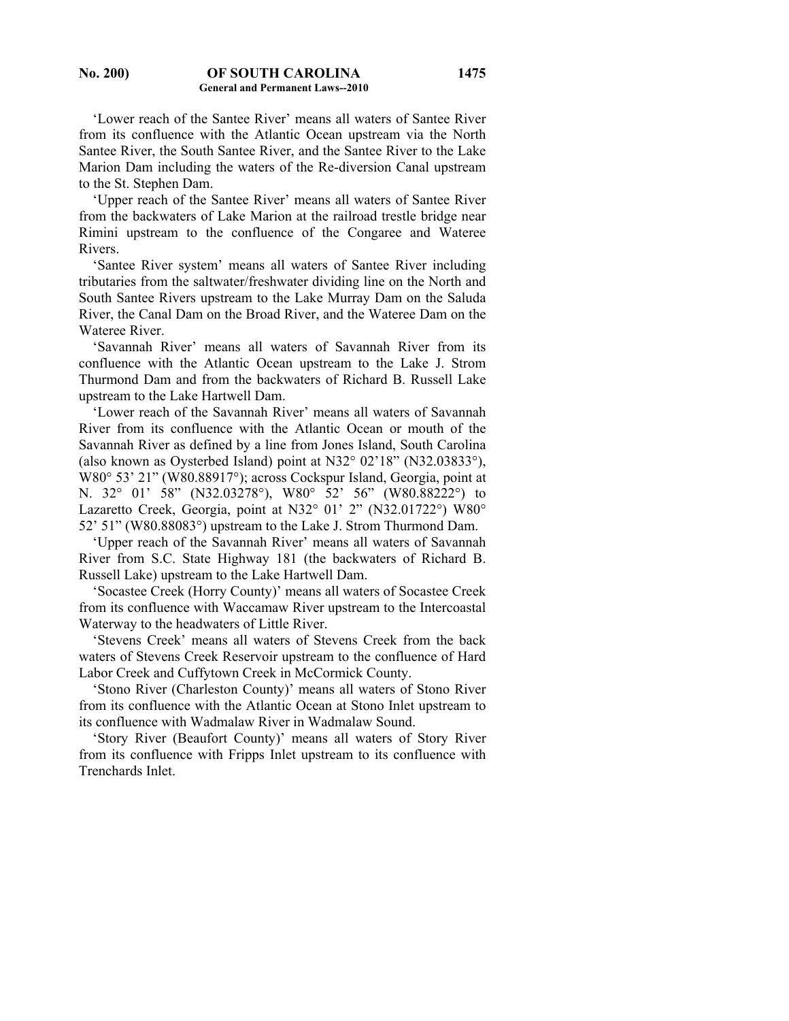#### **No. 200) OF SOUTH CAROLINA General and Permanent Laws--2010**

 'Lower reach of the Santee River' means all waters of Santee River from its confluence with the Atlantic Ocean upstream via the North Santee River, the South Santee River, and the Santee River to the Lake Marion Dam including the waters of the Re-diversion Canal upstream to the St. Stephen Dam.

 'Upper reach of the Santee River' means all waters of Santee River from the backwaters of Lake Marion at the railroad trestle bridge near Rimini upstream to the confluence of the Congaree and Wateree Rivers.

 'Santee River system' means all waters of Santee River including tributaries from the saltwater/freshwater dividing line on the North and South Santee Rivers upstream to the Lake Murray Dam on the Saluda River, the Canal Dam on the Broad River, and the Wateree Dam on the Wateree River.

 'Savannah River' means all waters of Savannah River from its confluence with the Atlantic Ocean upstream to the Lake J. Strom Thurmond Dam and from the backwaters of Richard B. Russell Lake upstream to the Lake Hartwell Dam.

 'Lower reach of the Savannah River' means all waters of Savannah River from its confluence with the Atlantic Ocean or mouth of the Savannah River as defined by a line from Jones Island, South Carolina (also known as Oysterbed Island) point at N32° 02'18" (N32.03833°), W80° 53' 21" (W80.88917°); across Cockspur Island, Georgia, point at N. 32° 01' 58" (N32.03278°), W80° 52' 56" (W80.88222°) to Lazaretto Creek, Georgia, point at N32° 01' 2" (N32.01722°) W80° 52' 51" (W80.88083°) upstream to the Lake J. Strom Thurmond Dam.

 'Upper reach of the Savannah River' means all waters of Savannah River from S.C. State Highway 181 (the backwaters of Richard B. Russell Lake) upstream to the Lake Hartwell Dam.

 'Socastee Creek (Horry County)' means all waters of Socastee Creek from its confluence with Waccamaw River upstream to the Intercoastal Waterway to the headwaters of Little River.

 'Stevens Creek' means all waters of Stevens Creek from the back waters of Stevens Creek Reservoir upstream to the confluence of Hard Labor Creek and Cuffytown Creek in McCormick County.

 'Stono River (Charleston County)' means all waters of Stono River from its confluence with the Atlantic Ocean at Stono Inlet upstream to its confluence with Wadmalaw River in Wadmalaw Sound.

 'Story River (Beaufort County)' means all waters of Story River from its confluence with Fripps Inlet upstream to its confluence with Trenchards Inlet.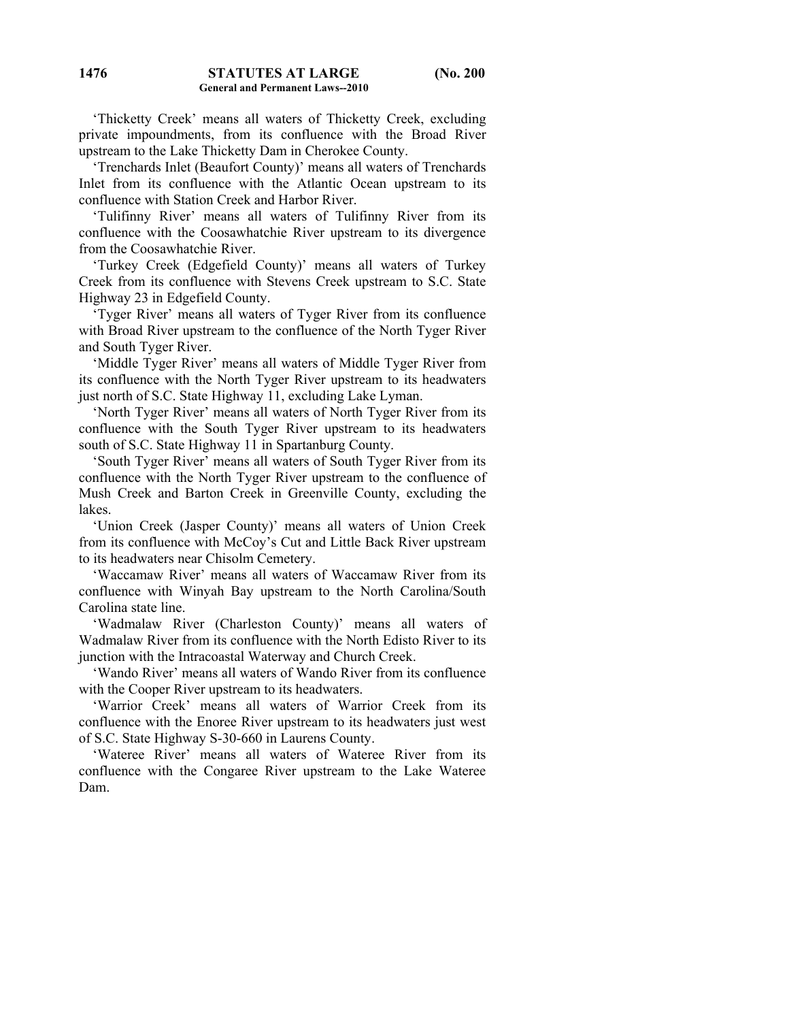'Thicketty Creek' means all waters of Thicketty Creek, excluding private impoundments, from its confluence with the Broad River upstream to the Lake Thicketty Dam in Cherokee County.

 'Trenchards Inlet (Beaufort County)' means all waters of Trenchards Inlet from its confluence with the Atlantic Ocean upstream to its confluence with Station Creek and Harbor River.

 'Tulifinny River' means all waters of Tulifinny River from its confluence with the Coosawhatchie River upstream to its divergence from the Coosawhatchie River.

 'Turkey Creek (Edgefield County)' means all waters of Turkey Creek from its confluence with Stevens Creek upstream to S.C. State Highway 23 in Edgefield County.

 'Tyger River' means all waters of Tyger River from its confluence with Broad River upstream to the confluence of the North Tyger River and South Tyger River.

 'Middle Tyger River' means all waters of Middle Tyger River from its confluence with the North Tyger River upstream to its headwaters just north of S.C. State Highway 11, excluding Lake Lyman.

 'North Tyger River' means all waters of North Tyger River from its confluence with the South Tyger River upstream to its headwaters south of S.C. State Highway 11 in Spartanburg County.

 'South Tyger River' means all waters of South Tyger River from its confluence with the North Tyger River upstream to the confluence of Mush Creek and Barton Creek in Greenville County, excluding the lakes.

 'Union Creek (Jasper County)' means all waters of Union Creek from its confluence with McCoy's Cut and Little Back River upstream to its headwaters near Chisolm Cemetery.

 'Waccamaw River' means all waters of Waccamaw River from its confluence with Winyah Bay upstream to the North Carolina/South Carolina state line.

 'Wadmalaw River (Charleston County)' means all waters of Wadmalaw River from its confluence with the North Edisto River to its junction with the Intracoastal Waterway and Church Creek.

 'Wando River' means all waters of Wando River from its confluence with the Cooper River upstream to its headwaters.

 'Warrior Creek' means all waters of Warrior Creek from its confluence with the Enoree River upstream to its headwaters just west of S.C. State Highway S-30-660 in Laurens County.

 'Wateree River' means all waters of Wateree River from its confluence with the Congaree River upstream to the Lake Wateree Dam.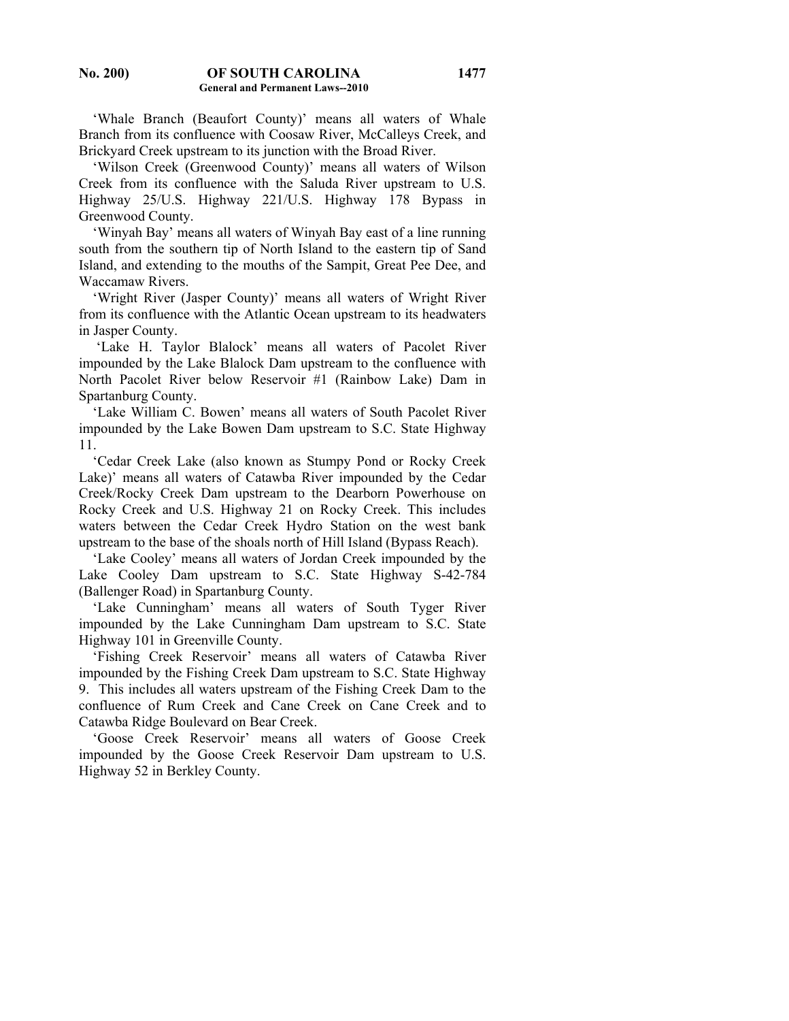'Whale Branch (Beaufort County)' means all waters of Whale Branch from its confluence with Coosaw River, McCalleys Creek, and Brickyard Creek upstream to its junction with the Broad River.

 'Wilson Creek (Greenwood County)' means all waters of Wilson Creek from its confluence with the Saluda River upstream to U.S. Highway 25/U.S. Highway 221/U.S. Highway 178 Bypass in Greenwood County.

 'Winyah Bay' means all waters of Winyah Bay east of a line running south from the southern tip of North Island to the eastern tip of Sand Island, and extending to the mouths of the Sampit, Great Pee Dee, and Waccamaw Rivers.

 'Wright River (Jasper County)' means all waters of Wright River from its confluence with the Atlantic Ocean upstream to its headwaters in Jasper County.

 'Lake H. Taylor Blalock' means all waters of Pacolet River impounded by the Lake Blalock Dam upstream to the confluence with North Pacolet River below Reservoir #1 (Rainbow Lake) Dam in Spartanburg County.

 'Lake William C. Bowen' means all waters of South Pacolet River impounded by the Lake Bowen Dam upstream to S.C. State Highway 11.

'Cedar Creek Lake (also known as Stumpy Pond or Rocky Creek Lake)' means all waters of Catawba River impounded by the Cedar Creek/Rocky Creek Dam upstream to the Dearborn Powerhouse on Rocky Creek and U.S. Highway 21 on Rocky Creek. This includes waters between the Cedar Creek Hydro Station on the west bank upstream to the base of the shoals north of Hill Island (Bypass Reach).

 'Lake Cooley' means all waters of Jordan Creek impounded by the Lake Cooley Dam upstream to S.C. State Highway S-42-784 (Ballenger Road) in Spartanburg County.

 'Lake Cunningham' means all waters of South Tyger River impounded by the Lake Cunningham Dam upstream to S.C. State Highway 101 in Greenville County.

 'Fishing Creek Reservoir' means all waters of Catawba River impounded by the Fishing Creek Dam upstream to S.C. State Highway 9. This includes all waters upstream of the Fishing Creek Dam to the confluence of Rum Creek and Cane Creek on Cane Creek and to Catawba Ridge Boulevard on Bear Creek.

 'Goose Creek Reservoir' means all waters of Goose Creek impounded by the Goose Creek Reservoir Dam upstream to U.S. Highway 52 in Berkley County.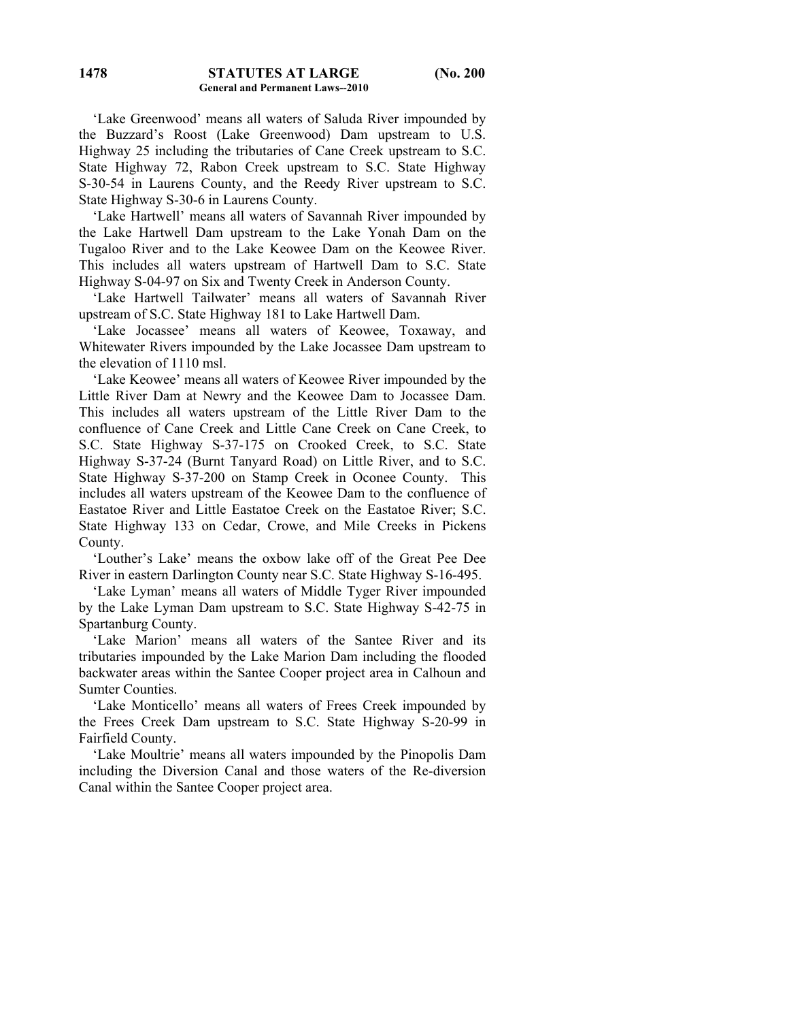'Lake Greenwood' means all waters of Saluda River impounded by the Buzzard's Roost (Lake Greenwood) Dam upstream to U.S. Highway 25 including the tributaries of Cane Creek upstream to S.C. State Highway 72, Rabon Creek upstream to S.C. State Highway S-30-54 in Laurens County, and the Reedy River upstream to S.C. State Highway S-30-6 in Laurens County.

 'Lake Hartwell' means all waters of Savannah River impounded by the Lake Hartwell Dam upstream to the Lake Yonah Dam on the Tugaloo River and to the Lake Keowee Dam on the Keowee River. This includes all waters upstream of Hartwell Dam to S.C. State Highway S-04-97 on Six and Twenty Creek in Anderson County.

 'Lake Hartwell Tailwater' means all waters of Savannah River upstream of S.C. State Highway 181 to Lake Hartwell Dam.

 'Lake Jocassee' means all waters of Keowee, Toxaway, and Whitewater Rivers impounded by the Lake Jocassee Dam upstream to the elevation of 1110 msl.

 'Lake Keowee' means all waters of Keowee River impounded by the Little River Dam at Newry and the Keowee Dam to Jocassee Dam. This includes all waters upstream of the Little River Dam to the confluence of Cane Creek and Little Cane Creek on Cane Creek, to S.C. State Highway S-37-175 on Crooked Creek, to S.C. State Highway S-37-24 (Burnt Tanyard Road) on Little River, and to S.C. State Highway S-37-200 on Stamp Creek in Oconee County. This includes all waters upstream of the Keowee Dam to the confluence of Eastatoe River and Little Eastatoe Creek on the Eastatoe River; S.C. State Highway 133 on Cedar, Crowe, and Mile Creeks in Pickens County.

 'Louther's Lake' means the oxbow lake off of the Great Pee Dee River in eastern Darlington County near S.C. State Highway S-16-495.

 'Lake Lyman' means all waters of Middle Tyger River impounded by the Lake Lyman Dam upstream to S.C. State Highway S-42-75 in Spartanburg County.

 'Lake Marion' means all waters of the Santee River and its tributaries impounded by the Lake Marion Dam including the flooded backwater areas within the Santee Cooper project area in Calhoun and Sumter Counties.

 'Lake Monticello' means all waters of Frees Creek impounded by the Frees Creek Dam upstream to S.C. State Highway S-20-99 in Fairfield County.

 'Lake Moultrie' means all waters impounded by the Pinopolis Dam including the Diversion Canal and those waters of the Re-diversion Canal within the Santee Cooper project area.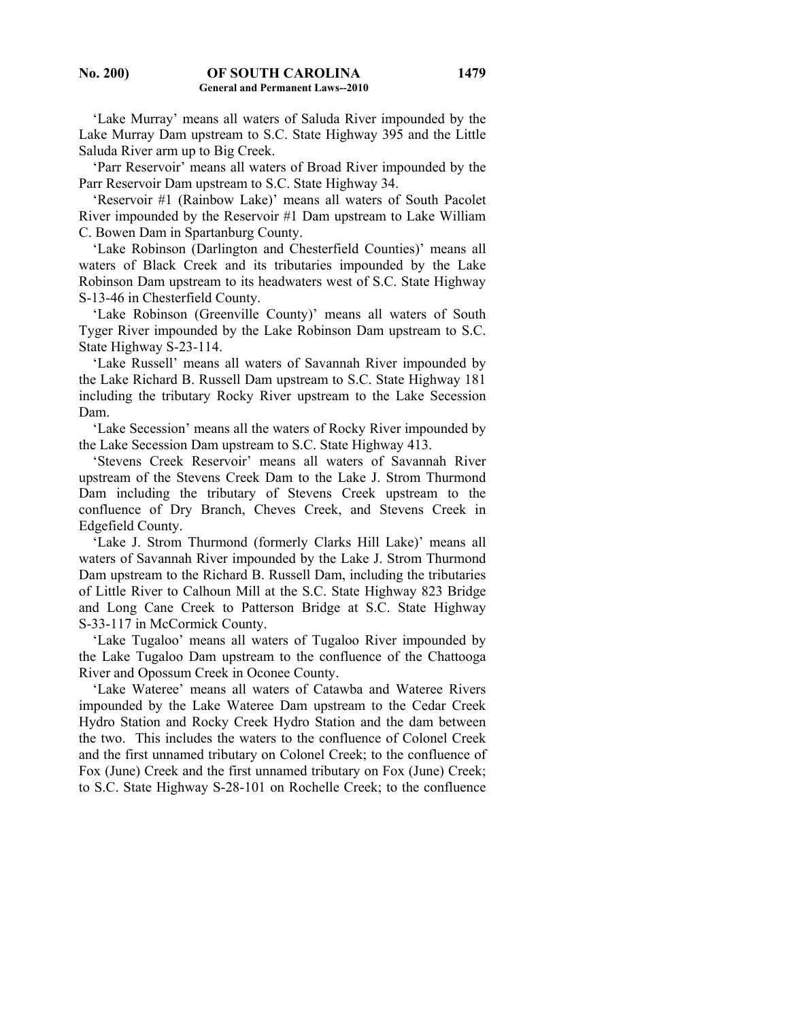'Lake Murray' means all waters of Saluda River impounded by the Lake Murray Dam upstream to S.C. State Highway 395 and the Little Saluda River arm up to Big Creek.

 'Parr Reservoir' means all waters of Broad River impounded by the Parr Reservoir Dam upstream to S.C. State Highway 34.

 'Reservoir #1 (Rainbow Lake)' means all waters of South Pacolet River impounded by the Reservoir #1 Dam upstream to Lake William C. Bowen Dam in Spartanburg County.

 'Lake Robinson (Darlington and Chesterfield Counties)' means all waters of Black Creek and its tributaries impounded by the Lake Robinson Dam upstream to its headwaters west of S.C. State Highway S-13-46 in Chesterfield County.

 'Lake Robinson (Greenville County)' means all waters of South Tyger River impounded by the Lake Robinson Dam upstream to S.C. State Highway S-23-114.

 'Lake Russell' means all waters of Savannah River impounded by the Lake Richard B. Russell Dam upstream to S.C. State Highway 181 including the tributary Rocky River upstream to the Lake Secession Dam.

 'Lake Secession' means all the waters of Rocky River impounded by the Lake Secession Dam upstream to S.C. State Highway 413.

 'Stevens Creek Reservoir' means all waters of Savannah River upstream of the Stevens Creek Dam to the Lake J. Strom Thurmond Dam including the tributary of Stevens Creek upstream to the confluence of Dry Branch, Cheves Creek, and Stevens Creek in Edgefield County.

 'Lake J. Strom Thurmond (formerly Clarks Hill Lake)' means all waters of Savannah River impounded by the Lake J. Strom Thurmond Dam upstream to the Richard B. Russell Dam, including the tributaries of Little River to Calhoun Mill at the S.C. State Highway 823 Bridge and Long Cane Creek to Patterson Bridge at S.C. State Highway S-33-117 in McCormick County.

 'Lake Tugaloo' means all waters of Tugaloo River impounded by the Lake Tugaloo Dam upstream to the confluence of the Chattooga River and Opossum Creek in Oconee County.

 'Lake Wateree' means all waters of Catawba and Wateree Rivers impounded by the Lake Wateree Dam upstream to the Cedar Creek Hydro Station and Rocky Creek Hydro Station and the dam between the two. This includes the waters to the confluence of Colonel Creek and the first unnamed tributary on Colonel Creek; to the confluence of Fox (June) Creek and the first unnamed tributary on Fox (June) Creek; to S.C. State Highway S-28-101 on Rochelle Creek; to the confluence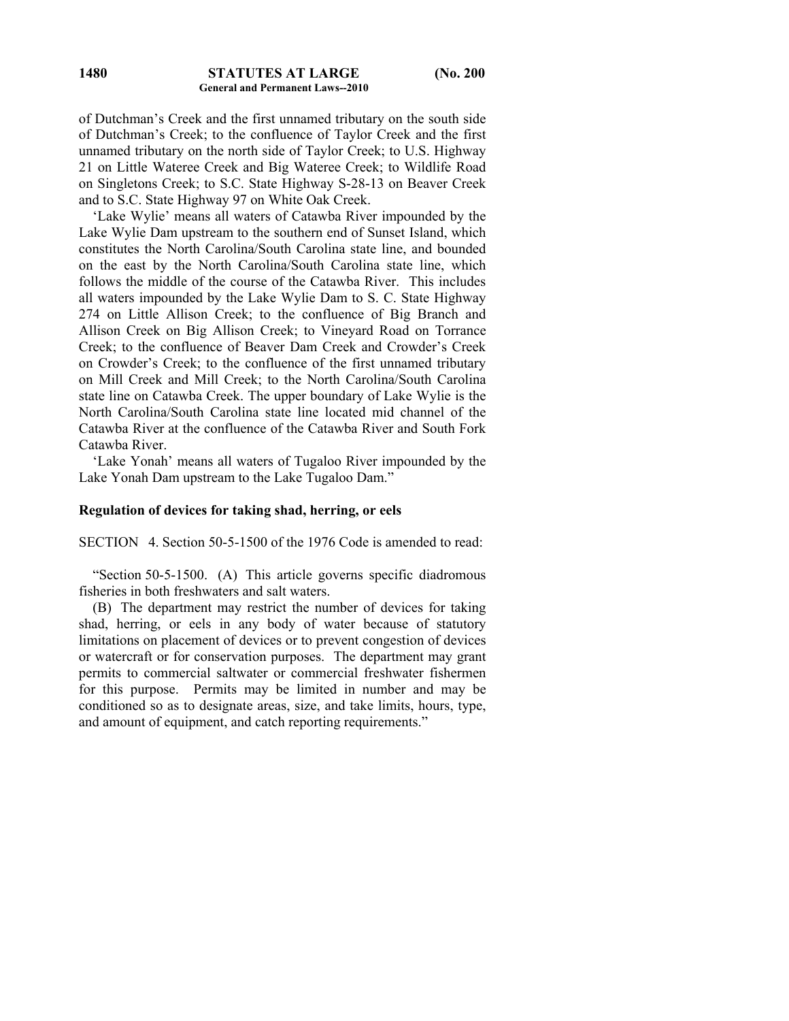of Dutchman's Creek and the first unnamed tributary on the south side of Dutchman's Creek; to the confluence of Taylor Creek and the first unnamed tributary on the north side of Taylor Creek; to U.S. Highway 21 on Little Wateree Creek and Big Wateree Creek; to Wildlife Road on Singletons Creek; to S.C. State Highway S-28-13 on Beaver Creek and to S.C. State Highway 97 on White Oak Creek.

 'Lake Wylie' means all waters of Catawba River impounded by the Lake Wylie Dam upstream to the southern end of Sunset Island, which constitutes the North Carolina/South Carolina state line, and bounded on the east by the North Carolina/South Carolina state line, which follows the middle of the course of the Catawba River. This includes all waters impounded by the Lake Wylie Dam to S. C. State Highway 274 on Little Allison Creek; to the confluence of Big Branch and Allison Creek on Big Allison Creek; to Vineyard Road on Torrance Creek; to the confluence of Beaver Dam Creek and Crowder's Creek on Crowder's Creek; to the confluence of the first unnamed tributary on Mill Creek and Mill Creek; to the North Carolina/South Carolina state line on Catawba Creek. The upper boundary of Lake Wylie is the North Carolina/South Carolina state line located mid channel of the Catawba River at the confluence of the Catawba River and South Fork Catawba River.

 'Lake Yonah' means all waters of Tugaloo River impounded by the Lake Yonah Dam upstream to the Lake Tugaloo Dam."

## **Regulation of devices for taking shad, herring, or eels**

SECTION 4. Section 50-5-1500 of the 1976 Code is amended to read:

 "Section 50-5-1500. (A) This article governs specific diadromous fisheries in both freshwaters and salt waters.

 (B) The department may restrict the number of devices for taking shad, herring, or eels in any body of water because of statutory limitations on placement of devices or to prevent congestion of devices or watercraft or for conservation purposes. The department may grant permits to commercial saltwater or commercial freshwater fishermen for this purpose. Permits may be limited in number and may be conditioned so as to designate areas, size, and take limits, hours, type, and amount of equipment, and catch reporting requirements."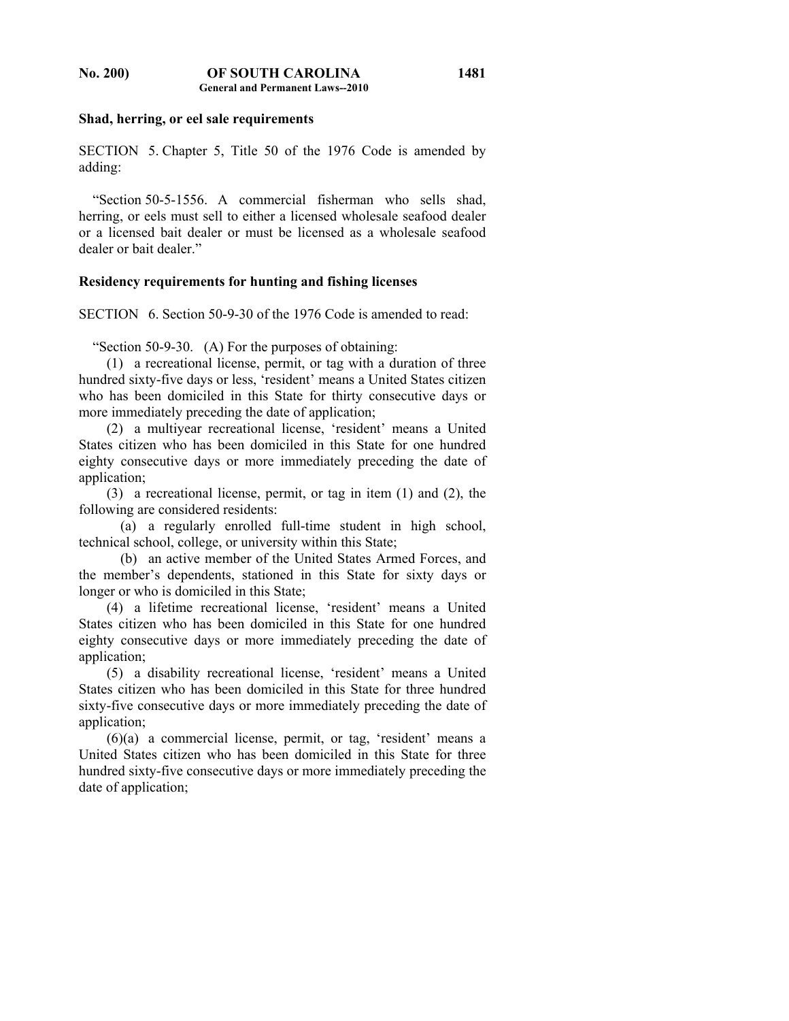## **Shad, herring, or eel sale requirements**

SECTION 5. Chapter 5, Title 50 of the 1976 Code is amended by adding:

 "Section 50-5-1556. A commercial fisherman who sells shad, herring, or eels must sell to either a licensed wholesale seafood dealer or a licensed bait dealer or must be licensed as a wholesale seafood dealer or bait dealer."

#### **Residency requirements for hunting and fishing licenses**

SECTION 6. Section 50-9-30 of the 1976 Code is amended to read:

"Section 50-9-30. (A) For the purposes of obtaining:

 (1) a recreational license, permit, or tag with a duration of three hundred sixty-five days or less, 'resident' means a United States citizen who has been domiciled in this State for thirty consecutive days or more immediately preceding the date of application;

 (2) a multiyear recreational license, 'resident' means a United States citizen who has been domiciled in this State for one hundred eighty consecutive days or more immediately preceding the date of application;

 (3) a recreational license, permit, or tag in item (1) and (2), the following are considered residents:

 (a) a regularly enrolled full-time student in high school, technical school, college, or university within this State;

 (b) an active member of the United States Armed Forces, and the member's dependents, stationed in this State for sixty days or longer or who is domiciled in this State;

 (4) a lifetime recreational license, 'resident' means a United States citizen who has been domiciled in this State for one hundred eighty consecutive days or more immediately preceding the date of application;

 (5) a disability recreational license, 'resident' means a United States citizen who has been domiciled in this State for three hundred sixty-five consecutive days or more immediately preceding the date of application;

 (6)(a) a commercial license, permit, or tag, 'resident' means a United States citizen who has been domiciled in this State for three hundred sixty-five consecutive days or more immediately preceding the date of application;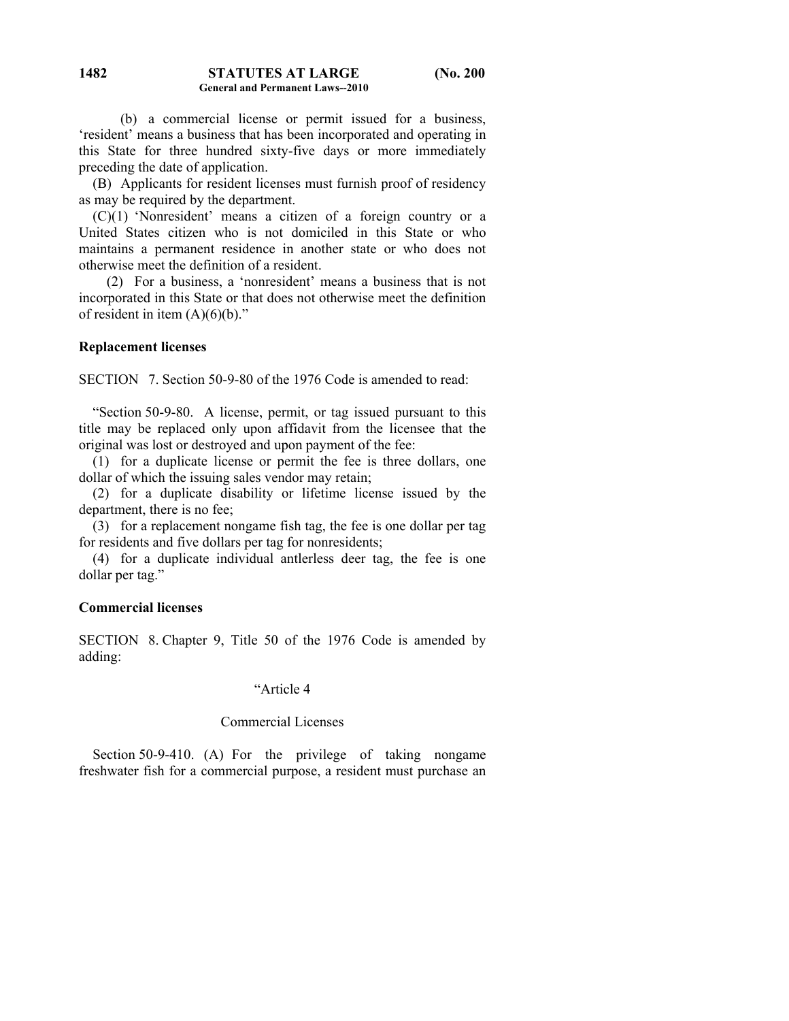(b) a commercial license or permit issued for a business, 'resident' means a business that has been incorporated and operating in this State for three hundred sixty-five days or more immediately preceding the date of application.

 (B) Applicants for resident licenses must furnish proof of residency as may be required by the department.

 (C)(1) 'Nonresident' means a citizen of a foreign country or a United States citizen who is not domiciled in this State or who maintains a permanent residence in another state or who does not otherwise meet the definition of a resident.

 (2) For a business, a 'nonresident' means a business that is not incorporated in this State or that does not otherwise meet the definition of resident in item  $(A)(6)(b)$ ."

## **Replacement licenses**

SECTION 7. Section 50-9-80 of the 1976 Code is amended to read:

 "Section 50-9-80. A license, permit, or tag issued pursuant to this title may be replaced only upon affidavit from the licensee that the original was lost or destroyed and upon payment of the fee:

 (1) for a duplicate license or permit the fee is three dollars, one dollar of which the issuing sales vendor may retain;

 (2) for a duplicate disability or lifetime license issued by the department, there is no fee;

 (3) for a replacement nongame fish tag, the fee is one dollar per tag for residents and five dollars per tag for nonresidents;

 (4) for a duplicate individual antlerless deer tag, the fee is one dollar per tag."

#### **Commercial licenses**

SECTION 8. Chapter 9, Title 50 of the 1976 Code is amended by adding:

## "Article 4

### Commercial Licenses

 Section 50-9-410. (A) For the privilege of taking nongame freshwater fish for a commercial purpose, a resident must purchase an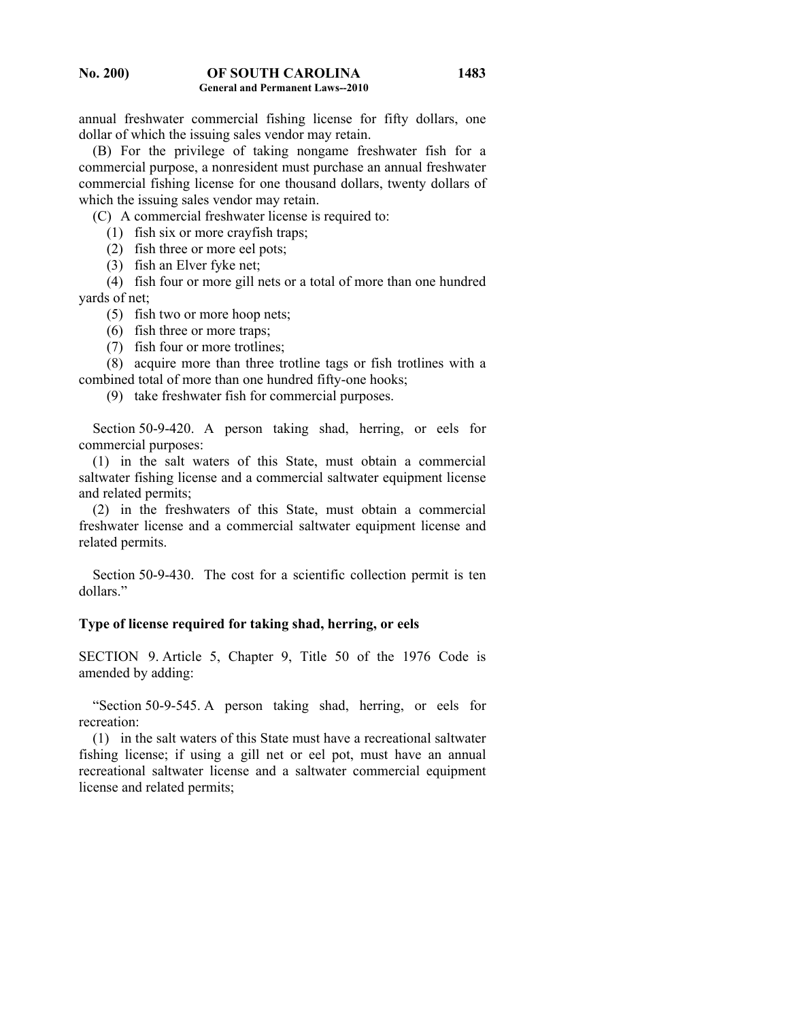annual freshwater commercial fishing license for fifty dollars, one dollar of which the issuing sales vendor may retain.

 (B) For the privilege of taking nongame freshwater fish for a commercial purpose, a nonresident must purchase an annual freshwater commercial fishing license for one thousand dollars, twenty dollars of which the issuing sales vendor may retain.

(C) A commercial freshwater license is required to:

(1) fish six or more crayfish traps;

(2) fish three or more eel pots;

(3) fish an Elver fyke net;

 (4) fish four or more gill nets or a total of more than one hundred yards of net;

(5) fish two or more hoop nets;

(6) fish three or more traps;

(7) fish four or more trotlines;

 (8) acquire more than three trotline tags or fish trotlines with a combined total of more than one hundred fifty-one hooks;

(9) take freshwater fish for commercial purposes.

Section 50-9-420. A person taking shad, herring, or eels for commercial purposes:

 (1) in the salt waters of this State, must obtain a commercial saltwater fishing license and a commercial saltwater equipment license and related permits;

 (2) in the freshwaters of this State, must obtain a commercial freshwater license and a commercial saltwater equipment license and related permits.

 Section 50-9-430. The cost for a scientific collection permit is ten dollars."

# **Type of license required for taking shad, herring, or eels**

SECTION 9. Article 5, Chapter 9, Title 50 of the 1976 Code is amended by adding:

 "Section 50-9-545. A person taking shad, herring, or eels for recreation:

 (1) in the salt waters of this State must have a recreational saltwater fishing license; if using a gill net or eel pot, must have an annual recreational saltwater license and a saltwater commercial equipment license and related permits;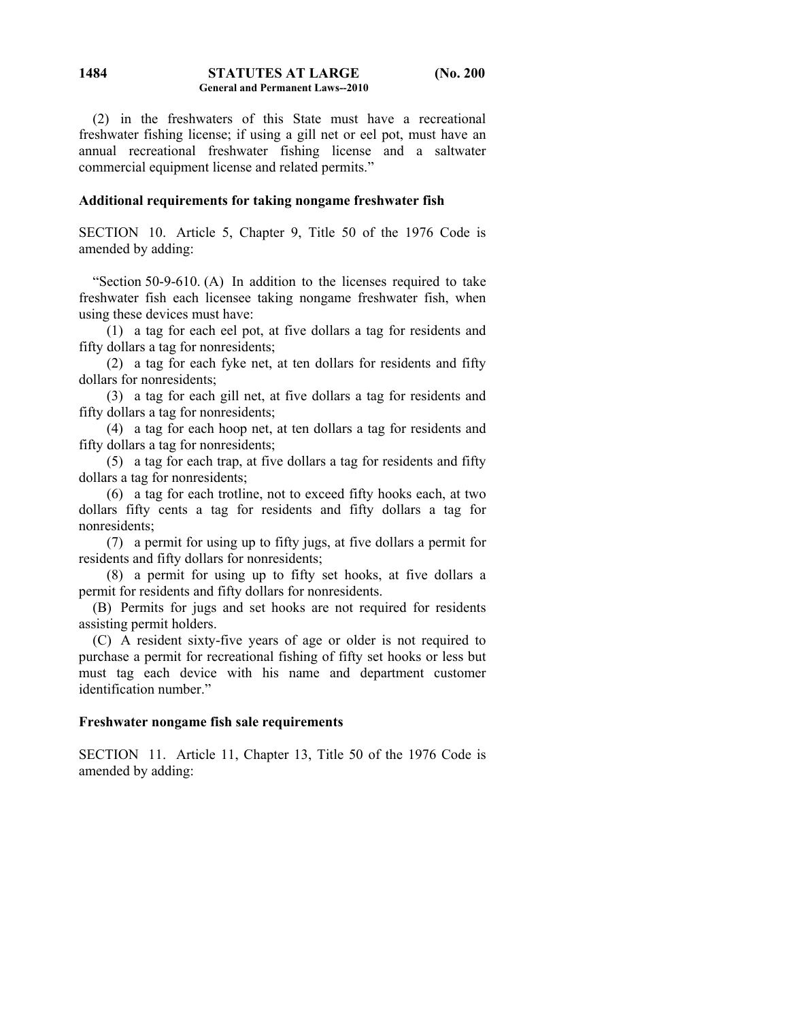#### **STATUTES AT LARGE (No. 200 General and Permanent Laws--2010 1484**

 (2) in the freshwaters of this State must have a recreational freshwater fishing license; if using a gill net or eel pot, must have an annual recreational freshwater fishing license and a saltwater commercial equipment license and related permits."

## **Additional requirements for taking nongame freshwater fish**

SECTION 10. Article 5, Chapter 9, Title 50 of the 1976 Code is amended by adding:

 "Section 50-9-610. (A) In addition to the licenses required to take freshwater fish each licensee taking nongame freshwater fish, when using these devices must have:

 (1) a tag for each eel pot, at five dollars a tag for residents and fifty dollars a tag for nonresidents;

 (2) a tag for each fyke net, at ten dollars for residents and fifty dollars for nonresidents;

 (3) a tag for each gill net, at five dollars a tag for residents and fifty dollars a tag for nonresidents;

 (4) a tag for each hoop net, at ten dollars a tag for residents and fifty dollars a tag for nonresidents;

 (5) a tag for each trap, at five dollars a tag for residents and fifty dollars a tag for nonresidents;

 (6) a tag for each trotline, not to exceed fifty hooks each, at two dollars fifty cents a tag for residents and fifty dollars a tag for nonresidents;

 (7) a permit for using up to fifty jugs, at five dollars a permit for residents and fifty dollars for nonresidents;

 (8) a permit for using up to fifty set hooks, at five dollars a permit for residents and fifty dollars for nonresidents.

 (B) Permits for jugs and set hooks are not required for residents assisting permit holders.

 (C) A resident sixty-five years of age or older is not required to purchase a permit for recreational fishing of fifty set hooks or less but must tag each device with his name and department customer identification number."

## **Freshwater nongame fish sale requirements**

SECTION 11. Article 11, Chapter 13, Title 50 of the 1976 Code is amended by adding: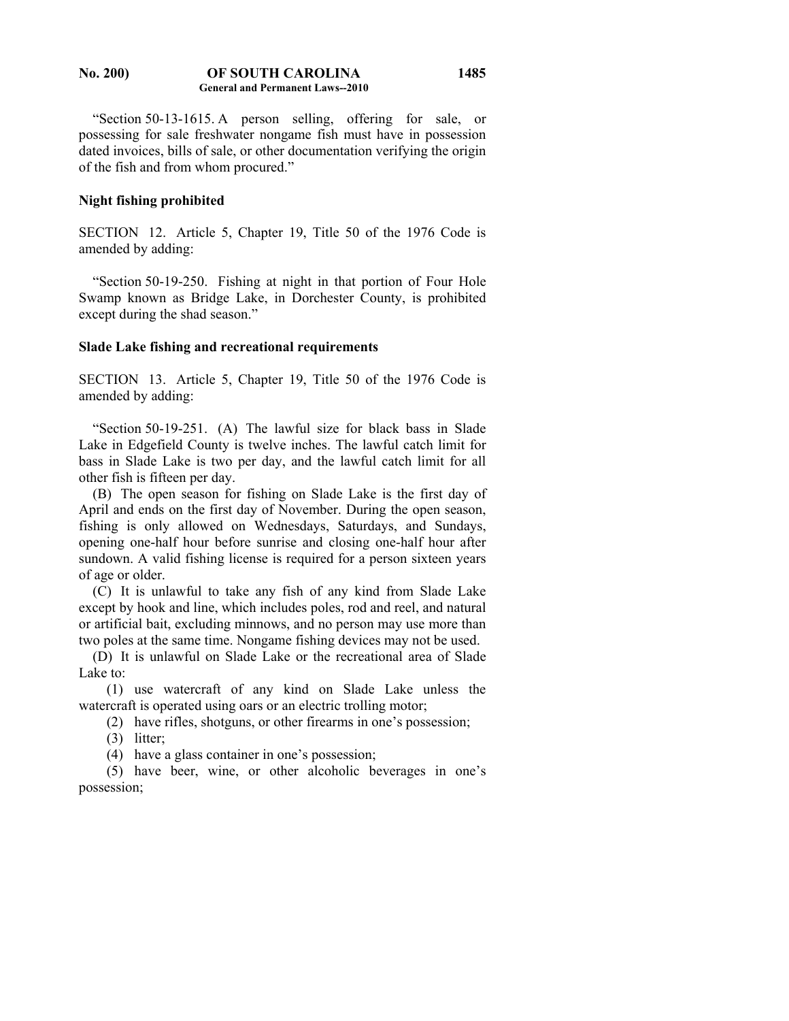#### **No. 200) OF SOUTH CAROLINA General and Permanent Laws--2010 1485**

 "Section 50-13-1615. A person selling, offering for sale, or possessing for sale freshwater nongame fish must have in possession dated invoices, bills of sale, or other documentation verifying the origin of the fish and from whom procured."

#### **Night fishing prohibited**

SECTION 12. Article 5, Chapter 19, Title 50 of the 1976 Code is amended by adding:

 "Section 50-19-250. Fishing at night in that portion of Four Hole Swamp known as Bridge Lake, in Dorchester County, is prohibited except during the shad season."

#### **Slade Lake fishing and recreational requirements**

SECTION 13. Article 5, Chapter 19, Title 50 of the 1976 Code is amended by adding:

 "Section 50-19-251. (A) The lawful size for black bass in Slade Lake in Edgefield County is twelve inches. The lawful catch limit for bass in Slade Lake is two per day, and the lawful catch limit for all other fish is fifteen per day.

 (B) The open season for fishing on Slade Lake is the first day of April and ends on the first day of November. During the open season, fishing is only allowed on Wednesdays, Saturdays, and Sundays, opening one-half hour before sunrise and closing one-half hour after sundown. A valid fishing license is required for a person sixteen years of age or older.

 (C) It is unlawful to take any fish of any kind from Slade Lake except by hook and line, which includes poles, rod and reel, and natural or artificial bait, excluding minnows, and no person may use more than two poles at the same time. Nongame fishing devices may not be used.

 (D) It is unlawful on Slade Lake or the recreational area of Slade Lake to:

 (1) use watercraft of any kind on Slade Lake unless the watercraft is operated using oars or an electric trolling motor;

(2) have rifles, shotguns, or other firearms in one's possession;

(3) litter;

(4) have a glass container in one's possession;

 (5) have beer, wine, or other alcoholic beverages in one's possession;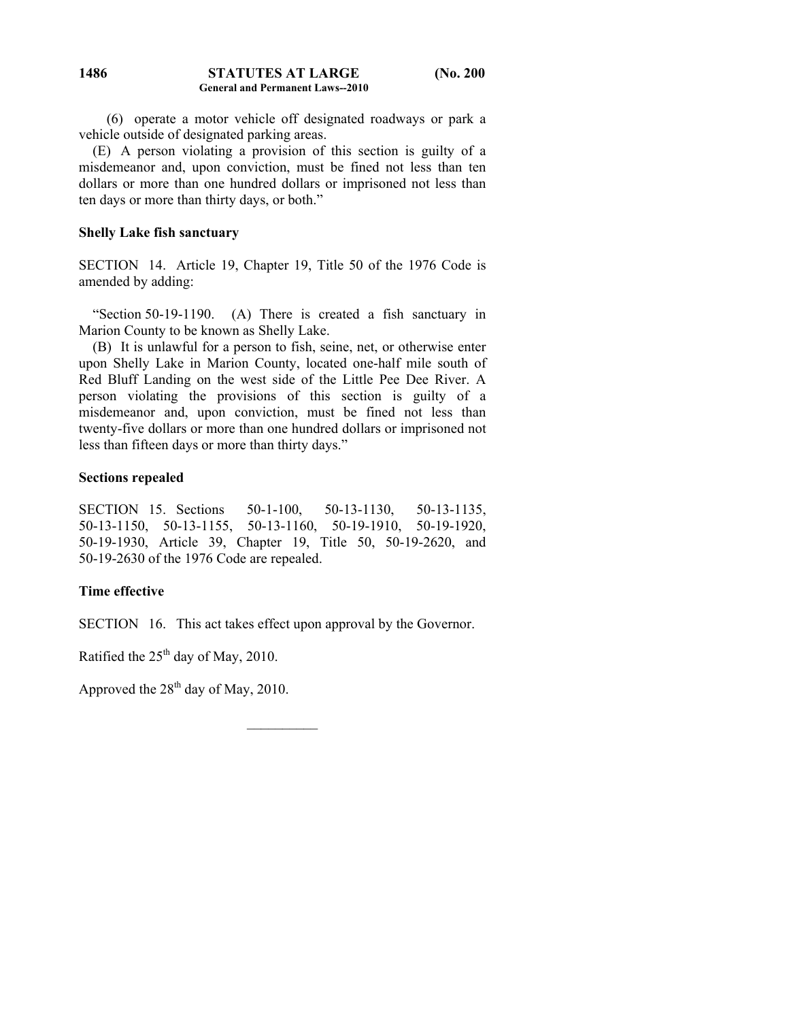#### **STATUTES AT LARGE (No. 200 General and Permanent Laws--2010 1486**

 (6) operate a motor vehicle off designated roadways or park a vehicle outside of designated parking areas.

 (E) A person violating a provision of this section is guilty of a misdemeanor and, upon conviction, must be fined not less than ten dollars or more than one hundred dollars or imprisoned not less than ten days or more than thirty days, or both."

# **Shelly Lake fish sanctuary**

SECTION 14. Article 19, Chapter 19, Title 50 of the 1976 Code is amended by adding:

 "Section 50-19-1190. (A) There is created a fish sanctuary in Marion County to be known as Shelly Lake.

 (B) It is unlawful for a person to fish, seine, net, or otherwise enter upon Shelly Lake in Marion County, located one-half mile south of Red Bluff Landing on the west side of the Little Pee Dee River. A person violating the provisions of this section is guilty of a misdemeanor and, upon conviction, must be fined not less than twenty-five dollars or more than one hundred dollars or imprisoned not less than fifteen days or more than thirty days."

# **Sections repealed**

SECTION 15. Sections 50-1-100, 50-13-1130, 50-13-1135, 50-13-1150, 50-13-1155, 50-13-1160, 50-19-1910, 50-19-1920, 50-19-1930, Article 39, Chapter 19, Title 50, 50-19-2620, and 50-19-2630 of the 1976 Code are repealed.

# **Time effective**

SECTION 16. This act takes effect upon approval by the Governor.

Ratified the  $25<sup>th</sup>$  day of May, 2010.

Approved the  $28<sup>th</sup>$  day of May, 2010.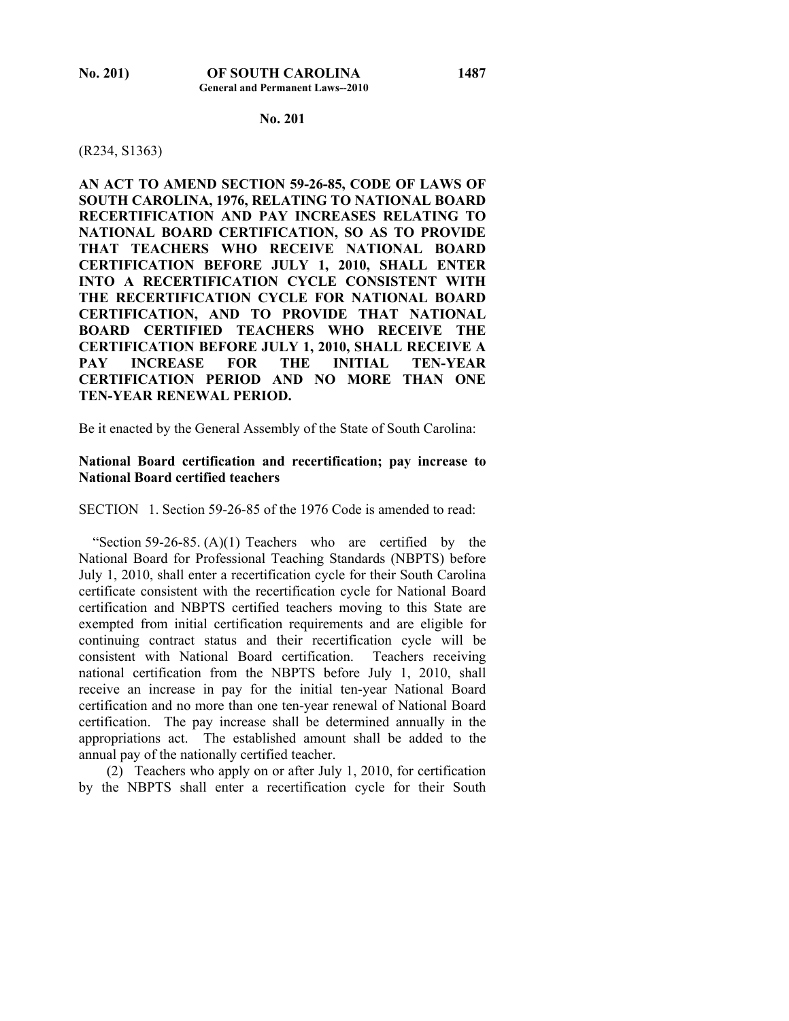## **No. 201**

#### (R234, S1363)

**AN ACT TO AMEND SECTION 59-26-85, CODE OF LAWS OF SOUTH CAROLINA, 1976, RELATING TO NATIONAL BOARD RECERTIFICATION AND PAY INCREASES RELATING TO NATIONAL BOARD CERTIFICATION, SO AS TO PROVIDE THAT TEACHERS WHO RECEIVE NATIONAL BOARD CERTIFICATION BEFORE JULY 1, 2010, SHALL ENTER INTO A RECERTIFICATION CYCLE CONSISTENT WITH THE RECERTIFICATION CYCLE FOR NATIONAL BOARD CERTIFICATION, AND TO PROVIDE THAT NATIONAL BOARD CERTIFIED TEACHERS WHO RECEIVE THE CERTIFICATION BEFORE JULY 1, 2010, SHALL RECEIVE A PAY INCREASE FOR THE INITIAL TEN-YEAR CERTIFICATION PERIOD AND NO MORE THAN ONE TEN-YEAR RENEWAL PERIOD.** 

Be it enacted by the General Assembly of the State of South Carolina:

## **National Board certification and recertification; pay increase to National Board certified teachers**

SECTION 1. Section 59-26-85 of the 1976 Code is amended to read:

"Section 59-26-85.  $(A)(1)$  Teachers who are certified by the National Board for Professional Teaching Standards (NBPTS) before July 1, 2010, shall enter a recertification cycle for their South Carolina certificate consistent with the recertification cycle for National Board certification and NBPTS certified teachers moving to this State are exempted from initial certification requirements and are eligible for continuing contract status and their recertification cycle will be consistent with National Board certification. Teachers receiving national certification from the NBPTS before July 1, 2010, shall receive an increase in pay for the initial ten-year National Board certification and no more than one ten-year renewal of National Board certification. The pay increase shall be determined annually in the appropriations act. The established amount shall be added to the annual pay of the nationally certified teacher.

 (2) Teachers who apply on or after July 1, 2010, for certification by the NBPTS shall enter a recertification cycle for their South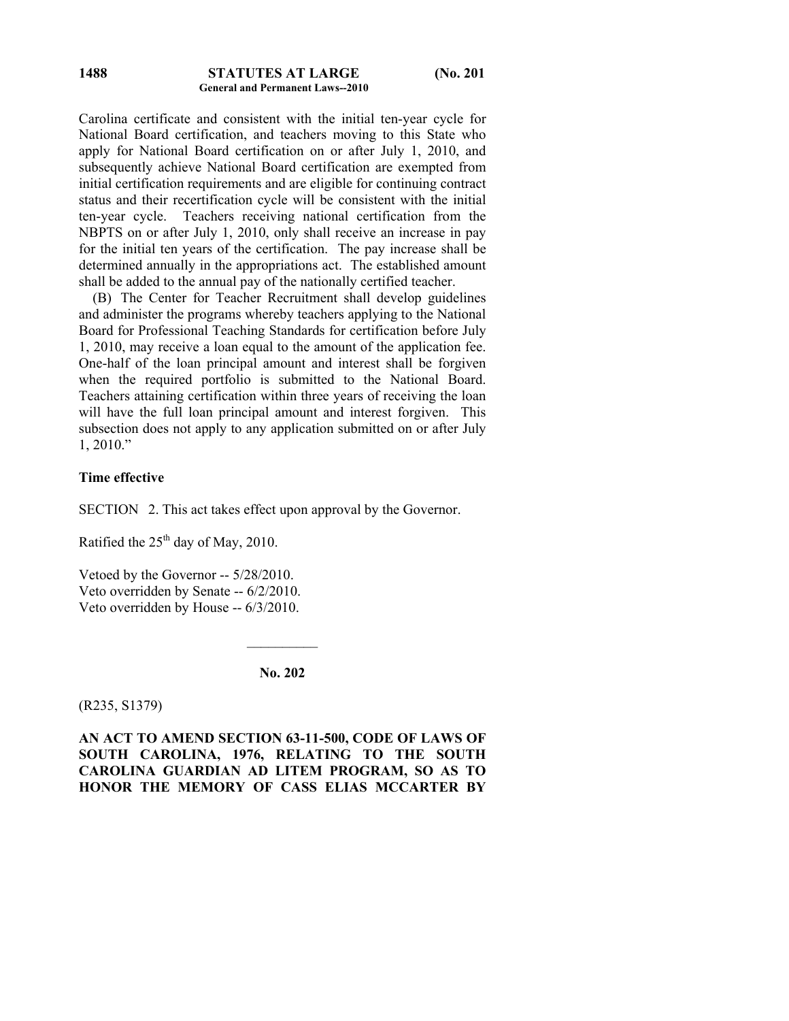#### **STATUTES AT LARGE (No. 201 General and Permanent Laws--2010 1488**

Carolina certificate and consistent with the initial ten-year cycle for National Board certification, and teachers moving to this State who apply for National Board certification on or after July 1, 2010, and subsequently achieve National Board certification are exempted from initial certification requirements and are eligible for continuing contract status and their recertification cycle will be consistent with the initial ten-year cycle. Teachers receiving national certification from the NBPTS on or after July 1, 2010, only shall receive an increase in pay for the initial ten years of the certification. The pay increase shall be determined annually in the appropriations act. The established amount shall be added to the annual pay of the nationally certified teacher.

 (B) The Center for Teacher Recruitment shall develop guidelines and administer the programs whereby teachers applying to the National Board for Professional Teaching Standards for certification before July 1, 2010, may receive a loan equal to the amount of the application fee. One-half of the loan principal amount and interest shall be forgiven when the required portfolio is submitted to the National Board. Teachers attaining certification within three years of receiving the loan will have the full loan principal amount and interest forgiven. This subsection does not apply to any application submitted on or after July 1, 2010."

# **Time effective**

SECTION 2. This act takes effect upon approval by the Governor.

Ratified the  $25<sup>th</sup>$  day of May, 2010.

Vetoed by the Governor -- 5/28/2010. Veto overridden by Senate -- 6/2/2010. Veto overridden by House -- 6/3/2010.

**No. 202** 

 $\frac{1}{2}$ 

(R235, S1379)

**AN ACT TO AMEND SECTION 63-11-500, CODE OF LAWS OF SOUTH CAROLINA, 1976, RELATING TO THE SOUTH CAROLINA GUARDIAN AD LITEM PROGRAM, SO AS TO HONOR THE MEMORY OF CASS ELIAS MCCARTER BY**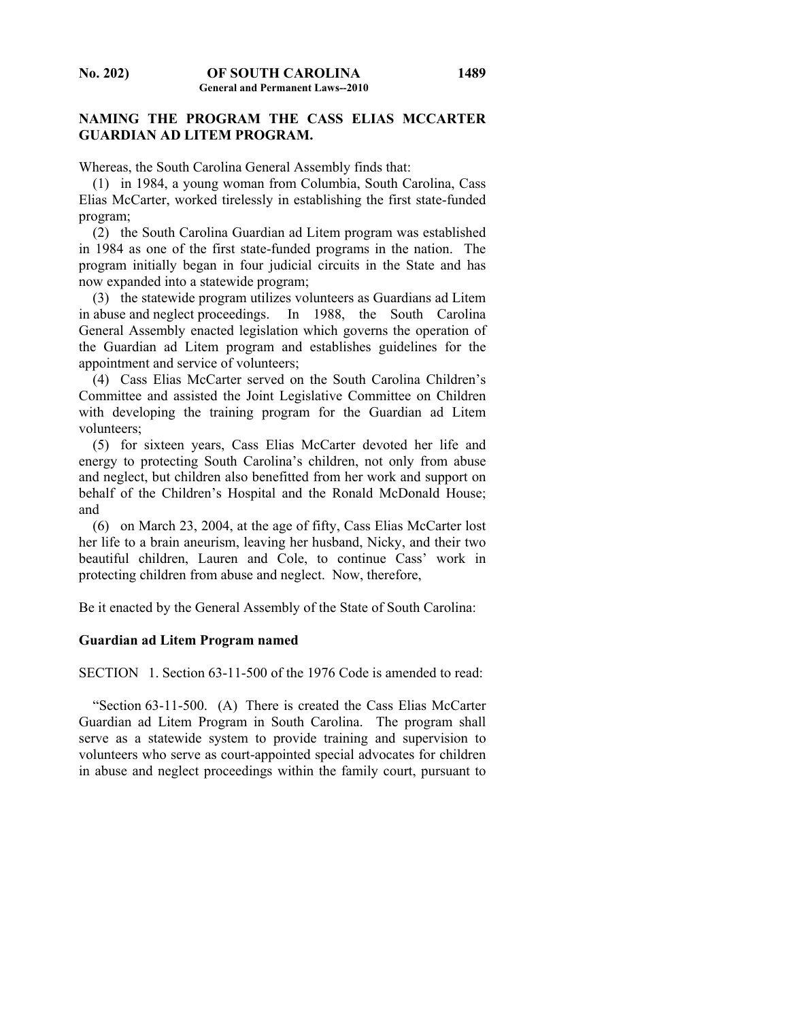# **NAMING THE PROGRAM THE CASS ELIAS MCCARTER GUARDIAN AD LITEM PROGRAM.**

Whereas, the South Carolina General Assembly finds that:

 (1) in 1984, a young woman from Columbia, South Carolina, Cass Elias McCarter, worked tirelessly in establishing the first state-funded program;

 (2) the South Carolina Guardian ad Litem program was established in 1984 as one of the first state-funded programs in the nation. The program initially began in four judicial circuits in the State and has now expanded into a statewide program;

 (3) the statewide program utilizes volunteers as Guardians ad Litem in abuse and neglect proceedings. In 1988, the South Carolina General Assembly enacted legislation which governs the operation of the Guardian ad Litem program and establishes guidelines for the appointment and service of volunteers;

 (4) Cass Elias McCarter served on the South Carolina Children's Committee and assisted the Joint Legislative Committee on Children with developing the training program for the Guardian ad Litem volunteers;

 (5) for sixteen years, Cass Elias McCarter devoted her life and energy to protecting South Carolina's children, not only from abuse and neglect, but children also benefitted from her work and support on behalf of the Children's Hospital and the Ronald McDonald House; and

 (6) on March 23, 2004, at the age of fifty, Cass Elias McCarter lost her life to a brain aneurism, leaving her husband, Nicky, and their two beautiful children, Lauren and Cole, to continue Cass' work in protecting children from abuse and neglect. Now, therefore,

Be it enacted by the General Assembly of the State of South Carolina:

#### **Guardian ad Litem Program named**

SECTION 1. Section 63-11-500 of the 1976 Code is amended to read:

 "Section 63-11-500. (A) There is created the Cass Elias McCarter Guardian ad Litem Program in South Carolina. The program shall serve as a statewide system to provide training and supervision to volunteers who serve as court-appointed special advocates for children in abuse and neglect proceedings within the family court, pursuant to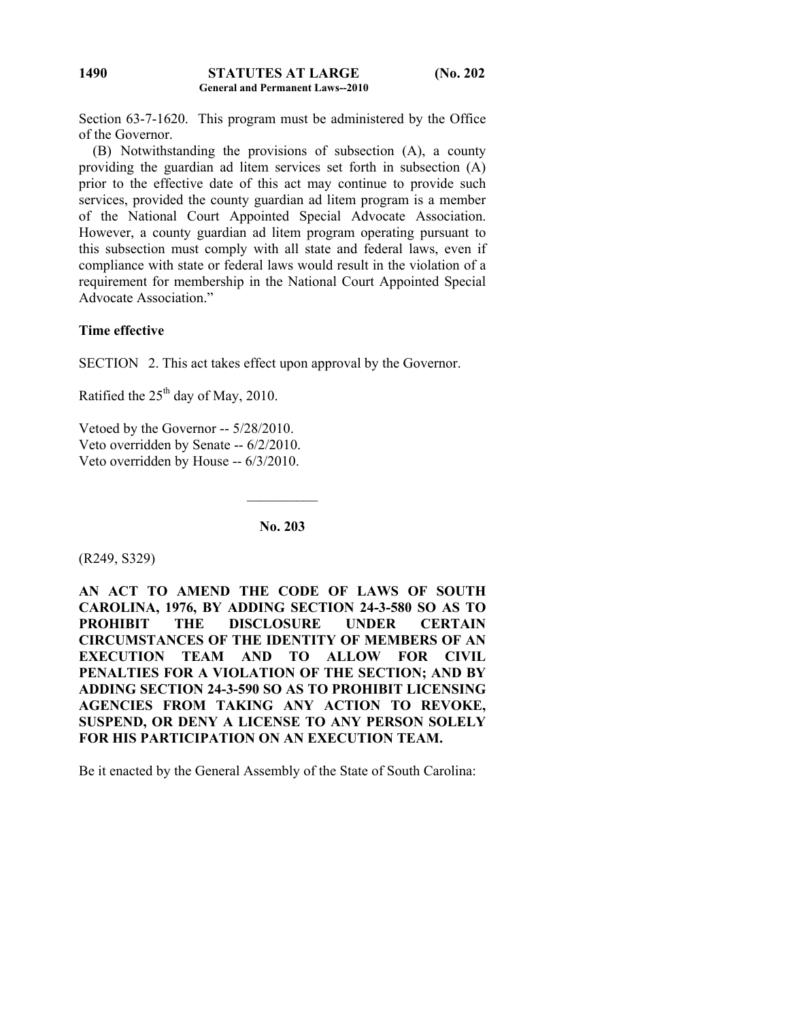Section 63-7-1620. This program must be administered by the Office of the Governor.

 (B) Notwithstanding the provisions of subsection (A), a county providing the guardian ad litem services set forth in subsection (A) prior to the effective date of this act may continue to provide such services, provided the county guardian ad litem program is a member of the National Court Appointed Special Advocate Association. However, a county guardian ad litem program operating pursuant to this subsection must comply with all state and federal laws, even if compliance with state or federal laws would result in the violation of a requirement for membership in the National Court Appointed Special Advocate Association."

# **Time effective**

SECTION 2. This act takes effect upon approval by the Governor.

Ratified the  $25<sup>th</sup>$  day of May, 2010.

Vetoed by the Governor -- 5/28/2010. Veto overridden by Senate -- 6/2/2010. Veto overridden by House -- 6/3/2010.

**No. 203** 

 $\mathcal{L}_\text{max}$ 

(R249, S329)

**AN ACT TO AMEND THE CODE OF LAWS OF SOUTH CAROLINA, 1976, BY ADDING SECTION 24-3-580 SO AS TO PROHIBIT THE DISCLOSURE UNDER CERTAIN CIRCUMSTANCES OF THE IDENTITY OF MEMBERS OF AN EXECUTION TEAM AND TO ALLOW FOR CIVIL PENALTIES FOR A VIOLATION OF THE SECTION; AND BY ADDING SECTION 24-3-590 SO AS TO PROHIBIT LICENSING AGENCIES FROM TAKING ANY ACTION TO REVOKE, SUSPEND, OR DENY A LICENSE TO ANY PERSON SOLELY FOR HIS PARTICIPATION ON AN EXECUTION TEAM.** 

Be it enacted by the General Assembly of the State of South Carolina: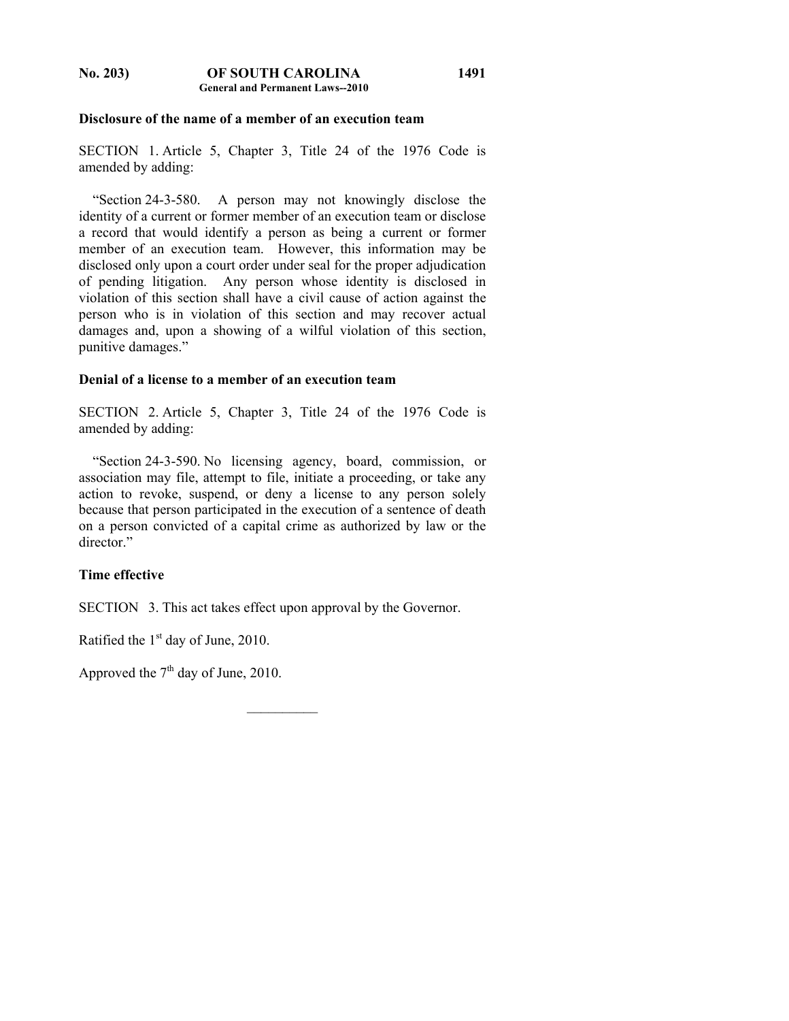**No. 203) OF SOUTH CAROLINA General and Permanent Laws--2010** 

#### **Disclosure of the name of a member of an execution team**

SECTION 1. Article 5, Chapter 3, Title 24 of the 1976 Code is amended by adding:

 "Section 24-3-580. A person may not knowingly disclose the identity of a current or former member of an execution team or disclose a record that would identify a person as being a current or former member of an execution team. However, this information may be disclosed only upon a court order under seal for the proper adjudication of pending litigation. Any person whose identity is disclosed in violation of this section shall have a civil cause of action against the person who is in violation of this section and may recover actual damages and, upon a showing of a wilful violation of this section, punitive damages."

# **Denial of a license to a member of an execution team**

SECTION 2. Article 5, Chapter 3, Title 24 of the 1976 Code is amended by adding:

 "Section 24-3-590. No licensing agency, board, commission, or association may file, attempt to file, initiate a proceeding, or take any action to revoke, suspend, or deny a license to any person solely because that person participated in the execution of a sentence of death on a person convicted of a capital crime as authorized by law or the director"

# **Time effective**

SECTION 3. This act takes effect upon approval by the Governor.

Ratified the  $1<sup>st</sup>$  day of June, 2010.

Approved the  $7<sup>th</sup>$  day of June, 2010.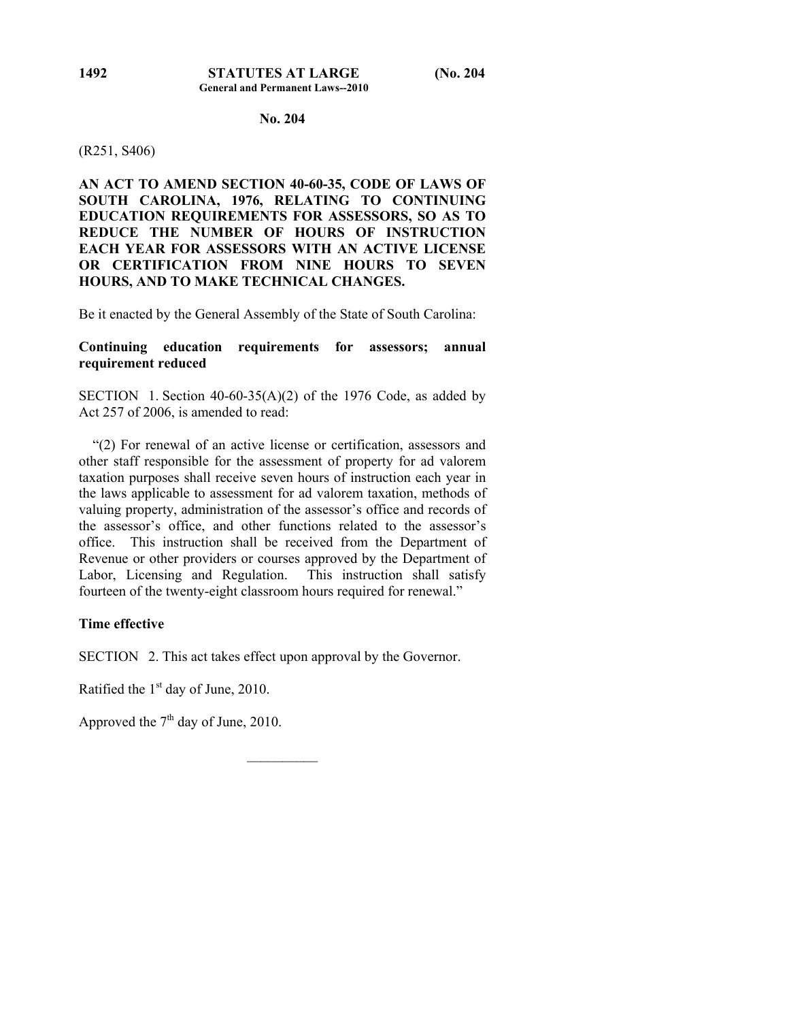# **No. 204**

### (R251, S406)

**AN ACT TO AMEND SECTION 40-60-35, CODE OF LAWS OF SOUTH CAROLINA, 1976, RELATING TO CONTINUING EDUCATION REQUIREMENTS FOR ASSESSORS, SO AS TO REDUCE THE NUMBER OF HOURS OF INSTRUCTION EACH YEAR FOR ASSESSORS WITH AN ACTIVE LICENSE OR CERTIFICATION FROM NINE HOURS TO SEVEN HOURS, AND TO MAKE TECHNICAL CHANGES.** 

Be it enacted by the General Assembly of the State of South Carolina:

# **Continuing education requirements for assessors; annual requirement reduced**

SECTION 1. Section  $40-60-35(A)(2)$  of the 1976 Code, as added by Act 257 of 2006, is amended to read:

 "(2) For renewal of an active license or certification, assessors and other staff responsible for the assessment of property for ad valorem taxation purposes shall receive seven hours of instruction each year in the laws applicable to assessment for ad valorem taxation, methods of valuing property, administration of the assessor's office and records of the assessor's office, and other functions related to the assessor's office. This instruction shall be received from the Department of Revenue or other providers or courses approved by the Department of Labor, Licensing and Regulation. This instruction shall satisfy fourteen of the twenty-eight classroom hours required for renewal."

# **Time effective**

SECTION 2. This act takes effect upon approval by the Governor.

 $\frac{1}{2}$ 

Ratified the  $1<sup>st</sup>$  day of June, 2010.

Approved the  $7<sup>th</sup>$  day of June, 2010.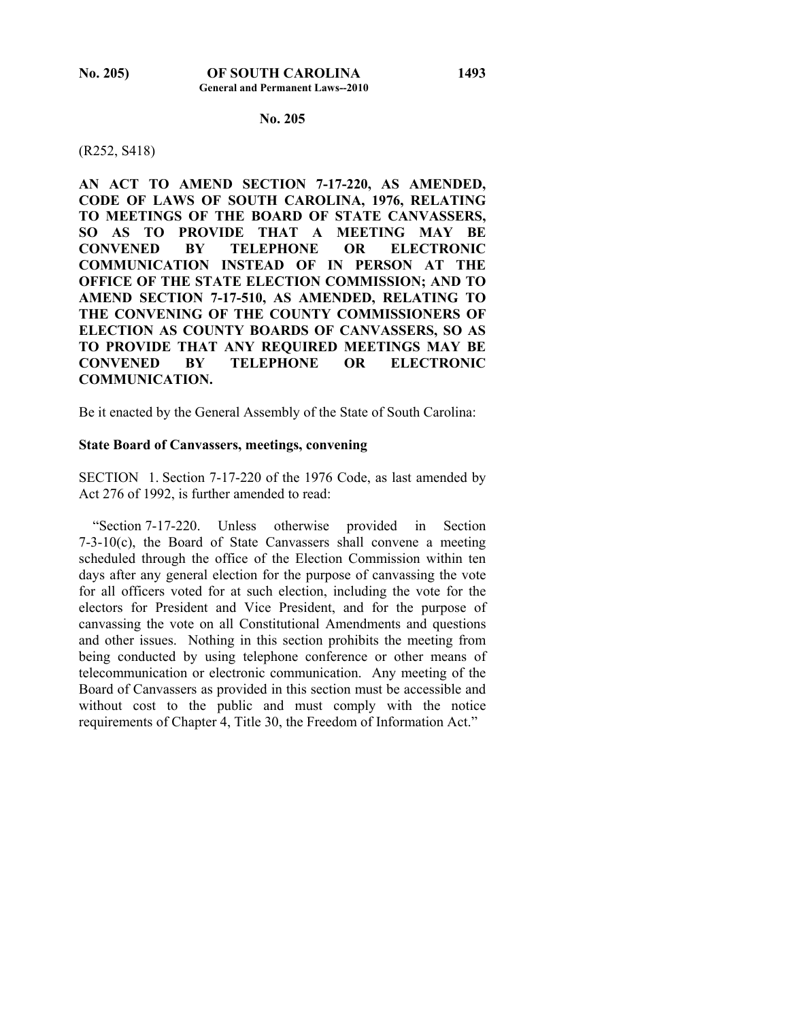### **No. 205**

#### (R252, S418)

**AN ACT TO AMEND SECTION 7-17-220, AS AMENDED, CODE OF LAWS OF SOUTH CAROLINA, 1976, RELATING TO MEETINGS OF THE BOARD OF STATE CANVASSERS, SO AS TO PROVIDE THAT A MEETING MAY BE CONVENED BY TELEPHONE OR ELECTRONIC COMMUNICATION INSTEAD OF IN PERSON AT THE OFFICE OF THE STATE ELECTION COMMISSION; AND TO AMEND SECTION 7-17-510, AS AMENDED, RELATING TO THE CONVENING OF THE COUNTY COMMISSIONERS OF ELECTION AS COUNTY BOARDS OF CANVASSERS, SO AS TO PROVIDE THAT ANY REQUIRED MEETINGS MAY BE CONVENED BY TELEPHONE OR ELECTRONIC COMMUNICATION.** 

Be it enacted by the General Assembly of the State of South Carolina:

#### **State Board of Canvassers, meetings, convening**

SECTION 1. Section 7-17-220 of the 1976 Code, as last amended by Act 276 of 1992, is further amended to read:

 "Section 7-17-220. Unless otherwise provided in Section 7-3-10(c), the Board of State Canvassers shall convene a meeting scheduled through the office of the Election Commission within ten days after any general election for the purpose of canvassing the vote for all officers voted for at such election, including the vote for the electors for President and Vice President, and for the purpose of canvassing the vote on all Constitutional Amendments and questions and other issues. Nothing in this section prohibits the meeting from being conducted by using telephone conference or other means of telecommunication or electronic communication. Any meeting of the Board of Canvassers as provided in this section must be accessible and without cost to the public and must comply with the notice requirements of Chapter 4, Title 30, the Freedom of Information Act."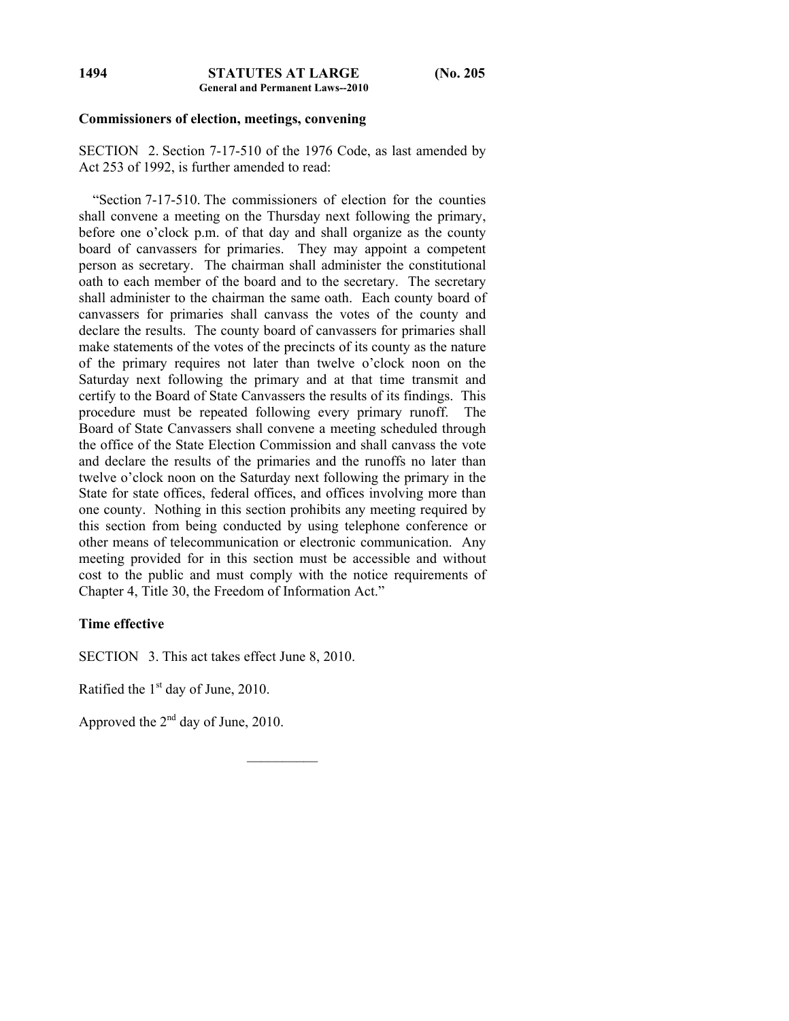#### **Commissioners of election, meetings, convening**

SECTION 2. Section 7-17-510 of the 1976 Code, as last amended by Act 253 of 1992, is further amended to read:

 "Section 7-17-510. The commissioners of election for the counties shall convene a meeting on the Thursday next following the primary, before one o'clock p.m. of that day and shall organize as the county board of canvassers for primaries. They may appoint a competent person as secretary. The chairman shall administer the constitutional oath to each member of the board and to the secretary. The secretary shall administer to the chairman the same oath. Each county board of canvassers for primaries shall canvass the votes of the county and declare the results. The county board of canvassers for primaries shall make statements of the votes of the precincts of its county as the nature of the primary requires not later than twelve o'clock noon on the Saturday next following the primary and at that time transmit and certify to the Board of State Canvassers the results of its findings. This procedure must be repeated following every primary runoff. Board of State Canvassers shall convene a meeting scheduled through the office of the State Election Commission and shall canvass the vote and declare the results of the primaries and the runoffs no later than twelve o'clock noon on the Saturday next following the primary in the State for state offices, federal offices, and offices involving more than one county. Nothing in this section prohibits any meeting required by this section from being conducted by using telephone conference or other means of telecommunication or electronic communication. Any meeting provided for in this section must be accessible and without cost to the public and must comply with the notice requirements of Chapter 4, Title 30, the Freedom of Information Act."

 $\frac{1}{2}$ 

# **Time effective**

SECTION 3. This act takes effect June 8, 2010.

Ratified the  $1<sup>st</sup>$  day of June, 2010.

Approved the 2nd day of June, 2010.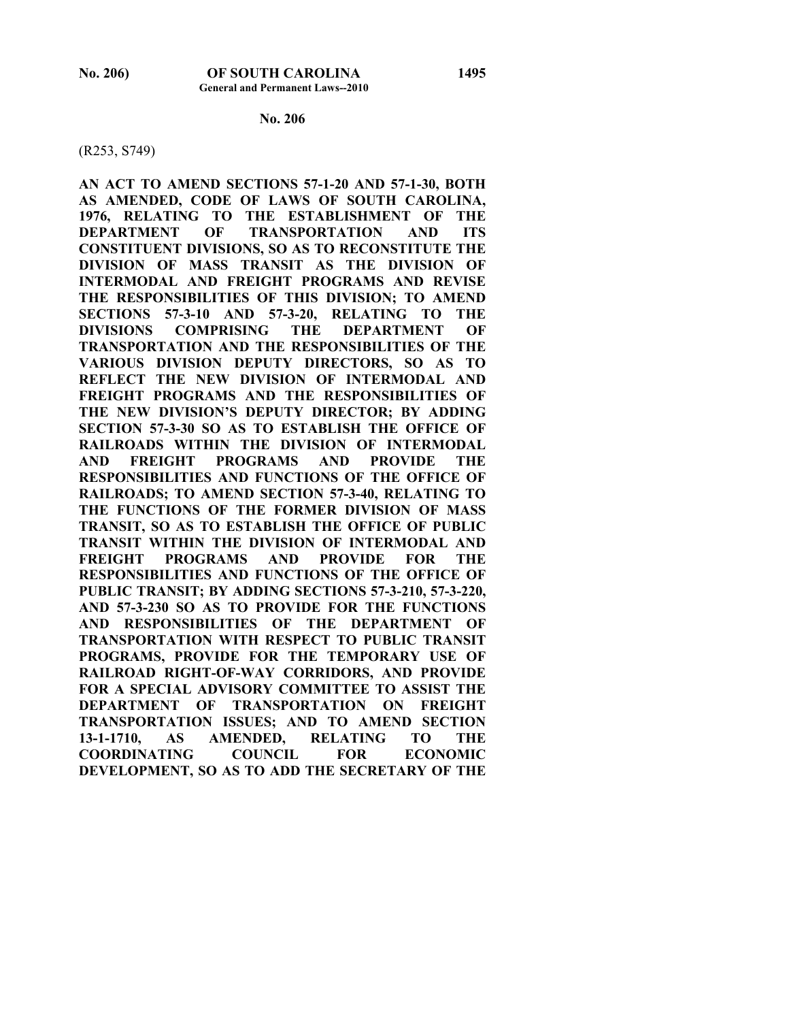#### **No. 206**

#### (R253, S749)

**AN ACT TO AMEND SECTIONS 57-1-20 AND 57-1-30, BOTH AS AMENDED, CODE OF LAWS OF SOUTH CAROLINA, 1976, RELATING TO THE ESTABLISHMENT OF THE DEPARTMENT OF TRANSPORTATION AND ITS CONSTITUENT DIVISIONS, SO AS TO RECONSTITUTE THE DIVISION OF MASS TRANSIT AS THE DIVISION OF INTERMODAL AND FREIGHT PROGRAMS AND REVISE THE RESPONSIBILITIES OF THIS DIVISION; TO AMEND SECTIONS 57-3-10 AND 57-3-20, RELATING TO THE DIVISIONS COMPRISING THE DEPARTMENT OF TRANSPORTATION AND THE RESPONSIBILITIES OF THE VARIOUS DIVISION DEPUTY DIRECTORS, SO AS TO REFLECT THE NEW DIVISION OF INTERMODAL AND FREIGHT PROGRAMS AND THE RESPONSIBILITIES OF THE NEW DIVISION'S DEPUTY DIRECTOR; BY ADDING SECTION 57-3-30 SO AS TO ESTABLISH THE OFFICE OF RAILROADS WITHIN THE DIVISION OF INTERMODAL AND FREIGHT PROGRAMS AND PROVIDE THE RESPONSIBILITIES AND FUNCTIONS OF THE OFFICE OF RAILROADS; TO AMEND SECTION 57-3-40, RELATING TO THE FUNCTIONS OF THE FORMER DIVISION OF MASS TRANSIT, SO AS TO ESTABLISH THE OFFICE OF PUBLIC TRANSIT WITHIN THE DIVISION OF INTERMODAL AND FREIGHT PROGRAMS AND PROVIDE FOR THE RESPONSIBILITIES AND FUNCTIONS OF THE OFFICE OF PUBLIC TRANSIT; BY ADDING SECTIONS 57-3-210, 57-3-220, AND 57-3-230 SO AS TO PROVIDE FOR THE FUNCTIONS AND RESPONSIBILITIES OF THE DEPARTMENT OF TRANSPORTATION WITH RESPECT TO PUBLIC TRANSIT PROGRAMS, PROVIDE FOR THE TEMPORARY USE OF RAILROAD RIGHT-OF-WAY CORRIDORS, AND PROVIDE FOR A SPECIAL ADVISORY COMMITTEE TO ASSIST THE DEPARTMENT OF TRANSPORTATION ON FREIGHT TRANSPORTATION ISSUES; AND TO AMEND SECTION 13-1-1710, AS AMENDED, RELATING TO THE COORDINATING COUNCIL FOR ECONOMIC DEVELOPMENT, SO AS TO ADD THE SECRETARY OF THE**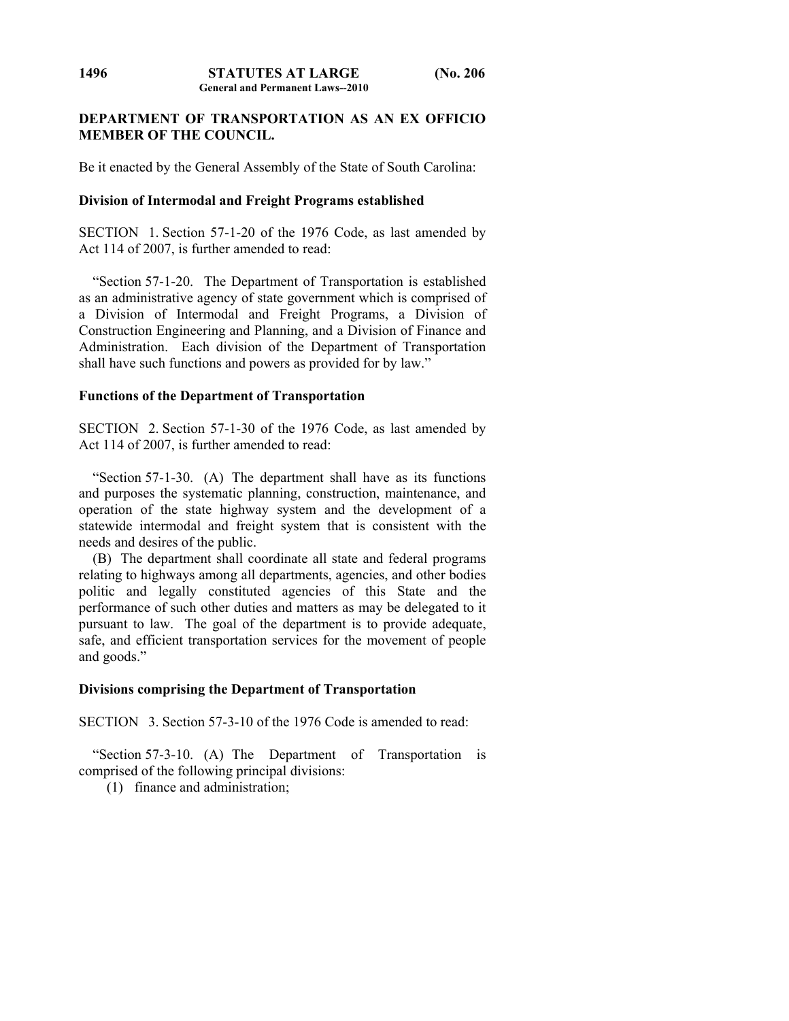# **DEPARTMENT OF TRANSPORTATION AS AN EX OFFICIO MEMBER OF THE COUNCIL.**

Be it enacted by the General Assembly of the State of South Carolina:

# **Division of Intermodal and Freight Programs established**

SECTION 1. Section 57-1-20 of the 1976 Code, as last amended by Act 114 of 2007, is further amended to read:

 "Section 57-1-20. The Department of Transportation is established as an administrative agency of state government which is comprised of a Division of Intermodal and Freight Programs, a Division of Construction Engineering and Planning, and a Division of Finance and Administration. Each division of the Department of Transportation shall have such functions and powers as provided for by law."

## **Functions of the Department of Transportation**

SECTION 2. Section 57-1-30 of the 1976 Code, as last amended by Act 114 of 2007, is further amended to read:

 "Section 57-1-30. (A) The department shall have as its functions and purposes the systematic planning, construction, maintenance, and operation of the state highway system and the development of a statewide intermodal and freight system that is consistent with the needs and desires of the public.

 (B) The department shall coordinate all state and federal programs relating to highways among all departments, agencies, and other bodies politic and legally constituted agencies of this State and the performance of such other duties and matters as may be delegated to it pursuant to law. The goal of the department is to provide adequate, safe, and efficient transportation services for the movement of people and goods."

# **Divisions comprising the Department of Transportation**

SECTION 3. Section 57-3-10 of the 1976 Code is amended to read:

 "Section 57-3-10. (A) The Department of Transportation is comprised of the following principal divisions:

(1) finance and administration;

**1496**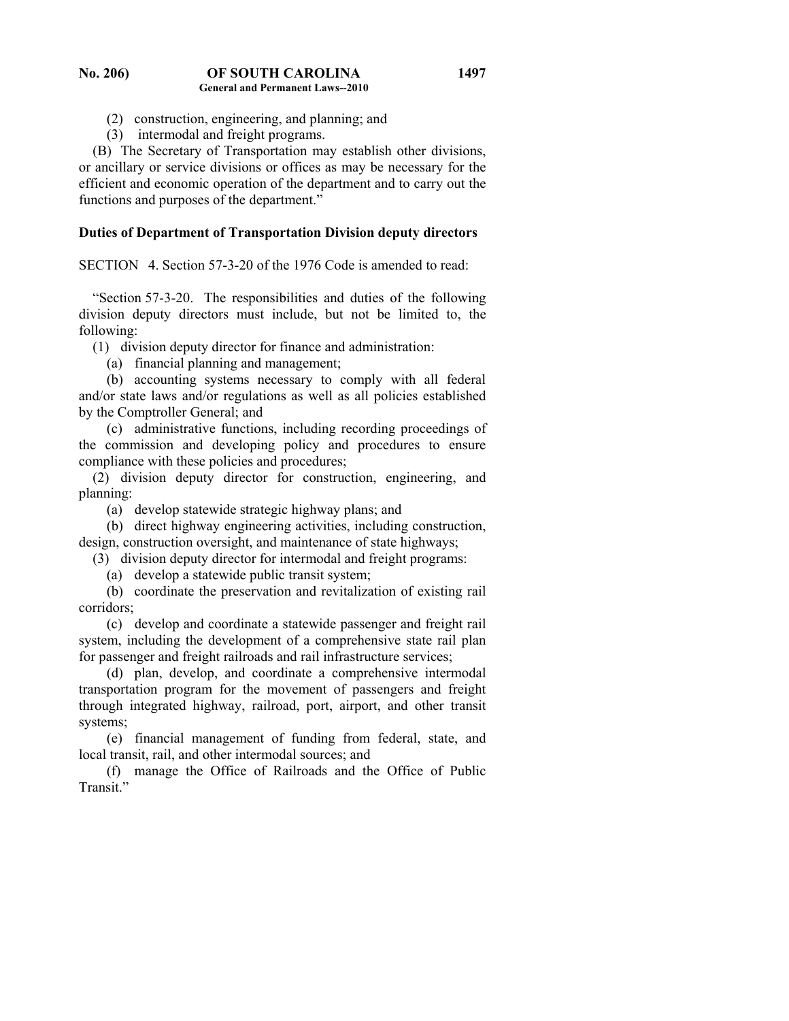- (2) construction, engineering, and planning; and
- (3) intermodal and freight programs.

 (B) The Secretary of Transportation may establish other divisions, or ancillary or service divisions or offices as may be necessary for the efficient and economic operation of the department and to carry out the functions and purposes of the department."

## **Duties of Department of Transportation Division deputy directors**

SECTION 4. Section 57-3-20 of the 1976 Code is amended to read:

 "Section 57-3-20. The responsibilities and duties of the following division deputy directors must include, but not be limited to, the following:

(1) division deputy director for finance and administration:

(a) financial planning and management;

 (b) accounting systems necessary to comply with all federal and/or state laws and/or regulations as well as all policies established by the Comptroller General; and

 (c) administrative functions, including recording proceedings of the commission and developing policy and procedures to ensure compliance with these policies and procedures;

 (2) division deputy director for construction, engineering, and planning:

(a) develop statewide strategic highway plans; and

 (b) direct highway engineering activities, including construction, design, construction oversight, and maintenance of state highways;

(3) division deputy director for intermodal and freight programs:

(a) develop a statewide public transit system;

 (b) coordinate the preservation and revitalization of existing rail corridors;

 (c) develop and coordinate a statewide passenger and freight rail system, including the development of a comprehensive state rail plan for passenger and freight railroads and rail infrastructure services;

 (d) plan, develop, and coordinate a comprehensive intermodal transportation program for the movement of passengers and freight through integrated highway, railroad, port, airport, and other transit systems;

 (e) financial management of funding from federal, state, and local transit, rail, and other intermodal sources; and

 (f) manage the Office of Railroads and the Office of Public Transit<sup>"</sup>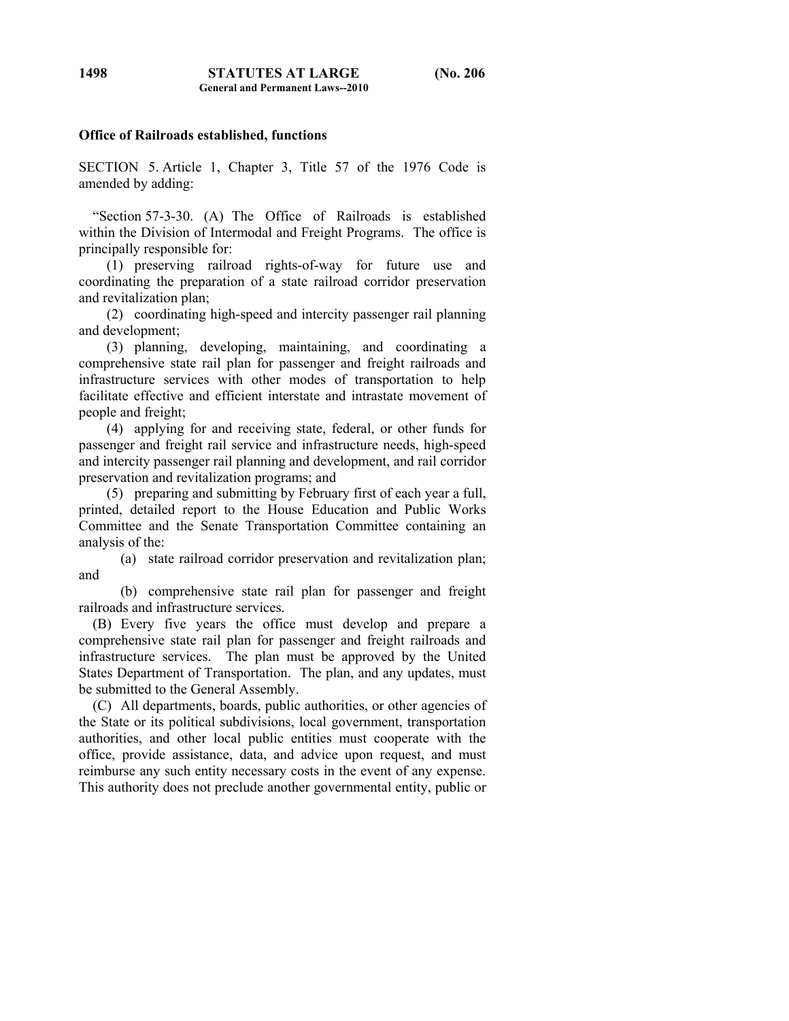## **Office of Railroads established, functions**

SECTION 5. Article 1, Chapter 3, Title 57 of the 1976 Code is amended by adding:

 "Section 57-3-30. (A) The Office of Railroads is established within the Division of Intermodal and Freight Programs. The office is principally responsible for:

 (1) preserving railroad rights-of-way for future use and coordinating the preparation of a state railroad corridor preservation and revitalization plan;

 (2) coordinating high-speed and intercity passenger rail planning and development;

 (3) planning, developing, maintaining, and coordinating a comprehensive state rail plan for passenger and freight railroads and infrastructure services with other modes of transportation to help facilitate effective and efficient interstate and intrastate movement of people and freight;

 (4) applying for and receiving state, federal, or other funds for passenger and freight rail service and infrastructure needs, high-speed and intercity passenger rail planning and development, and rail corridor preservation and revitalization programs; and

 (5) preparing and submitting by February first of each year a full, printed, detailed report to the House Education and Public Works Committee and the Senate Transportation Committee containing an analysis of the:

 (a) state railroad corridor preservation and revitalization plan; and

 (b) comprehensive state rail plan for passenger and freight railroads and infrastructure services.

 (B) Every five years the office must develop and prepare a comprehensive state rail plan for passenger and freight railroads and infrastructure services. The plan must be approved by the United States Department of Transportation. The plan, and any updates, must be submitted to the General Assembly.

 (C) All departments, boards, public authorities, or other agencies of the State or its political subdivisions, local government, transportation authorities, and other local public entities must cooperate with the office, provide assistance, data, and advice upon request, and must reimburse any such entity necessary costs in the event of any expense. This authority does not preclude another governmental entity, public or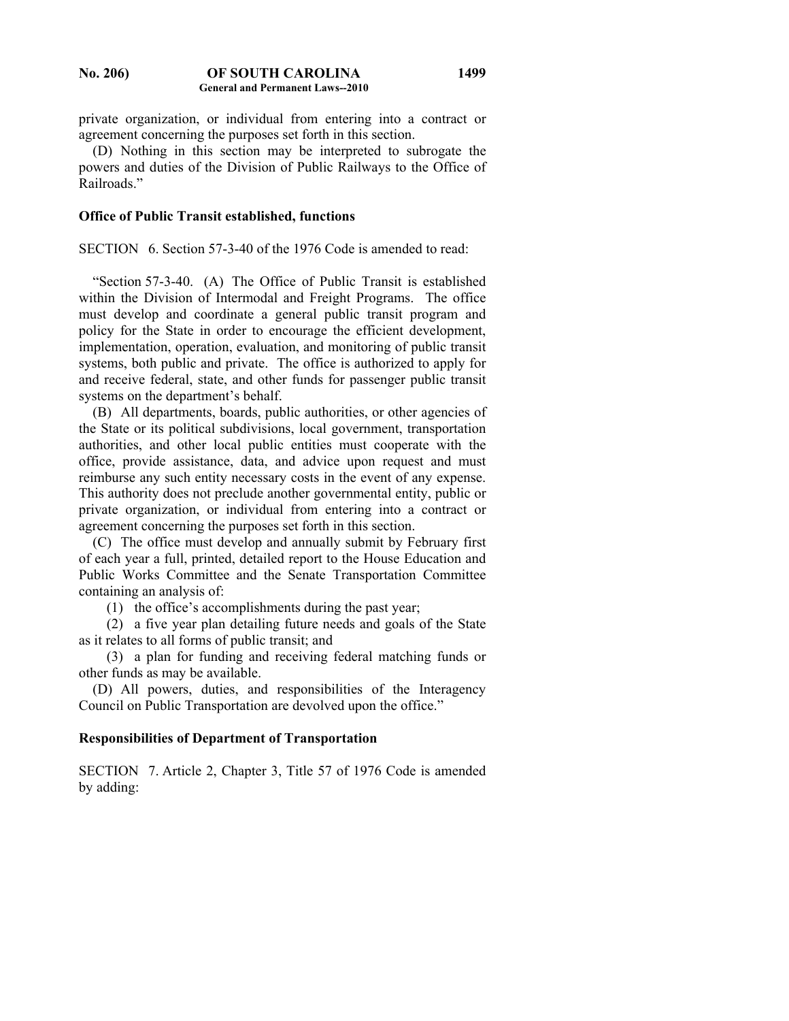private organization, or individual from entering into a contract or agreement concerning the purposes set forth in this section.

 (D) Nothing in this section may be interpreted to subrogate the powers and duties of the Division of Public Railways to the Office of Railroads."

### **Office of Public Transit established, functions**

SECTION 6. Section 57-3-40 of the 1976 Code is amended to read:

 "Section 57-3-40. (A) The Office of Public Transit is established within the Division of Intermodal and Freight Programs. The office must develop and coordinate a general public transit program and policy for the State in order to encourage the efficient development, implementation, operation, evaluation, and monitoring of public transit systems, both public and private. The office is authorized to apply for and receive federal, state, and other funds for passenger public transit systems on the department's behalf.

 (B) All departments, boards, public authorities, or other agencies of the State or its political subdivisions, local government, transportation authorities, and other local public entities must cooperate with the office, provide assistance, data, and advice upon request and must reimburse any such entity necessary costs in the event of any expense. This authority does not preclude another governmental entity, public or private organization, or individual from entering into a contract or agreement concerning the purposes set forth in this section.

 (C) The office must develop and annually submit by February first of each year a full, printed, detailed report to the House Education and Public Works Committee and the Senate Transportation Committee containing an analysis of:

(1) the office's accomplishments during the past year;

 (2) a five year plan detailing future needs and goals of the State as it relates to all forms of public transit; and

 (3) a plan for funding and receiving federal matching funds or other funds as may be available.

 (D) All powers, duties, and responsibilities of the Interagency Council on Public Transportation are devolved upon the office."

## **Responsibilities of Department of Transportation**

SECTION 7. Article 2, Chapter 3, Title 57 of 1976 Code is amended by adding: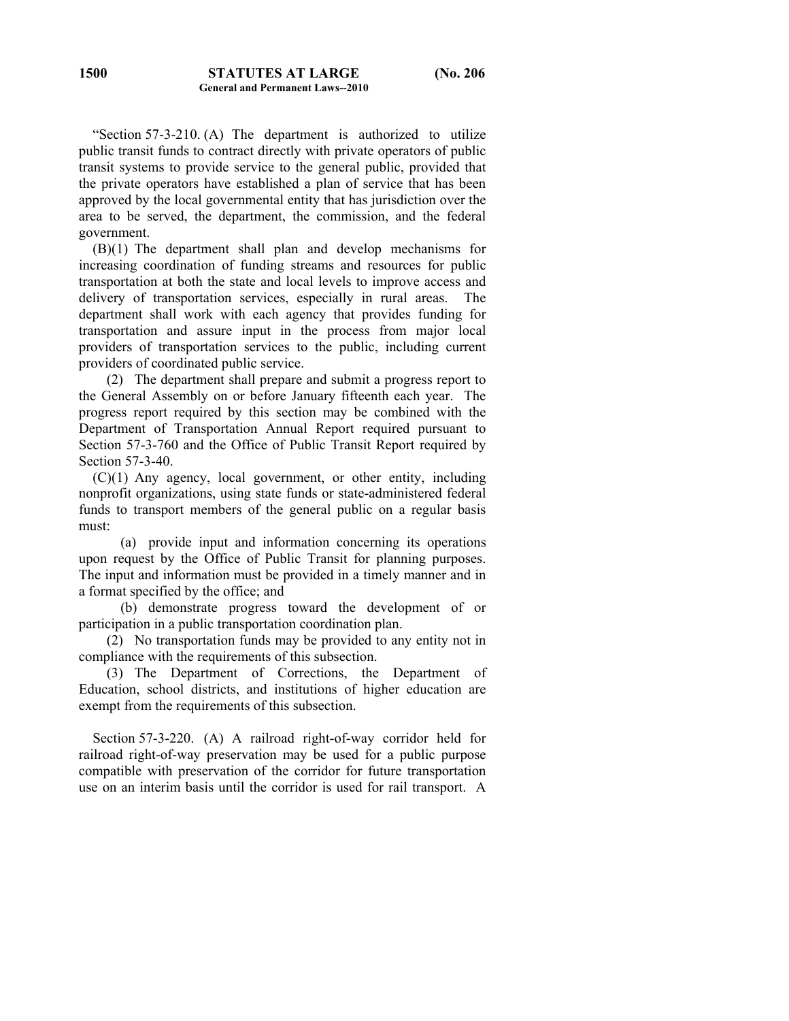"Section 57-3-210. (A) The department is authorized to utilize public transit funds to contract directly with private operators of public transit systems to provide service to the general public, provided that the private operators have established a plan of service that has been approved by the local governmental entity that has jurisdiction over the area to be served, the department, the commission, and the federal government.

 (B)(1) The department shall plan and develop mechanisms for increasing coordination of funding streams and resources for public transportation at both the state and local levels to improve access and delivery of transportation services, especially in rural areas. The department shall work with each agency that provides funding for transportation and assure input in the process from major local providers of transportation services to the public, including current providers of coordinated public service.

 (2) The department shall prepare and submit a progress report to the General Assembly on or before January fifteenth each year. The progress report required by this section may be combined with the Department of Transportation Annual Report required pursuant to Section 57-3-760 and the Office of Public Transit Report required by Section 57-3-40.

 (C)(1) Any agency, local government, or other entity, including nonprofit organizations, using state funds or state-administered federal funds to transport members of the general public on a regular basis must:

 (a) provide input and information concerning its operations upon request by the Office of Public Transit for planning purposes. The input and information must be provided in a timely manner and in a format specified by the office; and

 (b) demonstrate progress toward the development of or participation in a public transportation coordination plan.

 (2) No transportation funds may be provided to any entity not in compliance with the requirements of this subsection.

 (3) The Department of Corrections, the Department of Education, school districts, and institutions of higher education are exempt from the requirements of this subsection.

 Section 57-3-220. (A) A railroad right-of-way corridor held for railroad right-of-way preservation may be used for a public purpose compatible with preservation of the corridor for future transportation use on an interim basis until the corridor is used for rail transport. A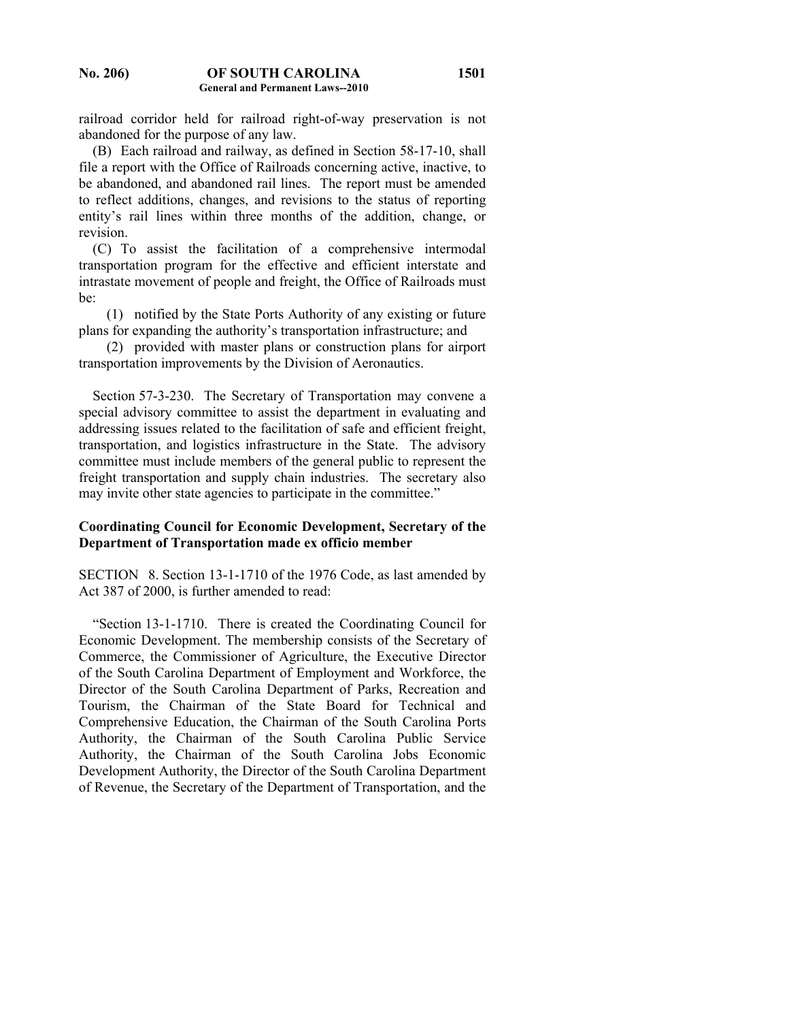railroad corridor held for railroad right-of-way preservation is not abandoned for the purpose of any law.

 (B) Each railroad and railway, as defined in Section 58-17-10, shall file a report with the Office of Railroads concerning active, inactive, to be abandoned, and abandoned rail lines. The report must be amended to reflect additions, changes, and revisions to the status of reporting entity's rail lines within three months of the addition, change, or revision.

 (C) To assist the facilitation of a comprehensive intermodal transportation program for the effective and efficient interstate and intrastate movement of people and freight, the Office of Railroads must be:

 (1) notified by the State Ports Authority of any existing or future plans for expanding the authority's transportation infrastructure; and

 (2) provided with master plans or construction plans for airport transportation improvements by the Division of Aeronautics.

 Section 57-3-230. The Secretary of Transportation may convene a special advisory committee to assist the department in evaluating and addressing issues related to the facilitation of safe and efficient freight, transportation, and logistics infrastructure in the State. The advisory committee must include members of the general public to represent the freight transportation and supply chain industries. The secretary also may invite other state agencies to participate in the committee."

# **Coordinating Council for Economic Development, Secretary of the Department of Transportation made ex officio member**

SECTION 8. Section 13-1-1710 of the 1976 Code, as last amended by Act 387 of 2000, is further amended to read:

 "Section 13-1-1710. There is created the Coordinating Council for Economic Development. The membership consists of the Secretary of Commerce, the Commissioner of Agriculture, the Executive Director of the South Carolina Department of Employment and Workforce, the Director of the South Carolina Department of Parks, Recreation and Tourism, the Chairman of the State Board for Technical and Comprehensive Education, the Chairman of the South Carolina Ports Authority, the Chairman of the South Carolina Public Service Authority, the Chairman of the South Carolina Jobs Economic Development Authority, the Director of the South Carolina Department of Revenue, the Secretary of the Department of Transportation, and the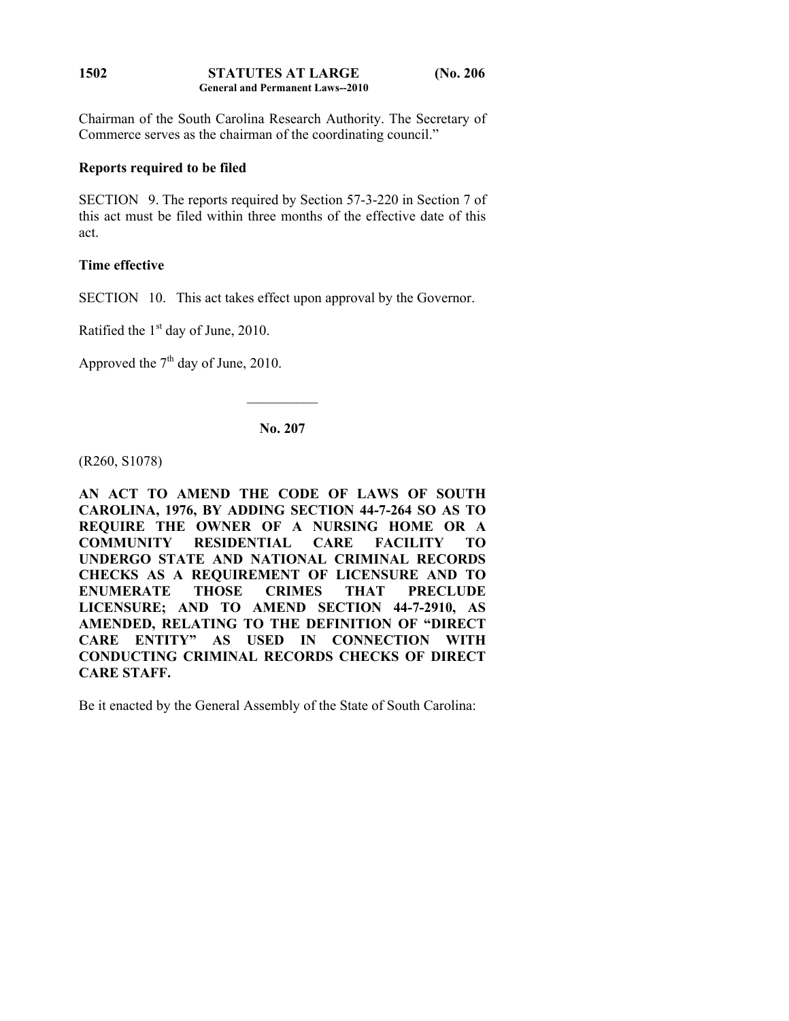Chairman of the South Carolina Research Authority. The Secretary of Commerce serves as the chairman of the coordinating council."

# **Reports required to be filed**

SECTION 9. The reports required by Section 57-3-220 in Section 7 of this act must be filed within three months of the effective date of this act.

# **Time effective**

SECTION 10. This act takes effect upon approval by the Governor.

Ratified the  $1<sup>st</sup>$  day of June, 2010.

Approved the  $7<sup>th</sup>$  day of June, 2010.

**No. 207** 

 $\frac{1}{2}$ 

(R260, S1078)

**AN ACT TO AMEND THE CODE OF LAWS OF SOUTH CAROLINA, 1976, BY ADDING SECTION 44-7-264 SO AS TO REQUIRE THE OWNER OF A NURSING HOME OR A COMMUNITY RESIDENTIAL CARE FACILITY TO UNDERGO STATE AND NATIONAL CRIMINAL RECORDS CHECKS AS A REQUIREMENT OF LICENSURE AND TO ENUMERATE THOSE CRIMES THAT PRECLUDE LICENSURE; AND TO AMEND SECTION 44-7-2910, AS AMENDED, RELATING TO THE DEFINITION OF "DIRECT CARE ENTITY" AS USED IN CONNECTION WITH CONDUCTING CRIMINAL RECORDS CHECKS OF DIRECT CARE STAFF.** 

Be it enacted by the General Assembly of the State of South Carolina: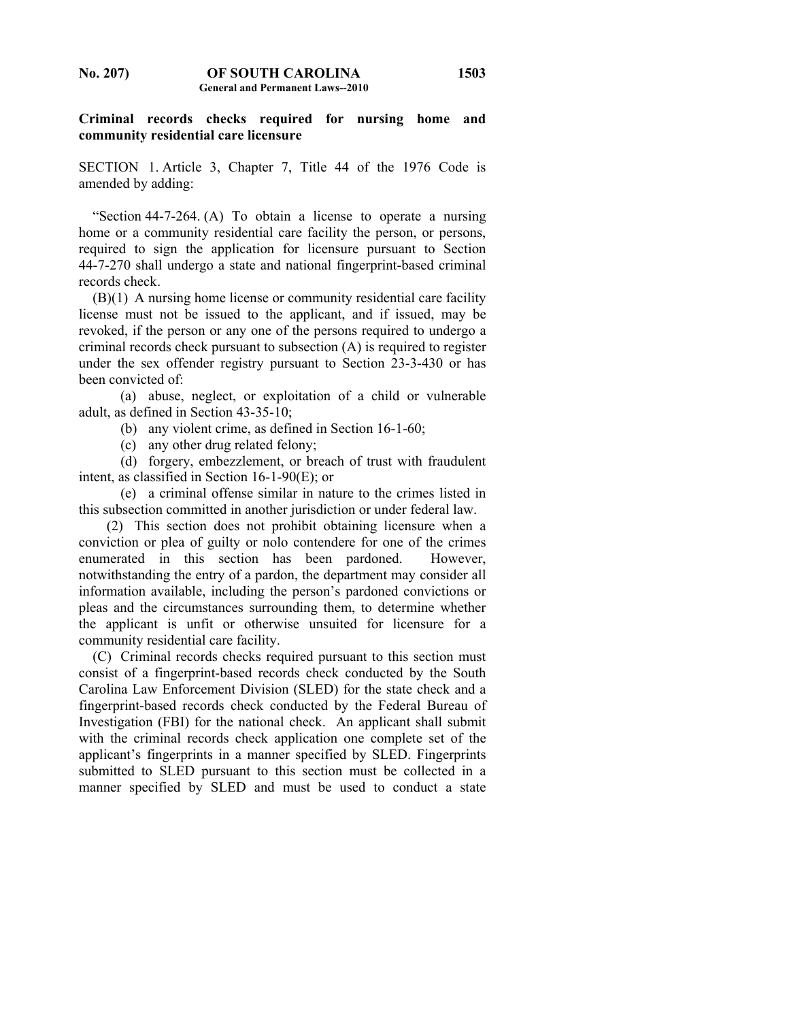## **Criminal records checks required for nursing home and community residential care licensure**

SECTION 1. Article 3, Chapter 7, Title 44 of the 1976 Code is amended by adding:

 "Section 44-7-264. (A) To obtain a license to operate a nursing home or a community residential care facility the person, or persons, required to sign the application for licensure pursuant to Section 44-7-270 shall undergo a state and national fingerprint-based criminal records check.

 (B)(1) A nursing home license or community residential care facility license must not be issued to the applicant, and if issued, may be revoked, if the person or any one of the persons required to undergo a criminal records check pursuant to subsection (A) is required to register under the sex offender registry pursuant to Section 23-3-430 or has been convicted of:

 (a) abuse, neglect, or exploitation of a child or vulnerable adult, as defined in Section 43-35-10;

(b) any violent crime, as defined in Section 16-1-60;

(c) any other drug related felony;

 (d) forgery, embezzlement, or breach of trust with fraudulent intent, as classified in Section 16-1-90(E); or

 (e) a criminal offense similar in nature to the crimes listed in this subsection committed in another jurisdiction or under federal law.

 (2) This section does not prohibit obtaining licensure when a conviction or plea of guilty or nolo contendere for one of the crimes enumerated in this section has been pardoned. However, notwithstanding the entry of a pardon, the department may consider all information available, including the person's pardoned convictions or pleas and the circumstances surrounding them, to determine whether the applicant is unfit or otherwise unsuited for licensure for a community residential care facility.

 (C) Criminal records checks required pursuant to this section must consist of a fingerprint-based records check conducted by the South Carolina Law Enforcement Division (SLED) for the state check and a fingerprint-based records check conducted by the Federal Bureau of Investigation (FBI) for the national check. An applicant shall submit with the criminal records check application one complete set of the applicant's fingerprints in a manner specified by SLED. Fingerprints submitted to SLED pursuant to this section must be collected in a manner specified by SLED and must be used to conduct a state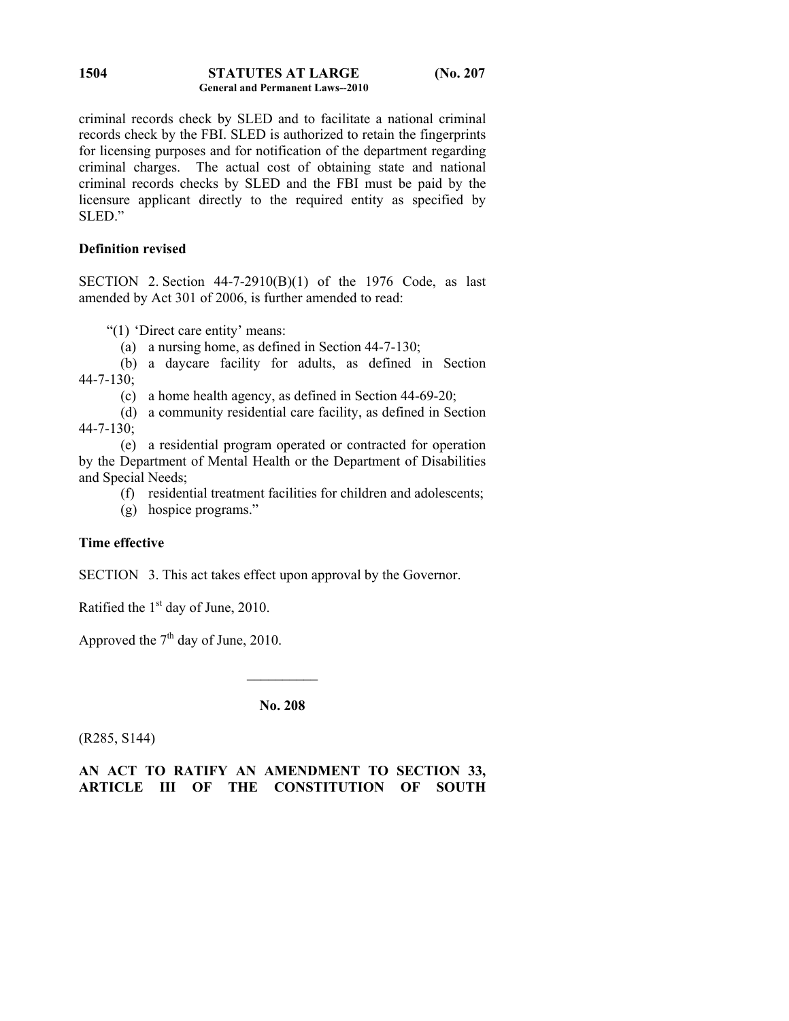#### **STATUTES AT LARGE (No. 207 General and Permanent Laws--2010 1504**

criminal records check by SLED and to facilitate a national criminal records check by the FBI. SLED is authorized to retain the fingerprints for licensing purposes and for notification of the department regarding criminal charges. The actual cost of obtaining state and national criminal records checks by SLED and the FBI must be paid by the licensure applicant directly to the required entity as specified by SLED."

# **Definition revised**

SECTION 2. Section  $44-7-2910(B)(1)$  of the 1976 Code, as last amended by Act 301 of 2006, is further amended to read:

"(1) 'Direct care entity' means:

(a) a nursing home, as defined in Section 44-7-130;

 (b) a daycare facility for adults, as defined in Section  $44 - 7 - 130$ ;

(c) a home health agency, as defined in Section 44-69-20;

 (d) a community residential care facility, as defined in Section 44-7-130;

 (e) a residential program operated or contracted for operation by the Department of Mental Health or the Department of Disabilities and Special Needs;

(f) residential treatment facilities for children and adolescents;

(g) hospice programs."

# **Time effective**

SECTION 3. This act takes effect upon approval by the Governor.

Ratified the  $1<sup>st</sup>$  day of June, 2010.

Approved the  $7<sup>th</sup>$  day of June, 2010.

**No. 208** 

 $\mathcal{L}_\text{max}$ 

(R285, S144)

**AN ACT TO RATIFY AN AMENDMENT TO SECTION 33, ARTICLE III OF THE CONSTITUTION OF SOUTH**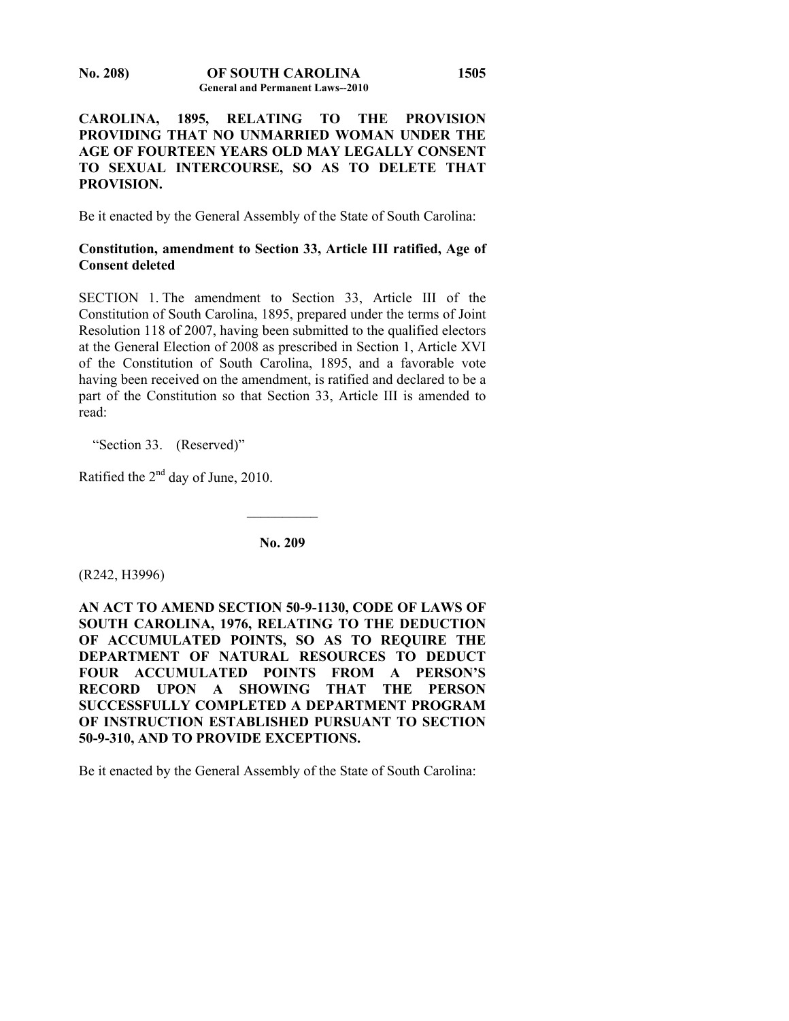# **CAROLINA, 1895, RELATING TO THE PROVISION PROVIDING THAT NO UNMARRIED WOMAN UNDER THE AGE OF FOURTEEN YEARS OLD MAY LEGALLY CONSENT TO SEXUAL INTERCOURSE, SO AS TO DELETE THAT PROVISION.**

Be it enacted by the General Assembly of the State of South Carolina:

# **Constitution, amendment to Section 33, Article III ratified, Age of Consent deleted**

SECTION 1. The amendment to Section 33, Article III of the Constitution of South Carolina, 1895, prepared under the terms of Joint Resolution 118 of 2007, having been submitted to the qualified electors at the General Election of 2008 as prescribed in Section 1, Article XVI of the Constitution of South Carolina, 1895, and a favorable vote having been received on the amendment, is ratified and declared to be a part of the Constitution so that Section 33, Article III is amended to read:

"Section 33. (Reserved)"

Ratified the 2nd day of June, 2010.

**No. 209** 

 $\overline{\phantom{a}}$ 

(R242, H3996)

**AN ACT TO AMEND SECTION 50-9-1130, CODE OF LAWS OF SOUTH CAROLINA, 1976, RELATING TO THE DEDUCTION OF ACCUMULATED POINTS, SO AS TO REQUIRE THE DEPARTMENT OF NATURAL RESOURCES TO DEDUCT FOUR ACCUMULATED POINTS FROM A PERSON'S RECORD UPON A SHOWING THAT THE PERSON SUCCESSFULLY COMPLETED A DEPARTMENT PROGRAM OF INSTRUCTION ESTABLISHED PURSUANT TO SECTION 50-9-310, AND TO PROVIDE EXCEPTIONS.** 

Be it enacted by the General Assembly of the State of South Carolina: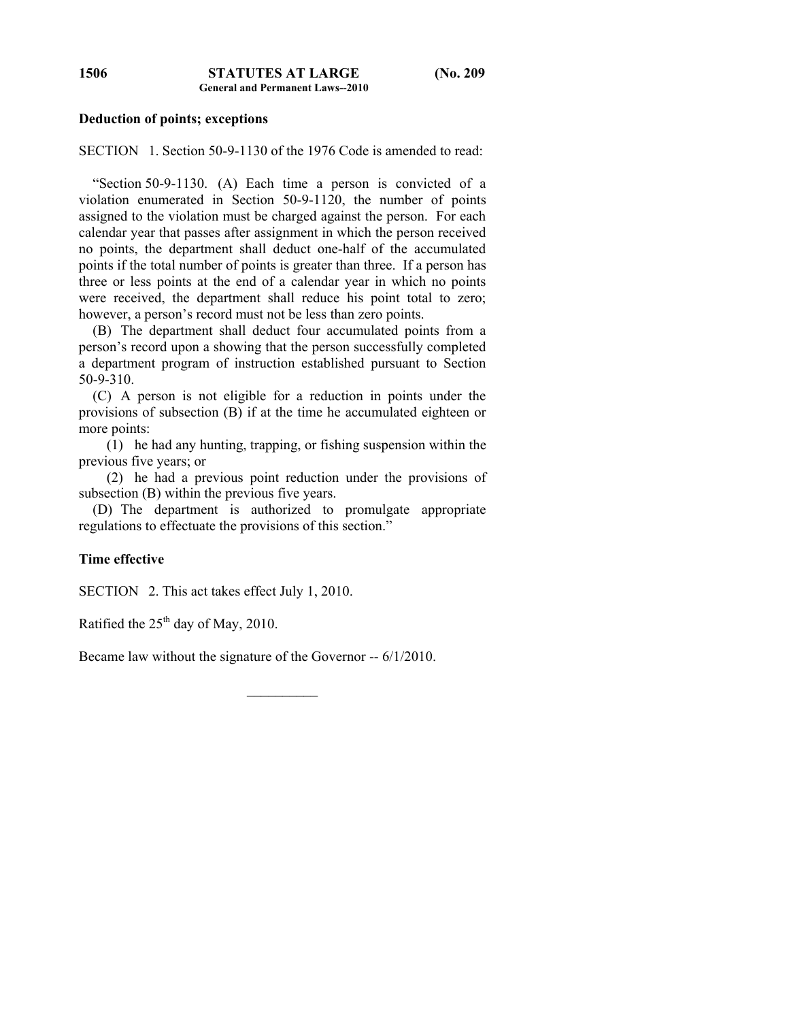#### **Deduction of points; exceptions**

SECTION 1. Section 50-9-1130 of the 1976 Code is amended to read:

 "Section 50-9-1130. (A) Each time a person is convicted of a violation enumerated in Section 50-9-1120, the number of points assigned to the violation must be charged against the person. For each calendar year that passes after assignment in which the person received no points, the department shall deduct one-half of the accumulated points if the total number of points is greater than three. If a person has three or less points at the end of a calendar year in which no points were received, the department shall reduce his point total to zero; however, a person's record must not be less than zero points.

 (B) The department shall deduct four accumulated points from a person's record upon a showing that the person successfully completed a department program of instruction established pursuant to Section 50-9-310.

 (C) A person is not eligible for a reduction in points under the provisions of subsection (B) if at the time he accumulated eighteen or more points:

 (1) he had any hunting, trapping, or fishing suspension within the previous five years; or

 (2) he had a previous point reduction under the provisions of subsection (B) within the previous five years.

 (D) The department is authorized to promulgate appropriate regulations to effectuate the provisions of this section."

# **Time effective**

SECTION 2. This act takes effect July 1, 2010.

Ratified the  $25<sup>th</sup>$  day of May, 2010.

Became law without the signature of the Governor -- 6/1/2010.

 $\mathcal{L}_\text{max}$ 

**1506**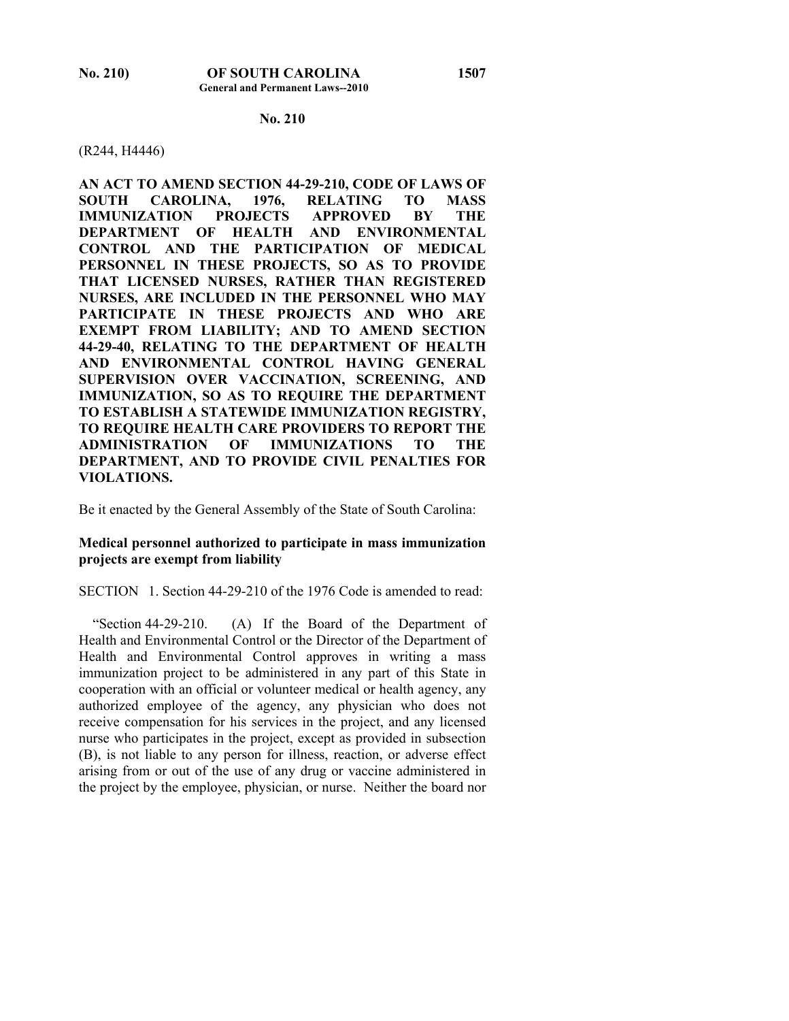## **No. 210**

#### (R244, H4446)

**AN ACT TO AMEND SECTION 44-29-210, CODE OF LAWS OF SOUTH CAROLINA, 1976, RELATING TO MASS IMMUNIZATION PROJECTS APPROVED BY THE DEPARTMENT OF HEALTH AND ENVIRONMENTAL CONTROL AND THE PARTICIPATION OF MEDICAL PERSONNEL IN THESE PROJECTS, SO AS TO PROVIDE THAT LICENSED NURSES, RATHER THAN REGISTERED NURSES, ARE INCLUDED IN THE PERSONNEL WHO MAY PARTICIPATE IN THESE PROJECTS AND WHO ARE EXEMPT FROM LIABILITY; AND TO AMEND SECTION 44-29-40, RELATING TO THE DEPARTMENT OF HEALTH AND ENVIRONMENTAL CONTROL HAVING GENERAL SUPERVISION OVER VACCINATION, SCREENING, AND IMMUNIZATION, SO AS TO REQUIRE THE DEPARTMENT TO ESTABLISH A STATEWIDE IMMUNIZATION REGISTRY, TO REQUIRE HEALTH CARE PROVIDERS TO REPORT THE ADMINISTRATION OF IMMUNIZATIONS TO THE DEPARTMENT, AND TO PROVIDE CIVIL PENALTIES FOR VIOLATIONS.** 

Be it enacted by the General Assembly of the State of South Carolina:

# **Medical personnel authorized to participate in mass immunization projects are exempt from liability**

SECTION 1. Section 44-29-210 of the 1976 Code is amended to read:

 "Section 44-29-210. (A) If the Board of the Department of Health and Environmental Control or the Director of the Department of Health and Environmental Control approves in writing a mass immunization project to be administered in any part of this State in cooperation with an official or volunteer medical or health agency, any authorized employee of the agency, any physician who does not receive compensation for his services in the project, and any licensed nurse who participates in the project, except as provided in subsection (B), is not liable to any person for illness, reaction, or adverse effect arising from or out of the use of any drug or vaccine administered in the project by the employee, physician, or nurse. Neither the board nor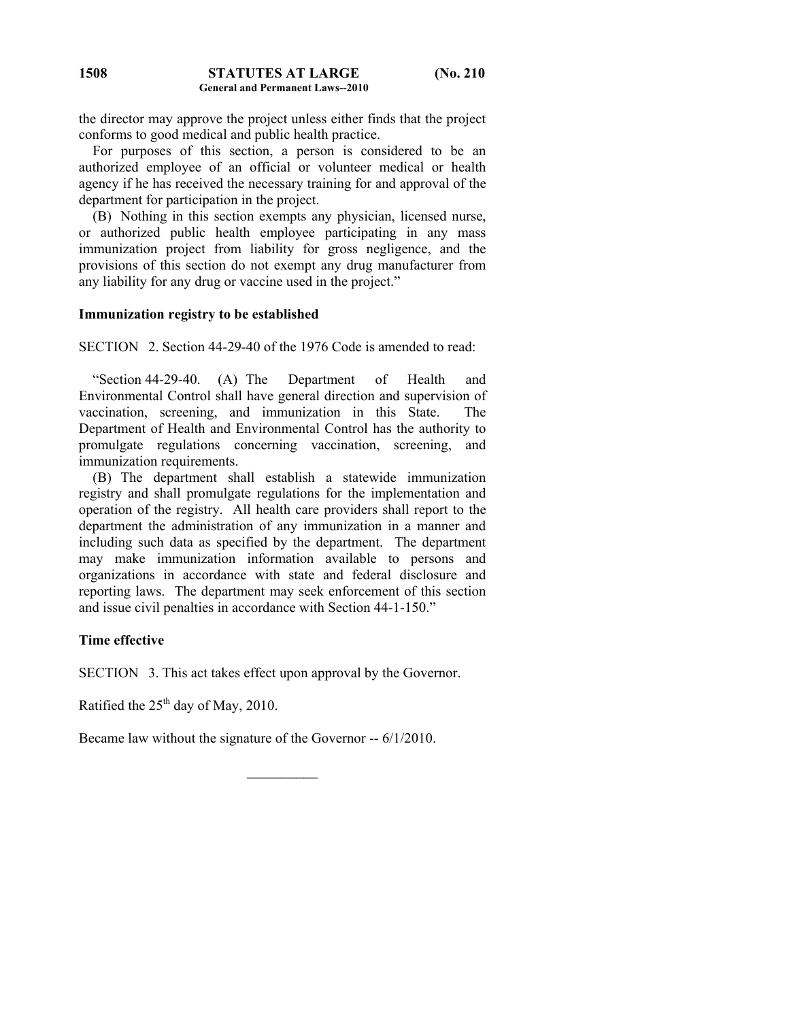the director may approve the project unless either finds that the project conforms to good medical and public health practice.

 For purposes of this section, a person is considered to be an authorized employee of an official or volunteer medical or health agency if he has received the necessary training for and approval of the department for participation in the project.

 (B) Nothing in this section exempts any physician, licensed nurse, or authorized public health employee participating in any mass immunization project from liability for gross negligence, and the provisions of this section do not exempt any drug manufacturer from any liability for any drug or vaccine used in the project."

#### **Immunization registry to be established**

SECTION 2. Section 44-29-40 of the 1976 Code is amended to read:

 "Section 44-29-40. (A) The Department of Health and Environmental Control shall have general direction and supervision of vaccination, screening, and immunization in this State. The Department of Health and Environmental Control has the authority to promulgate regulations concerning vaccination, screening, and immunization requirements.

 (B) The department shall establish a statewide immunization registry and shall promulgate regulations for the implementation and operation of the registry. All health care providers shall report to the department the administration of any immunization in a manner and including such data as specified by the department. The department may make immunization information available to persons and organizations in accordance with state and federal disclosure and reporting laws. The department may seek enforcement of this section and issue civil penalties in accordance with Section 44-1-150."

## **Time effective**

SECTION 3. This act takes effect upon approval by the Governor.

Ratified the  $25<sup>th</sup>$  day of May, 2010.

Became law without the signature of the Governor -- 6/1/2010.

 $\mathcal{L}_\text{max}$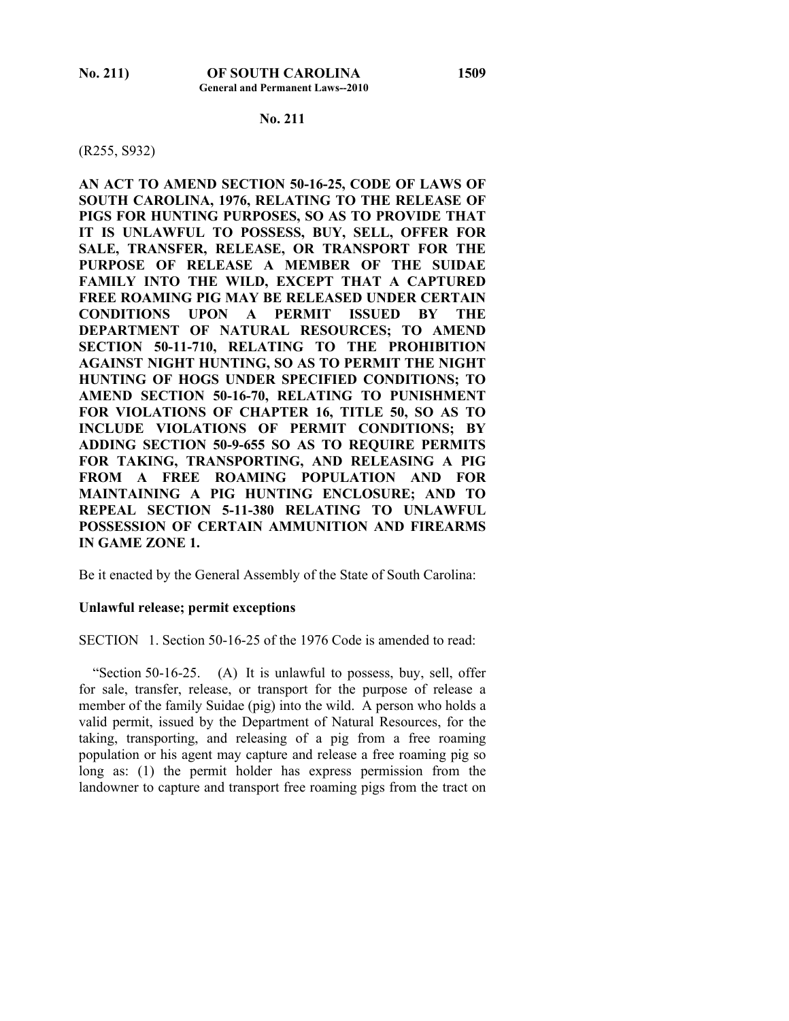## **No. 211**

#### (R255, S932)

**AN ACT TO AMEND SECTION 50-16-25, CODE OF LAWS OF SOUTH CAROLINA, 1976, RELATING TO THE RELEASE OF PIGS FOR HUNTING PURPOSES, SO AS TO PROVIDE THAT IT IS UNLAWFUL TO POSSESS, BUY, SELL, OFFER FOR SALE, TRANSFER, RELEASE, OR TRANSPORT FOR THE PURPOSE OF RELEASE A MEMBER OF THE SUIDAE FAMILY INTO THE WILD, EXCEPT THAT A CAPTURED FREE ROAMING PIG MAY BE RELEASED UNDER CERTAIN CONDITIONS UPON A PERMIT ISSUED BY THE DEPARTMENT OF NATURAL RESOURCES; TO AMEND SECTION 50-11-710, RELATING TO THE PROHIBITION AGAINST NIGHT HUNTING, SO AS TO PERMIT THE NIGHT HUNTING OF HOGS UNDER SPECIFIED CONDITIONS; TO AMEND SECTION 50-16-70, RELATING TO PUNISHMENT FOR VIOLATIONS OF CHAPTER 16, TITLE 50, SO AS TO INCLUDE VIOLATIONS OF PERMIT CONDITIONS; BY ADDING SECTION 50-9-655 SO AS TO REQUIRE PERMITS FOR TAKING, TRANSPORTING, AND RELEASING A PIG FROM A FREE ROAMING POPULATION AND FOR MAINTAINING A PIG HUNTING ENCLOSURE; AND TO REPEAL SECTION 5-11-380 RELATING TO UNLAWFUL POSSESSION OF CERTAIN AMMUNITION AND FIREARMS IN GAME ZONE 1.** 

Be it enacted by the General Assembly of the State of South Carolina:

#### **Unlawful release; permit exceptions**

SECTION 1. Section 50-16-25 of the 1976 Code is amended to read:

 "Section 50-16-25. (A) It is unlawful to possess, buy, sell, offer for sale, transfer, release, or transport for the purpose of release a member of the family Suidae (pig) into the wild. A person who holds a valid permit, issued by the Department of Natural Resources, for the taking, transporting, and releasing of a pig from a free roaming population or his agent may capture and release a free roaming pig so long as: (1) the permit holder has express permission from the landowner to capture and transport free roaming pigs from the tract on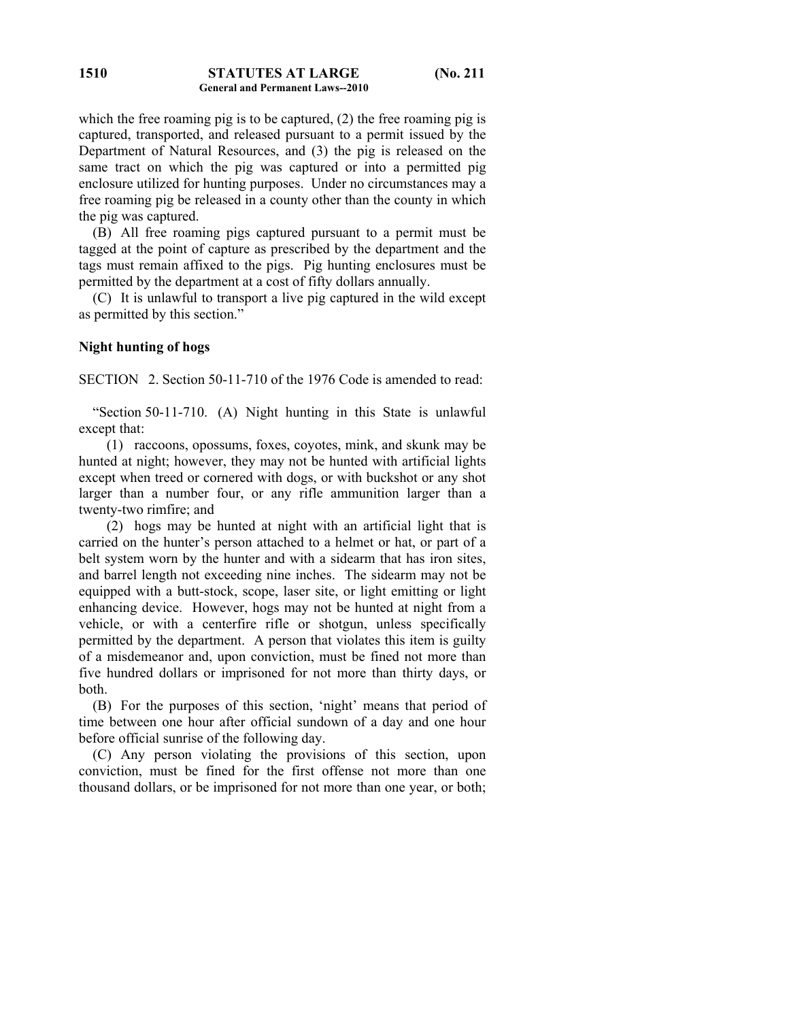which the free roaming pig is to be captured, (2) the free roaming pig is captured, transported, and released pursuant to a permit issued by the Department of Natural Resources, and (3) the pig is released on the same tract on which the pig was captured or into a permitted pig enclosure utilized for hunting purposes. Under no circumstances may a free roaming pig be released in a county other than the county in which the pig was captured.

 (B) All free roaming pigs captured pursuant to a permit must be tagged at the point of capture as prescribed by the department and the tags must remain affixed to the pigs. Pig hunting enclosures must be permitted by the department at a cost of fifty dollars annually.

 (C) It is unlawful to transport a live pig captured in the wild except as permitted by this section."

## **Night hunting of hogs**

SECTION 2. Section 50-11-710 of the 1976 Code is amended to read:

 "Section 50-11-710. (A) Night hunting in this State is unlawful except that:

 (1) raccoons, opossums, foxes, coyotes, mink, and skunk may be hunted at night; however, they may not be hunted with artificial lights except when treed or cornered with dogs, or with buckshot or any shot larger than a number four, or any rifle ammunition larger than a twenty-two rimfire; and

 (2) hogs may be hunted at night with an artificial light that is carried on the hunter's person attached to a helmet or hat, or part of a belt system worn by the hunter and with a sidearm that has iron sites, and barrel length not exceeding nine inches. The sidearm may not be equipped with a butt-stock, scope, laser site, or light emitting or light enhancing device. However, hogs may not be hunted at night from a vehicle, or with a centerfire rifle or shotgun, unless specifically permitted by the department. A person that violates this item is guilty of a misdemeanor and, upon conviction, must be fined not more than five hundred dollars or imprisoned for not more than thirty days, or both.

 (B) For the purposes of this section, 'night' means that period of time between one hour after official sundown of a day and one hour before official sunrise of the following day.

 (C) Any person violating the provisions of this section, upon conviction, must be fined for the first offense not more than one thousand dollars, or be imprisoned for not more than one year, or both;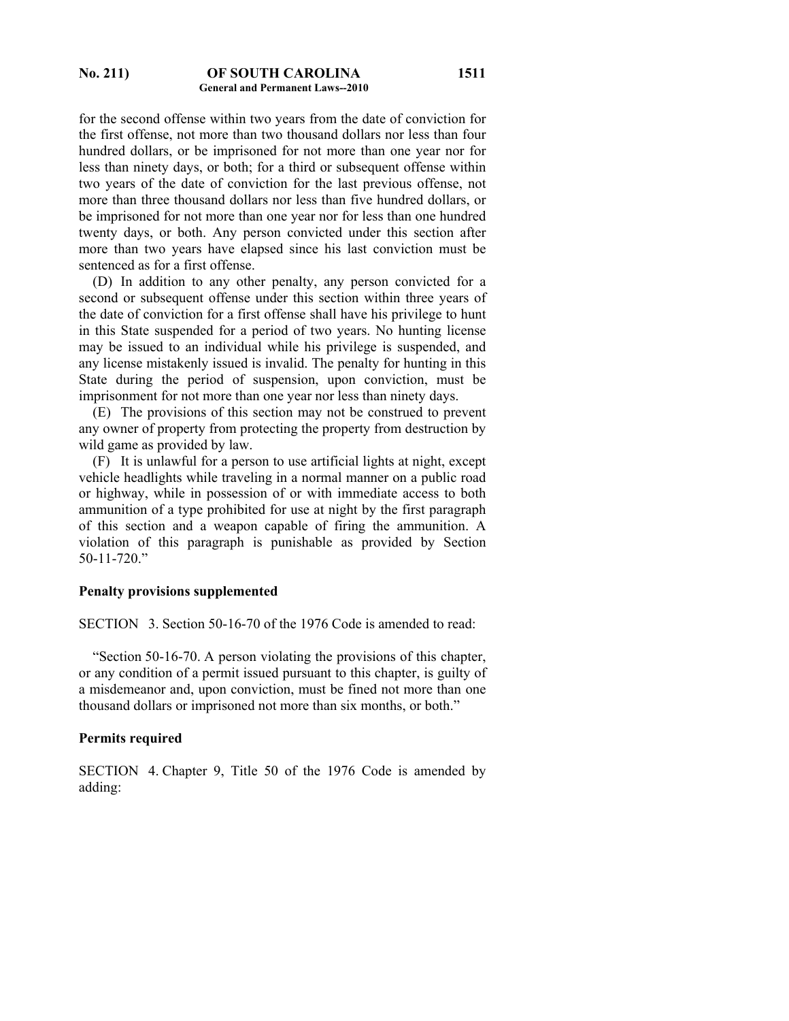#### **No. 211) OF SOUTH CAROLINA General and Permanent Laws--2010**

for the second offense within two years from the date of conviction for the first offense, not more than two thousand dollars nor less than four hundred dollars, or be imprisoned for not more than one year nor for less than ninety days, or both; for a third or subsequent offense within two years of the date of conviction for the last previous offense, not more than three thousand dollars nor less than five hundred dollars, or be imprisoned for not more than one year nor for less than one hundred twenty days, or both. Any person convicted under this section after more than two years have elapsed since his last conviction must be sentenced as for a first offense.

 (D) In addition to any other penalty, any person convicted for a second or subsequent offense under this section within three years of the date of conviction for a first offense shall have his privilege to hunt in this State suspended for a period of two years. No hunting license may be issued to an individual while his privilege is suspended, and any license mistakenly issued is invalid. The penalty for hunting in this State during the period of suspension, upon conviction, must be imprisonment for not more than one year nor less than ninety days.

 (E) The provisions of this section may not be construed to prevent any owner of property from protecting the property from destruction by wild game as provided by law.

 (F) It is unlawful for a person to use artificial lights at night, except vehicle headlights while traveling in a normal manner on a public road or highway, while in possession of or with immediate access to both ammunition of a type prohibited for use at night by the first paragraph of this section and a weapon capable of firing the ammunition. A violation of this paragraph is punishable as provided by Section 50-11-720."

#### **Penalty provisions supplemented**

SECTION 3. Section 50-16-70 of the 1976 Code is amended to read:

 "Section 50-16-70. A person violating the provisions of this chapter, or any condition of a permit issued pursuant to this chapter, is guilty of a misdemeanor and, upon conviction, must be fined not more than one thousand dollars or imprisoned not more than six months, or both."

#### **Permits required**

SECTION 4. Chapter 9, Title 50 of the 1976 Code is amended by adding: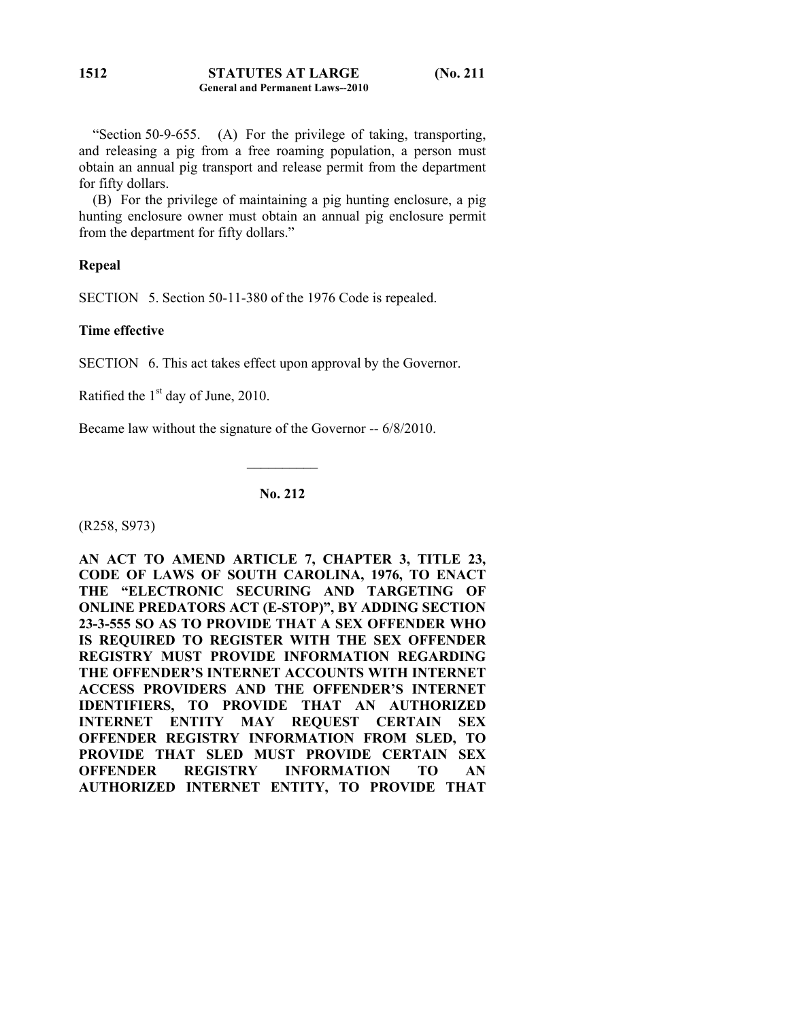"Section 50-9-655. (A) For the privilege of taking, transporting, and releasing a pig from a free roaming population, a person must obtain an annual pig transport and release permit from the department for fifty dollars.

 (B) For the privilege of maintaining a pig hunting enclosure, a pig hunting enclosure owner must obtain an annual pig enclosure permit from the department for fifty dollars."

## **Repeal**

SECTION 5. Section 50-11-380 of the 1976 Code is repealed.

# **Time effective**

SECTION 6. This act takes effect upon approval by the Governor.

Ratified the  $1<sup>st</sup>$  day of June, 2010.

Became law without the signature of the Governor -- 6/8/2010.

# **No. 212**

 $\frac{1}{2}$ 

(R258, S973)

**AN ACT TO AMEND ARTICLE 7, CHAPTER 3, TITLE 23, CODE OF LAWS OF SOUTH CAROLINA, 1976, TO ENACT THE "ELECTRONIC SECURING AND TARGETING OF ONLINE PREDATORS ACT (E-STOP)", BY ADDING SECTION 23-3-555 SO AS TO PROVIDE THAT A SEX OFFENDER WHO IS REQUIRED TO REGISTER WITH THE SEX OFFENDER REGISTRY MUST PROVIDE INFORMATION REGARDING THE OFFENDER'S INTERNET ACCOUNTS WITH INTERNET ACCESS PROVIDERS AND THE OFFENDER'S INTERNET IDENTIFIERS, TO PROVIDE THAT AN AUTHORIZED INTERNET ENTITY MAY REQUEST CERTAIN SEX OFFENDER REGISTRY INFORMATION FROM SLED, TO PROVIDE THAT SLED MUST PROVIDE CERTAIN SEX OFFENDER REGISTRY INFORMATION TO AN AUTHORIZED INTERNET ENTITY, TO PROVIDE THAT**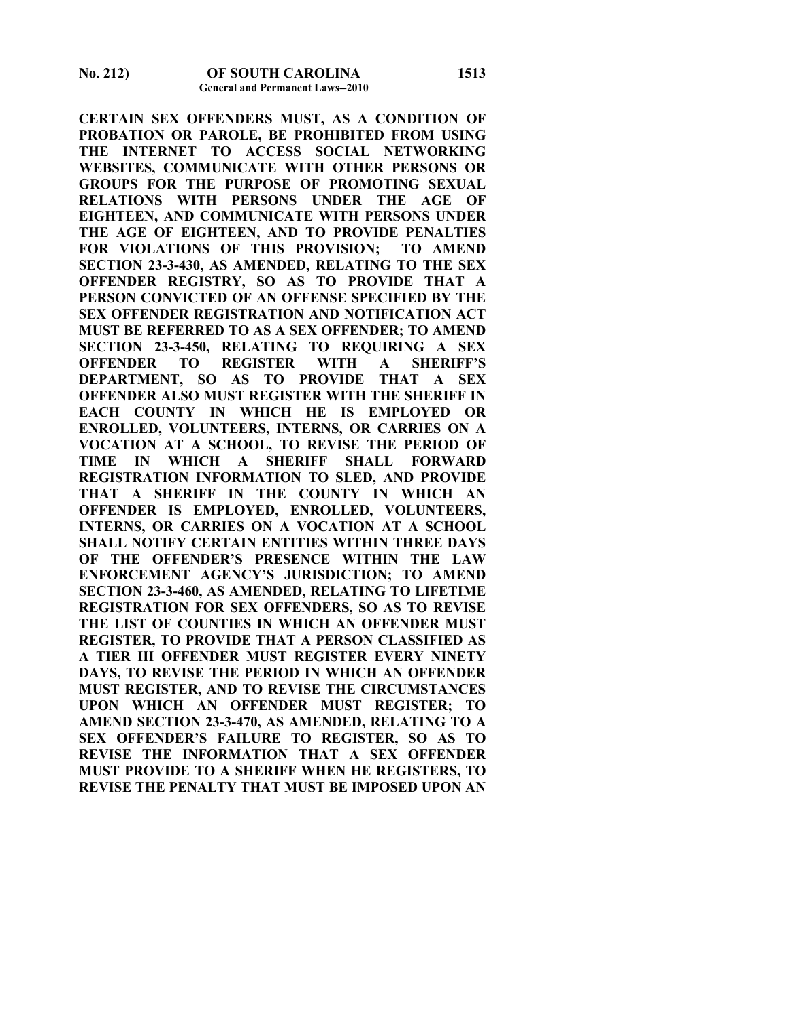**CERTAIN SEX OFFENDERS MUST, AS A CONDITION OF PROBATION OR PAROLE, BE PROHIBITED FROM USING THE INTERNET TO ACCESS SOCIAL NETWORKING WEBSITES, COMMUNICATE WITH OTHER PERSONS OR GROUPS FOR THE PURPOSE OF PROMOTING SEXUAL RELATIONS WITH PERSONS UNDER THE AGE OF EIGHTEEN, AND COMMUNICATE WITH PERSONS UNDER THE AGE OF EIGHTEEN, AND TO PROVIDE PENALTIES FOR VIOLATIONS OF THIS PROVISION; TO AMEND SECTION 23-3-430, AS AMENDED, RELATING TO THE SEX OFFENDER REGISTRY, SO AS TO PROVIDE THAT A PERSON CONVICTED OF AN OFFENSE SPECIFIED BY THE SEX OFFENDER REGISTRATION AND NOTIFICATION ACT MUST BE REFERRED TO AS A SEX OFFENDER; TO AMEND SECTION 23-3-450, RELATING TO REQUIRING A SEX OFFENDER TO REGISTER WITH A SHERIFF'S DEPARTMENT, SO AS TO PROVIDE THAT A SEX OFFENDER ALSO MUST REGISTER WITH THE SHERIFF IN EACH COUNTY IN WHICH HE IS EMPLOYED OR ENROLLED, VOLUNTEERS, INTERNS, OR CARRIES ON A VOCATION AT A SCHOOL, TO REVISE THE PERIOD OF TIME IN WHICH A SHERIFF SHALL FORWARD REGISTRATION INFORMATION TO SLED, AND PROVIDE THAT A SHERIFF IN THE COUNTY IN WHICH AN OFFENDER IS EMPLOYED, ENROLLED, VOLUNTEERS, INTERNS, OR CARRIES ON A VOCATION AT A SCHOOL SHALL NOTIFY CERTAIN ENTITIES WITHIN THREE DAYS OF THE OFFENDER'S PRESENCE WITHIN THE LAW ENFORCEMENT AGENCY'S JURISDICTION; TO AMEND SECTION 23-3-460, AS AMENDED, RELATING TO LIFETIME REGISTRATION FOR SEX OFFENDERS, SO AS TO REVISE THE LIST OF COUNTIES IN WHICH AN OFFENDER MUST REGISTER, TO PROVIDE THAT A PERSON CLASSIFIED AS A TIER III OFFENDER MUST REGISTER EVERY NINETY DAYS, TO REVISE THE PERIOD IN WHICH AN OFFENDER MUST REGISTER, AND TO REVISE THE CIRCUMSTANCES UPON WHICH AN OFFENDER MUST REGISTER; TO AMEND SECTION 23-3-470, AS AMENDED, RELATING TO A SEX OFFENDER'S FAILURE TO REGISTER, SO AS TO REVISE THE INFORMATION THAT A SEX OFFENDER MUST PROVIDE TO A SHERIFF WHEN HE REGISTERS, TO REVISE THE PENALTY THAT MUST BE IMPOSED UPON AN**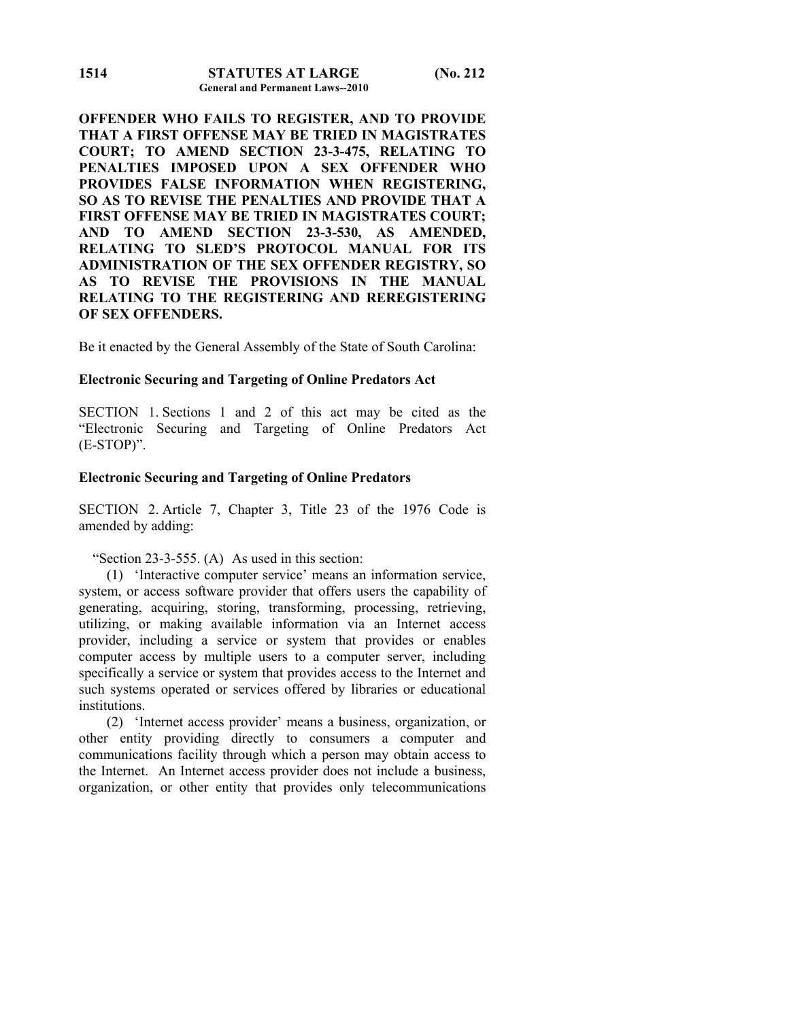**OFFENDER WHO FAILS TO REGISTER, AND TO PROVIDE THAT A FIRST OFFENSE MAY BE TRIED IN MAGISTRATES COURT; TO AMEND SECTION 23-3-475, RELATING TO PENALTIES IMPOSED UPON A SEX OFFENDER WHO PROVIDES FALSE INFORMATION WHEN REGISTERING, SO AS TO REVISE THE PENALTIES AND PROVIDE THAT A FIRST OFFENSE MAY BE TRIED IN MAGISTRATES COURT; AND TO AMEND SECTION 23-3-530, AS AMENDED, RELATING TO SLED'S PROTOCOL MANUAL FOR ITS ADMINISTRATION OF THE SEX OFFENDER REGISTRY, SO AS TO REVISE THE PROVISIONS IN THE MANUAL RELATING TO THE REGISTERING AND REREGISTERING OF SEX OFFENDERS.** 

Be it enacted by the General Assembly of the State of South Carolina:

## **Electronic Securing and Targeting of Online Predators Act**

SECTION 1. Sections 1 and 2 of this act may be cited as the "Electronic Securing and Targeting of Online Predators Act (E-STOP)".

#### **Electronic Securing and Targeting of Online Predators**

SECTION 2. Article 7, Chapter 3, Title 23 of the 1976 Code is amended by adding:

#### "Section 23-3-555. (A) As used in this section:

 (1) 'Interactive computer service' means an information service, system, or access software provider that offers users the capability of generating, acquiring, storing, transforming, processing, retrieving, utilizing, or making available information via an Internet access provider, including a service or system that provides or enables computer access by multiple users to a computer server, including specifically a service or system that provides access to the Internet and such systems operated or services offered by libraries or educational institutions.

 (2) 'Internet access provider' means a business, organization, or other entity providing directly to consumers a computer and communications facility through which a person may obtain access to the Internet. An Internet access provider does not include a business, organization, or other entity that provides only telecommunications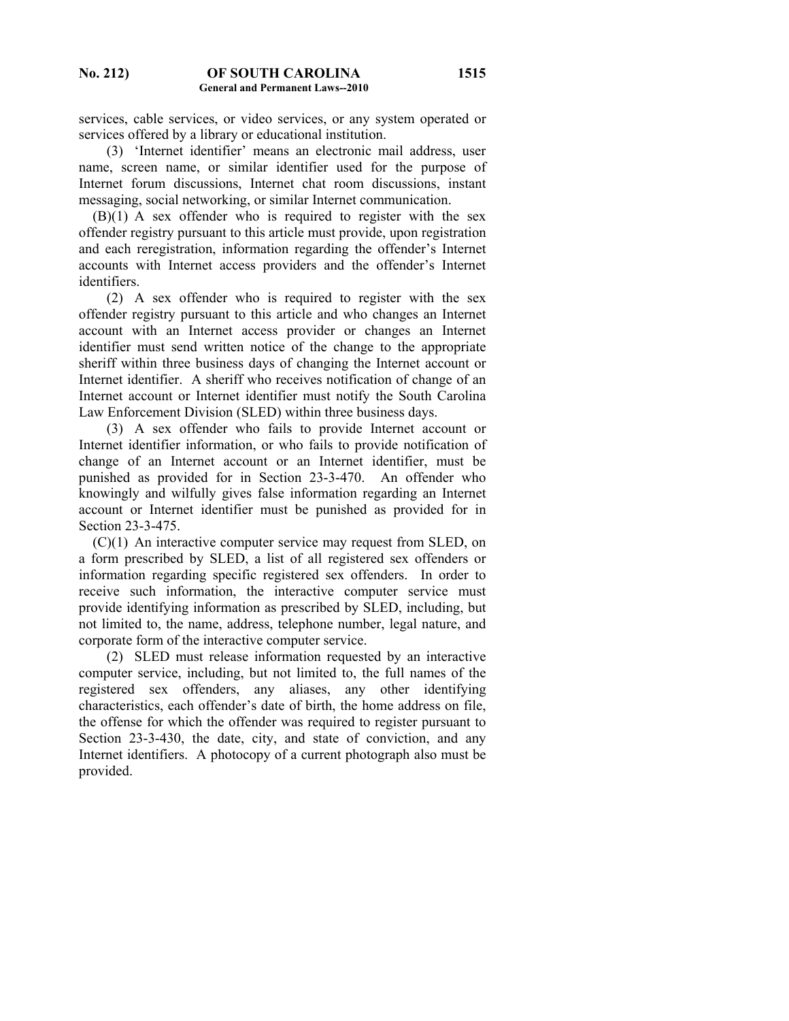services, cable services, or video services, or any system operated or services offered by a library or educational institution.

 (3) 'Internet identifier' means an electronic mail address, user name, screen name, or similar identifier used for the purpose of Internet forum discussions, Internet chat room discussions, instant messaging, social networking, or similar Internet communication.

 $(B)(1)$  A sex offender who is required to register with the sex offender registry pursuant to this article must provide, upon registration and each reregistration, information regarding the offender's Internet accounts with Internet access providers and the offender's Internet identifiers.

 (2) A sex offender who is required to register with the sex offender registry pursuant to this article and who changes an Internet account with an Internet access provider or changes an Internet identifier must send written notice of the change to the appropriate sheriff within three business days of changing the Internet account or Internet identifier. A sheriff who receives notification of change of an Internet account or Internet identifier must notify the South Carolina Law Enforcement Division (SLED) within three business days.

 (3) A sex offender who fails to provide Internet account or Internet identifier information, or who fails to provide notification of change of an Internet account or an Internet identifier, must be punished as provided for in Section 23-3-470. An offender who knowingly and wilfully gives false information regarding an Internet account or Internet identifier must be punished as provided for in Section 23-3-475.

 (C)(1) An interactive computer service may request from SLED, on a form prescribed by SLED, a list of all registered sex offenders or information regarding specific registered sex offenders. In order to receive such information, the interactive computer service must provide identifying information as prescribed by SLED, including, but not limited to, the name, address, telephone number, legal nature, and corporate form of the interactive computer service.

 (2) SLED must release information requested by an interactive computer service, including, but not limited to, the full names of the registered sex offenders, any aliases, any other identifying characteristics, each offender's date of birth, the home address on file, the offense for which the offender was required to register pursuant to Section 23-3-430, the date, city, and state of conviction, and any Internet identifiers. A photocopy of a current photograph also must be provided.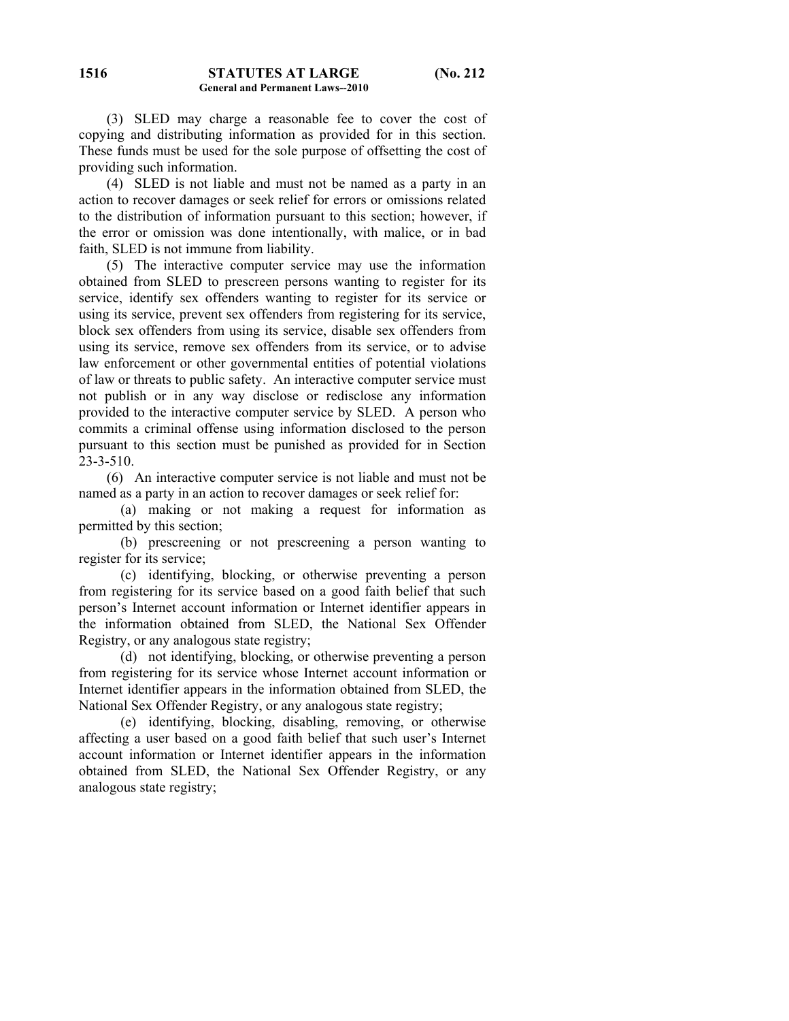(3) SLED may charge a reasonable fee to cover the cost of copying and distributing information as provided for in this section. These funds must be used for the sole purpose of offsetting the cost of providing such information.

 (4) SLED is not liable and must not be named as a party in an action to recover damages or seek relief for errors or omissions related to the distribution of information pursuant to this section; however, if the error or omission was done intentionally, with malice, or in bad faith, SLED is not immune from liability.

 (5) The interactive computer service may use the information obtained from SLED to prescreen persons wanting to register for its service, identify sex offenders wanting to register for its service or using its service, prevent sex offenders from registering for its service, block sex offenders from using its service, disable sex offenders from using its service, remove sex offenders from its service, or to advise law enforcement or other governmental entities of potential violations of law or threats to public safety. An interactive computer service must not publish or in any way disclose or redisclose any information provided to the interactive computer service by SLED. A person who commits a criminal offense using information disclosed to the person pursuant to this section must be punished as provided for in Section 23-3-510.

 (6) An interactive computer service is not liable and must not be named as a party in an action to recover damages or seek relief for:

 (a) making or not making a request for information as permitted by this section;

 (b) prescreening or not prescreening a person wanting to register for its service;

 (c) identifying, blocking, or otherwise preventing a person from registering for its service based on a good faith belief that such person's Internet account information or Internet identifier appears in the information obtained from SLED, the National Sex Offender Registry, or any analogous state registry;

 (d) not identifying, blocking, or otherwise preventing a person from registering for its service whose Internet account information or Internet identifier appears in the information obtained from SLED, the National Sex Offender Registry, or any analogous state registry;

 (e) identifying, blocking, disabling, removing, or otherwise affecting a user based on a good faith belief that such user's Internet account information or Internet identifier appears in the information obtained from SLED, the National Sex Offender Registry, or any analogous state registry;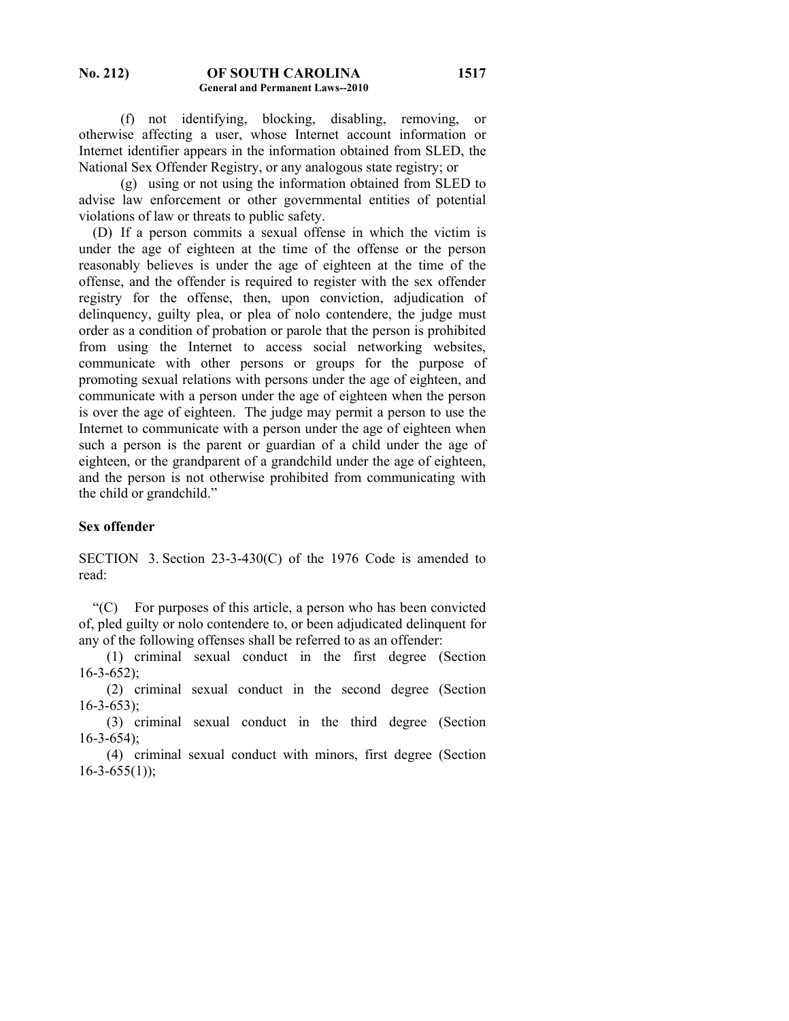(f) not identifying, blocking, disabling, removing, or otherwise affecting a user, whose Internet account information or Internet identifier appears in the information obtained from SLED, the National Sex Offender Registry, or any analogous state registry; or

 (g) using or not using the information obtained from SLED to advise law enforcement or other governmental entities of potential violations of law or threats to public safety.

 (D) If a person commits a sexual offense in which the victim is under the age of eighteen at the time of the offense or the person reasonably believes is under the age of eighteen at the time of the offense, and the offender is required to register with the sex offender registry for the offense, then, upon conviction, adjudication of delinquency, guilty plea, or plea of nolo contendere, the judge must order as a condition of probation or parole that the person is prohibited from using the Internet to access social networking websites, communicate with other persons or groups for the purpose of promoting sexual relations with persons under the age of eighteen, and communicate with a person under the age of eighteen when the person is over the age of eighteen. The judge may permit a person to use the Internet to communicate with a person under the age of eighteen when such a person is the parent or guardian of a child under the age of eighteen, or the grandparent of a grandchild under the age of eighteen, and the person is not otherwise prohibited from communicating with the child or grandchild."

# **Sex offender**

SECTION 3. Section 23-3-430(C) of the 1976 Code is amended to read:

 "(C) For purposes of this article, a person who has been convicted of, pled guilty or nolo contendere to, or been adjudicated delinquent for any of the following offenses shall be referred to as an offender:

 (1) criminal sexual conduct in the first degree (Section 16-3-652);

 (2) criminal sexual conduct in the second degree (Section 16-3-653);

 (3) criminal sexual conduct in the third degree (Section 16-3-654);

 (4) criminal sexual conduct with minors, first degree (Section  $16 - 3 - 655(1)$ ;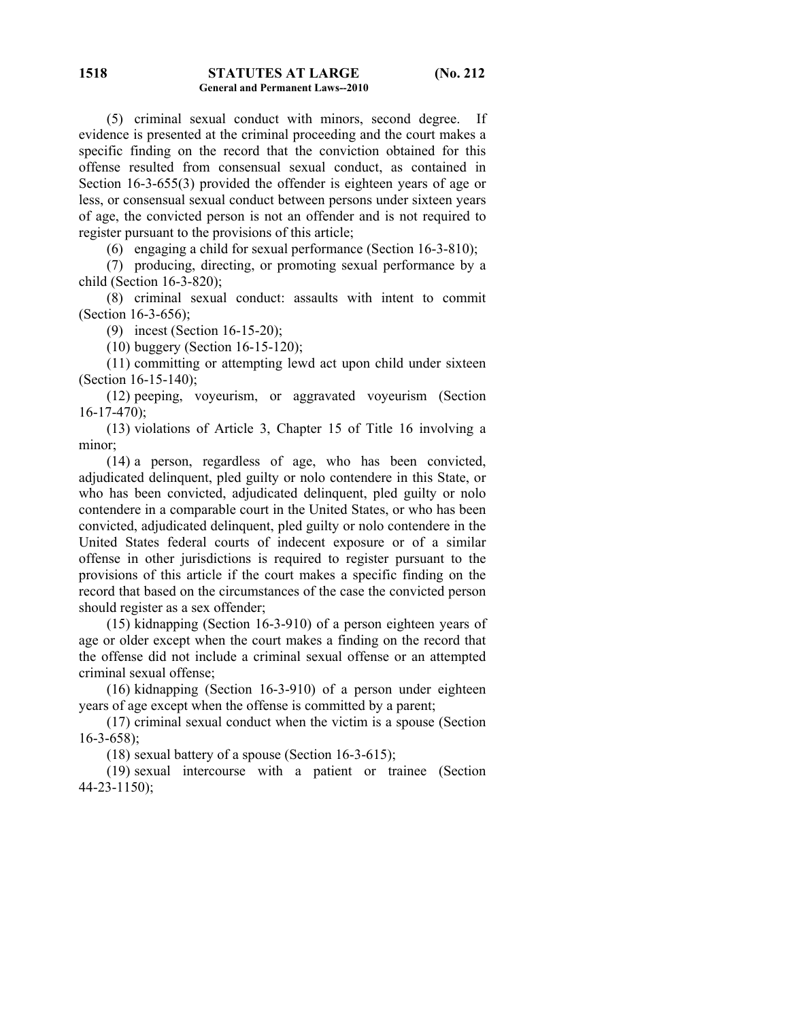(5) criminal sexual conduct with minors, second degree. If evidence is presented at the criminal proceeding and the court makes a specific finding on the record that the conviction obtained for this offense resulted from consensual sexual conduct, as contained in Section 16-3-655(3) provided the offender is eighteen years of age or less, or consensual sexual conduct between persons under sixteen years of age, the convicted person is not an offender and is not required to register pursuant to the provisions of this article;

(6) engaging a child for sexual performance (Section 16-3-810);

 (7) producing, directing, or promoting sexual performance by a child (Section 16-3-820);

 (8) criminal sexual conduct: assaults with intent to commit (Section 16-3-656);

(9) incest (Section 16-15-20);

(10) buggery (Section 16-15-120);

 (11) committing or attempting lewd act upon child under sixteen (Section 16-15-140);

 (12) peeping, voyeurism, or aggravated voyeurism (Section  $16-17-470$ ;

 (13) violations of Article 3, Chapter 15 of Title 16 involving a minor;

 (14) a person, regardless of age, who has been convicted, adjudicated delinquent, pled guilty or nolo contendere in this State, or who has been convicted, adjudicated delinquent, pled guilty or nolo contendere in a comparable court in the United States, or who has been convicted, adjudicated delinquent, pled guilty or nolo contendere in the United States federal courts of indecent exposure or of a similar offense in other jurisdictions is required to register pursuant to the provisions of this article if the court makes a specific finding on the record that based on the circumstances of the case the convicted person should register as a sex offender;

 (15) kidnapping (Section 16-3-910) of a person eighteen years of age or older except when the court makes a finding on the record that the offense did not include a criminal sexual offense or an attempted criminal sexual offense;

 (16) kidnapping (Section 16-3-910) of a person under eighteen years of age except when the offense is committed by a parent;

 (17) criminal sexual conduct when the victim is a spouse (Section 16-3-658);

(18) sexual battery of a spouse (Section 16-3-615);

 (19) sexual intercourse with a patient or trainee (Section 44-23-1150);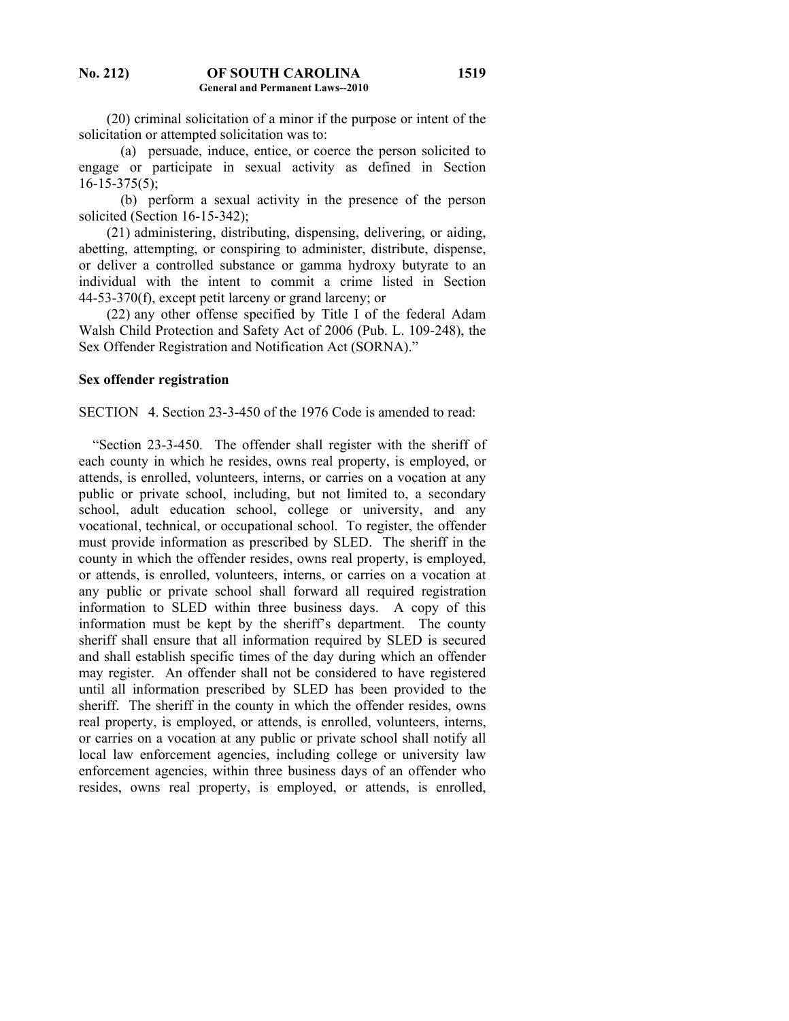(20) criminal solicitation of a minor if the purpose or intent of the solicitation or attempted solicitation was to:

**1519**

 (a) persuade, induce, entice, or coerce the person solicited to engage or participate in sexual activity as defined in Section  $16-15-375(5)$ ;

 (b) perform a sexual activity in the presence of the person solicited (Section 16-15-342);

 (21) administering, distributing, dispensing, delivering, or aiding, abetting, attempting, or conspiring to administer, distribute, dispense, or deliver a controlled substance or gamma hydroxy butyrate to an individual with the intent to commit a crime listed in Section 44-53-370(f), except petit larceny or grand larceny; or

 (22) any other offense specified by Title I of the federal Adam Walsh Child Protection and Safety Act of 2006 (Pub. L. 109-248), the Sex Offender Registration and Notification Act (SORNA)."

## **Sex offender registration**

SECTION 4. Section 23-3-450 of the 1976 Code is amended to read:

 "Section 23-3-450. The offender shall register with the sheriff of each county in which he resides, owns real property, is employed, or attends, is enrolled, volunteers, interns, or carries on a vocation at any public or private school, including, but not limited to, a secondary school, adult education school, college or university, and any vocational, technical, or occupational school. To register, the offender must provide information as prescribed by SLED. The sheriff in the county in which the offender resides, owns real property, is employed, or attends, is enrolled, volunteers, interns, or carries on a vocation at any public or private school shall forward all required registration information to SLED within three business days. A copy of this information must be kept by the sheriff's department. The county sheriff shall ensure that all information required by SLED is secured and shall establish specific times of the day during which an offender may register. An offender shall not be considered to have registered until all information prescribed by SLED has been provided to the sheriff. The sheriff in the county in which the offender resides, owns real property, is employed, or attends, is enrolled, volunteers, interns, or carries on a vocation at any public or private school shall notify all local law enforcement agencies, including college or university law enforcement agencies, within three business days of an offender who resides, owns real property, is employed, or attends, is enrolled,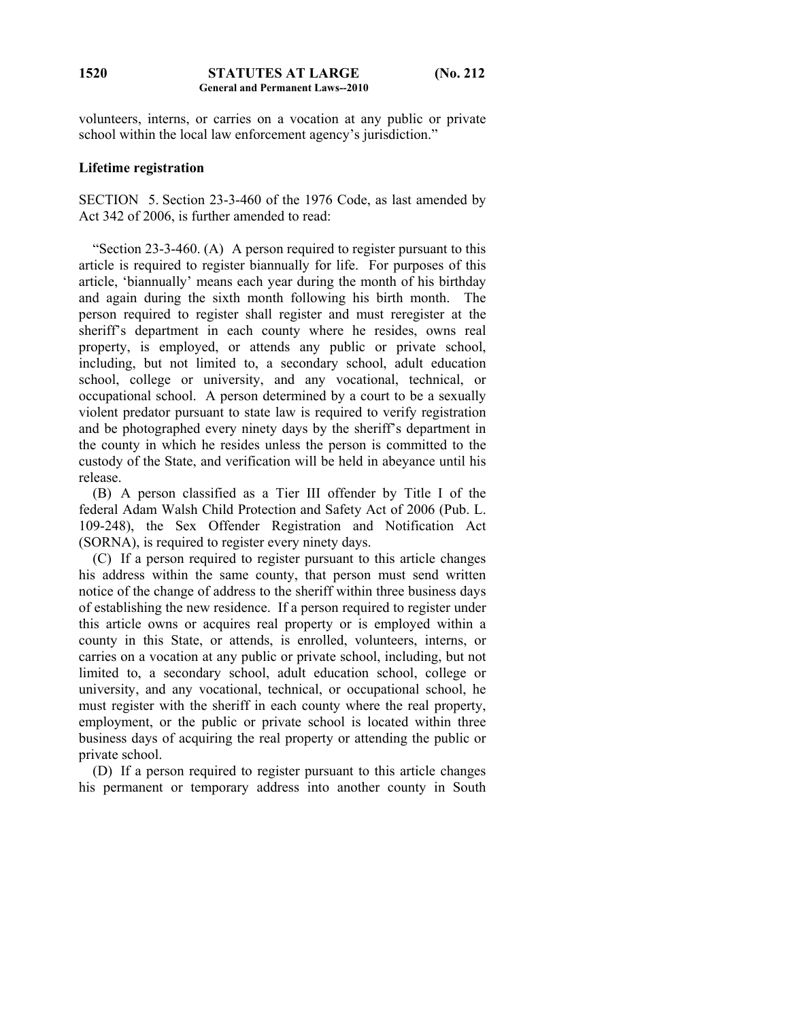volunteers, interns, or carries on a vocation at any public or private school within the local law enforcement agency's jurisdiction."

## **Lifetime registration**

SECTION 5. Section 23-3-460 of the 1976 Code, as last amended by Act 342 of 2006, is further amended to read:

 "Section 23-3-460. (A) A person required to register pursuant to this article is required to register biannually for life. For purposes of this article, 'biannually' means each year during the month of his birthday and again during the sixth month following his birth month. The person required to register shall register and must reregister at the sheriff's department in each county where he resides, owns real property, is employed, or attends any public or private school, including, but not limited to, a secondary school, adult education school, college or university, and any vocational, technical, or occupational school. A person determined by a court to be a sexually violent predator pursuant to state law is required to verify registration and be photographed every ninety days by the sheriff's department in the county in which he resides unless the person is committed to the custody of the State, and verification will be held in abeyance until his release.

 (B) A person classified as a Tier III offender by Title I of the federal Adam Walsh Child Protection and Safety Act of 2006 (Pub. L. 109-248), the Sex Offender Registration and Notification Act (SORNA), is required to register every ninety days.

 (C) If a person required to register pursuant to this article changes his address within the same county, that person must send written notice of the change of address to the sheriff within three business days of establishing the new residence. If a person required to register under this article owns or acquires real property or is employed within a county in this State, or attends, is enrolled, volunteers, interns, or carries on a vocation at any public or private school, including, but not limited to, a secondary school, adult education school, college or university, and any vocational, technical, or occupational school, he must register with the sheriff in each county where the real property, employment, or the public or private school is located within three business days of acquiring the real property or attending the public or private school.

 (D) If a person required to register pursuant to this article changes his permanent or temporary address into another county in South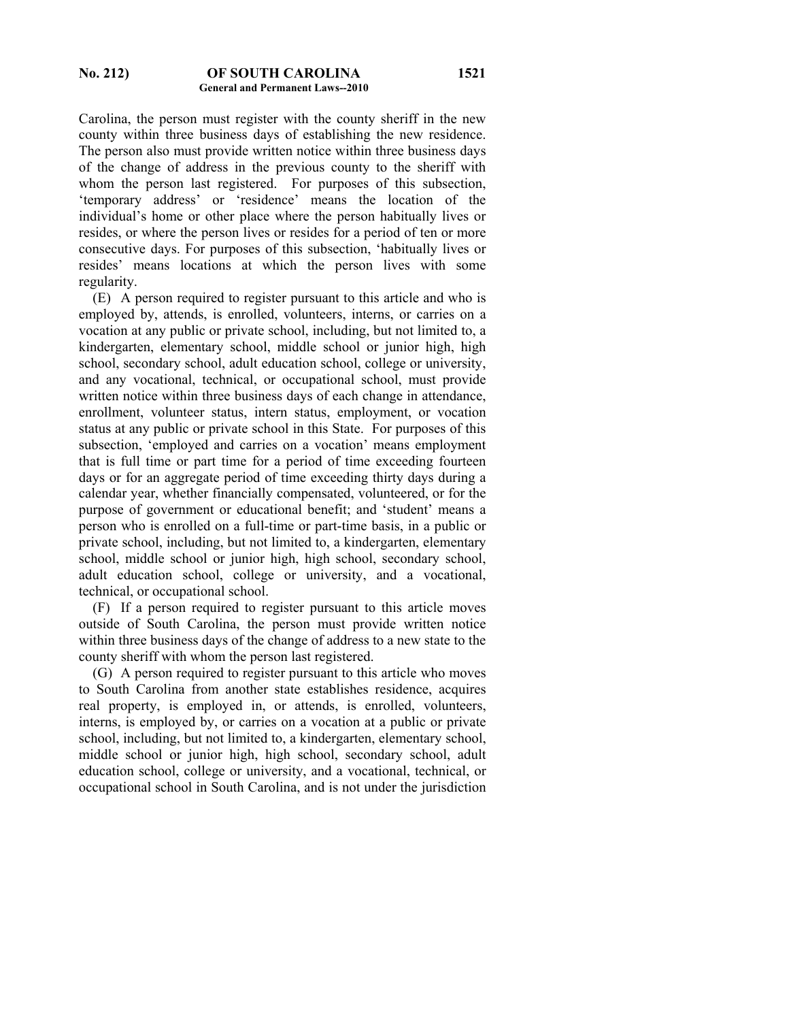Carolina, the person must register with the county sheriff in the new county within three business days of establishing the new residence. The person also must provide written notice within three business days of the change of address in the previous county to the sheriff with whom the person last registered. For purposes of this subsection, 'temporary address' or 'residence' means the location of the individual's home or other place where the person habitually lives or resides, or where the person lives or resides for a period of ten or more consecutive days. For purposes of this subsection, 'habitually lives or resides' means locations at which the person lives with some regularity.

 (E) A person required to register pursuant to this article and who is employed by, attends, is enrolled, volunteers, interns, or carries on a vocation at any public or private school, including, but not limited to, a kindergarten, elementary school, middle school or junior high, high school, secondary school, adult education school, college or university, and any vocational, technical, or occupational school, must provide written notice within three business days of each change in attendance, enrollment, volunteer status, intern status, employment, or vocation status at any public or private school in this State. For purposes of this subsection, 'employed and carries on a vocation' means employment that is full time or part time for a period of time exceeding fourteen days or for an aggregate period of time exceeding thirty days during a calendar year, whether financially compensated, volunteered, or for the purpose of government or educational benefit; and 'student' means a person who is enrolled on a full-time or part-time basis, in a public or private school, including, but not limited to, a kindergarten, elementary school, middle school or junior high, high school, secondary school, adult education school, college or university, and a vocational, technical, or occupational school.

 (F) If a person required to register pursuant to this article moves outside of South Carolina, the person must provide written notice within three business days of the change of address to a new state to the county sheriff with whom the person last registered.

 (G) A person required to register pursuant to this article who moves to South Carolina from another state establishes residence, acquires real property, is employed in, or attends, is enrolled, volunteers, interns, is employed by, or carries on a vocation at a public or private school, including, but not limited to, a kindergarten, elementary school, middle school or junior high, high school, secondary school, adult education school, college or university, and a vocational, technical, or occupational school in South Carolina, and is not under the jurisdiction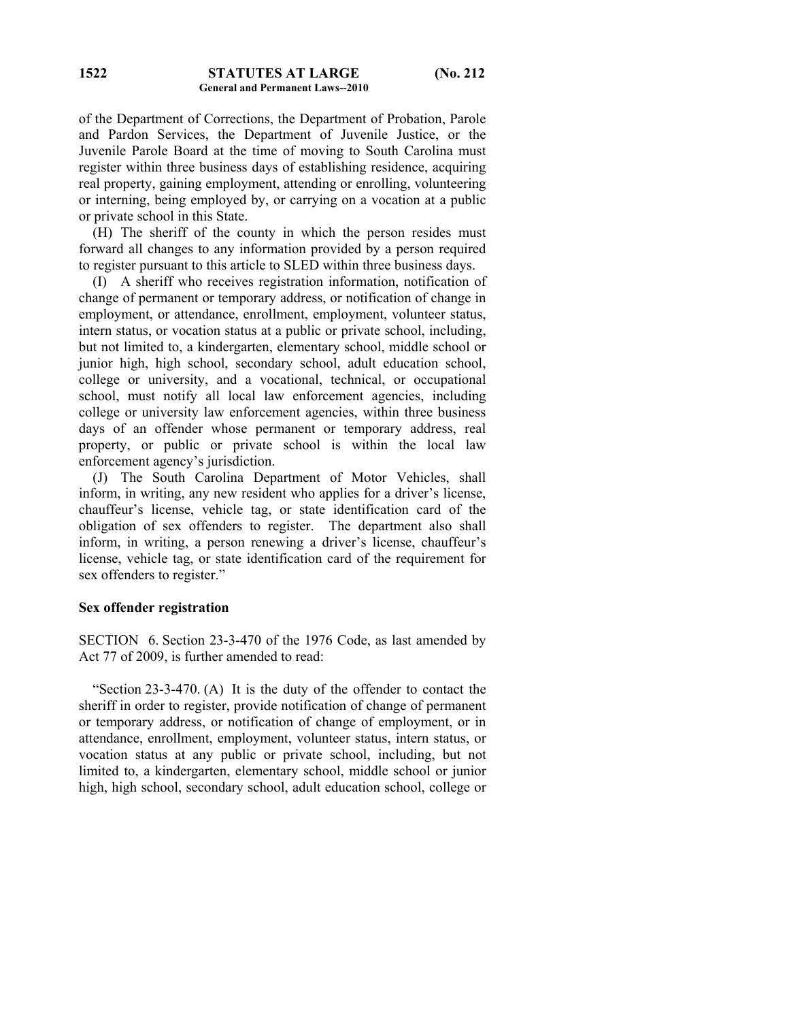of the Department of Corrections, the Department of Probation, Parole and Pardon Services, the Department of Juvenile Justice, or the Juvenile Parole Board at the time of moving to South Carolina must register within three business days of establishing residence, acquiring real property, gaining employment, attending or enrolling, volunteering or interning, being employed by, or carrying on a vocation at a public or private school in this State.

 (H) The sheriff of the county in which the person resides must forward all changes to any information provided by a person required to register pursuant to this article to SLED within three business days.

 (I) A sheriff who receives registration information, notification of change of permanent or temporary address, or notification of change in employment, or attendance, enrollment, employment, volunteer status, intern status, or vocation status at a public or private school, including, but not limited to, a kindergarten, elementary school, middle school or junior high, high school, secondary school, adult education school, college or university, and a vocational, technical, or occupational school, must notify all local law enforcement agencies, including college or university law enforcement agencies, within three business days of an offender whose permanent or temporary address, real property, or public or private school is within the local law enforcement agency's jurisdiction.

 (J) The South Carolina Department of Motor Vehicles, shall inform, in writing, any new resident who applies for a driver's license, chauffeur's license, vehicle tag, or state identification card of the obligation of sex offenders to register. The department also shall inform, in writing, a person renewing a driver's license, chauffeur's license, vehicle tag, or state identification card of the requirement for sex offenders to register."

#### **Sex offender registration**

SECTION 6. Section 23-3-470 of the 1976 Code, as last amended by Act 77 of 2009, is further amended to read:

 "Section 23-3-470. (A) It is the duty of the offender to contact the sheriff in order to register, provide notification of change of permanent or temporary address, or notification of change of employment, or in attendance, enrollment, employment, volunteer status, intern status, or vocation status at any public or private school, including, but not limited to, a kindergarten, elementary school, middle school or junior high, high school, secondary school, adult education school, college or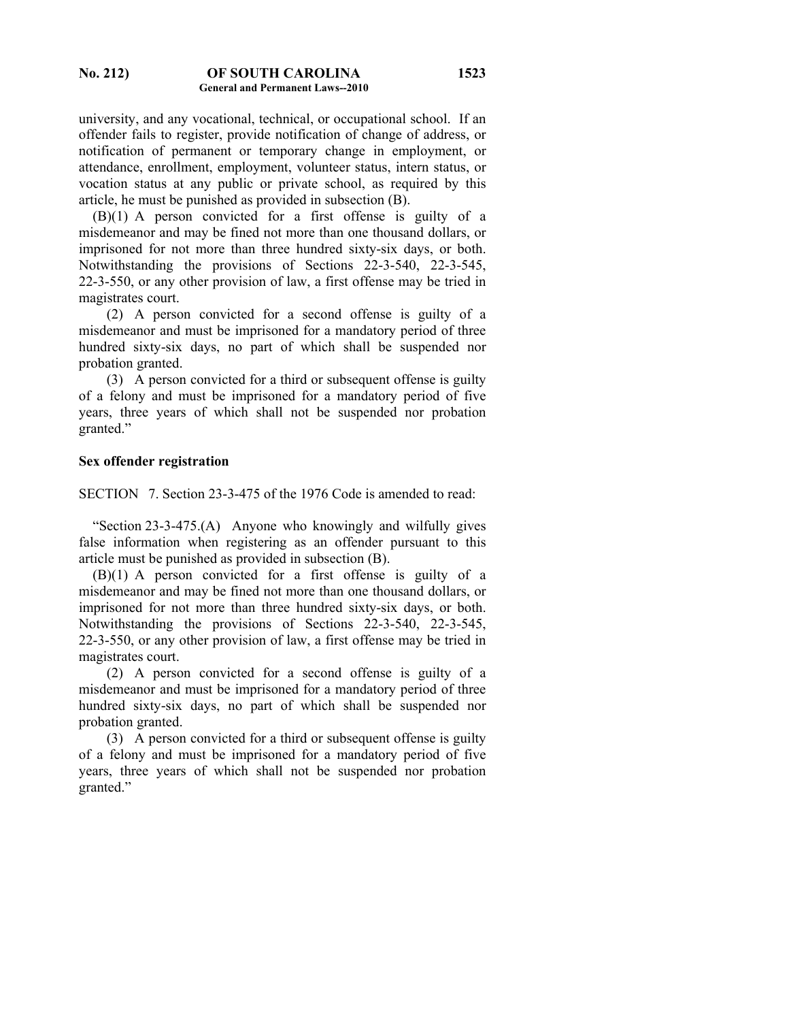university, and any vocational, technical, or occupational school. If an offender fails to register, provide notification of change of address, or notification of permanent or temporary change in employment, or attendance, enrollment, employment, volunteer status, intern status, or vocation status at any public or private school, as required by this article, he must be punished as provided in subsection (B).

 (B)(1) A person convicted for a first offense is guilty of a misdemeanor and may be fined not more than one thousand dollars, or imprisoned for not more than three hundred sixty-six days, or both. Notwithstanding the provisions of Sections 22-3-540, 22-3-545, 22-3-550, or any other provision of law, a first offense may be tried in magistrates court.

 (2) A person convicted for a second offense is guilty of a misdemeanor and must be imprisoned for a mandatory period of three hundred sixty-six days, no part of which shall be suspended nor probation granted.

 (3) A person convicted for a third or subsequent offense is guilty of a felony and must be imprisoned for a mandatory period of five years, three years of which shall not be suspended nor probation granted."

## **Sex offender registration**

SECTION 7. Section 23-3-475 of the 1976 Code is amended to read:

 "Section 23-3-475.(A) Anyone who knowingly and wilfully gives false information when registering as an offender pursuant to this article must be punished as provided in subsection (B).

 (B)(1) A person convicted for a first offense is guilty of a misdemeanor and may be fined not more than one thousand dollars, or imprisoned for not more than three hundred sixty-six days, or both. Notwithstanding the provisions of Sections 22-3-540, 22-3-545, 22-3-550, or any other provision of law, a first offense may be tried in magistrates court.

 (2) A person convicted for a second offense is guilty of a misdemeanor and must be imprisoned for a mandatory period of three hundred sixty-six days, no part of which shall be suspended nor probation granted.

 (3) A person convicted for a third or subsequent offense is guilty of a felony and must be imprisoned for a mandatory period of five years, three years of which shall not be suspended nor probation granted."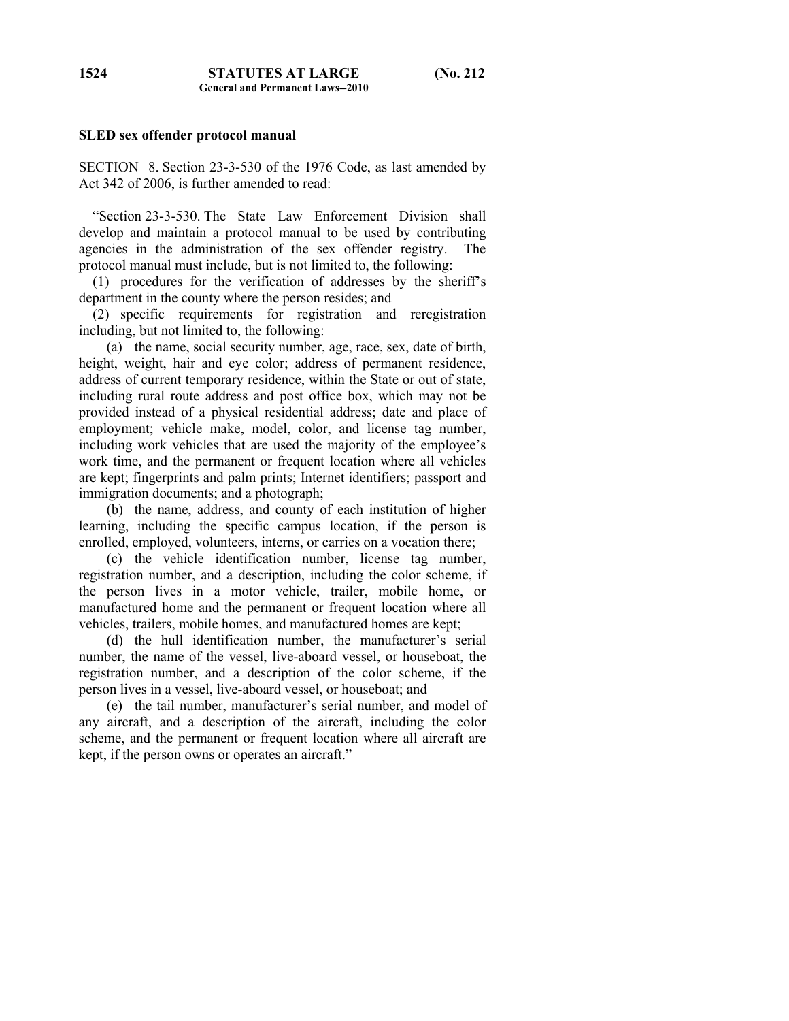#### **SLED sex offender protocol manual**

SECTION 8. Section 23-3-530 of the 1976 Code, as last amended by Act 342 of 2006, is further amended to read:

 "Section 23-3-530. The State Law Enforcement Division shall develop and maintain a protocol manual to be used by contributing agencies in the administration of the sex offender registry. The protocol manual must include, but is not limited to, the following:

 (1) procedures for the verification of addresses by the sheriff's department in the county where the person resides; and

 (2) specific requirements for registration and reregistration including, but not limited to, the following:

 (a) the name, social security number, age, race, sex, date of birth, height, weight, hair and eye color; address of permanent residence, address of current temporary residence, within the State or out of state, including rural route address and post office box, which may not be provided instead of a physical residential address; date and place of employment; vehicle make, model, color, and license tag number, including work vehicles that are used the majority of the employee's work time, and the permanent or frequent location where all vehicles are kept; fingerprints and palm prints; Internet identifiers; passport and immigration documents; and a photograph;

 (b) the name, address, and county of each institution of higher learning, including the specific campus location, if the person is enrolled, employed, volunteers, interns, or carries on a vocation there;

 (c) the vehicle identification number, license tag number, registration number, and a description, including the color scheme, if the person lives in a motor vehicle, trailer, mobile home, or manufactured home and the permanent or frequent location where all vehicles, trailers, mobile homes, and manufactured homes are kept;

 (d) the hull identification number, the manufacturer's serial number, the name of the vessel, live-aboard vessel, or houseboat, the registration number, and a description of the color scheme, if the person lives in a vessel, live-aboard vessel, or houseboat; and

 (e) the tail number, manufacturer's serial number, and model of any aircraft, and a description of the aircraft, including the color scheme, and the permanent or frequent location where all aircraft are kept, if the person owns or operates an aircraft."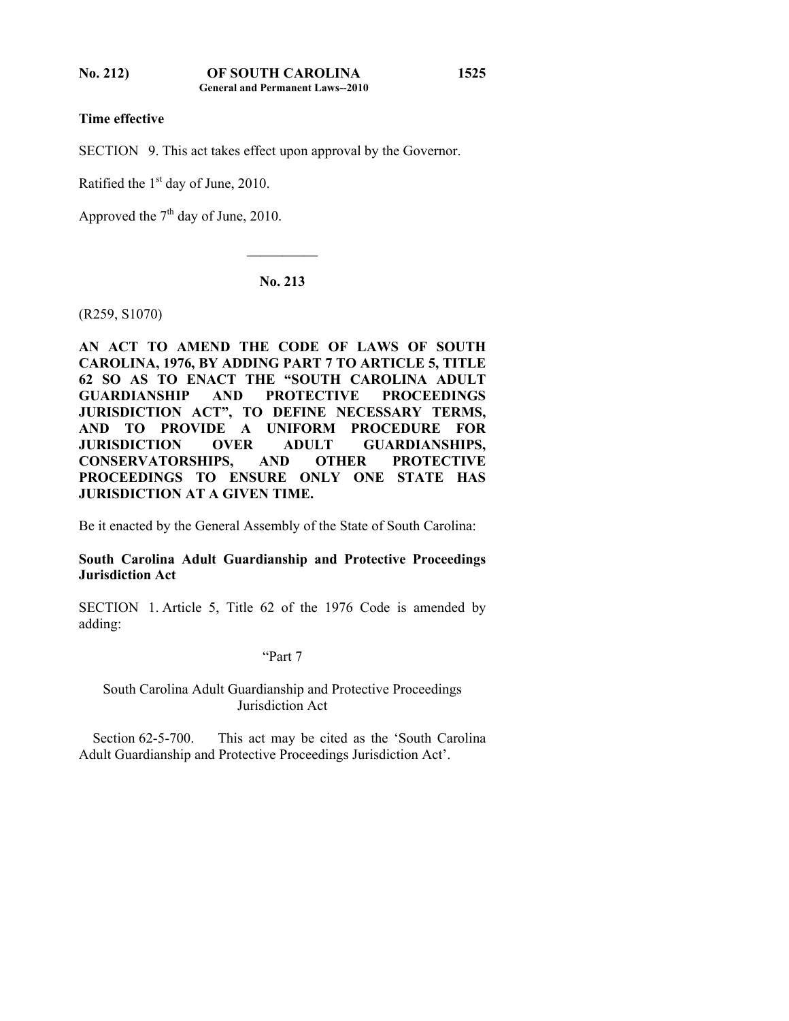**Time effective** 

SECTION 9. This act takes effect upon approval by the Governor.

Ratified the  $1<sup>st</sup>$  day of June, 2010.

Approved the  $7<sup>th</sup>$  day of June, 2010.

## **No. 213**

 $\mathcal{L}_\text{max}$ 

(R259, S1070)

**AN ACT TO AMEND THE CODE OF LAWS OF SOUTH CAROLINA, 1976, BY ADDING PART 7 TO ARTICLE 5, TITLE 62 SO AS TO ENACT THE "SOUTH CAROLINA ADULT GUARDIANSHIP AND PROTECTIVE PROCEEDINGS JURISDICTION ACT", TO DEFINE NECESSARY TERMS, AND TO PROVIDE A UNIFORM PROCEDURE FOR JURISDICTION OVER ADULT GUARDIANSHIPS, CONSERVATORSHIPS, AND OTHER PROTECTIVE PROCEEDINGS TO ENSURE ONLY ONE STATE HAS JURISDICTION AT A GIVEN TIME.** 

Be it enacted by the General Assembly of the State of South Carolina:

## **South Carolina Adult Guardianship and Protective Proceedings Jurisdiction Act**

SECTION 1. Article 5, Title 62 of the 1976 Code is amended by adding:

"Part 7

South Carolina Adult Guardianship and Protective Proceedings Jurisdiction Act

 Section 62-5-700. This act may be cited as the 'South Carolina Adult Guardianship and Protective Proceedings Jurisdiction Act'.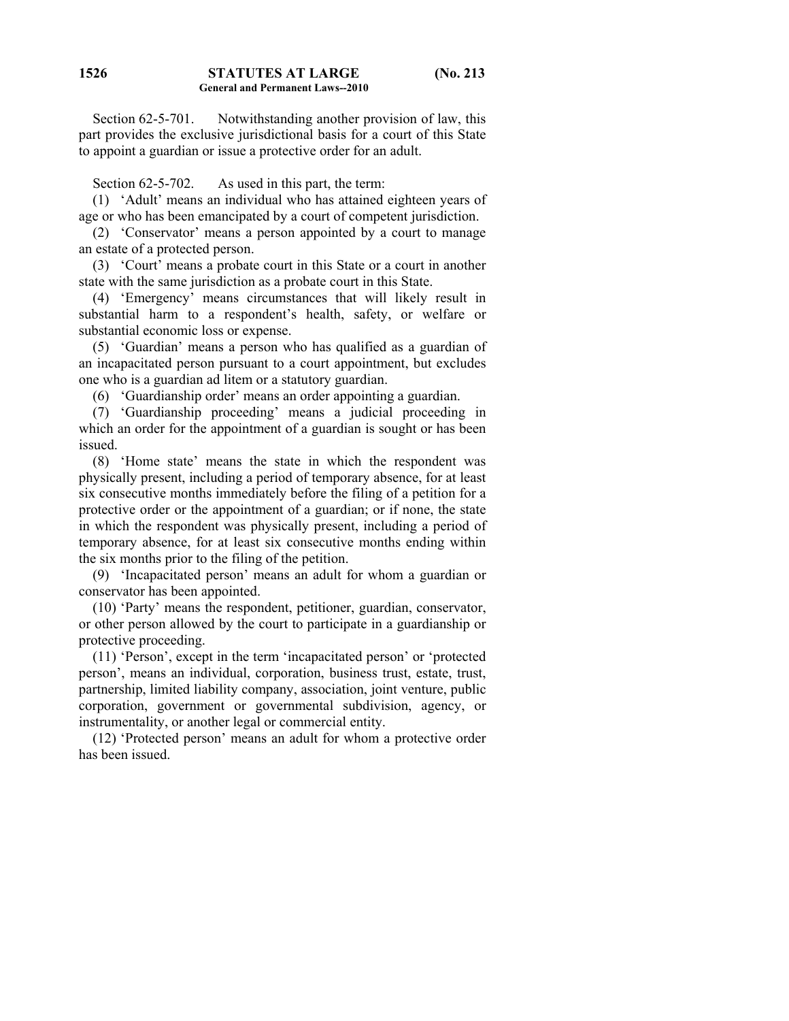**1526**

Section 62-5-701. Notwithstanding another provision of law, this part provides the exclusive jurisdictional basis for a court of this State to appoint a guardian or issue a protective order for an adult.

Section 62-5-702. As used in this part, the term:

 (1) 'Adult' means an individual who has attained eighteen years of age or who has been emancipated by a court of competent jurisdiction.

 (2) 'Conservator' means a person appointed by a court to manage an estate of a protected person.

 (3) 'Court' means a probate court in this State or a court in another state with the same jurisdiction as a probate court in this State.

 (4) 'Emergency' means circumstances that will likely result in substantial harm to a respondent's health, safety, or welfare or substantial economic loss or expense.

 (5) 'Guardian' means a person who has qualified as a guardian of an incapacitated person pursuant to a court appointment, but excludes one who is a guardian ad litem or a statutory guardian.

(6) 'Guardianship order' means an order appointing a guardian.

 (7) 'Guardianship proceeding' means a judicial proceeding in which an order for the appointment of a guardian is sought or has been issued.

 (8) 'Home state' means the state in which the respondent was physically present, including a period of temporary absence, for at least six consecutive months immediately before the filing of a petition for a protective order or the appointment of a guardian; or if none, the state in which the respondent was physically present, including a period of temporary absence, for at least six consecutive months ending within the six months prior to the filing of the petition.

 (9) 'Incapacitated person' means an adult for whom a guardian or conservator has been appointed.

 (10) 'Party' means the respondent, petitioner, guardian, conservator, or other person allowed by the court to participate in a guardianship or protective proceeding.

 (11) 'Person', except in the term 'incapacitated person' or 'protected person', means an individual, corporation, business trust, estate, trust, partnership, limited liability company, association, joint venture, public corporation, government or governmental subdivision, agency, or instrumentality, or another legal or commercial entity.

 (12) 'Protected person' means an adult for whom a protective order has been issued.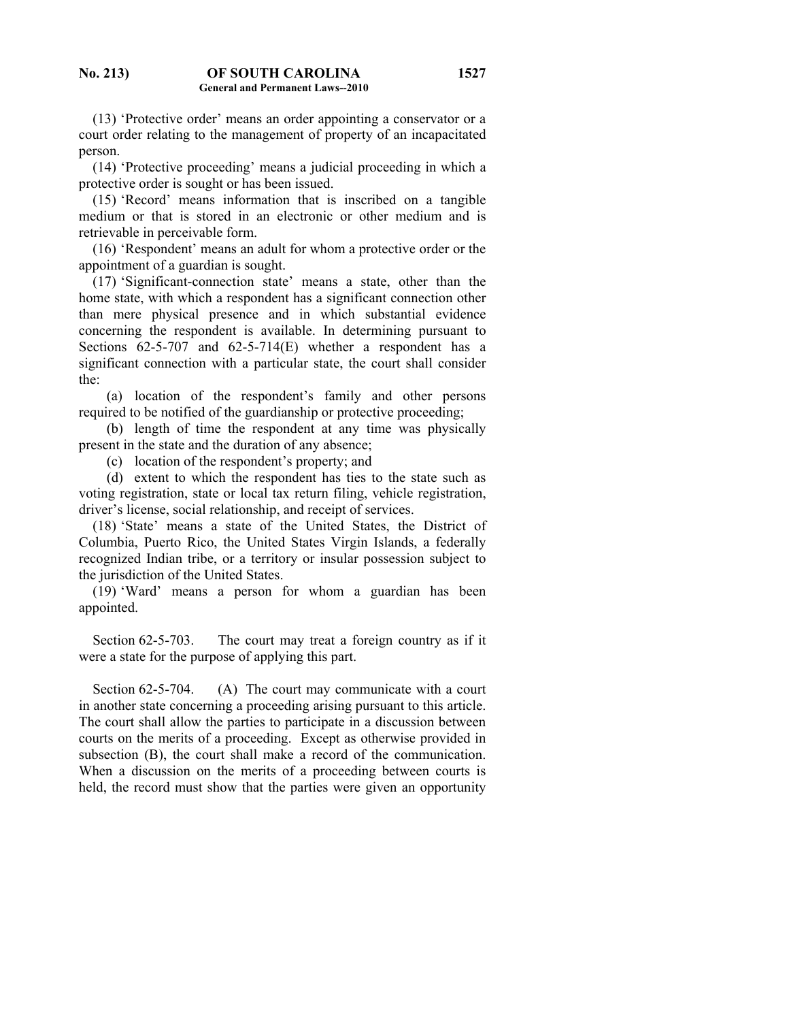(13) 'Protective order' means an order appointing a conservator or a court order relating to the management of property of an incapacitated person.

 (14) 'Protective proceeding' means a judicial proceeding in which a protective order is sought or has been issued.

 (15) 'Record' means information that is inscribed on a tangible medium or that is stored in an electronic or other medium and is retrievable in perceivable form.

 (16) 'Respondent' means an adult for whom a protective order or the appointment of a guardian is sought.

 (17) 'Significant-connection state' means a state, other than the home state, with which a respondent has a significant connection other than mere physical presence and in which substantial evidence concerning the respondent is available. In determining pursuant to Sections 62-5-707 and 62-5-714(E) whether a respondent has a significant connection with a particular state, the court shall consider the:

 (a) location of the respondent's family and other persons required to be notified of the guardianship or protective proceeding;

 (b) length of time the respondent at any time was physically present in the state and the duration of any absence;

(c) location of the respondent's property; and

 (d) extent to which the respondent has ties to the state such as voting registration, state or local tax return filing, vehicle registration, driver's license, social relationship, and receipt of services.

 (18) 'State' means a state of the United States, the District of Columbia, Puerto Rico, the United States Virgin Islands, a federally recognized Indian tribe, or a territory or insular possession subject to the jurisdiction of the United States.

 (19) 'Ward' means a person for whom a guardian has been appointed.

 Section 62-5-703. The court may treat a foreign country as if it were a state for the purpose of applying this part.

Section 62-5-704. (A) The court may communicate with a court in another state concerning a proceeding arising pursuant to this article. The court shall allow the parties to participate in a discussion between courts on the merits of a proceeding. Except as otherwise provided in subsection (B), the court shall make a record of the communication. When a discussion on the merits of a proceeding between courts is held, the record must show that the parties were given an opportunity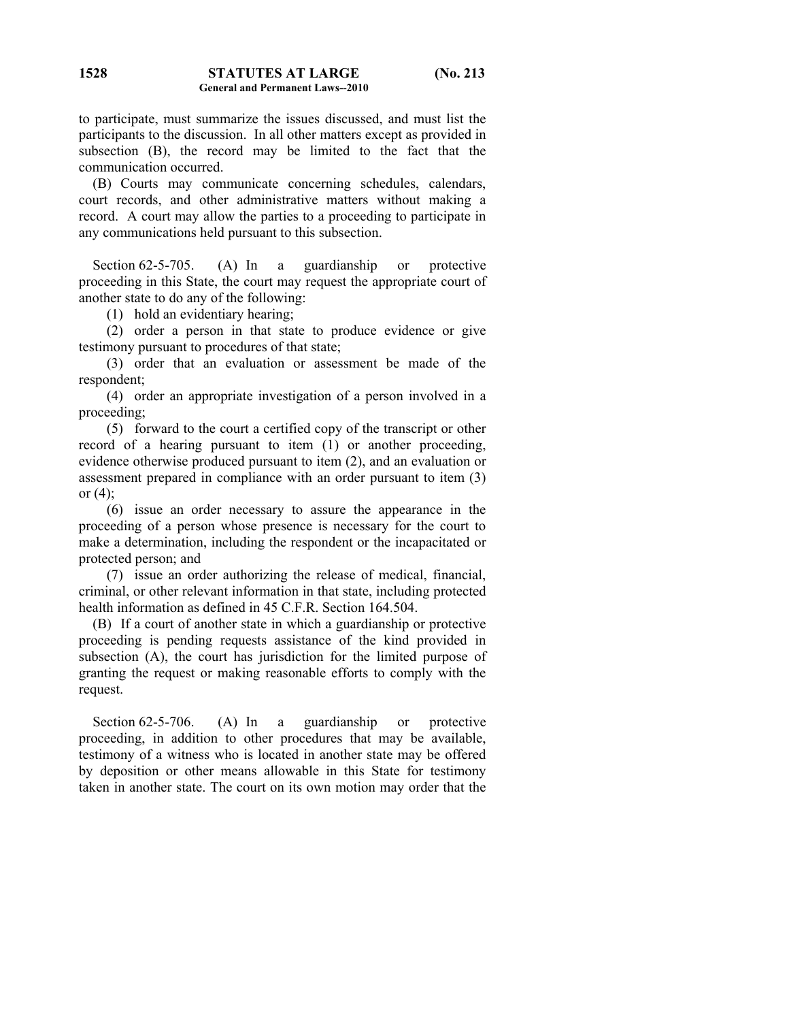to participate, must summarize the issues discussed, and must list the participants to the discussion. In all other matters except as provided in subsection (B), the record may be limited to the fact that the communication occurred.

 (B) Courts may communicate concerning schedules, calendars, court records, and other administrative matters without making a record. A court may allow the parties to a proceeding to participate in any communications held pursuant to this subsection.

Section 62-5-705. (A) In a guardianship or protective proceeding in this State, the court may request the appropriate court of another state to do any of the following:

(1) hold an evidentiary hearing;

 (2) order a person in that state to produce evidence or give testimony pursuant to procedures of that state;

 (3) order that an evaluation or assessment be made of the respondent;

 (4) order an appropriate investigation of a person involved in a proceeding;

 (5) forward to the court a certified copy of the transcript or other record of a hearing pursuant to item (1) or another proceeding, evidence otherwise produced pursuant to item (2), and an evaluation or assessment prepared in compliance with an order pursuant to item (3) or  $(4)$ ;

 (6) issue an order necessary to assure the appearance in the proceeding of a person whose presence is necessary for the court to make a determination, including the respondent or the incapacitated or protected person; and

 (7) issue an order authorizing the release of medical, financial, criminal, or other relevant information in that state, including protected health information as defined in 45 C.F.R. Section 164.504.

 (B) If a court of another state in which a guardianship or protective proceeding is pending requests assistance of the kind provided in subsection (A), the court has jurisdiction for the limited purpose of granting the request or making reasonable efforts to comply with the request.

Section 62-5-706. (A) In a guardianship or protective proceeding, in addition to other procedures that may be available, testimony of a witness who is located in another state may be offered by deposition or other means allowable in this State for testimony taken in another state. The court on its own motion may order that the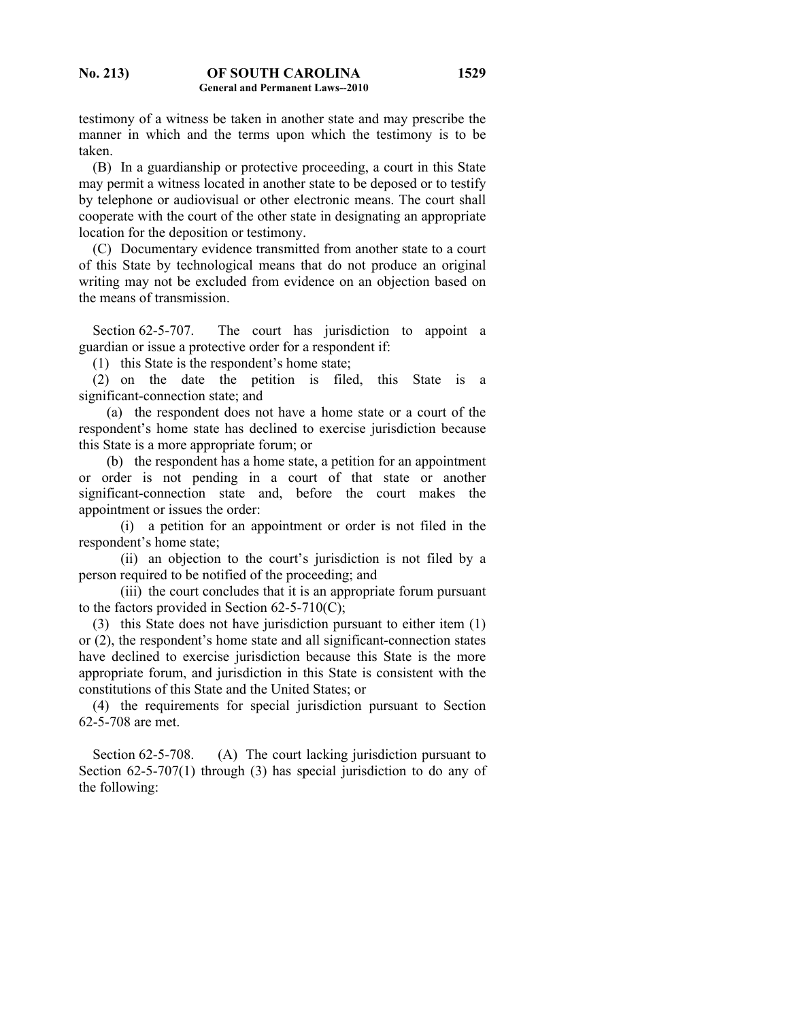testimony of a witness be taken in another state and may prescribe the manner in which and the terms upon which the testimony is to be taken.

 (B) In a guardianship or protective proceeding, a court in this State may permit a witness located in another state to be deposed or to testify by telephone or audiovisual or other electronic means. The court shall cooperate with the court of the other state in designating an appropriate location for the deposition or testimony.

 (C) Documentary evidence transmitted from another state to a court of this State by technological means that do not produce an original writing may not be excluded from evidence on an objection based on the means of transmission.

Section 62-5-707. The court has jurisdiction to appoint a guardian or issue a protective order for a respondent if:

(1) this State is the respondent's home state;

 (2) on the date the petition is filed, this State is a significant-connection state; and

 (a) the respondent does not have a home state or a court of the respondent's home state has declined to exercise jurisdiction because this State is a more appropriate forum; or

 (b) the respondent has a home state, a petition for an appointment or order is not pending in a court of that state or another significant-connection state and, before the court makes the appointment or issues the order:

 (i) a petition for an appointment or order is not filed in the respondent's home state;

 (ii) an objection to the court's jurisdiction is not filed by a person required to be notified of the proceeding; and

 (iii) the court concludes that it is an appropriate forum pursuant to the factors provided in Section  $62-5-710(C)$ ;

 (3) this State does not have jurisdiction pursuant to either item (1) or (2), the respondent's home state and all significant-connection states have declined to exercise jurisdiction because this State is the more appropriate forum, and jurisdiction in this State is consistent with the constitutions of this State and the United States; or

 (4) the requirements for special jurisdiction pursuant to Section 62-5-708 are met.

Section 62-5-708. (A) The court lacking jurisdiction pursuant to Section 62-5-707(1) through (3) has special jurisdiction to do any of the following: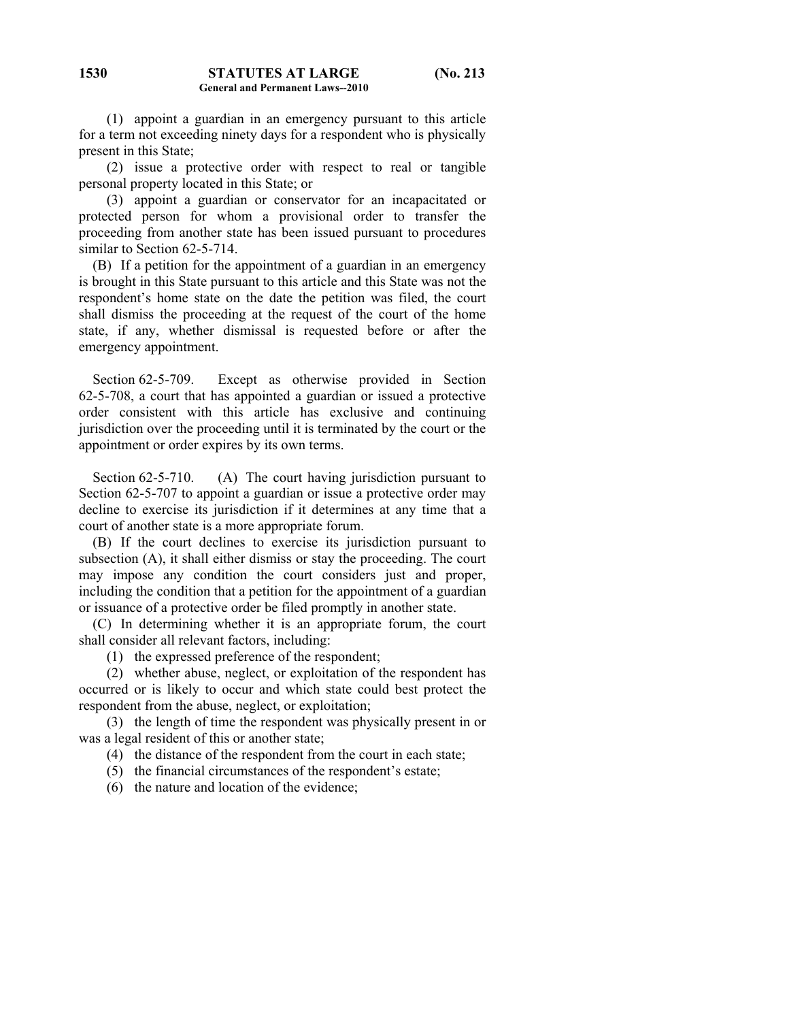(1) appoint a guardian in an emergency pursuant to this article for a term not exceeding ninety days for a respondent who is physically present in this State;

 (2) issue a protective order with respect to real or tangible personal property located in this State; or

 (3) appoint a guardian or conservator for an incapacitated or protected person for whom a provisional order to transfer the proceeding from another state has been issued pursuant to procedures similar to Section 62-5-714.

 (B) If a petition for the appointment of a guardian in an emergency is brought in this State pursuant to this article and this State was not the respondent's home state on the date the petition was filed, the court shall dismiss the proceeding at the request of the court of the home state, if any, whether dismissal is requested before or after the emergency appointment.

 Section 62-5-709. Except as otherwise provided in Section 62-5-708, a court that has appointed a guardian or issued a protective order consistent with this article has exclusive and continuing jurisdiction over the proceeding until it is terminated by the court or the appointment or order expires by its own terms.

Section 62-5-710. (A) The court having jurisdiction pursuant to Section 62-5-707 to appoint a guardian or issue a protective order may decline to exercise its jurisdiction if it determines at any time that a court of another state is a more appropriate forum.

 (B) If the court declines to exercise its jurisdiction pursuant to subsection (A), it shall either dismiss or stay the proceeding. The court may impose any condition the court considers just and proper, including the condition that a petition for the appointment of a guardian or issuance of a protective order be filed promptly in another state.

 (C) In determining whether it is an appropriate forum, the court shall consider all relevant factors, including:

(1) the expressed preference of the respondent;

 (2) whether abuse, neglect, or exploitation of the respondent has occurred or is likely to occur and which state could best protect the respondent from the abuse, neglect, or exploitation;

 (3) the length of time the respondent was physically present in or was a legal resident of this or another state;

(4) the distance of the respondent from the court in each state;

(5) the financial circumstances of the respondent's estate;

(6) the nature and location of the evidence;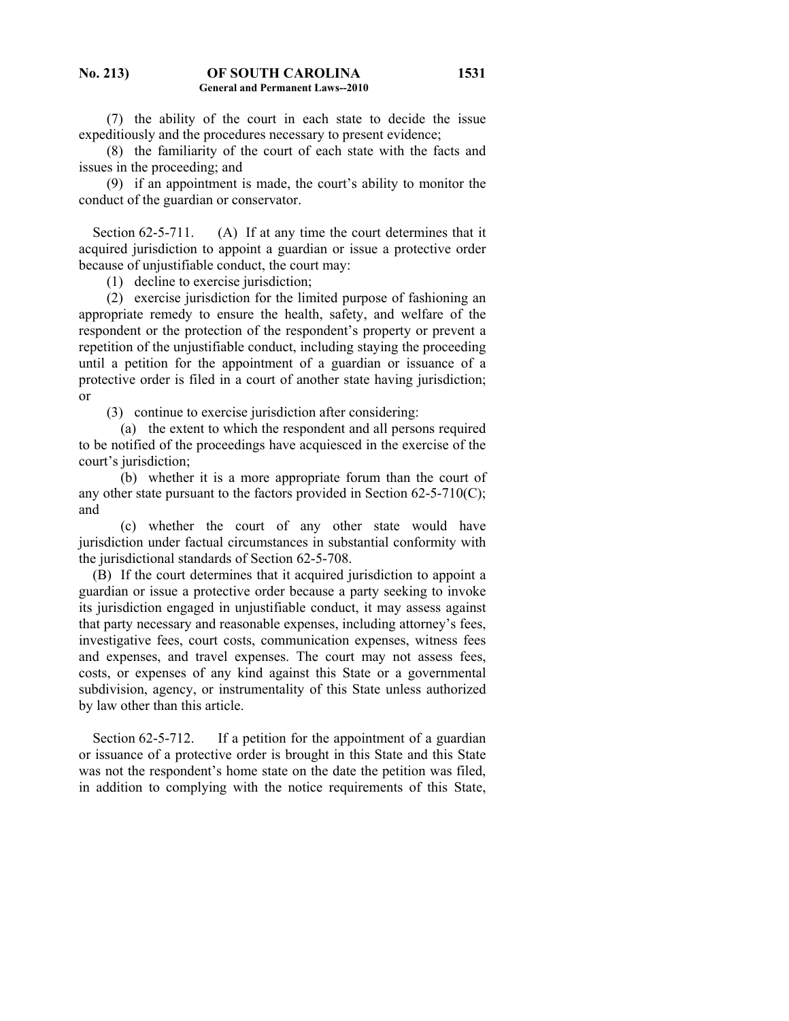(7) the ability of the court in each state to decide the issue expeditiously and the procedures necessary to present evidence;

 (8) the familiarity of the court of each state with the facts and issues in the proceeding; and

 (9) if an appointment is made, the court's ability to monitor the conduct of the guardian or conservator.

Section 62-5-711. (A) If at any time the court determines that it acquired jurisdiction to appoint a guardian or issue a protective order because of unjustifiable conduct, the court may:

(1) decline to exercise jurisdiction;

 (2) exercise jurisdiction for the limited purpose of fashioning an appropriate remedy to ensure the health, safety, and welfare of the respondent or the protection of the respondent's property or prevent a repetition of the unjustifiable conduct, including staying the proceeding until a petition for the appointment of a guardian or issuance of a protective order is filed in a court of another state having jurisdiction; or

(3) continue to exercise jurisdiction after considering:

 (a) the extent to which the respondent and all persons required to be notified of the proceedings have acquiesced in the exercise of the court's jurisdiction;

 (b) whether it is a more appropriate forum than the court of any other state pursuant to the factors provided in Section 62-5-710(C); and

 (c) whether the court of any other state would have jurisdiction under factual circumstances in substantial conformity with the jurisdictional standards of Section 62-5-708.

 (B) If the court determines that it acquired jurisdiction to appoint a guardian or issue a protective order because a party seeking to invoke its jurisdiction engaged in unjustifiable conduct, it may assess against that party necessary and reasonable expenses, including attorney's fees, investigative fees, court costs, communication expenses, witness fees and expenses, and travel expenses. The court may not assess fees, costs, or expenses of any kind against this State or a governmental subdivision, agency, or instrumentality of this State unless authorized by law other than this article.

Section 62-5-712. If a petition for the appointment of a guardian or issuance of a protective order is brought in this State and this State was not the respondent's home state on the date the petition was filed, in addition to complying with the notice requirements of this State,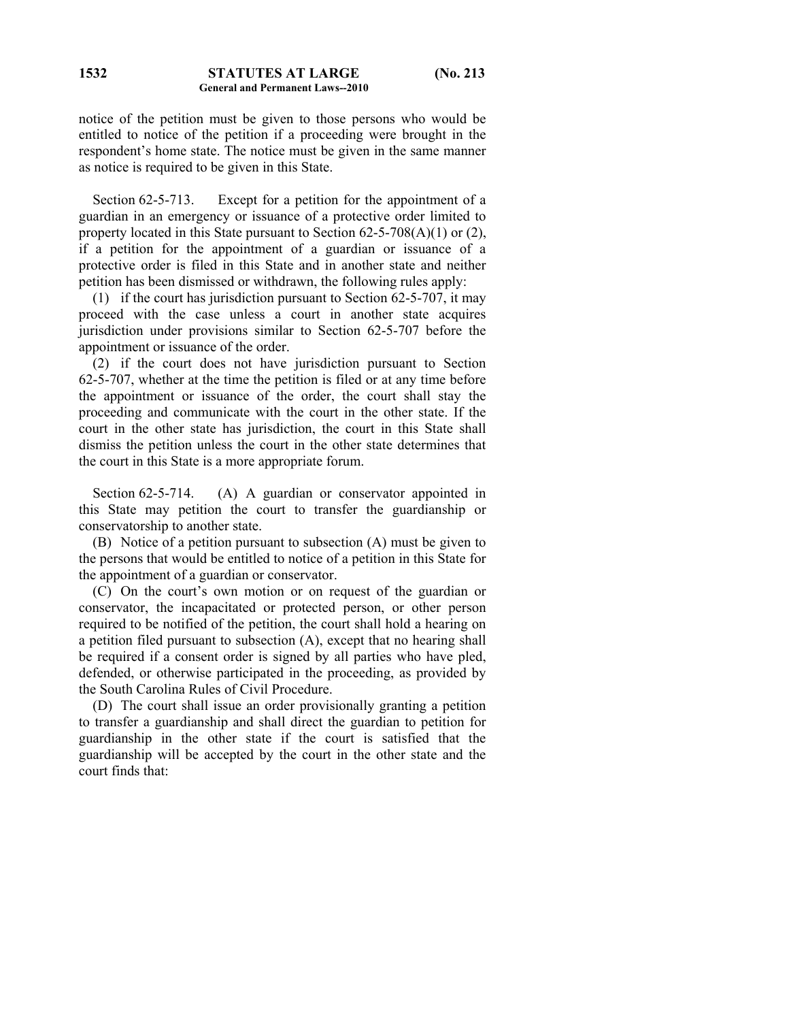notice of the petition must be given to those persons who would be entitled to notice of the petition if a proceeding were brought in the respondent's home state. The notice must be given in the same manner as notice is required to be given in this State.

 Section 62-5-713. Except for a petition for the appointment of a guardian in an emergency or issuance of a protective order limited to property located in this State pursuant to Section 62-5-708(A)(1) or (2), if a petition for the appointment of a guardian or issuance of a protective order is filed in this State and in another state and neither petition has been dismissed or withdrawn, the following rules apply:

 (1) if the court has jurisdiction pursuant to Section 62-5-707, it may proceed with the case unless a court in another state acquires jurisdiction under provisions similar to Section 62-5-707 before the appointment or issuance of the order.

 (2) if the court does not have jurisdiction pursuant to Section 62-5-707, whether at the time the petition is filed or at any time before the appointment or issuance of the order, the court shall stay the proceeding and communicate with the court in the other state. If the court in the other state has jurisdiction, the court in this State shall dismiss the petition unless the court in the other state determines that the court in this State is a more appropriate forum.

Section 62-5-714. (A) A guardian or conservator appointed in this State may petition the court to transfer the guardianship or conservatorship to another state.

 (B) Notice of a petition pursuant to subsection (A) must be given to the persons that would be entitled to notice of a petition in this State for the appointment of a guardian or conservator.

 (C) On the court's own motion or on request of the guardian or conservator, the incapacitated or protected person, or other person required to be notified of the petition, the court shall hold a hearing on a petition filed pursuant to subsection (A), except that no hearing shall be required if a consent order is signed by all parties who have pled, defended, or otherwise participated in the proceeding, as provided by the South Carolina Rules of Civil Procedure.

 (D) The court shall issue an order provisionally granting a petition to transfer a guardianship and shall direct the guardian to petition for guardianship in the other state if the court is satisfied that the guardianship will be accepted by the court in the other state and the court finds that: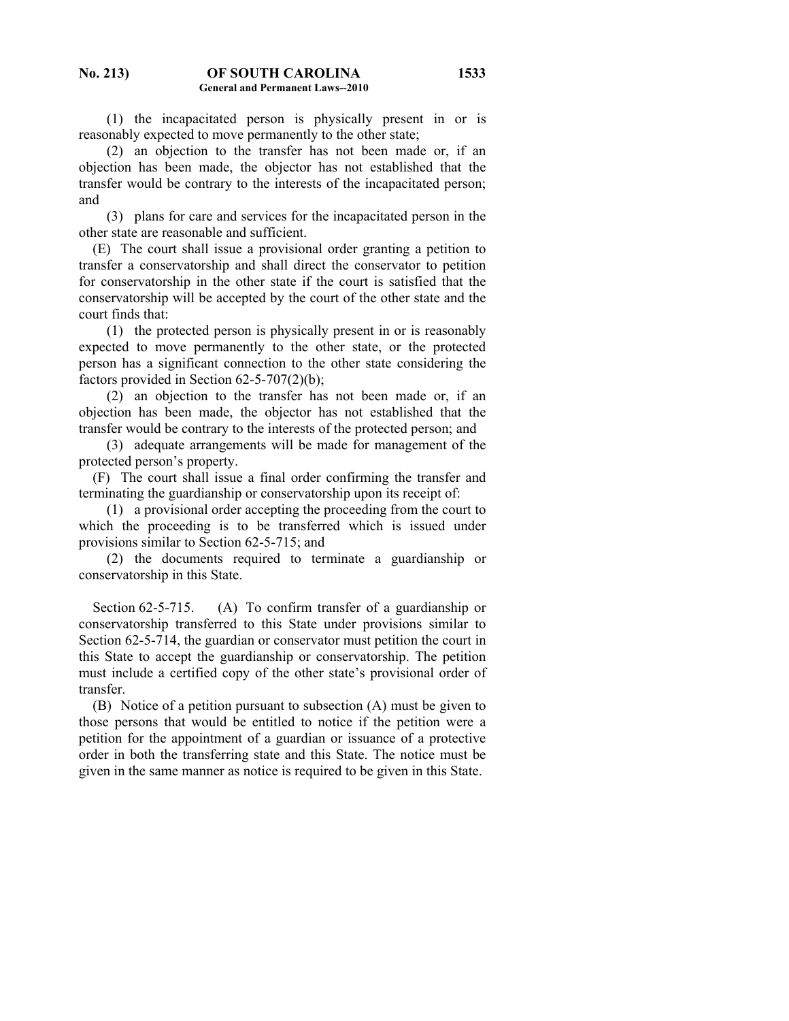(1) the incapacitated person is physically present in or is reasonably expected to move permanently to the other state;

 (2) an objection to the transfer has not been made or, if an objection has been made, the objector has not established that the transfer would be contrary to the interests of the incapacitated person; and

 (3) plans for care and services for the incapacitated person in the other state are reasonable and sufficient.

 (E) The court shall issue a provisional order granting a petition to transfer a conservatorship and shall direct the conservator to petition for conservatorship in the other state if the court is satisfied that the conservatorship will be accepted by the court of the other state and the court finds that:

 (1) the protected person is physically present in or is reasonably expected to move permanently to the other state, or the protected person has a significant connection to the other state considering the factors provided in Section 62-5-707(2)(b);

 (2) an objection to the transfer has not been made or, if an objection has been made, the objector has not established that the transfer would be contrary to the interests of the protected person; and

 (3) adequate arrangements will be made for management of the protected person's property.

 (F) The court shall issue a final order confirming the transfer and terminating the guardianship or conservatorship upon its receipt of:

 (1) a provisional order accepting the proceeding from the court to which the proceeding is to be transferred which is issued under provisions similar to Section 62-5-715; and

 (2) the documents required to terminate a guardianship or conservatorship in this State.

Section 62-5-715. (A) To confirm transfer of a guardianship or conservatorship transferred to this State under provisions similar to Section 62-5-714, the guardian or conservator must petition the court in this State to accept the guardianship or conservatorship. The petition must include a certified copy of the other state's provisional order of transfer.

 (B) Notice of a petition pursuant to subsection (A) must be given to those persons that would be entitled to notice if the petition were a petition for the appointment of a guardian or issuance of a protective order in both the transferring state and this State. The notice must be given in the same manner as notice is required to be given in this State.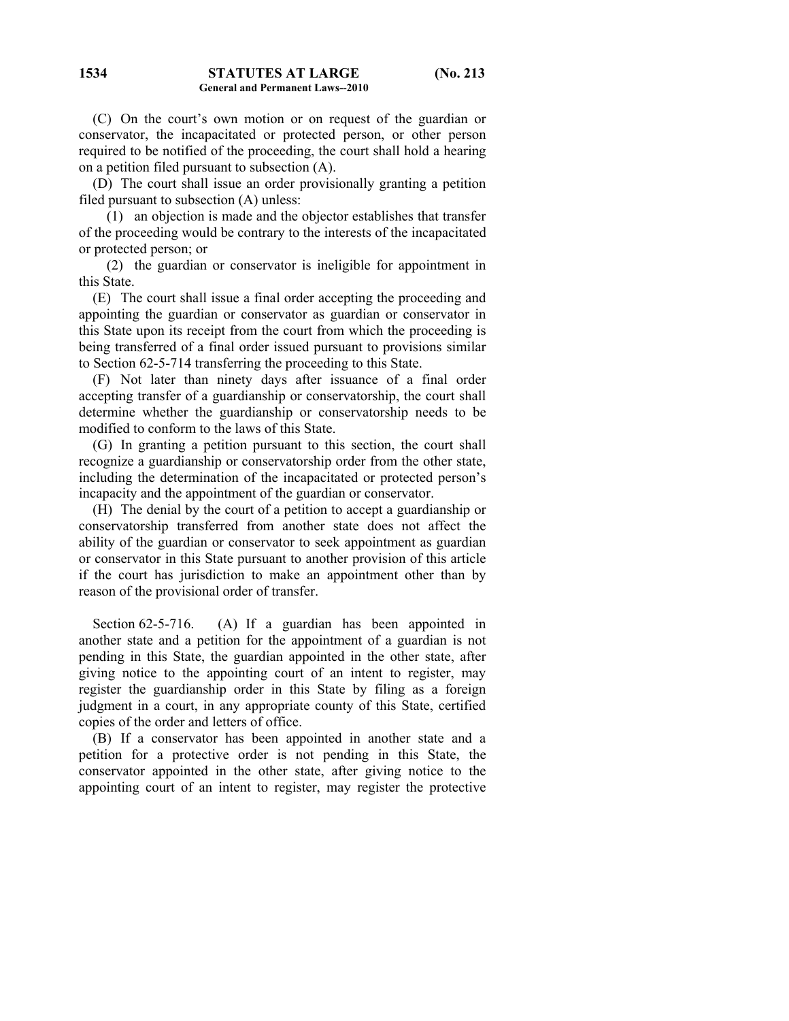(C) On the court's own motion or on request of the guardian or conservator, the incapacitated or protected person, or other person required to be notified of the proceeding, the court shall hold a hearing on a petition filed pursuant to subsection (A).

 (D) The court shall issue an order provisionally granting a petition filed pursuant to subsection (A) unless:

 (1) an objection is made and the objector establishes that transfer of the proceeding would be contrary to the interests of the incapacitated or protected person; or

 (2) the guardian or conservator is ineligible for appointment in this State.

 (E) The court shall issue a final order accepting the proceeding and appointing the guardian or conservator as guardian or conservator in this State upon its receipt from the court from which the proceeding is being transferred of a final order issued pursuant to provisions similar to Section 62-5-714 transferring the proceeding to this State.

 (F) Not later than ninety days after issuance of a final order accepting transfer of a guardianship or conservatorship, the court shall determine whether the guardianship or conservatorship needs to be modified to conform to the laws of this State.

 (G) In granting a petition pursuant to this section, the court shall recognize a guardianship or conservatorship order from the other state, including the determination of the incapacitated or protected person's incapacity and the appointment of the guardian or conservator.

 (H) The denial by the court of a petition to accept a guardianship or conservatorship transferred from another state does not affect the ability of the guardian or conservator to seek appointment as guardian or conservator in this State pursuant to another provision of this article if the court has jurisdiction to make an appointment other than by reason of the provisional order of transfer.

Section 62-5-716. (A) If a guardian has been appointed in another state and a petition for the appointment of a guardian is not pending in this State, the guardian appointed in the other state, after giving notice to the appointing court of an intent to register, may register the guardianship order in this State by filing as a foreign judgment in a court, in any appropriate county of this State, certified copies of the order and letters of office.

 (B) If a conservator has been appointed in another state and a petition for a protective order is not pending in this State, the conservator appointed in the other state, after giving notice to the appointing court of an intent to register, may register the protective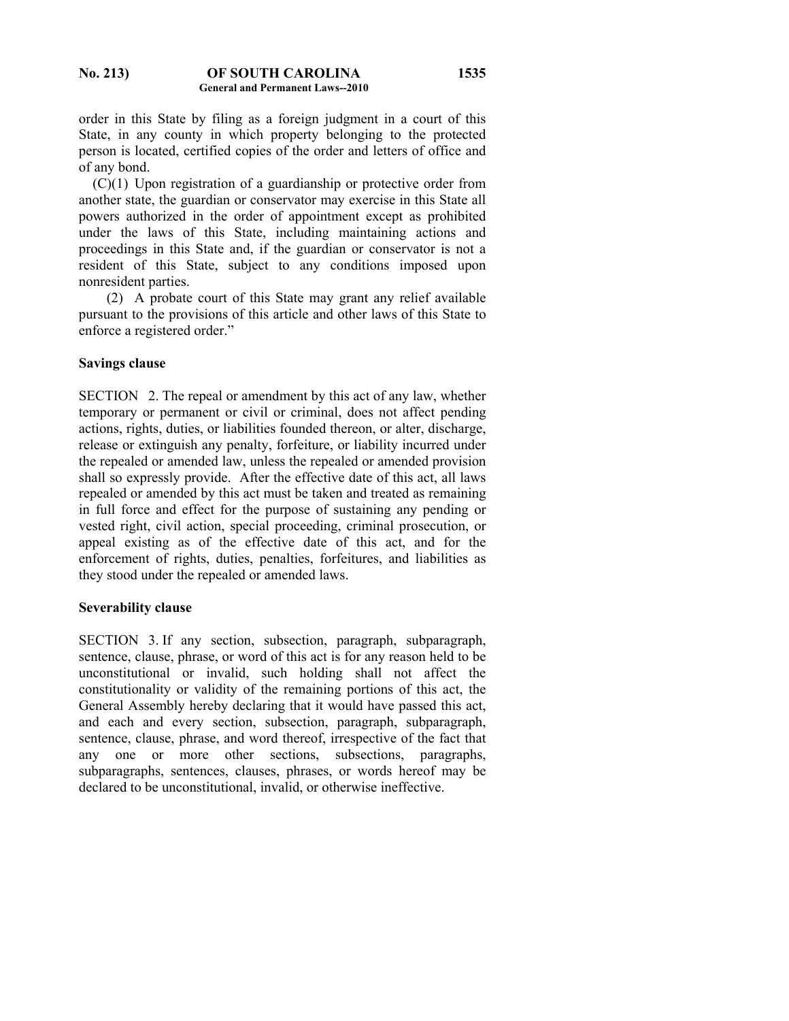order in this State by filing as a foreign judgment in a court of this State, in any county in which property belonging to the protected person is located, certified copies of the order and letters of office and of any bond.

 (C)(1) Upon registration of a guardianship or protective order from another state, the guardian or conservator may exercise in this State all powers authorized in the order of appointment except as prohibited under the laws of this State, including maintaining actions and proceedings in this State and, if the guardian or conservator is not a resident of this State, subject to any conditions imposed upon nonresident parties.

 (2) A probate court of this State may grant any relief available pursuant to the provisions of this article and other laws of this State to enforce a registered order."

### **Savings clause**

SECTION 2. The repeal or amendment by this act of any law, whether temporary or permanent or civil or criminal, does not affect pending actions, rights, duties, or liabilities founded thereon, or alter, discharge, release or extinguish any penalty, forfeiture, or liability incurred under the repealed or amended law, unless the repealed or amended provision shall so expressly provide. After the effective date of this act, all laws repealed or amended by this act must be taken and treated as remaining in full force and effect for the purpose of sustaining any pending or vested right, civil action, special proceeding, criminal prosecution, or appeal existing as of the effective date of this act, and for the enforcement of rights, duties, penalties, forfeitures, and liabilities as they stood under the repealed or amended laws.

#### **Severability clause**

SECTION 3. If any section, subsection, paragraph, subparagraph, sentence, clause, phrase, or word of this act is for any reason held to be unconstitutional or invalid, such holding shall not affect the constitutionality or validity of the remaining portions of this act, the General Assembly hereby declaring that it would have passed this act, and each and every section, subsection, paragraph, subparagraph, sentence, clause, phrase, and word thereof, irrespective of the fact that any one or more other sections, subsections, paragraphs, subparagraphs, sentences, clauses, phrases, or words hereof may be declared to be unconstitutional, invalid, or otherwise ineffective.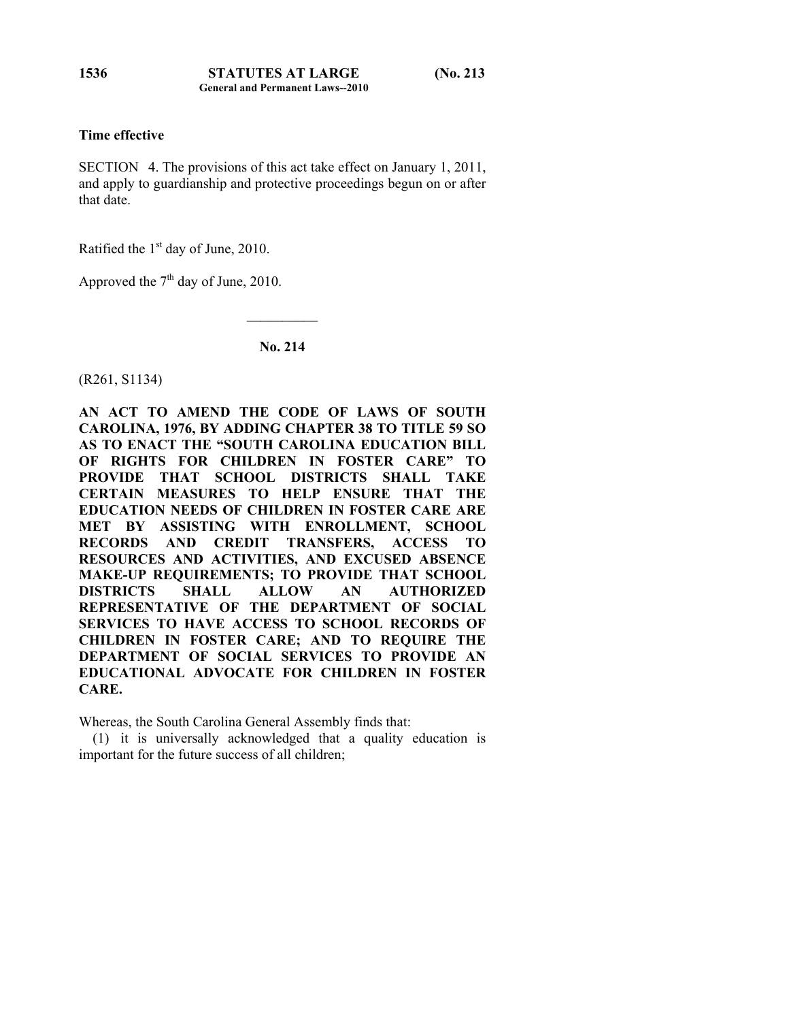# **Time effective**

SECTION 4. The provisions of this act take effect on January 1, 2011, and apply to guardianship and protective proceedings begun on or after that date.

Ratified the  $1<sup>st</sup>$  day of June, 2010.

Approved the  $7<sup>th</sup>$  day of June, 2010.

## **No. 214**

 $\mathcal{L}_\text{max}$ 

(R261, S1134)

**AN ACT TO AMEND THE CODE OF LAWS OF SOUTH CAROLINA, 1976, BY ADDING CHAPTER 38 TO TITLE 59 SO AS TO ENACT THE "SOUTH CAROLINA EDUCATION BILL OF RIGHTS FOR CHILDREN IN FOSTER CARE" TO PROVIDE THAT SCHOOL DISTRICTS SHALL TAKE CERTAIN MEASURES TO HELP ENSURE THAT THE EDUCATION NEEDS OF CHILDREN IN FOSTER CARE ARE MET BY ASSISTING WITH ENROLLMENT, SCHOOL RECORDS AND CREDIT TRANSFERS, ACCESS TO RESOURCES AND ACTIVITIES, AND EXCUSED ABSENCE MAKE-UP REQUIREMENTS; TO PROVIDE THAT SCHOOL DISTRICTS SHALL ALLOW AN AUTHORIZED REPRESENTATIVE OF THE DEPARTMENT OF SOCIAL SERVICES TO HAVE ACCESS TO SCHOOL RECORDS OF CHILDREN IN FOSTER CARE; AND TO REQUIRE THE DEPARTMENT OF SOCIAL SERVICES TO PROVIDE AN EDUCATIONAL ADVOCATE FOR CHILDREN IN FOSTER CARE.** 

Whereas, the South Carolina General Assembly finds that:

 (1) it is universally acknowledged that a quality education is important for the future success of all children;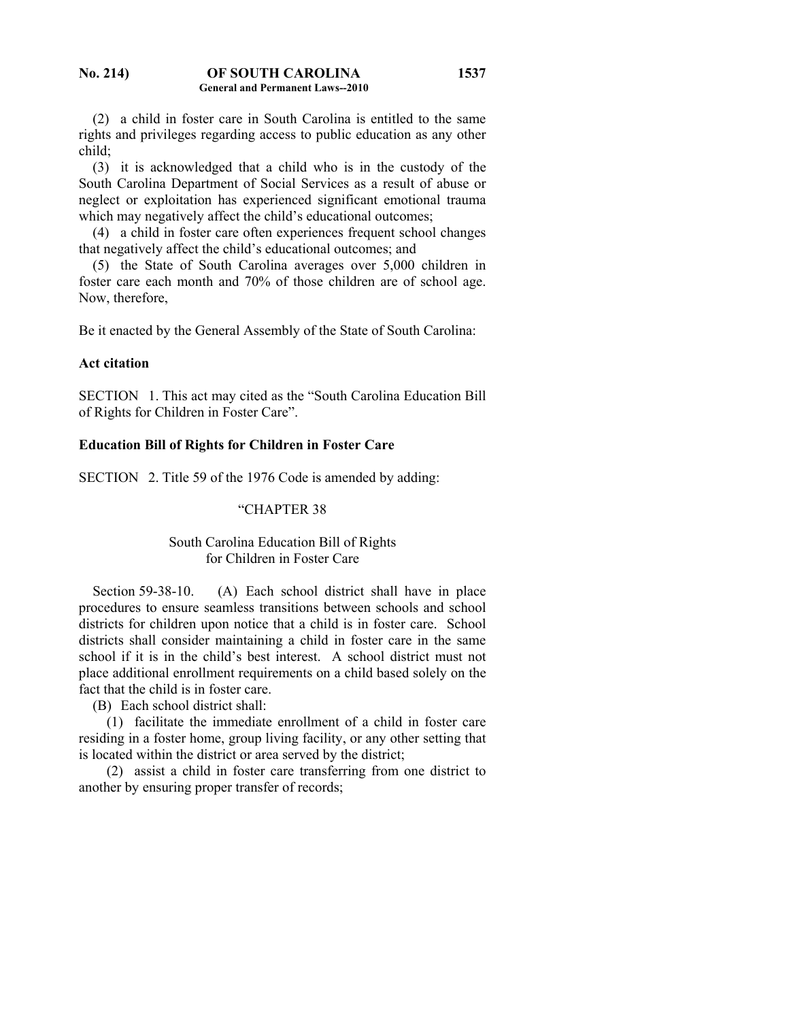(2) a child in foster care in South Carolina is entitled to the same rights and privileges regarding access to public education as any other child;

 (3) it is acknowledged that a child who is in the custody of the South Carolina Department of Social Services as a result of abuse or neglect or exploitation has experienced significant emotional trauma which may negatively affect the child's educational outcomes;

 (4) a child in foster care often experiences frequent school changes that negatively affect the child's educational outcomes; and

 (5) the State of South Carolina averages over 5,000 children in foster care each month and 70% of those children are of school age. Now, therefore,

Be it enacted by the General Assembly of the State of South Carolina:

### **Act citation**

SECTION 1. This act may cited as the "South Carolina Education Bill of Rights for Children in Foster Care".

## **Education Bill of Rights for Children in Foster Care**

SECTION 2. Title 59 of the 1976 Code is amended by adding:

## "CHAPTER 38

## South Carolina Education Bill of Rights for Children in Foster Care

Section 59-38-10. (A) Each school district shall have in place procedures to ensure seamless transitions between schools and school districts for children upon notice that a child is in foster care. School districts shall consider maintaining a child in foster care in the same school if it is in the child's best interest. A school district must not place additional enrollment requirements on a child based solely on the fact that the child is in foster care.

(B) Each school district shall:

 (1) facilitate the immediate enrollment of a child in foster care residing in a foster home, group living facility, or any other setting that is located within the district or area served by the district;

 (2) assist a child in foster care transferring from one district to another by ensuring proper transfer of records;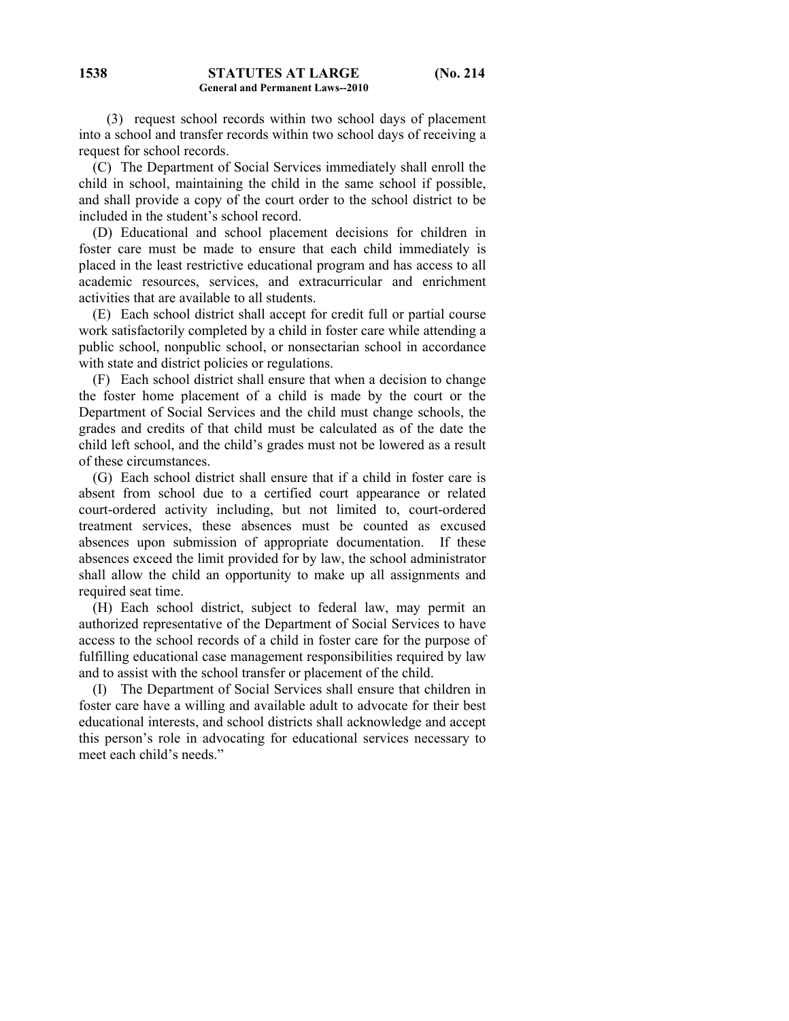(C) The Department of Social Services immediately shall enroll the child in school, maintaining the child in the same school if possible, and shall provide a copy of the court order to the school district to be included in the student's school record.

 (D) Educational and school placement decisions for children in foster care must be made to ensure that each child immediately is placed in the least restrictive educational program and has access to all academic resources, services, and extracurricular and enrichment activities that are available to all students.

 (E) Each school district shall accept for credit full or partial course work satisfactorily completed by a child in foster care while attending a public school, nonpublic school, or nonsectarian school in accordance with state and district policies or regulations.

 (F) Each school district shall ensure that when a decision to change the foster home placement of a child is made by the court or the Department of Social Services and the child must change schools, the grades and credits of that child must be calculated as of the date the child left school, and the child's grades must not be lowered as a result of these circumstances.

 (G) Each school district shall ensure that if a child in foster care is absent from school due to a certified court appearance or related court-ordered activity including, but not limited to, court-ordered treatment services, these absences must be counted as excused absences upon submission of appropriate documentation. If these absences exceed the limit provided for by law, the school administrator shall allow the child an opportunity to make up all assignments and required seat time.

 (H) Each school district, subject to federal law, may permit an authorized representative of the Department of Social Services to have access to the school records of a child in foster care for the purpose of fulfilling educational case management responsibilities required by law and to assist with the school transfer or placement of the child.

 (I) The Department of Social Services shall ensure that children in foster care have a willing and available adult to advocate for their best educational interests, and school districts shall acknowledge and accept this person's role in advocating for educational services necessary to meet each child's needs."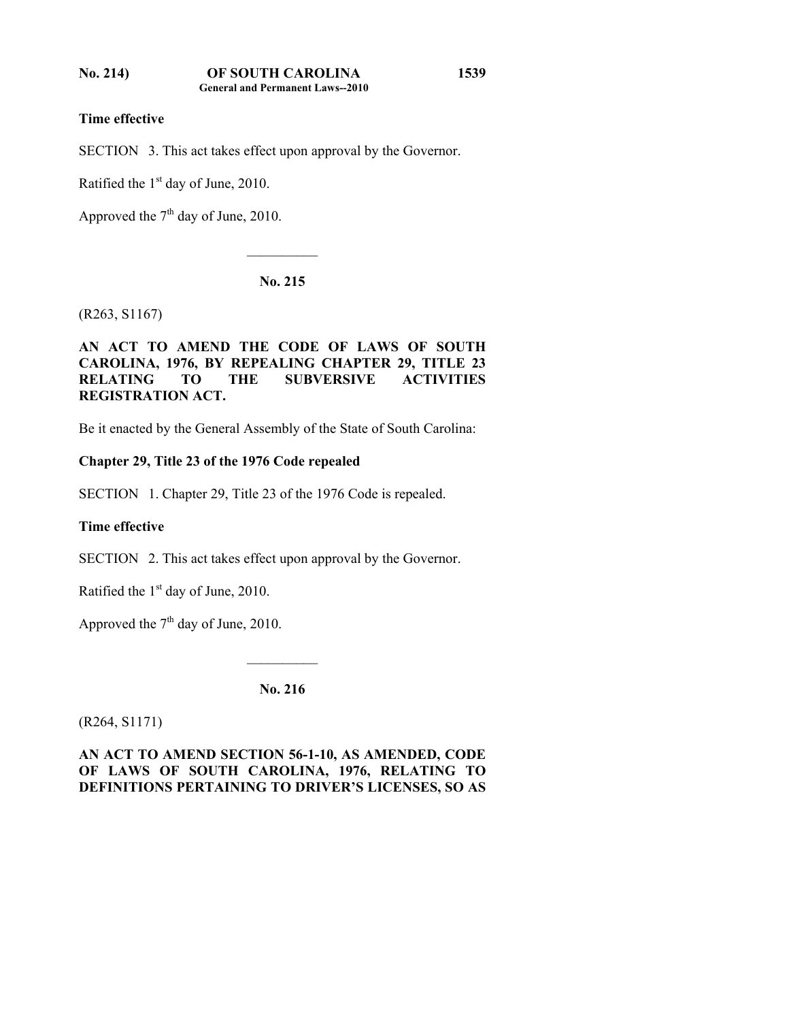SECTION 3. This act takes effect upon approval by the Governor.

Ratified the  $1<sup>st</sup>$  day of June, 2010.

Approved the  $7<sup>th</sup>$  day of June, 2010.

## **No. 215**

 $\mathcal{L}_\text{max}$ 

(R263, S1167)

# **AN ACT TO AMEND THE CODE OF LAWS OF SOUTH CAROLINA, 1976, BY REPEALING CHAPTER 29, TITLE 23 RELATING TO THE SUBVERSIVE ACTIVITIES REGISTRATION ACT.**

Be it enacted by the General Assembly of the State of South Carolina:

## **Chapter 29, Title 23 of the 1976 Code repealed**

SECTION 1. Chapter 29, Title 23 of the 1976 Code is repealed.

# **Time effective**

SECTION 2. This act takes effect upon approval by the Governor.

Ratified the  $1<sup>st</sup>$  day of June, 2010.

Approved the  $7<sup>th</sup>$  day of June, 2010.

**No. 216** 

 $\mathcal{L}_\text{max}$ 

(R264, S1171)

**AN ACT TO AMEND SECTION 56-1-10, AS AMENDED, CODE OF LAWS OF SOUTH CAROLINA, 1976, RELATING TO DEFINITIONS PERTAINING TO DRIVER'S LICENSES, SO AS**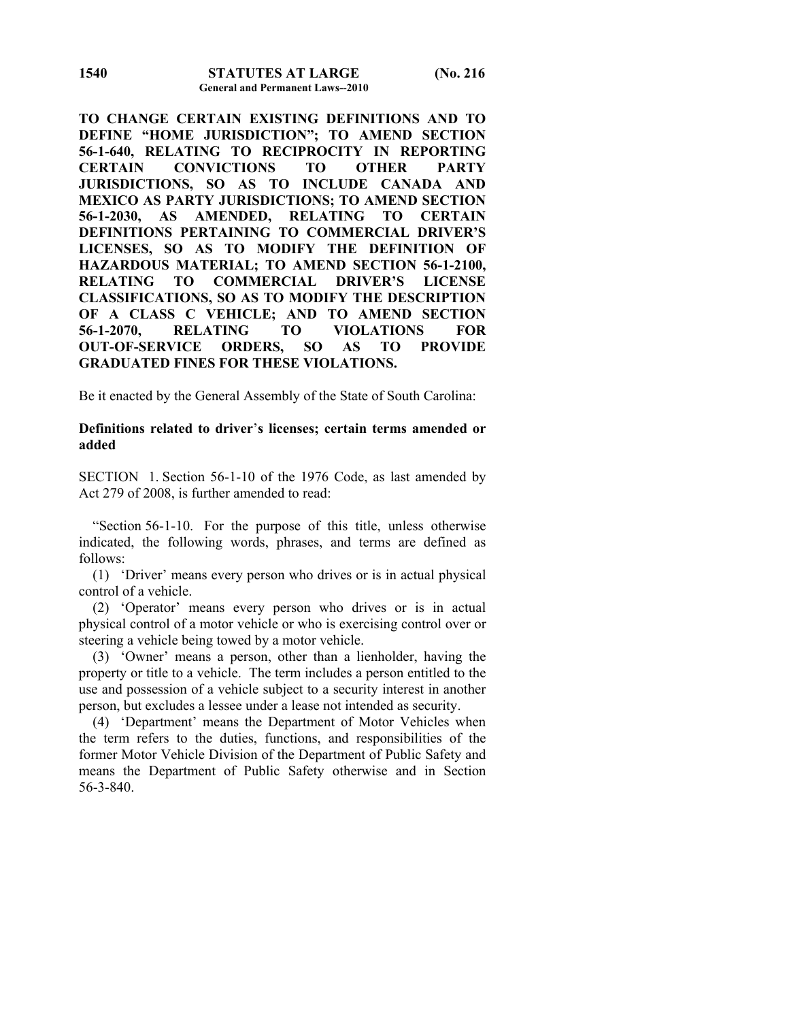**TO CHANGE CERTAIN EXISTING DEFINITIONS AND TO DEFINE "HOME JURISDICTION"; TO AMEND SECTION 56-1-640, RELATING TO RECIPROCITY IN REPORTING CERTAIN CONVICTIONS TO OTHER PARTY JURISDICTIONS, SO AS TO INCLUDE CANADA AND MEXICO AS PARTY JURISDICTIONS; TO AMEND SECTION 56-1-2030, AS AMENDED, RELATING TO CERTAIN DEFINITIONS PERTAINING TO COMMERCIAL DRIVER'S LICENSES, SO AS TO MODIFY THE DEFINITION OF HAZARDOUS MATERIAL; TO AMEND SECTION 56-1-2100, RELATING TO COMMERCIAL DRIVER'S LICENSE CLASSIFICATIONS, SO AS TO MODIFY THE DESCRIPTION OF A CLASS C VEHICLE; AND TO AMEND SECTION 56-1-2070, RELATING TO VIOLATIONS FOR OUT-OF-SERVICE ORDERS, SO AS TO PROVIDE GRADUATED FINES FOR THESE VIOLATIONS.** 

Be it enacted by the General Assembly of the State of South Carolina:

## **Definitions related to driver**'**s licenses; certain terms amended or added**

SECTION 1. Section 56-1-10 of the 1976 Code, as last amended by Act 279 of 2008, is further amended to read:

 "Section 56-1-10. For the purpose of this title, unless otherwise indicated, the following words, phrases, and terms are defined as follows:

 (1) 'Driver' means every person who drives or is in actual physical control of a vehicle.

 (2) 'Operator' means every person who drives or is in actual physical control of a motor vehicle or who is exercising control over or steering a vehicle being towed by a motor vehicle.

 (3) 'Owner' means a person, other than a lienholder, having the property or title to a vehicle. The term includes a person entitled to the use and possession of a vehicle subject to a security interest in another person, but excludes a lessee under a lease not intended as security.

 (4) 'Department' means the Department of Motor Vehicles when the term refers to the duties, functions, and responsibilities of the former Motor Vehicle Division of the Department of Public Safety and means the Department of Public Safety otherwise and in Section 56-3-840.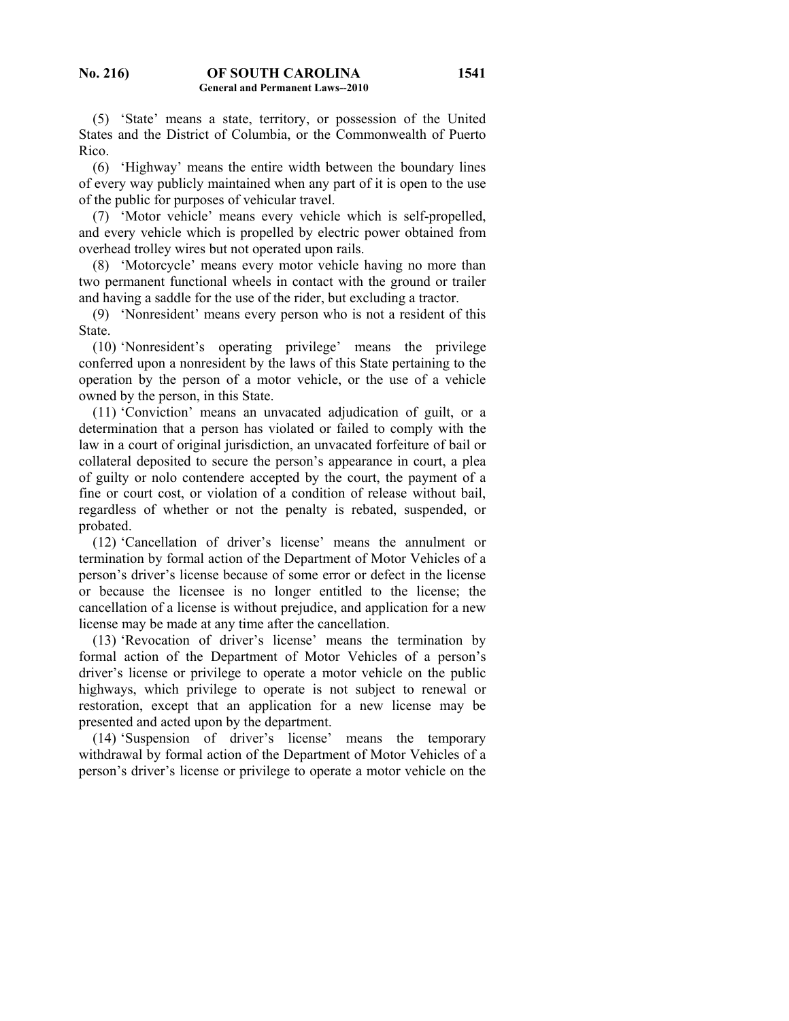(5) 'State' means a state, territory, or possession of the United States and the District of Columbia, or the Commonwealth of Puerto Rico.

 (6) 'Highway' means the entire width between the boundary lines of every way publicly maintained when any part of it is open to the use of the public for purposes of vehicular travel.

 (7) 'Motor vehicle' means every vehicle which is self-propelled, and every vehicle which is propelled by electric power obtained from overhead trolley wires but not operated upon rails.

 (8) 'Motorcycle' means every motor vehicle having no more than two permanent functional wheels in contact with the ground or trailer and having a saddle for the use of the rider, but excluding a tractor.

 (9) 'Nonresident' means every person who is not a resident of this State.

 (10) 'Nonresident's operating privilege' means the privilege conferred upon a nonresident by the laws of this State pertaining to the operation by the person of a motor vehicle, or the use of a vehicle owned by the person, in this State.

 (11) 'Conviction' means an unvacated adjudication of guilt, or a determination that a person has violated or failed to comply with the law in a court of original jurisdiction, an unvacated forfeiture of bail or collateral deposited to secure the person's appearance in court, a plea of guilty or nolo contendere accepted by the court, the payment of a fine or court cost, or violation of a condition of release without bail, regardless of whether or not the penalty is rebated, suspended, or probated.

 (12) 'Cancellation of driver's license' means the annulment or termination by formal action of the Department of Motor Vehicles of a person's driver's license because of some error or defect in the license or because the licensee is no longer entitled to the license; the cancellation of a license is without prejudice, and application for a new license may be made at any time after the cancellation.

 (13) 'Revocation of driver's license' means the termination by formal action of the Department of Motor Vehicles of a person's driver's license or privilege to operate a motor vehicle on the public highways, which privilege to operate is not subject to renewal or restoration, except that an application for a new license may be presented and acted upon by the department.

 (14) 'Suspension of driver's license' means the temporary withdrawal by formal action of the Department of Motor Vehicles of a person's driver's license or privilege to operate a motor vehicle on the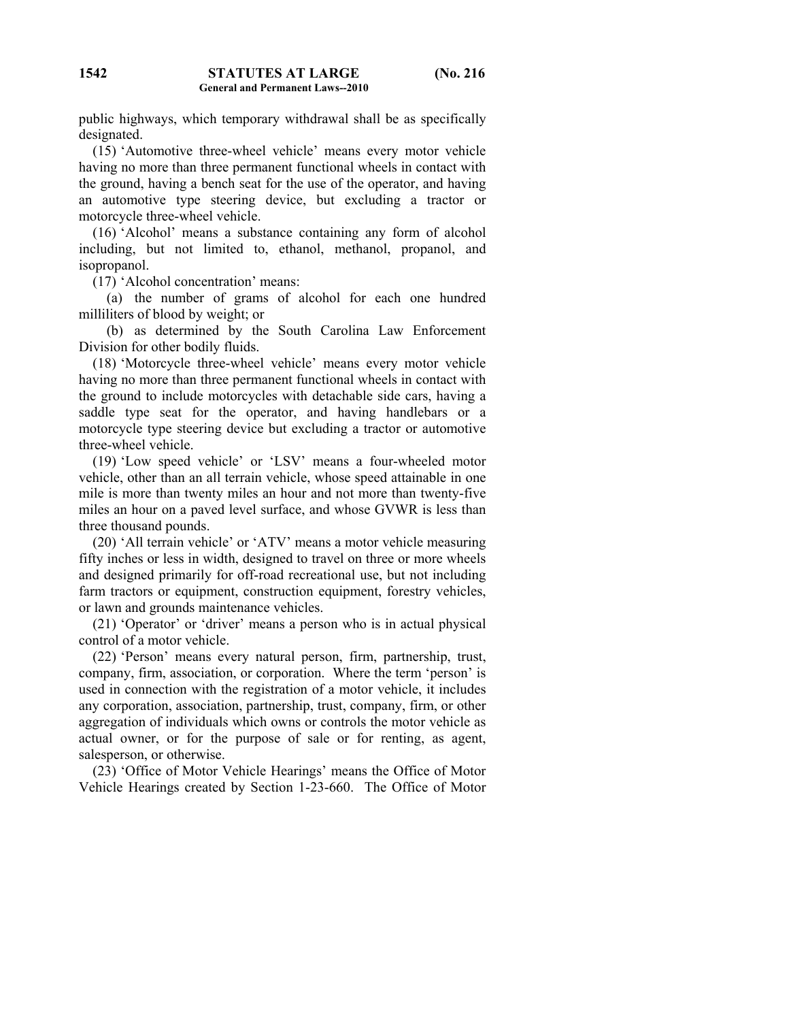public highways, which temporary withdrawal shall be as specifically designated.

 (15) 'Automotive three-wheel vehicle' means every motor vehicle having no more than three permanent functional wheels in contact with the ground, having a bench seat for the use of the operator, and having an automotive type steering device, but excluding a tractor or motorcycle three-wheel vehicle.

 (16) 'Alcohol' means a substance containing any form of alcohol including, but not limited to, ethanol, methanol, propanol, and isopropanol.

(17) 'Alcohol concentration' means:

 (a) the number of grams of alcohol for each one hundred milliliters of blood by weight; or

 (b) as determined by the South Carolina Law Enforcement Division for other bodily fluids.

 (18) 'Motorcycle three-wheel vehicle' means every motor vehicle having no more than three permanent functional wheels in contact with the ground to include motorcycles with detachable side cars, having a saddle type seat for the operator, and having handlebars or a motorcycle type steering device but excluding a tractor or automotive three-wheel vehicle.

 (19) 'Low speed vehicle' or 'LSV' means a four-wheeled motor vehicle, other than an all terrain vehicle, whose speed attainable in one mile is more than twenty miles an hour and not more than twenty-five miles an hour on a paved level surface, and whose GVWR is less than three thousand pounds.

 (20) 'All terrain vehicle' or 'ATV' means a motor vehicle measuring fifty inches or less in width, designed to travel on three or more wheels and designed primarily for off-road recreational use, but not including farm tractors or equipment, construction equipment, forestry vehicles, or lawn and grounds maintenance vehicles.

 (21) 'Operator' or 'driver' means a person who is in actual physical control of a motor vehicle.

 (22) 'Person' means every natural person, firm, partnership, trust, company, firm, association, or corporation. Where the term 'person' is used in connection with the registration of a motor vehicle, it includes any corporation, association, partnership, trust, company, firm, or other aggregation of individuals which owns or controls the motor vehicle as actual owner, or for the purpose of sale or for renting, as agent, salesperson, or otherwise.

 (23) 'Office of Motor Vehicle Hearings' means the Office of Motor Vehicle Hearings created by Section 1-23-660. The Office of Motor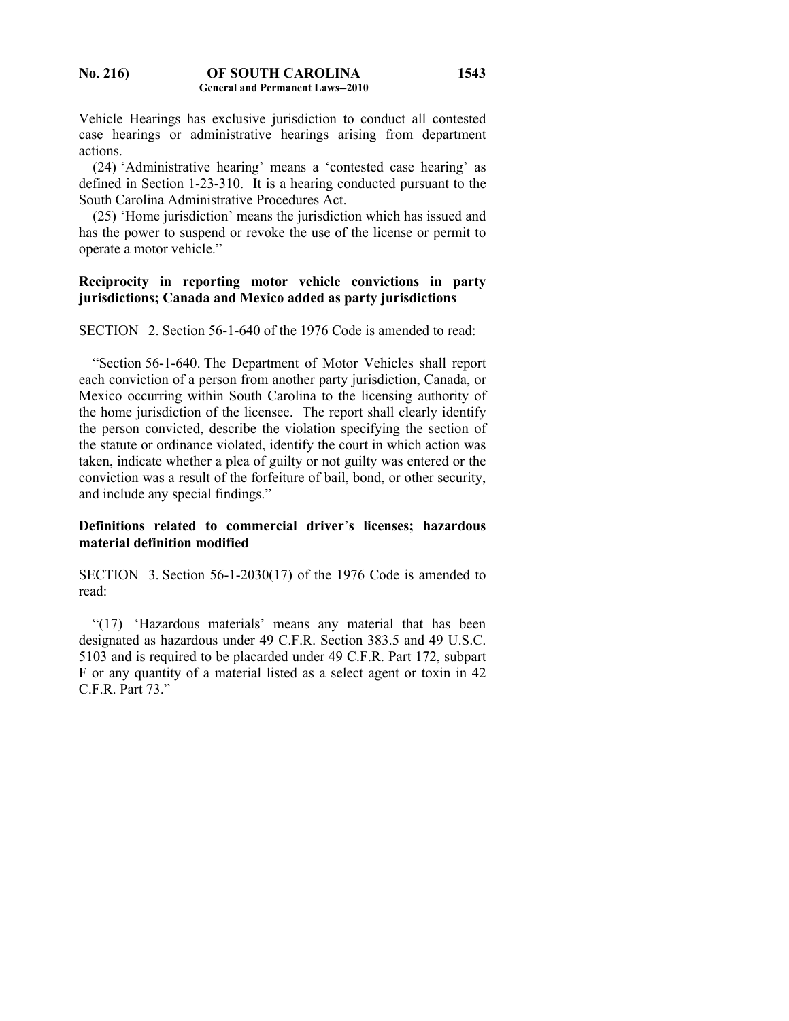**No. 216) OF SOUTH CAROLINA General and Permanent Laws--2010** 

Vehicle Hearings has exclusive jurisdiction to conduct all contested case hearings or administrative hearings arising from department actions.

**1543**

 (24) 'Administrative hearing' means a 'contested case hearing' as defined in Section 1-23-310. It is a hearing conducted pursuant to the South Carolina Administrative Procedures Act.

 (25) 'Home jurisdiction' means the jurisdiction which has issued and has the power to suspend or revoke the use of the license or permit to operate a motor vehicle."

# **Reciprocity in reporting motor vehicle convictions in party jurisdictions; Canada and Mexico added as party jurisdictions**

SECTION 2. Section 56-1-640 of the 1976 Code is amended to read:

 "Section 56-1-640. The Department of Motor Vehicles shall report each conviction of a person from another party jurisdiction, Canada, or Mexico occurring within South Carolina to the licensing authority of the home jurisdiction of the licensee. The report shall clearly identify the person convicted, describe the violation specifying the section of the statute or ordinance violated, identify the court in which action was taken, indicate whether a plea of guilty or not guilty was entered or the conviction was a result of the forfeiture of bail, bond, or other security, and include any special findings."

## **Definitions related to commercial driver**'**s licenses; hazardous material definition modified**

SECTION 3. Section 56-1-2030(17) of the 1976 Code is amended to read:

 "(17) 'Hazardous materials' means any material that has been designated as hazardous under 49 C.F.R. Section 383.5 and 49 U.S.C. 5103 and is required to be placarded under 49 C.F.R. Part 172, subpart F or any quantity of a material listed as a select agent or toxin in 42 C.F.R. Part 73."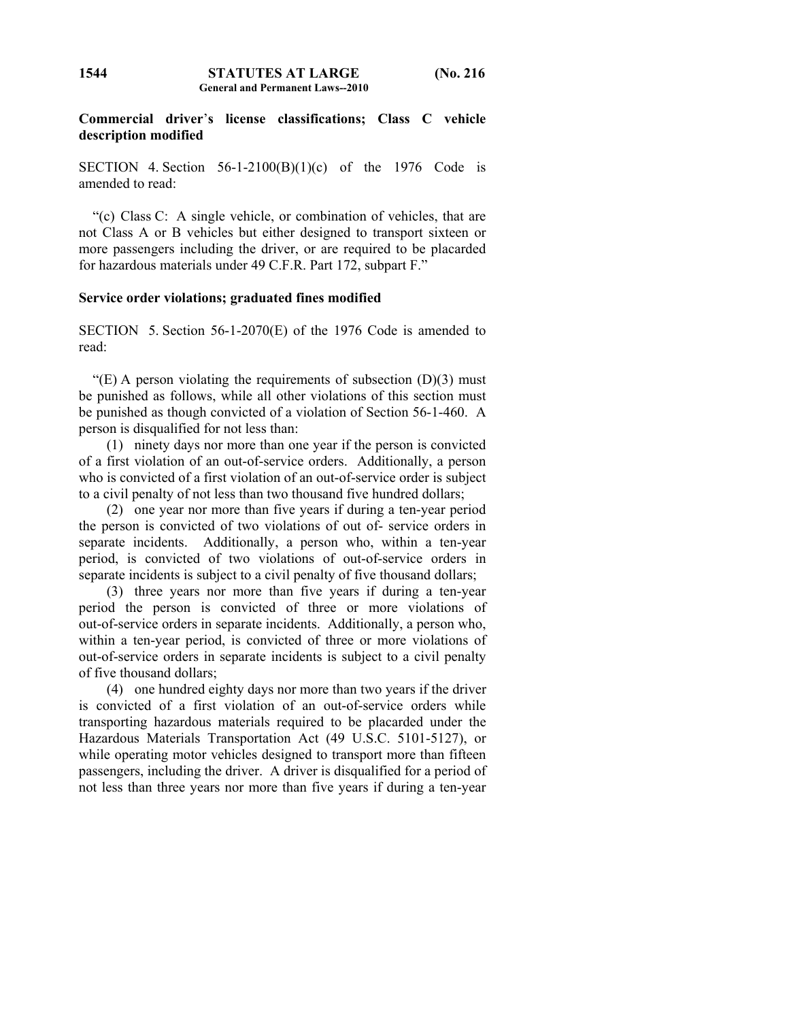## **Commercial driver**'**s license classifications; Class C vehicle description modified**

SECTION 4. Section  $56-1-2100(B)(1)(c)$  of the 1976 Code is amended to read:

 "(c) Class C: A single vehicle, or combination of vehicles, that are not Class A or B vehicles but either designed to transport sixteen or more passengers including the driver, or are required to be placarded for hazardous materials under 49 C.F.R. Part 172, subpart F."

### **Service order violations; graduated fines modified**

SECTION 5. Section 56-1-2070(E) of the 1976 Code is amended to read:

"(E) A person violating the requirements of subsection  $(D)(3)$  must be punished as follows, while all other violations of this section must be punished as though convicted of a violation of Section 56-1-460. A person is disqualified for not less than:

 (1) ninety days nor more than one year if the person is convicted of a first violation of an out-of-service orders. Additionally, a person who is convicted of a first violation of an out-of-service order is subject to a civil penalty of not less than two thousand five hundred dollars;

 (2) one year nor more than five years if during a ten-year period the person is convicted of two violations of out of- service orders in separate incidents. Additionally, a person who, within a ten-year period, is convicted of two violations of out-of-service orders in separate incidents is subject to a civil penalty of five thousand dollars;

 (3) three years nor more than five years if during a ten-year period the person is convicted of three or more violations of out-of-service orders in separate incidents. Additionally, a person who, within a ten-year period, is convicted of three or more violations of out-of-service orders in separate incidents is subject to a civil penalty of five thousand dollars;

 (4) one hundred eighty days nor more than two years if the driver is convicted of a first violation of an out-of-service orders while transporting hazardous materials required to be placarded under the Hazardous Materials Transportation Act (49 U.S.C. 5101-5127), or while operating motor vehicles designed to transport more than fifteen passengers, including the driver. A driver is disqualified for a period of not less than three years nor more than five years if during a ten-year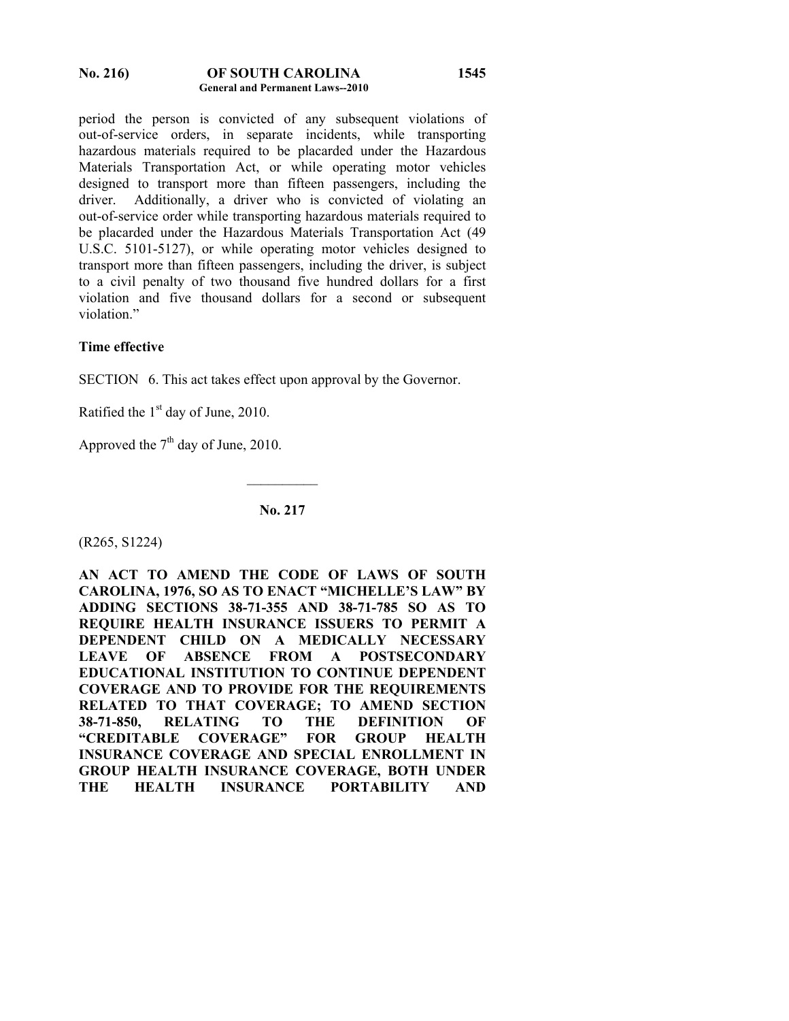#### **No. 216) OF SOUTH CAROLINA General and Permanent Laws--2010 1545**

period the person is convicted of any subsequent violations of out-of-service orders, in separate incidents, while transporting hazardous materials required to be placarded under the Hazardous Materials Transportation Act, or while operating motor vehicles designed to transport more than fifteen passengers, including the driver. Additionally, a driver who is convicted of violating an out-of-service order while transporting hazardous materials required to be placarded under the Hazardous Materials Transportation Act (49 U.S.C. 5101-5127), or while operating motor vehicles designed to transport more than fifteen passengers, including the driver, is subject to a civil penalty of two thousand five hundred dollars for a first violation and five thousand dollars for a second or subsequent violation."

## **Time effective**

SECTION 6. This act takes effect upon approval by the Governor.

Ratified the  $1<sup>st</sup>$  day of June, 2010.

Approved the  $7<sup>th</sup>$  day of June, 2010.

**No. 217** 

 $\mathcal{L}_\text{max}$ 

(R265, S1224)

**AN ACT TO AMEND THE CODE OF LAWS OF SOUTH CAROLINA, 1976, SO AS TO ENACT "MICHELLE'S LAW" BY ADDING SECTIONS 38-71-355 AND 38-71-785 SO AS TO REQUIRE HEALTH INSURANCE ISSUERS TO PERMIT A DEPENDENT CHILD ON A MEDICALLY NECESSARY LEAVE OF ABSENCE FROM A POSTSECONDARY EDUCATIONAL INSTITUTION TO CONTINUE DEPENDENT COVERAGE AND TO PROVIDE FOR THE REQUIREMENTS RELATED TO THAT COVERAGE; TO AMEND SECTION 38-71-850, RELATING TO THE DEFINITION OF "CREDITABLE COVERAGE" FOR GROUP HEALTH INSURANCE COVERAGE AND SPECIAL ENROLLMENT IN GROUP HEALTH INSURANCE COVERAGE, BOTH UNDER THE HEALTH INSURANCE PORTABILITY AND**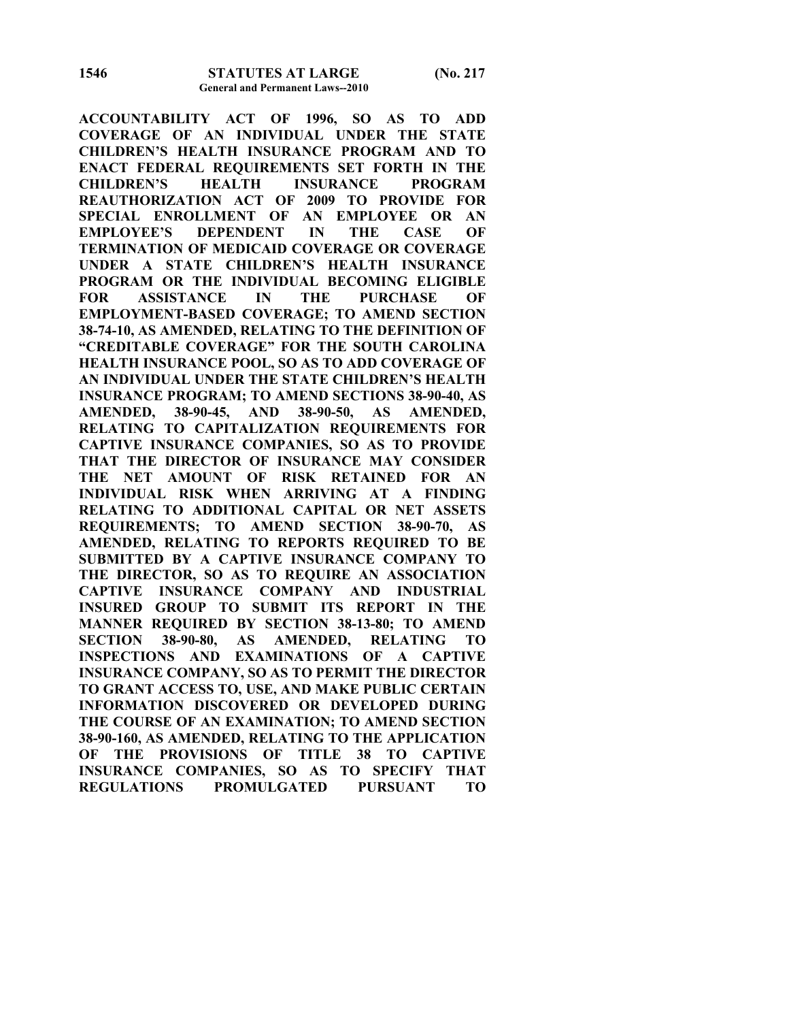**ACCOUNTABILITY ACT OF 1996, SO AS TO ADD COVERAGE OF AN INDIVIDUAL UNDER THE STATE CHILDREN'S HEALTH INSURANCE PROGRAM AND TO ENACT FEDERAL REQUIREMENTS SET FORTH IN THE CHILDREN'S HEALTH INSURANCE PROGRAM REAUTHORIZATION ACT OF 2009 TO PROVIDE FOR SPECIAL ENROLLMENT OF AN EMPLOYEE OR AN EMPLOYEE'S DEPENDENT IN THE CASE OF TERMINATION OF MEDICAID COVERAGE OR COVERAGE UNDER A STATE CHILDREN'S HEALTH INSURANCE PROGRAM OR THE INDIVIDUAL BECOMING ELIGIBLE FOR ASSISTANCE IN THE PURCHASE OF EMPLOYMENT-BASED COVERAGE; TO AMEND SECTION 38-74-10, AS AMENDED, RELATING TO THE DEFINITION OF "CREDITABLE COVERAGE" FOR THE SOUTH CAROLINA HEALTH INSURANCE POOL, SO AS TO ADD COVERAGE OF AN INDIVIDUAL UNDER THE STATE CHILDREN'S HEALTH INSURANCE PROGRAM; TO AMEND SECTIONS 38-90-40, AS AMENDED, 38-90-45, AND 38-90-50, AS AMENDED, RELATING TO CAPITALIZATION REQUIREMENTS FOR CAPTIVE INSURANCE COMPANIES, SO AS TO PROVIDE THAT THE DIRECTOR OF INSURANCE MAY CONSIDER THE NET AMOUNT OF RISK RETAINED FOR AN INDIVIDUAL RISK WHEN ARRIVING AT A FINDING RELATING TO ADDITIONAL CAPITAL OR NET ASSETS REQUIREMENTS; TO AMEND SECTION 38-90-70, AS AMENDED, RELATING TO REPORTS REQUIRED TO BE SUBMITTED BY A CAPTIVE INSURANCE COMPANY TO THE DIRECTOR, SO AS TO REQUIRE AN ASSOCIATION CAPTIVE INSURANCE COMPANY AND INDUSTRIAL INSURED GROUP TO SUBMIT ITS REPORT IN THE MANNER REQUIRED BY SECTION 38-13-80; TO AMEND SECTION 38-90-80, AS AMENDED, RELATING TO INSPECTIONS AND EXAMINATIONS OF A CAPTIVE INSURANCE COMPANY, SO AS TO PERMIT THE DIRECTOR TO GRANT ACCESS TO, USE, AND MAKE PUBLIC CERTAIN INFORMATION DISCOVERED OR DEVELOPED DURING THE COURSE OF AN EXAMINATION; TO AMEND SECTION 38-90-160, AS AMENDED, RELATING TO THE APPLICATION OF THE PROVISIONS OF TITLE 38 TO CAPTIVE INSURANCE COMPANIES, SO AS TO SPECIFY THAT REGULATIONS PROMULGATED PURSUANT TO**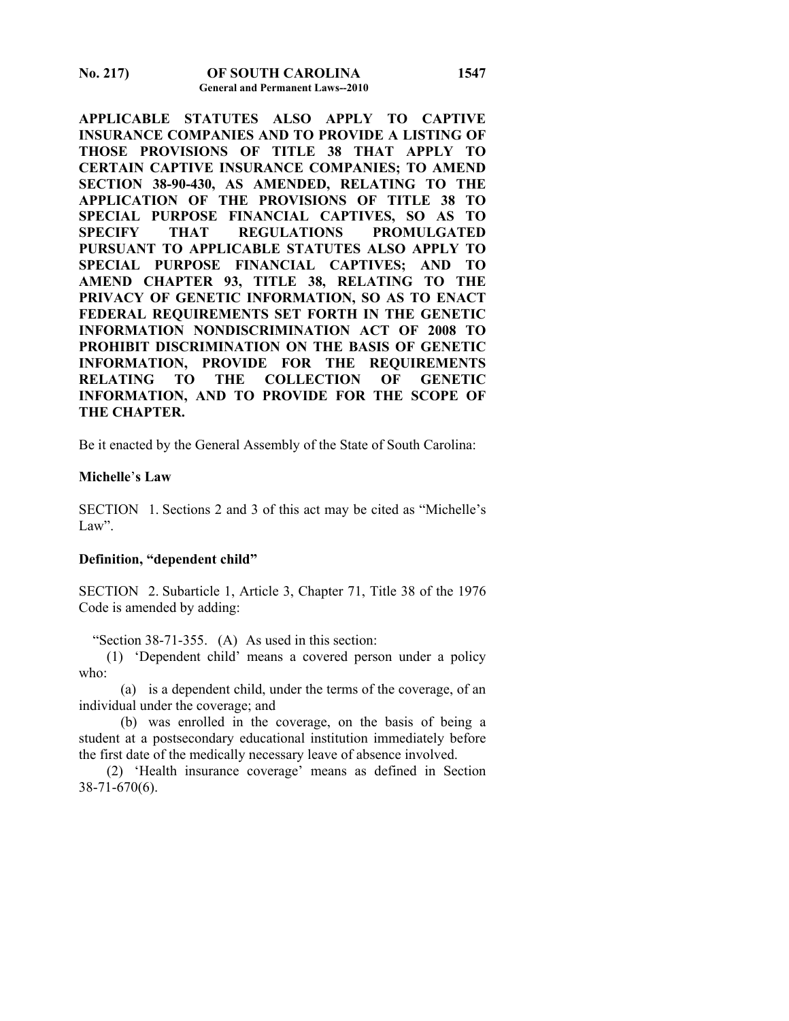**No. 217) OF SOUTH CAROLINA General and Permanent Laws--2010** 

**APPLICABLE STATUTES ALSO APPLY TO CAPTIVE INSURANCE COMPANIES AND TO PROVIDE A LISTING OF THOSE PROVISIONS OF TITLE 38 THAT APPLY TO CERTAIN CAPTIVE INSURANCE COMPANIES; TO AMEND SECTION 38-90-430, AS AMENDED, RELATING TO THE APPLICATION OF THE PROVISIONS OF TITLE 38 TO SPECIAL PURPOSE FINANCIAL CAPTIVES, SO AS TO SPECIFY THAT REGULATIONS PROMULGATED PURSUANT TO APPLICABLE STATUTES ALSO APPLY TO SPECIAL PURPOSE FINANCIAL CAPTIVES; AND TO AMEND CHAPTER 93, TITLE 38, RELATING TO THE PRIVACY OF GENETIC INFORMATION, SO AS TO ENACT FEDERAL REQUIREMENTS SET FORTH IN THE GENETIC INFORMATION NONDISCRIMINATION ACT OF 2008 TO PROHIBIT DISCRIMINATION ON THE BASIS OF GENETIC INFORMATION, PROVIDE FOR THE REQUIREMENTS RELATING TO THE COLLECTION OF GENETIC INFORMATION, AND TO PROVIDE FOR THE SCOPE OF THE CHAPTER.** 

Be it enacted by the General Assembly of the State of South Carolina:

#### **Michelle**'**s Law**

SECTION 1. Sections 2 and 3 of this act may be cited as "Michelle's Law".

#### **Definition, "dependent child"**

SECTION 2. Subarticle 1, Article 3, Chapter 71, Title 38 of the 1976 Code is amended by adding:

"Section 38-71-355. (A) As used in this section:

 (1) 'Dependent child' means a covered person under a policy who:

 (a) is a dependent child, under the terms of the coverage, of an individual under the coverage; and

 (b) was enrolled in the coverage, on the basis of being a student at a postsecondary educational institution immediately before the first date of the medically necessary leave of absence involved.

 (2) 'Health insurance coverage' means as defined in Section 38-71-670(6).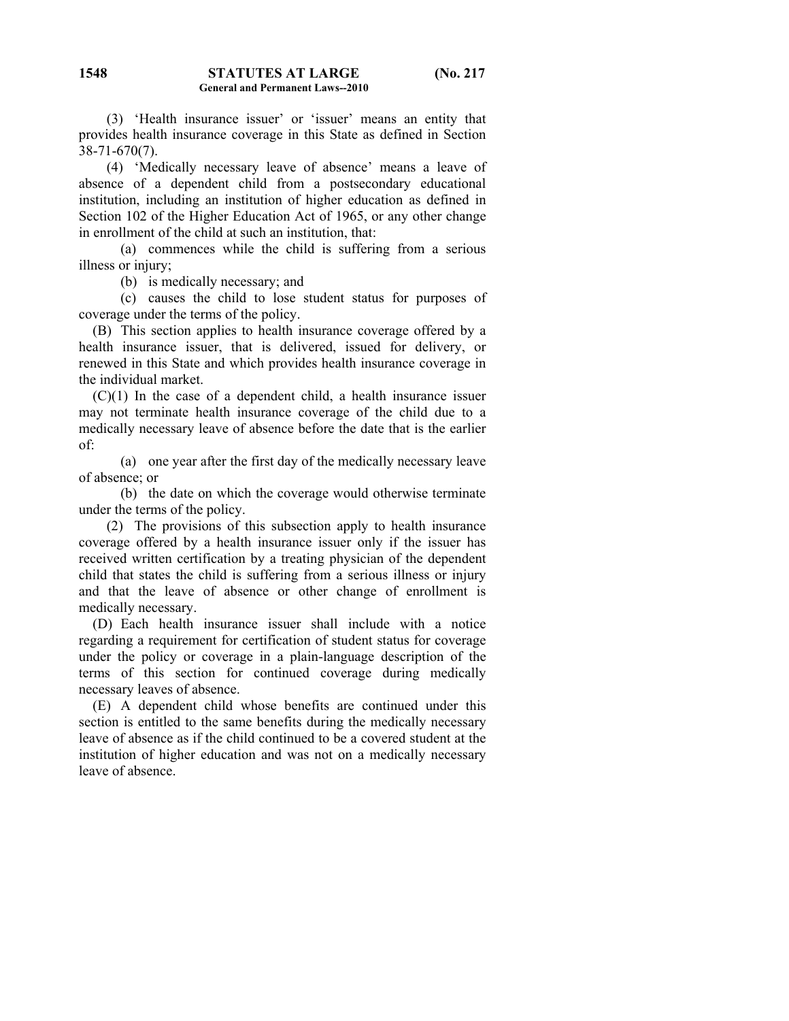(3) 'Health insurance issuer' or 'issuer' means an entity that provides health insurance coverage in this State as defined in Section 38-71-670(7).

 (4) 'Medically necessary leave of absence' means a leave of absence of a dependent child from a postsecondary educational institution, including an institution of higher education as defined in Section 102 of the Higher Education Act of 1965, or any other change in enrollment of the child at such an institution, that:

 (a) commences while the child is suffering from a serious illness or injury;

(b) is medically necessary; and

 (c) causes the child to lose student status for purposes of coverage under the terms of the policy.

 (B) This section applies to health insurance coverage offered by a health insurance issuer, that is delivered, issued for delivery, or renewed in this State and which provides health insurance coverage in the individual market.

 $(C)(1)$  In the case of a dependent child, a health insurance issuer may not terminate health insurance coverage of the child due to a medically necessary leave of absence before the date that is the earlier of:

 (a) one year after the first day of the medically necessary leave of absence; or

 (b) the date on which the coverage would otherwise terminate under the terms of the policy.

 (2) The provisions of this subsection apply to health insurance coverage offered by a health insurance issuer only if the issuer has received written certification by a treating physician of the dependent child that states the child is suffering from a serious illness or injury and that the leave of absence or other change of enrollment is medically necessary.

 (D) Each health insurance issuer shall include with a notice regarding a requirement for certification of student status for coverage under the policy or coverage in a plain-language description of the terms of this section for continued coverage during medically necessary leaves of absence.

 (E) A dependent child whose benefits are continued under this section is entitled to the same benefits during the medically necessary leave of absence as if the child continued to be a covered student at the institution of higher education and was not on a medically necessary leave of absence.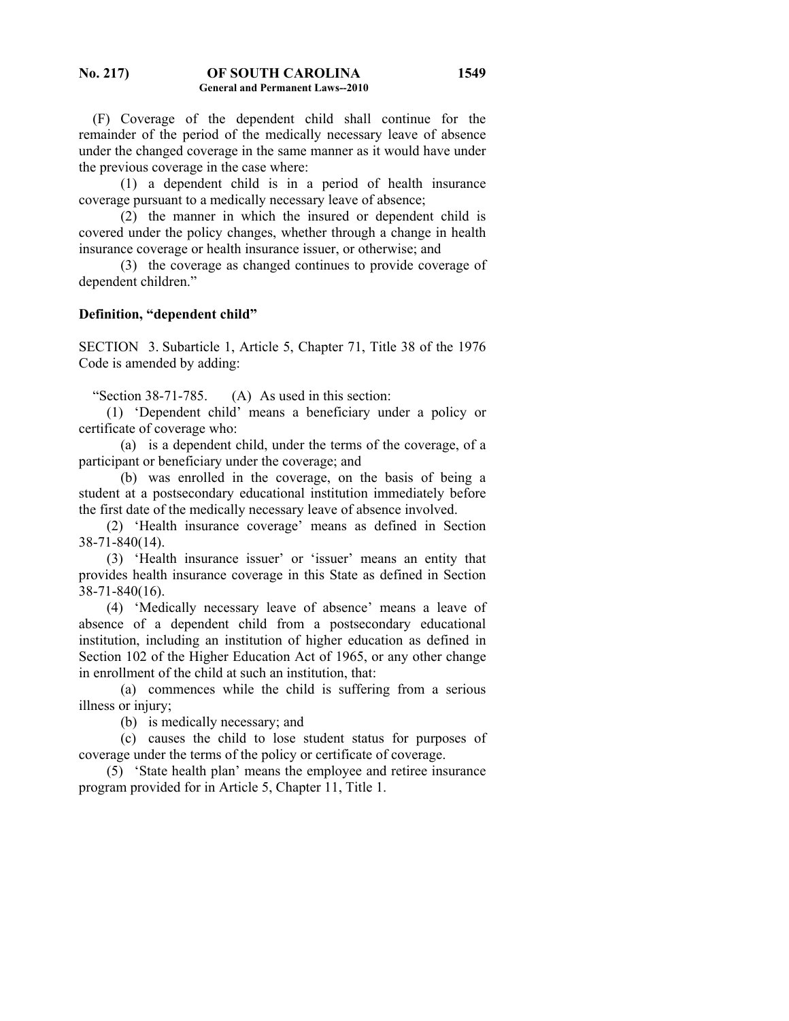(F) Coverage of the dependent child shall continue for the remainder of the period of the medically necessary leave of absence under the changed coverage in the same manner as it would have under the previous coverage in the case where:

 (1) a dependent child is in a period of health insurance coverage pursuant to a medically necessary leave of absence;

 (2) the manner in which the insured or dependent child is covered under the policy changes, whether through a change in health insurance coverage or health insurance issuer, or otherwise; and

 (3) the coverage as changed continues to provide coverage of dependent children."

## **Definition, "dependent child"**

SECTION 3. Subarticle 1, Article 5, Chapter 71, Title 38 of the 1976 Code is amended by adding:

"Section 38-71-785. (A) As used in this section:

 (1) 'Dependent child' means a beneficiary under a policy or certificate of coverage who:

 (a) is a dependent child, under the terms of the coverage, of a participant or beneficiary under the coverage; and

 (b) was enrolled in the coverage, on the basis of being a student at a postsecondary educational institution immediately before the first date of the medically necessary leave of absence involved.

 (2) 'Health insurance coverage' means as defined in Section 38-71-840(14).

 (3) 'Health insurance issuer' or 'issuer' means an entity that provides health insurance coverage in this State as defined in Section 38-71-840(16).

 (4) 'Medically necessary leave of absence' means a leave of absence of a dependent child from a postsecondary educational institution, including an institution of higher education as defined in Section 102 of the Higher Education Act of 1965, or any other change in enrollment of the child at such an institution, that:

 (a) commences while the child is suffering from a serious illness or injury;

(b) is medically necessary; and

 (c) causes the child to lose student status for purposes of coverage under the terms of the policy or certificate of coverage.

 (5) 'State health plan' means the employee and retiree insurance program provided for in Article 5, Chapter 11, Title 1.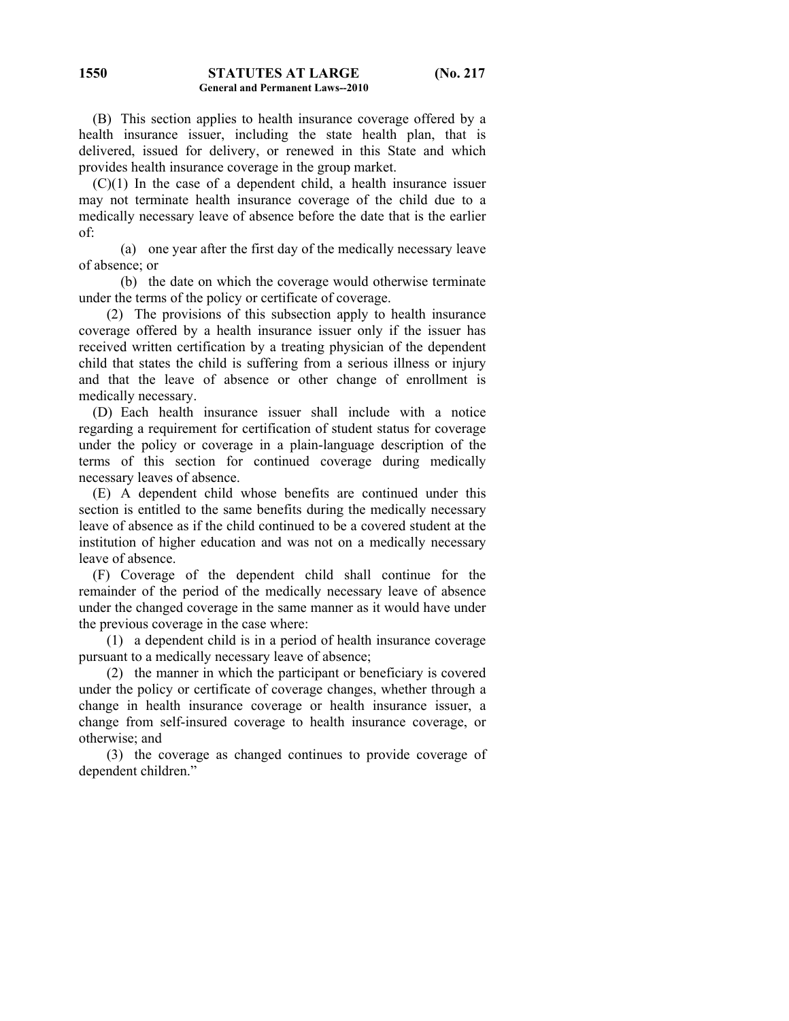**1550**

 (B) This section applies to health insurance coverage offered by a health insurance issuer, including the state health plan, that is delivered, issued for delivery, or renewed in this State and which provides health insurance coverage in the group market.

 $(C)(1)$  In the case of a dependent child, a health insurance issuer may not terminate health insurance coverage of the child due to a medically necessary leave of absence before the date that is the earlier of:

 (a) one year after the first day of the medically necessary leave of absence; or

 (b) the date on which the coverage would otherwise terminate under the terms of the policy or certificate of coverage.

 (2) The provisions of this subsection apply to health insurance coverage offered by a health insurance issuer only if the issuer has received written certification by a treating physician of the dependent child that states the child is suffering from a serious illness or injury and that the leave of absence or other change of enrollment is medically necessary.

 (D) Each health insurance issuer shall include with a notice regarding a requirement for certification of student status for coverage under the policy or coverage in a plain-language description of the terms of this section for continued coverage during medically necessary leaves of absence.

 (E) A dependent child whose benefits are continued under this section is entitled to the same benefits during the medically necessary leave of absence as if the child continued to be a covered student at the institution of higher education and was not on a medically necessary leave of absence.

 (F) Coverage of the dependent child shall continue for the remainder of the period of the medically necessary leave of absence under the changed coverage in the same manner as it would have under the previous coverage in the case where:

 (1) a dependent child is in a period of health insurance coverage pursuant to a medically necessary leave of absence;

 (2) the manner in which the participant or beneficiary is covered under the policy or certificate of coverage changes, whether through a change in health insurance coverage or health insurance issuer, a change from self-insured coverage to health insurance coverage, or otherwise; and

 (3) the coverage as changed continues to provide coverage of dependent children."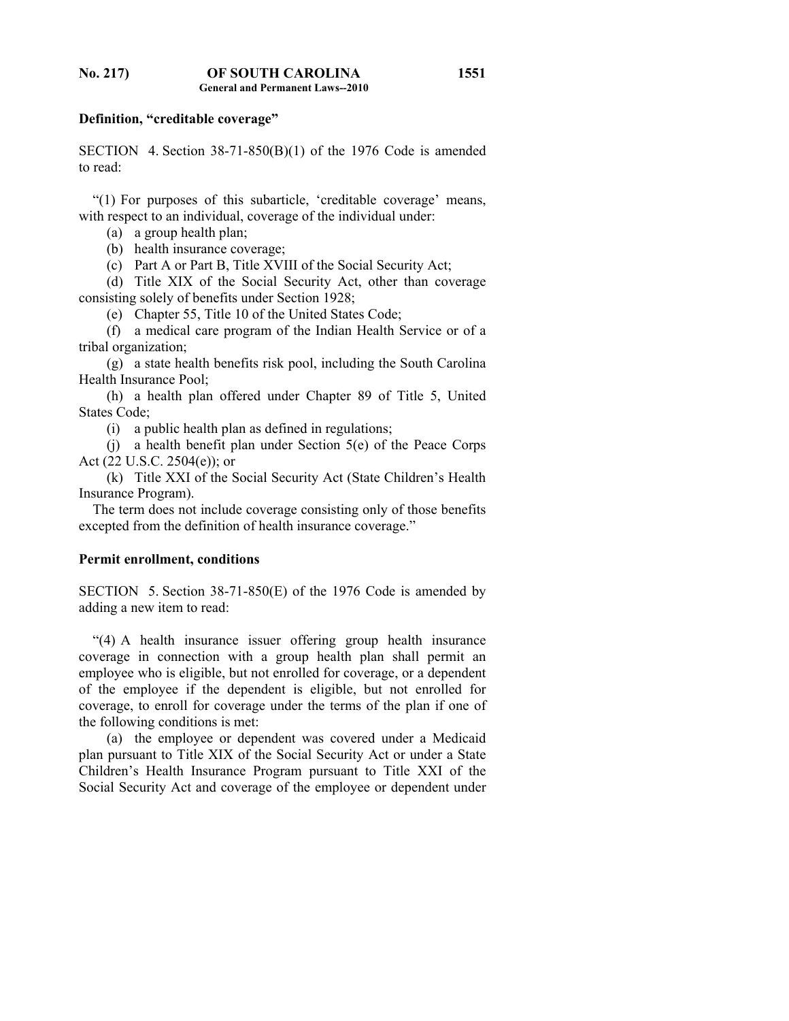#### **Definition, "creditable coverage"**

SECTION 4. Section 38-71-850(B)(1) of the 1976 Code is amended to read:

 "(1) For purposes of this subarticle, 'creditable coverage' means, with respect to an individual, coverage of the individual under:

(a) a group health plan;

(b) health insurance coverage;

(c) Part A or Part B, Title XVIII of the Social Security Act;

 (d) Title XIX of the Social Security Act, other than coverage consisting solely of benefits under Section 1928;

(e) Chapter 55, Title 10 of the United States Code;

 (f) a medical care program of the Indian Health Service or of a tribal organization;

 (g) a state health benefits risk pool, including the South Carolina Health Insurance Pool;

 (h) a health plan offered under Chapter 89 of Title 5, United States Code;

(i) a public health plan as defined in regulations;

 (j) a health benefit plan under Section 5(e) of the Peace Corps Act (22 U.S.C. 2504(e)); or

 (k) Title XXI of the Social Security Act (State Children's Health Insurance Program).

 The term does not include coverage consisting only of those benefits excepted from the definition of health insurance coverage."

# **Permit enrollment, conditions**

SECTION 5. Section 38-71-850(E) of the 1976 Code is amended by adding a new item to read:

 "(4) A health insurance issuer offering group health insurance coverage in connection with a group health plan shall permit an employee who is eligible, but not enrolled for coverage, or a dependent of the employee if the dependent is eligible, but not enrolled for coverage, to enroll for coverage under the terms of the plan if one of the following conditions is met:

 (a) the employee or dependent was covered under a Medicaid plan pursuant to Title XIX of the Social Security Act or under a State Children's Health Insurance Program pursuant to Title XXI of the Social Security Act and coverage of the employee or dependent under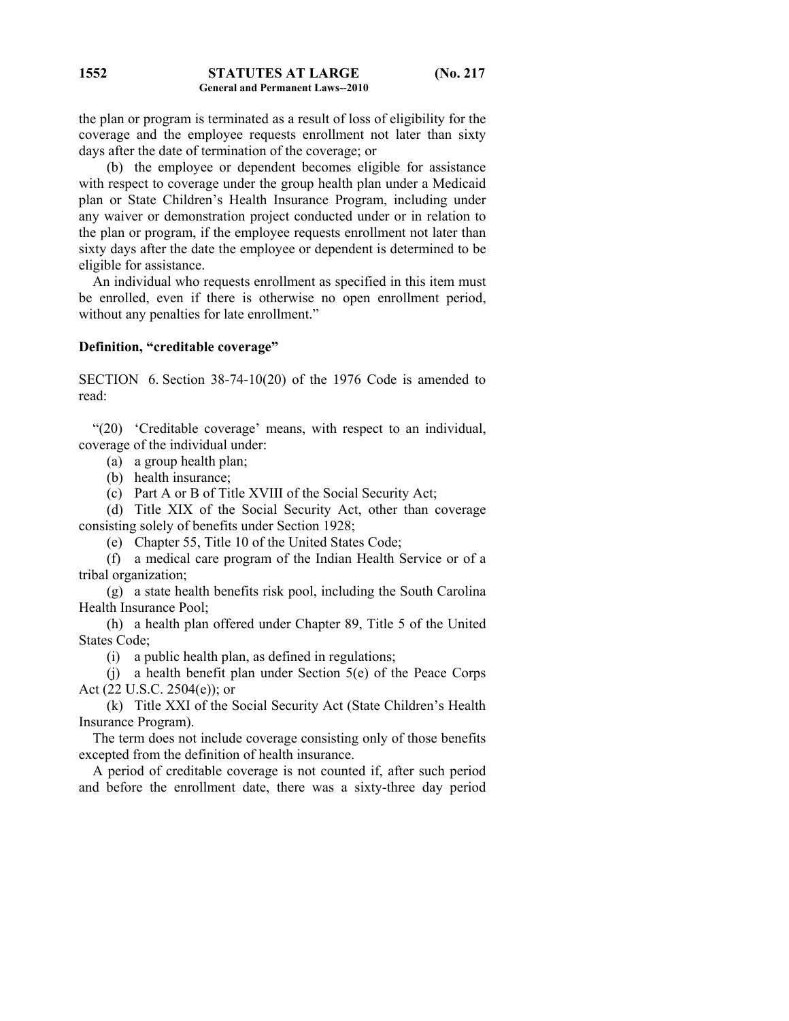#### **STATUTES AT LARGE (No. 217 General and Permanent Laws--2010 1552**

the plan or program is terminated as a result of loss of eligibility for the coverage and the employee requests enrollment not later than sixty days after the date of termination of the coverage; or

 (b) the employee or dependent becomes eligible for assistance with respect to coverage under the group health plan under a Medicaid plan or State Children's Health Insurance Program, including under any waiver or demonstration project conducted under or in relation to the plan or program, if the employee requests enrollment not later than sixty days after the date the employee or dependent is determined to be eligible for assistance.

 An individual who requests enrollment as specified in this item must be enrolled, even if there is otherwise no open enrollment period, without any penalties for late enrollment."

### **Definition, "creditable coverage"**

SECTION 6. Section 38-74-10(20) of the 1976 Code is amended to read:

 "(20) 'Creditable coverage' means, with respect to an individual, coverage of the individual under:

(a) a group health plan;

(b) health insurance;

(c) Part A or B of Title XVIII of the Social Security Act;

 (d) Title XIX of the Social Security Act, other than coverage consisting solely of benefits under Section 1928;

(e) Chapter 55, Title 10 of the United States Code;

 (f) a medical care program of the Indian Health Service or of a tribal organization;

 (g) a state health benefits risk pool, including the South Carolina Health Insurance Pool;

 (h) a health plan offered under Chapter 89, Title 5 of the United States Code;

(i) a public health plan, as defined in regulations;

 (j) a health benefit plan under Section 5(e) of the Peace Corps Act (22 U.S.C. 2504(e)); or

 (k) Title XXI of the Social Security Act (State Children's Health Insurance Program).

 The term does not include coverage consisting only of those benefits excepted from the definition of health insurance.

 A period of creditable coverage is not counted if, after such period and before the enrollment date, there was a sixty-three day period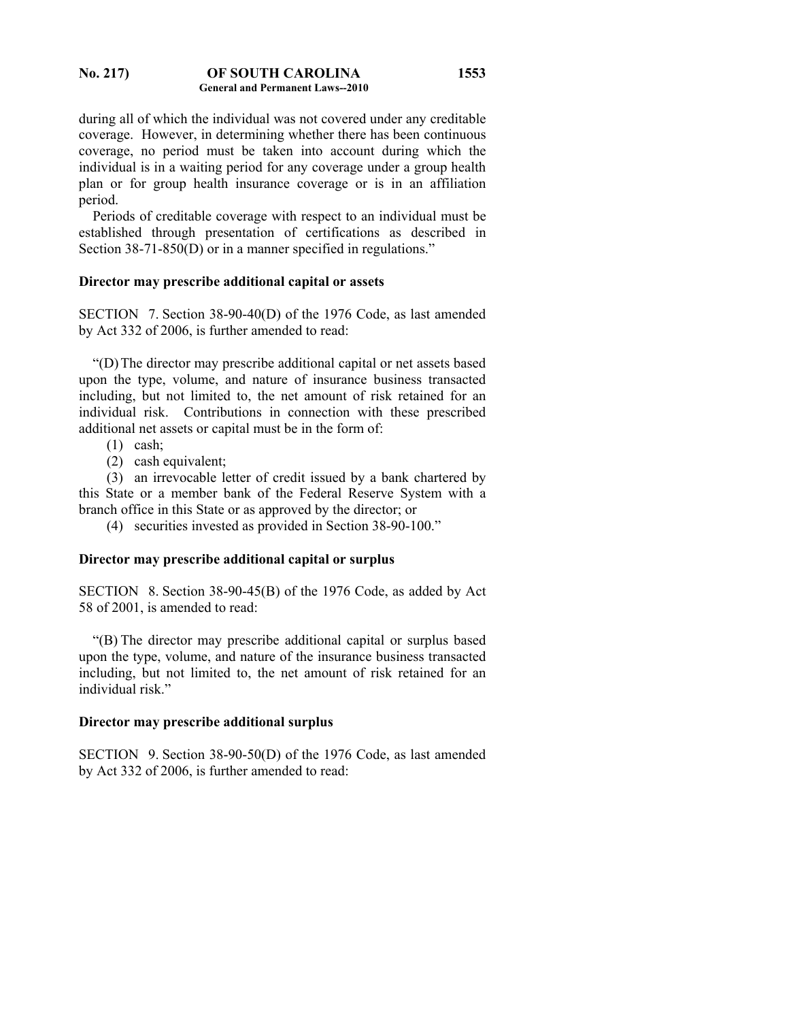#### **No. 217) OF SOUTH CAROLINA General and Permanent Laws--2010 1553**

during all of which the individual was not covered under any creditable coverage. However, in determining whether there has been continuous coverage, no period must be taken into account during which the individual is in a waiting period for any coverage under a group health plan or for group health insurance coverage or is in an affiliation period.

 Periods of creditable coverage with respect to an individual must be established through presentation of certifications as described in Section 38-71-850(D) or in a manner specified in regulations."

### **Director may prescribe additional capital or assets**

SECTION 7. Section 38-90-40(D) of the 1976 Code, as last amended by Act 332 of 2006, is further amended to read:

 "(D) The director may prescribe additional capital or net assets based upon the type, volume, and nature of insurance business transacted including, but not limited to, the net amount of risk retained for an individual risk. Contributions in connection with these prescribed additional net assets or capital must be in the form of:

- (1) cash;
- (2) cash equivalent;

 (3) an irrevocable letter of credit issued by a bank chartered by this State or a member bank of the Federal Reserve System with a branch office in this State or as approved by the director; or

(4) securities invested as provided in Section 38-90-100."

## **Director may prescribe additional capital or surplus**

SECTION 8. Section 38-90-45(B) of the 1976 Code, as added by Act 58 of 2001, is amended to read:

 "(B) The director may prescribe additional capital or surplus based upon the type, volume, and nature of the insurance business transacted including, but not limited to, the net amount of risk retained for an individual risk."

### **Director may prescribe additional surplus**

SECTION 9. Section 38-90-50(D) of the 1976 Code, as last amended by Act 332 of 2006, is further amended to read: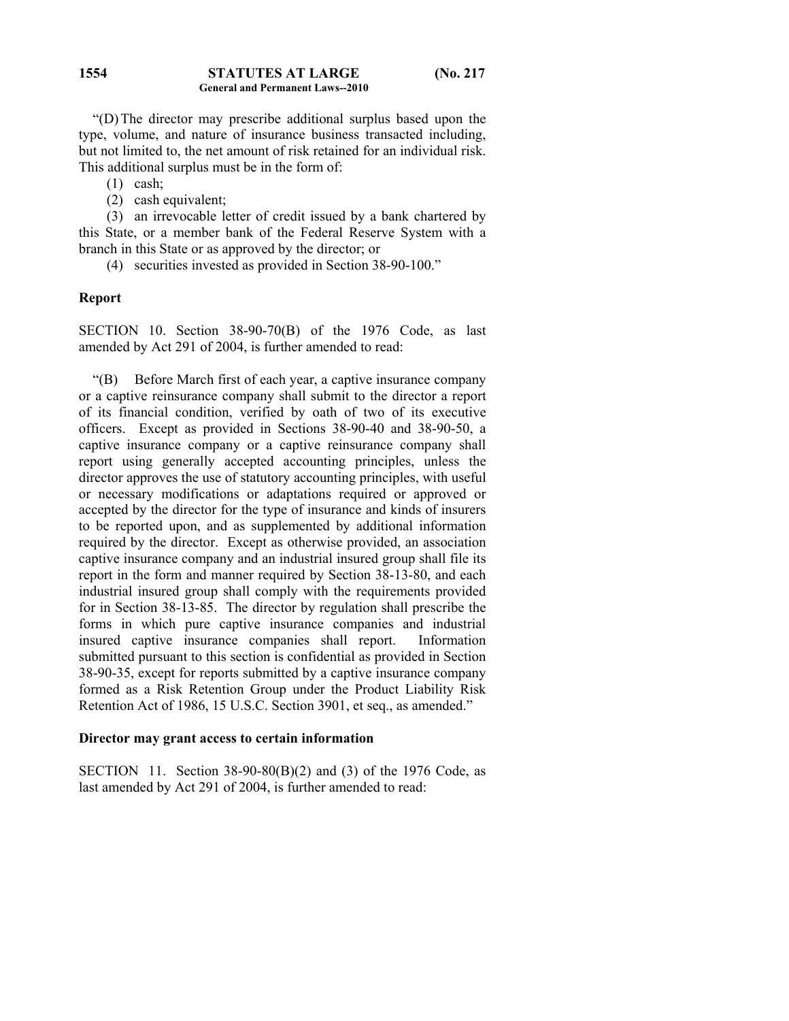#### **STATUTES AT LARGE (No. 217 General and Permanent Laws--2010 1554**

 "(D) The director may prescribe additional surplus based upon the type, volume, and nature of insurance business transacted including, but not limited to, the net amount of risk retained for an individual risk. This additional surplus must be in the form of:

- (1) cash;
- (2) cash equivalent;

 (3) an irrevocable letter of credit issued by a bank chartered by this State, or a member bank of the Federal Reserve System with a branch in this State or as approved by the director; or

(4) securities invested as provided in Section 38-90-100."

### **Report**

SECTION 10. Section 38-90-70(B) of the 1976 Code, as last amended by Act 291 of 2004, is further amended to read:

 "(B) Before March first of each year, a captive insurance company or a captive reinsurance company shall submit to the director a report of its financial condition, verified by oath of two of its executive officers. Except as provided in Sections 38-90-40 and 38-90-50, a captive insurance company or a captive reinsurance company shall report using generally accepted accounting principles, unless the director approves the use of statutory accounting principles, with useful or necessary modifications or adaptations required or approved or accepted by the director for the type of insurance and kinds of insurers to be reported upon, and as supplemented by additional information required by the director. Except as otherwise provided, an association captive insurance company and an industrial insured group shall file its report in the form and manner required by Section 38-13-80, and each industrial insured group shall comply with the requirements provided for in Section 38-13-85. The director by regulation shall prescribe the forms in which pure captive insurance companies and industrial insured captive insurance companies shall report. Information submitted pursuant to this section is confidential as provided in Section 38-90-35, except for reports submitted by a captive insurance company formed as a Risk Retention Group under the Product Liability Risk Retention Act of 1986, 15 U.S.C. Section 3901, et seq., as amended."

#### **Director may grant access to certain information**

SECTION 11. Section 38-90-80(B)(2) and (3) of the 1976 Code, as last amended by Act 291 of 2004, is further amended to read: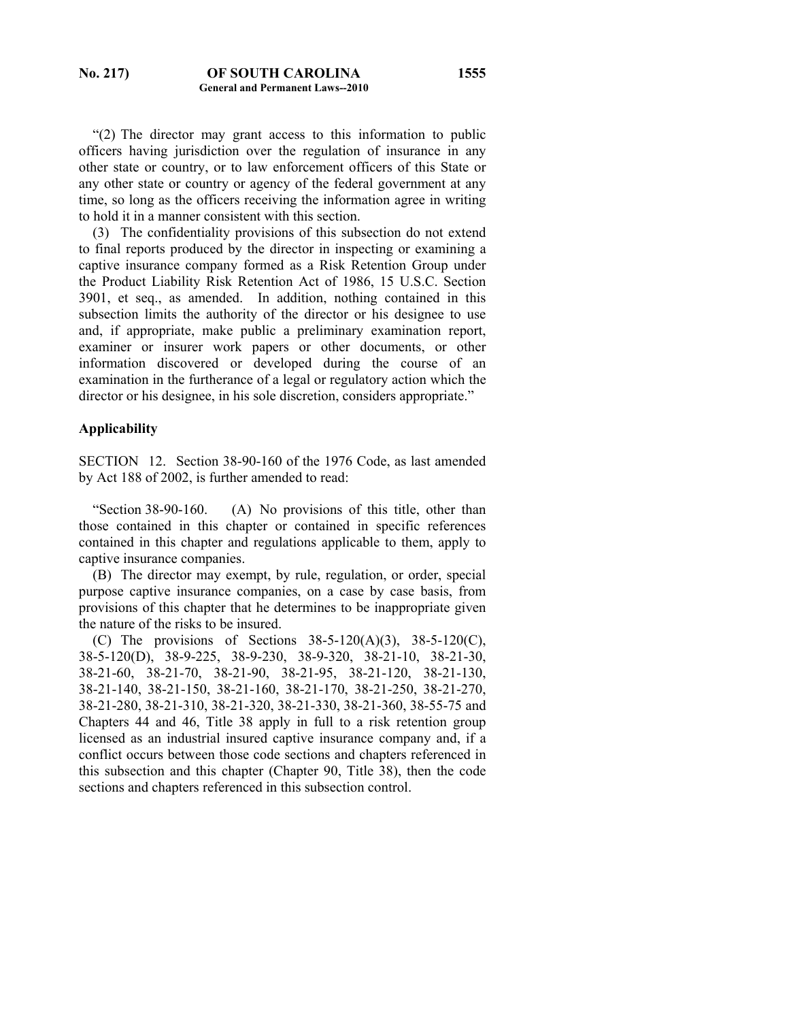"(2) The director may grant access to this information to public officers having jurisdiction over the regulation of insurance in any other state or country, or to law enforcement officers of this State or any other state or country or agency of the federal government at any time, so long as the officers receiving the information agree in writing to hold it in a manner consistent with this section.

 (3) The confidentiality provisions of this subsection do not extend to final reports produced by the director in inspecting or examining a captive insurance company formed as a Risk Retention Group under the Product Liability Risk Retention Act of 1986, 15 U.S.C. Section 3901, et seq., as amended. In addition, nothing contained in this subsection limits the authority of the director or his designee to use and, if appropriate, make public a preliminary examination report, examiner or insurer work papers or other documents, or other information discovered or developed during the course of an examination in the furtherance of a legal or regulatory action which the director or his designee, in his sole discretion, considers appropriate."

#### **Applicability**

SECTION 12. Section 38-90-160 of the 1976 Code, as last amended by Act 188 of 2002, is further amended to read:

 "Section 38-90-160. (A) No provisions of this title, other than those contained in this chapter or contained in specific references contained in this chapter and regulations applicable to them, apply to captive insurance companies.

 (B) The director may exempt, by rule, regulation, or order, special purpose captive insurance companies, on a case by case basis, from provisions of this chapter that he determines to be inappropriate given the nature of the risks to be insured.

(C) The provisions of Sections  $38-5-120(A)(3)$ ,  $38-5-120(C)$ , 38-5-120(D), 38-9-225, 38-9-230, 38-9-320, 38-21-10, 38-21-30, 38-21-60, 38-21-70, 38-21-90, 38-21-95, 38-21-120, 38-21-130, 38-21-140, 38-21-150, 38-21-160, 38-21-170, 38-21-250, 38-21-270, 38-21-280, 38-21-310, 38-21-320, 38-21-330, 38-21-360, 38-55-75 and Chapters 44 and 46, Title 38 apply in full to a risk retention group licensed as an industrial insured captive insurance company and, if a conflict occurs between those code sections and chapters referenced in this subsection and this chapter (Chapter 90, Title 38), then the code sections and chapters referenced in this subsection control.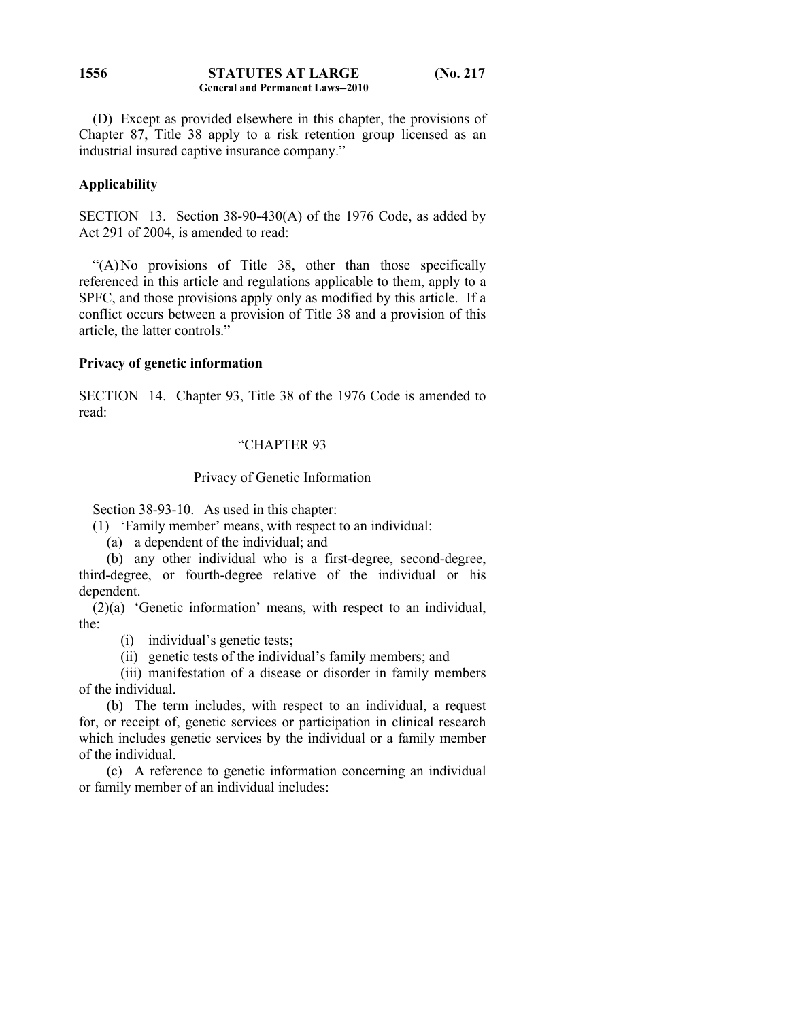#### **STATUTES AT LARGE (No. 217 General and Permanent Laws--2010 1556**

 (D) Except as provided elsewhere in this chapter, the provisions of Chapter 87, Title 38 apply to a risk retention group licensed as an industrial insured captive insurance company."

## **Applicability**

SECTION 13. Section 38-90-430(A) of the 1976 Code, as added by Act 291 of 2004, is amended to read:

 "(A) No provisions of Title 38, other than those specifically referenced in this article and regulations applicable to them, apply to a SPFC, and those provisions apply only as modified by this article. If a conflict occurs between a provision of Title 38 and a provision of this article, the latter controls."

## **Privacy of genetic information**

SECTION 14. Chapter 93, Title 38 of the 1976 Code is amended to read:

# "CHAPTER 93

## Privacy of Genetic Information

Section 38-93-10. As used in this chapter:

- (1) 'Family member' means, with respect to an individual:
	- (a) a dependent of the individual; and

 (b) any other individual who is a first-degree, second-degree, third-degree, or fourth-degree relative of the individual or his dependent.

 (2)(a) 'Genetic information' means, with respect to an individual, the:

(i) individual's genetic tests;

(ii) genetic tests of the individual's family members; and

 (iii) manifestation of a disease or disorder in family members of the individual.

 (b) The term includes, with respect to an individual, a request for, or receipt of, genetic services or participation in clinical research which includes genetic services by the individual or a family member of the individual.

 (c) A reference to genetic information concerning an individual or family member of an individual includes: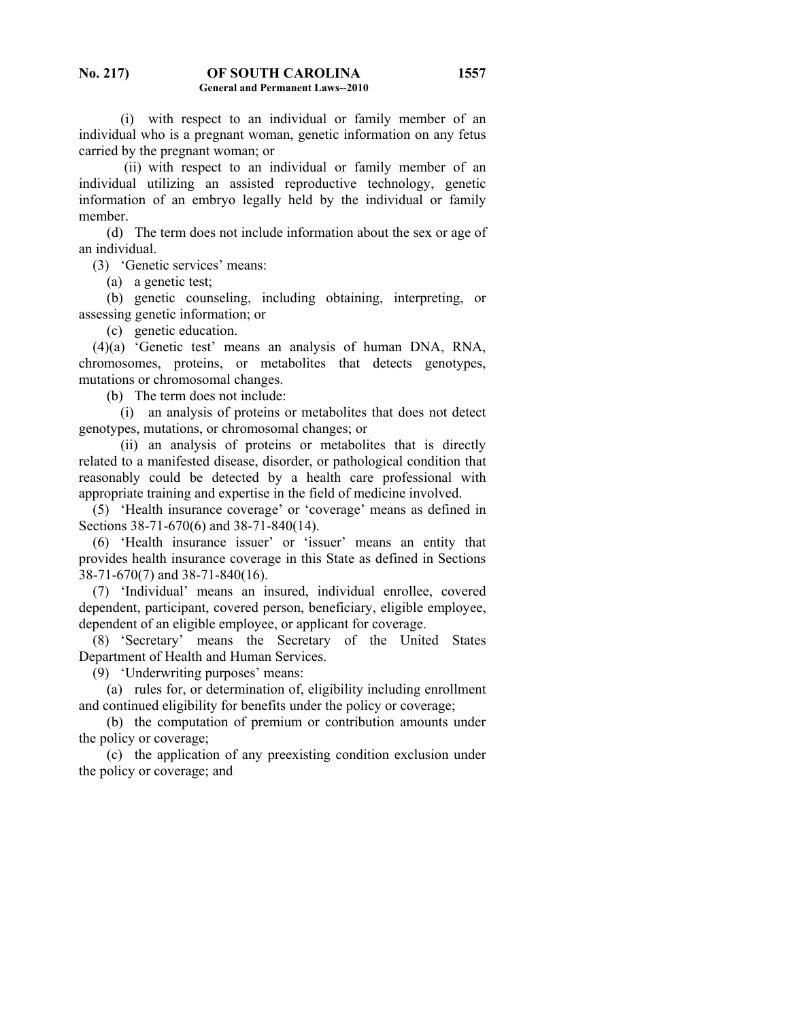(i) with respect to an individual or family member of an individual who is a pregnant woman, genetic information on any fetus carried by the pregnant woman; or

 (ii) with respect to an individual or family member of an individual utilizing an assisted reproductive technology, genetic information of an embryo legally held by the individual or family member.

 (d) The term does not include information about the sex or age of an individual.

(3) 'Genetic services' means:

(a) a genetic test;

 (b) genetic counseling, including obtaining, interpreting, or assessing genetic information; or

(c) genetic education.

 (4)(a) 'Genetic test' means an analysis of human DNA, RNA, chromosomes, proteins, or metabolites that detects genotypes, mutations or chromosomal changes.

(b) The term does not include:

 (i) an analysis of proteins or metabolites that does not detect genotypes, mutations, or chromosomal changes; or

 (ii) an analysis of proteins or metabolites that is directly related to a manifested disease, disorder, or pathological condition that reasonably could be detected by a health care professional with appropriate training and expertise in the field of medicine involved.

 (5) 'Health insurance coverage' or 'coverage' means as defined in Sections 38-71-670(6) and 38-71-840(14).

 (6) 'Health insurance issuer' or 'issuer' means an entity that provides health insurance coverage in this State as defined in Sections 38-71-670(7) and 38-71-840(16).

 (7) 'Individual' means an insured, individual enrollee, covered dependent, participant, covered person, beneficiary, eligible employee, dependent of an eligible employee, or applicant for coverage.

 (8) 'Secretary' means the Secretary of the United States Department of Health and Human Services.

(9) 'Underwriting purposes' means:

 (a) rules for, or determination of, eligibility including enrollment and continued eligibility for benefits under the policy or coverage;

 (b) the computation of premium or contribution amounts under the policy or coverage;

 (c) the application of any preexisting condition exclusion under the policy or coverage; and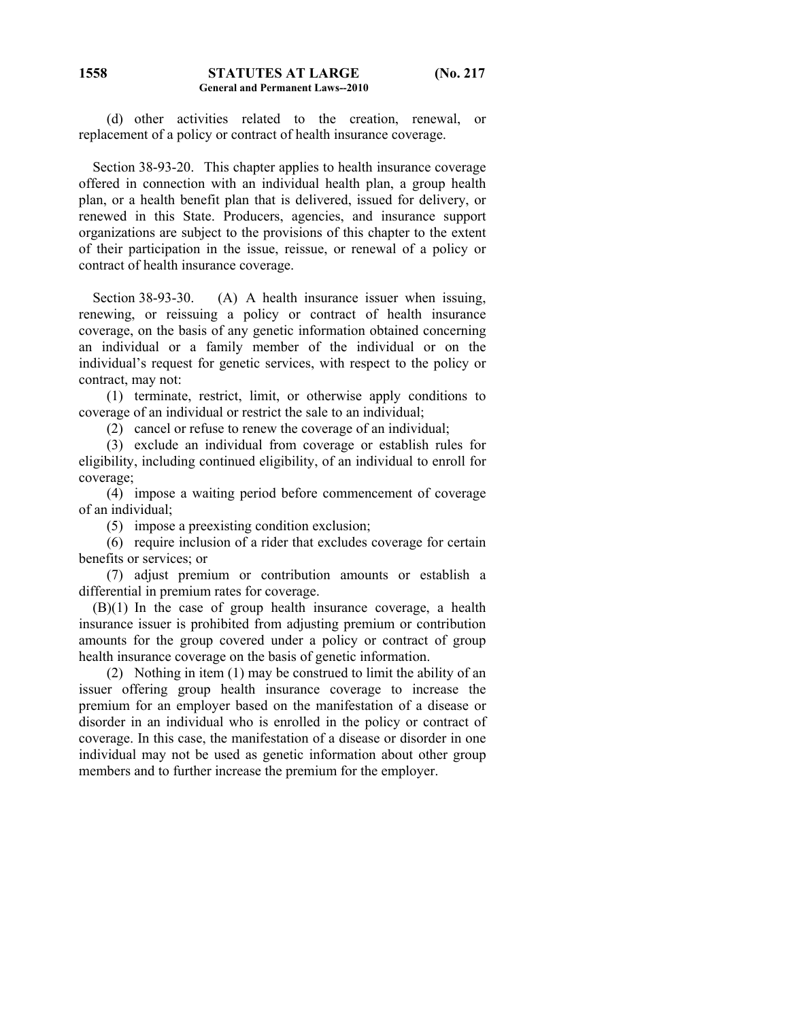(d) other activities related to the creation, renewal, or replacement of a policy or contract of health insurance coverage.

 Section 38-93-20. This chapter applies to health insurance coverage offered in connection with an individual health plan, a group health plan, or a health benefit plan that is delivered, issued for delivery, or renewed in this State. Producers, agencies, and insurance support organizations are subject to the provisions of this chapter to the extent of their participation in the issue, reissue, or renewal of a policy or contract of health insurance coverage.

Section 38-93-30. (A) A health insurance issuer when issuing, renewing, or reissuing a policy or contract of health insurance coverage, on the basis of any genetic information obtained concerning an individual or a family member of the individual or on the individual's request for genetic services, with respect to the policy or contract, may not:

 (1) terminate, restrict, limit, or otherwise apply conditions to coverage of an individual or restrict the sale to an individual;

(2) cancel or refuse to renew the coverage of an individual;

 (3) exclude an individual from coverage or establish rules for eligibility, including continued eligibility, of an individual to enroll for coverage;

 (4) impose a waiting period before commencement of coverage of an individual;

(5) impose a preexisting condition exclusion;

 (6) require inclusion of a rider that excludes coverage for certain benefits or services; or

 (7) adjust premium or contribution amounts or establish a differential in premium rates for coverage.

 (B)(1) In the case of group health insurance coverage, a health insurance issuer is prohibited from adjusting premium or contribution amounts for the group covered under a policy or contract of group health insurance coverage on the basis of genetic information.

 (2) Nothing in item (1) may be construed to limit the ability of an issuer offering group health insurance coverage to increase the premium for an employer based on the manifestation of a disease or disorder in an individual who is enrolled in the policy or contract of coverage. In this case, the manifestation of a disease or disorder in one individual may not be used as genetic information about other group members and to further increase the premium for the employer.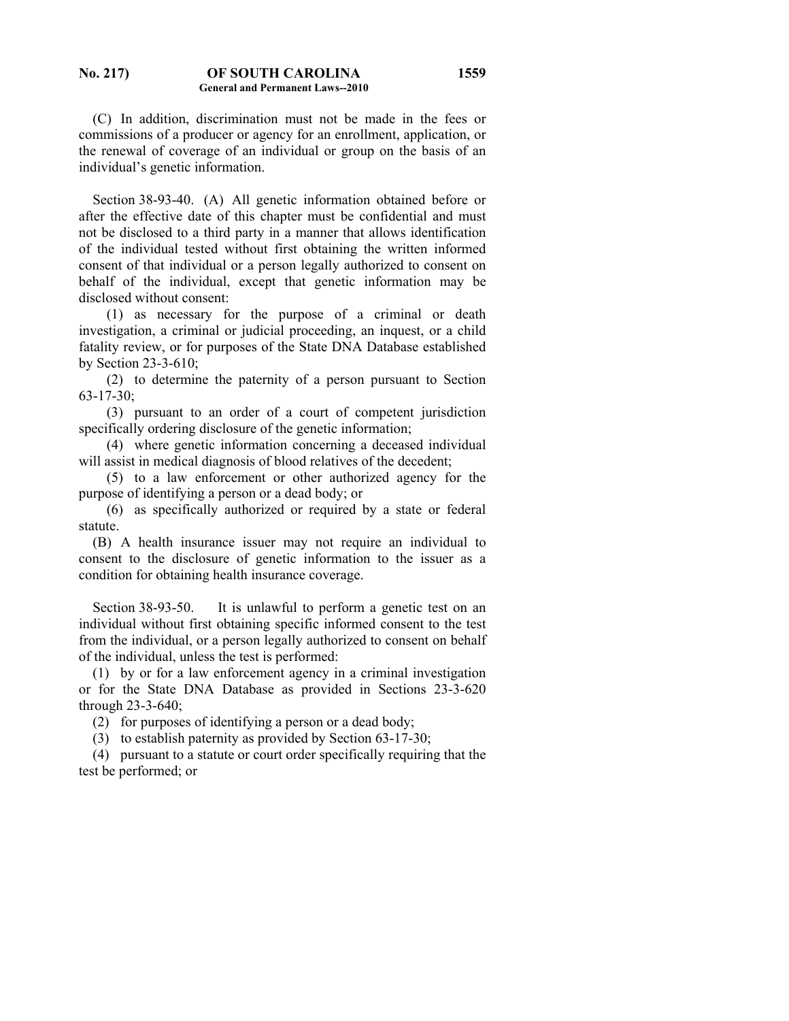(C) In addition, discrimination must not be made in the fees or commissions of a producer or agency for an enrollment, application, or the renewal of coverage of an individual or group on the basis of an individual's genetic information.

 Section 38-93-40. (A) All genetic information obtained before or after the effective date of this chapter must be confidential and must not be disclosed to a third party in a manner that allows identification of the individual tested without first obtaining the written informed consent of that individual or a person legally authorized to consent on behalf of the individual, except that genetic information may be disclosed without consent:

 (1) as necessary for the purpose of a criminal or death investigation, a criminal or judicial proceeding, an inquest, or a child fatality review, or for purposes of the State DNA Database established by Section 23-3-610;

 (2) to determine the paternity of a person pursuant to Section 63-17-30;

 (3) pursuant to an order of a court of competent jurisdiction specifically ordering disclosure of the genetic information;

 (4) where genetic information concerning a deceased individual will assist in medical diagnosis of blood relatives of the decedent;

 (5) to a law enforcement or other authorized agency for the purpose of identifying a person or a dead body; or

 (6) as specifically authorized or required by a state or federal statute.

 (B) A health insurance issuer may not require an individual to consent to the disclosure of genetic information to the issuer as a condition for obtaining health insurance coverage.

 Section 38-93-50. It is unlawful to perform a genetic test on an individual without first obtaining specific informed consent to the test from the individual, or a person legally authorized to consent on behalf of the individual, unless the test is performed:

 (1) by or for a law enforcement agency in a criminal investigation or for the State DNA Database as provided in Sections 23-3-620 through 23-3-640;

(2) for purposes of identifying a person or a dead body;

(3) to establish paternity as provided by Section 63-17-30;

 (4) pursuant to a statute or court order specifically requiring that the test be performed; or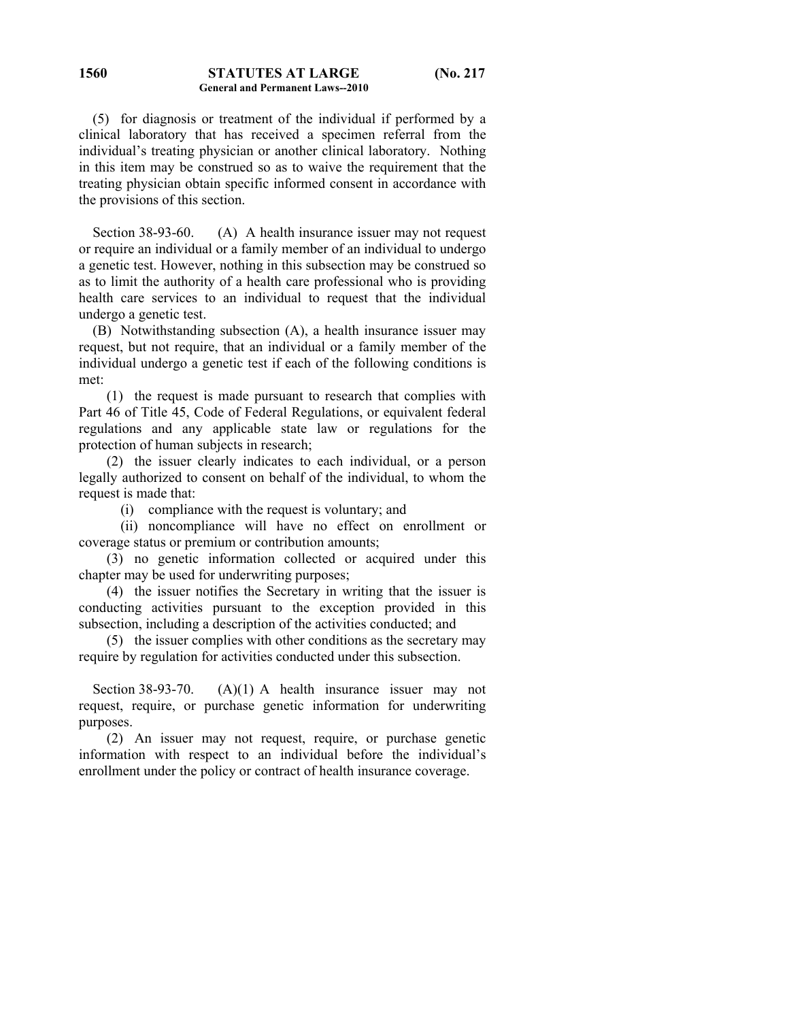#### **STATUTES AT LARGE (No. 217 General and Permanent Laws--2010 1560**

 (5) for diagnosis or treatment of the individual if performed by a clinical laboratory that has received a specimen referral from the individual's treating physician or another clinical laboratory. Nothing in this item may be construed so as to waive the requirement that the treating physician obtain specific informed consent in accordance with the provisions of this section.

Section 38-93-60. (A) A health insurance issuer may not request or require an individual or a family member of an individual to undergo a genetic test. However, nothing in this subsection may be construed so as to limit the authority of a health care professional who is providing health care services to an individual to request that the individual undergo a genetic test.

 (B) Notwithstanding subsection (A), a health insurance issuer may request, but not require, that an individual or a family member of the individual undergo a genetic test if each of the following conditions is met:

 (1) the request is made pursuant to research that complies with Part 46 of Title 45, Code of Federal Regulations, or equivalent federal regulations and any applicable state law or regulations for the protection of human subjects in research;

 (2) the issuer clearly indicates to each individual, or a person legally authorized to consent on behalf of the individual, to whom the request is made that:

(i) compliance with the request is voluntary; and

 (ii) noncompliance will have no effect on enrollment or coverage status or premium or contribution amounts;

 (3) no genetic information collected or acquired under this chapter may be used for underwriting purposes;

 (4) the issuer notifies the Secretary in writing that the issuer is conducting activities pursuant to the exception provided in this subsection, including a description of the activities conducted; and

 (5) the issuer complies with other conditions as the secretary may require by regulation for activities conducted under this subsection.

Section 38-93-70. (A)(1) A health insurance issuer may not request, require, or purchase genetic information for underwriting purposes.

 (2) An issuer may not request, require, or purchase genetic information with respect to an individual before the individual's enrollment under the policy or contract of health insurance coverage.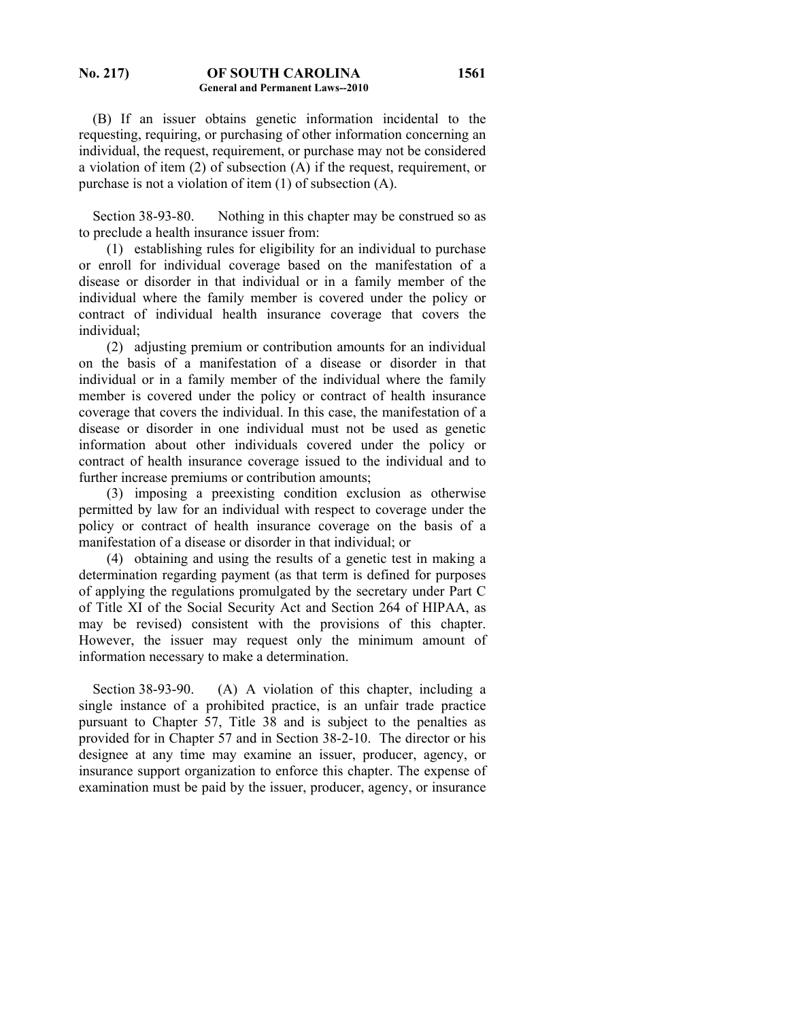### **No. 217) OF SOUTH CAROLINA General and Permanent Laws--2010**

 (B) If an issuer obtains genetic information incidental to the requesting, requiring, or purchasing of other information concerning an individual, the request, requirement, or purchase may not be considered a violation of item (2) of subsection (A) if the request, requirement, or purchase is not a violation of item (1) of subsection (A).

 Section 38-93-80. Nothing in this chapter may be construed so as to preclude a health insurance issuer from:

 (1) establishing rules for eligibility for an individual to purchase or enroll for individual coverage based on the manifestation of a disease or disorder in that individual or in a family member of the individual where the family member is covered under the policy or contract of individual health insurance coverage that covers the individual;

 (2) adjusting premium or contribution amounts for an individual on the basis of a manifestation of a disease or disorder in that individual or in a family member of the individual where the family member is covered under the policy or contract of health insurance coverage that covers the individual. In this case, the manifestation of a disease or disorder in one individual must not be used as genetic information about other individuals covered under the policy or contract of health insurance coverage issued to the individual and to further increase premiums or contribution amounts;

 (3) imposing a preexisting condition exclusion as otherwise permitted by law for an individual with respect to coverage under the policy or contract of health insurance coverage on the basis of a manifestation of a disease or disorder in that individual; or

 (4) obtaining and using the results of a genetic test in making a determination regarding payment (as that term is defined for purposes of applying the regulations promulgated by the secretary under Part C of Title XI of the Social Security Act and Section 264 of HIPAA, as may be revised) consistent with the provisions of this chapter. However, the issuer may request only the minimum amount of information necessary to make a determination.

Section 38-93-90. (A) A violation of this chapter, including a single instance of a prohibited practice, is an unfair trade practice pursuant to Chapter 57, Title 38 and is subject to the penalties as provided for in Chapter 57 and in Section 38-2-10. The director or his designee at any time may examine an issuer, producer, agency, or insurance support organization to enforce this chapter. The expense of examination must be paid by the issuer, producer, agency, or insurance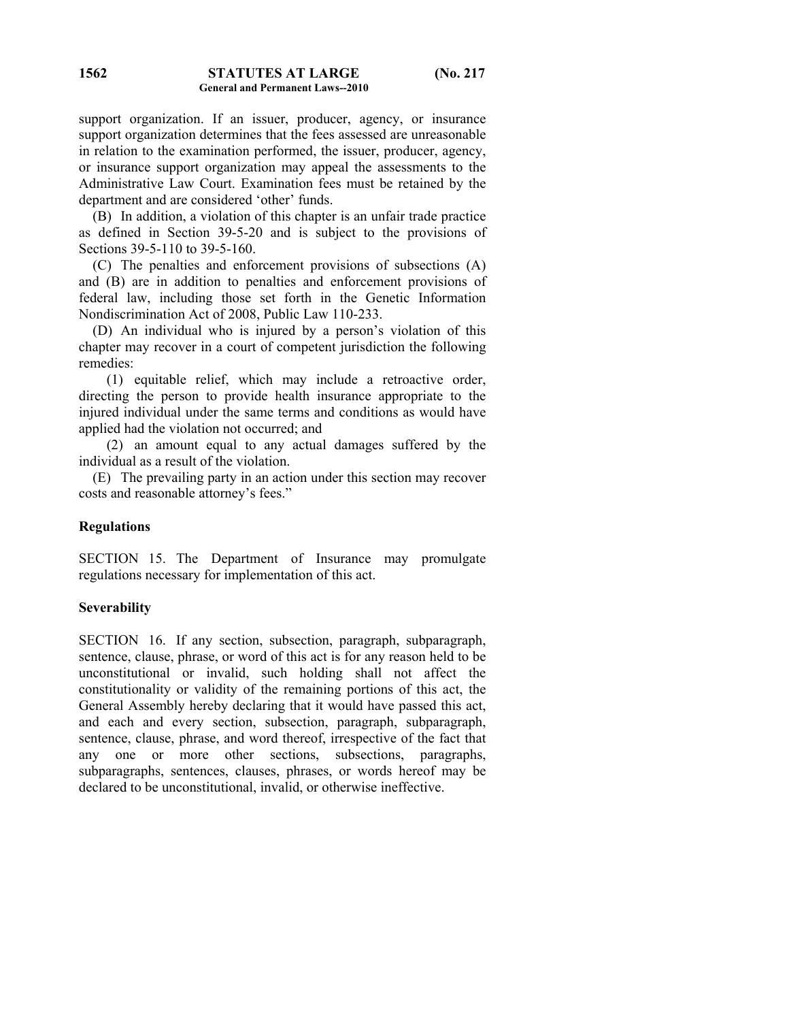support organization. If an issuer, producer, agency, or insurance support organization determines that the fees assessed are unreasonable in relation to the examination performed, the issuer, producer, agency, or insurance support organization may appeal the assessments to the Administrative Law Court. Examination fees must be retained by the department and are considered 'other' funds.

 (B) In addition, a violation of this chapter is an unfair trade practice as defined in Section 39-5-20 and is subject to the provisions of Sections 39-5-110 to 39-5-160.

 (C) The penalties and enforcement provisions of subsections (A) and (B) are in addition to penalties and enforcement provisions of federal law, including those set forth in the Genetic Information Nondiscrimination Act of 2008, Public Law 110-233.

 (D) An individual who is injured by a person's violation of this chapter may recover in a court of competent jurisdiction the following remedies:

 (1) equitable relief, which may include a retroactive order, directing the person to provide health insurance appropriate to the injured individual under the same terms and conditions as would have applied had the violation not occurred; and

 (2) an amount equal to any actual damages suffered by the individual as a result of the violation.

 (E) The prevailing party in an action under this section may recover costs and reasonable attorney's fees."

## **Regulations**

SECTION 15. The Department of Insurance may promulgate regulations necessary for implementation of this act.

## **Severability**

SECTION 16. If any section, subsection, paragraph, subparagraph, sentence, clause, phrase, or word of this act is for any reason held to be unconstitutional or invalid, such holding shall not affect the constitutionality or validity of the remaining portions of this act, the General Assembly hereby declaring that it would have passed this act, and each and every section, subsection, paragraph, subparagraph, sentence, clause, phrase, and word thereof, irrespective of the fact that any one or more other sections, subsections, paragraphs, subparagraphs, sentences, clauses, phrases, or words hereof may be declared to be unconstitutional, invalid, or otherwise ineffective.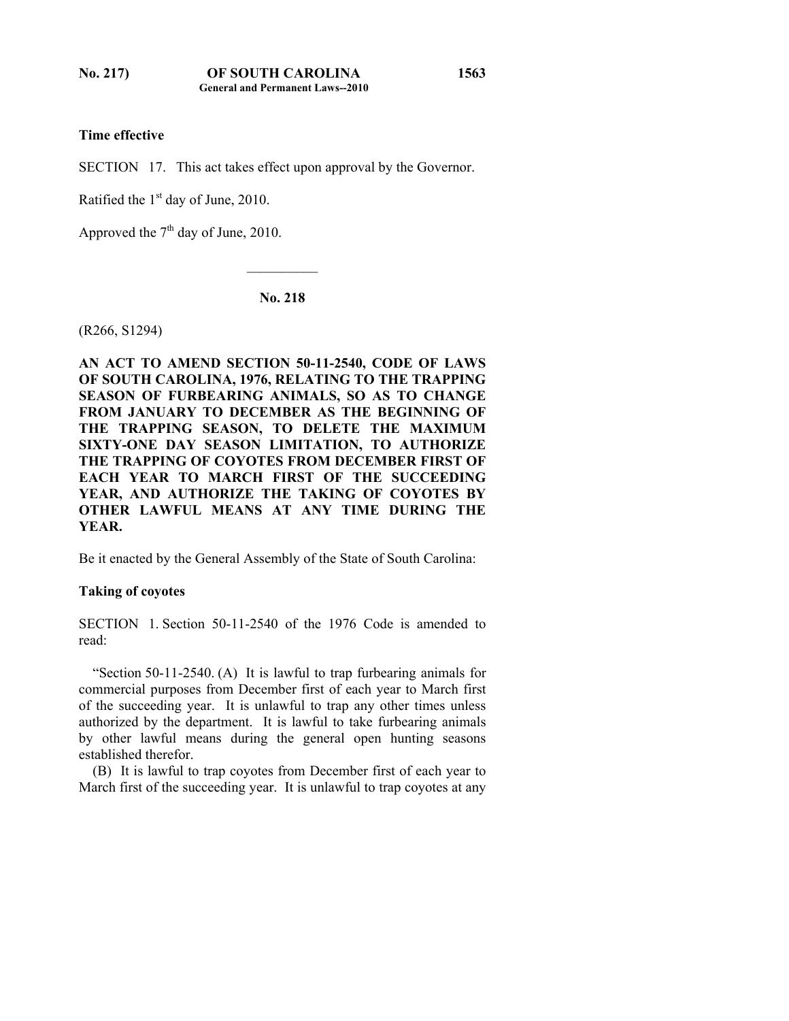# **Time effective**

SECTION 17. This act takes effect upon approval by the Governor.

Ratified the  $1<sup>st</sup>$  day of June, 2010.

Approved the  $7<sup>th</sup>$  day of June, 2010.

**No. 218** 

 $\mathcal{L}_\text{max}$ 

(R266, S1294)

**AN ACT TO AMEND SECTION 50-11-2540, CODE OF LAWS OF SOUTH CAROLINA, 1976, RELATING TO THE TRAPPING SEASON OF FURBEARING ANIMALS, SO AS TO CHANGE FROM JANUARY TO DECEMBER AS THE BEGINNING OF THE TRAPPING SEASON, TO DELETE THE MAXIMUM SIXTY-ONE DAY SEASON LIMITATION, TO AUTHORIZE THE TRAPPING OF COYOTES FROM DECEMBER FIRST OF EACH YEAR TO MARCH FIRST OF THE SUCCEEDING YEAR, AND AUTHORIZE THE TAKING OF COYOTES BY OTHER LAWFUL MEANS AT ANY TIME DURING THE YEAR.** 

Be it enacted by the General Assembly of the State of South Carolina:

### **Taking of coyotes**

SECTION 1. Section 50-11-2540 of the 1976 Code is amended to read:

 "Section 50-11-2540. (A) It is lawful to trap furbearing animals for commercial purposes from December first of each year to March first of the succeeding year. It is unlawful to trap any other times unless authorized by the department. It is lawful to take furbearing animals by other lawful means during the general open hunting seasons established therefor.

 (B) It is lawful to trap coyotes from December first of each year to March first of the succeeding year. It is unlawful to trap coyotes at any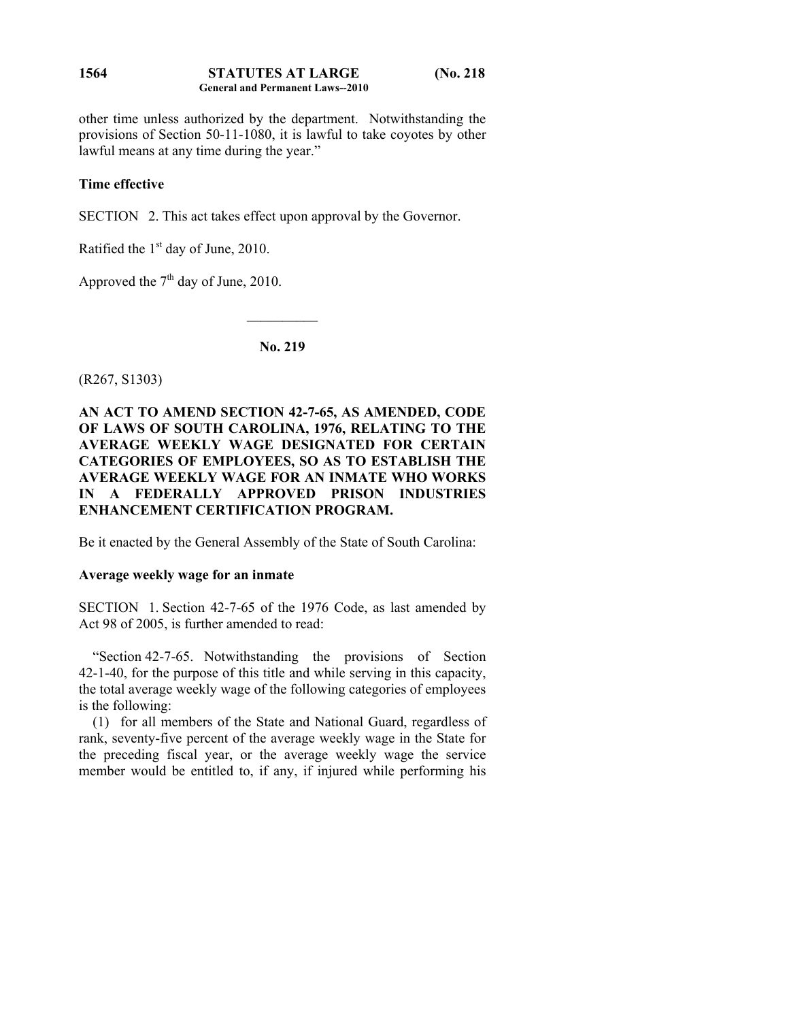### **STATUTES AT LARGE (No. 218 General and Permanent Laws--2010 1564**

other time unless authorized by the department. Notwithstanding the provisions of Section 50-11-1080, it is lawful to take coyotes by other lawful means at any time during the year."

# **Time effective**

SECTION 2. This act takes effect upon approval by the Governor.

Ratified the  $1<sup>st</sup>$  day of June, 2010.

Approved the  $7<sup>th</sup>$  day of June, 2010.

# **No. 219**

 $\mathcal{L}_\text{max}$ 

(R267, S1303)

# **AN ACT TO AMEND SECTION 42-7-65, AS AMENDED, CODE OF LAWS OF SOUTH CAROLINA, 1976, RELATING TO THE AVERAGE WEEKLY WAGE DESIGNATED FOR CERTAIN CATEGORIES OF EMPLOYEES, SO AS TO ESTABLISH THE AVERAGE WEEKLY WAGE FOR AN INMATE WHO WORKS IN A FEDERALLY APPROVED PRISON INDUSTRIES ENHANCEMENT CERTIFICATION PROGRAM.**

Be it enacted by the General Assembly of the State of South Carolina:

## **Average weekly wage for an inmate**

SECTION 1. Section 42-7-65 of the 1976 Code, as last amended by Act 98 of 2005, is further amended to read:

 "Section 42-7-65. Notwithstanding the provisions of Section 42-1-40, for the purpose of this title and while serving in this capacity, the total average weekly wage of the following categories of employees is the following:

 (1) for all members of the State and National Guard, regardless of rank, seventy-five percent of the average weekly wage in the State for the preceding fiscal year, or the average weekly wage the service member would be entitled to, if any, if injured while performing his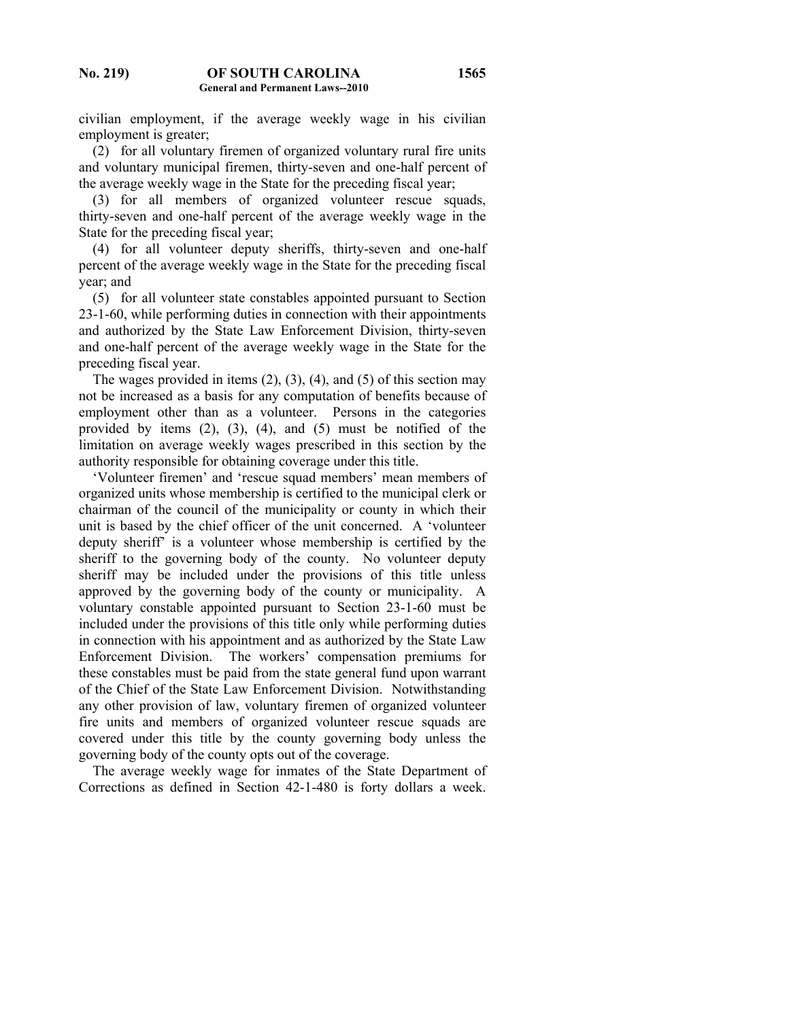civilian employment, if the average weekly wage in his civilian employment is greater;

 (2) for all voluntary firemen of organized voluntary rural fire units and voluntary municipal firemen, thirty-seven and one-half percent of the average weekly wage in the State for the preceding fiscal year;

 (3) for all members of organized volunteer rescue squads, thirty-seven and one-half percent of the average weekly wage in the State for the preceding fiscal year;

 (4) for all volunteer deputy sheriffs, thirty-seven and one-half percent of the average weekly wage in the State for the preceding fiscal year; and

 (5) for all volunteer state constables appointed pursuant to Section 23-1-60, while performing duties in connection with their appointments and authorized by the State Law Enforcement Division, thirty-seven and one-half percent of the average weekly wage in the State for the preceding fiscal year.

The wages provided in items  $(2)$ ,  $(3)$ ,  $(4)$ , and  $(5)$  of this section may not be increased as a basis for any computation of benefits because of employment other than as a volunteer. Persons in the categories provided by items (2), (3), (4), and (5) must be notified of the limitation on average weekly wages prescribed in this section by the authority responsible for obtaining coverage under this title.

 'Volunteer firemen' and 'rescue squad members' mean members of organized units whose membership is certified to the municipal clerk or chairman of the council of the municipality or county in which their unit is based by the chief officer of the unit concerned. A 'volunteer deputy sheriff' is a volunteer whose membership is certified by the sheriff to the governing body of the county. No volunteer deputy sheriff may be included under the provisions of this title unless approved by the governing body of the county or municipality. A voluntary constable appointed pursuant to Section 23-1-60 must be included under the provisions of this title only while performing duties in connection with his appointment and as authorized by the State Law Enforcement Division. The workers' compensation premiums for these constables must be paid from the state general fund upon warrant of the Chief of the State Law Enforcement Division. Notwithstanding any other provision of law, voluntary firemen of organized volunteer fire units and members of organized volunteer rescue squads are covered under this title by the county governing body unless the governing body of the county opts out of the coverage.

 The average weekly wage for inmates of the State Department of Corrections as defined in Section 42-1-480 is forty dollars a week.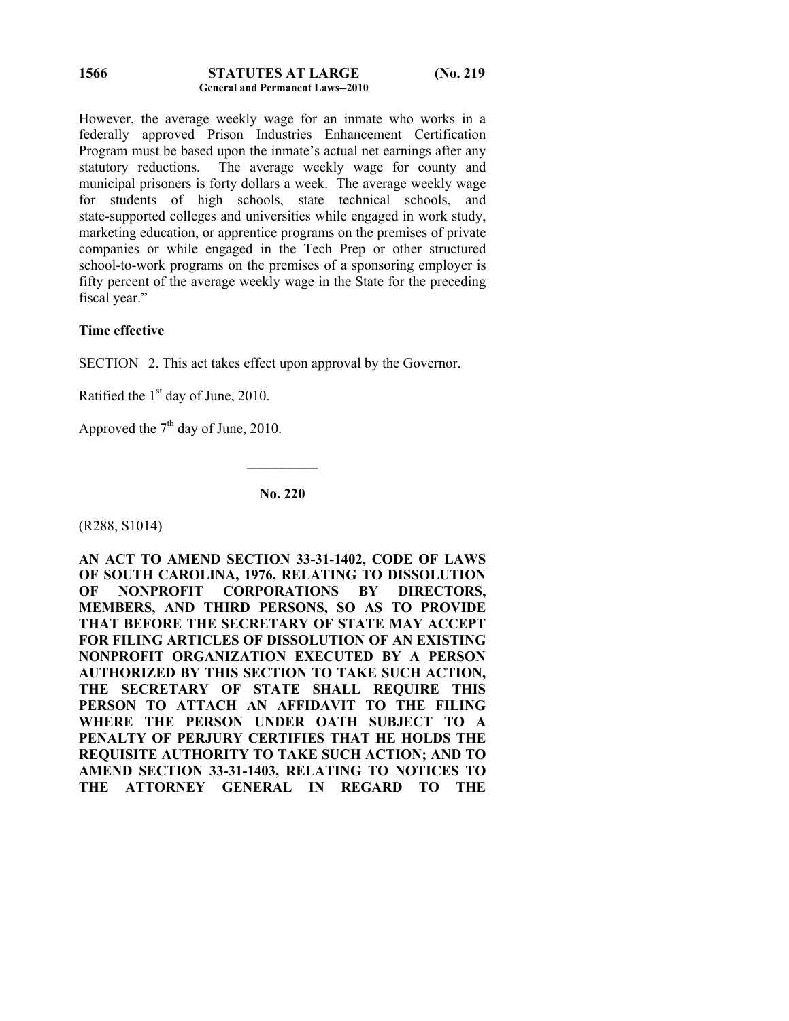### **STATUTES AT LARGE (No. 219 General and Permanent Laws--2010 1566**

However, the average weekly wage for an inmate who works in a federally approved Prison Industries Enhancement Certification Program must be based upon the inmate's actual net earnings after any statutory reductions. The average weekly wage for county and municipal prisoners is forty dollars a week. The average weekly wage for students of high schools, state technical schools, and state-supported colleges and universities while engaged in work study, marketing education, or apprentice programs on the premises of private companies or while engaged in the Tech Prep or other structured school-to-work programs on the premises of a sponsoring employer is fifty percent of the average weekly wage in the State for the preceding fiscal year."

# **Time effective**

SECTION 2. This act takes effect upon approval by the Governor.

Ratified the  $1<sup>st</sup>$  day of June, 2010.

Approved the  $7<sup>th</sup>$  day of June, 2010.

**No. 220** 

 $\frac{1}{2}$ 

(R288, S1014)

**AN ACT TO AMEND SECTION 33-31-1402, CODE OF LAWS OF SOUTH CAROLINA, 1976, RELATING TO DISSOLUTION OF NONPROFIT CORPORATIONS BY DIRECTORS, MEMBERS, AND THIRD PERSONS, SO AS TO PROVIDE THAT BEFORE THE SECRETARY OF STATE MAY ACCEPT FOR FILING ARTICLES OF DISSOLUTION OF AN EXISTING NONPROFIT ORGANIZATION EXECUTED BY A PERSON AUTHORIZED BY THIS SECTION TO TAKE SUCH ACTION, THE SECRETARY OF STATE SHALL REQUIRE THIS PERSON TO ATTACH AN AFFIDAVIT TO THE FILING WHERE THE PERSON UNDER OATH SUBJECT TO A PENALTY OF PERJURY CERTIFIES THAT HE HOLDS THE REQUISITE AUTHORITY TO TAKE SUCH ACTION; AND TO AMEND SECTION 33-31-1403, RELATING TO NOTICES TO THE ATTORNEY GENERAL IN REGARD TO THE**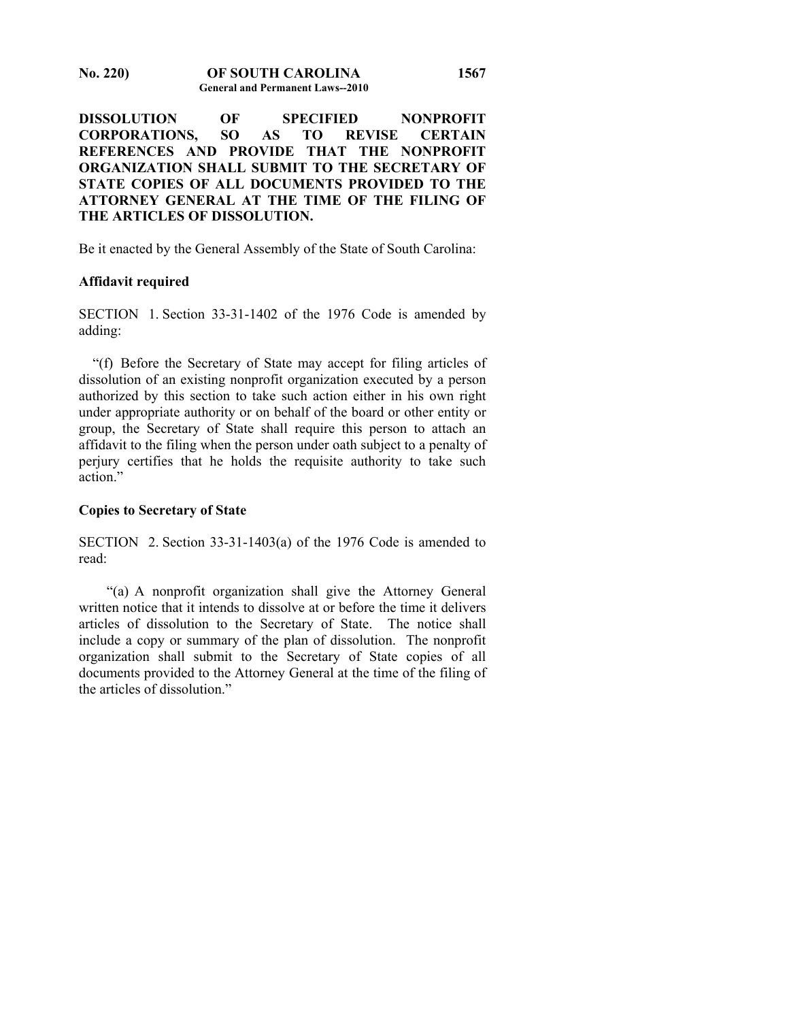**DISSOLUTION OF SPECIFIED NONPROFIT CORPORATIONS, SO AS TO REVISE CERTAIN REFERENCES AND PROVIDE THAT THE NONPROFIT ORGANIZATION SHALL SUBMIT TO THE SECRETARY OF STATE COPIES OF ALL DOCUMENTS PROVIDED TO THE ATTORNEY GENERAL AT THE TIME OF THE FILING OF THE ARTICLES OF DISSOLUTION.** 

**1567**

Be it enacted by the General Assembly of the State of South Carolina:

## **Affidavit required**

SECTION 1. Section 33-31-1402 of the 1976 Code is amended by adding:

 "(f) Before the Secretary of State may accept for filing articles of dissolution of an existing nonprofit organization executed by a person authorized by this section to take such action either in his own right under appropriate authority or on behalf of the board or other entity or group, the Secretary of State shall require this person to attach an affidavit to the filing when the person under oath subject to a penalty of perjury certifies that he holds the requisite authority to take such action."

## **Copies to Secretary of State**

SECTION 2. Section 33-31-1403(a) of the 1976 Code is amended to read:

 "(a) A nonprofit organization shall give the Attorney General written notice that it intends to dissolve at or before the time it delivers articles of dissolution to the Secretary of State. The notice shall include a copy or summary of the plan of dissolution. The nonprofit organization shall submit to the Secretary of State copies of all documents provided to the Attorney General at the time of the filing of the articles of dissolution."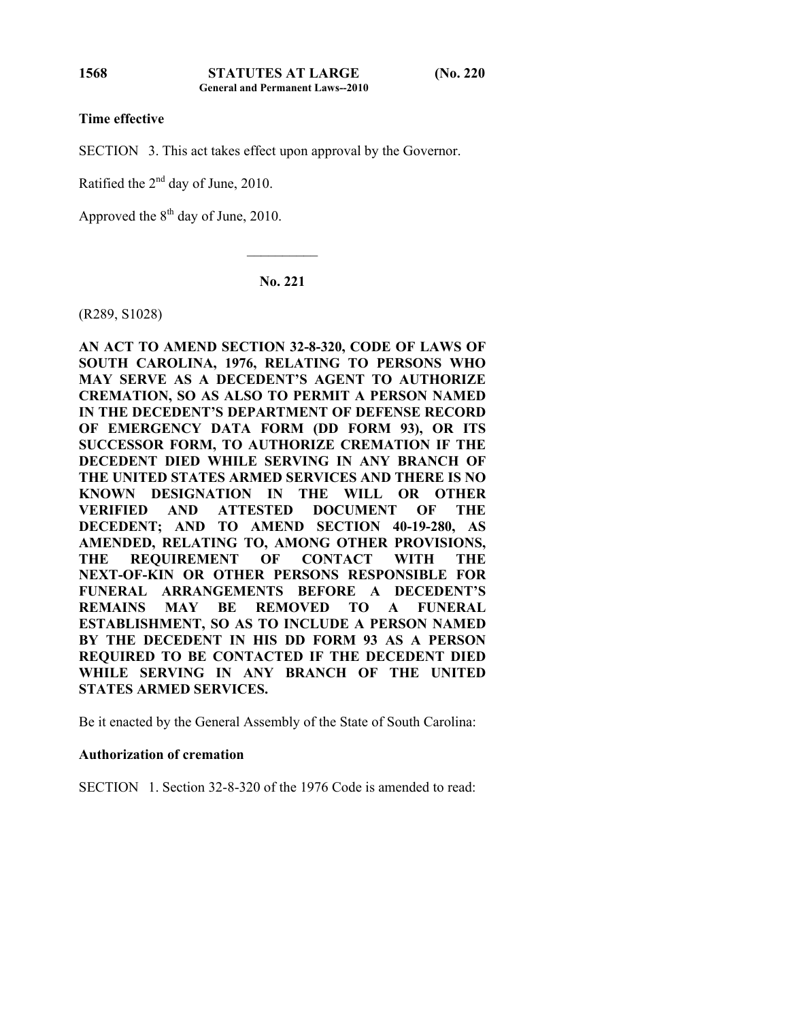# **Time effective**

SECTION 3. This act takes effect upon approval by the Governor.

Ratified the 2nd day of June, 2010.

Approved the  $8<sup>th</sup>$  day of June, 2010.

**No. 221** 

 $\mathcal{L}_\text{max}$ 

(R289, S1028)

**AN ACT TO AMEND SECTION 32-8-320, CODE OF LAWS OF SOUTH CAROLINA, 1976, RELATING TO PERSONS WHO MAY SERVE AS A DECEDENT'S AGENT TO AUTHORIZE CREMATION, SO AS ALSO TO PERMIT A PERSON NAMED IN THE DECEDENT'S DEPARTMENT OF DEFENSE RECORD OF EMERGENCY DATA FORM (DD FORM 93), OR ITS SUCCESSOR FORM, TO AUTHORIZE CREMATION IF THE DECEDENT DIED WHILE SERVING IN ANY BRANCH OF THE UNITED STATES ARMED SERVICES AND THERE IS NO KNOWN DESIGNATION IN THE WILL OR OTHER VERIFIED AND ATTESTED DOCUMENT OF THE DECEDENT; AND TO AMEND SECTION 40-19-280, AS AMENDED, RELATING TO, AMONG OTHER PROVISIONS, THE REQUIREMENT OF CONTACT WITH THE NEXT-OF-KIN OR OTHER PERSONS RESPONSIBLE FOR FUNERAL ARRANGEMENTS BEFORE A DECEDENT'S REMAINS MAY BE REMOVED TO A FUNERAL ESTABLISHMENT, SO AS TO INCLUDE A PERSON NAMED BY THE DECEDENT IN HIS DD FORM 93 AS A PERSON REQUIRED TO BE CONTACTED IF THE DECEDENT DIED WHILE SERVING IN ANY BRANCH OF THE UNITED STATES ARMED SERVICES.** 

Be it enacted by the General Assembly of the State of South Carolina:

## **Authorization of cremation**

SECTION 1. Section 32-8-320 of the 1976 Code is amended to read:

**1568**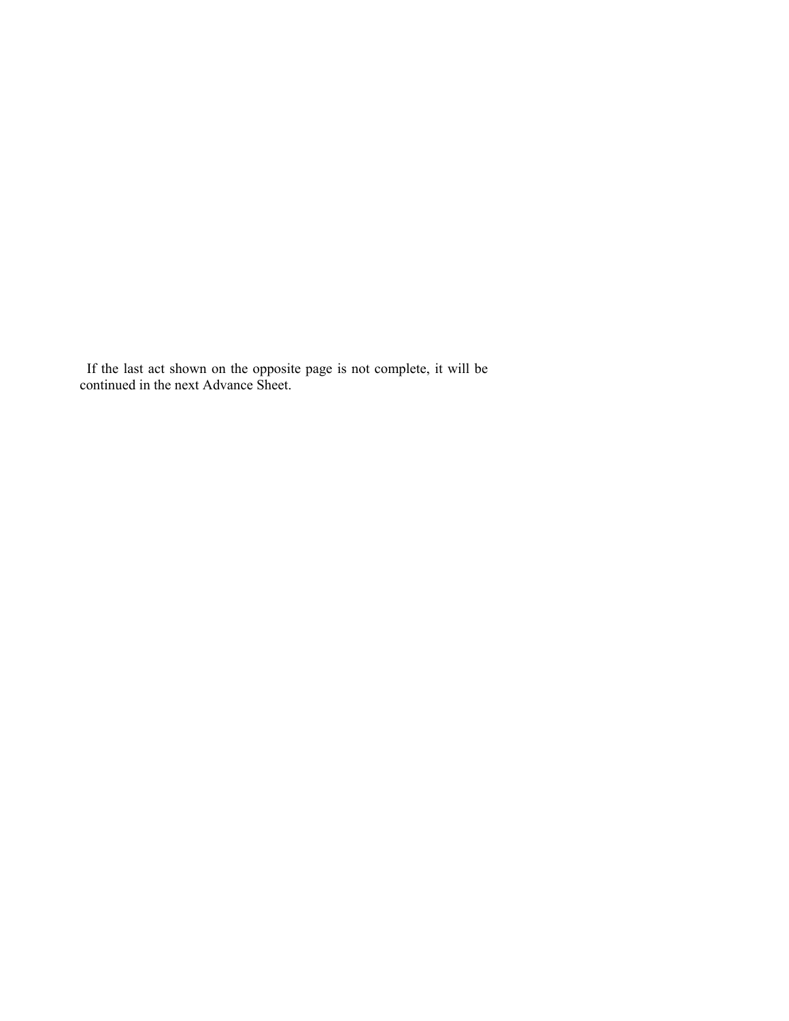If the last act shown on the opposite page is not complete, it will be continued in the next Advance Sheet.